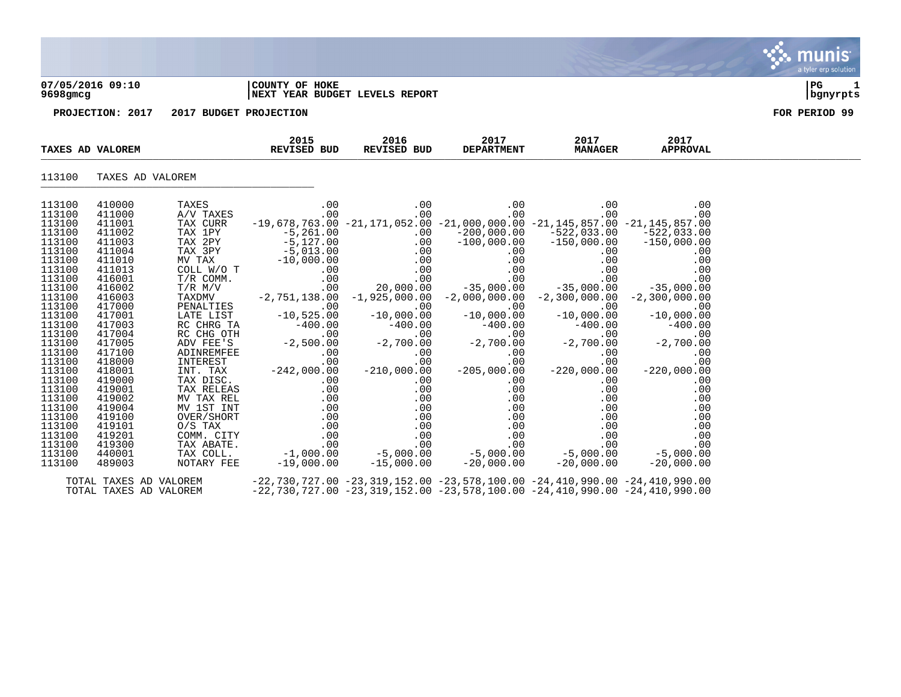#### **07/05/2016 09:10 |COUNTY OF HOKE |PG 1 9698gmcg |NEXT YEAR BUDGET LEVELS REPORT |bgnyrpts**

**PROJECTION: 2017 2017 BUDGET PROJECTION FOR PERIOD 99**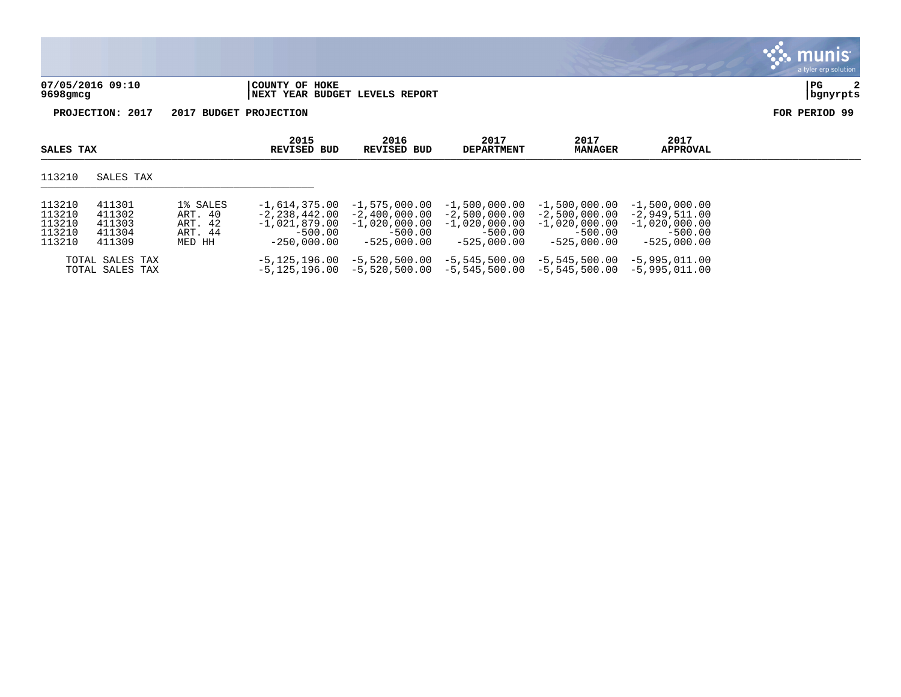|                              |                                                  | a tyler erp solution  |
|------------------------------|--------------------------------------------------|-----------------------|
| 07/05/2016 09:10<br>9698gmcg | COUNTY OF HOKE<br>NEXT YEAR BUDGET LEVELS REPORT | PG<br>2<br>  bgnyrpts |
| PROJECTION: 2017             | 2017 BUDGET PROJECTION                           | FOR PERIOD 99         |

| SALES TAX                                      |                                                |                                                     | 2015<br>REVISED BUD                                                                    | 2016<br>REVISED BUD                                                                 | 2017<br><b>DEPARTMENT</b>                                                            | 2017<br><b>MANAGER</b>                                                              | 2017<br><b>APPROVAL</b>                                                             |  |
|------------------------------------------------|------------------------------------------------|-----------------------------------------------------|----------------------------------------------------------------------------------------|-------------------------------------------------------------------------------------|--------------------------------------------------------------------------------------|-------------------------------------------------------------------------------------|-------------------------------------------------------------------------------------|--|
| 113210                                         | SALES TAX                                      |                                                     |                                                                                        |                                                                                     |                                                                                      |                                                                                     |                                                                                     |  |
| 113210<br>113210<br>113210<br>113210<br>113210 | 411301<br>411302<br>411303<br>411304<br>411309 | 1% SALES<br>ART. 40<br>ART. 42<br>ART. 44<br>MED HH | $-1.614.375.00$<br>$-2, 238, 442, 00$<br>$-1,021,879,00$<br>$-500.00$<br>$-250.000.00$ | $-1.575.000.00$<br>$-2.400.000.00$<br>$-1,020,000.00$<br>$-500.00$<br>$-525.000.00$ | $-1,500,000.00$<br>$-2.500.000.00$<br>$-1$ ,020,000.00<br>$-500.00$<br>$-525.000.00$ | $-1,500,000.00$<br>$-2.500.000.00$<br>$-1,020,000.00$<br>$-500.00$<br>$-525.000.00$ | $-1,500,000.00$<br>$-2.949.511.00$<br>$-1,020,000.00$<br>$-500.00$<br>$-525.000.00$ |  |
|                                                | TOTAL SALES TAX<br>TOTAL SALES TAX             |                                                     | $-5, 125, 196.00$<br>-5,125,196.00                                                     | $-5,520,500.00$                                                                     | $-5,545,500.00$<br>$-5,520,500.00$ $-5,545,500.00$ $-5,545,500.00$                   | $-5,545,500.00$                                                                     | $-5.995.011.00$<br>$-5,995,011,00$                                                  |  |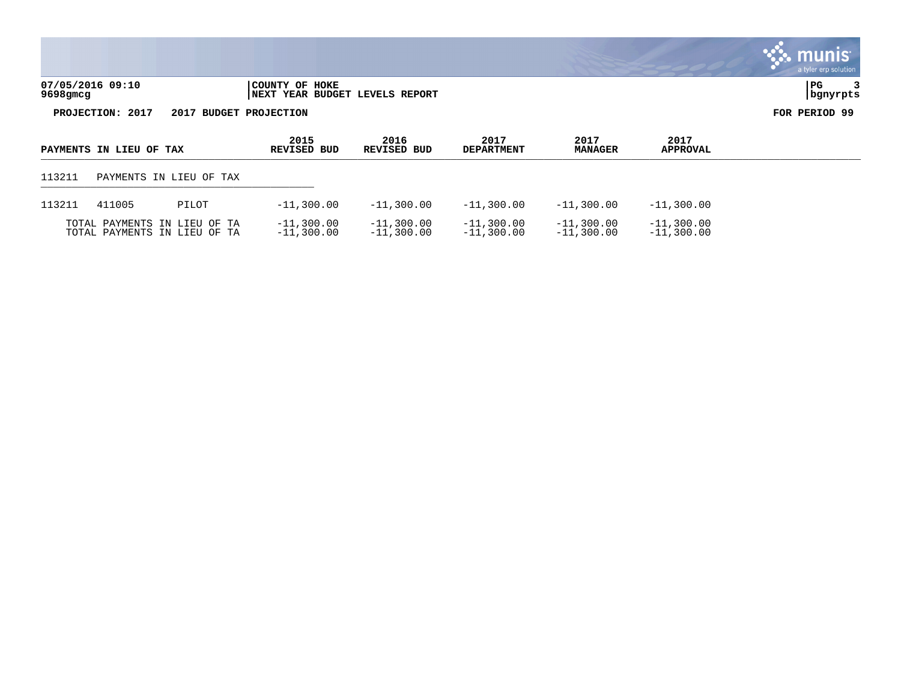|                                                                                                                               |                                                          |                            |                           |                        |                         | $\sim$ munis<br>a tyler erp solution |
|-------------------------------------------------------------------------------------------------------------------------------|----------------------------------------------------------|----------------------------|---------------------------|------------------------|-------------------------|--------------------------------------|
| 07/05/2016 09:10<br>9698gmcg                                                                                                  | COUNTY OF HOKE<br><b>INEXT YEAR BUDGET LEVELS REPORT</b> |                            |                           |                        |                         | PG<br>  bgnyrpts                     |
| PROJECTION: 2017                                                                                                              | 2017 BUDGET PROJECTION                                   |                            |                           |                        |                         | FOR PERIOD 99                        |
| PAYMENTS IN LIEU OF TAX                                                                                                       | 2015<br><b>REVISED BUD</b>                               | 2016<br><b>REVISED BUD</b> | 2017<br><b>DEPARTMENT</b> | 2017<br><b>MANAGER</b> | 2017<br><b>APPROVAL</b> |                                      |
| $\begin{array}{c} \n \uparrow \rightarrow \land \land \rightarrow \land \n \end{array}$<br><b>DAIN/DITO TIT TTDIT ON MAIL</b> |                                                          |                            |                           |                        |                         |                                      |

 $\mathbf{r}$ 

| $\sim$ | --- | $-$ |  |
|--------|-----|-----|--|
|        |     |     |  |

| 113211 | 411005 | PILOT                                                        | $-11,300.00$                 | $-11.300.00$                 | $-11,300.00$                 | $-11.300.00$                 | $-11,300,00$                 |
|--------|--------|--------------------------------------------------------------|------------------------------|------------------------------|------------------------------|------------------------------|------------------------------|
|        |        | TOTAL PAYMENTS IN LIEU OF TA<br>TOTAL PAYMENTS IN LIEU OF TA | $-11,300.00$<br>$-11,300.00$ | $-11,300.00$<br>$-11,300,00$ | $-11,300,00$<br>$-11,300.00$ | $-11.300.00$<br>$-11.300.00$ | $-11,300.00$<br>$-11.300.00$ |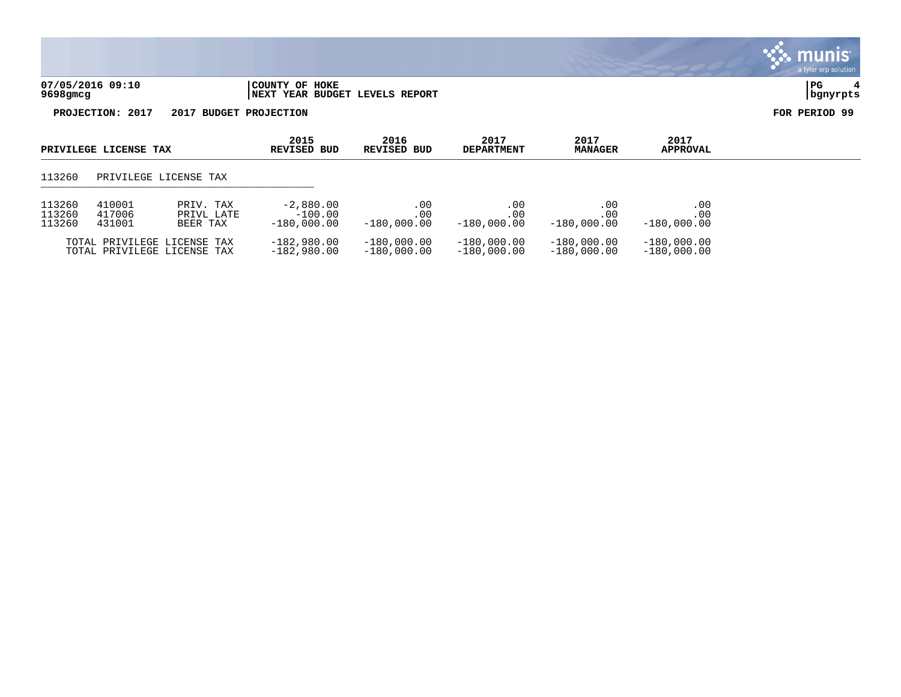

| PRIVILEGE LICENSE TAX      |                            |                                                            | 2015<br>REVISED BUD                       | 2016<br>REVISED BUD              | 2017<br><b>DEPARTMENT</b>         | 2017<br><b>MANAGER</b>         | 2017<br><b>APPROVAL</b>        |  |
|----------------------------|----------------------------|------------------------------------------------------------|-------------------------------------------|----------------------------------|-----------------------------------|--------------------------------|--------------------------------|--|
| 113260                     | PRIVILEGE LICENSE TAX      |                                                            |                                           |                                  |                                   |                                |                                |  |
| 113260<br>113260<br>113260 | 410001<br>417006<br>431001 | PRIV. TAX<br>PRIVL LATE<br>BEER TAX                        | $-2,880.00$<br>$-100.00$<br>$-180.000.00$ | .00<br>$.00 \,$<br>$-180.000.00$ | .00.<br>$.00 \,$<br>$-180.000.00$ | .00<br>.00<br>$-180.000.00$    | .00<br>.00<br>$-180.000.00$    |  |
|                            |                            | TOTAL PRIVILEGE LICENSE TAX<br>TOTAL PRIVILEGE LICENSE TAX | $-182.980.00$<br>$-182,980.00$            | $-180,000.00$<br>$-180,000.00$   | $-180.000.00$<br>$-180,000.00$    | $-180.000.00$<br>$-180.000.00$ | $-180,000.00$<br>$-180,000.00$ |  |

munis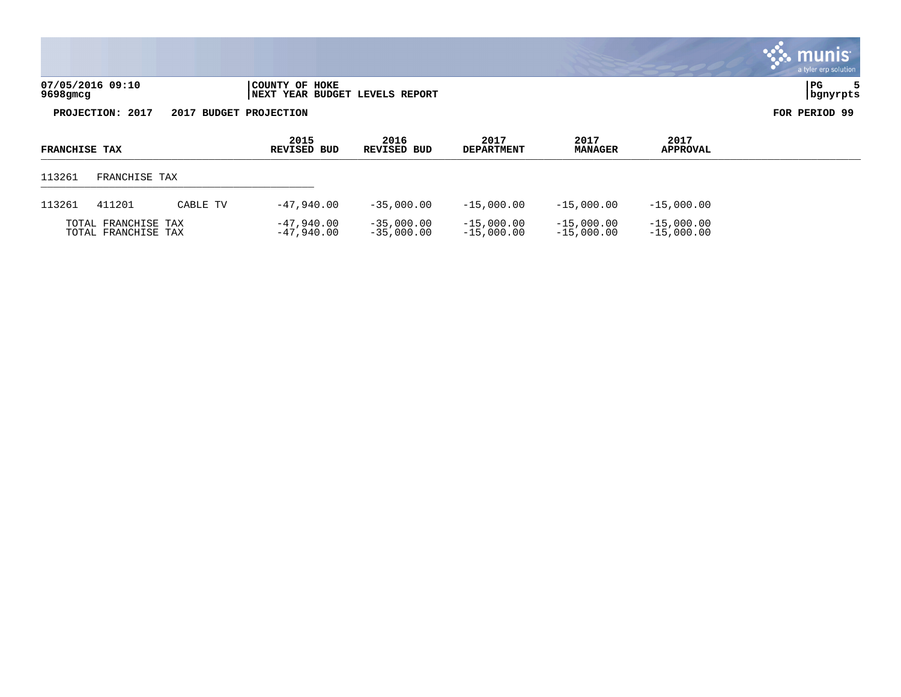|                              |                                                  | a tyler erp solution |
|------------------------------|--------------------------------------------------|----------------------|
| 07/05/2016 09:10<br>9698gmcg | COUNTY OF HOKE<br>NEXT YEAR BUDGET LEVELS REPORT | l PG                 |

| <b>FRANCHISE TAX</b> |                                            |          | 2015<br>REVISED BUD        | 2016<br>REVISED BUD          | 2017<br><b>DEPARTMENT</b>    | 2017<br><b>MANAGER</b>       | 2017<br><b>APPROVAL</b>      |  |
|----------------------|--------------------------------------------|----------|----------------------------|------------------------------|------------------------------|------------------------------|------------------------------|--|
| 113261               | FRANCHISE TAX                              |          |                            |                              |                              |                              |                              |  |
| 113261               | 411201                                     | CABLE TV | -47.940.00                 | $-35,000.00$                 | $-15,000.00$                 | $-15,000.00$                 | $-15,000.00$                 |  |
|                      | TOTAL FRANCHISE TAX<br>TOTAL FRANCHISE TAX |          | $-47.940.00$<br>-47.940.00 | $-35,000,00$<br>$-35,000,00$ | $-15,000.00$<br>$-15,000.00$ | $-15,000.00$<br>$-15,000.00$ | $-15,000.00$<br>$-15,000.00$ |  |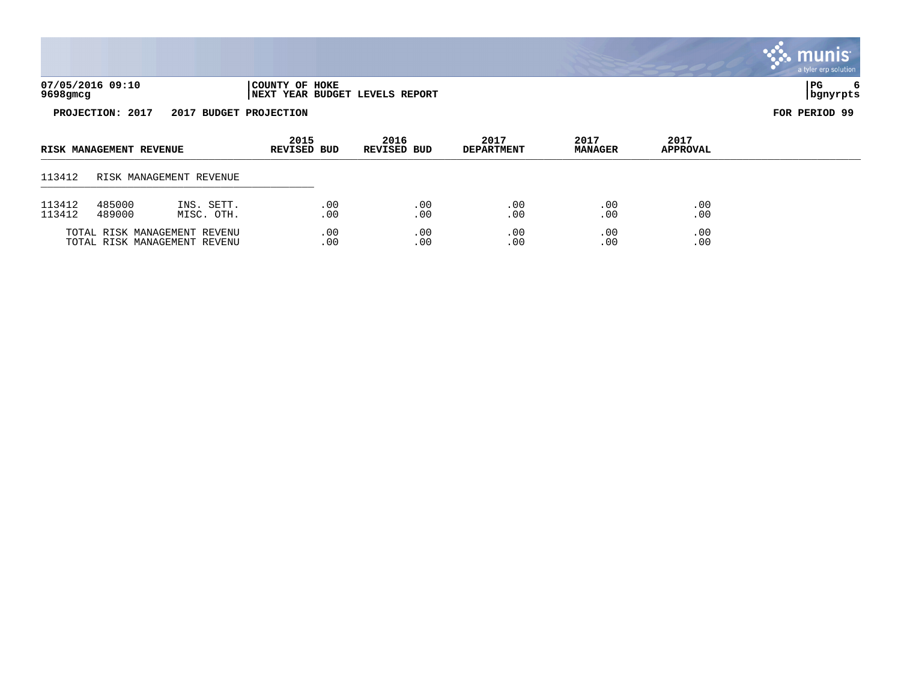|                                            |                         |                          |                            |            |                                        |                           |                        |                         | a tyler erp solution  |
|--------------------------------------------|-------------------------|--------------------------|----------------------------|------------|----------------------------------------|---------------------------|------------------------|-------------------------|-----------------------|
| 9698gmcg                                   | 07/05/2016 09:10        |                          | COUNTY OF HOKE             |            | <b>INEXT YEAR BUDGET LEVELS REPORT</b> |                           |                        |                         | PG<br>6<br>  bgnyrpts |
| PROJECTION: 2017<br>2017 BUDGET PROJECTION |                         |                          |                            |            |                                        |                           |                        | FOR PERIOD 99           |                       |
|                                            | RISK MANAGEMENT REVENUE |                          | 2015<br><b>REVISED BUD</b> |            | 2016<br><b>REVISED BUD</b>             | 2017<br><b>DEPARTMENT</b> | 2017<br><b>MANAGER</b> | 2017<br><b>APPROVAL</b> |                       |
| 113412                                     |                         | RISK MANAGEMENT REVENUE  |                            |            |                                        |                           |                        |                         |                       |
| 113412<br>113412                           | 485000<br>489000        | INS. SETT.<br>MISC. OTH. |                            | .00<br>.00 | .00<br>.00                             | .00<br>.00                | .00<br>.00             | .00<br>.00              |                       |

 $\ddot{\mathbf{u}}$  munis

TOTAL RISK MANAGEMENT REVENU .00 .00 .00 .00 .00

TOTAL RISK MANAGEMENT REVENU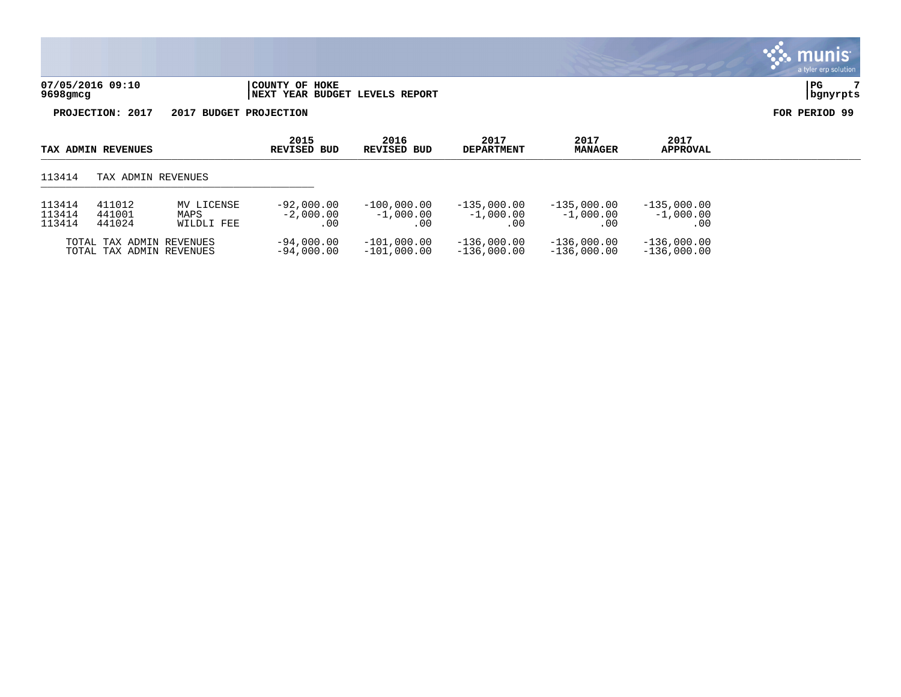| 07/05/2016 09:10 | COUNTY OF HOKE                 | l PC     |
|------------------|--------------------------------|----------|
| 9698gmcg         | NEXT YEAR BUDGET LEVELS REPORT | bgnyrpts |

| TAX ADMIN REVENUES                                       |                                                      | 2015<br>REVISED BUD              | 2016<br>REVISED BUD                 | 2017<br><b>DEPARTMENT</b>            | 2017<br><b>MANAGER</b>               | 2017<br><b>APPROVAL</b>              |                                      |  |
|----------------------------------------------------------|------------------------------------------------------|----------------------------------|-------------------------------------|--------------------------------------|--------------------------------------|--------------------------------------|--------------------------------------|--|
| 113414                                                   | TAX ADMIN REVENUES                                   |                                  |                                     |                                      |                                      |                                      |                                      |  |
| 411012<br>113414<br>113414<br>441001<br>113414<br>441024 |                                                      | MV LICENSE<br>MAPS<br>WILDLI FEE | $-92,000.00$<br>$-2,000.00$<br>. 00 | $-100,000,00$<br>$-1.000.00$<br>. 00 | $-135,000.00$<br>$-1.000.00$<br>. 00 | $-135,000.00$<br>$-1.000.00$<br>. 00 | $-135,000.00$<br>$-1,000.00$<br>. 00 |  |
|                                                          | TOTAL TAX ADMIN REVENUES<br>TOTAL TAX ADMIN REVENUES |                                  | $-94,000.00$<br>$-94,000,00$        | $-101,000.00$<br>$-101,000.00$       | $-136,000.00$<br>$-136.000.00$       | $-136,000.00$<br>$-136,000.00$       | $-136,000.00$<br>$-136.000.00$       |  |

munis a tyler erp solution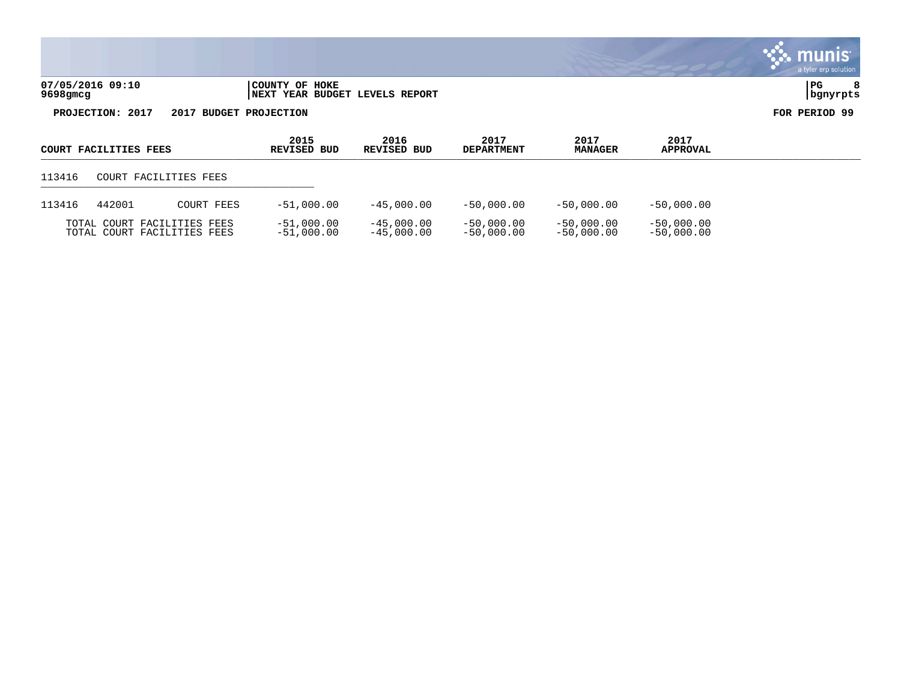|                  |                                                                        | a cyfer erp soration, |  |
|------------------|------------------------------------------------------------------------|-----------------------|--|
| 07/05/2016 09:10 | HOKE<br> COUNTY OF                                                     | l PC                  |  |
| 9698gmcg         | REPORT<br><b>BUDGET</b><br><b>LEVELS</b><br><b>YEAR</b><br><b>NEXT</b> | .hanvrpts             |  |

| COURT FACILITIES FEES |        | 2015<br>REVISED BUD                                        | 2016<br>REVISED BUD          | 2017<br><b>DEPARTMENT</b>    | 2017<br><b>MANAGER</b>       | 2017<br><b>APPROVAL</b>      |                              |  |
|-----------------------|--------|------------------------------------------------------------|------------------------------|------------------------------|------------------------------|------------------------------|------------------------------|--|
| 113416                |        | COURT FACILITIES FEES                                      |                              |                              |                              |                              |                              |  |
| 113416                | 442001 | COURT FEES                                                 | $-51,000.00$                 | $-45,000.00$                 | $-50.000.00$                 | $-50.000.00$                 | $-50,000,00$                 |  |
|                       |        | TOTAL COURT FACILITIES FEES<br>TOTAL COURT FACILITIES FEES | $-51,000.00$<br>$-51,000.00$ | $-45,000.00$<br>$-45.000.00$ | $-50,000.00$<br>$-50.000.00$ | $-50.000.00$<br>$-50.000.00$ | $-50,000.00$<br>$-50,000.00$ |  |

munis<sup>®</sup> a tyler erp solution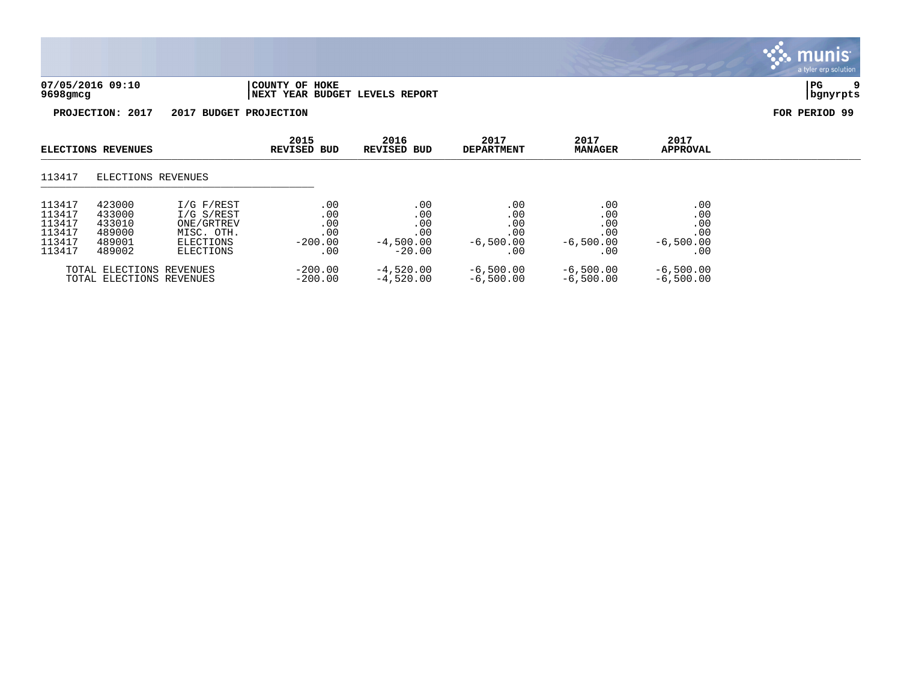

| <b>ELECTIONS REVENUES</b>                                |                                                          | 2015<br><b>REVISED BUD</b>                                                     | 2016<br><b>REVISED BUD</b>                   | 2017<br><b>DEPARTMENT</b>                           | 2017<br><b>MANAGER</b>                          | 2017<br><b>APPROVAL</b>                         |                                                |  |
|----------------------------------------------------------|----------------------------------------------------------|--------------------------------------------------------------------------------|----------------------------------------------|-----------------------------------------------------|-------------------------------------------------|-------------------------------------------------|------------------------------------------------|--|
| 113417                                                   | ELECTIONS REVENUES                                       |                                                                                |                                              |                                                     |                                                 |                                                 |                                                |  |
| 113417<br>113417<br>113417<br>113417<br>113417<br>113417 | 423000<br>433000<br>433010<br>489000<br>489001<br>489002 | I/G F/REST<br>I/G S/REST<br>ONE/GRTREV<br>MISC. OTH.<br>ELECTIONS<br>ELECTIONS | .00<br>.00<br>.00<br>.00<br>$-200.00$<br>.00 | .00<br>.00<br>.00<br>.00<br>$-4,500.00$<br>$-20.00$ | .00<br>.00<br>.00<br>.00<br>$-6,500.00$<br>. 00 | .00<br>.00<br>.00<br>.00<br>$-6,500.00$<br>. 00 | .00<br>.00<br>.00<br>.00<br>$-6,500.00$<br>.00 |  |
|                                                          | TOTAL ELECTIONS REVENUES<br>TOTAL ELECTIONS REVENUES     |                                                                                | $-200.00$<br>$-200.00$                       | $-4,520.00$<br>$-4,520.00$                          | $-6,500.00$<br>$-6,500.00$                      | $-6,500.00$<br>$-6,500.00$                      | $-6,500.00$<br>$-6.500.00$                     |  |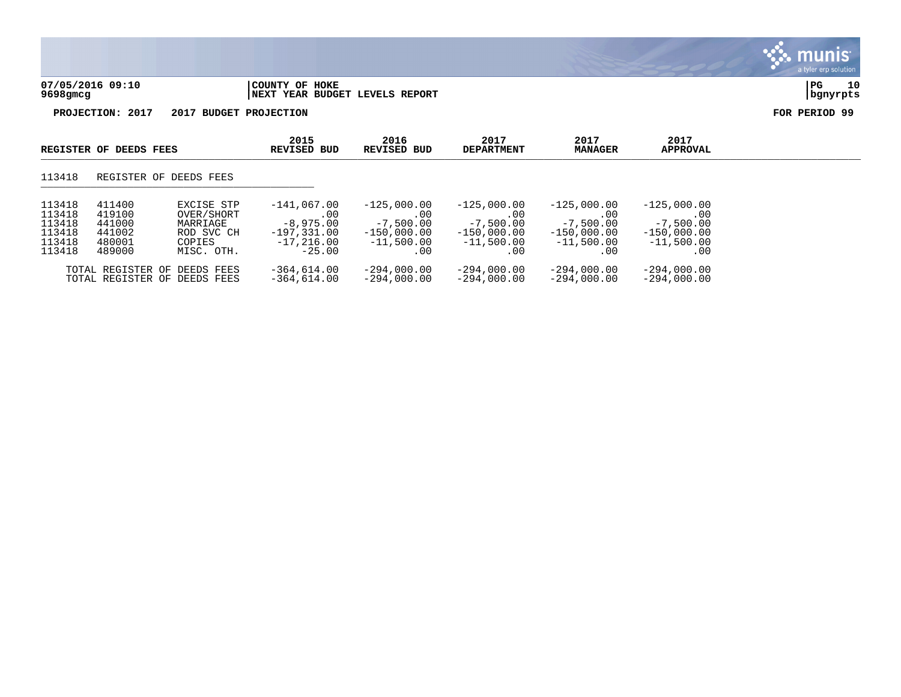

|                                                          | REGISTER OF DEEDS FEES                                   |                                                                            | 2015<br>REVISED BUD                                                              | 2016<br>REVISED BUD                                                           | 2017<br><b>DEPARTMENT</b>                                                    | 2017<br><b>MANAGER</b>                                                       | 2017<br><b>APPROVAL</b>                                                     |  |
|----------------------------------------------------------|----------------------------------------------------------|----------------------------------------------------------------------------|----------------------------------------------------------------------------------|-------------------------------------------------------------------------------|------------------------------------------------------------------------------|------------------------------------------------------------------------------|-----------------------------------------------------------------------------|--|
| 113418                                                   |                                                          | REGISTER OF DEEDS FEES                                                     |                                                                                  |                                                                               |                                                                              |                                                                              |                                                                             |  |
| 113418<br>113418<br>113418<br>113418<br>113418<br>113418 | 411400<br>419100<br>441000<br>441002<br>480001<br>489000 | EXCISE STP<br>OVER/SHORT<br>MARRIAGE<br>ROD SVC CH<br>COPIES<br>MISC. OTH. | $-141,067.00$<br>.00<br>$-8,975,00$<br>$-197.331.00$<br>$-17.216.00$<br>$-25.00$ | $-125,000.00$<br>.00.<br>$-7,500.00$<br>$-150,000.00$<br>$-11,500.00$<br>. 00 | $-125.000.00$<br>.00<br>$-7,500.00$<br>$-150,000.00$<br>$-11,500.00$<br>. 00 | $-125,000.00$<br>.00<br>$-7,500.00$<br>$-150,000.00$<br>$-11,500.00$<br>. 00 | $-125,000.00$<br>.00<br>$-7,500.00$<br>$-150,000.00$<br>$-11,500.00$<br>.00 |  |
|                                                          |                                                          | TOTAL REGISTER OF DEEDS FEES<br>TOTAL REGISTER OF DEEDS FEES               | $-364,614.00$<br>$-364.614.00$                                                   | $-294,000.00$<br>$-294.000.00$                                                | $-294,000.00$<br>$-294.000.00$                                               | $-294,000.00$<br>$-294.000.00$                                               | $-294,000.00$<br>$-294.000.00$                                              |  |

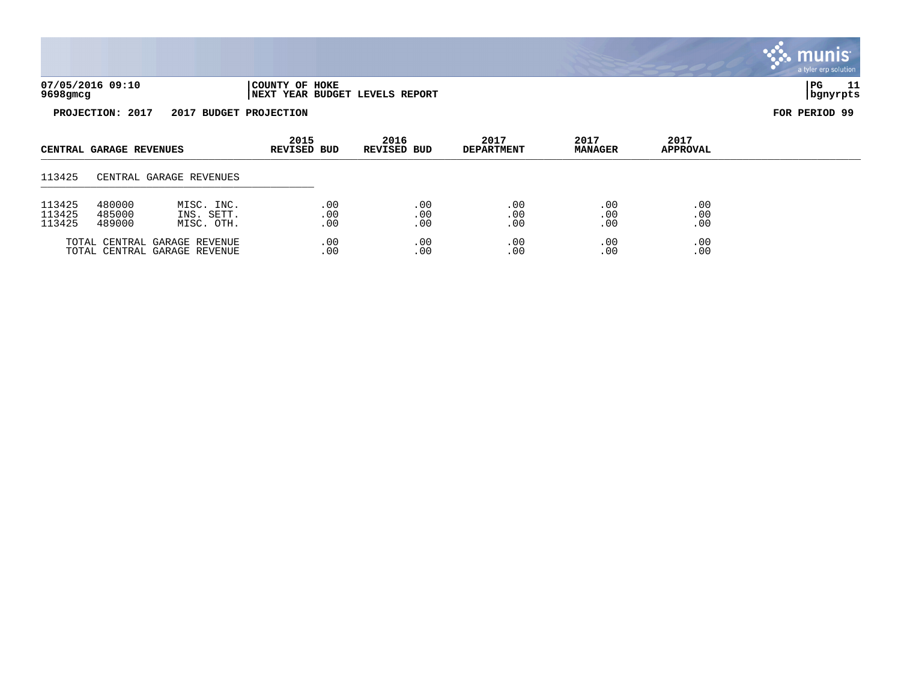| ۰۵۰ م<br>05 ⁄<br>ה רחכי    | HOKE<br><b>COUNTY</b><br>O.                                                    | $\mathsf{I}\mathbf{P}$ | - - |
|----------------------------|--------------------------------------------------------------------------------|------------------------|-----|
| - - - -<br><b>9698qmcq</b> | <b>REPORT</b><br><b>LEVELS</b><br><b>BUDGET</b><br><b>INEXT</b><br><b>YEAR</b> | 177                    |     |

| CENTRAL GARAGE REVENUES    |                            | 2015<br>REVISED BUD                                          | 2016<br>REVISED BUD | 2017<br><b>DEPARTMENT</b> | 2017<br><b>MANAGER</b> | 2017<br><b>APPROVAL</b> |                   |  |
|----------------------------|----------------------------|--------------------------------------------------------------|---------------------|---------------------------|------------------------|-------------------------|-------------------|--|
| 113425                     |                            | CENTRAL GARAGE REVENUES                                      |                     |                           |                        |                         |                   |  |
| 113425<br>113425<br>113425 | 480000<br>485000<br>489000 | MISC. INC.<br>INS. SETT.<br>MISC. OTH.                       | .00<br>.00<br>.00   | .00<br>.00<br>.00         | .00<br>.00<br>.00      | .00<br>.00<br>.00       | .00<br>.00<br>.00 |  |
|                            |                            | TOTAL CENTRAL GARAGE REVENUE<br>TOTAL CENTRAL GARAGE REVENUE | .00<br>.00          | .00<br>.00                | .00<br>.00             | .00<br>.00              | .00<br>.00        |  |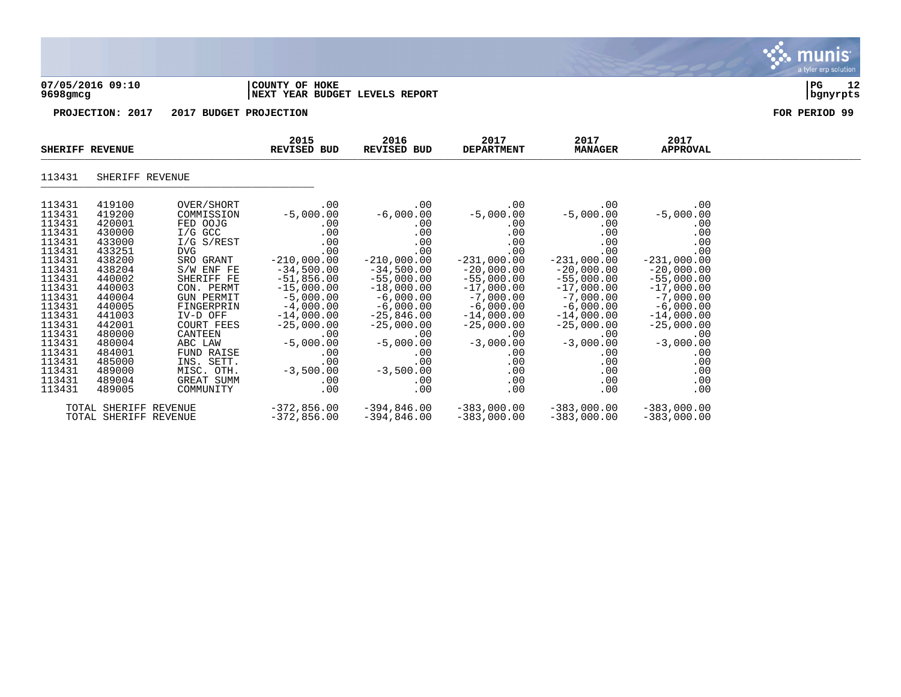| 07/05/2016 09:10<br>9698gmcg | COUNTY OF HOKE                   | <b>INEXT YEAR BUDGET LEVELS REPORT</b> |                           |                        |                         |               | l PG<br>  bgnyrpts | 12 |
|------------------------------|----------------------------------|----------------------------------------|---------------------------|------------------------|-------------------------|---------------|--------------------|----|
| PROJECTION: 2017             | 2017<br><b>BUDGET PROJECTION</b> |                                        |                           |                        |                         | FOR PERIOD 99 |                    |    |
| <b>SHERIFF REVENUE</b>       | 2015<br><b>REVISED BUD</b>       | 2016<br><b>REVISED BUD</b>             | 2017<br><b>DEPARTMENT</b> | 2017<br><b>MANAGER</b> | 2017<br><b>APPROVAL</b> |               |                    |    |

| 11212 | . . |  |
|-------|-----|--|
| ____  |     |  |
|       |     |  |

| 113431 | 419100                | OVER/SHORT        | .00           | $.00 \,$      | $.00 \,$      | $.00 \,$      | $.00 \,$      |
|--------|-----------------------|-------------------|---------------|---------------|---------------|---------------|---------------|
| 113431 | 419200                | COMMISSION        | $-5,000.00$   | $-6,000.00$   | $-5,000.00$   | $-5,000.00$   | $-5,000.00$   |
| 113431 | 420001                | FED OOJG          | $.00 \,$      | .00.          | $.00 \,$      | .00           | $.00 \,$      |
| 113431 | 430000                | I/G GCC           | $.00 \,$      | .00           | $.00 \,$      | .00           | .00           |
| 113431 | 433000                | I/G S/REST        | .00           | .00           | .00           | .00           | .00           |
| 113431 | 433251                | DVG.              | .00           | .00           | .00           | .00           | .00           |
| 113431 | 438200                | SRO GRANT         | $-210,000.00$ | $-210,000.00$ | $-231,000.00$ | $-231,000.00$ | $-231,000.00$ |
| 113431 | 438204                | S/W ENF FE        | $-34,500.00$  | $-34,500.00$  | $-20,000.00$  | $-20,000.00$  | $-20,000.00$  |
| 113431 | 440002                | SHERIFF FE        | $-51,856.00$  | $-55,000.00$  | $-55,000.00$  | $-55,000.00$  | $-55,000.00$  |
| 113431 | 440003                | CON. PERMT        | $-15,000.00$  | $-18,000.00$  | $-17,000.00$  | $-17,000.00$  | $-17,000.00$  |
| 113431 | 440004                | <b>GUN PERMIT</b> | $-5,000.00$   | $-6,000.00$   | $-7,000.00$   | $-7,000.00$   | $-7,000.00$   |
| 113431 | 440005                | FINGERPRIN        | $-4,000.00$   | $-6,000.00$   | $-6,000.00$   | $-6,000.00$   | $-6,000.00$   |
| 113431 | 441003                | IV-D OFF          | $-14,000.00$  | $-25,846.00$  | $-14,000.00$  | $-14,000.00$  | $-14,000.00$  |
| 113431 | 442001                | COURT FEES        | $-25,000.00$  | $-25,000.00$  | $-25,000.00$  | $-25,000.00$  | $-25,000.00$  |
| 113431 | 480000                | CANTEEN           | .00.          | .00           | .00           | .00           | $.00 \,$      |
| 113431 | 480004                | ABC LAW           | $-5,000.00$   | $-5,000.00$   | $-3,000.00$   | $-3,000.00$   | $-3,000.00$   |
| 113431 | 484001                | FUND RAISE        | .00           | .00           | .00           | .00           | .00           |
| 113431 | 485000                | INS. SETT.        | .00           | .00           | .00.          | .00           | $.00 \,$      |
| 113431 | 489000                | MISC. OTH.        | $-3,500.00$   | $-3,500.00$   | $.00 \,$      | .00           | .00           |
| 113431 | 489004                | GREAT SUMM        | $.00 \,$      | .00           | $.00 \,$      | .00           | .00           |
| 113431 | 489005                | COMMUNITY         | .00           | .00           | $.00 \,$      | .00           | .00           |
|        | TOTAL SHERIFF REVENUE |                   | $-372,856.00$ | $-394,846.00$ | $-383,000.00$ | $-383,000.00$ | $-383,000.00$ |
|        | TOTAL SHERIFF REVENUE |                   | $-372,856.00$ | $-394,846.00$ | $-383,000.00$ | $-383,000.00$ | $-383,000.00$ |
|        |                       |                   |               |               |               |               |               |

\_\_\_\_\_\_\_\_\_\_\_\_\_\_\_\_\_\_\_\_\_\_\_\_\_\_\_\_\_\_\_\_\_\_\_\_\_\_\_\_\_\_\_\_\_\_\_\_\_\_\_\_\_\_\_\_\_\_\_\_\_\_\_\_\_\_\_\_\_\_\_\_\_\_\_\_\_\_\_\_\_\_\_\_\_\_\_\_\_\_\_\_\_\_\_\_\_\_\_\_\_\_\_\_\_\_\_\_\_\_\_\_\_\_\_\_\_\_\_\_\_\_\_\_\_\_\_\_\_\_\_\_

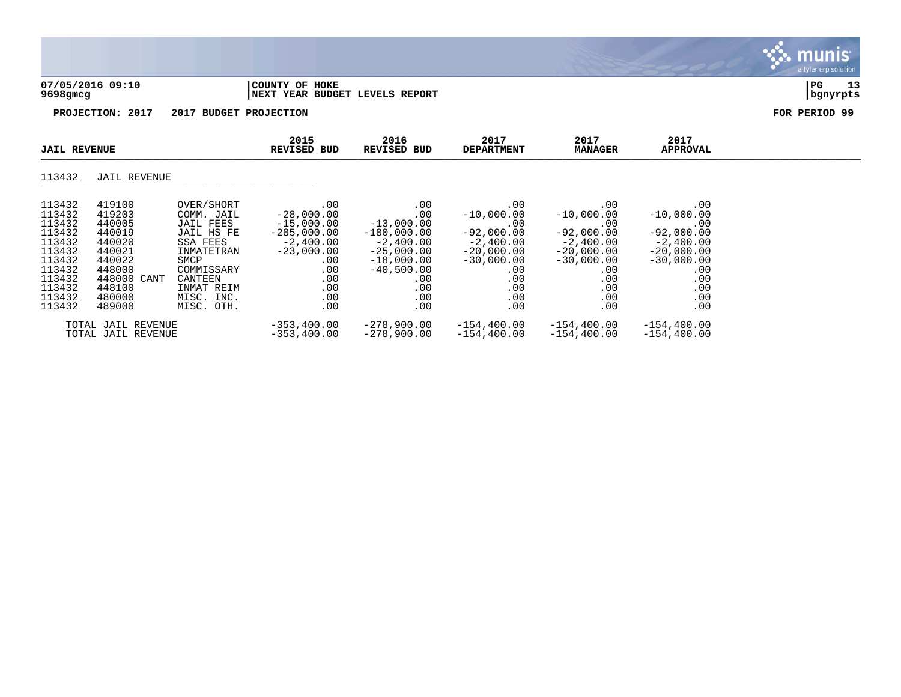| 07/05/2016 09:10<br>9698gmcg | COUNTY OF HOKE<br>INEXT YEAR BUDGET LEVELS REPORT | PG<br>  banvrpts | - - |
|------------------------------|---------------------------------------------------|------------------|-----|
|                              |                                                   |                  |     |

munis a tyler erp solution

| <b>JAIL REVENUE</b>                                                                                                  |                                                                                                                           | 2015<br>REVISED BUD                                                                                                                                      | 2016<br>REVISED BUD                                                                                                                | 2017<br><b>DEPARTMENT</b>                                                                                                              | 2017<br><b>MANAGER</b>                                                                                                            | 2017<br>APPROVAL                                                                                                                       |                                                                                                                              |  |
|----------------------------------------------------------------------------------------------------------------------|---------------------------------------------------------------------------------------------------------------------------|----------------------------------------------------------------------------------------------------------------------------------------------------------|------------------------------------------------------------------------------------------------------------------------------------|----------------------------------------------------------------------------------------------------------------------------------------|-----------------------------------------------------------------------------------------------------------------------------------|----------------------------------------------------------------------------------------------------------------------------------------|------------------------------------------------------------------------------------------------------------------------------|--|
| 113432                                                                                                               | JAIL REVENUE                                                                                                              |                                                                                                                                                          |                                                                                                                                    |                                                                                                                                        |                                                                                                                                   |                                                                                                                                        |                                                                                                                              |  |
| 113432<br>113432<br>113432<br>113432<br>113432<br>113432<br>113432<br>113432<br>113432<br>113432<br>113432<br>113432 | 419100<br>419203<br>440005<br>440019<br>440020<br>440021<br>440022<br>448000<br>448000 CANT<br>448100<br>480000<br>489000 | OVER/SHORT<br>COMM. JAIL<br>JAIL FEES<br>JAIL HS FE<br>SSA FEES<br>INMATETRAN<br>SMCP<br>COMMISSARY<br>CANTEEN<br>INMAT REIM<br>MISC. INC.<br>MISC. OTH. | .00<br>$-28,000.00$<br>$-15,000.00$<br>$-285,000.00$<br>$-2.400.00$<br>$-23,000.00$<br>$.00 \,$<br>.00<br>.00<br>.00<br>.00<br>.00 | .00<br>.00<br>$-13,000.00$<br>$-180,000.00$<br>$-2,400.00$<br>$-25,000.00$<br>$-18,000.00$<br>$-40,500.00$<br>.00<br>.00<br>.00<br>.00 | .00<br>$-10,000.00$<br>.00<br>$-92,000.00$<br>$-2.400.00$<br>$-20,000.00$<br>$-30,000.00$<br>$.00 \,$<br>.00<br>.00<br>.00<br>.00 | $.00 \,$<br>$-10,000.00$<br>.00<br>$-92,000.00$<br>$-2.400.00$<br>$-20,000.00$<br>$-30,000.00$<br>$.00 \,$<br>.00<br>.00<br>.00<br>.00 | .00<br>$-10,000.00$<br>.00<br>$-92,000.00$<br>$-2,400.00$<br>$-20,000.00$<br>$-30,000.00$<br>.00<br>.00<br>.00<br>.00<br>.00 |  |
|                                                                                                                      | TOTAL JAIL REVENUE<br>TOTAL JAIL REVENUE                                                                                  |                                                                                                                                                          | $-353,400.00$<br>$-353, 400.00$                                                                                                    | $-278,900.00$<br>$-278,900.00$                                                                                                         | $-154, 400.00$<br>$-154, 400.00$                                                                                                  | $-154,400.00$<br>$-154,400.00$                                                                                                         | $-154, 400.00$<br>$-154, 400.00$                                                                                             |  |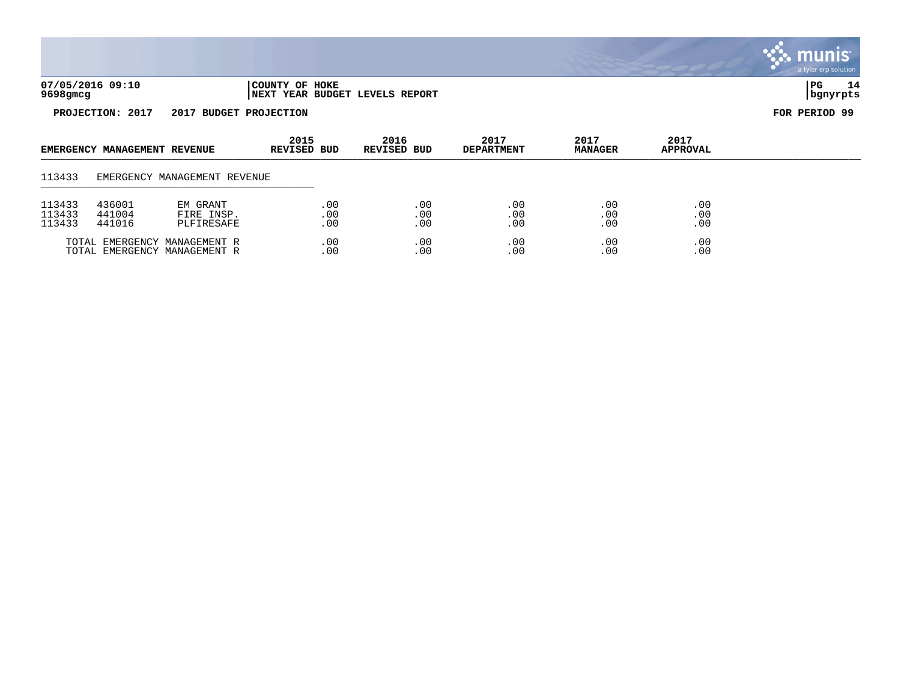|                              |                              |                                      |                     |                   |                                |                           |                        |                         | <b>munis</b><br>a tyler erp solution |
|------------------------------|------------------------------|--------------------------------------|---------------------|-------------------|--------------------------------|---------------------------|------------------------|-------------------------|--------------------------------------|
| 07/05/2016 09:10<br>9698gmcg |                              |                                      | COUNTY OF HOKE      |                   | NEXT YEAR BUDGET LEVELS REPORT |                           |                        |                         | $_{\rm PG}$<br>14<br>bgnyrpts        |
|                              | PROJECTION: 2017             | 2017 BUDGET PROJECTION               |                     |                   |                                |                           |                        |                         | FOR PERIOD 99                        |
|                              | EMERGENCY MANAGEMENT REVENUE |                                      | 2015<br>REVISED BUD |                   | 2016<br>REVISED BUD            | 2017<br><b>DEPARTMENT</b> | 2017<br><b>MANAGER</b> | 2017<br><b>APPROVAL</b> |                                      |
| 113433                       |                              | EMERGENCY MANAGEMENT REVENUE         |                     |                   |                                |                           |                        |                         |                                      |
| 113433<br>113433<br>113433   | 436001<br>441004<br>441016   | EM GRANT<br>FIRE INSP.<br>PLFIRESAFE |                     | .00<br>.00<br>.00 | .00<br>.00<br>.00              | .00<br>.00<br>.00         | .00<br>.00<br>.00      | .00<br>$.00$<br>$.00$   |                                      |

00 . TOTAL EMERGENCY MANAGEMENT R  $\begin{array}{cccc} 00 & 00 & 00 & 00 \\ 00 & 0 & 00 & 0 \\ 00 & 0 & 0 & 0 \\ \end{array}$ 

TOTAL EMERGENCY MANAGEMENT R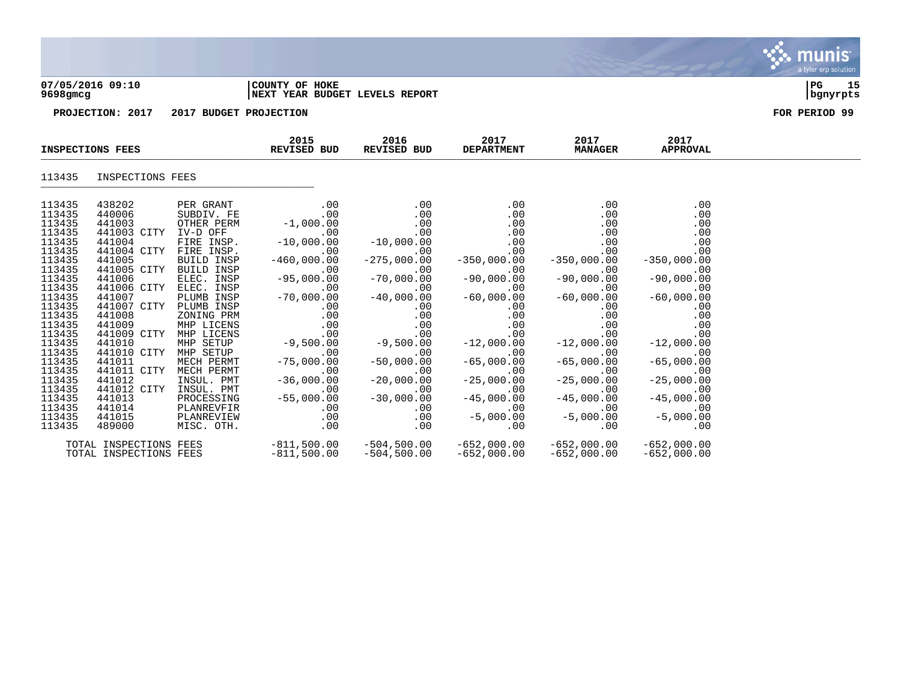| $9698$ gmcg      | 07/05/2016 09:10      |                          | COUNTY OF HOKE<br>NEXT YEAR BUDGET LEVELS REPORT |                                                                                                                               |                           |                        |                         | 15<br>$_{PG}$<br>  bgnyrpts |
|------------------|-----------------------|--------------------------|--------------------------------------------------|-------------------------------------------------------------------------------------------------------------------------------|---------------------------|------------------------|-------------------------|-----------------------------|
|                  | PROJECTION: 2017      | 2017 BUDGET PROJECTION   |                                                  |                                                                                                                               |                           |                        |                         | FOR PERIOD 99               |
|                  | INSPECTIONS FEES      |                          | 2015<br>REVISED BUD                              | 2016<br>REVISED BUD                                                                                                           | 2017<br><b>DEPARTMENT</b> | 2017<br><b>MANAGER</b> | 2017<br><b>APPROVAL</b> |                             |
| 113435           | INSPECTIONS FEES      |                          |                                                  |                                                                                                                               |                           |                        |                         |                             |
| 113435           | 438202                | PER GRANT                | .00                                              | .00                                                                                                                           | .00                       | .00                    | .00                     |                             |
| 113435<br>113435 | 440006                | SUBDIV. FE               | .00                                              | $.00 \,$                                                                                                                      | .00                       | .00                    | .00                     |                             |
|                  | 441003                | OTHER PERM               | $-1,000.00$                                      | .00                                                                                                                           | .00                       | .00                    | .00                     |                             |
| 113435           | 441003 CITY           | IV-D OFF                 | .00                                              | .00                                                                                                                           | .00                       | .00                    | .00                     |                             |
| 113435<br>113435 | 441004                | FIRE INSP.               | $-10,000.00$                                     | $-10,000.00$                                                                                                                  | .00                       | .00                    | .00                     |                             |
|                  | 441004 CITY           | FIRE INSP.               | .00                                              | .00                                                                                                                           | .00                       | .00                    | .00                     |                             |
| 113435           | 441005                | BUILD INSP               | $-460,000.00$                                    | $-275,000.00$                                                                                                                 | $-350,000.00$             | $-350,000.00$          | $-350,000.00$           |                             |
| 113435           | 441005 CITY           | BUILD INSP               | .00                                              | .00                                                                                                                           | .00                       | .00                    | .00                     |                             |
| 113435           | 441006                | ELEC. INSP               | $-95,000.00$                                     | $-70,000.00$                                                                                                                  | $-90,000.00$              | $-90,000.00$           | $-90,000.00$            |                             |
| 113435<br>113435 | 441006 CITY<br>441007 | ELEC. INSP<br>PLUMB INSP | .00<br>$-70,000.00$                              | .00<br>$-40,000.00$                                                                                                           | .00<br>$-60,000.00$       | .00<br>$-60,000.00$    | .00<br>$-60,000.00$     |                             |
| 113435           | 441007 CITY           | PLUMB INSP               | .00                                              | .00                                                                                                                           | .00                       | .00                    | .00                     |                             |
|                  | 441008                | ZONING PRM               |                                                  |                                                                                                                               | .00                       | .00                    | .00                     |                             |
| 113435<br>113435 | 441009                | MHP LICENS               |                                                  |                                                                                                                               | .00                       | .00                    | .00                     |                             |
| 113435           | 441009 CITY           | MHP LICENS               |                                                  |                                                                                                                               | .00                       | .00                    | .00                     |                             |
| 113435           | 441010                | MHP SETUP                | $-9,500.00$                                      |                                                                                                                               | $-12,000.00$              | $-12,000.00$           | $-12,000.00$            |                             |
| 113435           | 441010 CITY           | MHP SETUP                |                                                  | $\begin{bmatrix} .00 \\ .00 \\ .00 \\ .00 \\ .00 \end{bmatrix}$ -9,500.00<br>$\begin{bmatrix} 0 \\ 0 \\ 0 \\ 0 \end{bmatrix}$ | .00                       | .00                    | .00                     |                             |
| 113435           | 441011                | MECH PERMT               | $-75,000.00$                                     | $-50,000.00$                                                                                                                  | $-65,000.00$              | $-65,000.00$           | $-65,000.00$            |                             |
| 113435           | 441011 CITY           | MECH PERMT               | .00                                              | .00                                                                                                                           | .00                       | .00                    | .00                     |                             |
| 113435           | 441012                | INSUL. PMT               | $-36,000.00$                                     | $-20,000.00$                                                                                                                  | $-25,000.00$              | $-25,000.00$           | $-25,000.00$            |                             |

 $\ddot{\mathbf{u}}$  munis

a tyler erp solution

113435 441012 CITY INSUL. PMT .00 .00 .00 .00 .00 113435 441013 PROCESSING -55,000.00 -30,000.00 -45,000.00 -45,000.00 -45,000.00 113435 441014 PLANREVFIR .00 .00 .00 .00 .00 113435 441015 PLANREVIEW .00 .00 -5,000.00 -5,000.00 -5,000.00  $\overline{113435}$   $\overline{489000}$   $\overline{MISC}$   $\overline{OTH}$ .  $\overline{O0}$  .00 .00 .00 .00 .00 .00 .00

TOTAL INSPECTIONS FEES

TOTAL INSPECTIONS FEES -811,500.00 -504,500.00 -652,000.00 -652,000.00 -652,000.00<br>TOTAL INSPECTIONS FEES -811,500.00 -504,500.00 -652,000.00 -652,000.00 -652,000.00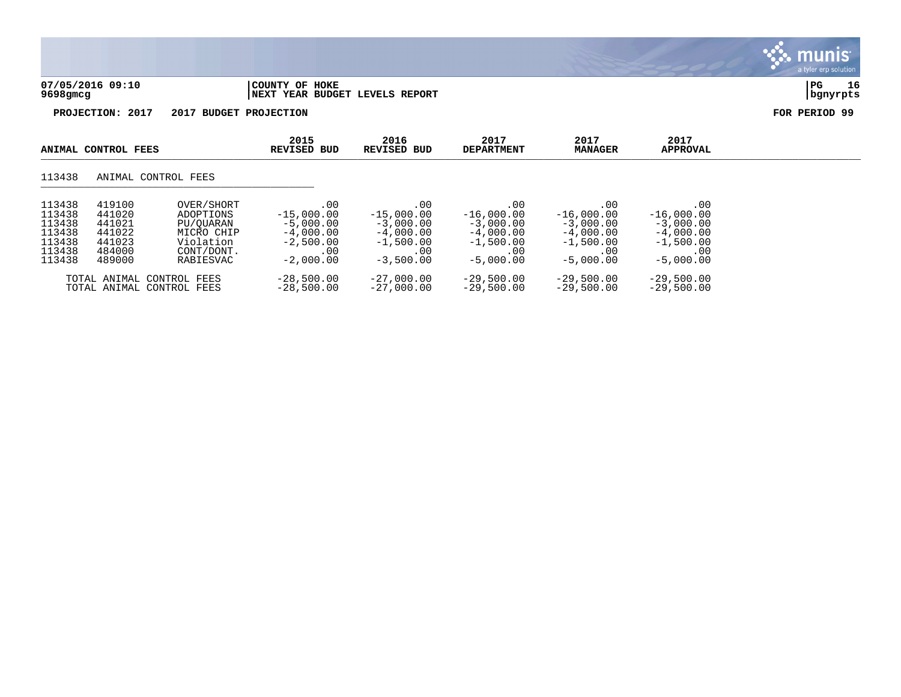

munis

# 113438 ANIMAL CONTROL FEES \_\_\_\_\_\_\_\_\_\_\_\_\_\_\_\_\_\_\_\_\_\_\_\_\_\_\_\_\_\_\_\_\_\_\_\_\_\_\_\_\_\_\_\_

| 113438 | 419100 | OVER/SHORT                                             | .00                          | .00                          | .00                          | .00                          | .00.                         |
|--------|--------|--------------------------------------------------------|------------------------------|------------------------------|------------------------------|------------------------------|------------------------------|
| 113438 | 441020 | ADOPTIONS                                              | $-15,000.00$                 | $-15,000.00$                 | $-16,000.00$                 | $-16,000.00$                 | $-16,000.00$                 |
| 113438 | 441021 | PU/OUARAN                                              | $-5,000.00$                  | $-3,000.00$                  | $-3,000.00$                  | $-3,000.00$                  | $-3,000.00$                  |
| 113438 | 441022 | MICRO CHIP                                             | $-4,000.00$                  | $-4,000.00$                  | $-4,000.00$                  | $-4,000.00$                  | $-4,000.00$                  |
| 113438 | 441023 | Violation                                              | $-2,500.00$                  | $-1,500.00$                  | $-1,500.00$                  | $-1,500.00$                  | $-1,500.00$                  |
| 113438 | 484000 | CONT/DONT.                                             | .00                          | . 00                         | .00                          | .00                          | .00                          |
| 113438 | 489000 | RABIESVAC                                              | $-2,000.00$                  | $-3,500.00$                  | $-5,000.00$                  | $-5,000.00$                  | $-5,000.00$                  |
|        |        | TOTAL ANIMAL CONTROL FEES<br>TOTAL ANIMAL CONTROL FEES | $-28,500.00$<br>$-28,500.00$ | $-27.000.00$<br>$-27.000.00$ | $-29,500.00$<br>$-29.500.00$ | $-29.500.00$<br>$-29.500.00$ | $-29,500.00$<br>$-29.500.00$ |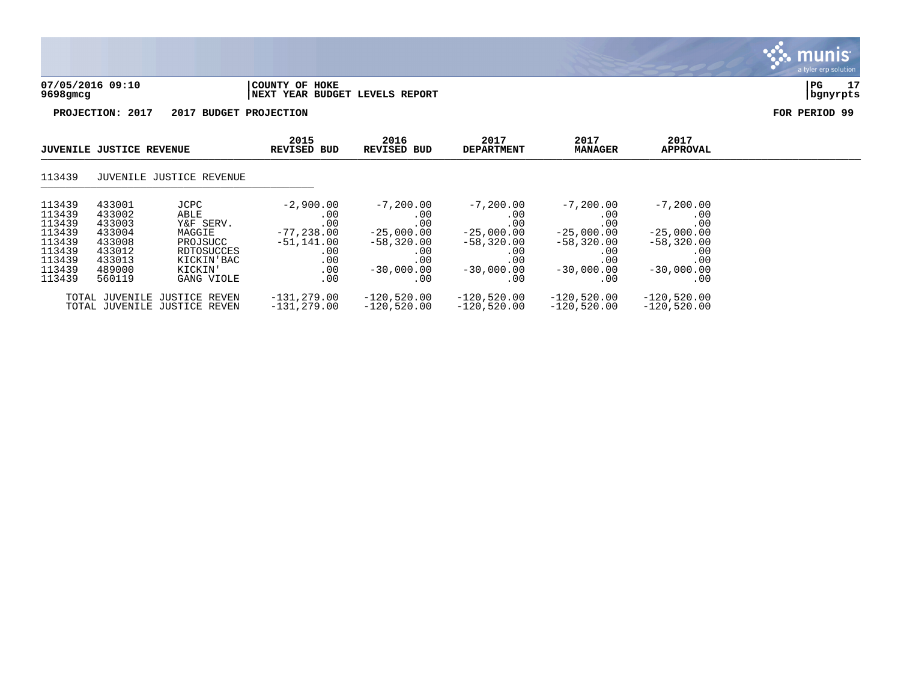

|                                                                                        | <b>JUVENILE JUSTICE REVENUE</b>                                                        |                                                                                                      | 2015<br><b>REVISED BUD</b>                                                            | 2016<br>REVISED BUD                                                                            | 2017<br><b>DEPARTMENT</b>                                                                      | 2017<br><b>MANAGER</b>                                                                         | 2017<br><b>APPROVAL</b>                                                                         |  |
|----------------------------------------------------------------------------------------|----------------------------------------------------------------------------------------|------------------------------------------------------------------------------------------------------|---------------------------------------------------------------------------------------|------------------------------------------------------------------------------------------------|------------------------------------------------------------------------------------------------|------------------------------------------------------------------------------------------------|-------------------------------------------------------------------------------------------------|--|
| 113439                                                                                 |                                                                                        | JUVENILE JUSTICE REVENUE                                                                             |                                                                                       |                                                                                                |                                                                                                |                                                                                                |                                                                                                 |  |
| 113439<br>113439<br>113439<br>113439<br>113439<br>113439<br>113439<br>113439<br>113439 | 433001<br>433002<br>433003<br>433004<br>433008<br>433012<br>433013<br>489000<br>560119 | JCPC<br>ABLE<br>Y&F SERV.<br>MAGGIE<br>PROJSUCC<br>RDTOSUCCES<br>KICKIN'BAC<br>KICKIN'<br>GANG VIOLE | $-2,900.00$<br>.00<br>.00<br>$-77,238.00$<br>$-51.141.00$<br>.00<br>.00<br>.00<br>.00 | $-7,200.00$<br>.00<br>.00<br>$-25,000.00$<br>$-58,320.00$<br>.00<br>.00<br>$-30,000,00$<br>.00 | $-7,200.00$<br>.00<br>.00<br>$-25.000.00$<br>$-58,320.00$<br>.00<br>.00<br>$-30,000.00$<br>.00 | $-7,200.00$<br>.00<br>.00<br>$-25,000.00$<br>$-58,320.00$<br>.00<br>.00<br>$-30.000.00$<br>.00 | $-7, 200.00$<br>.00<br>.00<br>$-25,000.00$<br>$-58,320.00$<br>.00<br>.00<br>$-30,000.00$<br>.00 |  |
|                                                                                        |                                                                                        | TOTAL JUVENILE JUSTICE REVEN<br>TOTAL JUVENILE JUSTICE REVEN                                         | $-131, 279.00$<br>$-131, 279.00$                                                      | $-120,520.00$<br>$-120,520.00$                                                                 | $-120,520.00$<br>$-120,520.00$                                                                 | $-120,520.00$<br>$-120,520.00$                                                                 | $-120,520.00$<br>$-120,520.00$                                                                  |  |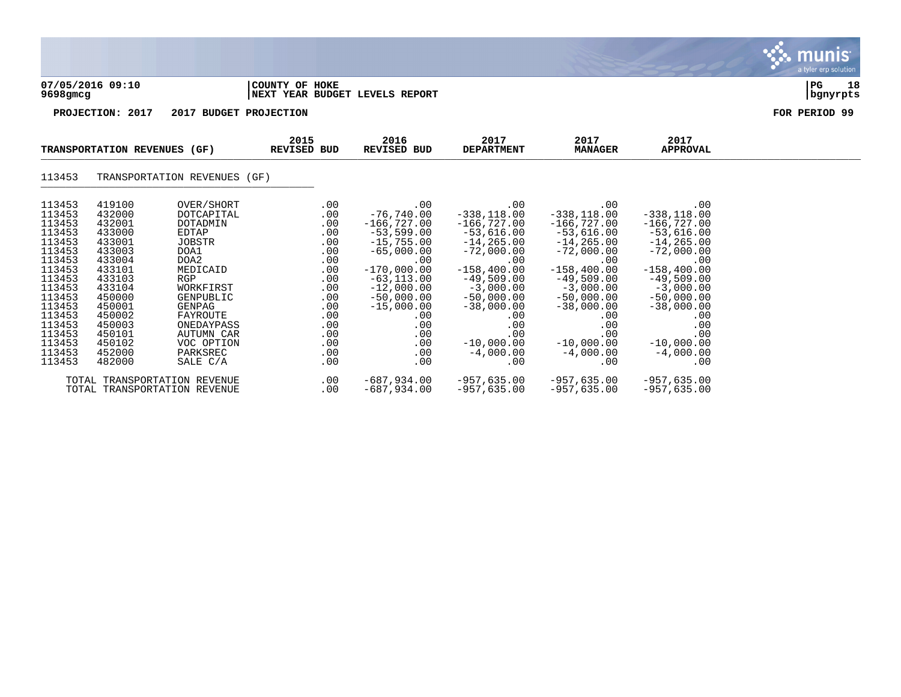|                                                                                                                                                                                  |                                                                                                                                                                                  |                                                                                                                                                                                                                                                 |                                                                                                                            |                                                                                                                                                                                                                          |                                                                                                                                                                                                                                           |                                                                                                                                                                                                                                            |                                                                                                                                                                                                                                            | munis<br>a tyler erp solution |
|----------------------------------------------------------------------------------------------------------------------------------------------------------------------------------|----------------------------------------------------------------------------------------------------------------------------------------------------------------------------------|-------------------------------------------------------------------------------------------------------------------------------------------------------------------------------------------------------------------------------------------------|----------------------------------------------------------------------------------------------------------------------------|--------------------------------------------------------------------------------------------------------------------------------------------------------------------------------------------------------------------------|-------------------------------------------------------------------------------------------------------------------------------------------------------------------------------------------------------------------------------------------|--------------------------------------------------------------------------------------------------------------------------------------------------------------------------------------------------------------------------------------------|--------------------------------------------------------------------------------------------------------------------------------------------------------------------------------------------------------------------------------------------|-------------------------------|
| $9698$ gmcg                                                                                                                                                                      | 07/05/2016 09:10                                                                                                                                                                 |                                                                                                                                                                                                                                                 | COUNTY OF HOKE                                                                                                             | NEXT YEAR BUDGET LEVELS REPORT                                                                                                                                                                                           |                                                                                                                                                                                                                                           |                                                                                                                                                                                                                                            |                                                                                                                                                                                                                                            | 18<br>PG<br>bgnyrpts          |
|                                                                                                                                                                                  | PROJECTION: 2017                                                                                                                                                                 | 2017 BUDGET PROJECTION                                                                                                                                                                                                                          |                                                                                                                            |                                                                                                                                                                                                                          |                                                                                                                                                                                                                                           |                                                                                                                                                                                                                                            |                                                                                                                                                                                                                                            | FOR PERIOD 99                 |
|                                                                                                                                                                                  | TRANSPORTATION REVENUES (GF)                                                                                                                                                     |                                                                                                                                                                                                                                                 | 2015<br>REVISED BUD                                                                                                        | 2016<br>REVISED BUD                                                                                                                                                                                                      | 2017<br><b>DEPARTMENT</b>                                                                                                                                                                                                                 | 2017<br><b>MANAGER</b>                                                                                                                                                                                                                     | 2017<br><b>APPROVAL</b>                                                                                                                                                                                                                    |                               |
| 113453                                                                                                                                                                           |                                                                                                                                                                                  | TRANSPORTATION REVENUES (GF)                                                                                                                                                                                                                    |                                                                                                                            |                                                                                                                                                                                                                          |                                                                                                                                                                                                                                           |                                                                                                                                                                                                                                            |                                                                                                                                                                                                                                            |                               |
| 113453<br>113453<br>113453<br>113453<br>113453<br>113453<br>113453<br>113453<br>113453<br>113453<br>113453<br>113453<br>113453<br>113453<br>113453<br>113453<br>113453<br>113453 | 419100<br>432000<br>432001<br>433000<br>433001<br>433003<br>433004<br>433101<br>433103<br>433104<br>450000<br>450001<br>450002<br>450003<br>450101<br>450102<br>452000<br>482000 | OVER/SHORT<br><b>DOTCAPITAL</b><br>DOTADMIN<br><b>EDTAP</b><br><b>JOBSTR</b><br>DOA1<br>DOA2<br>MEDICAID<br><b>RGP</b><br>WORKFIRST<br>GENPUBLIC<br>GENPAG<br>FAYROUTE<br>ONEDAYPASS<br><b>AUTUMN CAR</b><br>VOC OPTION<br>PARKSREC<br>SALE C/A | .00<br>.00<br>.00<br>.00<br>.00<br>.00<br>.00<br>.00<br>.00<br>.00<br>.00<br>.00<br>.00<br>.00<br>.00<br>.00<br>.00<br>.00 | .00<br>$-76,740.00$<br>$-166, 727.00$<br>$-53,599.00$<br>$-15,755.00$<br>$-65,000.00$<br>.00<br>$-170,000.00$<br>$-63, 113.00$<br>$-12,000.00$<br>$-50,000.00$<br>$-15,000.00$<br>.00<br>.00<br>.00<br>.00<br>.00<br>.00 | .00<br>$-338, 118.00$<br>$-166,727.00$<br>$-53,616.00$<br>$-14, 265.00$<br>$-72,000.00$<br>.00<br>$-158,400.00$<br>$-49,509.00$<br>$-3,000.00$<br>$-50,000.00$<br>$-38,000.00$<br>.00<br>.00<br>.00<br>$-10,000.00$<br>$-4,000.00$<br>.00 | .00<br>$-338, 118.00$<br>$-166,727.00$<br>$-53,616.00$<br>$-14, 265.00$<br>$-72,000.00$<br>.00<br>$-158, 400.00$<br>$-49,509.00$<br>$-3,000.00$<br>$-50,000.00$<br>$-38,000.00$<br>.00<br>.00<br>.00<br>$-10,000.00$<br>$-4,000.00$<br>.00 | .00<br>$-338, 118.00$<br>$-166,727.00$<br>$-53,616.00$<br>$-14, 265.00$<br>$-72,000.00$<br>.00<br>$-158, 400.00$<br>$-49,509.00$<br>$-3,000.00$<br>$-50,000.00$<br>$-38,000.00$<br>.00<br>.00<br>.00<br>$-10,000.00$<br>$-4,000.00$<br>.00 |                               |
|                                                                                                                                                                                  |                                                                                                                                                                                  | TOTAL TRANSPORTATION REVENUE                                                                                                                                                                                                                    | .00                                                                                                                        | $-687,934.00$                                                                                                                                                                                                            | $-957,635.00$                                                                                                                                                                                                                             | $-957, 635.00$                                                                                                                                                                                                                             | $-957,635.00$                                                                                                                                                                                                                              |                               |

TOTAL TRANSPORTATION REVENUE .00 -687,934.00 -957,635.00 -957,635.00 -957,635.00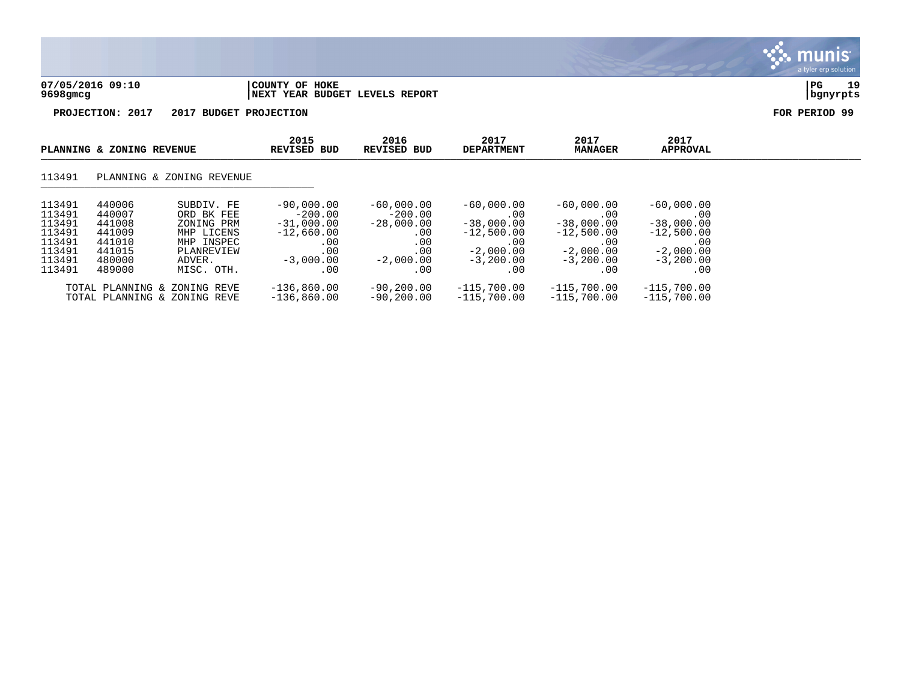

|                                                                              | PLANNING & ZONING REVENUE                                                    |                                                                                                          | 2015<br><b>REVISED BUD</b>                                                                    | 2016<br><b>REVISED BUD</b>                                                            | 2017<br><b>DEPARTMENT</b>                                                                           | 2017<br><b>MANAGER</b>                                                                          | 2017<br><b>APPROVAL</b>                                                                         |  |
|------------------------------------------------------------------------------|------------------------------------------------------------------------------|----------------------------------------------------------------------------------------------------------|-----------------------------------------------------------------------------------------------|---------------------------------------------------------------------------------------|-----------------------------------------------------------------------------------------------------|-------------------------------------------------------------------------------------------------|-------------------------------------------------------------------------------------------------|--|
| 113491                                                                       |                                                                              | PLANNING & ZONING REVENUE                                                                                |                                                                                               |                                                                                       |                                                                                                     |                                                                                                 |                                                                                                 |  |
| 113491<br>113491<br>113491<br>113491<br>113491<br>113491<br>113491<br>113491 | 440006<br>440007<br>441008<br>441009<br>441010<br>441015<br>480000<br>489000 | SUBDIV, FE<br>ORD BK FEE<br>ZONING PRM<br>MHP LICENS<br>MHP INSPEC<br>PLANREVIEW<br>ADVER.<br>MISC. OTH. | $-90.000.00$<br>$-200.00$<br>$-31,000.00$<br>$-12,660.00$<br>.00<br>.00<br>$-3.000.00$<br>.00 | $-60,000,00$<br>$-200.00$<br>$-28,000.00$<br>.00<br>.00<br>.00<br>$-2,000.00$<br>. 00 | $-60,000,00$<br>.00<br>$-38,000.00$<br>$-12,500.00$<br>$.00\,$<br>$-2,000.00$<br>$-3,200,00$<br>.00 | $-60,000.00$<br>.00<br>$-38,000.00$<br>$-12,500.00$<br>.00<br>$-2,000.00$<br>$-3,200,00$<br>.00 | $-60,000.00$<br>.00<br>$-38,000.00$<br>$-12,500.00$<br>.00<br>$-2,000.00$<br>$-3,200.00$<br>.00 |  |
|                                                                              |                                                                              | TOTAL PLANNING & ZONING REVE<br>TOTAL PLANNING & ZONING REVE                                             | $-136,860.00$<br>$-136,860.00$                                                                | $-90, 200.00$<br>$-90.200.00$                                                         | $-115,700.00$<br>$-115,700.00$                                                                      | $-115,700.00$<br>-115,700.00                                                                    | $-115,700.00$<br>$-115,700.00$                                                                  |  |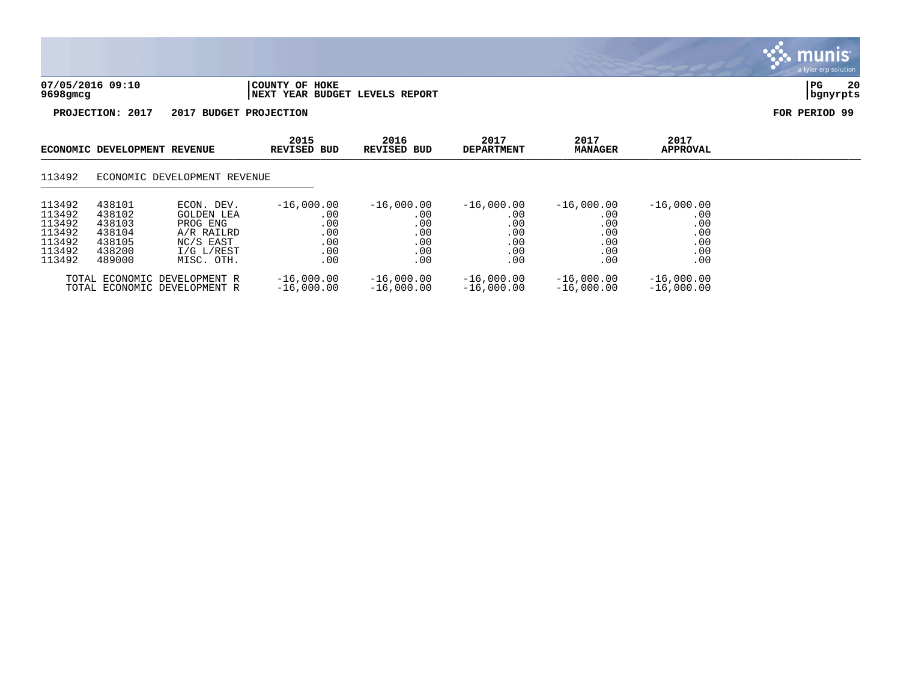

|                                                                    | ECONOMIC DEVELOPMENT REVENUE                                       |                                                                                             | 2015<br>REVISED BUD                                    | 2016<br>REVISED BUD                                    | 2017<br><b>DEPARTMENT</b>                              | 2017<br><b>MANAGER</b>                                 | 2017<br><b>APPROVAL</b>                                |  |
|--------------------------------------------------------------------|--------------------------------------------------------------------|---------------------------------------------------------------------------------------------|--------------------------------------------------------|--------------------------------------------------------|--------------------------------------------------------|--------------------------------------------------------|--------------------------------------------------------|--|
| 113492                                                             |                                                                    | ECONOMIC DEVELOPMENT REVENUE                                                                |                                                        |                                                        |                                                        |                                                        |                                                        |  |
| 113492<br>113492<br>113492<br>113492<br>113492<br>113492<br>113492 | 438101<br>438102<br>438103<br>438104<br>438105<br>438200<br>489000 | ECON. DEV.<br>GOLDEN LEA<br>PROG ENG<br>A/R RAILRD<br>NC/S EAST<br>I/G L/REST<br>MISC. OTH. | $-16,000.00$<br>.00<br>.00<br>.00<br>.00<br>.00<br>.00 | $-16,000.00$<br>.00<br>.00<br>.00<br>.00<br>.00<br>.00 | $-16,000.00$<br>.00<br>.00<br>.00<br>.00<br>.00<br>.00 | $-16,000.00$<br>.00<br>.00<br>.00<br>.00<br>.00<br>.00 | $-16,000.00$<br>.00<br>.00<br>.00<br>.00<br>.00<br>.00 |  |
|                                                                    |                                                                    | TOTAL ECONOMIC DEVELOPMENT R<br>TOTAL ECONOMIC DEVELOPMENT R                                | $-16,000.00$<br>$-16,000.00$                           | $-16,000.00$<br>$-16,000,00$                           | $-16,000.00$<br>$-16,000.00$                           | $-16,000.00$<br>$-16,000,00$                           | $-16,000.00$<br>$-16,000.00$                           |  |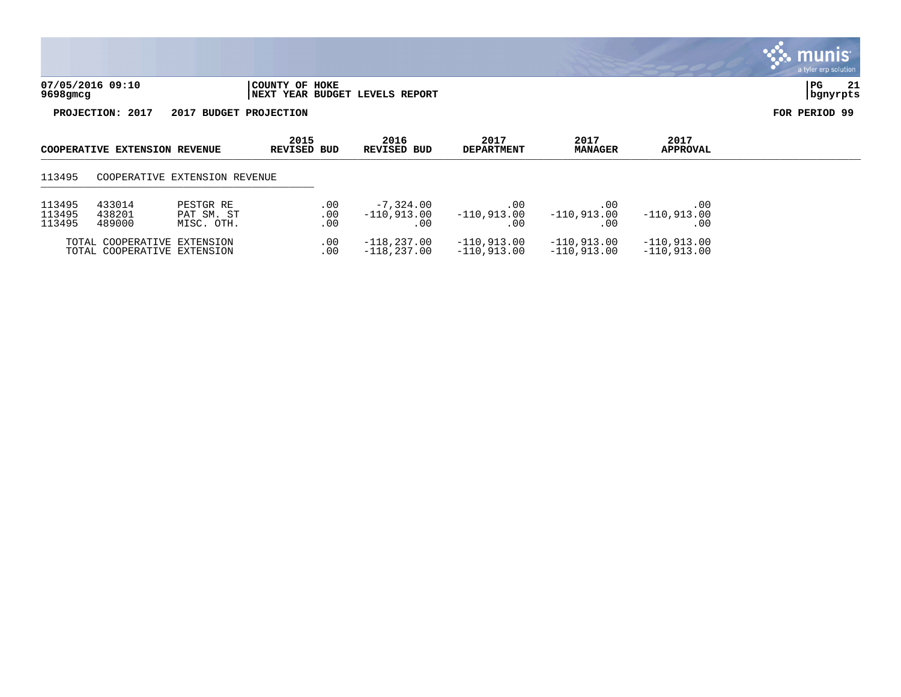

| <b>COOPERATIVE EXTENSION REVENUE</b> |                                                            |                                       | 2015<br>REVISED BUD | 2016<br>REVISED BUD                 | 2017<br><b>DEPARTMENT</b>       | 2017<br><b>MANAGER</b>         | 2017<br>APPROVAL               |  |
|--------------------------------------|------------------------------------------------------------|---------------------------------------|---------------------|-------------------------------------|---------------------------------|--------------------------------|--------------------------------|--|
| 113495                               |                                                            | COOPERATIVE EXTENSION REVENUE         |                     |                                     |                                 |                                |                                |  |
| 113495<br>113495<br>113495           | 433014<br>438201<br>489000                                 | PESTGR RE<br>PAT SM. ST<br>MISC. OTH. | .00<br>.00<br>.00   | $-7,324.00$<br>$-110.913.00$<br>.00 | $.00 \,$<br>-110,913.00<br>. 00 | .00<br>$-110,913.00$<br>.00    | .00<br>$-110.913.00$<br>.00    |  |
|                                      | TOTAL COOPERATIVE EXTENSION<br>TOTAL COOPERATIVE EXTENSION |                                       | .00<br>.00          | $-118,237.00$<br>$-118,237.00$      | $-110,913.00$<br>$-110.913.00$  | $-110.913.00$<br>$-110,913.00$ | $-110,913.00$<br>$-110,913.00$ |  |

# a tyler erp solution

munis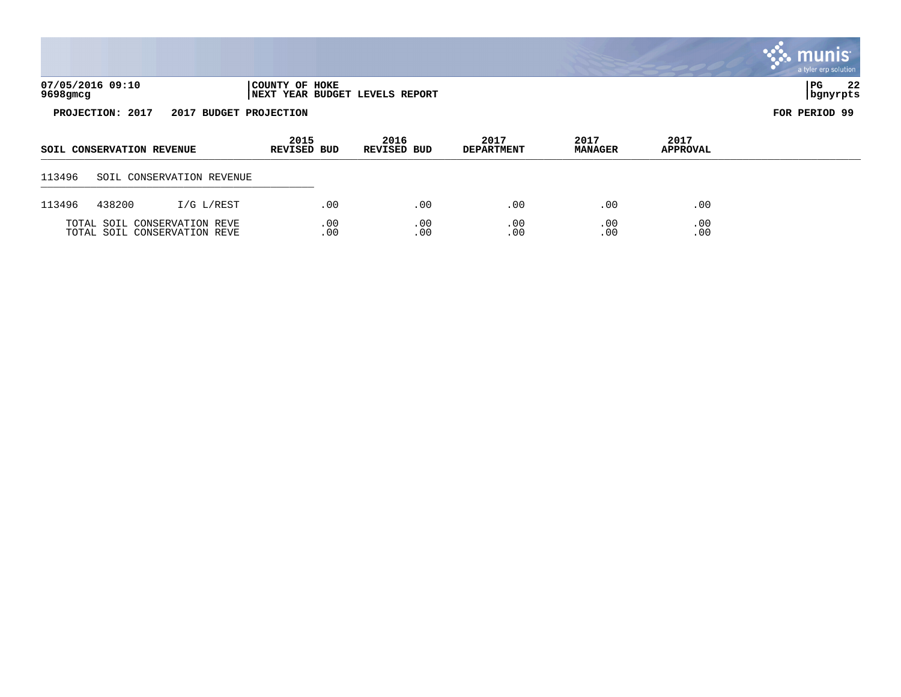|          |                           |                              |                                                  |                     |                           |                        |                         | munis <sup>®</sup><br>a tyler erp solution |
|----------|---------------------------|------------------------------|--------------------------------------------------|---------------------|---------------------------|------------------------|-------------------------|--------------------------------------------|
| 9698gmcg | 07/05/2016 09:10          |                              | COUNTY OF HOKE<br>NEXT YEAR BUDGET LEVELS REPORT |                     |                           |                        |                         | 22<br>PG  <br>bgnyrpts                     |
|          | PROJECTION: 2017          | 2017 BUDGET PROJECTION       |                                                  |                     |                           |                        |                         | FOR PERIOD 99                              |
|          | SOIL CONSERVATION REVENUE |                              | 2015<br>REVISED BUD                              | 2016<br>REVISED BUD | 2017<br><b>DEPARTMENT</b> | 2017<br><b>MANAGER</b> | 2017<br><b>APPROVAL</b> |                                            |
| 113496   |                           | SOIL CONSERVATION REVENUE    |                                                  |                     |                           |                        |                         |                                            |
| 113496   | 438200                    | I/G L/REST                   | .00                                              | .00                 | .00                       | .00                    | .00                     |                                            |
|          |                           | TOTAL SOIL CONSERVATION REVE | .00                                              | .00                 | .00                       | .00                    | .00                     |                                            |

TOTAL SOIL CONSERVATION REVE .00 .00 .00 .00 .00 .00 .00 .00 .00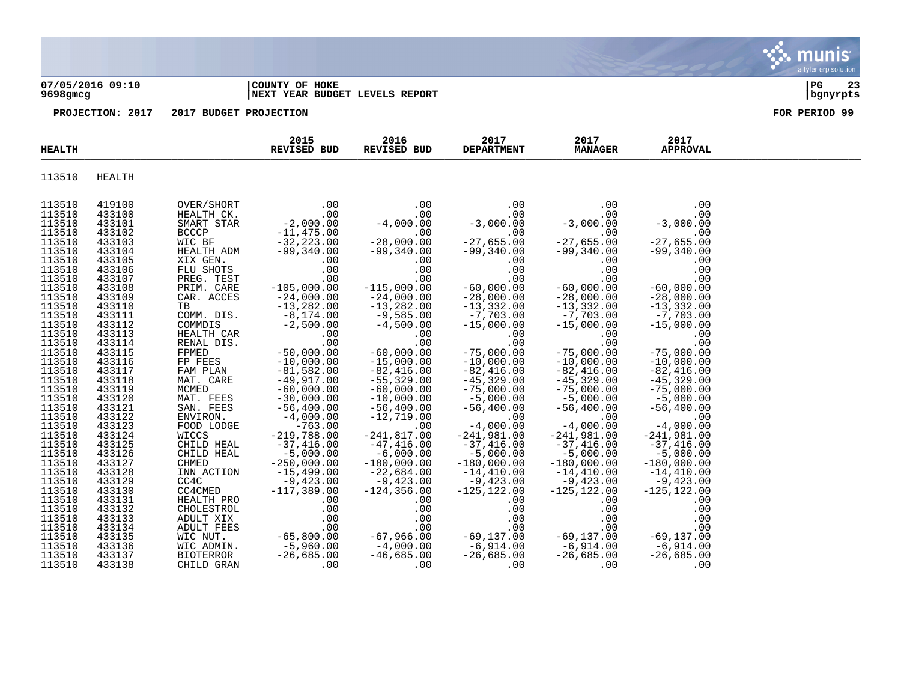#### **07/05/2016 09:10 |COUNTY OF HOKE |PG 23 9698gmcg |NEXT YEAR BUDGET LEVELS REPORT |bgnyrpts**

| <b>HEALTH</b>    |                  |                     | 2015<br>REVISED BUD                 | 2016<br>REVISED BUD                                    | 2017<br><b>DEPARTMENT</b> | 2017<br><b>MANAGER</b>      | 2017<br><b>APPROVAL</b> |  |
|------------------|------------------|---------------------|-------------------------------------|--------------------------------------------------------|---------------------------|-----------------------------|-------------------------|--|
| 113510           | HEALTH           |                     |                                     |                                                        |                           |                             |                         |  |
| 113510           | 419100           | OVER/SHORT          | .00                                 | .00                                                    | .00                       | .00                         | .00                     |  |
| 113510           | 433100           | HEALTH CK.          | .00                                 |                                                        | .00                       | .00                         | .00                     |  |
| 113510           | 433101           | SMART STAR          | $-2,000.00$                         |                                                        | $-3,000.00$               | $-3,000.00$                 | $-3,000.00$             |  |
| 113510           | 433102           | <b>BCCCP</b>        | $-11,475.00$                        |                                                        | .00                       | .00                         | .00                     |  |
| 113510           | 433103           | WIC BF              | $-32, 223.00$                       |                                                        | $-27,655.00$              | $-27,655.00$                | $-27,655.00$            |  |
| 113510           | 433104           | HEALTH ADM          | $-99,340.00$                        | $-99,340.00$                                           | $-99,340.00$              | $-99,340.00$                | $-99,340.00$            |  |
| 113510           | 433105           | XIX GEN.            | .00                                 | .00                                                    | .00                       | .00                         | .00                     |  |
| 113510           | 433106           | FLU SHOTS           | .00                                 | .00                                                    | .00                       | .00                         | .00                     |  |
| 113510           | 433107           | PREG. TEST          | .00                                 | .00                                                    | .00                       | .00                         | .00                     |  |
| 113510           | 433108           | PRIM. CARE          | $-105,000.00$                       | $-115,000.00$                                          | $-60,000.00$              | $-60,000.00$                | $-60,000.00$            |  |
| 113510           | 433109           | CAR. ACCES          | $-24,000.00$                        | $-24,000.00$                                           | $-28,000.00$              | $-28,000.00$                | $-28,000.00$            |  |
| 113510           | 433110           | TB                  | $-13,282.00$                        | $-13,282.00$                                           | $-13,332.00$              | $-13,332.00$                | $-13,332.00$            |  |
| 113510           | 433111           | COMM. DIS.          | $-8,174.00$                         | $-9,585.00$                                            | $-7,703.00$               | $-7,703.00$                 | $-7,703.00$             |  |
| 113510           | 433112           | COMMDIS             | $-2,500.00$                         | $-4,500.00$                                            | $-15,000.00$              | $-15,000.00$                | $-15,000.00$            |  |
| 113510           | 433113           | HEALTH CAR          | .00                                 | .00                                                    | .00                       | .00                         | .00                     |  |
| 113510           | 433114           | RENAL DIS.          | .00                                 | .00                                                    | .00                       | .00                         | .00                     |  |
| 113510           | 433115           | FPMED               | $-50,000.00$                        | $-60,000.00$                                           | $-75,000.00$              | $-75,000.00$                | $-75,000.00$            |  |
| 113510           | 433116           | FP FEES             | $-10,000.00$                        | $-15,000.00$                                           | $-10,000.00$              | $-10,000.00$                | $-10,000.00$            |  |
| 113510           | 433117           | FAM PLAN            | $-81,582.00$                        | $-82,416.00$                                           | $-82,416.00$              | $-82,416.00$                | $-82,416.00$            |  |
| 113510           | 433118           | MAT. CARE           | $-49,917.00$                        | $-55,329.00$                                           | $-45, 329.00$             | $-45,329.00$                | $-45, 329.00$           |  |
| 113510           | 433119           | MCMED               | $-60,000.00$                        | $-60,000.00$                                           | $-75,000.00$              | $-75,000.00$                | $-75,000.00$            |  |
| 113510           | 433120           | MAT. FEES           | $-30,000.00$                        | $-10,000.00$                                           | $-5,000.00$               | $-5,000.00$                 | $-5,000.00$             |  |
| 113510           | 433121           | SAN. FEES           | $-56,400.00$                        | $-56,400.00$                                           | $-56,400.00$              | $-56,400.00$                | $-56,400.00$            |  |
| 113510           | 433122<br>433123 | ENVIRON.            | $-4,000.00$<br>$-763.00$            | $-12,719.00$                                           | .00<br>$-4,000.00$        | .00<br>$-4,000.00$          | .00<br>$-4,000.00$      |  |
| 113510<br>113510 | 433124           | FOOD LODGE<br>WICCS | $-219,788.00$                       | .00<br>$-241,817.00$                                   | $-241,981.00$             | $-241,981.00$               | $-241,981.00$           |  |
| 113510           | 433125           | CHILD HEAL          | $-37,416.00$                        | $-47,416.00$                                           | $-37,416.00$              | $-37,416.00$                | $-37,416.00$            |  |
| 113510           | 433126           | CHILD HEAL          | $-5,000.00$                         | $-6,000.00$                                            | $-5,000.00$               | $-5,000.00$                 | $-5,000.00$             |  |
| 113510           | 433127           | CHMED               | $-250,000.00$                       | $-180,000.00$                                          | $-180,000.00$             | $-180,000.00$               | $-180,000.00$           |  |
| 113510           | 433128           | INN ACTION          | $-15,499.00$                        | $-22,684.00$                                           | $-14,410.00$              | $-14,410.00$                | $-14,410.00$            |  |
| 113510           | 433129           | CC4C                | $-9,423.00$                         | $-9,423.00$                                            | $-9,423.00$               | $-9,423.00$                 | $-9,423.00$             |  |
| 113510           | 433130           | CC4CMED             | $-117,389.00$                       | $-124, 356.00$                                         | $-125, 122.00$            | $-125, 122.00$              | $-125, 122.00$          |  |
| 113510           | 433131           | HEALTH PRO          | .00                                 | .00                                                    | .00                       | .00                         | .00                     |  |
| 113510           | 433132           | CHOLESTROL          | .00                                 | .00                                                    | .00                       | .00                         | .00                     |  |
| 113510           | 433133           | ADULT XIX           | .00                                 |                                                        | .00                       | .00                         | .00                     |  |
| 113510           | 433134           | ADULT FEES          | .00                                 | 00 .<br>00 . 66 , 67 –<br>67 , 966 . 00 – 4 , 000 . 00 | .00                       | $-69,137.00$<br>$-6,914.00$ | .00                     |  |
| 113510           | 433135           | WIC NUT.            |                                     |                                                        |                           |                             | -69,137.00<br>-6,914.00 |  |
| 113510           | 433136           | WIC ADMIN.          | -65,000.1<br>-5,960.00<br>-- -95.00 |                                                        | -69,137.00<br>-6,914.00   |                             |                         |  |
| 113510           | 433137           | BIOTERROR           | $-26,685.00$                        | $-46,685.00$                                           | $-26,685.00$              | $-26,685.00$                | $-26,685.00$            |  |
| 113510           | 433138           | CHILD GRAN          | .00                                 | $\sim 00$                                              | .00                       | .00                         | .00                     |  |

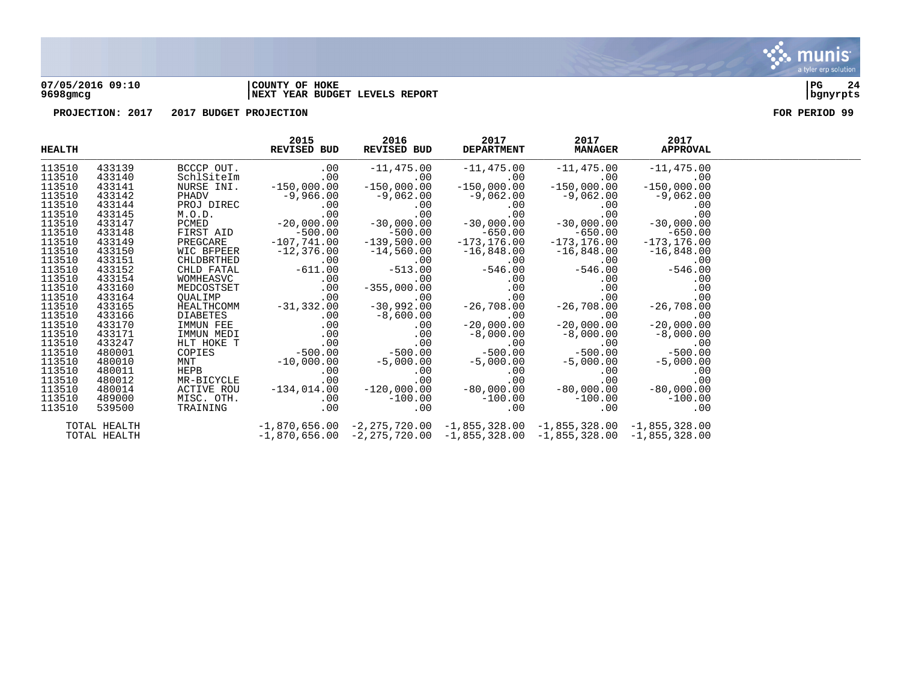

#### **07/05/2016 09:10 |COUNTY OF HOKE |PG 24 9698gmcg |NEXT YEAR BUDGET LEVELS REPORT |bgnyrpts**

| <b>HEALTH</b> |              |            | 2015<br><b>REVISED BUD</b>                                                                                                                                                                                                                                                                                              | 2016<br>REVISED BUD           | 2017<br><b>DEPARTMENT</b>                                                       | 2017<br><b>MANAGER APPROVAL</b> | 2017          |  |
|---------------|--------------|------------|-------------------------------------------------------------------------------------------------------------------------------------------------------------------------------------------------------------------------------------------------------------------------------------------------------------------------|-------------------------------|---------------------------------------------------------------------------------|---------------------------------|---------------|--|
| 113510        | 433139       | BCCCP OUT. |                                                                                                                                                                                                                                                                                                                         | $.00 -11,475.00$              | $-11,475.00$ $-11,475.00$ $-11,475.00$<br>$\cdot 00$ $-10,475.00$ $-10,00$      |                                 |               |  |
| 113510        | 433140       | SchlSiteIm |                                                                                                                                                                                                                                                                                                                         | and the control of the<br>.00 |                                                                                 |                                 |               |  |
| 113510        | 433141       | NURSE INI. | $-150,000.00$                                                                                                                                                                                                                                                                                                           | $-150,000.00$                 | $-150,000.00$                                                                   | $-150,000.00$                   | $-150,000.00$ |  |
| 113510        | 433142       |            | PHADV $-9,966.00$ $-9,062.00$ $-9,062.00$ $-9,062.00$ $-9,062.00$ $-9,062.00$ $-9,062.00$ $-9,062.00$ $-9,062.00$ $-9,062.00$ $-9,062.00$ $-9,062.00$ $-9,062.00$ $-9,062.00$ $-9,062.00$ $-9,062.00$ $-9,062.00$ $-9,062.00$                                                                                           |                               |                                                                                 |                                 |               |  |
| 113510        | 433144       |            |                                                                                                                                                                                                                                                                                                                         |                               |                                                                                 |                                 |               |  |
| 113510        | 433145       |            |                                                                                                                                                                                                                                                                                                                         |                               |                                                                                 |                                 |               |  |
| 113510        | 433147       |            |                                                                                                                                                                                                                                                                                                                         |                               |                                                                                 |                                 |               |  |
| 113510        | 433148       |            |                                                                                                                                                                                                                                                                                                                         |                               |                                                                                 |                                 |               |  |
| 113510        | 433149       |            |                                                                                                                                                                                                                                                                                                                         |                               |                                                                                 |                                 |               |  |
| 113510        | 433150       |            |                                                                                                                                                                                                                                                                                                                         |                               |                                                                                 |                                 |               |  |
| 113510        | 433151       |            | PREGCARE<br>MIC BRPEER -10'/,'41.00 -139,500.00 -16,848.00 -16,848.00 -16,848.00<br>CHLDBRTHED .00 .00 .00 .00 .00 .00 .00<br>MOMHEASVC .00 -355,000.00 .00 .00 .00 .00 .00<br>MED FATAL 611.00 -513.00 -546.00 -546.00 -546.00 .00 .                                                                                   |                               |                                                                                 |                                 |               |  |
| 113510        | 433152       |            |                                                                                                                                                                                                                                                                                                                         |                               |                                                                                 |                                 |               |  |
| 113510        | 433154       |            |                                                                                                                                                                                                                                                                                                                         |                               |                                                                                 |                                 |               |  |
| 113510        | 433160       |            |                                                                                                                                                                                                                                                                                                                         |                               |                                                                                 |                                 |               |  |
| 113510        | 433164       |            |                                                                                                                                                                                                                                                                                                                         |                               |                                                                                 |                                 |               |  |
| 113510        | 433165       |            |                                                                                                                                                                                                                                                                                                                         |                               |                                                                                 |                                 |               |  |
| 113510        | 433166       |            |                                                                                                                                                                                                                                                                                                                         |                               |                                                                                 |                                 |               |  |
| 113510        | 433170       |            |                                                                                                                                                                                                                                                                                                                         |                               |                                                                                 |                                 |               |  |
| 113510        | 433171       |            |                                                                                                                                                                                                                                                                                                                         |                               |                                                                                 |                                 |               |  |
| 113510        | 433247       |            |                                                                                                                                                                                                                                                                                                                         |                               |                                                                                 |                                 |               |  |
| 113510        | 480001       |            |                                                                                                                                                                                                                                                                                                                         |                               |                                                                                 |                                 |               |  |
| 113510        | 480010       |            |                                                                                                                                                                                                                                                                                                                         |                               |                                                                                 |                                 |               |  |
| 113510        | 480011       |            |                                                                                                                                                                                                                                                                                                                         |                               |                                                                                 |                                 |               |  |
| 113510        | 480012       |            | $\begin{array}{cccccccc} \text{HEB-IFICICUM} & -51,332.00 & -30,992.00 & -26,708.00 & -26,708.00 & -26,708.00 \\ \text{DIABETES} & 0.00 & -8,600.00 & 0.00 & -20,000.00 & -20,000.00 \\ \text{IMMUN MEDI} & 0.0 & 0.00 & -20,000.00 & -8,000.00 & -8,000.00 \\ \text{HUT HOKE T} & 0.0 & 0.0 & -8,000.00 & -8,000.00 &$ |                               |                                                                                 |                                 |               |  |
| 113510        | 480014       |            |                                                                                                                                                                                                                                                                                                                         |                               |                                                                                 |                                 |               |  |
| 113510        | 489000       |            |                                                                                                                                                                                                                                                                                                                         |                               |                                                                                 |                                 |               |  |
| 113510        | 539500       |            |                                                                                                                                                                                                                                                                                                                         |                               |                                                                                 |                                 |               |  |
|               | TOTAL HEALTH |            |                                                                                                                                                                                                                                                                                                                         |                               | $-1,870,656.00$ $-2,275,720.00$ $-1,855,328.00$ $-1,855,328.00$ $-1,855,328.00$ |                                 |               |  |
|               | TOTAL HEALTH |            |                                                                                                                                                                                                                                                                                                                         |                               | $-1,870,656.00$ $-2,275,720.00$ $-1,855,328.00$ $-1,855,328.00$ $-1,855,328.00$ |                                 |               |  |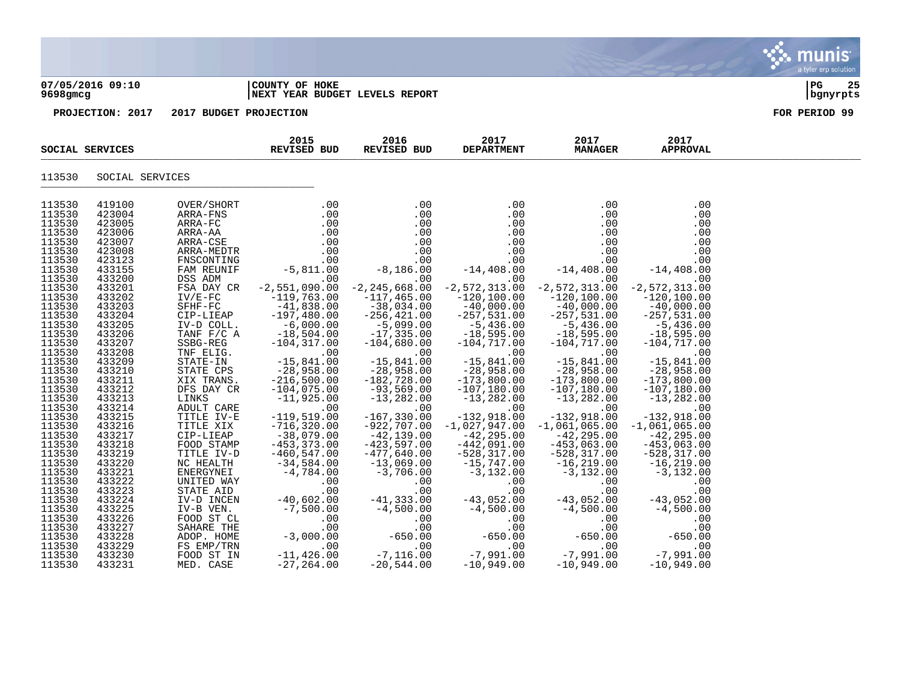| 9698gmcg                                                                                                                                                                         | 07/05/2016 09:10                                                                                                                                                                 |                                                                   | COUNTY OF HOKE<br>NEXT YEAR BUDGET LEVELS REPORT                                                                                                                                           |                                                                                                                                                      |                                                                                                                                                                                                                                                |                                                                                                                                                                                                         |                                                                                                                                                                                                           | $_{PG}$<br>25<br>bgnyrpts |
|----------------------------------------------------------------------------------------------------------------------------------------------------------------------------------|----------------------------------------------------------------------------------------------------------------------------------------------------------------------------------|-------------------------------------------------------------------|--------------------------------------------------------------------------------------------------------------------------------------------------------------------------------------------|------------------------------------------------------------------------------------------------------------------------------------------------------|------------------------------------------------------------------------------------------------------------------------------------------------------------------------------------------------------------------------------------------------|---------------------------------------------------------------------------------------------------------------------------------------------------------------------------------------------------------|-----------------------------------------------------------------------------------------------------------------------------------------------------------------------------------------------------------|---------------------------|
|                                                                                                                                                                                  | PROJECTION: 2017                                                                                                                                                                 | 2017 BUDGET PROJECTION                                            |                                                                                                                                                                                            |                                                                                                                                                      |                                                                                                                                                                                                                                                |                                                                                                                                                                                                         |                                                                                                                                                                                                           | FOR PERIOD 99             |
|                                                                                                                                                                                  | SOCIAL SERVICES                                                                                                                                                                  |                                                                   | 2015<br>REVISED BUD                                                                                                                                                                        | 2016 2017<br><b>REVISED BUD</b>                                                                                                                      | 2017<br><b>DEPARTMENT</b>                                                                                                                                                                                                                      | 2017<br><b>MANAGER</b>                                                                                                                                                                                  | 2017<br><b>APPROVAL</b>                                                                                                                                                                                   |                           |
| 113530                                                                                                                                                                           | SOCIAL SERVICES                                                                                                                                                                  |                                                                   |                                                                                                                                                                                            |                                                                                                                                                      |                                                                                                                                                                                                                                                |                                                                                                                                                                                                         |                                                                                                                                                                                                           |                           |
| 113530<br>113530<br>113530<br>113530<br>113530<br>113530<br>113530<br>113530<br>113530<br>113530<br>113530<br>113530<br>113530<br>113530<br>113530<br>113530<br>113530<br>113530 | 419100<br>423004<br>423005<br>423006<br>423007<br>423008<br>423123<br>433155<br>433200<br>433201<br>433202<br>433203<br>433204<br>433205<br>433206<br>433207<br>433208<br>433209 | FSA DAY CR<br>$IV/E-FC$<br>IV-D COLL.<br>TANF F/C A<br>SSBG-REG   | $-2,551,090.00$<br>$-119,763.00$<br>SFHF-FC -41,838.00<br>CIP-LIEAP -197,480.00<br>$-6,000.00$<br>-18 F <sup>o</sup><br>$-104, 317.00$<br>TNF ELIG. 00<br>STATE-IN -15,841.00              | $-2, 245, 668.00$<br>$-117,465.00$<br>$-38,034.00$<br>$-256, 421.00$<br>$-5,099.00$<br>$-17.335.00$<br>$-17,335.00$<br>$-104,680.00$<br>$-15,841.00$ | .00<br>.00<br>$\begin{array}{r} .00\ 0.00\ .00\ .00\ .00\ .00\ .00\ -14\, ,408\, .00\ \end{array}$<br>.00<br>$-2, 572, 313.00$<br>$-120, 100.00$<br>$-40,000.00$<br>$-257,531.00$<br>-5,436.00<br>-18,595.00<br>$-104, 717.00$<br>$-15,841.00$ | .00<br>.00<br>.00<br>.00<br>.00<br>.00<br>.00<br>$-14,408.00$<br>.00<br>$-2,572,313.00$<br>$-120, 100.00$<br>$-40,000.00$<br>$-257,531.00$<br>-5,436.00<br>-18,595.00<br>$-104, 717.00$<br>$-15,841.00$ | .00<br>.00<br>.00<br>.00<br>.00<br>.00<br>.00<br>$-14,408.00$<br>.00<br>$-2, 572, 313.00$<br>$-120, 100.00$<br>$-40,000.00$<br>$-257,531.00$<br>–5,436.00<br>–18,595.00<br>$-104, 717.00$<br>$-15,841.00$ |                           |
| 113530<br>113530<br>113530<br>113530<br>113530                                                                                                                                   | 433210<br>433211<br>433212<br>433213<br>433214                                                                                                                                   | STATE CPS<br>XIX TRANS.<br>DFS DAY CR<br>LINKS<br>ADULT CARE      | $-28,958.00$<br>$-216,500.00$<br>$-104,075.00$<br>$-11,925.00$<br>.00<br>$-119,519.00$                                                                                                     | $-28,958.00$<br>$-182,728.00$<br>$-93,569.00$<br>$-13, 282.00$<br>and the contract of the contract of<br>.00                                         | $-28,958.00$<br>$-173,800.00$<br>$-107, 180.00$<br>$-13,282.00$<br>$\sim 00$                                                                                                                                                                   | $-28,958.00$<br>$-173,800.00$<br>$-107,180.00$<br>$-13,282.00$<br>and the state of the state<br>.00                                                                                                     | $-28,958.00$<br>$-173,800.00$<br>$-107,180.00$<br>$-13, 282.00$<br>.00                                                                                                                                    |                           |
| 113530<br>113530<br>113530<br>113530<br>113530<br>113530<br>113530<br>113530<br>113530                                                                                           | 433215<br>433216<br>433217<br>433218<br>433219<br>433220<br>433221<br>433222<br>433223                                                                                           | TITLE IV-E<br>FOOD STAMP<br>TITLE IV-D<br>UNITED WAY<br>STATE AID | TITLE XIX -716,320.00<br>CIP-LIEAP -38,079.00<br>$-453, 373.00$<br>$-460, 547.00$<br>NC HEALTH -34,584.00<br>ENERGYNEI $-4,784.00$<br>.00<br>.00                                           | $-167, 330.00$<br>$-922,707.00$<br>$-42,139.00$<br>$-423,597.00$<br>$-477,640.00$<br>$-13,069.00$<br>$-3,706.00$<br>.00<br>$.00 \,$                  | $-132,918.00$<br>$-1,027,947.00$<br>$-42, 295.00$<br>$-442,091.00$<br>$-528, 317.00$<br>$-15,747.00$<br>$-3,132.00$<br>.00<br>$.00 \ \,$                                                                                                       | $-132,918.00$<br>$-1,061,065.00$<br>$-42, 295.00$<br>$-453,063.00$<br>$-528, 317.00$<br>$-16, 219.00$<br>$-3,132.00$<br>.00<br>.00                                                                      | $-132,918.00$<br>$-1,061,065.00$<br>$-42, 295.00$<br>$-453,063.00$<br>$-528, 317.00$<br>$-16, 219.00$<br>$-3,132.00$<br>.00<br>.00                                                                        |                           |
| 113530<br>113530<br>113530<br>113530<br>113530<br>113530<br>113530<br>113530                                                                                                     | 433224<br>433225<br>433226<br>433227<br>433228<br>433229<br>433230<br>433231                                                                                                     | FOOD ST IN<br>MED. CASE                                           | STATE AID<br>IV-D INCEN<br>IV-D VICEN<br>IV-D VICEN<br>FOOD ST CL<br>SAHARE THE<br>ADOP. HOME<br>ADOP. HOME<br>FS EMP/TRN 000.00<br>FS EMP/TRN 11.426.00<br>$-11, 426.00$<br>$-27, 264.00$ | $-41, 333.00$<br>$-4, 500.00$<br>$\begin{array}{r} .00 \\ .00 \\ .00 \\ -650.00 \\ .00 \\ -7,116.00 \\ \end{array}$<br>$-20,544.00$                  | -43,052.00<br>-4,500.00<br>$.00\,$<br>.00<br>$-650.00$<br>.00<br>$-7,991.00$<br>$-10,949.00$                                                                                                                                                   | $-43,052.00$<br>$-4,500.00$<br>.00<br>.00<br>650.00 –<br>00 .<br>00 .7 ,=<br>$-10,949.00$                                                                                                               | $-43,052.00$<br>$-4,500.00$<br>.00<br>.00<br>$-650.00$<br>.00<br>$-7,991.00$<br>$-10,949.00$                                                                                                              |                           |

 $\ddot{\ddot{\mathbf{u}}}$  munis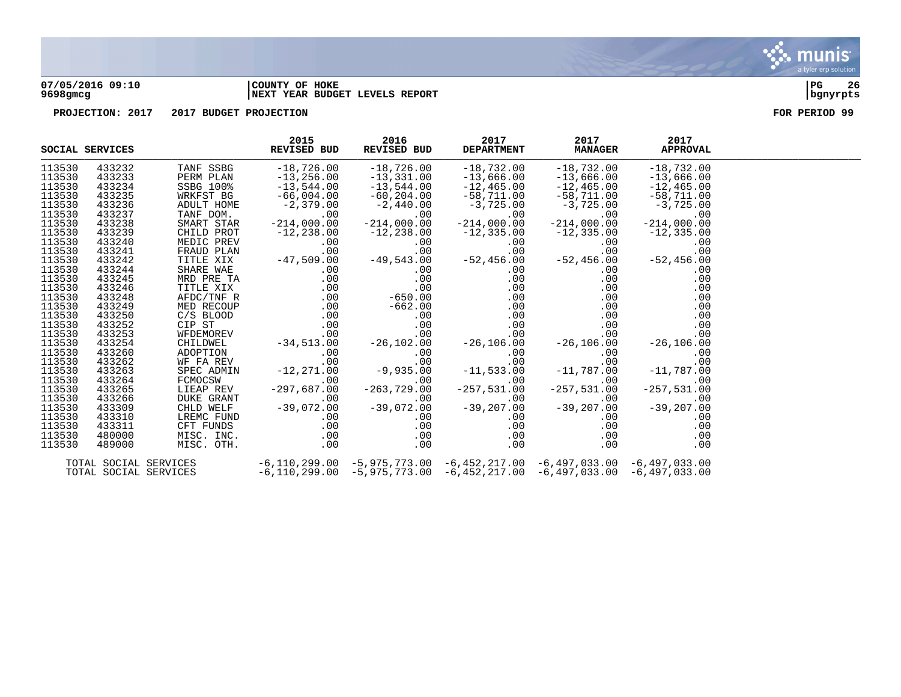

#### **07/05/2016 09:10 |COUNTY OF HOKE |PG 26 9698gmcg |NEXT YEAR BUDGET LEVELS REPORT |bgnyrpts**

|        | SOCIAL SERVICES       |                                                                                                                                                                                                                                                                                                                                     | 2015<br>REVISED BUD                          | 2016<br>REVISED BUD                                             | 2017<br><b>DEPARTMENT</b> | 2017<br><b>MANAGER</b>                                                                            | 2017<br><b>APPROVAL</b>                                             |  |
|--------|-----------------------|-------------------------------------------------------------------------------------------------------------------------------------------------------------------------------------------------------------------------------------------------------------------------------------------------------------------------------------|----------------------------------------------|-----------------------------------------------------------------|---------------------------|---------------------------------------------------------------------------------------------------|---------------------------------------------------------------------|--|
| 113530 | 433232                | TANF SSBG                                                                                                                                                                                                                                                                                                                           | $-18,726.00$                                 | $-18,726.00$                                                    | $-18,732.00$              | $-18,732.00$                                                                                      | $-18,732.00$                                                        |  |
| 113530 | 433233                | PERM PLAN                                                                                                                                                                                                                                                                                                                           | $-13,256.00$<br>$-13,544.00$<br>$-66,004.00$ | $-13,331.00$                                                    |                           | $-13$ , 666.00 $-13$ , 666.00<br>$-12$ , 465.00 $-12$ , 465.00<br>$-58$ , 711.00 $-58$ , 711.00   | $-13,666.00$                                                        |  |
| 113530 | 433234                | SSBG 100%                                                                                                                                                                                                                                                                                                                           |                                              | $-13,544.00$                                                    |                           |                                                                                                   | $-12, 465.00$                                                       |  |
| 113530 | 433235                | WRKFST BG                                                                                                                                                                                                                                                                                                                           |                                              | -60,204.00                                                      |                           |                                                                                                   | -58,711.00                                                          |  |
| 113530 | 433236                | ADULT HOME                                                                                                                                                                                                                                                                                                                          | $-2,379.00$                                  | $-2,440.00$                                                     | $-3,725.00$               | $-3,725.00$<br>.00                                                                                | $-3,725.00$                                                         |  |
| 113530 | 433237                | TANF DOM.                                                                                                                                                                                                                                                                                                                           | .00                                          | .00                                                             | .00                       | .00                                                                                               | $\mathcal{L}^{\text{max}}_{\text{max}}$<br>.00                      |  |
|        |                       |                                                                                                                                                                                                                                                                                                                                     |                                              |                                                                 |                           | $-214,000.00$                                                                                     | $-214,000.00$                                                       |  |
|        |                       |                                                                                                                                                                                                                                                                                                                                     |                                              |                                                                 |                           | $-12,335.00$                                                                                      | $-12,335.00$                                                        |  |
|        |                       |                                                                                                                                                                                                                                                                                                                                     |                                              |                                                                 |                           | .00                                                                                               | .00                                                                 |  |
|        |                       |                                                                                                                                                                                                                                                                                                                                     |                                              |                                                                 |                           | .00                                                                                               |                                                                     |  |
|        |                       |                                                                                                                                                                                                                                                                                                                                     |                                              |                                                                 |                           | $-5$<br>$-52,456.00$                                                                              | 00.<br>52,456.00-                                                   |  |
|        |                       |                                                                                                                                                                                                                                                                                                                                     |                                              |                                                                 |                           | .00                                                                                               | .00                                                                 |  |
|        |                       |                                                                                                                                                                                                                                                                                                                                     |                                              |                                                                 |                           | .00                                                                                               | .00                                                                 |  |
|        |                       |                                                                                                                                                                                                                                                                                                                                     |                                              |                                                                 |                           | $0.00$<br>$0.00$<br>$0.00$                                                                        | .00<br>.00                                                          |  |
|        |                       |                                                                                                                                                                                                                                                                                                                                     |                                              |                                                                 |                           |                                                                                                   | .00<br>.00                                                          |  |
|        |                       |                                                                                                                                                                                                                                                                                                                                     |                                              |                                                                 |                           |                                                                                                   | .00<br>.00                                                          |  |
|        |                       |                                                                                                                                                                                                                                                                                                                                     |                                              |                                                                 |                           | $\begin{array}{r} .00 \\ .00 \\ .00 \\ -26,106.00 \\ .00 \\ .00 \\ .00 \\ .00 \\ -11 \end{array}$ | .00<br>.00                                                          |  |
|        |                       |                                                                                                                                                                                                                                                                                                                                     |                                              |                                                                 |                           | .00                                                                                               | .00                                                                 |  |
|        |                       |                                                                                                                                                                                                                                                                                                                                     |                                              |                                                                 |                           |                                                                                                   | $\begin{array}{c} .00 \ .00 \ .00 \ .00 \end{array}$ -26,106.00     |  |
|        |                       |                                                                                                                                                                                                                                                                                                                                     |                                              |                                                                 |                           |                                                                                                   |                                                                     |  |
|        |                       |                                                                                                                                                                                                                                                                                                                                     |                                              |                                                                 |                           |                                                                                                   | .00                                                                 |  |
|        |                       |                                                                                                                                                                                                                                                                                                                                     |                                              |                                                                 |                           |                                                                                                   | $\begin{array}{cc} .00 & -11,787.00 \ .00 & -11,787.00 \end{array}$ |  |
|        |                       |                                                                                                                                                                                                                                                                                                                                     |                                              |                                                                 |                           |                                                                                                   |                                                                     |  |
|        |                       |                                                                                                                                                                                                                                                                                                                                     |                                              |                                                                 |                           | $.00 \,$                                                                                          | in.<br>Se<br>.00                                                    |  |
|        |                       |                                                                                                                                                                                                                                                                                                                                     |                                              |                                                                 |                           | $-257,531.00$                                                                                     | $-257,531.00$                                                       |  |
|        |                       |                                                                                                                                                                                                                                                                                                                                     |                                              |                                                                 |                           |                                                                                                   |                                                                     |  |
|        |                       |                                                                                                                                                                                                                                                                                                                                     |                                              |                                                                 |                           |                                                                                                   |                                                                     |  |
|        |                       |                                                                                                                                                                                                                                                                                                                                     |                                              |                                                                 |                           |                                                                                                   |                                                                     |  |
|        |                       |                                                                                                                                                                                                                                                                                                                                     |                                              |                                                                 |                           |                                                                                                   |                                                                     |  |
|        |                       |                                                                                                                                                                                                                                                                                                                                     |                                              |                                                                 |                           |                                                                                                   |                                                                     |  |
|        |                       |                                                                                                                                                                                                                                                                                                                                     |                                              |                                                                 |                           | $.00 \,$                                                                                          | .00                                                                 |  |
|        |                       | $\begin{array}{cccc} -24. & -244. & 000. & 00 \\ -214. & 000. & 00 \\ -12. & 28. & 00 \\ 0 & 0 & 0 \\ 0 & 0 & 0 \\ 0 & 0 & 0 \\ 0 & 0 & 0 \\ 0 & 0 & 0 \\ 0 & 0 & 0 \\ 0 & 0 & 0 \\ 0 & 0 & 0 \\ 0 & 0 & 0 \\ 0 & 0 & 0 \\ 0 & 0 & 0 \\ 0 & 0 & 0 \\ 0 & 0 & 0 \\ 0 & 0 & 0 \\ 0 & 0 & 0 \\ 0 & 0 & 0 \\ 0 & 0 & 0 \\ 0 & 0 & 0 \\$ |                                              |                                                                 |                           | $-6,110,299.00$ $-5,975,773.00$ $-6,452,217.00$ $-6,497,033.00$ $-6,497,033.00$                   |                                                                     |  |
|        | TOTAL SOCIAL SERVICES |                                                                                                                                                                                                                                                                                                                                     |                                              | $-6,110,299.00$ $-5,975,773.00$ $-6,452,217.00$ $-6,497,033.00$ |                           |                                                                                                   | $-6,497,033.00$                                                     |  |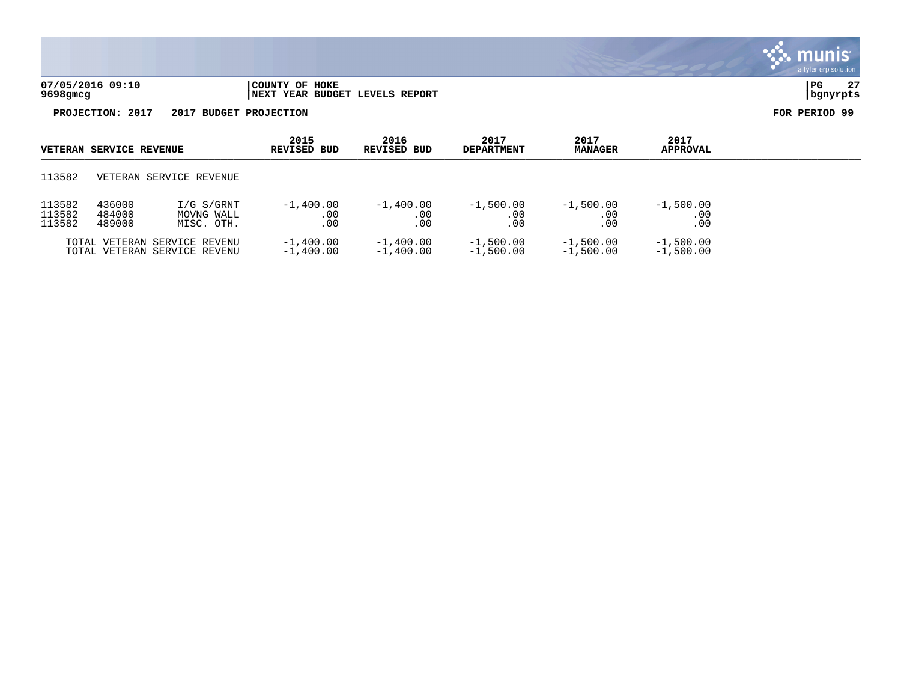| 07/05/2016 09:10 | COUNTY OF HOKE                  | PG       | $\sim$ |
|------------------|---------------------------------|----------|--------|
| 9698gmcg         | INEXT YEAR BUDGET LEVELS REPORT | banvrpts |        |

| <b>VETERAN SERVICE REVENUE</b>                                                                     |  |                                                              | 2015<br>REVISED BUD        | 2016<br>REVISED BUD        | 2017<br><b>DEPARTMENT</b>  | 2017<br><b>MANAGER</b>     | 2017<br><b>APPROVAL</b>    |  |
|----------------------------------------------------------------------------------------------------|--|--------------------------------------------------------------|----------------------------|----------------------------|----------------------------|----------------------------|----------------------------|--|
| 113582                                                                                             |  | VETERAN SERVICE REVENUE                                      |                            |                            |                            |                            |                            |  |
| 436000<br>113582<br>I/G S/GRNT<br>113582<br>484000<br>MOVNG WALL<br>113582<br>489000<br>MISC. OTH. |  | $-1,400.00$<br>.00<br>.00                                    | $-1,400.00$<br>.00<br>.00  | $-1,500.00$<br>.00<br>.00. | $-1,500.00$<br>.00<br>.00  | $-1,500.00$<br>.00<br>.00  |                            |  |
|                                                                                                    |  | TOTAL VETERAN SERVICE REVENU<br>TOTAL VETERAN SERVICE REVENU | $-1,400.00$<br>$-1.400.00$ | $-1,400.00$<br>$-1,400.00$ | $-1,500.00$<br>$-1.500.00$ | $-1,500.00$<br>$-1,500.00$ | $-1,500.00$<br>$-1,500.00$ |  |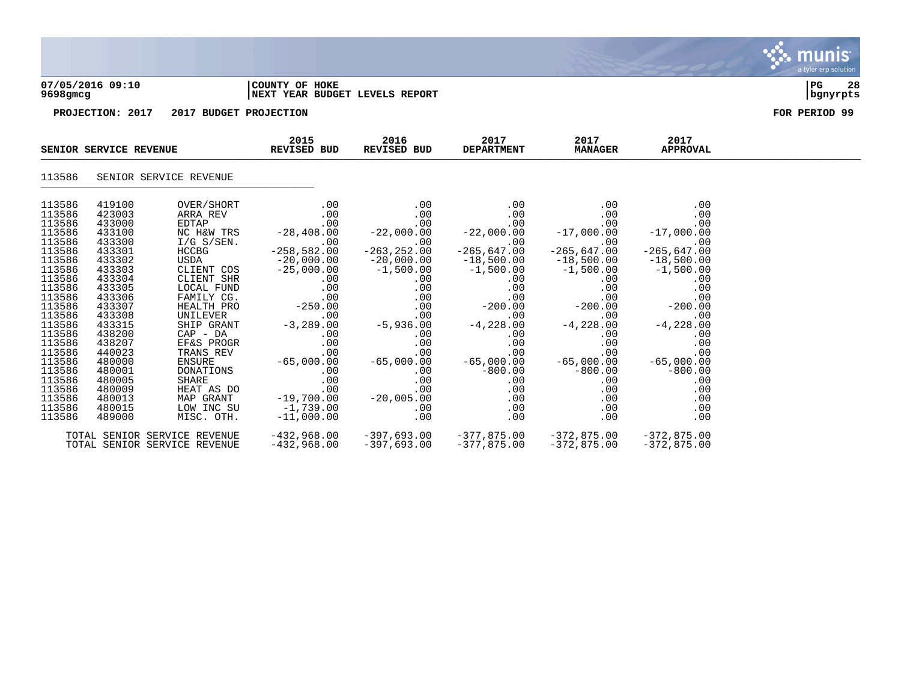

### **07/05/2016 09:10 |COUNTY OF HOKE |PG 28 9698gmcg |NEXT YEAR BUDGET LEVELS REPORT |bgnyrpts**

| SENIOR SERVICE REVENUE                                                                                                                                                                                         |                                                                                                                                                                                                                |                                                                                                                                                                                                  | 2015<br>REVISED BUD                                                                                                                                                                                                                | 2016<br>REVISED BUD                                                                                                                                                 | 2017<br><b>DEPARTMENT</b>                                                                                                                                                                                                                                                                                                                                         | 2017<br><b>MANAGER</b>                                                                                                                                                              | 2017<br><b>APPROVAL</b>                                                                                                                                                                                           |  |
|----------------------------------------------------------------------------------------------------------------------------------------------------------------------------------------------------------------|----------------------------------------------------------------------------------------------------------------------------------------------------------------------------------------------------------------|--------------------------------------------------------------------------------------------------------------------------------------------------------------------------------------------------|------------------------------------------------------------------------------------------------------------------------------------------------------------------------------------------------------------------------------------|---------------------------------------------------------------------------------------------------------------------------------------------------------------------|-------------------------------------------------------------------------------------------------------------------------------------------------------------------------------------------------------------------------------------------------------------------------------------------------------------------------------------------------------------------|-------------------------------------------------------------------------------------------------------------------------------------------------------------------------------------|-------------------------------------------------------------------------------------------------------------------------------------------------------------------------------------------------------------------|--|
| 113586                                                                                                                                                                                                         |                                                                                                                                                                                                                | SENIOR SERVICE REVENUE                                                                                                                                                                           |                                                                                                                                                                                                                                    |                                                                                                                                                                     |                                                                                                                                                                                                                                                                                                                                                                   |                                                                                                                                                                                     |                                                                                                                                                                                                                   |  |
| 113586<br>113586<br>113586<br>113586<br>113586<br>113586<br>113586<br>113586<br>113586<br>113586<br>113586<br>113586<br>113586<br>113586<br>113586<br>113586<br>113586<br>113586<br>113586<br>113586<br>113586 | 419100<br>423003<br>433000<br>433100<br>433300<br>433301<br>433302<br>433303<br>433304<br>433305<br>433306<br>433307<br>433308<br>433315<br>438200<br>438207<br>440023<br>480000<br>480001<br>480005<br>480009 | OVER/SHORT<br>ARRA REV<br>$I/G$ S/SEN.<br>HCCBG<br>FAMILY CG.<br>HEALTH PRO<br>UNILEVER<br>SHIP GRANT<br>$CAP$ - $DA$<br>EF&S PROGR<br>TRANS REV<br>ENSURE -<br>DONATIONS<br>SHARE<br>HEAT AS DO | .00<br>.00<br>00.<br>NC H&W TRS -28,408.00<br>.00<br>$-258,582.00$<br>USDA -20,000.00<br>CLIENT COS -25,000.00<br>CLIENT SHR .00<br>LOCAL FUND .00<br>$.00 \,$<br>$-250.00$<br>.00<br>$-3,289.00$<br>$.00 \,$<br>.00<br>.00<br>.00 | .00<br>.00<br>.00<br>$-22,000.00$<br>.00<br>$-263, 252.00$<br>$-20,000.00$<br>$-1,500.00$<br>$.00 \,$<br>00.<br>5,936.00 -<br>$-65,000.00$<br>-65,000.00 -65,000.00 | .00<br>.00<br>.00<br>00.<br>22,000.00 –<br>.00<br>$-265,647.00$<br>$-18,500.00$<br>$-1,500.00$<br>$\begin{array}{ccc} 0.00 & & & & \ -0.00 & & & \ 0.00 & & & \ -0.00 & & & \ -0.00 & & & \end{array}$<br>$.00\,$<br>.00<br>$.00\,$<br>$-200.00$<br>.00<br>$\begin{array}{ccc} 0 & -4 \\ .00 & -4 \end{array}$<br>$-4,228.00$<br>$.00\,$<br>.00<br>$.00\,$<br>.00 | .00<br>.00<br>00 .<br>17,000 .00 -<br>00 . - 265 ,647 .00<br>$-18,500.00$<br>$-1,500.00$<br>$.00 \,$<br>.00<br>$.00 \,$<br>$-200.00$<br>.00<br>$-4,228.00$<br>.00<br>$.00\,$<br>.00 | .00<br>.00<br>.00<br>$-17,000.00$<br>.00<br>$-265,647.00$<br>$-18,500.00$<br>$-1,500.00$<br>.00<br>.00<br>.00<br>$-200.00$<br>.00<br>$-4,228.00$<br>.00<br>.00<br>00 .<br>65,000 .00 –<br>$-800.00$<br>.00<br>.00 |  |
| 113586<br>113586<br>113586                                                                                                                                                                                     | 480013<br>480015<br>489000                                                                                                                                                                                     | MAP GRANT<br>LOW INC SU<br>MISC. OTH.                                                                                                                                                            |                                                                                                                                                                                                                                    |                                                                                                                                                                     | .00<br>.00<br>.00                                                                                                                                                                                                                                                                                                                                                 | .00<br>.00<br>.00                                                                                                                                                                   | .00<br>.00<br>.00                                                                                                                                                                                                 |  |
|                                                                                                                                                                                                                |                                                                                                                                                                                                                | TOTAL SENIOR SERVICE REVENUE<br>TOTAL SENIOR SERVICE REVENUE                                                                                                                                     | -432,968.00                                                                                                                                                                                                                        | -397,693.00                                                                                                                                                         | $-377,875.00$                                                                                                                                                                                                                                                                                                                                                     | $-372,875.00$ $-372,875.00$<br>-372,875.00                                                                                                                                          | $-372,875.00$                                                                                                                                                                                                     |  |

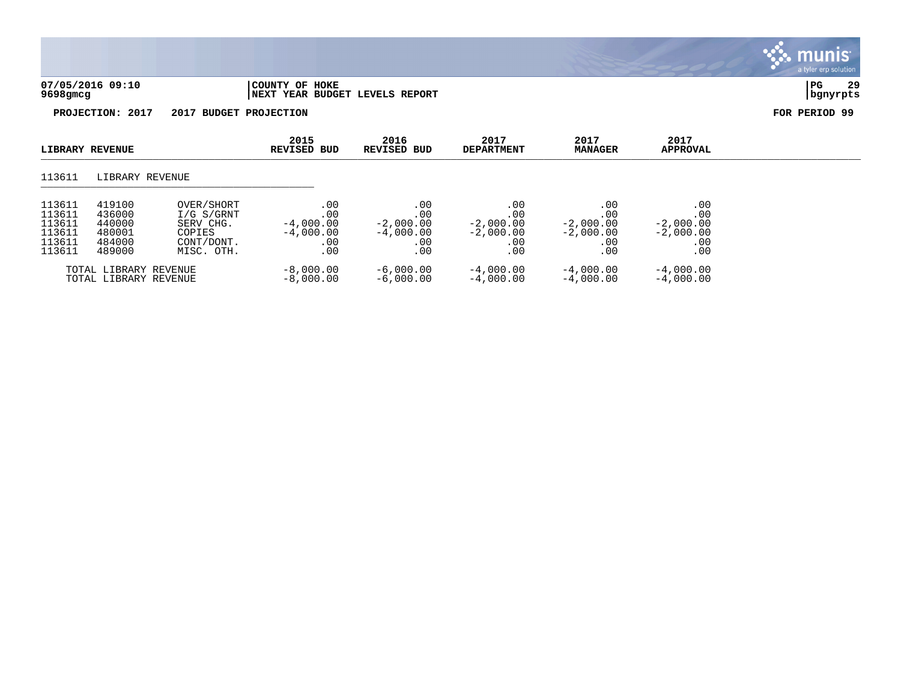|                                                          |                                                          |                                                                             |                                                        |                                                        |                                                        |                                                        |                                                        | a tylur urp bolution |
|----------------------------------------------------------|----------------------------------------------------------|-----------------------------------------------------------------------------|--------------------------------------------------------|--------------------------------------------------------|--------------------------------------------------------|--------------------------------------------------------|--------------------------------------------------------|----------------------|
| 07/05/2016 09:10<br>9698gmcg                             |                                                          |                                                                             | COUNTY OF HOKE<br>NEXT YEAR BUDGET LEVELS REPORT       |                                                        |                                                        |                                                        |                                                        | 29<br>PG<br>bgnyrpts |
|                                                          | PROJECTION: 2017                                         | 2017                                                                        | <b>BUDGET PROJECTION</b>                               |                                                        |                                                        |                                                        |                                                        | FOR PERIOD 99        |
|                                                          | LIBRARY REVENUE                                          |                                                                             | 2015<br><b>REVISED BUD</b>                             | 2016<br><b>REVISED BUD</b>                             | 2017<br><b>DEPARTMENT</b>                              | 2017<br><b>MANAGER</b>                                 | 2017<br><b>APPROVAL</b>                                |                      |
| 113611                                                   | LIBRARY REVENUE                                          |                                                                             |                                                        |                                                        |                                                        |                                                        |                                                        |                      |
| 113611<br>113611<br>113611<br>113611<br>113611<br>113611 | 419100<br>436000<br>440000<br>480001<br>484000<br>489000 | OVER/SHORT<br>I/G S/GRNT<br>SERV CHG.<br>COPIES<br>CONT/DONT.<br>MISC. OTH. | .00<br>.00<br>$-4,000.00$<br>$-4,000.00$<br>.00<br>.00 | .00<br>.00<br>$-2,000.00$<br>$-4,000.00$<br>.00<br>.00 | .00<br>.00<br>$-2,000.00$<br>$-2,000.00$<br>.00<br>.00 | .00<br>.00<br>$-2,000.00$<br>$-2,000.00$<br>.00<br>.00 | .00<br>.00<br>$-2,000.00$<br>$-2,000.00$<br>.00<br>.00 |                      |

 $\ddot{\mathbf{w}}$  munis

TOTAL LIBRARY REVENUE -8,000.00 -6,000.00 -4,000.00 -4,000.00 -4,000.00 TOTAL LIBRARY REVENUE -8,000.00 -6,000.00 -4,000.00 -4,000.00 -4,000.00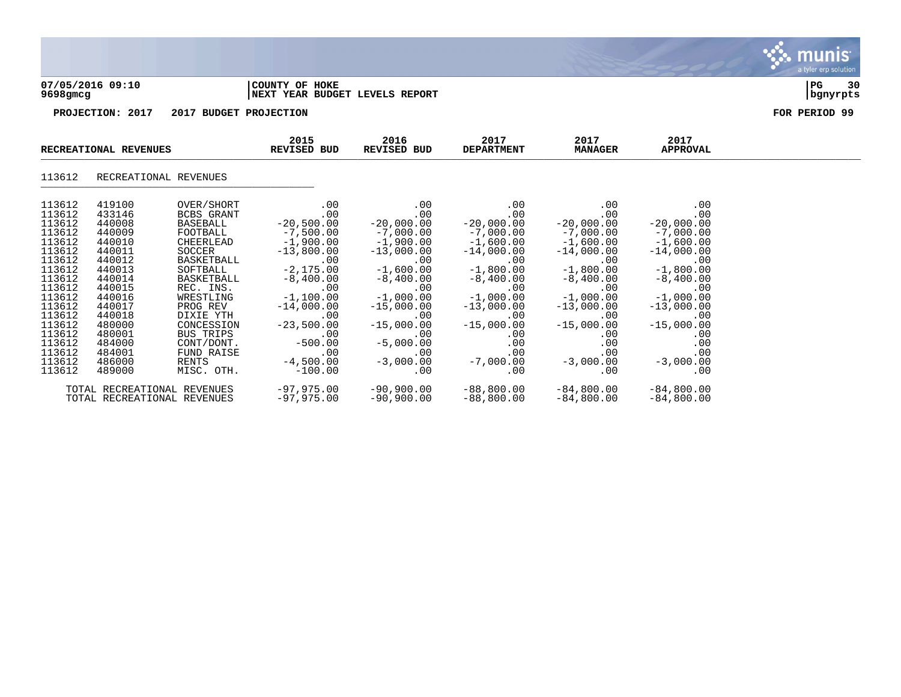

WE ARRITONAL REVENUES

# 113612 RECREATIONAL REVENUES

| 113612 | 419100 | OVER/SHORT                  | $\sim 00$    | $\sim 00$    | $\sim$ 00               | $\sim$ 00    | $\sim$ 00    |
|--------|--------|-----------------------------|--------------|--------------|-------------------------|--------------|--------------|
| 113612 | 433146 | BCBS GRANT                  | $\sim 00$    | .00          | $.00 \,$                | .00          | .00          |
| 113612 | 440008 | BASEBALL                    | $-20,500.00$ | $-20,000.00$ | $-20,000.00$            | $-20.000.00$ | $-20,000.00$ |
| 113612 | 440009 | FOOTBALL                    | $-7,500.00$  | $-7,000,00$  | $-7,000.00$             | $-7,000.00$  | $-7,000.00$  |
| 113612 | 440010 | CHEERLEAD                   | $-1,900.00$  | $-1,900.00$  | $-1.600.00$             | $-1.600.00$  | $-1,600.00$  |
| 113612 | 440011 | SOCCER                      | $-13,800.00$ | $-13,000.00$ | $-14,000.00$            | $-14,000.00$ | $-14,000.00$ |
| 113612 | 440012 | BASKETBALL                  | $\sim 00$    | $\sim$ 00    | $\sim 00$               | $\sim$ 00    | $\sim$ 00    |
| 113612 | 440013 | SOFTBALL                    | $-2,175.00$  | $-1,600.00$  | $-1,800.00$             | $-1,800.00$  | $-1,800.00$  |
| 113612 | 440014 |                             |              |              |                         |              |              |
|        |        | BASKETBALL                  | $-8,400.00$  | $-8,400.00$  | $-8,400.00$             | $-8,400.00$  | $-8,400.00$  |
| 113612 | 440015 | REC. INS.                   | $\sim 00$    | $\sim 00$    | $\sim$ 00               | $\sim 00$    | $\sim 00$    |
| 113612 | 440016 | WRESTLING                   | $-1,100.00$  | $-1,000.00$  | $-1,000.00$             | $-1,000.00$  | $-1,000.00$  |
| 113612 | 440017 | PROG REV                    | $-14,000.00$ | $-15,000.00$ | $-13,000.00$            | $-13,000.00$ | $-13,000.00$ |
| 113612 | 440018 | DIXIE YTH                   | $\sim 00$    | $\sim$ 00    | $\sim$ 00               | .00          | .00          |
| 113612 | 480000 | CONCESSION                  | $-23,500.00$ | $-15,000.00$ | $-15,000.00$            | $-15,000.00$ | $-15,000.00$ |
| 113612 | 480001 | BUS TRIPS                   | $\sim 00$    | $\sim$ 00    | $\sim$ 00               | .00          | .00          |
| 113612 | 484000 | CONT/DONT.                  | $-500.00$    | $-5,000.00$  | $.00\,$                 | $.00 \,$     | $.00 \,$     |
| 113612 | 484001 | FUND RAISE                  | .00          | $\sim 00$    | $.00 \,$                | $.00 \,$     | .00          |
| 113612 | 486000 | RENTS                       | $-4,500.00$  |              | $-3,000.00$ $-7,000.00$ | $-3,000.00$  | $-3,000.00$  |
| 113612 | 489000 | MISC. OTH.                  | $-100.00$    | $\sim 00$    | $\sim$ 00               | .00          | .00          |
|        |        |                             |              |              |                         |              |              |
|        |        | TOTAL RECREATIONAL REVENUES | $-97,975.00$ | $-90,900.00$ | $-88,800.00$            | $-84,800.00$ | $-84,800.00$ |
|        |        | TOTAL RECREATIONAL REVENUES | $-97,975.00$ | $-90,900.00$ | $-88,800.00$            | $-84,800.00$ | $-84,800.00$ |
|        |        |                             |              |              |                         |              |              |

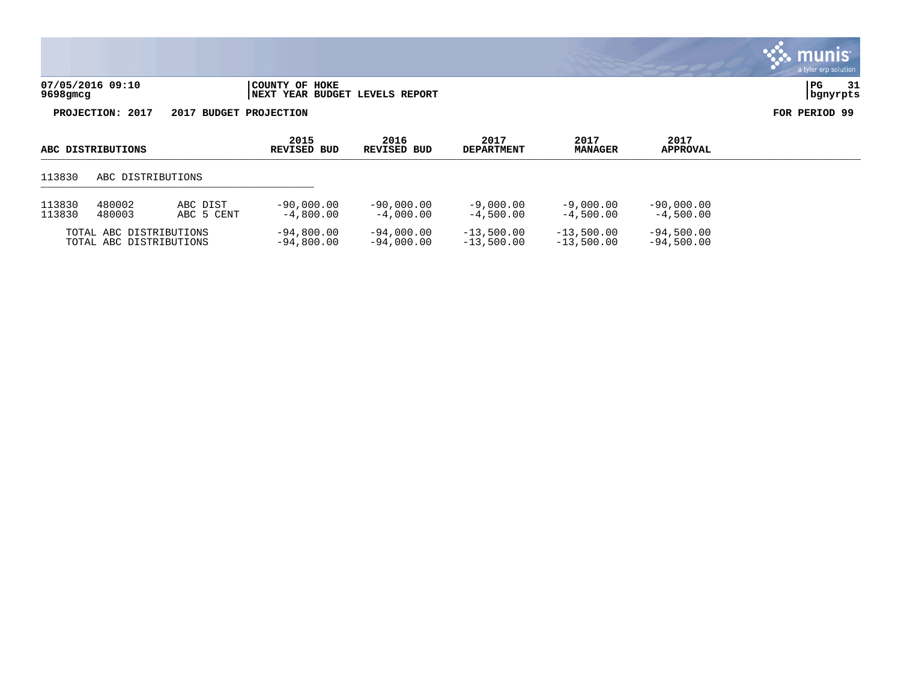| 07/05/2016 09:10 | COUNTY OF HOKE                 | l PG     | 31 |
|------------------|--------------------------------|----------|----|
| 9698gmcg         | NEXT YEAR BUDGET LEVELS REPORT | bgnyrpts |    |

| ABC DISTRIBUTIONS                                  |                   |                              | 2015<br>REVISED BUD          | 2016<br>REVISED BUD          | 2017<br><b>DEPARTMENT</b>    | 2017<br><b>MANAGER</b>       | 2017<br><b>APPROVAL</b>     |  |
|----------------------------------------------------|-------------------|------------------------------|------------------------------|------------------------------|------------------------------|------------------------------|-----------------------------|--|
| 113830                                             | ABC DISTRIBUTIONS |                              |                              |                              |                              |                              |                             |  |
| 480002<br>113830<br>113830<br>480003               |                   | ABC DIST<br>ABC 5 CENT       | $-90,000.00$<br>$-4,800.00$  | $-90.000.00$<br>$-4,000.00$  | $-9,000,00$<br>$-4,500.00$   | $-9,000,00$<br>$-4.500.00$   | $-90,000.00$<br>$-4,500.00$ |  |
| TOTAL ABC DISTRIBUTIONS<br>TOTAL ABC DISTRIBUTIONS |                   | $-94,800.00$<br>$-94,800,00$ | $-94,000.00$<br>$-94,000,00$ | $-13,500.00$<br>$-13,500.00$ | $-13,500.00$<br>$-13,500.00$ | $-94,500.00$<br>$-94,500.00$ |                             |  |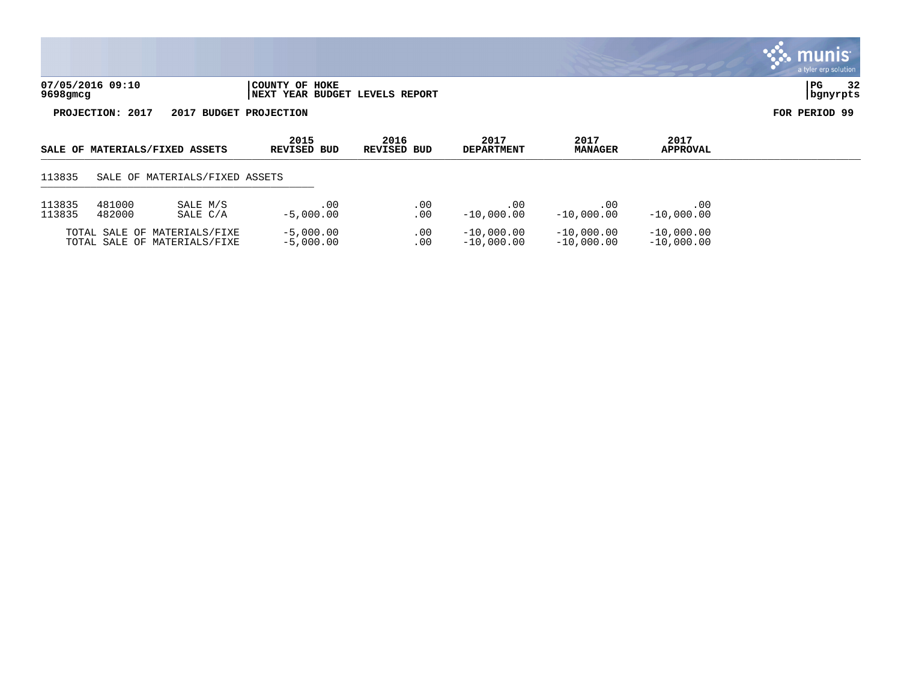|                                                                                                                  |                        |                  | a tyler erp solution     |
|------------------------------------------------------------------------------------------------------------------|------------------------|------------------|--------------------------|
| 07/05/2016 09:10<br>COUNTY OF HOKE<br>$9698$ gmcg<br>NEXT YEAR BUDGET LEVELS REPORT                              |                        |                  | 32<br>  PG<br>  bgnyrpts |
| PROJECTION: 2017<br>2017 BUDGET PROJECTION                                                                       |                        |                  | FOR PERIOD 99            |
| 2015<br>2017<br>2016<br>SALE OF MATERIALS/FIXED ASSETS<br><b>REVISED BUD</b><br>REVISED BUD<br><b>DEPARTMENT</b> | 2017<br><b>MANAGER</b> | 2017<br>APPROVAL |                          |

| 113835 |  | SALE OF MATERIALS/FIXED ASSETS |  |
|--------|--|--------------------------------|--|
|        |  |                                |  |

| 113835 | 481000 | SALE M/S                                                     | .00                        | . 00       | -00                          | . 00                         | . 00                         |
|--------|--------|--------------------------------------------------------------|----------------------------|------------|------------------------------|------------------------------|------------------------------|
| 113835 | 482000 | SALE C/A                                                     | $-5,000.00$                | 00         | $-10,000.00$                 | $-10.000.00$                 | $-10.000.00$                 |
|        |        | TOTAL SALE OF MATERIALS/FIXE<br>TOTAL SALE OF MATERIALS/FIXE | $-5,000.00$<br>$-5,000.00$ | . 00<br>00 | $-10,000,00$<br>$-10,000,00$ | $-10.000.00$<br>$-10.000.00$ | $-10,000,00$<br>$-10,000,00$ |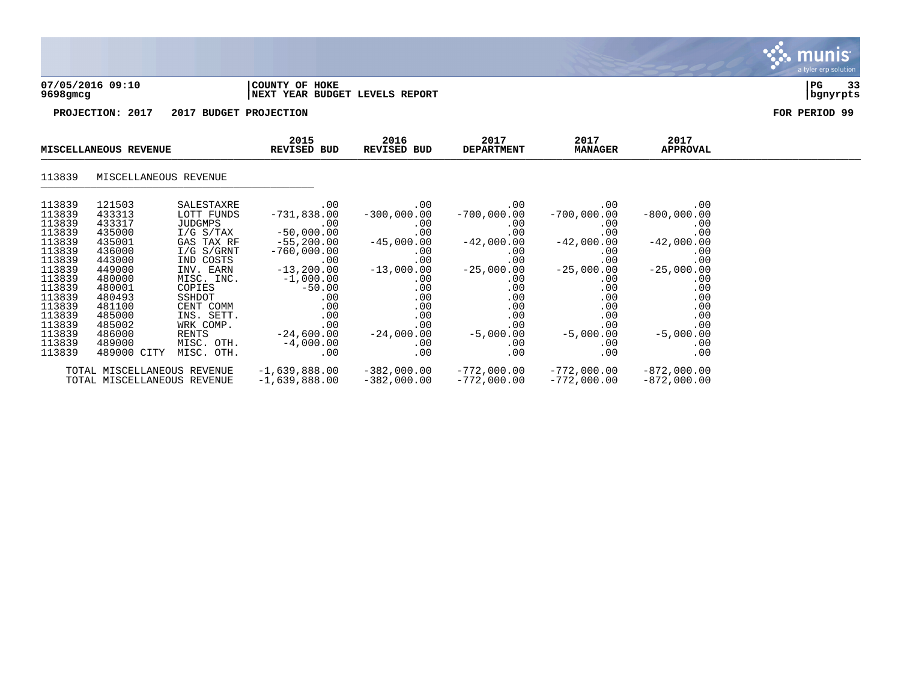| 07/05/2016 09:10 | COUNTY OF HOKE                  | l PG     | $\sim$ |
|------------------|---------------------------------|----------|--------|
| 9698gmcg         | INEXT YEAR BUDGET LEVELS REPORT | bqnyrpts |        |

| MISCELLANEOUS REVENUE |                             | 2015<br>REVISED BUD | 2016<br>REVISED BUD | 2017<br><b>DEPARTMENT</b> | 2017<br><b>MANAGER</b> | 2017<br>APPROVAL |               |  |
|-----------------------|-----------------------------|---------------------|---------------------|---------------------------|------------------------|------------------|---------------|--|
| 113839                | MISCELLANEOUS REVENUE       |                     |                     |                           |                        |                  |               |  |
| 113839                | 121503                      | SALESTAXRE          | $.00 \,$            | $.00 \,$                  | $.00 \ \,$             | .00              | .00           |  |
| 113839                | 433313                      | LOTT FUNDS          | $-731,838.00$       | $-300,000.00$             | $-700,000.00$          | $-700,000.00$    | $-800,000.00$ |  |
| 113839                | 433317                      | JUDGMPS             | $.00\,$             | $.00 \,$                  | $.00\,$                | $.00 \,$         | .00           |  |
| 113839                | 435000                      | I/G S/TAX           | $-50,000.00$        | .00                       | .00                    | .00              | .00           |  |
| 113839                | 435001                      | GAS TAX RF          | $-55,200.00$        | $-45,000.00$              | $-42,000.00$           | $-42,000.00$     | $-42,000.00$  |  |
| 113839                | 436000                      | I/G S/GRNT          | $-760,000.00$       | $.00 \,$                  | $.00 \,$               | .00              | .00           |  |
| 113839                | 443000                      | IND COSTS           | $.00 \,$            | .00                       | .00                    | .00              | .00           |  |
| 113839                | 449000                      | INV. EARN           | $-13, 200.00$       | $-13,000.00$              | $-25,000.00$           | $-25,000.00$     | $-25,000.00$  |  |
| 113839                | 480000                      | MISC. INC.          | $-1,000.00$         | $.00 \,$                  | $.00 \,$               | $.00 \,$         | .00           |  |
| 113839                | 480001                      | COPIES              | $-50.00$            | .00                       | .00                    | .00              | .00           |  |
| 113839                | 480493                      | SSHDOT              | $.00 \,$            | $.00 \,$                  | .00                    | .00              | .00           |  |
| 113839                | 481100                      | CENT COMM           | .00                 | $.00 \,$                  | .00                    | .00              | .00           |  |
| 113839                | 485000                      | INS. SETT.          | .00                 | $.00 \,$                  | .00                    | .00              | .00           |  |
| 113839                | 485002                      | WRK COMP.           | .00                 | .00                       | .00                    | .00              | .00           |  |
| 113839                | 486000                      | RENTS               | $-24,600.00$        | $-24,000.00$              | $-5,000.00$            | $-5,000.00$      | $-5,000.00$   |  |
| 113839                | 489000                      | MISC. OTH.          | $-4,000.00$         | $.00 \,$                  | $.00 \ \,$             | .00              | .00           |  |
| 113839                | 489000 CITY                 | MISC. OTH.          | $.00 \,$            | $.00 \,$                  | .00                    | .00              | .00           |  |
|                       | TOTAL MISCELLANEOUS REVENUE |                     | $-1,639,888.00$     | $-382,000.00$             | $-772,000.00$          | $-772,000.00$    | $-872,000.00$ |  |
|                       | TOTAL MISCELLANEOUS REVENUE |                     | $-1,639,888.00$     | $-382,000.00$             | $-772,000.00$          | $-772,000.00$    | $-872,000.00$ |  |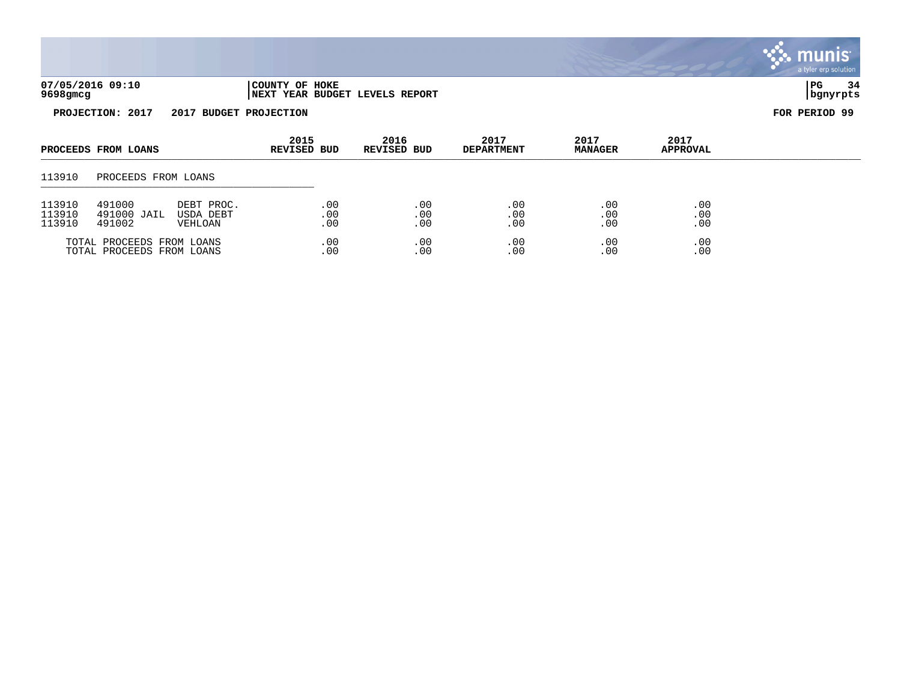| 07/05/2016 09:10<br>9698gmcg | COUNTY OF HOKE<br><b>INEXT YEAR BUDGET LEVELS REPORT</b> | 34<br>$_{\rm PG}$<br>  banvrpts |  |  |
|------------------------------|----------------------------------------------------------|---------------------------------|--|--|
| 2017<br><b>PROJECTION:</b>   | 2017<br><b>BUDGET</b><br><b>PROJECTION</b>               | FOR PERIOD 99                   |  |  |



TOTAL PROCEEDS FROM LOANS .00 .00 .00 .00 .00 TOTAL PROCEEDS FROM LOANS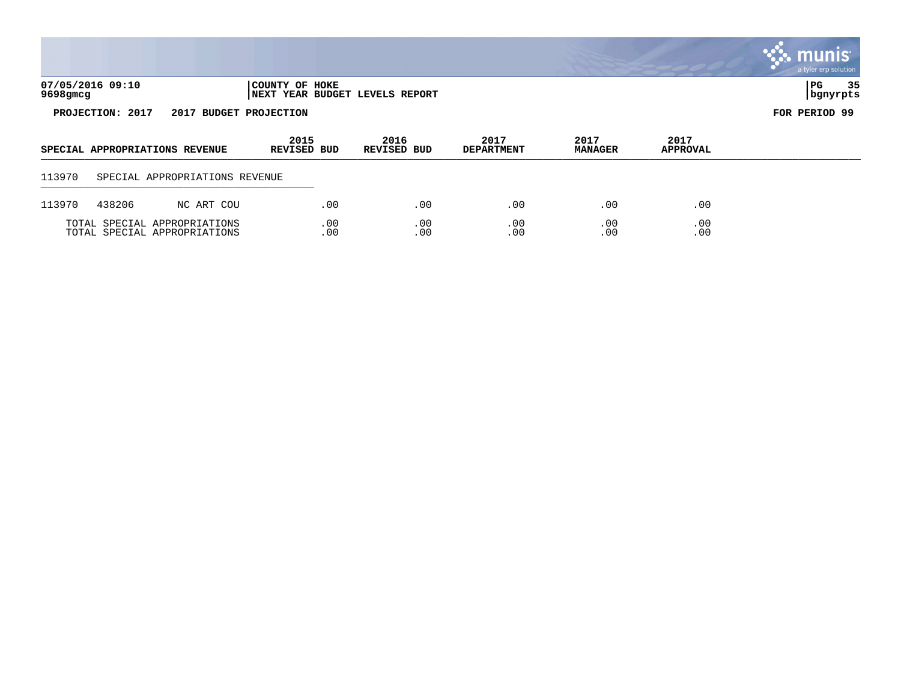|                                                                                  |                                            |                                                              |                            |            |                            |                           |                        |                                         | <b>S. MUNIS</b><br>a tyler erp solution |
|----------------------------------------------------------------------------------|--------------------------------------------|--------------------------------------------------------------|----------------------------|------------|----------------------------|---------------------------|------------------------|-----------------------------------------|-----------------------------------------|
| 07/05/2016 09:10<br>COUNTY OF HOKE<br>9698gmcg<br>NEXT YEAR BUDGET LEVELS REPORT |                                            |                                                              |                            |            |                            |                           |                        | 35<br>PG<br>  bgnyrpts<br>FOR PERIOD 99 |                                         |
|                                                                                  | PROJECTION: 2017<br>2017 BUDGET PROJECTION |                                                              |                            |            |                            |                           |                        |                                         |                                         |
|                                                                                  |                                            | SPECIAL APPROPRIATIONS REVENUE                               | 2015<br><b>REVISED BUD</b> |            | 2016<br><b>REVISED BUD</b> | 2017<br><b>DEPARTMENT</b> | 2017<br><b>MANAGER</b> | 2017<br>APPROVAL                        |                                         |
| 113970                                                                           |                                            | SPECIAL APPROPRIATIONS REVENUE                               |                            |            |                            |                           |                        |                                         |                                         |
| 113970                                                                           | 438206                                     | NC ART COU                                                   |                            | .00        | .00                        | .00                       | .00                    | .00                                     |                                         |
|                                                                                  |                                            | TOTAL SPECIAL APPROPRIATIONS<br>TOTAL SPECIAL APPROPRIATIONS |                            | .00<br>.00 | .00<br>.00                 | .00<br>.00                | .00<br>.00             | .00<br>.00                              |                                         |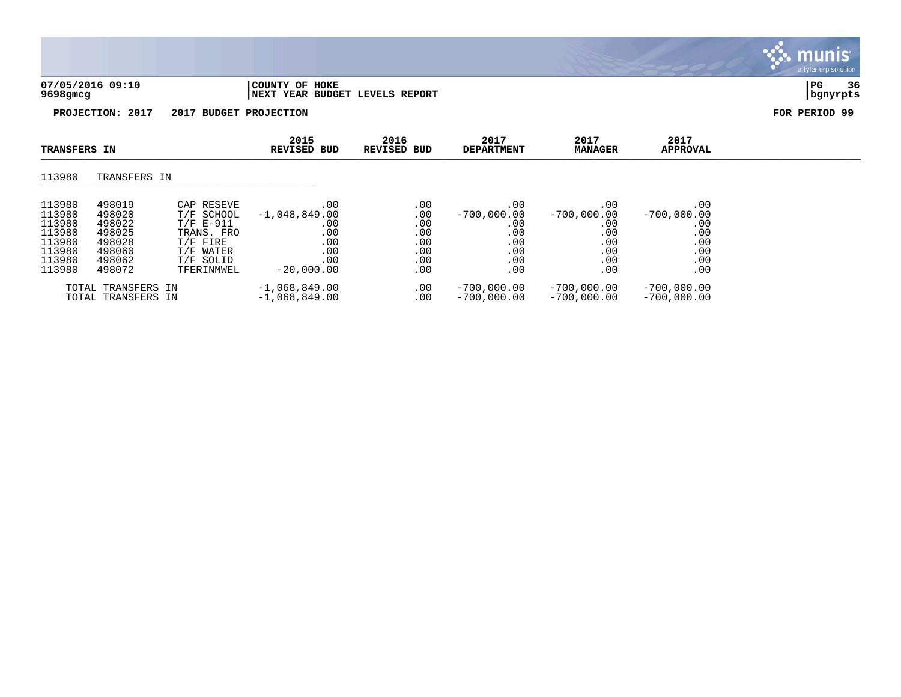| 07/05/2016 09:10<br>9698gmcg |                        | COUNTY OF HOKE<br><b>NEXT YEAR BUDGET LEVELS REPORT</b> |                     |                           |                        |                         | 36<br>  PG<br>  bgnyrpts |
|------------------------------|------------------------|---------------------------------------------------------|---------------------|---------------------------|------------------------|-------------------------|--------------------------|
| PROJECTION: 2017             | 2017 BUDGET PROJECTION |                                                         |                     |                           |                        |                         | FOR PERIOD 99            |
| <b>TRANSFERS IN</b>          |                        | 2015<br><b>REVISED BUD</b>                              | 2016<br>REVISED BUD | 2017<br><b>DEPARTMENT</b> | 2017<br><b>MANAGER</b> | 2017<br><b>APPROVAL</b> |                          |
| 113980<br>TRANSFERS IN       |                        |                                                         |                     |                           |                        |                         |                          |

| 113980 | 498019                                   | CAP RESEVE  | $.00 \,$                           | .00             | .00                            | .00                            | .00                            |
|--------|------------------------------------------|-------------|------------------------------------|-----------------|--------------------------------|--------------------------------|--------------------------------|
| 113980 | 498020                                   | T/F SCHOOL  | $-1,048,849.00$                    | .00             | $-700.000.00$                  | $-700.000.00$                  | $-700.000.00$                  |
| 113980 | 498022                                   | $T/F E-911$ | .00                                | .00             | .00                            | .00                            | .00                            |
| 113980 | 498025                                   | TRANS. FRO  | $.00 \,$                           | .00             | .00                            | .00                            | .00                            |
| 113980 | 498028                                   | T/F FIRE    | $.00 \,$                           | .00             | .00                            | .00                            | .00                            |
| 113980 | 498060                                   | T/F WATER   | .00                                | .00             | .00                            | .00                            | .00                            |
| 113980 | 498062                                   | T/F SOLID   | .00                                | .00             | .00                            | .00                            | .00                            |
| 113980 | 498072                                   | TFERINMWEL  | $-20,000,00$                       | .00             | .00                            | .00                            | $.00 \,$                       |
|        | TOTAL TRANSFERS IN<br>TOTAL TRANSFERS IN |             | $-1,068,849.00$<br>$-1,068,849.00$ | .00<br>$.00 \,$ | $-700.000.00$<br>$-700.000.00$ | $-700.000.00$<br>$-700.000.00$ | $-700,000.00$<br>$-700.000.00$ |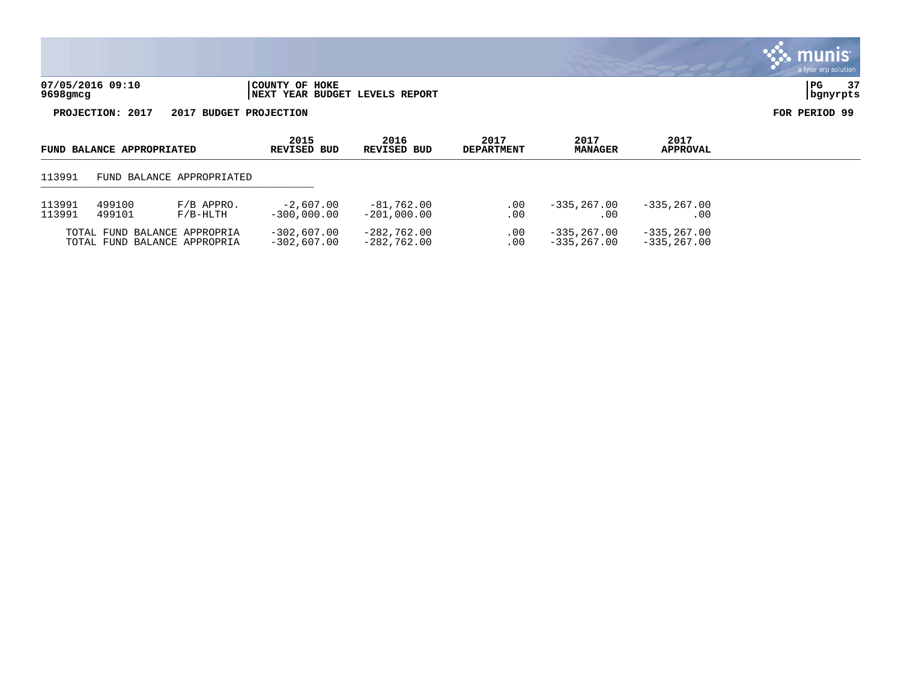| 07/05/2016 09:10 | 'COUNTY OF HOKE                        | l PC     | $\sim$ $\sim$ |
|------------------|----------------------------------------|----------|---------------|
| 9698gmcg         | <b>INEXT YEAR BUDGET LEVELS REPORT</b> | banvrpts |               |

| FUND BALANCE APPROPRIATED |                                                              | 2015<br>REVISED BUD       | 2016<br>REVISED BUD            | 2017<br><b>DEPARTMENT</b>      | 2017<br><b>MANAGER</b> | 2017<br>APPROVAL               |                               |  |
|---------------------------|--------------------------------------------------------------|---------------------------|--------------------------------|--------------------------------|------------------------|--------------------------------|-------------------------------|--|
| 113991                    |                                                              | FUND BALANCE APPROPRIATED |                                |                                |                        |                                |                               |  |
| 113991<br>113991          | 499100<br>499101                                             | $F/B$ APPRO.<br>F/B-HLTH  | $-2.607.00$<br>$-300.000.00$   | $-81,762.00$<br>$-201,000,00$  | .00<br>. 00            | $-335.267.00$<br>. 00          | $-335.267.00$<br>. 00         |  |
|                           | TOTAL FUND BALANCE APPROPRIA<br>TOTAL FUND BALANCE APPROPRIA |                           | $-302.607.00$<br>$-302.607.00$ | $-282,762.00$<br>$-282.762.00$ | .00<br>. 00            | $-335.267.00$<br>$-335.267.00$ | $-335, 267.00$<br>-335,267.00 |  |

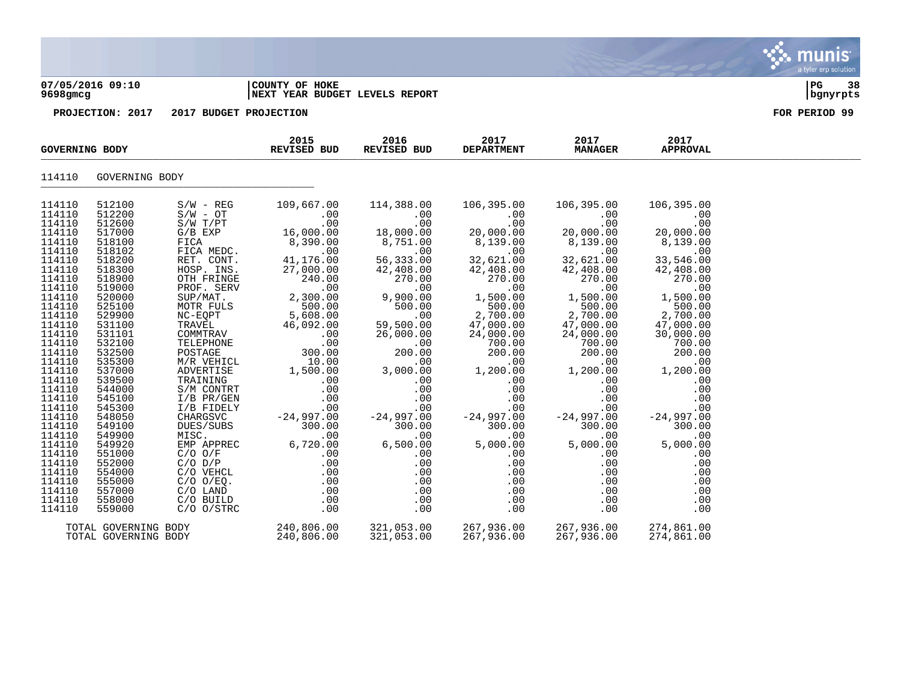#### **07/05/2016 09:10 |COUNTY OF HOKE |PG 38 9698gmcg |NEXT YEAR BUDGET LEVELS REPORT |bgnyrpts**

|                  | REVISED BUD<br><b>GOVERNING BODY</b> |                                                                                                                                                                                                                                                                                                                  | 2015 | 2016<br>REVISED BUD | 2017<br><b>DEPARTMENT</b> | 2017<br><b>MANAGER</b>                                                                               | 2017<br><b>APPROVAL</b> |  |
|------------------|--------------------------------------|------------------------------------------------------------------------------------------------------------------------------------------------------------------------------------------------------------------------------------------------------------------------------------------------------------------|------|---------------------|---------------------------|------------------------------------------------------------------------------------------------------|-------------------------|--|
| 114110           | GOVERNING BODY                       |                                                                                                                                                                                                                                                                                                                  |      |                     |                           |                                                                                                      |                         |  |
| 114110           | 512100                               | $\begin{array}{cccccccc} 8/N & - \, \text{RFC} & 109 \, , 667 \, .00 & 114 \, , 388 \, .00 & 106 \, , 395 \, .00 & 106 \, , 395 \, .00 & 106 \, , 395 \, .00 & 106 \, , 395 \, .00 & 106 \, , 395 \, .00 & 106 \, , 395 \, .00 & 106 \, , 395 \, .00 & 106 \, , 395 \, .00 & 106 \, , 395 \, .00 & 106 \, , 395$ |      |                     |                           |                                                                                                      |                         |  |
| 114110           | 512200                               |                                                                                                                                                                                                                                                                                                                  |      |                     |                           |                                                                                                      |                         |  |
| 114110           | 512600                               |                                                                                                                                                                                                                                                                                                                  |      |                     |                           |                                                                                                      |                         |  |
| 114110           | 517000                               |                                                                                                                                                                                                                                                                                                                  |      |                     |                           |                                                                                                      |                         |  |
| 114110           | 518100                               |                                                                                                                                                                                                                                                                                                                  |      |                     |                           |                                                                                                      |                         |  |
| 114110           | 518102                               |                                                                                                                                                                                                                                                                                                                  |      |                     |                           |                                                                                                      |                         |  |
| 114110           | 518200                               |                                                                                                                                                                                                                                                                                                                  |      |                     |                           |                                                                                                      |                         |  |
| 114110           | 518300                               |                                                                                                                                                                                                                                                                                                                  |      |                     |                           |                                                                                                      |                         |  |
| 114110           | 518900                               |                                                                                                                                                                                                                                                                                                                  |      |                     |                           |                                                                                                      |                         |  |
| 114110<br>114110 | 519000<br>520000                     |                                                                                                                                                                                                                                                                                                                  |      |                     |                           |                                                                                                      |                         |  |
| 114110           | 525100                               |                                                                                                                                                                                                                                                                                                                  |      |                     |                           |                                                                                                      |                         |  |
| 114110           | 529900                               |                                                                                                                                                                                                                                                                                                                  |      |                     |                           |                                                                                                      |                         |  |
| 114110           | 531100                               |                                                                                                                                                                                                                                                                                                                  |      |                     |                           |                                                                                                      |                         |  |
| 114110           | 531101                               |                                                                                                                                                                                                                                                                                                                  |      |                     |                           |                                                                                                      |                         |  |
| 114110           | 532100                               |                                                                                                                                                                                                                                                                                                                  |      |                     |                           |                                                                                                      |                         |  |
| 114110           | 532500                               |                                                                                                                                                                                                                                                                                                                  |      |                     |                           |                                                                                                      |                         |  |
| 114110           | 535300                               |                                                                                                                                                                                                                                                                                                                  |      |                     |                           |                                                                                                      |                         |  |
| 114110           | 537000                               |                                                                                                                                                                                                                                                                                                                  |      |                     |                           |                                                                                                      |                         |  |
| 114110           | 539500                               |                                                                                                                                                                                                                                                                                                                  |      |                     |                           |                                                                                                      |                         |  |
| 114110           | 544000                               |                                                                                                                                                                                                                                                                                                                  |      |                     |                           |                                                                                                      |                         |  |
| 114110           | 545100                               |                                                                                                                                                                                                                                                                                                                  |      |                     |                           |                                                                                                      |                         |  |
| 114110           | 545300                               |                                                                                                                                                                                                                                                                                                                  |      |                     |                           |                                                                                                      |                         |  |
| 114110           | 548050                               |                                                                                                                                                                                                                                                                                                                  |      |                     |                           |                                                                                                      |                         |  |
| 114110           | 549100                               |                                                                                                                                                                                                                                                                                                                  |      |                     |                           |                                                                                                      |                         |  |
| 114110           | 549900                               |                                                                                                                                                                                                                                                                                                                  |      |                     |                           |                                                                                                      |                         |  |
| 114110           | 549920                               |                                                                                                                                                                                                                                                                                                                  |      |                     |                           |                                                                                                      |                         |  |
| 114110           | 551000                               |                                                                                                                                                                                                                                                                                                                  |      |                     |                           |                                                                                                      |                         |  |
| 114110           | 552000                               |                                                                                                                                                                                                                                                                                                                  |      |                     |                           |                                                                                                      |                         |  |
| 114110           | 554000                               |                                                                                                                                                                                                                                                                                                                  |      |                     |                           |                                                                                                      |                         |  |
| 114110           | 555000                               |                                                                                                                                                                                                                                                                                                                  |      |                     |                           |                                                                                                      |                         |  |
| 114110<br>114110 | 557000<br>558000                     |                                                                                                                                                                                                                                                                                                                  |      |                     |                           |                                                                                                      |                         |  |
| 114110           | 559000                               |                                                                                                                                                                                                                                                                                                                  |      |                     |                           | $5,000.00$<br>$0.00$<br>$0.00$<br>$0.00$<br>$0.00$<br>$0.00$<br>$0.00$<br>$0.00$<br>$0.00$<br>$0.00$ |                         |  |
|                  |                                      |                                                                                                                                                                                                                                                                                                                  |      |                     |                           |                                                                                                      |                         |  |
|                  |                                      |                                                                                                                                                                                                                                                                                                                  |      |                     |                           |                                                                                                      |                         |  |
|                  |                                      | TOTAL GOVERNING BODY<br>TOTAL GOVERNING BODY 240,806.00 321,053.00 267,936.00 267,936.00 274,861.00<br>TOTAL GOVERNING BODY 240,806.00 321,053.00 267,936.00 267,936.00 274,861.00                                                                                                                               |      |                     |                           |                                                                                                      |                         |  |

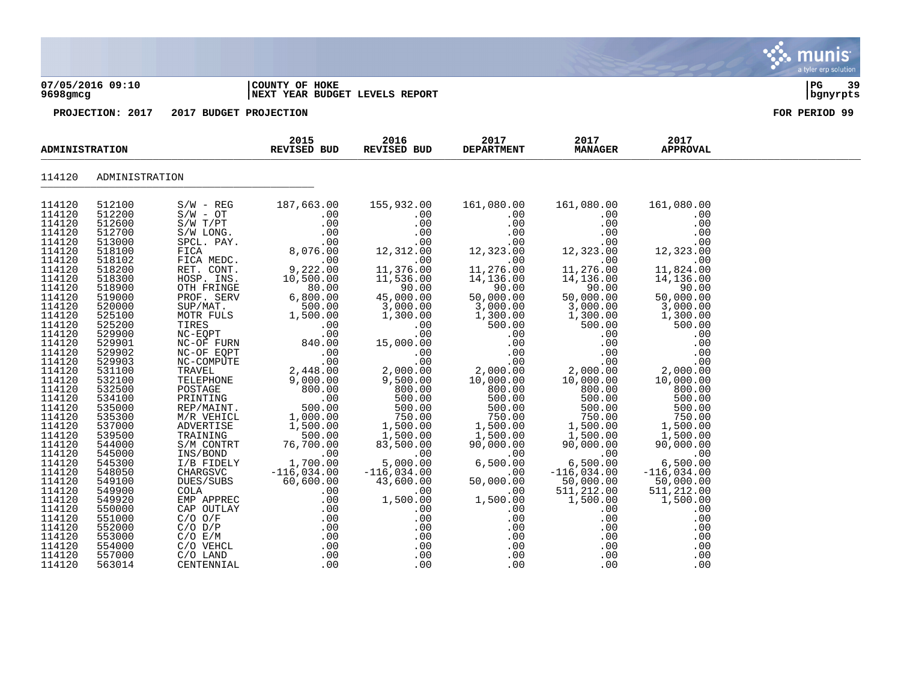#### **07/05/2016 09:10 |COUNTY OF HOKE |PG 39 9698gmcg |NEXT YEAR BUDGET LEVELS REPORT |bgnyrpts**

| <b>ADMINISTRATION</b> |                |                                                            | 2015<br><b>REVISED BUD</b>                                                                                                                                                                             | 2016<br>REVISED BUD                                                                                                       | 2017<br><b>DEPARTMENT</b>                   | 2017<br><b>MANAGER</b>                           | 2017<br><b>APPROVAL</b>                                                                     |  |
|-----------------------|----------------|------------------------------------------------------------|--------------------------------------------------------------------------------------------------------------------------------------------------------------------------------------------------------|---------------------------------------------------------------------------------------------------------------------------|---------------------------------------------|--------------------------------------------------|---------------------------------------------------------------------------------------------|--|
| 114120                | ADMINISTRATION |                                                            |                                                                                                                                                                                                        |                                                                                                                           |                                             |                                                  |                                                                                             |  |
| 114120                | 512100         | $S/W - REG$                                                | 187,663.00                                                                                                                                                                                             | 155,932.00                                                                                                                | 161,080.00                                  | 161,080.00                                       | 161,080.00                                                                                  |  |
| 114120                | 512200         | $S/W - OT$                                                 | .00                                                                                                                                                                                                    | .00                                                                                                                       | .00                                         | .00                                              | .00                                                                                         |  |
| 114120                | 512600         | $S/W$ $T/PT$                                               | .00                                                                                                                                                                                                    | .00                                                                                                                       | .00                                         | .00                                              | .00                                                                                         |  |
| 114120                | 512700         | S/W LONG.                                                  | $\begin{array}{ccc} & & . & 00 & \ & & & . & 00 \ & & & & . & 00 \ & & & & . & 00 \ & & & & & . & 00 \ & & & & & . & 00 \end{array}$                                                                   | $\begin{array}{c} \n 0.00 \\  0.00 \\  0.00 \\  0.00 \\  0.00 \\  0.00 \\  0.00 \\  0.00 \\  0.00 \\  0.00\n \end{array}$ | .00                                         | .00                                              | .00                                                                                         |  |
| 114120                | 513000         | SPCL. PAY.                                                 |                                                                                                                                                                                                        |                                                                                                                           | .00                                         | .00                                              | .00                                                                                         |  |
| 114120                | 518100         | FICA                                                       |                                                                                                                                                                                                        |                                                                                                                           | 12,323.00                                   | 12,323.00                                        | 12,323.00                                                                                   |  |
| 114120                | 518102         | FICA MEDC.                                                 |                                                                                                                                                                                                        |                                                                                                                           | .00                                         | .00                                              | .00                                                                                         |  |
| 114120                | 518200         | RET. CONT.                                                 | 9,222.00                                                                                                                                                                                               |                                                                                                                           | 11,276.00                                   | 11,276.00                                        | 11,824.00                                                                                   |  |
| 114120                | 518300         | HOSP. INS.                                                 | 10,500.00                                                                                                                                                                                              | 11,536.00                                                                                                                 | 14,136.00                                   | 14,136.00                                        |                                                                                             |  |
| 114120                | 518900         | OTH FRINGE                                                 | $\frac{5}{10}$ ,<br>80.00                                                                                                                                                                              | 90.00                                                                                                                     | 90.00<br>50,000.00<br>3,000.00              | $50,000.00$<br>$50,000.00$<br>$3,000.00$         | $14,136.00$<br>90.00<br>50,000.00<br>3,000.00                                               |  |
| 114120                | 519000         | PROF. SERV                                                 | 6,800.00                                                                                                                                                                                               | 45,000.00                                                                                                                 |                                             |                                                  |                                                                                             |  |
| 114120                | 520000         | SUP/MAT.                                                   | 500.00                                                                                                                                                                                                 | 3,000.00                                                                                                                  |                                             |                                                  |                                                                                             |  |
| 114120                | 525100         | MOTR FULS                                                  | 1,500.00                                                                                                                                                                                               | 1,300.00                                                                                                                  | 1,300.00                                    | 1,300.00                                         | 1,300.00                                                                                    |  |
| 114120                | 525200         | TIRES                                                      | .00                                                                                                                                                                                                    | .00                                                                                                                       | 500.00                                      | 500.00                                           | 500.00                                                                                      |  |
| 114120                | 529900         |                                                            | .00                                                                                                                                                                                                    | .00                                                                                                                       | .00                                         | .00                                              | .00                                                                                         |  |
| 114120                | 529901         |                                                            | 840.00                                                                                                                                                                                                 | 15,000.00                                                                                                                 | .00                                         | .00                                              | .00                                                                                         |  |
| 114120                | 529902         | TIRES<br>NC-EQPT<br>NC-OF FURN<br>NC-OF EQPT<br>NC-COMPITE | .00                                                                                                                                                                                                    | .00                                                                                                                       | .00                                         |                                                  |                                                                                             |  |
| 114120                | 529903         | NC-COMPUTE                                                 | $00$ .<br>2,448.00                                                                                                                                                                                     | $00.00$<br>2,000.00                                                                                                       | .00                                         |                                                  | 00 .<br>00 .<br>00 .000 , 2                                                                 |  |
| 114120                | 531100         | TRAVEL                                                     |                                                                                                                                                                                                        |                                                                                                                           | $2,000.00$<br>10,000.00<br>800.00<br>500.00 |                                                  |                                                                                             |  |
| 114120                | 532100         |                                                            | TELEPHONE 9,000.00<br>POSTAGE 900.00<br>PRINTING .00<br>REP/MAINT. 500.00<br>M/R VEHICL 1,000.00                                                                                                       | 9,500.00                                                                                                                  |                                             |                                                  | 10,000.00                                                                                   |  |
| 114120                | 532500         |                                                            |                                                                                                                                                                                                        | 800.00                                                                                                                    |                                             |                                                  | 800.00                                                                                      |  |
| 114120                | 534100         |                                                            |                                                                                                                                                                                                        |                                                                                                                           |                                             |                                                  |                                                                                             |  |
| 114120                | 535000         |                                                            |                                                                                                                                                                                                        |                                                                                                                           |                                             |                                                  |                                                                                             |  |
| 114120                | 535300         |                                                            |                                                                                                                                                                                                        | $\begin{array}{r} 600.00 \\ 500.00 \\ 500.00 \\ 750.00 \\ 1,500.00 \\ 1,500.00 \\ \end{array}$                            |                                             |                                                  | $\begin{array}{r} 500.00 \\ 500.00 \\ 500.00 \\ 750.00 \\ 1,500.00 \\ 1,500.00 \end{array}$ |  |
| 114120                | 537000         | ADVERTISE                                                  | 1,500.00                                                                                                                                                                                               |                                                                                                                           |                                             |                                                  |                                                                                             |  |
| 114120                | 539500         | TRAINING                                                   | 500.00                                                                                                                                                                                                 |                                                                                                                           | 1,500.00<br>1,500.00                        |                                                  |                                                                                             |  |
| 114120                | 544000         | S/M CONTRT                                                 | 76,700.00                                                                                                                                                                                              | 83,500.00                                                                                                                 | 90,000.00                                   |                                                  | 90,000.00                                                                                   |  |
| 114120                | 545000         | INS/BOND                                                   | $\overline{00}$                                                                                                                                                                                        | .00                                                                                                                       |                                             |                                                  | .00                                                                                         |  |
| 114120                | 545300         | I/B FIDELY                                                 | 1,700.00                                                                                                                                                                                               | 5,000.00                                                                                                                  | 6,500.00                                    |                                                  | 6,500.00                                                                                    |  |
| 114120                | 548050         | CHARGSVC                                                   | $-116,034.00$                                                                                                                                                                                          | $-116,034.00$                                                                                                             | .00                                         | $-116,034.00$                                    | $-116,034.00$                                                                               |  |
| 114120                | 549100         | DUES/SUBS                                                  | 60,600.00                                                                                                                                                                                              | 43,600.00                                                                                                                 | 50,000.00                                   | 50,000.00                                        | 50,000.00                                                                                   |  |
| 114120                | 549900         | COLA                                                       | .00                                                                                                                                                                                                    | .00                                                                                                                       | .00                                         | 511,212.00                                       | 511,212.00                                                                                  |  |
| 114120                | 549920         | EMP APPREC                                                 | .00                                                                                                                                                                                                    | 1,500.00                                                                                                                  | 1,500.00                                    | 1,500.00                                         | 1,500.00                                                                                    |  |
| 114120                | 550000         | CAP OUTLAY                                                 |                                                                                                                                                                                                        | .00                                                                                                                       | .00                                         | .00                                              | .00                                                                                         |  |
| 114120                | 551000         | $C/O$ $O/F$                                                |                                                                                                                                                                                                        | .00                                                                                                                       | .00                                         | .00                                              | .00                                                                                         |  |
| 114120                | 552000         | $C/O$ $D/P$                                                |                                                                                                                                                                                                        | .00                                                                                                                       | .00                                         | $\begin{array}{c} .00 \\ .00 \\ .00 \end{array}$ | .00                                                                                         |  |
| 114120                | 553000         | C/O E/M                                                    |                                                                                                                                                                                                        | .00                                                                                                                       | .00                                         |                                                  | .00                                                                                         |  |
| 114120                | 554000         | C/O VEHCL                                                  |                                                                                                                                                                                                        | .00                                                                                                                       | .00                                         |                                                  | .00                                                                                         |  |
| 114120                | 557000         | C/O LAND                                                   |                                                                                                                                                                                                        | .00                                                                                                                       | .00                                         | .00                                              | .00                                                                                         |  |
| 114120                | 563014         | CENTENNIAL                                                 | $\begin{array}{ccccc} \text{SC} & & .00 & & 1,500 \ \text{AY} & & .00 & & & \ 0 & & .00 & & & \ 0 & & .00 & & & \ 0 & & & .00 & & \ 0 & & & .00 & & \ 0 & & & .00 & & \ 0 & & & .00 & & \ \end{array}$ | .00                                                                                                                       | .00                                         | .00                                              | .00                                                                                         |  |

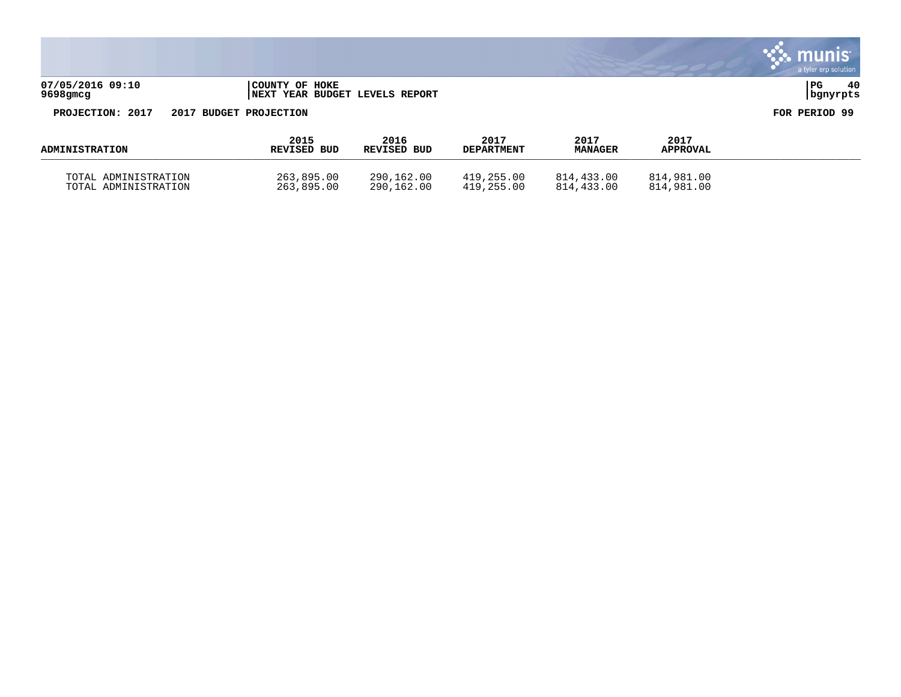|                               |                        |                                        |                           |                        |                         | $\sim$ munis<br>a tyler erp solution |
|-------------------------------|------------------------|----------------------------------------|---------------------------|------------------------|-------------------------|--------------------------------------|
| 07/05/2016 09:10<br>9698gm.cg | COUNTY OF HOKE         | <b>INEXT YEAR BUDGET LEVELS REPORT</b> |                           |                        |                         | 40<br>PG<br>  bgnyrpts               |
| PROJECTION: 2017              | 2017 BUDGET PROJECTION |                                        |                           |                        |                         | FOR PERIOD 99                        |
| <b>ADMINISTRATION</b>         | 2015<br>REVISED BUD    | 2016<br>REVISED BUD                    | 2017<br><b>DEPARTMENT</b> | 2017<br><b>MANAGER</b> | 2017<br><b>APPROVAL</b> |                                      |

 $\mathcal{L}$ 

TOTAL ADMINISTRATION 263,895.00 290,162.00 419,255.00 814,433.00 814,981.00 TOTAL ADMINISTRATION 263,895.00 290,162.00 419,255.00 814,433.00 814,981.00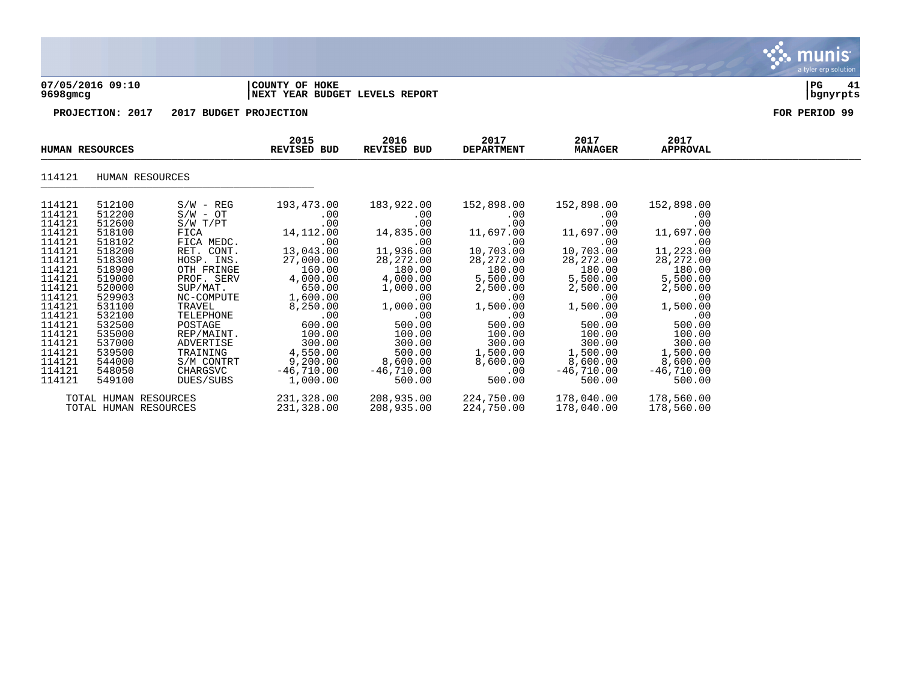

#### **07/05/2016 09:10 |COUNTY OF HOKE |PG 41 9698gmcg |NEXT YEAR BUDGET LEVELS REPORT |bgnyrpts**

**PROJECTION: 2017 2017 BUDGET PROJECTION FOR PERIOD 99**

|        | <b>HUMAN RESOURCES</b> |              | 2015<br>REVISED BUD | 2016<br>REVISED BUD | 2017<br><b>DEPARTMENT</b> | 2017<br><b>MANAGER</b> | 2017<br><b>APPROVAL</b> |  |
|--------|------------------------|--------------|---------------------|---------------------|---------------------------|------------------------|-------------------------|--|
| 114121 | HUMAN RESOURCES        |              |                     |                     |                           |                        |                         |  |
| 114121 | 512100                 | $S/W - REG$  | 193,473.00          | 183,922.00          | 152,898.00                | 152,898.00             | 152,898.00              |  |
| 114121 | 512200                 | $S/W - OT$   | .00                 | .00                 | $.00 \,$                  | $.00 \,$               | .00                     |  |
| 114121 | 512600                 | $S/W$ $T/PT$ | .00                 | .00                 | .00                       | .00                    | .00                     |  |
| 114121 | 518100                 | FICA         | 14,112.00           | 14,835.00           | 11,697.00                 | 11,697.00              | 11,697.00               |  |
| 114121 | 518102                 | FICA MEDC.   | .00                 | .00                 | .00                       | .00                    | .00                     |  |
| 114121 | 518200                 | RET. CONT.   | 13,043.00           | 11,936.00           | 10,703.00                 | 10,703.00              | 11,223.00               |  |
| 114121 | 518300                 | HOSP. INS.   | 27,000.00           | 28, 272.00          | 28,272.00                 | 28,272.00              | 28, 272.00              |  |
| 114121 | 518900                 | OTH FRINGE   | 160.00              | 180.00              | 180.00                    | 180.00                 | 180.00                  |  |
| 114121 | 519000                 | PROF. SERV   | 4,000.00            | 4,000.00            | 5,500.00                  | 5,500.00               | 5,500.00                |  |
| 114121 | 520000                 | SUP/MAT.     | 650.00              | 1,000.00            | 2,500.00                  | 2,500.00               | 2,500.00                |  |
| 114121 | 529903                 | NC-COMPUTE   | 1,600.00            | .00                 | .00                       | $.00 \,$               | .00                     |  |
| 114121 | 531100                 | TRAVEL       | 8,250.00            | 1,000.00            | 1,500.00                  | 1,500.00               | 1,500.00                |  |
| 114121 | 532100                 | TELEPHONE    | .00                 | $.00 \,$            | .00                       | .00                    | .00                     |  |
| 114121 | 532500                 | POSTAGE      | 600.00              | 500.00              | 500.00                    | 500.00                 | 500.00                  |  |
| 114121 | 535000                 | REP/MAINT.   | 100.00              | 100.00              | 100.00                    | 100.00                 | 100.00                  |  |
| 114121 | 537000                 | ADVERTISE    | 300.00              | 300.00              | 300.00                    | 300.00                 | 300.00                  |  |
| 114121 | 539500                 | TRAINING     | 4,550.00            | 500.00              | 1,500.00                  | 1,500.00               | 1,500.00                |  |
| 114121 | 544000                 | S/M CONTRT   | 9,200.00            | 8,600.00            | 8,600.00                  | 8,600.00               | 8,600.00                |  |
| 114121 | 548050                 | CHARGSVC     | $-46,710.00$        | $-46,710.00$        | .00                       | $-46,710.00$           | $-46,710.00$            |  |
| 114121 | 549100                 | DUES/SUBS    | 1,000.00            | 500.00              | 500.00                    | 500.00                 | 500.00                  |  |
|        | TOTAL HUMAN RESOURCES  |              | 231,328.00          | 208,935.00          | 224,750.00                | 178,040.00             | 178,560.00              |  |
|        | TOTAL HUMAN RESOURCES  |              | 231,328.00          | 208,935.00          | 224,750.00                | 178,040.00             | 178,560.00              |  |

munis a tyler erp solution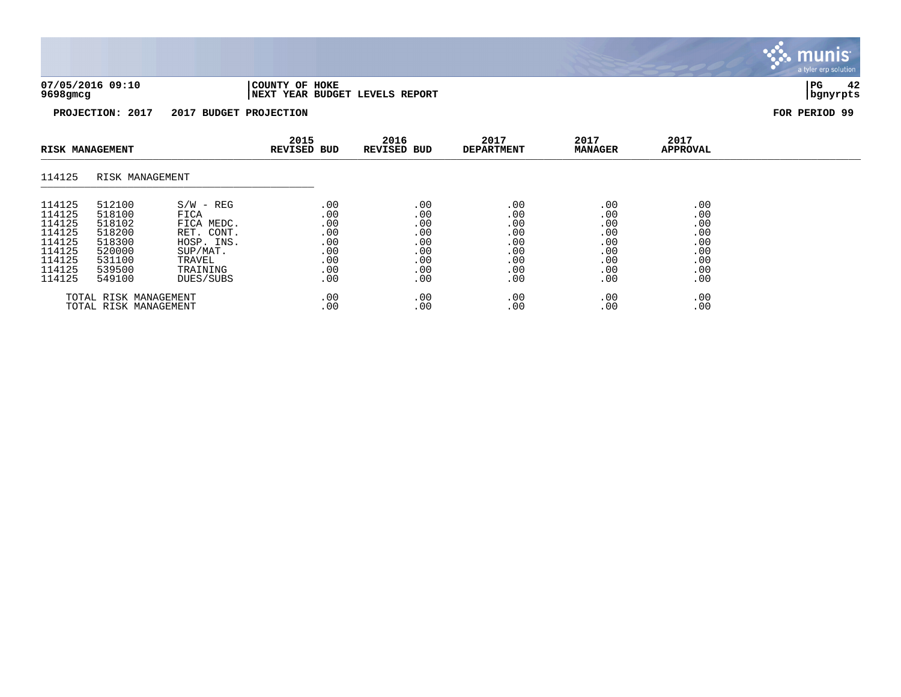

munis a tyler erp solution

| <b>RISK MANAGEMENT</b> |                 | 2015<br>REVISED BUD | 2016<br>REVISED BUD | 2017<br><b>DEPARTMENT</b> | 2017<br><b>MANAGER</b> | 2017<br><b>APPROVAL</b> |     |  |
|------------------------|-----------------|---------------------|---------------------|---------------------------|------------------------|-------------------------|-----|--|
| 114125                 | RISK MANAGEMENT |                     |                     |                           |                        |                         |     |  |
| 114125                 | 512100          | $S/W - REG$         | .00                 | .00                       | .00                    | .00                     | .00 |  |
| 114125                 | 518100          | FICA                | .00                 | .00                       | .00                    | .00                     | .00 |  |
| 114125                 | 518102          | FICA MEDC.          | .00                 | .00                       | .00                    | .00                     | .00 |  |
| 114125                 | 518200          | RET. CONT.          | .00                 | .00                       | .00                    | .00                     | .00 |  |
| 114125                 | 518300          | HOSP. INS.          | .00                 | .00                       | .00                    | .00                     | .00 |  |
| 114125                 | 520000          | SUP/MAT.            | .00                 | .00                       | .00                    | .00                     | .00 |  |
| 114125                 | 531100          | TRAVEL              | .00                 | .00                       | .00                    | .00                     | .00 |  |
| 114125                 | 539500          | TRAINING            | .00                 | .00                       | .00                    | .00                     | .00 |  |
| 114125                 | 549100          | DUES/SUBS           | .00                 | .00                       | .00                    | .00                     | .00 |  |
| TOTAL RISK MANAGEMENT  |                 | .00                 | .00                 | .00                       | .00                    | .00                     |     |  |
| TOTAL RISK MANAGEMENT  |                 | .00                 | .00                 | .00                       | .00                    | .00                     |     |  |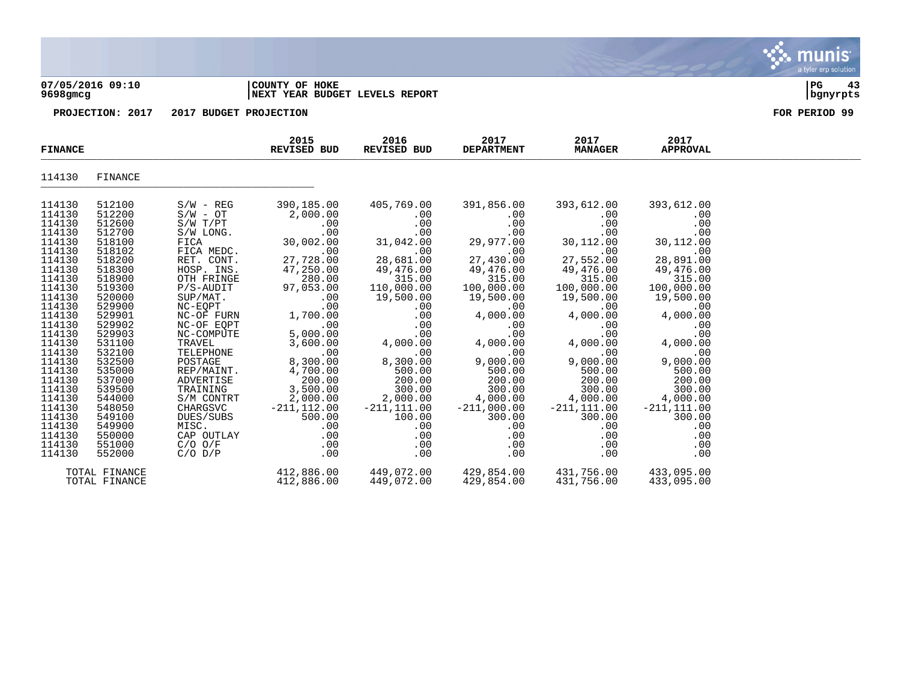#### **07/05/2016 09:10 |COUNTY OF HOKE |PG 43 9698gmcg |NEXT YEAR BUDGET LEVELS REPORT |bgnyrpts**

| <b>FINANCE</b>                                                                                                                                                                                                                                         |                                                                                                                                                                                                                                                        |                                                                                                                                                                                                                                                                                                                                 | 2015<br>REVISED BUD                                                                                                                                                                                                                                                         | 2016<br>REVISED BUD                                                                                                                                                                                                                                        | 2017<br><b>DEPARTMENT</b>                                                                                                                                                                                                                                      | 2017<br><b>MANAGER</b>                                                                                                                                                                                                                                          | 2017<br><b>APPROVAL</b>                                                                                                                                                                                                                                         |  |
|--------------------------------------------------------------------------------------------------------------------------------------------------------------------------------------------------------------------------------------------------------|--------------------------------------------------------------------------------------------------------------------------------------------------------------------------------------------------------------------------------------------------------|---------------------------------------------------------------------------------------------------------------------------------------------------------------------------------------------------------------------------------------------------------------------------------------------------------------------------------|-----------------------------------------------------------------------------------------------------------------------------------------------------------------------------------------------------------------------------------------------------------------------------|------------------------------------------------------------------------------------------------------------------------------------------------------------------------------------------------------------------------------------------------------------|----------------------------------------------------------------------------------------------------------------------------------------------------------------------------------------------------------------------------------------------------------------|-----------------------------------------------------------------------------------------------------------------------------------------------------------------------------------------------------------------------------------------------------------------|-----------------------------------------------------------------------------------------------------------------------------------------------------------------------------------------------------------------------------------------------------------------|--|
| 114130                                                                                                                                                                                                                                                 | FINANCE                                                                                                                                                                                                                                                |                                                                                                                                                                                                                                                                                                                                 |                                                                                                                                                                                                                                                                             |                                                                                                                                                                                                                                                            |                                                                                                                                                                                                                                                                |                                                                                                                                                                                                                                                                 |                                                                                                                                                                                                                                                                 |  |
| 114130<br>114130<br>114130<br>114130<br>114130<br>114130<br>114130<br>114130<br>114130<br>114130<br>114130<br>114130<br>114130<br>114130<br>114130<br>114130<br>114130<br>114130<br>114130<br>114130<br>114130<br>114130<br>114130<br>114130<br>114130 | 512100<br>512200<br>512600<br>512700<br>518100<br>518102<br>518200<br>518300<br>518900<br>519300<br>520000<br>529900<br>529901<br>529902<br>529903<br>531100<br>532100<br>532500<br>535000<br>537000<br>539500<br>544000<br>548050<br>549100<br>549900 | $S/W - REG$<br>$S/W - OT$<br>$S/W$ $T/PT$<br>S/W LONG.<br>FICA<br>FICA MEDC.<br>RET. CONT.<br>HOSP. INS.<br>OTH FRINGE<br>P/S-AUDIT<br>SUP/MAT.<br>$NC-EQPT$<br>NC-OF FURN<br>NC-OF EQPT<br>NC-COMPUTE<br>TRAVEL<br>TELEPHONE<br>POSTAGE<br>REP/MAINT.<br>ADVERTISE<br>TRAINING<br>S/M CONTRT<br>CHARGSVC<br>DUES/SUBS<br>MISC. | 390,185.00<br>2,000.00<br>$.00 \,$<br>.00<br>30,002.00<br>.00<br>27,728.00<br>47,250.00<br>280.00<br>97,053.00<br>.00<br>.00<br>1,700.00<br>.00<br>5,000.00<br>3,600.00<br>.00<br>8,300.00<br>4,700.00<br>200.00<br>3,500.00<br>2,000.00<br>$-211, 112.00$<br>500.00<br>.00 | 405,769.00<br>.00<br>.00<br>.00<br>31,042.00<br>.00<br>28,681.00<br>49,476.00<br>315.00<br>110,000.00<br>19,500.00<br>.00<br>.00<br>.00<br>.00<br>4,000.00<br>.00<br>8,300.00<br>500.00<br>200.00<br>300.00<br>2,000.00<br>$-211, 111.00$<br>100.00<br>.00 | 391,856.00<br>.00<br>.00<br>.00<br>29,977.00<br>.00<br>27,430.00<br>49,476.00<br>315.00<br>100,000.00<br>19,500.00<br>.00<br>4,000.00<br>.00<br>.00<br>4,000.00<br>.00<br>9,000.00<br>500.00<br>200.00<br>300.00<br>4,000.00<br>$-211,000.00$<br>300.00<br>.00 | 393,612.00<br>.00<br>.00<br>.00<br>30,112.00<br>.00<br>27,552.00<br>49,476.00<br>315.00<br>100,000.00<br>19,500.00<br>.00<br>4,000.00<br>.00<br>.00<br>4,000.00<br>.00<br>9,000.00<br>500.00<br>200.00<br>300.00<br>4,000.00<br>$-211, 111.00$<br>300.00<br>.00 | 393,612.00<br>.00<br>.00<br>.00<br>30,112.00<br>.00<br>28,891.00<br>49,476.00<br>315.00<br>100,000.00<br>19,500.00<br>.00<br>4,000.00<br>.00<br>.00<br>4,000.00<br>.00<br>9,000.00<br>500.00<br>200.00<br>300.00<br>4,000.00<br>$-211, 111.00$<br>300.00<br>.00 |  |
| 114130<br>114130<br>114130                                                                                                                                                                                                                             | 550000<br>551000<br>552000                                                                                                                                                                                                                             | CAP OUTLAY<br>$C/O$ $O/F$<br>$C/O$ $D/P$                                                                                                                                                                                                                                                                                        | .00<br>.00<br>.00                                                                                                                                                                                                                                                           | .00<br>$.00 \,$<br>.00                                                                                                                                                                                                                                     | .00<br>$.00 \,$<br>.00                                                                                                                                                                                                                                         | .00<br>$.00 \,$<br>.00                                                                                                                                                                                                                                          | .00<br>.00<br>.00                                                                                                                                                                                                                                               |  |
|                                                                                                                                                                                                                                                        | TOTAL FINANCE<br>TOTAL FINANCE                                                                                                                                                                                                                         |                                                                                                                                                                                                                                                                                                                                 | 412,886.00<br>412,886.00                                                                                                                                                                                                                                                    | 449,072.00<br>449,072.00                                                                                                                                                                                                                                   | 429,854.00<br>429,854.00                                                                                                                                                                                                                                       | 431,756.00<br>431,756.00                                                                                                                                                                                                                                        | 433,095.00<br>433,095.00                                                                                                                                                                                                                                        |  |

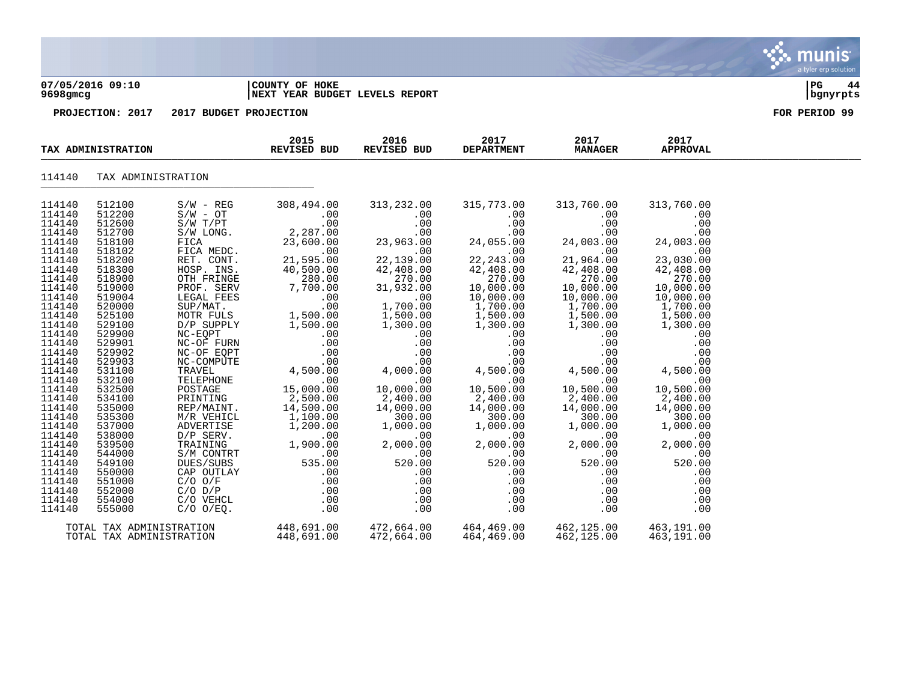#### **07/05/2016 09:10 |COUNTY OF HOKE |PG 44 9698gmcg |NEXT YEAR BUDGET LEVELS REPORT |bgnyrpts**

|                                                                                                                                                                                                                                                        | TAX ADMINISTRATION                                                                                                                                                                                                                                     |                                                                                                                                                                                                                                                                                                                                    | 2015<br>2016<br>REVISED BUD<br>REVISED BUD                                                                                                                                                                                                                                       |                                                                                                                                                                                                                                                                                                | 2017<br><b>DEPARTMENT</b>                                                                                                                                                                                                                                                           | 2017<br><b>MANAGER</b>                                                                                                                                                                                                                                                                                              | 2017<br><b>APPROVAL</b>                                                                                                                                                                                                                                          |  |
|--------------------------------------------------------------------------------------------------------------------------------------------------------------------------------------------------------------------------------------------------------|--------------------------------------------------------------------------------------------------------------------------------------------------------------------------------------------------------------------------------------------------------|------------------------------------------------------------------------------------------------------------------------------------------------------------------------------------------------------------------------------------------------------------------------------------------------------------------------------------|----------------------------------------------------------------------------------------------------------------------------------------------------------------------------------------------------------------------------------------------------------------------------------|------------------------------------------------------------------------------------------------------------------------------------------------------------------------------------------------------------------------------------------------------------------------------------------------|-------------------------------------------------------------------------------------------------------------------------------------------------------------------------------------------------------------------------------------------------------------------------------------|---------------------------------------------------------------------------------------------------------------------------------------------------------------------------------------------------------------------------------------------------------------------------------------------------------------------|------------------------------------------------------------------------------------------------------------------------------------------------------------------------------------------------------------------------------------------------------------------|--|
| 114140                                                                                                                                                                                                                                                 | TAX ADMINISTRATION                                                                                                                                                                                                                                     |                                                                                                                                                                                                                                                                                                                                    |                                                                                                                                                                                                                                                                                  |                                                                                                                                                                                                                                                                                                |                                                                                                                                                                                                                                                                                     |                                                                                                                                                                                                                                                                                                                     |                                                                                                                                                                                                                                                                  |  |
| 114140<br>114140<br>114140<br>114140<br>114140<br>114140<br>114140<br>114140<br>114140<br>114140<br>114140<br>114140<br>114140<br>114140<br>114140<br>114140<br>114140<br>114140<br>114140<br>114140<br>114140<br>114140<br>114140<br>114140<br>114140 | 512100<br>512200<br>512600<br>512700<br>518100<br>518102<br>518200<br>518300<br>518900<br>519000<br>519004<br>520000<br>525100<br>529100<br>529900<br>529901<br>529902<br>529903<br>531100<br>532100<br>532500<br>534100<br>535000<br>535300<br>537000 | $S/W - REG$<br>$S/W - OT$<br>$S/W$ $T/PT$<br>S/W LONG.<br>FICA<br>FICA MEDC.<br>RET. CONT.<br>HOSP. INS.<br>OTH FRINGE<br>PROF. SERV<br>LEGAL FEES<br>SUP/MAT.<br>D/P SUPPLY<br>$NC-EQPT$<br>NC-OF FURN<br>NC-OF EQPT<br>NC-COMPUTE<br>TRAVEL<br>TELEPHONE<br>POSTAGE<br>PRINTING<br>REP/MAINT.<br>veniCL<br>ADVERTISE<br>D/P SEPV | 308,494.00<br>.00<br>.00<br>2,287.00<br>23,600.00<br>.00<br>21,595.00<br>40,500.00<br>280.00<br>7,700.00<br>.00<br>.00<br>MOTR FULS 1,500.00<br>1,500.00<br>.00<br>.00<br>$00$<br>00.<br>4,500.00<br>00<br>.00<br>15,000.00<br>$\overline{)14,500.00}$ .<br>1,100.00<br>1,200.00 | 313,232.00<br>.00<br>.00<br>.00<br>23,963.00<br>.00<br>22,139.00<br>42,408.00<br>270.00<br>31,932.00<br>.00<br>00.<br>1,700.00<br>1,500.00<br>1,300.00<br>.00<br>.00<br>$00$<br>.00<br>.00<br>.00<br>.00<br>.00<br>4,000.00<br>.00<br>10,000.00<br>2,400.00<br>14,000.00<br>300.00<br>1,000.00 | 315,773.00<br>.00<br>.00<br>.00<br>24,055.00<br>.00<br>22, 243.00<br>42,408.00<br>270.00<br>10,000.00<br>10,000.00<br>$1,700.00$<br>$1,700.00$<br>1,500.00<br>1,300.00<br>.00<br>.00<br>.00<br>.00<br>4,500.00<br>.00<br>10,500.00<br>$2,400.00$<br>14,000.00<br>300.00<br>1,000.00 | 313,760.00<br>.00<br>.00<br>.00<br>$\begin{array}{c} 24 \\ 21 \\ 42 \end{array}$<br>24,003.00<br>.00<br>21,964.00<br>42,408.00<br>270.00<br>10,000.00<br>$10,000.00$<br>1,700.00<br>1,500.00<br>1,300.00<br>.00<br>.00<br>.00<br>.00<br>4,500.00<br>.00<br>10,500.00<br>2,400.00<br>14,000.00<br>300.00<br>1,000.00 | 313,760.00<br>.00<br>.00<br>.00<br>24,003.00<br>.00<br>23,030.00<br>42,408.00<br>270.00<br>10,000.00<br>10,000.00<br>1,700.00<br>1,500.00<br>1,300.00<br>.00<br>.00<br>.00<br>.00<br>4,500.00<br>.00<br>10,500.00<br>2,400.00<br>14,000.00<br>300.00<br>1,000.00 |  |
| 114140<br>114140<br>114140<br>114140<br>114140<br>114140<br>114140<br>114140<br>114140                                                                                                                                                                 | 538000<br>539500<br>544000<br>549100<br>550000<br>551000<br>552000<br>554000<br>555000                                                                                                                                                                 | D/P SERV.<br>TRAINING<br>S/M CONTRT<br>DUES/SUBS<br>CAP OUTLAY<br>$C/O$ $O/F$<br>$C/O$ $D/P$<br>C/O VEHCL<br>$C/O$ $O/EO$ .                                                                                                                                                                                                        | .00<br>1,900.00<br>.00<br>535.00<br>.00<br>.00<br>$\overline{00}$<br>$\begin{array}{c} 0.00 \\ -0.00 \end{array}$                                                                                                                                                                | .00<br>2,000.00<br>.00<br>520.00<br>.00<br>.00<br>.00<br>.00<br>.00                                                                                                                                                                                                                            | .00<br>2,000.00<br>.00<br>520.00<br>.00<br>.00<br>.00<br>.00<br>.00                                                                                                                                                                                                                 | .00<br>2,000.00<br>.00<br>520.00<br>.00<br>.00<br>.00<br>.00<br>.00                                                                                                                                                                                                                                                 | .00<br>2,000.00<br>.00<br>520.00<br>.00<br>.00<br>.00<br>.00<br>.00                                                                                                                                                                                              |  |
|                                                                                                                                                                                                                                                        | TOTAL TAX ADMINISTRATION                                                                                                                                                                                                                               | TOTAL TAX ADMINISTRATION                                                                                                                                                                                                                                                                                                           | 448,691.00<br>448,691.00                                                                                                                                                                                                                                                         | $472,664.00$ $464,469.00$ $462,125.00$ $463,191.00$<br>472,664.00                                                                                                                                                                                                                              | 464,469.00                                                                                                                                                                                                                                                                          | 462,125.00                                                                                                                                                                                                                                                                                                          | 463,191.00                                                                                                                                                                                                                                                       |  |

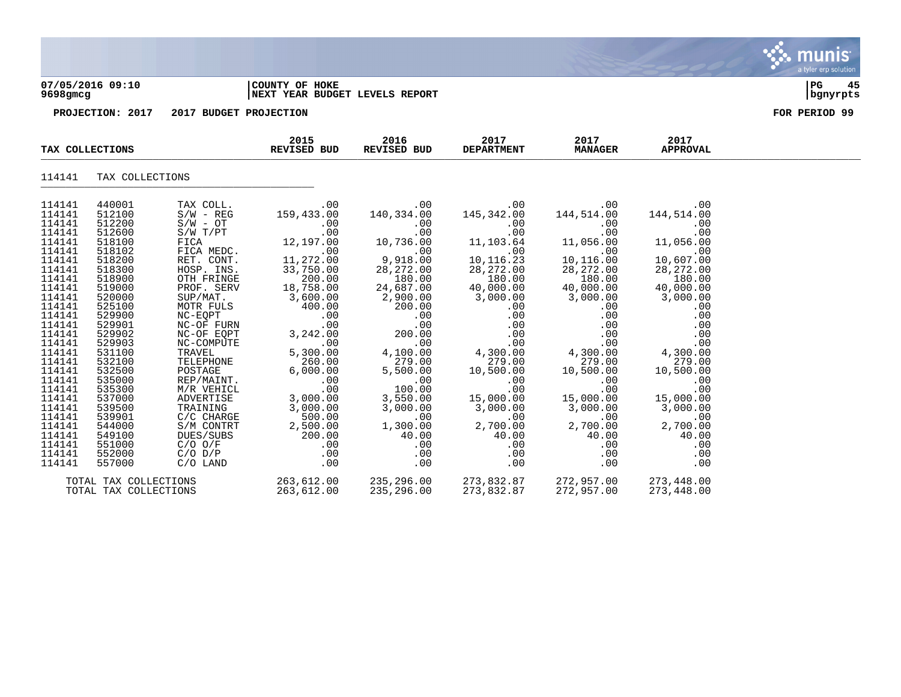|                  | 07/05/2016 09:10<br>9698gmcg |                          | COUNTY OF HOKE<br>NEXT YEAR BUDGET LEVELS REPORT |                     |                           |                        |                         | 45<br>l PG<br>  bgnyrpts |
|------------------|------------------------------|--------------------------|--------------------------------------------------|---------------------|---------------------------|------------------------|-------------------------|--------------------------|
|                  | PROJECTION: 2017             | 2017 BUDGET PROJECTION   |                                                  |                     |                           |                        |                         | FOR PERIOD 99            |
|                  | TAX COLLECTIONS              |                          | 2015<br>REVISED BUD                              | 2016<br>REVISED BUD | 2017<br><b>DEPARTMENT</b> | 2017<br><b>MANAGER</b> | 2017<br><b>APPROVAL</b> |                          |
| 114141           | TAX COLLECTIONS              |                          |                                                  |                     |                           |                        |                         |                          |
| 114141<br>114141 | 440001<br>512100             | TAX COLL.<br>$S/W - REG$ | .00<br>159,433.00                                | .00<br>140,334.00   | .00<br>145,342.00         | .00<br>144,514.00      | .00<br>144,514.00       |                          |
| 114141           | 512200                       | $S/W - OT$               | .00                                              | .00                 | .00                       | .00                    | .00                     |                          |
| 114141           | 512600                       | $S/W$ $T/PT$             | .00                                              | .00                 | .00                       | .00                    | .00                     |                          |
| 114141           | 518100                       | FICA                     | 12,197.00                                        | 10,736.00           | 11,103.64                 | 11,056.00              | 11,056.00               |                          |
| 114141           | 518102                       | FICA MEDC.               | .00                                              | .00                 | .00                       | .00                    | .00                     |                          |
| 114141           | 518200                       | RET. CONT.               | 11,272.00                                        | 9,918.00            | 10,116.23                 | 10,116.00              | 10,607.00               |                          |
| 114141           | 518300                       | HOSP. INS.               | 33,750.00                                        | 28,272.00           | 28, 272.00                | 28,272.00              | 28, 272.00              |                          |

| 114141 | 440001                | TAX COLL.   | .00        | .00        | .00        | .00        | .00        |
|--------|-----------------------|-------------|------------|------------|------------|------------|------------|
| 114141 | 512100                | $S/W - REG$ | 159,433.00 | 140,334.00 | 145,342.00 | 144,514.00 | 144,514.00 |
| 114141 | 512200                | $S/W - OT$  | .00        | .00        | .00        | .00        | .00        |
| 114141 | 512600                | S/W T/PT    | .00        | .00        | .00        | .00        | .00        |
| 114141 | 518100                | FICA        | 12,197.00  | 10,736.00  | 11,103.64  | 11,056.00  | 11,056.00  |
| 114141 | 518102                | FICA MEDC.  | .00        | .00        | .00        | .00        | .00        |
| 114141 | 518200                | RET. CONT.  | 11,272.00  | 9,918.00   | 10, 116.23 | 10,116.00  | 10,607.00  |
| 114141 | 518300                | HOSP. INS.  | 33,750.00  | 28, 272.00 | 28, 272.00 | 28, 272.00 | 28, 272.00 |
| 114141 | 518900                | OTH FRINGE  | 200.00     | 180.00     | 180.00     | 180.00     | 180.00     |
| 114141 | 519000                | PROF. SERV  | 18,758.00  | 24,687.00  | 40,000.00  | 40,000.00  | 40,000.00  |
| 114141 | 520000                | SUP/MAT.    | 3,600.00   | 2,900.00   | 3,000.00   | 3,000.00   | 3,000.00   |
| 114141 | 525100                | MOTR FULS   | 400.00     | 200.00     | .00        | .00        | .00        |
| 114141 | 529900                | NC-EOPT     | .00        | .00        | .00        | .00        | .00        |
| 114141 | 529901                | NC-OF FURN  | .00        | .00        | $.00 \,$   | .00        | .00        |
| 114141 | 529902                | NC-OF EQPT  | 3,242.00   | 200.00     | .00        | .00        | .00        |
| 114141 | 529903                | NC-COMPUTE  | .00        | .00        | .00        | .00        | .00        |
| 114141 | 531100                | TRAVEL      | 5,300.00   | 4,100.00   | 4,300.00   | 4,300.00   | 4,300.00   |
| 114141 | 532100                | TELEPHONE   | 260.00     | 279.00     | 279.00     | 279.00     | 279.00     |
| 114141 | 532500                | POSTAGE     | 6,000.00   | 5,500.00   | 10,500.00  | 10,500.00  | 10,500.00  |
| 114141 | 535000                | REP/MAINT.  | .00        | .00        | .00        | .00        | .00        |
| 114141 | 535300                | M/R VEHICL  | .00        | 100.00     | .00        | .00        | .00        |
| 114141 | 537000                | ADVERTISE   | 3,000.00   | 3,550.00   | 15,000.00  | 15,000.00  | 15,000.00  |
| 114141 | 539500                | TRAINING    | 3,000.00   | 3,000.00   | 3,000.00   | 3,000.00   | 3,000.00   |
| 114141 | 539901                | C/C CHARGE  | 500.00     | .00        | .00        | .00        | .00        |
| 114141 | 544000                | S/M CONTRT  | 2,500.00   | 1,300.00   | 2,700.00   | 2,700.00   | 2,700.00   |
| 114141 | 549100                | DUES/SUBS   | 200.00     | 40.00      | 40.00      | 40.00      | 40.00      |
| 114141 | 551000                | $C/O$ $O/F$ | .00        | .00        | $.00 \,$   | .00        | .00        |
| 114141 | 552000                | $C/O$ $D/P$ | $.00 \,$   | .00        | $.00 \,$   | .00        | .00        |
| 114141 | 557000                | $C/O$ LAND  | .00        | .00        | .00        | .00        | .00        |
|        | TOTAL TAX COLLECTIONS |             | 263,612.00 | 235,296.00 | 273,832.87 | 272,957.00 | 273,448.00 |
|        | TOTAL TAX COLLECTIONS |             | 263,612.00 | 235,296.00 | 273,832.87 | 272,957.00 | 273,448.00 |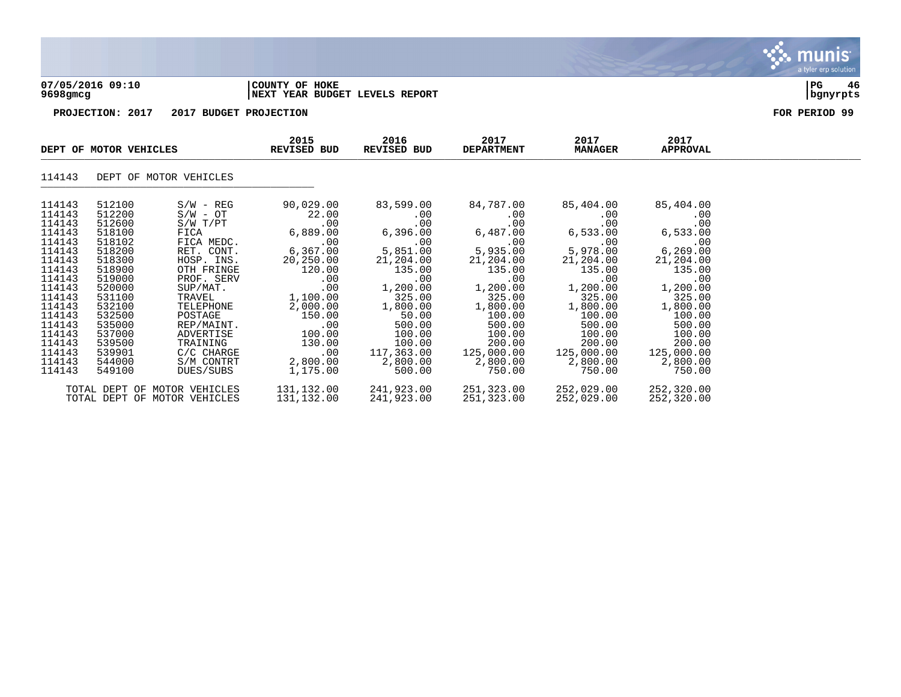

### **07/05/2016 09:10 |COUNTY OF HOKE |PG 46 9698gmcg |NEXT YEAR BUDGET LEVELS REPORT |bgnyrpts**

|                                                                                                                                                              | DEPT OF MOTOR VEHICLES                                                                                                                                       |                                                                                                                                                                                                                                  | 2015<br>REVISED BUD                                                                                                                                        | 2016<br>REVISED BUD                                                                                                                                           | 2017<br><b>DEPARTMENT</b>                                                                                                                                      | 2017<br><b>MANAGER</b>                                                                                                                                         | 2017<br>APPROVAL                                                                                                                                                |  |
|--------------------------------------------------------------------------------------------------------------------------------------------------------------|--------------------------------------------------------------------------------------------------------------------------------------------------------------|----------------------------------------------------------------------------------------------------------------------------------------------------------------------------------------------------------------------------------|------------------------------------------------------------------------------------------------------------------------------------------------------------|---------------------------------------------------------------------------------------------------------------------------------------------------------------|----------------------------------------------------------------------------------------------------------------------------------------------------------------|----------------------------------------------------------------------------------------------------------------------------------------------------------------|-----------------------------------------------------------------------------------------------------------------------------------------------------------------|--|
| 114143                                                                                                                                                       |                                                                                                                                                              | DEPT OF MOTOR VEHICLES                                                                                                                                                                                                           |                                                                                                                                                            |                                                                                                                                                               |                                                                                                                                                                |                                                                                                                                                                |                                                                                                                                                                 |  |
| 114143<br>114143<br>114143<br>114143<br>114143<br>114143<br>114143<br>114143<br>114143<br>114143<br>114143<br>114143<br>114143<br>114143<br>114143<br>114143 | 512100<br>512200<br>512600<br>518100<br>518102<br>518200<br>518300<br>518900<br>519000<br>520000<br>531100<br>532100<br>532500<br>535000<br>537000<br>539500 | $S/W - REG$<br>$\texttt{S/W}$ - $\texttt{OT}$<br>$S/W$ $T/PT$<br>FICA<br>FICA MEDC.<br>RET. CONT.<br>HOSP. INS.<br>OTH FRINGE<br>PROF. SERV<br>SUP/MAT.<br>TRAVEL<br>TELEPHONE<br>POSTAGE<br>REP/MAINT.<br>ADVERTISE<br>TRAINING | 90,029.00<br>22.00<br>.00<br>6,889.00<br>.00<br>6,367.00<br>20,250.00<br>120.00<br>.00<br>.00<br>1,100.00<br>2,000.00<br>150.00<br>.00<br>100.00<br>130.00 | 83,599.00<br>.00<br>.00<br>6,396.00<br>.00<br>5,851.00<br>21,204.00<br>135.00<br>.00<br>1,200.00<br>325.00<br>1,800.00<br>50.00<br>500.00<br>100.00<br>100.00 | 84,787.00<br>.00<br>.00<br>6,487.00<br>.00<br>5,935.00<br>21,204.00<br>135.00<br>.00<br>1,200.00<br>325.00<br>1,800.00<br>100.00<br>500.00<br>100.00<br>200.00 | 85,404.00<br>.00<br>.00<br>6,533.00<br>.00<br>5,978.00<br>21,204.00<br>135.00<br>.00<br>1,200.00<br>325.00<br>1,800.00<br>100.00<br>500.00<br>100.00<br>200.00 | 85,404.00<br>.00<br>.00<br>6,533.00<br>.00<br>6, 269.00<br>21,204.00<br>135.00<br>.00<br>1,200.00<br>325.00<br>1,800.00<br>100.00<br>500.00<br>100.00<br>200.00 |  |
| 114143<br>114143<br>114143                                                                                                                                   | 539901<br>544000<br>549100                                                                                                                                   | C/C CHARGE<br>S/M CONTRT<br>DUES/SUBS                                                                                                                                                                                            | $.00 \,$<br>2,800.00<br>1,175.00                                                                                                                           | 117,363.00<br>2,800.00<br>500.00                                                                                                                              | 125,000.00<br>2,800.00<br>750.00                                                                                                                               | 125,000.00<br>2,800.00<br>750.00                                                                                                                               | 125,000.00<br>2,800.00<br>750.00                                                                                                                                |  |
|                                                                                                                                                              |                                                                                                                                                              | TOTAL DEPT OF MOTOR VEHICLES<br>TOTAL DEPT OF MOTOR VEHICLES                                                                                                                                                                     | 131,132.00<br>131,132.00                                                                                                                                   | 241,923.00<br>241,923.00                                                                                                                                      | 251,323.00<br>251,323.00                                                                                                                                       | 252,029.00<br>252,029.00                                                                                                                                       | 252,320.00<br>252,320.00                                                                                                                                        |  |

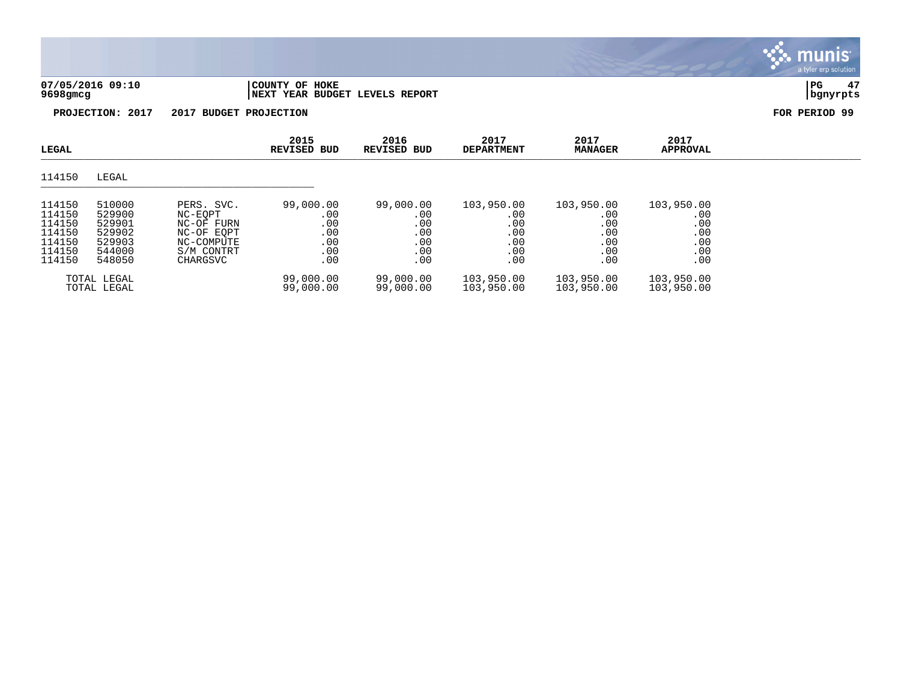### **07/05/2016 09:10 |COUNTY OF HOKE |PG 47 9698gmcg |NEXT YEAR BUDGET LEVELS REPORT |bgnyrpts**

a tyler erp solution

munis

| LEGAL                                                              |                                                                    |                                                                                           | 2015<br><b>REVISED BUD</b>                          | 2016<br><b>REVISED BUD</b>                          | 2017<br><b>DEPARTMENT</b>                            | 2017<br><b>MANAGER</b>                               | 2017<br><b>APPROVAL</b>                              |  |
|--------------------------------------------------------------------|--------------------------------------------------------------------|-------------------------------------------------------------------------------------------|-----------------------------------------------------|-----------------------------------------------------|------------------------------------------------------|------------------------------------------------------|------------------------------------------------------|--|
| 114150                                                             | LEGAL                                                              |                                                                                           |                                                     |                                                     |                                                      |                                                      |                                                      |  |
| 114150<br>114150<br>114150<br>114150<br>114150<br>114150<br>114150 | 510000<br>529900<br>529901<br>529902<br>529903<br>544000<br>548050 | PERS. SVC.<br>NC-EOPT<br>NC-OF FURN<br>NC-OF EOPT<br>NC-COMPUTE<br>S/M CONTRT<br>CHARGSVC | 99,000.00<br>.00<br>.00<br>.00<br>.00<br>.00<br>.00 | 99,000.00<br>.00<br>.00<br>.00<br>.00<br>.00<br>.00 | 103,950.00<br>.00<br>.00<br>.00<br>.00<br>.00<br>.00 | 103,950.00<br>.00<br>.00<br>.00<br>.00<br>.00<br>.00 | 103,950.00<br>.00<br>.00<br>.00<br>.00<br>.00<br>.00 |  |
|                                                                    | TOTAL LEGAL<br>TOTAL LEGAL                                         |                                                                                           | 99,000.00<br>99,000.00                              | 99,000.00<br>99,000.00                              | 103,950.00<br>103,950.00                             | 103,950.00<br>103,950.00                             | 103,950.00<br>103,950.00                             |  |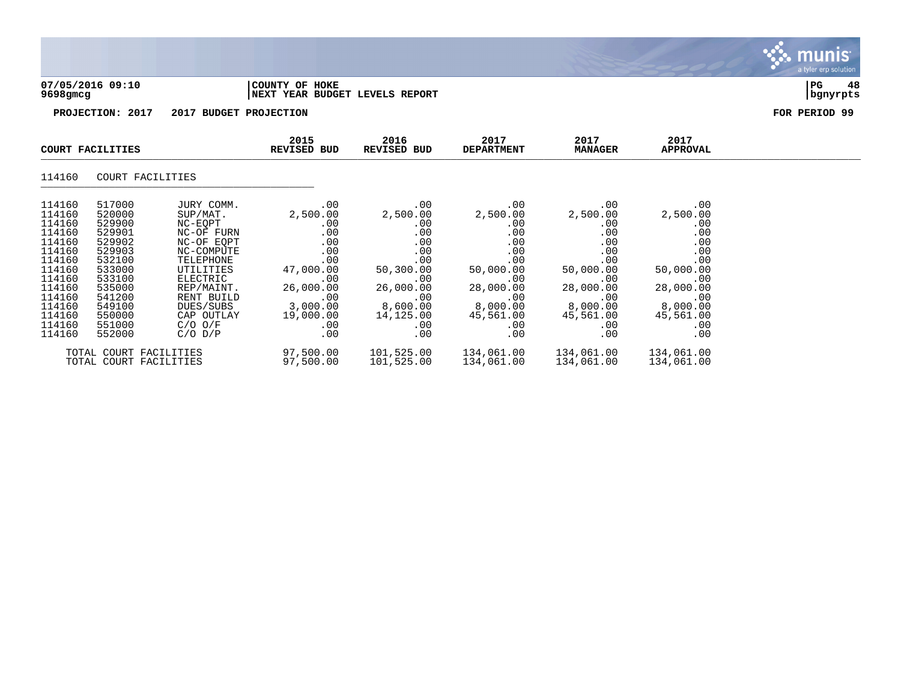



|                                                                                                                                                    | COURT FACILITIES                                                                                                                                   |                                                                                                                                                                                                        | 2015<br><b>REVISED BUD</b>                                                                                                                  | 2016<br>REVISED BUD                                                                                                               | 2017<br><b>DEPARTMENT</b>                                                                                                         | 2017<br><b>MANAGER</b>                                                                                                            | 2017<br>APPROVAL                                                                                                                  |  |
|----------------------------------------------------------------------------------------------------------------------------------------------------|----------------------------------------------------------------------------------------------------------------------------------------------------|--------------------------------------------------------------------------------------------------------------------------------------------------------------------------------------------------------|---------------------------------------------------------------------------------------------------------------------------------------------|-----------------------------------------------------------------------------------------------------------------------------------|-----------------------------------------------------------------------------------------------------------------------------------|-----------------------------------------------------------------------------------------------------------------------------------|-----------------------------------------------------------------------------------------------------------------------------------|--|
| 114160                                                                                                                                             | COURT FACILITIES                                                                                                                                   |                                                                                                                                                                                                        |                                                                                                                                             |                                                                                                                                   |                                                                                                                                   |                                                                                                                                   |                                                                                                                                   |  |
| 114160<br>114160<br>114160<br>114160<br>114160<br>114160<br>114160<br>114160<br>114160<br>114160<br>114160<br>114160<br>114160<br>114160<br>114160 | 517000<br>520000<br>529900<br>529901<br>529902<br>529903<br>532100<br>533000<br>533100<br>535000<br>541200<br>549100<br>550000<br>551000<br>552000 | JURY COMM.<br>SUP/MAT.<br>NC-EOPT<br>NC-OF FURN<br>NC-OF EOPT<br>NC-COMPUTE<br>TELEPHONE<br>UTILITIES<br>ELECTRIC<br>REP/MAINT.<br>RENT BUILD<br>DUES/SUBS<br>CAP OUTLAY<br>$C/O$ $O/F$<br>$C/O$ $D/P$ | .00<br>2,500.00<br>.00<br>.00<br>.00<br>.00<br>.00<br>47,000.00<br>$.00 \,$<br>26,000.00<br>.00<br>3,000.00<br>19,000.00<br>$.00 \,$<br>.00 | .00<br>2,500.00<br>.00<br>.00<br>.00<br>.00<br>.00<br>50,300.00<br>.00<br>26,000.00<br>.00<br>8,600.00<br>14,125.00<br>.00<br>.00 | .00<br>2,500.00<br>.00<br>.00<br>.00<br>.00<br>.00<br>50,000.00<br>.00<br>28,000.00<br>.00<br>8,000.00<br>45,561.00<br>.00<br>.00 | .00<br>2,500.00<br>.00<br>.00<br>.00<br>.00<br>.00<br>50,000.00<br>.00<br>28,000.00<br>.00<br>8,000.00<br>45,561.00<br>.00<br>.00 | .00<br>2,500.00<br>.00<br>.00<br>.00<br>.00<br>.00<br>50,000.00<br>.00<br>28,000.00<br>.00<br>8,000.00<br>45,561.00<br>.00<br>.00 |  |
|                                                                                                                                                    | TOTAL COURT FACILITIES<br>TOTAL COURT FACILITIES                                                                                                   |                                                                                                                                                                                                        | 97,500.00<br>97,500.00                                                                                                                      | 101,525.00<br>101,525.00                                                                                                          | 134,061.00<br>134,061.00                                                                                                          | 134,061.00<br>134,061.00                                                                                                          | 134,061.00<br>134,061.00                                                                                                          |  |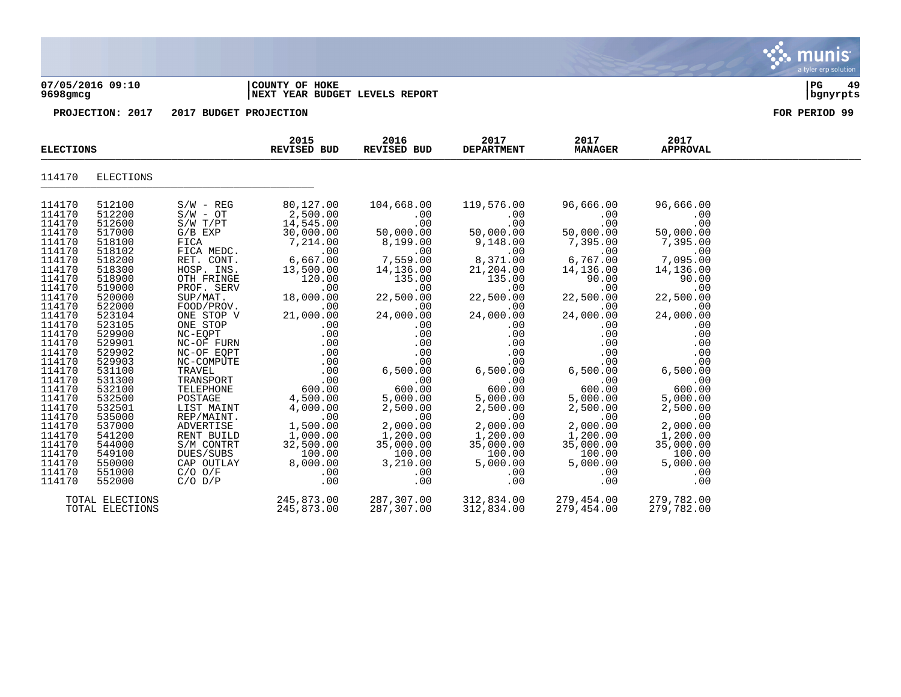#### **07/05/2016 09:10 |COUNTY OF HOKE |PG 49 9698gmcg |NEXT YEAR BUDGET LEVELS REPORT |bgnyrpts**

|                                                                                                                                                                                                                                                                                                          | <b>ELECTIONS</b>                                                                                                                                                                                                                                                                                         |                                                                                                                                                                                                                                                                                                                                                                                                           | 2015<br>REVISED BUD                                                                                                                                                                                                                                                                                                 | 2016<br>REVISED BUD                                                                                                                                                                                                                                                                                       | 2017<br><b>DEPARTMENT</b>                                                                                                                                                                                                                                                                            | 2017<br><b>MANAGER</b>                                                                                                                                                                                                                                                                             | 2017<br><b>APPROVAL</b>                                                                                                                                                                                                                                                                            |  |
|----------------------------------------------------------------------------------------------------------------------------------------------------------------------------------------------------------------------------------------------------------------------------------------------------------|----------------------------------------------------------------------------------------------------------------------------------------------------------------------------------------------------------------------------------------------------------------------------------------------------------|-----------------------------------------------------------------------------------------------------------------------------------------------------------------------------------------------------------------------------------------------------------------------------------------------------------------------------------------------------------------------------------------------------------|---------------------------------------------------------------------------------------------------------------------------------------------------------------------------------------------------------------------------------------------------------------------------------------------------------------------|-----------------------------------------------------------------------------------------------------------------------------------------------------------------------------------------------------------------------------------------------------------------------------------------------------------|------------------------------------------------------------------------------------------------------------------------------------------------------------------------------------------------------------------------------------------------------------------------------------------------------|----------------------------------------------------------------------------------------------------------------------------------------------------------------------------------------------------------------------------------------------------------------------------------------------------|----------------------------------------------------------------------------------------------------------------------------------------------------------------------------------------------------------------------------------------------------------------------------------------------------|--|
| 114170                                                                                                                                                                                                                                                                                                   | ELECTIONS                                                                                                                                                                                                                                                                                                |                                                                                                                                                                                                                                                                                                                                                                                                           |                                                                                                                                                                                                                                                                                                                     |                                                                                                                                                                                                                                                                                                           |                                                                                                                                                                                                                                                                                                      |                                                                                                                                                                                                                                                                                                    |                                                                                                                                                                                                                                                                                                    |  |
| 114170<br>114170<br>114170<br>114170<br>114170<br>114170<br>114170<br>114170<br>114170<br>114170<br>114170<br>114170<br>114170<br>114170<br>114170<br>114170<br>114170<br>114170<br>114170<br>114170<br>114170<br>114170<br>114170<br>114170<br>114170<br>114170<br>114170<br>114170<br>114170<br>114170 | 512100<br>512200<br>512600<br>517000<br>518100<br>518102<br>518200<br>518300<br>518900<br>519000<br>520000<br>522000<br>523104<br>523105<br>529900<br>529901<br>529902<br>529903<br>531100<br>531300<br>532100<br>532500<br>532501<br>535000<br>537000<br>541200<br>544000<br>549100<br>550000<br>551000 | $S/W - REG$<br>$S/W - OT$<br>S/W T/PT<br>$G/B$ $EXP$<br>FICA<br>FICA MEDC.<br>RET. CONT.<br>HOSP. INS.<br>OTH FRINGE<br>PROF. SERV<br>SUP/MAT.<br>FOOD/PROV.<br>ONE STOP V<br>ONE STOP<br>NC-EOPT<br>NC-OF FURN<br>NC-OF EQPT<br>NC-COMPUTE<br>TRAVEL<br>TRANSPORT<br>TELEPHONE<br>POSTAGE<br>LIST MAINT<br>REP/MAINT.<br>ADVERTISE<br>RENT BUILD<br>S/M CONTRT<br>DUES/SUBS<br>CAP OUTLAY<br>$C/O$ $O/F$ | 80,127.00<br>2,500.00<br>14,545.00<br>30,000.00<br>7,214.00<br>.00<br>6,667.00<br>13,500.00<br>120.00<br>.00<br>18,000.00<br>.00<br>21,000.00<br>.00<br>.00<br>.00<br>.00<br>$.00 \,$<br>.00<br>.00<br>600.00<br>4,500.00<br>4,000.00<br>.00<br>1,500.00<br>1,000.00<br>32,500.00<br>100.00<br>8,000.00<br>$.00 \,$ | 104,668.00<br>.00<br>.00<br>50,000.00<br>8,199.00<br>.00<br>7,559.00<br>14,136.00<br>135.00<br>.00<br>22,500.00<br>.00<br>24,000.00<br>.00<br>.00<br>.00<br>.00<br>.00<br>6,500.00<br>.00<br>600.00<br>5,000.00<br>2,500.00<br>.00<br>2,000.00<br>1,200.00<br>35,000.00<br>100.00<br>3,210.00<br>$.00 \,$ | 119,576.00<br>.00<br>.00<br>50,000.00<br>9,148.00<br>.00<br>8,371.00<br>21,204.00<br>135.00<br>.00<br>22,500.00<br>.00<br>24,000.00<br>.00<br>.00<br>.00<br>.00<br>.00<br>6,500.00<br>.00<br>600.00<br>5,000.00<br>2,500.00<br>.00<br>2,000.00<br>1,200.00<br>35,000.00<br>100.00<br>5,000.00<br>.00 | 96,666.00<br>.00<br>.00<br>50,000.00<br>7,395.00<br>.00<br>6,767.00<br>14,136.00<br>90.00<br>.00<br>22,500.00<br>.00<br>24,000.00<br>.00<br>.00<br>.00<br>.00<br>.00<br>6,500.00<br>.00<br>600.00<br>5,000.00<br>2,500.00<br>.00<br>2,000.00<br>1,200.00<br>35,000.00<br>100.00<br>5,000.00<br>.00 | 96,666.00<br>.00<br>.00<br>50,000.00<br>7,395.00<br>.00<br>7,095.00<br>14,136.00<br>90.00<br>.00<br>22,500.00<br>.00<br>24,000.00<br>.00<br>.00<br>.00<br>.00<br>.00<br>6,500.00<br>.00<br>600.00<br>5,000.00<br>2,500.00<br>.00<br>2,000.00<br>1,200.00<br>35,000.00<br>100.00<br>5,000.00<br>.00 |  |
| 114170                                                                                                                                                                                                                                                                                                   | 552000                                                                                                                                                                                                                                                                                                   | $C/O$ $D/P$                                                                                                                                                                                                                                                                                                                                                                                               | .00                                                                                                                                                                                                                                                                                                                 | .00                                                                                                                                                                                                                                                                                                       | .00                                                                                                                                                                                                                                                                                                  | .00                                                                                                                                                                                                                                                                                                | .00                                                                                                                                                                                                                                                                                                |  |
|                                                                                                                                                                                                                                                                                                          | TOTAL ELECTIONS<br>TOTAL ELECTIONS                                                                                                                                                                                                                                                                       |                                                                                                                                                                                                                                                                                                                                                                                                           | 245,873.00<br>245,873.00                                                                                                                                                                                                                                                                                            | 287,307.00<br>287,307.00                                                                                                                                                                                                                                                                                  | 312,834.00<br>312,834.00                                                                                                                                                                                                                                                                             | 279,454.00<br>279,454.00                                                                                                                                                                                                                                                                           | 279,782.00<br>279,782.00                                                                                                                                                                                                                                                                           |  |

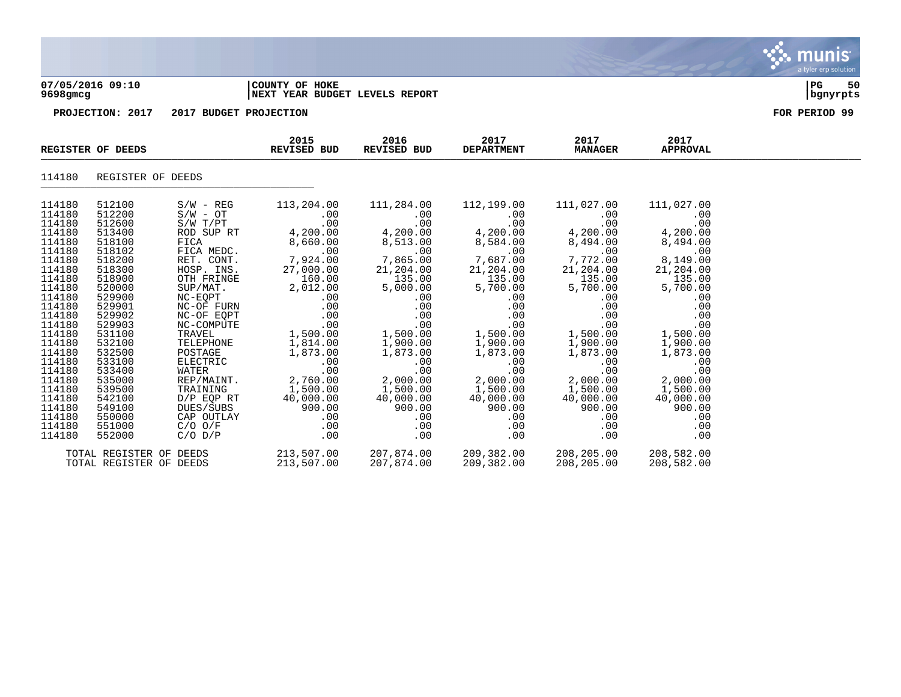

### **07/05/2016 09:10 |COUNTY OF HOKE |PG 50 9698gmcg |NEXT YEAR BUDGET LEVELS REPORT |bgnyrpts**

|                            | REGISTER OF DEEDS          |                            | 2015<br>REVISED BUD                      | 2016<br><b>REVISED BUD</b>                                                                                   | 2017<br><b>DEPARTMENT</b>                       | 2017<br><b>MANAGER</b>           | 2017<br><b>APPROVAL</b>          |  |
|----------------------------|----------------------------|----------------------------|------------------------------------------|--------------------------------------------------------------------------------------------------------------|-------------------------------------------------|----------------------------------|----------------------------------|--|
| 114180                     | REGISTER OF DEEDS          |                            |                                          |                                                                                                              |                                                 |                                  |                                  |  |
| 114180<br>114180           | 512100<br>512200           | $S/W - REG$<br>$S/W - OT$  | 113,204.00<br>$.00 \,$                   | 111,284.00                                                                                                   | 112,199.00                                      | 111,027.00<br>$.00 \,$           | 111,027.00<br>.00                |  |
| 114180                     | 512600                     | S/W - OT<br>S/W T/PT       | .00                                      | .00                                                                                                          | .00<br>.00                                      | .00                              | .00                              |  |
| 114180<br>114180           | 513400<br>518100           | ROD SUP RT<br>FICA         | 4,200.00<br>8,660.00                     | $00\ .00$<br>4 , 200 . 00<br>8,513.00                                                                        | 4,200.00                                        | 4,200.00<br>8,494.00             | 00 .<br>4,200.00<br>8,494.00     |  |
| 114180<br>114180           | 518102<br>518200           | FICA MEDC.                 | .00<br>RET. CONT. 7,924.00               | $\mathcal{L} = \mathcal{L}$<br>.00<br>7,865.00                                                               | 8,584.00<br>00.<br>00.7,687.00                  | .00<br>7,772.00                  | 00.<br>8,149.00                  |  |
| 114180<br>114180<br>114180 | 518300<br>518900<br>520000 | HOSP. INS.<br>OTH FRINGE   | 27,000.00<br>160.00<br>SUP/MAT. 2,012.00 | 21,204.00<br>$\begin{array}{cc} 0.00 & - & 135.00 \ 2.00 & 5,000.00 \ 0.00 & 0.00 \ 0.00 & 0.00 \end{array}$ | 21,204.00<br>135.00<br>5,700.00                 | 21,204.00<br>135.00<br>5,700.00  | 21,204.00<br>135.00<br>5,700.00  |  |
| 114180                     | 529900                     | NC-EQPT                    |                                          |                                                                                                              | .00                                             | .00                              | .00                              |  |
| 114180<br>114180           | 529901<br>529902           | NC-OF FURN<br>NC-OF EQPT   | .00                                      | $5,000.00$ $5,70$<br>$.00$<br>$.00$<br>$.00\,$                                                               | .00<br>.00                                      | .00<br>.00                       | .00<br>.00                       |  |
| 114180                     | 529903                     | NC-COMPUTE<br>TRAVEL       | .00                                      | .00                                                                                                          | .00                                             | .00                              | .00                              |  |
| 114180<br>114180<br>114180 | 531100<br>532100<br>532500 | TELEPHONE<br>POSTAGE       | 1,500.00<br>1,814.00<br>1,873.00         | $1,500.00$<br>$1,900.00$<br>$1,873.00$                                                                       | $1,500.00$<br>$1,900.00$<br>$1,873.00$<br>$.00$ | 1,500.00<br>1,900.00<br>1,873.00 | 1,500.00<br>1,900.00<br>1,873.00 |  |
| 114180                     | 533100                     | ELECTRIC                   | .00                                      | .00                                                                                                          |                                                 | .00                              | .00                              |  |
| 114180                     | 533400                     | WATER                      | .00                                      | .00                                                                                                          | .00                                             | .00                              | .00                              |  |
| 114180<br>114180           | 535000<br>539500           | TRAINING                   | REP/MAINT. 2,760.00<br>1,500.00          | 2,000.00<br>1,500.00                                                                                         | 2,000.00<br>1,500.00                            | 2,000.00<br>1,500.00             | 2,000.00<br>1,500.00             |  |
| 114180<br>114180           | 542100<br>549100           | D/P EOP RT                 | 40,000.00<br>DUES/SUBS 900.00            | 40,000.00<br>900.00                                                                                          | 40,000.00<br>900.00                             | 40,000.00<br>900.00              | 40,000.00<br>900.00              |  |
| 114180<br>114180<br>114180 | 550000<br>551000<br>552000 | $C/O$ $O/F$<br>$C/O$ $D/P$ | CAP OUTLAY .00<br>.00                    | .00<br>.00<br>$.00 \,$                                                                                       | .00<br>.00<br>.00<br>.00                        | .00<br>.00<br>.00                | .00<br>.00<br>.00                |  |
|                            |                            |                            |                                          |                                                                                                              |                                                 |                                  |                                  |  |
|                            | TOTAL REGISTER OF DEEDS    | TOTAL REGISTER OF DEEDS    | 213,507.00                               | 213,507.00  207,874.00  209,382.00  208,205.00<br>207,874.00                                                 | 209,382.00                                      | 208,205.00                       | 208,582.00<br>208,582.00         |  |

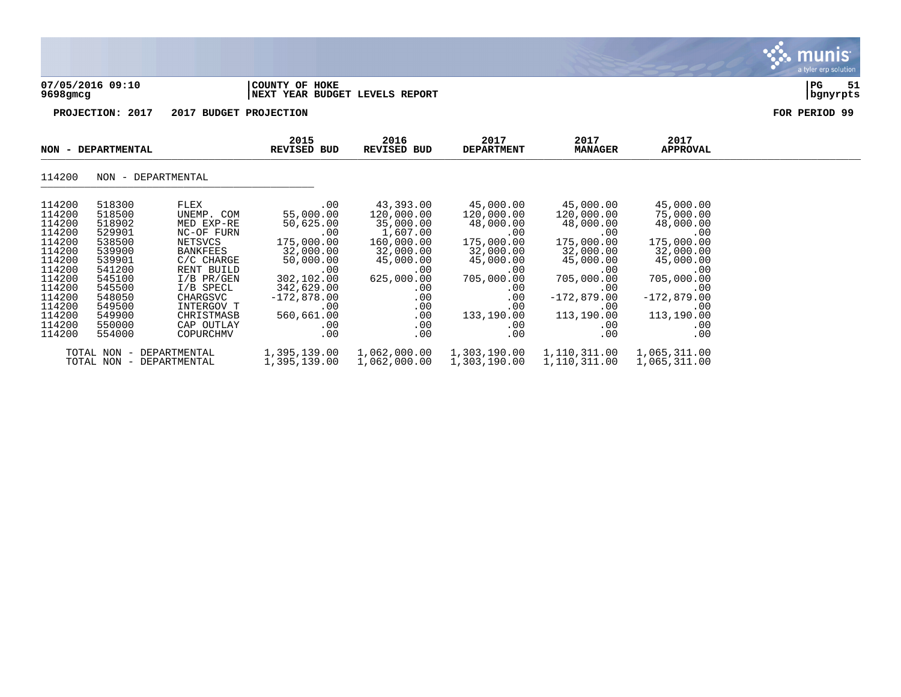| 07/05/2016 09:10 | 'COUNTY OF HOKE                | l PG     | 51 |
|------------------|--------------------------------|----------|----|
| 9698gmcg         | NEXT YEAR BUDGET LEVELS REPORT | bqnyrpts |    |

**PROJECTION: 2017 2017 BUDGET PROJECTION FOR PERIOD 99**

|                                                                                                                                                    | NON - DEPARTMENTAL                                                                                                                                 |                                                                                                                                                                                                          | 2015<br>2016<br>REVISED BUD                                                                                                                                         | REVISED BUD                                                                                                                                             | 2017<br><b>DEPARTMENT</b>                                                                                                                                 | 2017<br><b>MANAGER</b>                                                                                                                                                        | 2017<br>APPROVAL                                                                                                                                                   |  |
|----------------------------------------------------------------------------------------------------------------------------------------------------|----------------------------------------------------------------------------------------------------------------------------------------------------|----------------------------------------------------------------------------------------------------------------------------------------------------------------------------------------------------------|---------------------------------------------------------------------------------------------------------------------------------------------------------------------|---------------------------------------------------------------------------------------------------------------------------------------------------------|-----------------------------------------------------------------------------------------------------------------------------------------------------------|-------------------------------------------------------------------------------------------------------------------------------------------------------------------------------|--------------------------------------------------------------------------------------------------------------------------------------------------------------------|--|
| 114200                                                                                                                                             | NON - DEPARTMENTAL                                                                                                                                 |                                                                                                                                                                                                          |                                                                                                                                                                     |                                                                                                                                                         |                                                                                                                                                           |                                                                                                                                                                               |                                                                                                                                                                    |  |
| 114200<br>114200<br>114200<br>114200<br>114200<br>114200<br>114200<br>114200<br>114200<br>114200<br>114200<br>114200<br>114200<br>114200<br>114200 | 518300<br>518500<br>518902<br>529901<br>538500<br>539900<br>539901<br>541200<br>545100<br>545500<br>548050<br>549500<br>549900<br>550000<br>554000 | FLEX<br>UNEMP. COM<br>MED EXP-RE<br>NC-OF FURN<br>NETSVCS<br><b>BANKFEES</b><br>C/C CHARGE<br>RENT BUILD<br>$I/B$ PR/GEN<br>I/B SPECL<br>CHARGSVC<br>INTERGOV T<br>CHRISTMASB<br>CAP OUTLAY<br>COPURCHMV | .00<br>55,000.00<br>50,625.00<br>.00<br>175,000.00<br>32,000.00<br>50,000.00<br>.00<br>302,102.00<br>342,629.00<br>$-172,878.00$<br>.00<br>560,661.00<br>.00<br>.00 | 43,393.00<br>120,000.00<br>35,000.00<br>1,607.00<br>160,000.00<br>32,000.00<br>45,000.00<br>.00<br>625,000.00<br>.00<br>.00<br>.00<br>.00<br>.00<br>.00 | 45,000.00<br>120,000.00<br>48,000.00<br>.00<br>175,000.00<br>32,000.00<br>45,000.00<br>.00<br>705,000.00<br>.00<br>.00<br>.00<br>133,190.00<br>.00<br>.00 | 45,000.00<br>120,000.00<br>48,000.00<br>$.00 \,$<br>175,000.00<br>32,000.00<br>45,000.00<br>.00<br>705,000.00<br>.00<br>$-172,879.00$<br>.00<br>113,190.00<br>$.00 \,$<br>.00 | 45,000.00<br>75,000.00<br>48,000.00<br>.00<br>175,000.00<br>32,000.00<br>45,000.00<br>.00<br>705,000.00<br>.00<br>$-172,879.00$<br>.00<br>113,190.00<br>.00<br>.00 |  |
|                                                                                                                                                    | TOTAL NON<br>$\hspace{0.1mm}-\hspace{0.1mm}$<br>TOTAL NON -                                                                                        | DEPARTMENTAL<br>DEPARTMENTAL                                                                                                                                                                             | 1,395,139.00<br>1,395,139.00                                                                                                                                        | 1,062,000.00<br>1,062,000.00                                                                                                                            | 1,303,190.00<br>1,303,190.00                                                                                                                              | 1,110,311.00<br>1,110,311.00                                                                                                                                                  | 1,065,311.00<br>1,065,311.00                                                                                                                                       |  |

munis a tyler erp solution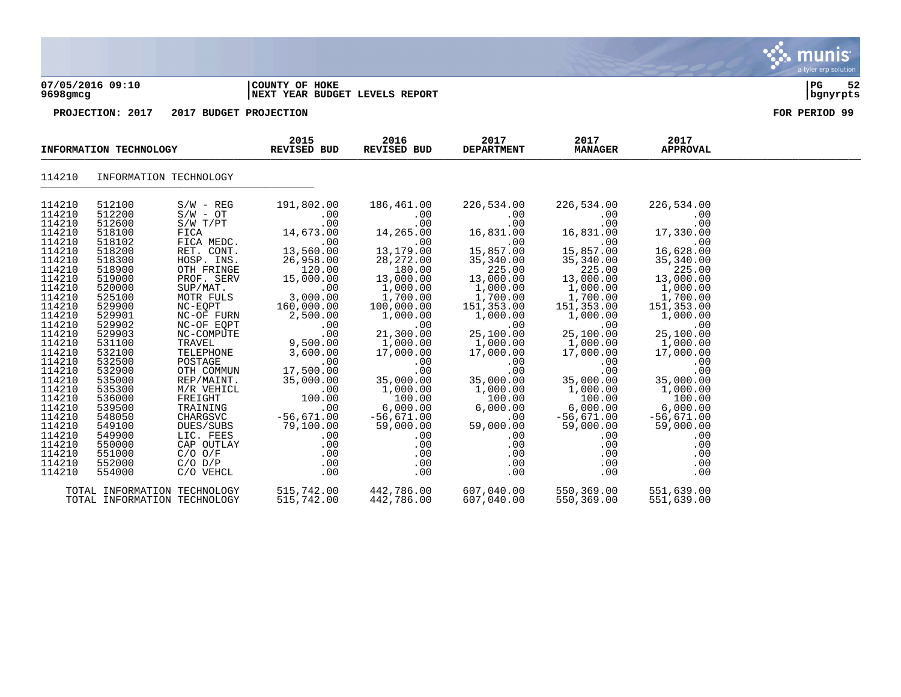#### **07/05/2016 09:10 |COUNTY OF HOKE |PG 52 9698gmcg |NEXT YEAR BUDGET LEVELS REPORT |bgnyrpts**

|                                                                                                                                                                                                                                                                  | INFORMATION TECHNOLOGY                                                                                                                                                                                                                                           |                                                                                                                                                                                                                                                                                                                                                | 2015<br><b>REVISED BUD</b>                                                                                                                                                                                                                                                                  | 2016<br>REVISED BUD                                                                                                                                                                                                                                                                                          | 2017<br><b>DEPARTMENT</b>                                                                                                                                                                                                                                                                            | 2017<br><b>MANAGER</b>                                                                                                                                                                                                                                                                             | 2017<br><b>APPROVAL</b>                                                                                                                                                                                                                                                                       |  |
|------------------------------------------------------------------------------------------------------------------------------------------------------------------------------------------------------------------------------------------------------------------|------------------------------------------------------------------------------------------------------------------------------------------------------------------------------------------------------------------------------------------------------------------|------------------------------------------------------------------------------------------------------------------------------------------------------------------------------------------------------------------------------------------------------------------------------------------------------------------------------------------------|---------------------------------------------------------------------------------------------------------------------------------------------------------------------------------------------------------------------------------------------------------------------------------------------|--------------------------------------------------------------------------------------------------------------------------------------------------------------------------------------------------------------------------------------------------------------------------------------------------------------|------------------------------------------------------------------------------------------------------------------------------------------------------------------------------------------------------------------------------------------------------------------------------------------------------|----------------------------------------------------------------------------------------------------------------------------------------------------------------------------------------------------------------------------------------------------------------------------------------------------|-----------------------------------------------------------------------------------------------------------------------------------------------------------------------------------------------------------------------------------------------------------------------------------------------|--|
| 114210                                                                                                                                                                                                                                                           | INFORMATION TECHNOLOGY                                                                                                                                                                                                                                           |                                                                                                                                                                                                                                                                                                                                                |                                                                                                                                                                                                                                                                                             |                                                                                                                                                                                                                                                                                                              |                                                                                                                                                                                                                                                                                                      |                                                                                                                                                                                                                                                                                                    |                                                                                                                                                                                                                                                                                               |  |
| 114210<br>114210<br>114210<br>114210<br>114210<br>114210<br>114210<br>114210<br>114210<br>114210<br>114210<br>114210<br>114210<br>114210<br>114210<br>114210<br>114210<br>114210<br>114210<br>114210<br>114210<br>114210<br>114210<br>114210<br>114210<br>114210 | 512100<br>512200<br>512600<br>518100<br>518102<br>518200<br>518300<br>518900<br>519000<br>520000<br>525100<br>529900<br>529901<br>529902<br>529903<br>531100<br>532100<br>532500<br>532900<br>535000<br>535300<br>536000<br>539500<br>548050<br>549100<br>549900 | $S/W - REG$<br>$S/W - OT$<br>$S/W$ $T/PT$<br>FICA<br>FICA MEDC.<br>RET. CONT.<br>HOSP. INS.<br>OTH FRINGE<br>PROF. SERV<br>SUP/MAT.<br>MOTR FULS<br>NC-EQPT<br>NC-OF FURN<br>NC-OF EQPT<br>NC-COMPUTE<br>TRAVEL<br>TELEPHONE<br>POSTAGE<br>OTH COMMUN<br>REP/MAINT.<br>M/R VEHICL<br>FREIGHT<br>TRAINING<br>CHARGSVC<br>DUES/SUBS<br>LIC. FEES | 191,802.00<br>.00<br>.00<br>14,673.00<br>.00<br>13,560.00<br>26,958.00<br>120.00<br>15,000.00<br>.00<br>3,000.00<br>160,000.00<br>2,500.00<br>.00<br>.00<br>$9,500.00$<br>3.500.00<br>3,600.00<br>.00<br>17,500.00<br>35,000.00<br>.00<br>100.00<br>.00<br>$-56,671.00$<br>79,100.00<br>.00 | 186,461.00<br>.00<br>.00<br>14,265.00<br>.00<br>13,179.00<br>28,272.00<br>180.00<br>13,000.00<br>1,000.00<br>$\overline{1}$ , 700.00<br>100,000.00<br>1,000.00<br>.00<br>21,300.00<br>1,000.00<br>17,000.00<br>.00<br>.00<br>35,000.00<br>1,000.00<br>100.00<br>6,000.00<br>$-56,671.00$<br>59,000.00<br>.00 | 226,534.00<br>.00<br>.00<br>16,831.00<br>.00<br>15,857.00<br>35,340.00<br>225.00<br>13,000.00<br>$1,000.00$<br>$1,700.00$<br>151,353.00<br>1,000.00<br>.00<br>25,100.00<br>1,000.00<br>1,000.00<br>17.000.00<br>.00<br>.00<br>35,000.00<br>1,000.00<br>100.00<br>6,000.00<br>.00<br>59,000.00<br>.00 | 226,534.00<br>.00<br>.00<br>16,831.00<br>.00<br>15,857.00<br>35,340.00<br>225.00<br>13,000.00<br>$1,000.00$<br>$1,700.00$<br>151, 353.00<br>1,000.00<br>.00<br>25,100.00<br>1,000.00<br>17,000.00<br>.00<br>.00<br>35,000.00<br>1,000.00<br>100.00<br>6,000.00<br>$-56,671.00$<br>59,000.00<br>.00 | 226,534.00<br>.00<br>.00<br>17,330.00<br>.00<br>16,628.00<br>35,340.00<br>225.00<br>13,000.00<br>1,000.00<br>1,700.00<br>151,353.00<br>1,000.00<br>.00<br>25,100.00<br>1,000.00<br>17,000.00<br>.00<br>.00<br>35,000.00<br>1,000.00<br>100.00<br>6,000.00<br>$-56,671.00$<br>59,000.00<br>.00 |  |
| 114210<br>114210<br>114210<br>114210                                                                                                                                                                                                                             | 550000<br>551000<br>552000<br>554000                                                                                                                                                                                                                             | CAP OUTLAY<br>$C/O$ $O/F$<br>$C/O$ $D/P$<br>C/O VEHCL                                                                                                                                                                                                                                                                                          | .00<br>.00<br>.00<br>.00                                                                                                                                                                                                                                                                    | .00<br>.00<br>.00<br>.00                                                                                                                                                                                                                                                                                     | .00<br>.00<br>.00<br>.00                                                                                                                                                                                                                                                                             | .00<br>.00<br>.00<br>.00                                                                                                                                                                                                                                                                           | .00<br>.00<br>.00<br>.00                                                                                                                                                                                                                                                                      |  |
|                                                                                                                                                                                                                                                                  | TOTAL INFORMATION TECHNOLOGY<br>TOTAL INFORMATION TECHNOLOGY                                                                                                                                                                                                     |                                                                                                                                                                                                                                                                                                                                                | 515,742.00<br>515,742.00                                                                                                                                                                                                                                                                    | 442,786.00<br>442,786.00                                                                                                                                                                                                                                                                                     | 607,040.00<br>607,040.00                                                                                                                                                                                                                                                                             | 550,369.00<br>550,369.00                                                                                                                                                                                                                                                                           | 551,639.00<br>551,639.00                                                                                                                                                                                                                                                                      |  |

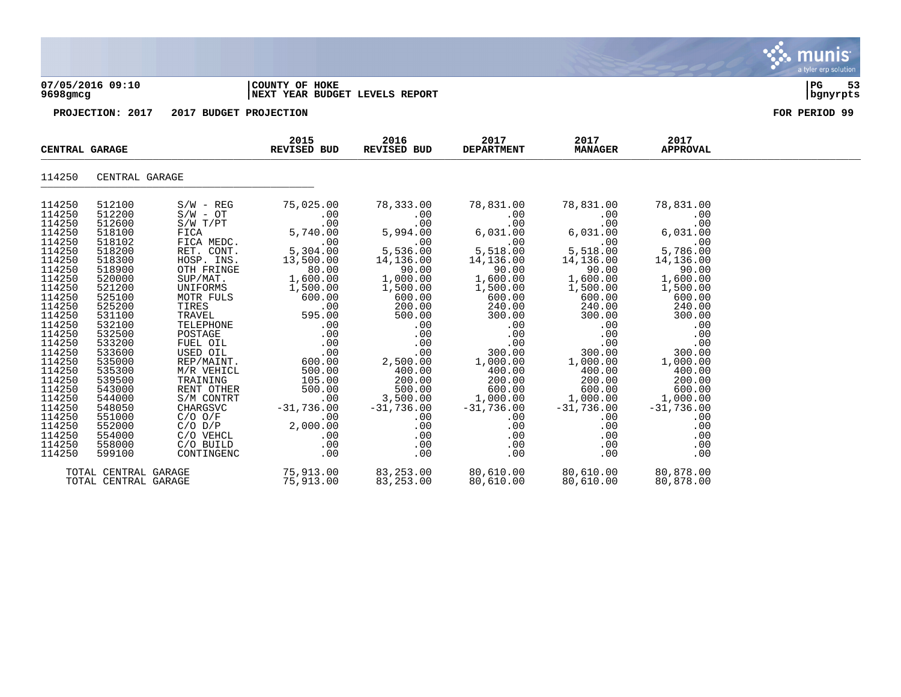#### **07/05/2016 09:10 |COUNTY OF HOKE |PG 53 9698gmcg |NEXT YEAR BUDGET LEVELS REPORT |bgnyrpts**

|                                                                                                                                                                                                                                                                            | CENTRAL GARAGE                                                                                                                                                                                                                                                             |                                                                                                                                                                                                                                                                                                                                                                   | 2015<br><b>REVISED BUD</b>                                                                                                                                                                                                                                                                                                                                                                                                                                                                                                                                                                                                                                                                                                    | 2016<br>REVISED BUD                                                                                                                                                                                                                                                                                                                                                                                                                                                                                                                                                                      | 2017<br><b>DEPARTMENT</b>                                                                                                                                                                                                                                                                                                                                                                                                               | 2017<br><b>MANAGER</b>                                                                                                                                                                                                        | 2017<br><b>APPROVAL</b>                                                                                                                                                                                                                                             |  |
|----------------------------------------------------------------------------------------------------------------------------------------------------------------------------------------------------------------------------------------------------------------------------|----------------------------------------------------------------------------------------------------------------------------------------------------------------------------------------------------------------------------------------------------------------------------|-------------------------------------------------------------------------------------------------------------------------------------------------------------------------------------------------------------------------------------------------------------------------------------------------------------------------------------------------------------------|-------------------------------------------------------------------------------------------------------------------------------------------------------------------------------------------------------------------------------------------------------------------------------------------------------------------------------------------------------------------------------------------------------------------------------------------------------------------------------------------------------------------------------------------------------------------------------------------------------------------------------------------------------------------------------------------------------------------------------|------------------------------------------------------------------------------------------------------------------------------------------------------------------------------------------------------------------------------------------------------------------------------------------------------------------------------------------------------------------------------------------------------------------------------------------------------------------------------------------------------------------------------------------------------------------------------------------|-----------------------------------------------------------------------------------------------------------------------------------------------------------------------------------------------------------------------------------------------------------------------------------------------------------------------------------------------------------------------------------------------------------------------------------------|-------------------------------------------------------------------------------------------------------------------------------------------------------------------------------------------------------------------------------|---------------------------------------------------------------------------------------------------------------------------------------------------------------------------------------------------------------------------------------------------------------------|--|
| 114250                                                                                                                                                                                                                                                                     | CENTRAL GARAGE                                                                                                                                                                                                                                                             |                                                                                                                                                                                                                                                                                                                                                                   |                                                                                                                                                                                                                                                                                                                                                                                                                                                                                                                                                                                                                                                                                                                               |                                                                                                                                                                                                                                                                                                                                                                                                                                                                                                                                                                                          |                                                                                                                                                                                                                                                                                                                                                                                                                                         |                                                                                                                                                                                                                               |                                                                                                                                                                                                                                                                     |  |
| 114250<br>114250<br>114250<br>114250<br>114250<br>114250<br>114250<br>114250<br>114250<br>114250<br>114250<br>114250<br>114250<br>114250<br>114250<br>114250<br>114250<br>114250<br>114250<br>114250<br>114250<br>114250<br>114250<br>114250<br>114250<br>114250<br>114250 | 512100<br>512200<br>512600<br>518100<br>518102<br>518200<br>518300<br>518900<br>520000<br>521200<br>525100<br>525200<br>531100<br>532100<br>532500<br>533200<br>533600<br>535000<br>535300<br>539500<br>543000<br>544000<br>548050<br>551000<br>552000<br>554000<br>558000 | $S/W - REG$<br>$\texttt{S/W}$ - $\texttt{OT}$<br>S/W T/PT<br>FICA<br>FICA MEDC.<br>RET. CONT.<br>HOSP. INS.<br>OTH FRINGE<br>SUP/MAT.<br>UNIFORMS<br>MOTR FULS<br>TIRES<br>TRAVEL<br>TELEPHONE<br>POSTAGE<br>FUEL OIL<br>USED OIL<br>REP/MAINT.<br>M/R VEHICL<br>TRAINING<br>RENT OTHER<br>S/M CONTRT<br>CHARGSVC<br>C/O O/F<br>C/O D/P<br>C/O VEHCL<br>C/O BUILD | 75,025.00<br>.00<br>.00<br>5,740.00<br>.00<br>5,304.00<br>13,500.00<br>80.00<br>1,600.00<br>1,500.00<br>600.00<br>.00<br>595.00<br>.00<br>$\begin{bmatrix} . & 0 & 0 \\ . & 0 & 0 \\ . & 0 & . \\ . & 0 & . \\ . & . & . \\ . & . & . & . \\ . & . & . & . \\ . & . & . & . \\ . & . & . & . \\ . & . & . & . \\ . & . & . & . \\ . & . & . & . \\ . & . & . & . \\ . & . & . & . \\ . & . & . & . \\ . & . & . & . \\ . & . & . & . \\ . & . & . & . \\ . & . & . & . \\ . & . & . & . \\ . & . & . & . \\ . & . & . & . \\ . & . & . & . \\ . & . & . & . \\ . & . & . & . \\ . & . & . & . \\ . & . & . & . \\ . &$<br>600.00<br>500.00<br>105.00<br>500.00<br>.00<br>$-31,736.00$<br>.00<br>00.<br>2,000.00<br>.00<br>.00 | 78,333.00<br>.00<br>.00<br>5,994.00<br>$5,536.00$<br>$14,136.00$<br>90.00<br>$\begin{array}{cc} .\,0 & 1\,,\, & 0 & 1\,,\, & 0 & 0 & 0\,,\, & 0 & 0 & 0\,. & 0 & 0 & 0\,. & 0 & 0 & 0 & 0\,. & 0 & 0 & 0 & 0\,. & 0 & 0 & 0 & 0\,. & 0 & 0 & 0 & 0\,. & 0 & 0 & 0 & 0\,. & 0 & 0 & 0 & 0 & 0\,. & 0 & 0 & 0 & 0 & 0\,. & 0 & 0 & 0 & 0 & 0 & 0\,. & 0 & 0 & 0 & 0 & 0 & 0 & 0\,. & 0 & 0 & 0 &$<br>.00<br>$\begin{array}{cc} .00\ 0.00\ 0.00\ \end{array}$ 2,50<br>.00<br>2,500.00<br>400.00<br>200.00<br>500.00<br>$500.00$<br>3,500.00<br>$-31,736.00$<br>.00<br>.00<br>.00<br>$.00\,$ | 78,831.00<br>.00<br>.00<br>$0.00$<br>$6,031.00$<br>$0.00$<br>5,518.00<br>$14,136.00$<br>90.00<br>00.00<br>1,600.00<br>1,500.00<br>600.00<br>240.00<br>300.00<br>$\begin{array}{cccc} 0.00 & 0.00 & 0.00 \\ 0.00 & 0.00 & 0.00 \\ 0.00 & 0.00 & 0.00 \\ \end{array}$<br>$.00$ $.00$<br>300.00<br>1,000.00<br>400.00<br>200.00<br>$600.00$<br>$1,000.00$<br>$-31,736.00$<br>$-31,736.00$<br>$-31,736.00$<br>$.00 \,$<br>.00<br>.00<br>.00 | 78,831.00<br>.00<br>.00<br>6,031.00<br>.00<br>5,518.00<br>14,136.00<br>90.00<br>1,600.00<br>1,500.00<br>600.00<br>240.00<br>300.00<br>.00<br>.00<br>.00<br>300.00<br>1,000.00<br>400.00<br>200.00<br>.00<br>.00<br>.00<br>.00 | 78,831.00<br>.00<br>.00<br>6,031.00<br>.00<br>5,786.00<br>14,136.00<br>90.00<br>1,600.00<br>1,500.00<br>600.00<br>240.00<br>300.00<br>.00<br>.00<br>.00<br>300.00<br>1,000.00<br>400.00<br>200.00<br>600.00<br>1,000.00<br>$-31,736.00$<br>.00<br>.00<br>.00<br>.00 |  |
| 114250                                                                                                                                                                                                                                                                     | 599100<br>TOTAL CENTRAL GARAGE                                                                                                                                                                                                                                             | CONTINGENC<br>TOTAL CENTRAL GARAGE                                                                                                                                                                                                                                                                                                                                | .00<br>75,913.00<br>75,913.00                                                                                                                                                                                                                                                                                                                                                                                                                                                                                                                                                                                                                                                                                                 | $.00 \,$<br>83,253.00 80,610.00 80,610.00<br>83,253.00                                                                                                                                                                                                                                                                                                                                                                                                                                                                                                                                   | .00<br>80,610.00                                                                                                                                                                                                                                                                                                                                                                                                                        | .00<br>80,610.00                                                                                                                                                                                                              | .00<br>80,878.00<br>80,878.00                                                                                                                                                                                                                                       |  |

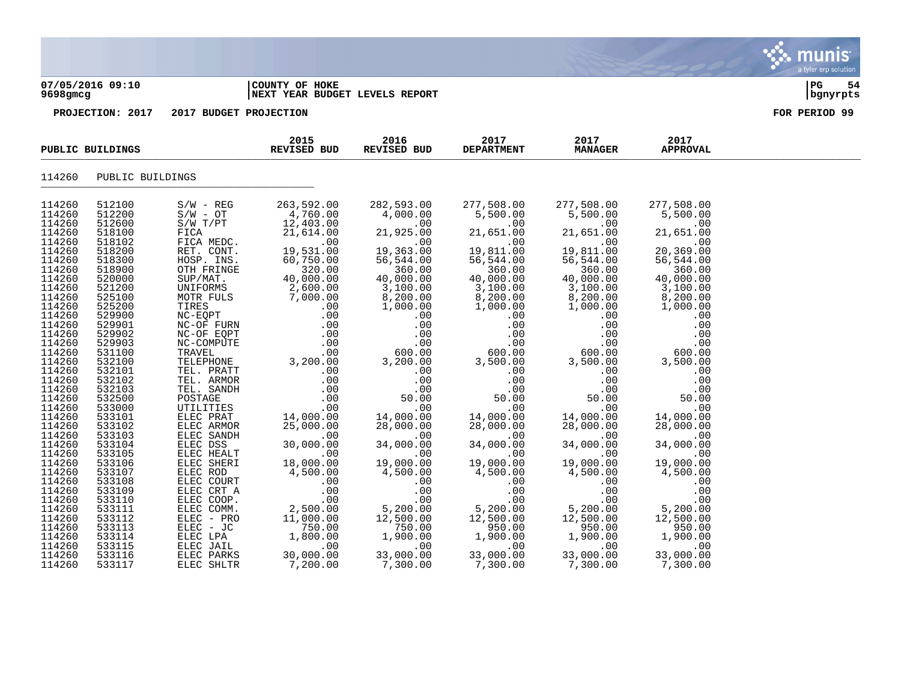|                                                                                                                                                                                                                                    | 07/05/2016 09:10<br>9698gmcg                                                                                                                                                                                                       |                                                                                                                                                                                                                                                                                                   | COUNTY OF HOKE<br><b>NEXT YEAR BUDGET LEVELS REPORT</b>                                                                                                                                                                   |                                                                                                                                                                                                                               | 54<br>  PG<br>  bgnyrpts                                                                                                                                                                                                      |                                                                                                                                                                                                                               |                                                                                                                                                                                                                               |               |
|------------------------------------------------------------------------------------------------------------------------------------------------------------------------------------------------------------------------------------|------------------------------------------------------------------------------------------------------------------------------------------------------------------------------------------------------------------------------------|---------------------------------------------------------------------------------------------------------------------------------------------------------------------------------------------------------------------------------------------------------------------------------------------------|---------------------------------------------------------------------------------------------------------------------------------------------------------------------------------------------------------------------------|-------------------------------------------------------------------------------------------------------------------------------------------------------------------------------------------------------------------------------|-------------------------------------------------------------------------------------------------------------------------------------------------------------------------------------------------------------------------------|-------------------------------------------------------------------------------------------------------------------------------------------------------------------------------------------------------------------------------|-------------------------------------------------------------------------------------------------------------------------------------------------------------------------------------------------------------------------------|---------------|
|                                                                                                                                                                                                                                    | PROJECTION: 2017                                                                                                                                                                                                                   | 2017 BUDGET PROJECTION                                                                                                                                                                                                                                                                            |                                                                                                                                                                                                                           |                                                                                                                                                                                                                               |                                                                                                                                                                                                                               |                                                                                                                                                                                                                               |                                                                                                                                                                                                                               | FOR PERIOD 99 |
|                                                                                                                                                                                                                                    | PUBLIC BUILDINGS                                                                                                                                                                                                                   |                                                                                                                                                                                                                                                                                                   | 2015<br>REVISED BUD                                                                                                                                                                                                       | 2016<br>REVISED BUD                                                                                                                                                                                                           | 2017<br><b>DEPARTMENT</b>                                                                                                                                                                                                     | 2017<br><b>MANAGER</b>                                                                                                                                                                                                        | 2017<br><b>APPROVAL</b>                                                                                                                                                                                                       |               |
| 114260                                                                                                                                                                                                                             | PUBLIC BUILDINGS                                                                                                                                                                                                                   |                                                                                                                                                                                                                                                                                                   |                                                                                                                                                                                                                           |                                                                                                                                                                                                                               |                                                                                                                                                                                                                               |                                                                                                                                                                                                                               |                                                                                                                                                                                                                               |               |
| 114260<br>114260<br>114260<br>114260<br>114260<br>114260<br>114260<br>114260<br>114260<br>114260<br>114260<br>114260<br>114260<br>114260<br>114260<br>114260<br>114260<br>114260<br>114260<br>114260<br>114260<br>114260<br>114260 | 512100<br>512200<br>512600<br>518100<br>518102<br>518200<br>518300<br>518900<br>520000<br>521200<br>525100<br>525200<br>529900<br>529901<br>529902<br>529903<br>531100<br>532100<br>532101<br>532102<br>532103<br>532500<br>533000 | $S/W - REG$<br>$S/W - OT$<br>S/W T/PT<br>FICA<br>FICA MEDC.<br>RET. CONT.<br>HOSP. INS.<br>OTH FRINGE<br>SUP/MAT.<br>UNIFORMS<br>MOTR FULS<br>TIRES<br>NC-EQPT<br>NC-OF FURN<br>NC-OF EQPT<br>NC-COMPUTE<br>TRAVEL<br>TELEPHONE<br>TEL. PRATT<br>TEL. ARMOR<br>TEL. SANDH<br>POSTAGE<br>UTILITIES | 263,592.00<br>4,760.00<br>12,403.00<br>21,614.00<br>.00<br>19,531.00<br>60,750.00<br>320.00<br>40,000.00<br>2,600.00<br>7,000.00<br>.00<br>.00<br>.00<br>.00<br>.00<br>.00<br>3,200.00<br>.00<br>.00<br>.00<br>.00<br>.00 | 282,593.00<br>4,000.00<br>.00<br>21,925.00<br>.00<br>19,363.00<br>56,544.00<br>360.00<br>40,000.00<br>3,100.00<br>8,200.00<br>1,000.00<br>.00<br>.00<br>.00<br>.00<br>600.00<br>3,200.00<br>.00<br>.00<br>.00<br>50.00<br>.00 | 277,508.00<br>5,500.00<br>.00<br>21,651.00<br>.00<br>19,811.00<br>56,544.00<br>360.00<br>40,000.00<br>3,100.00<br>8,200.00<br>1,000.00<br>.00<br>.00<br>.00<br>.00<br>600.00<br>3,500.00<br>.00<br>.00<br>.00<br>50.00<br>.00 | 277,508.00<br>5,500.00<br>.00<br>21,651.00<br>.00<br>19,811.00<br>56,544.00<br>360.00<br>40,000.00<br>3,100.00<br>8,200.00<br>1,000.00<br>.00<br>.00<br>.00<br>.00<br>600.00<br>3,500.00<br>.00<br>.00<br>.00<br>50.00<br>.00 | 277,508.00<br>5,500.00<br>.00<br>21,651.00<br>.00<br>20,369.00<br>56,544.00<br>360.00<br>40,000.00<br>3,100.00<br>8,200.00<br>1,000.00<br>.00<br>.00<br>.00<br>.00<br>600.00<br>3,500.00<br>.00<br>.00<br>.00<br>50.00<br>.00 |               |
| 114260<br>114260<br>114260                                                                                                                                                                                                         | 533101<br>533102<br>533103                                                                                                                                                                                                         | ELEC PRAT<br>ELEC ARMOR<br>ELEC SANDH                                                                                                                                                                                                                                                             | 14,000.00<br>25,000.00<br>.00                                                                                                                                                                                             | 14,000.00<br>28,000.00<br>.00                                                                                                                                                                                                 | 14,000.00<br>28,000.00<br>.00                                                                                                                                                                                                 | 14,000.00<br>28,000.00<br>.00                                                                                                                                                                                                 | 14,000.00<br>28,000.00<br>.00                                                                                                                                                                                                 |               |

 $\mathbf{\mathcal{C}}$  . munis

a tyler erp solution

114260 533104 ELEC DSS 30,000.00 34,000.00 34,000.00 34,000.00 34,000.00 114260 533105 ELEC HEALT .00 .00 .00 .00 .00 114260 533106 ELEC SHERI 18,000.00 19,000.00 19,000.00 19,000.00 19,000.00 114260 533107 ELEC ROD 4,500.00 4,500.00 4,500.00 4,500.00 4,500.00 114260 533108 ELEC COURT .00 .00 .00 .00 .00 114260 533109 ELEC CRT A .00 .00 .00 .00 .00 114260 533110 ELEC COOP. .00 .00 .00 .00 .00 114260 533111 ELEC COMM. 2,500.00 5,200.00 5,200.00 5,200.00 5,200.00 114260 533112 ELEC - PRO 11,000.00 12,500.00 12,500.00 12,500.00 12,500.00 114260 533113 ELEC - JC 750.00 750.00 950.00 950.00 950.00 114260 533114 ELEC LPA 1,800.00 1,900.00 1,900.00 1,900.00 1,900.00 114260 533115 ELEC JAIL .00 .00 .00 .00 .00 114260 533116 ELEC PARKS 30,000.00 33,000.00 33,000.00 33,000.00 33,000.00 114260 533117 ELEC SHLTR 7,200.00 7,300.00 7,300.00 7,300.00 7,300.00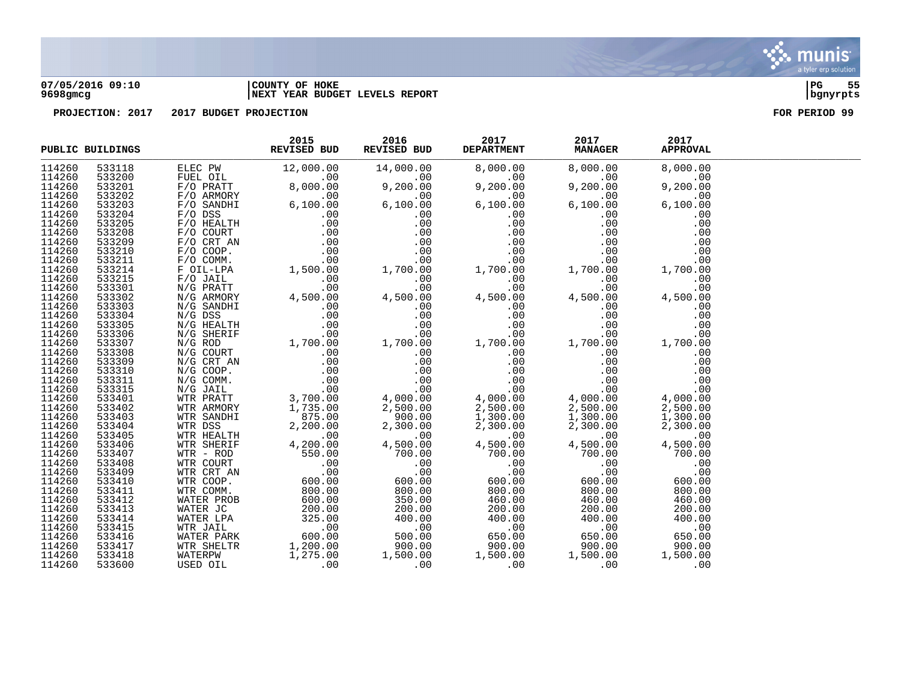

#### **07/05/2016 09:10 |COUNTY OF HOKE |PG 55 9698gmcg |NEXT YEAR BUDGET LEVELS REPORT |bgnyrpts**

|        | PUBLIC BUILDINGS | 2015 2016 2017 2017 2017<br>REVISED BUD REVISED BUD DEPARTMENT MANAGER APPROVAL<br>$\begin{tabular}{l cccc} \textbf{MULTMING} \textbf{X} & \textbf{2017} & \textbf{2017} & \textbf{2017} & \textbf{2017} & \textbf{2017} & \textbf{2017} & \textbf{2017} & \textbf{2017} & \textbf{2017} & \textbf{2017} & \textbf{2017} & \textbf{2017} & \textbf{2017} & \textbf{2017} & \textbf{2017} & \textbf{2017} & \textbf{2017} & \textbf{2017} & \textbf{2017} & \textbf{2$ |  |  |  |
|--------|------------------|-----------------------------------------------------------------------------------------------------------------------------------------------------------------------------------------------------------------------------------------------------------------------------------------------------------------------------------------------------------------------------------------------------------------------------------------------------------------------|--|--|--|
| 114260 |                  |                                                                                                                                                                                                                                                                                                                                                                                                                                                                       |  |  |  |
| 114260 |                  |                                                                                                                                                                                                                                                                                                                                                                                                                                                                       |  |  |  |
| 114260 |                  |                                                                                                                                                                                                                                                                                                                                                                                                                                                                       |  |  |  |
| 114260 |                  |                                                                                                                                                                                                                                                                                                                                                                                                                                                                       |  |  |  |
| 114260 |                  |                                                                                                                                                                                                                                                                                                                                                                                                                                                                       |  |  |  |
| 114260 |                  |                                                                                                                                                                                                                                                                                                                                                                                                                                                                       |  |  |  |
| 114260 |                  |                                                                                                                                                                                                                                                                                                                                                                                                                                                                       |  |  |  |
| 114260 |                  |                                                                                                                                                                                                                                                                                                                                                                                                                                                                       |  |  |  |
| 114260 |                  |                                                                                                                                                                                                                                                                                                                                                                                                                                                                       |  |  |  |
| 114260 |                  |                                                                                                                                                                                                                                                                                                                                                                                                                                                                       |  |  |  |
| 114260 |                  |                                                                                                                                                                                                                                                                                                                                                                                                                                                                       |  |  |  |
| 114260 |                  |                                                                                                                                                                                                                                                                                                                                                                                                                                                                       |  |  |  |
| 114260 |                  |                                                                                                                                                                                                                                                                                                                                                                                                                                                                       |  |  |  |
| 114260 |                  |                                                                                                                                                                                                                                                                                                                                                                                                                                                                       |  |  |  |
| 114260 |                  |                                                                                                                                                                                                                                                                                                                                                                                                                                                                       |  |  |  |
| 114260 |                  |                                                                                                                                                                                                                                                                                                                                                                                                                                                                       |  |  |  |
| 114260 |                  |                                                                                                                                                                                                                                                                                                                                                                                                                                                                       |  |  |  |
| 114260 |                  |                                                                                                                                                                                                                                                                                                                                                                                                                                                                       |  |  |  |
| 114260 |                  |                                                                                                                                                                                                                                                                                                                                                                                                                                                                       |  |  |  |
| 114260 |                  |                                                                                                                                                                                                                                                                                                                                                                                                                                                                       |  |  |  |
| 114260 |                  |                                                                                                                                                                                                                                                                                                                                                                                                                                                                       |  |  |  |
| 114260 |                  |                                                                                                                                                                                                                                                                                                                                                                                                                                                                       |  |  |  |
| 114260 |                  |                                                                                                                                                                                                                                                                                                                                                                                                                                                                       |  |  |  |
| 114260 |                  |                                                                                                                                                                                                                                                                                                                                                                                                                                                                       |  |  |  |
| 114260 |                  |                                                                                                                                                                                                                                                                                                                                                                                                                                                                       |  |  |  |
| 114260 |                  |                                                                                                                                                                                                                                                                                                                                                                                                                                                                       |  |  |  |
| 114260 |                  |                                                                                                                                                                                                                                                                                                                                                                                                                                                                       |  |  |  |
| 114260 |                  |                                                                                                                                                                                                                                                                                                                                                                                                                                                                       |  |  |  |
| 114260 |                  |                                                                                                                                                                                                                                                                                                                                                                                                                                                                       |  |  |  |
| 114260 |                  |                                                                                                                                                                                                                                                                                                                                                                                                                                                                       |  |  |  |
| 114260 |                  |                                                                                                                                                                                                                                                                                                                                                                                                                                                                       |  |  |  |
| 114260 |                  |                                                                                                                                                                                                                                                                                                                                                                                                                                                                       |  |  |  |
| 114260 |                  |                                                                                                                                                                                                                                                                                                                                                                                                                                                                       |  |  |  |
| 114260 |                  |                                                                                                                                                                                                                                                                                                                                                                                                                                                                       |  |  |  |
| 114260 |                  |                                                                                                                                                                                                                                                                                                                                                                                                                                                                       |  |  |  |
| 114260 |                  |                                                                                                                                                                                                                                                                                                                                                                                                                                                                       |  |  |  |
| 114260 |                  |                                                                                                                                                                                                                                                                                                                                                                                                                                                                       |  |  |  |
| 114260 |                  |                                                                                                                                                                                                                                                                                                                                                                                                                                                                       |  |  |  |
| 114260 |                  |                                                                                                                                                                                                                                                                                                                                                                                                                                                                       |  |  |  |
| 114260 |                  |                                                                                                                                                                                                                                                                                                                                                                                                                                                                       |  |  |  |
| 114260 |                  |                                                                                                                                                                                                                                                                                                                                                                                                                                                                       |  |  |  |
| 114260 |                  |                                                                                                                                                                                                                                                                                                                                                                                                                                                                       |  |  |  |
| 114260 |                  |                                                                                                                                                                                                                                                                                                                                                                                                                                                                       |  |  |  |
| 114260 |                  |                                                                                                                                                                                                                                                                                                                                                                                                                                                                       |  |  |  |

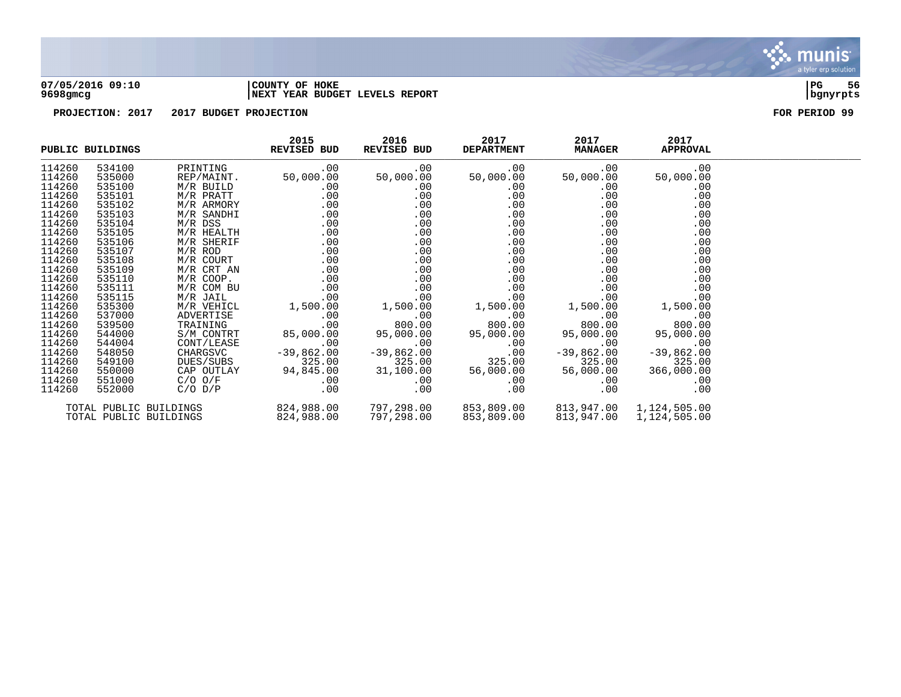

#### **07/05/2016 09:10 |COUNTY OF HOKE |PG 56 9698gmcg |NEXT YEAR BUDGET LEVELS REPORT |bgnyrpts**

|        | <b>EXAMPLE REVISED BUD</b><br>PUBLIC BUILDINGS |                                      | 2015                                                               | 2016<br>REVISED BUD        | 2017                       | 2017<br><b>DEPARTMENT MANAGER</b> | 2017<br><b>APPROVAL</b> |  |
|--------|------------------------------------------------|--------------------------------------|--------------------------------------------------------------------|----------------------------|----------------------------|-----------------------------------|-------------------------|--|
| 114260 | 534100                                         | PRINTING                             | .00                                                                | .00                        |                            | .00<br>$.00\,$                    | .00                     |  |
| 114260 | 535000                                         | REP/MAINT.                           |                                                                    | 50,000.00 50,000.00        | 50,000.00                  | 50,000.00                         | 50,000.00               |  |
| 114260 | 535100                                         |                                      |                                                                    |                            |                            | .00                               | .00                     |  |
| 114260 |                                                | M/R BUILD<br>M/R PRATT<br>M/R ARMORY |                                                                    | $0.00$<br>$0.00$<br>$0.00$ | $0.00$<br>$0.00$<br>$0.00$ | $.00$<br>$.00$                    |                         |  |
| 114260 |                                                |                                      |                                                                    |                            |                            |                                   |                         |  |
| 114260 |                                                |                                      |                                                                    |                            |                            |                                   |                         |  |
| 114260 |                                                |                                      |                                                                    |                            |                            |                                   |                         |  |
| 114260 |                                                |                                      |                                                                    |                            |                            |                                   |                         |  |
| 114260 |                                                |                                      |                                                                    |                            |                            |                                   |                         |  |
| 114260 |                                                |                                      |                                                                    |                            |                            |                                   |                         |  |
| 114260 |                                                |                                      |                                                                    |                            |                            |                                   |                         |  |
| 114260 |                                                |                                      |                                                                    |                            |                            |                                   |                         |  |
| 114260 |                                                |                                      |                                                                    |                            |                            |                                   |                         |  |
| 114260 |                                                |                                      |                                                                    |                            |                            |                                   |                         |  |
| 114260 |                                                |                                      |                                                                    |                            |                            |                                   |                         |  |
| 114260 |                                                |                                      |                                                                    |                            |                            |                                   |                         |  |
| 114260 |                                                |                                      |                                                                    |                            |                            |                                   |                         |  |
| 114260 |                                                |                                      |                                                                    |                            |                            |                                   |                         |  |
| 114260 |                                                |                                      |                                                                    |                            |                            |                                   |                         |  |
| 114260 |                                                |                                      |                                                                    |                            |                            |                                   |                         |  |
| 114260 |                                                |                                      |                                                                    |                            |                            |                                   |                         |  |
| 114260 |                                                |                                      |                                                                    |                            |                            |                                   |                         |  |
| 114260 |                                                |                                      |                                                                    |                            |                            |                                   |                         |  |
| 114260 |                                                |                                      |                                                                    |                            |                            |                                   |                         |  |
| 114260 |                                                |                                      |                                                                    |                            |                            |                                   |                         |  |
|        | TOTAL PUBLIC BUILDINGS                         |                                      | $824,988.00$ $797,298.00$ $853,809.00$ $813,947.00$ $1,124,505.00$ |                            |                            |                                   |                         |  |
|        | TOTAL PUBLIC BUILDINGS                         |                                      | 824,988.00                                                         | 797,298.00                 | 853,809.00 813,947.00      |                                   | 1,124,505.00            |  |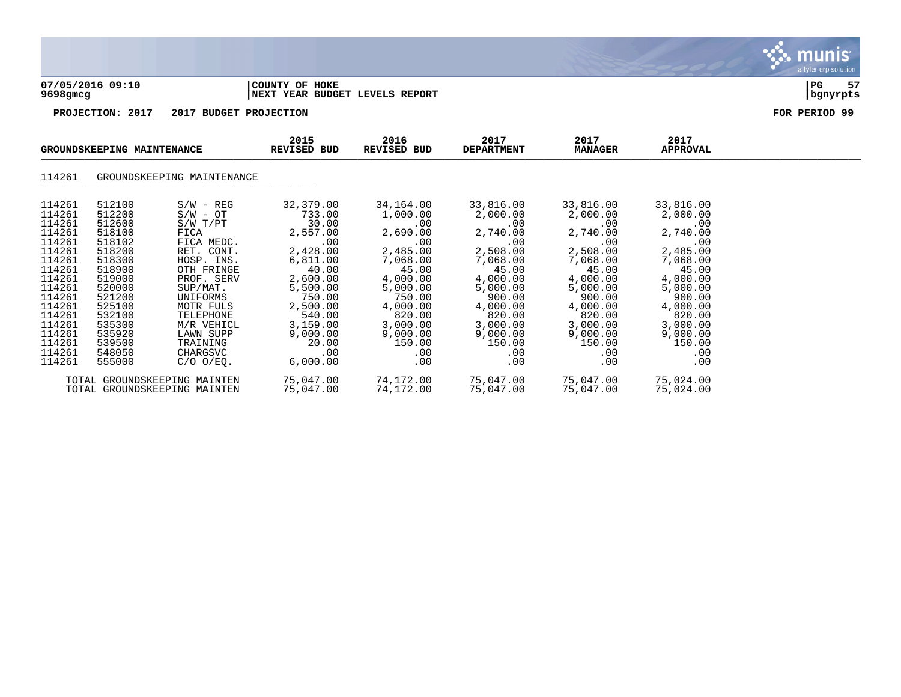

|                                                                                                                                | GROUNDSKEEPING MAINTENANCE                                                                                                     |                                                                                                                                                                           | 2015<br>REVISED BUD                                                                                                                      | 2016<br>REVISED BUD                                                                                                                           | 2017<br><b>DEPARTMENT</b>                                                                                                                | 2017<br><b>MANAGER</b>                                                                                                                   | 2017<br><b>APPROVAL</b>                                                                                                                  |  |
|--------------------------------------------------------------------------------------------------------------------------------|--------------------------------------------------------------------------------------------------------------------------------|---------------------------------------------------------------------------------------------------------------------------------------------------------------------------|------------------------------------------------------------------------------------------------------------------------------------------|-----------------------------------------------------------------------------------------------------------------------------------------------|------------------------------------------------------------------------------------------------------------------------------------------|------------------------------------------------------------------------------------------------------------------------------------------|------------------------------------------------------------------------------------------------------------------------------------------|--|
| 114261                                                                                                                         |                                                                                                                                | GROUNDSKEEPING MAINTENANCE                                                                                                                                                |                                                                                                                                          |                                                                                                                                               |                                                                                                                                          |                                                                                                                                          |                                                                                                                                          |  |
| 114261<br>114261<br>114261<br>114261<br>114261<br>114261<br>114261<br>114261<br>114261<br>114261<br>114261<br>114261<br>114261 | 512100<br>512200<br>512600<br>518100<br>518102<br>518200<br>518300<br>518900<br>519000<br>520000<br>521200<br>525100<br>532100 | $S/W - REG$<br>$S/W - OT$<br>$S/W$ $T/PT$<br>FICA<br>FICA MEDC.<br>RET. CONT.<br>HOSP. INS.<br>OTH FRINGE<br>PROF. SERV<br>SUP/MAT.<br>UNIFORMS<br>MOTR FULS<br>TELEPHONE | 32,379.00<br>733.00<br>30.00<br>2,557.00<br>.00<br>2,428.00<br>6,811.00<br>40.00<br>2,600.00<br>5,500.00<br>750.00<br>2,500.00<br>540.00 | 34,164.00<br>1,000.00<br>$.00 \,$<br>2,690.00<br>.00<br>2,485.00<br>7,068.00<br>45.00<br>4,000.00<br>5,000.00<br>750.00<br>4,000.00<br>820.00 | 33,816.00<br>2,000.00<br>.00<br>2,740.00<br>.00<br>2,508.00<br>7,068.00<br>45.00<br>4,000.00<br>5,000.00<br>900.00<br>4,000.00<br>820.00 | 33,816.00<br>2,000.00<br>.00<br>2,740.00<br>.00<br>2,508.00<br>7,068.00<br>45.00<br>4,000.00<br>5,000.00<br>900.00<br>4,000.00<br>820.00 | 33,816.00<br>2,000.00<br>.00<br>2,740.00<br>.00<br>2,485.00<br>7,068.00<br>45.00<br>4,000.00<br>5,000.00<br>900.00<br>4,000.00<br>820.00 |  |
| 114261<br>114261<br>114261<br>114261<br>114261                                                                                 | 535300<br>535920<br>539500<br>548050<br>555000                                                                                 | M/R VEHICL<br>LAWN SUPP<br>TRAINING<br>CHARGSVC<br>$C/O$ $O/EO$ .<br>TOTAL GROUNDSKEEPING MAINTEN                                                                         | 3,159.00<br>9,000.00<br>20.00<br>.00<br>6,000.00<br>75,047.00                                                                            | 3,000.00<br>9,000.00<br>150.00<br>$.00 \,$<br>.00<br>74,172.00                                                                                | 3,000.00<br>9,000.00<br>150.00<br>.00<br>.00<br>75,047.00                                                                                | 3,000.00<br>9,000.00<br>150.00<br>.00<br>.00<br>75,047.00                                                                                | 3,000.00<br>9,000.00<br>150.00<br>.00<br>.00<br>75,024.00                                                                                |  |
|                                                                                                                                |                                                                                                                                | TOTAL GROUNDSKEEPING MAINTEN                                                                                                                                              | 75,047.00                                                                                                                                | 74,172.00                                                                                                                                     | 75,047.00                                                                                                                                | 75,047.00                                                                                                                                | 75,024.00                                                                                                                                |  |

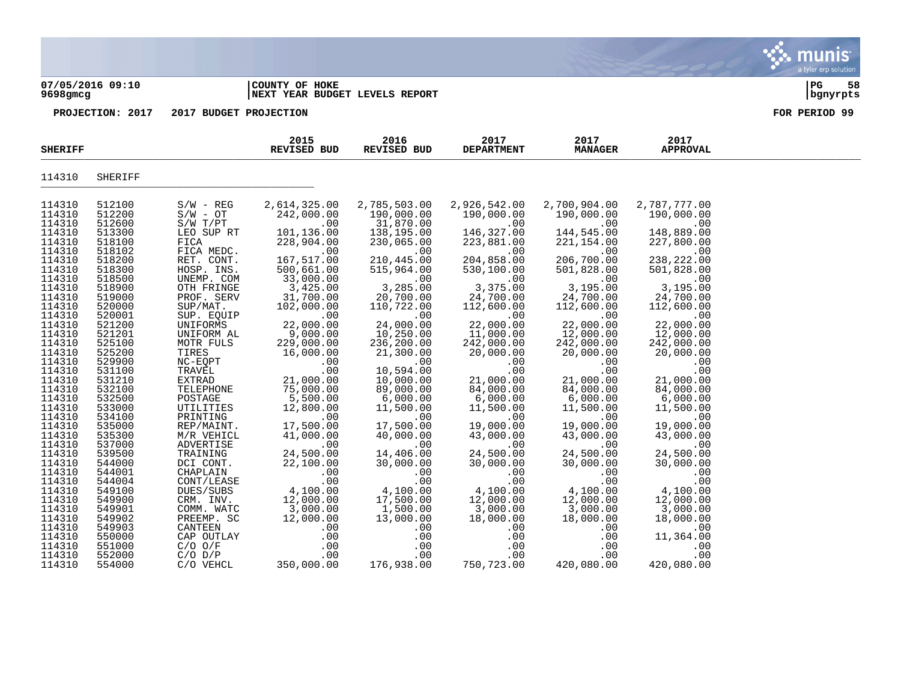#### **07/05/2016 09:10 |COUNTY OF HOKE |PG 58 9698gmcg |NEXT YEAR BUDGET LEVELS REPORT |bgnyrpts**

munis a tyler erp solution

| <b>SHERIFF</b>   |                  |                        | 2015<br>REVISED BUD       | 2016<br>REVISED BUD     | 2017<br><b>DEPARTMENT</b> | 2017<br><b>MANAGER</b> | 2017<br><b>APPROVAL</b> |  |
|------------------|------------------|------------------------|---------------------------|-------------------------|---------------------------|------------------------|-------------------------|--|
| 114310           | SHERIFF          |                        |                           |                         |                           |                        |                         |  |
| 114310           | 512100           | $S/W - REG$            | 2,614,325.00              | 2,785,503.00            | 2,926,542.00              | 2,700,904.00           | 2,787,777.00            |  |
| 114310           | 512200           | $S/W - OT$             | 242,000.00                | 190,000.00              | 190,000.00                | 190,000.00             | 190,000.00              |  |
| 114310<br>114310 | 512600<br>513300 | S/W T/PT<br>LEO SUP RT | .00<br>101,136.00         | 31,870.00<br>138,195.00 | .00<br>146,327.00         | .00<br>144,545.00      | .00<br>148,889.00       |  |
| 114310           | 518100           | FICA                   | 228,904.00                | 230,065.00              | 223,881.00                | 221,154.00             | 227,800.00              |  |
| 114310           | 518102           | FICA MEDC.             | .00                       | .00                     | .00                       | .00                    | .00                     |  |
| 114310           | 518200           | RET. CONT.             | 167,517.00                | 210,445.00              | 204,858.00                | 206,700.00             | 238,222.00              |  |
| 114310           | 518300           | HOSP. INS.             | 500,661.00                | 515,964.00              | 530,100.00                | 501,828.00             | 501,828.00              |  |
| 114310           | 518500           | UNEMP. COM             | 33,000.00                 | .00                     | .00                       | .00                    | .00                     |  |
| 114310           | 518900           | OTH FRINGE             | 3,425.00                  | 3,285.00                | 3,375.00                  | 3,195.00               | 3,195.00                |  |
| 114310           | 519000           | PROF. SERV             | 31,700.00                 | 20,700.00               | 24,700.00                 | 24,700.00              | 24,700.00               |  |
| 114310           | 520000           | SUP/MAT.               | 102,000.00                | 110,722.00              | 112,600.00                | 112,600.00             | 112,600.00              |  |
| 114310<br>114310 | 520001<br>521200 | SUP. EQUIP<br>UNIFORMS | .00<br>22,000.00          | .00<br>24,000.00        | .00<br>22,000.00          | .00<br>22,000.00       | .00<br>22,000.00        |  |
| 114310           | 521201           | UNIFORM AL             | 9,000.00                  | 10,250.00               | 11,000.00                 | 12,000.00              | 12,000.00               |  |
| 114310           | 525100           | MOTR FULS              | 229,000.00                | 236,200.00              | 242,000.00                | 242,000.00             | 242,000.00              |  |
| 114310           | 525200           | TIRES                  | 16,000.00                 | 21,300.00               | 20,000.00                 | 20,000.00              | 20,000.00               |  |
| 114310           | 529900           | NC-EQPT                | .00                       | .00                     | .00                       | .00                    | .00                     |  |
| 114310           | 531100           | TRAVEL                 | .00                       | 10,594.00               | .00                       | .00                    | .00                     |  |
| 114310           | 531210           | EXTRAD                 | 21,000.00                 | 10,000.00               | 21,000.00                 | 21,000.00              | 21,000.00               |  |
| 114310           | 532100           | TELEPHONE              | 75,000.00                 | 89,000.00               | 84,000.00                 | 84,000.00              | 84,000.00               |  |
| 114310           | 532500           | POSTAGE                | 5,500.00                  | 6,000.00                | 6,000.00                  | 6,000.00               | 6,000.00                |  |
| 114310<br>114310 | 533000<br>534100 | UTILITIES<br>PRINTING  | 12,800.00<br>.00          | 11,500.00<br>.00        | 11,500.00<br>.00          | 11,500.00<br>.00       | 11,500.00<br>.00        |  |
| 114310           | 535000           | REP/MAINT.             | 17,500.00                 | 17,500.00               | 19,000.00                 | 19,000.00              | 19,000.00               |  |
| 114310           | 535300           | M/R VEHICL             | 41,000.00                 | 40,000.00               | 43,000.00                 | 43,000.00              | 43,000.00               |  |
| 114310           | 537000           | ADVERTISE              | .00                       | .00                     | .00                       | .00                    | .00                     |  |
| 114310           | 539500           | TRAINING               | 24,500.00                 | 14,406.00               | 24,500.00                 | 24,500.00              | 24,500.00               |  |
| 114310           | 544000           | DCI CONT.              | 22,100.00                 | 30,000.00               | 30,000.00                 | 30,000.00              | 30,000.00               |  |
| 114310           | 544001           | CHAPLAIN               | .00                       | .00                     | .00                       | .00                    | .00                     |  |
| 114310           | 544004           | CONT/LEASE             | .00                       | .00                     | .00                       | .00                    | .00                     |  |
| 114310<br>114310 | 549100<br>549900 | DUES/SUBS<br>CRM. INV. | $4,100.00$<br>$12,000.00$ | 4,100.00<br>17,500.00   | 4,100.00<br>12,000.00     | 4,100.00<br>12,000.00  | 4,100.00<br>12,000.00   |  |
| 114310           | 549901           | COMM. WATC             | 3,000.00                  | 1,500.00                | 3,000.00                  | 3,000.00               | 3,000.00                |  |
| 114310           | 549902           | PREEMP. SC             | 12,000.00                 | 13,000.00               | 18,000.00                 | 18,000.00              | 18,000.00               |  |
| 114310           | 549903           | CANTEEN                | .00                       | .00                     | .00                       | .00                    | .00                     |  |
| 114310           | 550000           | CAP OUTLAY             | .00                       | .00                     | .00                       | .00                    | 11,364.00               |  |
| 114310           | 551000           | $C/O$ $O/F$            | .00                       | .00                     | .00                       | .00                    | .00                     |  |
| 114310           | 552000           | $C/O$ $D/P$            | .00                       | .00                     | .00                       | .00                    | .00                     |  |
| 114310           | 554000           | C/O VEHCL              | 350,000.00                | 176,938.00              | 750,723.00                | 420,080.00             | 420,080.00              |  |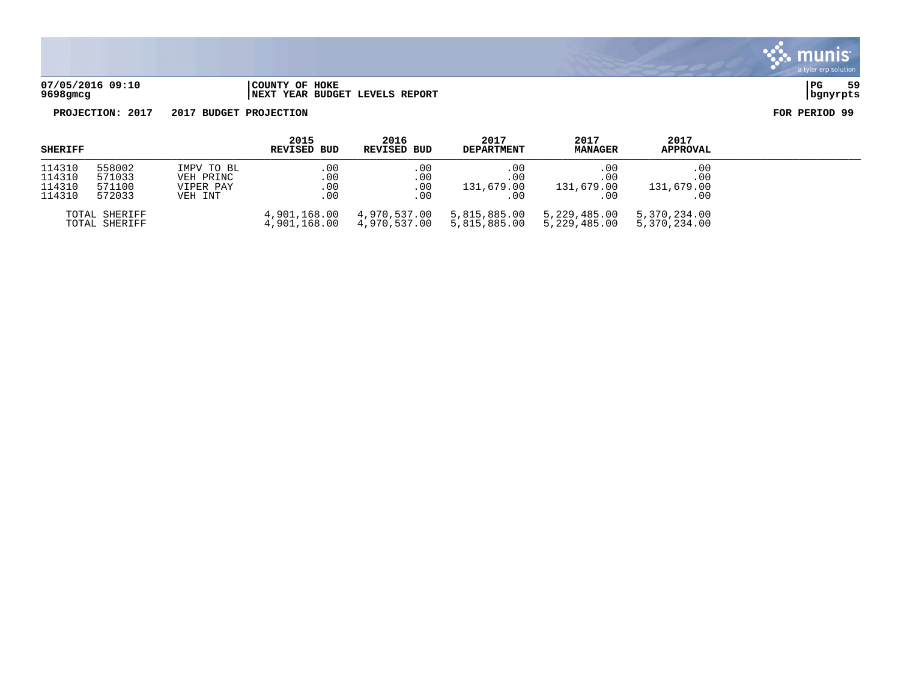

**07/05/2016 09:10 |COUNTY OF HOKE |PG 59 9698gmcg |NEXT YEAR BUDGET LEVELS REPORT |bgnyrpts**

| SHERIFF |                                | 2015        | 2016                         | 2017                         | 2017                         | 2017                         |                              |
|---------|--------------------------------|-------------|------------------------------|------------------------------|------------------------------|------------------------------|------------------------------|
|         |                                | REVISED BUD | REVISED BUD                  | <b>DEPARTMENT</b>            | <b>MANAGER</b>               | <b>APPROVAL</b>              |                              |
| 114310  | 558002                         | IMPV TO BL  | $.00 \,$                     | .00                          | .00                          | .00.                         | $.00 \,$                     |
| 114310  | 571033                         | VEH PRINC   | .00                          | .00                          | .00                          | .00                          | .00                          |
| 114310  | 571100                         | VIPER PAY   | .00                          | .00                          | 131,679.00                   | 131,679.00                   | 131,679.00                   |
| 114310  | 572033                         | VEH INT     | .00                          | . 00                         | .00                          | .00                          | $.00 \,$                     |
|         | TOTAL SHERIFF<br>TOTAL SHERIFF |             | 4,901,168.00<br>4,901,168.00 | 4,970,537.00<br>4,970,537.00 | 5,815,885.00<br>5,815,885.00 | 5,229,485.00<br>5,229,485.00 | 5,370,234.00<br>5,370,234.00 |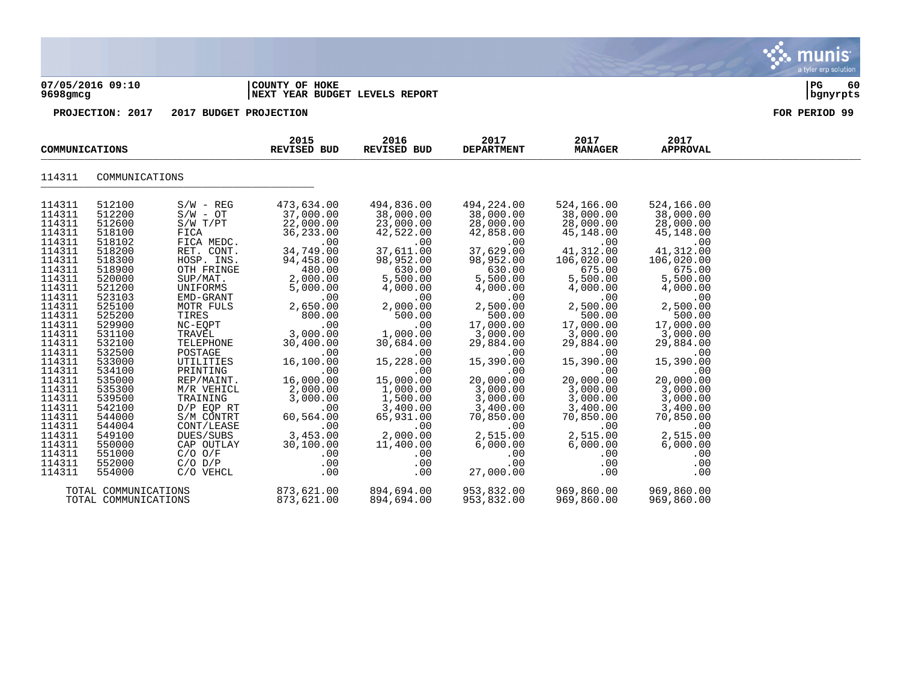| 9698gmcg                                                                                                                                                                                                                                                                                                 | 07/05/2016 09:10                                                                                                                                                                                                                                                                                         |                                                                                                                                                                                                                                                                                                                                                                                                  | COUNTY OF HOKE<br><b>NEXT YEAR BUDGET LEVELS REPORT</b>                                                                                                                                                                                                                                                                             | PG<br>60<br>bgnyrpts                                                                                                                                                                                                                                                                                                                 |                                                                                                                                                                                                                                                                                                                                                 |                                                                                                                                                                                                                                                                                                                                       |                                                                                                                                                                                                                                                                                                                                       |  |
|----------------------------------------------------------------------------------------------------------------------------------------------------------------------------------------------------------------------------------------------------------------------------------------------------------|----------------------------------------------------------------------------------------------------------------------------------------------------------------------------------------------------------------------------------------------------------------------------------------------------------|--------------------------------------------------------------------------------------------------------------------------------------------------------------------------------------------------------------------------------------------------------------------------------------------------------------------------------------------------------------------------------------------------|-------------------------------------------------------------------------------------------------------------------------------------------------------------------------------------------------------------------------------------------------------------------------------------------------------------------------------------|--------------------------------------------------------------------------------------------------------------------------------------------------------------------------------------------------------------------------------------------------------------------------------------------------------------------------------------|-------------------------------------------------------------------------------------------------------------------------------------------------------------------------------------------------------------------------------------------------------------------------------------------------------------------------------------------------|---------------------------------------------------------------------------------------------------------------------------------------------------------------------------------------------------------------------------------------------------------------------------------------------------------------------------------------|---------------------------------------------------------------------------------------------------------------------------------------------------------------------------------------------------------------------------------------------------------------------------------------------------------------------------------------|--|
|                                                                                                                                                                                                                                                                                                          | PROJECTION: 2017                                                                                                                                                                                                                                                                                         | 2017 BUDGET PROJECTION                                                                                                                                                                                                                                                                                                                                                                           |                                                                                                                                                                                                                                                                                                                                     | FOR PERIOD 99                                                                                                                                                                                                                                                                                                                        |                                                                                                                                                                                                                                                                                                                                                 |                                                                                                                                                                                                                                                                                                                                       |                                                                                                                                                                                                                                                                                                                                       |  |
| COMMUNICATIONS                                                                                                                                                                                                                                                                                           |                                                                                                                                                                                                                                                                                                          | 2015<br><b>REVISED BUD</b>                                                                                                                                                                                                                                                                                                                                                                       | 2016<br><b>REVISED BUD</b>                                                                                                                                                                                                                                                                                                          | 2017<br><b>DEPARTMENT</b>                                                                                                                                                                                                                                                                                                            | 2017<br><b>MANAGER</b>                                                                                                                                                                                                                                                                                                                          | 2017<br><b>APPROVAL</b>                                                                                                                                                                                                                                                                                                               |                                                                                                                                                                                                                                                                                                                                       |  |
| 114311                                                                                                                                                                                                                                                                                                   | COMMUNICATIONS                                                                                                                                                                                                                                                                                           |                                                                                                                                                                                                                                                                                                                                                                                                  |                                                                                                                                                                                                                                                                                                                                     |                                                                                                                                                                                                                                                                                                                                      |                                                                                                                                                                                                                                                                                                                                                 |                                                                                                                                                                                                                                                                                                                                       |                                                                                                                                                                                                                                                                                                                                       |  |
| 114311<br>114311<br>114311<br>114311<br>114311<br>114311<br>114311<br>114311<br>114311<br>114311<br>114311<br>114311<br>114311<br>114311<br>114311<br>114311<br>114311<br>114311<br>114311<br>114311<br>114311<br>114311<br>114311<br>114311<br>114311<br>114311<br>114311<br>114311<br>114311<br>114311 | 512100<br>512200<br>512600<br>518100<br>518102<br>518200<br>518300<br>518900<br>520000<br>521200<br>523103<br>525100<br>525200<br>529900<br>531100<br>532100<br>532500<br>533000<br>534100<br>535000<br>535300<br>539500<br>542100<br>544000<br>544004<br>549100<br>550000<br>551000<br>552000<br>554000 | $S/W - REG$<br>$S/W - OT$<br>S/W T/PT<br>FICA<br>FICA MEDC.<br>RET. CONT.<br>HOSP. INS.<br>OTH FRINGE<br>SUP/MAT.<br>UNIFORMS<br>EMD-GRANT<br>MOTR FULS<br>TIRES<br>NC-EQPT<br>TRAVEL<br>TELEPHONE<br>POSTAGE<br>UTILITIES<br>PRINTING<br>REP/MAINT.<br>M/R VEHICL<br>TRAINING<br>$D/P$ EQP RT<br>S/M CONTRT<br>CONT/LEASE<br>DUES/SUBS<br>CAP OUTLAY<br>$C/O$ $O/F$<br>$C/O$ $D/P$<br>C/O VEHCL | 473,634.00<br>37,000.00<br>22,000.00<br>36, 233.00<br>.00<br>34,749.00<br>94,458.00<br>480.00<br>2,000.00<br>5,000.00<br>.00<br>2,650.00<br>800.00<br>.00<br>3,000.00<br>30,400.00<br>.00<br>16,100.00<br>.00<br>16,000.00<br>2,000.00<br>3,000.00<br>.00<br>60,564.00<br>.00<br>3,453.00<br>30,100.00<br>$.00 \ \rm$<br>.00<br>.00 | 494,836.00<br>38,000.00<br>23,000.00<br>42,522.00<br>.00<br>37,611.00<br>98,952.00<br>630.00<br>5,500.00<br>4,000.00<br>.00<br>2,000.00<br>500.00<br>.00<br>1,000.00<br>30,684.00<br>.00<br>15,228.00<br>.00<br>15,000.00<br>1,000.00<br>1,500.00<br>3,400.00<br>65,931.00<br>.00<br>2,000.00<br>11,400.00<br>$.00 \,$<br>.00<br>.00 | 494,224.00<br>38,000.00<br>28,000.00<br>42,858.00<br>.00<br>37,629.00<br>98,952.00<br>630.00<br>5,500.00<br>4,000.00<br>.00<br>2,500.00<br>500.00<br>17,000.00<br>3,000.00<br>29,884.00<br>.00<br>15,390.00<br>.00<br>20,000.00<br>3,000.00<br>3,000.00<br>3,400.00<br>70,850.00<br>.00<br>2,515.00<br>6,000.00<br>$.00 \,$<br>.00<br>27,000.00 | 524,166.00<br>38,000.00<br>28,000.00<br>45,148.00<br>.00<br>41,312.00<br>106,020.00<br>675.00<br>5,500.00<br>4,000.00<br>.00<br>2,500.00<br>500.00<br>17,000.00<br>3,000.00<br>29,884.00<br>.00<br>15,390.00<br>.00<br>20,000.00<br>3,000.00<br>3,000.00<br>3,400.00<br>70,850.00<br>.00<br>2,515.00<br>6,000.00<br>.00<br>.00<br>.00 | 524,166.00<br>38,000.00<br>28,000.00<br>45,148.00<br>.00<br>41,312.00<br>106,020.00<br>675.00<br>5,500.00<br>4,000.00<br>.00<br>2,500.00<br>500.00<br>17,000.00<br>3,000.00<br>29,884.00<br>.00<br>15,390.00<br>.00<br>20,000.00<br>3,000.00<br>3,000.00<br>3,400.00<br>70,850.00<br>.00<br>2,515.00<br>6,000.00<br>.00<br>.00<br>.00 |  |
|                                                                                                                                                                                                                                                                                                          | TOTAL COMMUNICATIONS<br>TOTAL COMMUNICATIONS                                                                                                                                                                                                                                                             |                                                                                                                                                                                                                                                                                                                                                                                                  | 873,621.00<br>873,621.00                                                                                                                                                                                                                                                                                                            | 894,694.00<br>894,694.00                                                                                                                                                                                                                                                                                                             | 953,832.00<br>953,832.00                                                                                                                                                                                                                                                                                                                        | 969,860.00<br>969,860.00                                                                                                                                                                                                                                                                                                              | 969,860.00<br>969,860.00                                                                                                                                                                                                                                                                                                              |  |

 $\ddot{\ddot{\mathbf{w}}}$  munis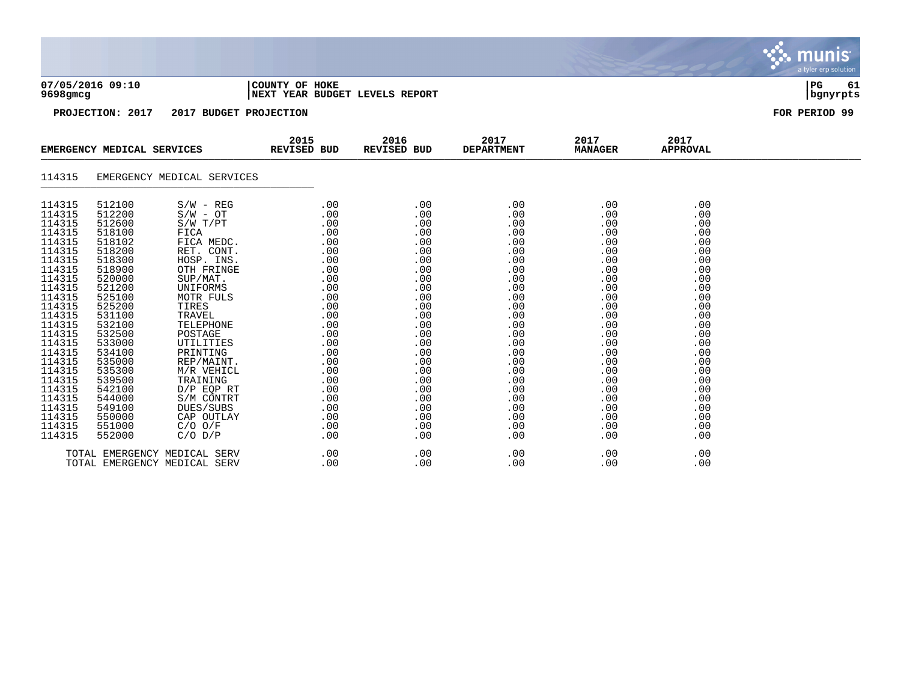| 07/05/2016 09:10<br>9698gmcg                                                                                                                                                                                                                                     |                                                                                                                                                                                                                                                                  |                                                                                                                                                                                                                                                                                                                                                   | COUNTY OF HOKE<br>NEXT YEAR BUDGET LEVELS REPORT                                                                                                                                        |                                                                                                                                                                                    |                                                                                                                                                                                    |                                                                                                                                                                                    |                                                                                                                                                                                    |               |  |
|------------------------------------------------------------------------------------------------------------------------------------------------------------------------------------------------------------------------------------------------------------------|------------------------------------------------------------------------------------------------------------------------------------------------------------------------------------------------------------------------------------------------------------------|---------------------------------------------------------------------------------------------------------------------------------------------------------------------------------------------------------------------------------------------------------------------------------------------------------------------------------------------------|-----------------------------------------------------------------------------------------------------------------------------------------------------------------------------------------|------------------------------------------------------------------------------------------------------------------------------------------------------------------------------------|------------------------------------------------------------------------------------------------------------------------------------------------------------------------------------|------------------------------------------------------------------------------------------------------------------------------------------------------------------------------------|------------------------------------------------------------------------------------------------------------------------------------------------------------------------------------|---------------|--|
|                                                                                                                                                                                                                                                                  | PROJECTION: 2017                                                                                                                                                                                                                                                 | 2017 BUDGET PROJECTION                                                                                                                                                                                                                                                                                                                            |                                                                                                                                                                                         |                                                                                                                                                                                    |                                                                                                                                                                                    |                                                                                                                                                                                    |                                                                                                                                                                                    | FOR PERIOD 99 |  |
|                                                                                                                                                                                                                                                                  | EMERGENCY MEDICAL SERVICES                                                                                                                                                                                                                                       |                                                                                                                                                                                                                                                                                                                                                   | 2015<br>REVISED BUD                                                                                                                                                                     | 2016<br>REVISED BUD                                                                                                                                                                | 2017<br><b>DEPARTMENT</b>                                                                                                                                                          | 2017<br><b>MANAGER</b>                                                                                                                                                             | 2017<br><b>APPROVAL</b>                                                                                                                                                            |               |  |
| 114315                                                                                                                                                                                                                                                           |                                                                                                                                                                                                                                                                  | EMERGENCY MEDICAL SERVICES                                                                                                                                                                                                                                                                                                                        |                                                                                                                                                                                         |                                                                                                                                                                                    |                                                                                                                                                                                    |                                                                                                                                                                                    |                                                                                                                                                                                    |               |  |
| 114315<br>114315<br>114315<br>114315<br>114315<br>114315<br>114315<br>114315<br>114315<br>114315<br>114315<br>114315<br>114315<br>114315<br>114315<br>114315<br>114315<br>114315<br>114315<br>114315<br>114315<br>114315<br>114315<br>114315<br>114315<br>114315 | 512100<br>512200<br>512600<br>518100<br>518102<br>518200<br>518300<br>518900<br>520000<br>521200<br>525100<br>525200<br>531100<br>532100<br>532500<br>533000<br>534100<br>535000<br>535300<br>539500<br>542100<br>544000<br>549100<br>550000<br>551000<br>552000 | $S/W - REG$<br>$S/W - OT$<br>$S/W$ $T/PT$<br>FICA<br>FICA MEDC.<br>RET. CONT.<br>HOSP. INS.<br>OTH FRINGE<br>SUP/MAT.<br>UNIFORMS<br>MOTR FULS<br>TIRES<br>TRAVEL<br>TELEPHONE<br>POSTAGE<br>UTILITIES<br>PRINTING<br>REP/MAINT.<br>M/R VEHICL<br>TRAINING<br>$D/P$ EQP RT<br>S/M CONTRT<br>DUES/SUBS<br>CAP OUTLAY<br>$C/O$ $O/F$<br>$C/O$ $D/P$ | .00<br>.00<br>.00<br>.00<br>.00<br>.00<br>.00<br>.00<br>.00<br>.00<br>.00<br>.00<br>.00<br>.00<br>.00<br>.00<br>.00<br>.00<br>.00<br>.00<br>.00<br>.00<br>.00<br>.00<br>$.00 \,$<br>.00 | .00<br>.00<br>.00<br>.00<br>.00<br>.00<br>.00<br>.00<br>.00<br>.00<br>.00<br>.00<br>.00<br>.00<br>.00<br>.00<br>.00<br>.00<br>.00<br>.00<br>.00<br>.00<br>.00<br>.00<br>.00<br>.00 | .00<br>.00<br>.00<br>.00<br>.00<br>.00<br>.00<br>.00<br>.00<br>.00<br>.00<br>.00<br>.00<br>.00<br>.00<br>.00<br>.00<br>.00<br>.00<br>.00<br>.00<br>.00<br>.00<br>.00<br>.00<br>.00 | .00<br>.00<br>.00<br>.00<br>.00<br>.00<br>.00<br>.00<br>.00<br>.00<br>.00<br>.00<br>.00<br>.00<br>.00<br>.00<br>.00<br>.00<br>.00<br>.00<br>.00<br>.00<br>.00<br>.00<br>.00<br>.00 | .00<br>.00<br>.00<br>.00<br>.00<br>.00<br>.00<br>.00<br>.00<br>.00<br>.00<br>.00<br>.00<br>.00<br>.00<br>.00<br>.00<br>.00<br>.00<br>.00<br>.00<br>.00<br>.00<br>.00<br>.00<br>.00 |               |  |

munis

TOTAL EMERGENCY MEDICAL SERV .00 .00 .00 .00 .00 .00 .00 .00 TOTAL EMERGENCY MEDICAL SERV .00 .00 .00 .00 .00 .00 .00 .00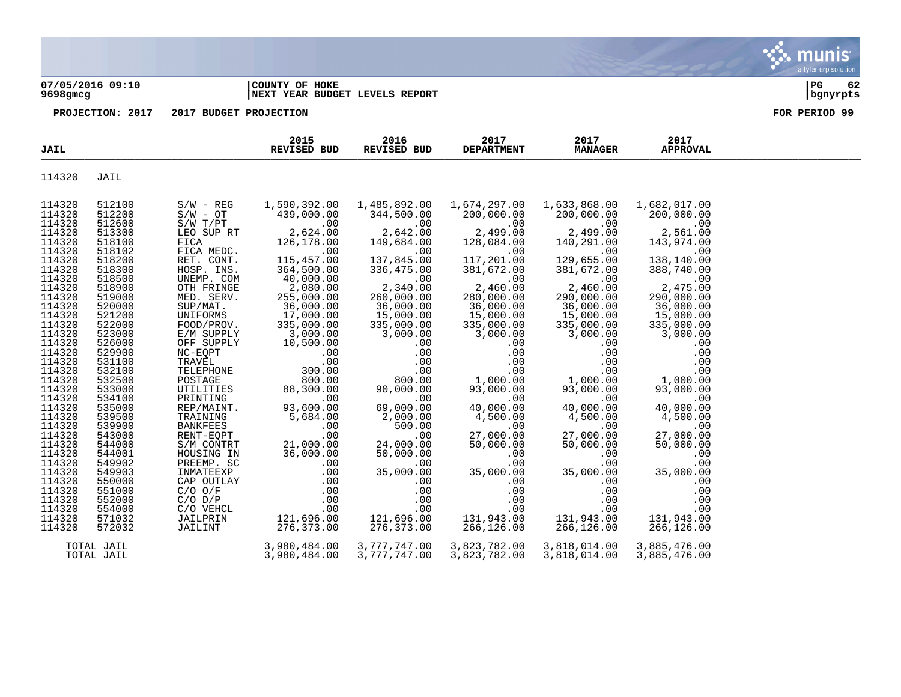#### **07/05/2016 09:10 |COUNTY OF HOKE |PG 62 9698gmcg |NEXT YEAR BUDGET LEVELS REPORT |bgnyrpts**

munis a tyler erp solution

| 114320<br>JAIL<br>114320<br>512100<br>$S/W - REG$<br>1,590,392.00<br>1,485,892.00<br>1,674,297.00<br>1,633,868.00<br>1,682,017.00<br>114320<br>512200<br>200,000.00<br>$S/W - OT$<br>439,000.00<br>344,500.00<br>200,000.00<br>200,000.00<br>114320<br>512600<br>$S/W$ $T/PT$<br>.00<br>.00<br>.00<br>.00<br>.00<br>114320<br>513300<br>LEO SUP RT<br>2,624.00<br>2,642.00<br>2,499.00<br>2,499.00<br>2,561.00<br>114320<br>518100<br>FICA<br>126,178.00<br>149,684.00<br>128,084.00<br>140,291.00<br>143,974.00<br>114320<br>FICA MEDC.<br>518102<br>.00<br>.00<br>.00<br>.00<br>.00<br>114320<br>518200<br>115,457.00<br>137,845.00<br>117,201.00<br>129,655.00<br>138,140.00<br>RET. CONT.<br>114320<br>518300<br>364,500.00<br>336,475.00<br>381,672.00<br>381,672.00<br>HOSP. INS.<br>388,740.00<br>114320<br>40,000.00<br>518500<br>UNEMP. COM<br>.00<br>.00<br>.00<br>.00<br>114320<br>2,340.00<br>2,460.00<br>2,460.00<br>2,475.00<br>518900<br>2,080.00<br>OTH FRINGE<br>114320<br>290,000.00<br>519000<br>MED. SERV.<br>260,000.00<br>280,000.00<br>290,000.00<br>255,000.00 |
|----------------------------------------------------------------------------------------------------------------------------------------------------------------------------------------------------------------------------------------------------------------------------------------------------------------------------------------------------------------------------------------------------------------------------------------------------------------------------------------------------------------------------------------------------------------------------------------------------------------------------------------------------------------------------------------------------------------------------------------------------------------------------------------------------------------------------------------------------------------------------------------------------------------------------------------------------------------------------------------------------------------------------------------------------------------------------------------|
|                                                                                                                                                                                                                                                                                                                                                                                                                                                                                                                                                                                                                                                                                                                                                                                                                                                                                                                                                                                                                                                                                        |
|                                                                                                                                                                                                                                                                                                                                                                                                                                                                                                                                                                                                                                                                                                                                                                                                                                                                                                                                                                                                                                                                                        |
|                                                                                                                                                                                                                                                                                                                                                                                                                                                                                                                                                                                                                                                                                                                                                                                                                                                                                                                                                                                                                                                                                        |
|                                                                                                                                                                                                                                                                                                                                                                                                                                                                                                                                                                                                                                                                                                                                                                                                                                                                                                                                                                                                                                                                                        |
|                                                                                                                                                                                                                                                                                                                                                                                                                                                                                                                                                                                                                                                                                                                                                                                                                                                                                                                                                                                                                                                                                        |
|                                                                                                                                                                                                                                                                                                                                                                                                                                                                                                                                                                                                                                                                                                                                                                                                                                                                                                                                                                                                                                                                                        |
|                                                                                                                                                                                                                                                                                                                                                                                                                                                                                                                                                                                                                                                                                                                                                                                                                                                                                                                                                                                                                                                                                        |
|                                                                                                                                                                                                                                                                                                                                                                                                                                                                                                                                                                                                                                                                                                                                                                                                                                                                                                                                                                                                                                                                                        |
|                                                                                                                                                                                                                                                                                                                                                                                                                                                                                                                                                                                                                                                                                                                                                                                                                                                                                                                                                                                                                                                                                        |
|                                                                                                                                                                                                                                                                                                                                                                                                                                                                                                                                                                                                                                                                                                                                                                                                                                                                                                                                                                                                                                                                                        |
|                                                                                                                                                                                                                                                                                                                                                                                                                                                                                                                                                                                                                                                                                                                                                                                                                                                                                                                                                                                                                                                                                        |
| 114320<br>36,000.00<br>36,000.00<br>36,000.00<br>36,000.00<br>36,000.00<br>SUP/MAT.<br>520000                                                                                                                                                                                                                                                                                                                                                                                                                                                                                                                                                                                                                                                                                                                                                                                                                                                                                                                                                                                          |
| 114320<br>521200<br>17,000.00<br>15,000.00<br>15,000.00<br>15,000.00<br>UNIFORMS<br>15,000.00                                                                                                                                                                                                                                                                                                                                                                                                                                                                                                                                                                                                                                                                                                                                                                                                                                                                                                                                                                                          |
| 114320<br>522000<br>335,000.00<br>335,000.00<br>335,000.00<br>335,000.00<br>FOOD/PROV.<br>335,000.00                                                                                                                                                                                                                                                                                                                                                                                                                                                                                                                                                                                                                                                                                                                                                                                                                                                                                                                                                                                   |
| 114320<br>523000<br>3,000.00<br>3,000.00<br>3,000.00<br>3,000.00<br>3,000.00<br>E/M SUPPLY<br>114320<br>526000<br>OFF SUPPLY<br>10,500.00<br>.00<br>.00<br>.00<br>.00                                                                                                                                                                                                                                                                                                                                                                                                                                                                                                                                                                                                                                                                                                                                                                                                                                                                                                                  |
| 114320<br>529900<br>NC-EQPT<br>.00<br>.00<br>.00<br>.00<br>.00                                                                                                                                                                                                                                                                                                                                                                                                                                                                                                                                                                                                                                                                                                                                                                                                                                                                                                                                                                                                                         |
| 114320<br>531100<br>TRAVĒL<br>.00<br>.00<br>.00<br>.00<br>.00                                                                                                                                                                                                                                                                                                                                                                                                                                                                                                                                                                                                                                                                                                                                                                                                                                                                                                                                                                                                                          |
| 114320<br>.00<br>.00<br>.00<br>532100<br>TELEPHONE<br>300.00<br>.00                                                                                                                                                                                                                                                                                                                                                                                                                                                                                                                                                                                                                                                                                                                                                                                                                                                                                                                                                                                                                    |
| 114320<br>532500<br>POSTAGE<br>800.00<br>800.00<br>1,000.00<br>1,000.00<br>1,000.00                                                                                                                                                                                                                                                                                                                                                                                                                                                                                                                                                                                                                                                                                                                                                                                                                                                                                                                                                                                                    |
| 114320<br>533000<br>UTILITIES<br>93,000.00<br>93,000.00<br>88,300.00<br>90,000.00<br>93,000.00                                                                                                                                                                                                                                                                                                                                                                                                                                                                                                                                                                                                                                                                                                                                                                                                                                                                                                                                                                                         |
| 114320<br>534100<br>PRINTING<br>.00<br>.00<br>.00<br>.00<br>.00                                                                                                                                                                                                                                                                                                                                                                                                                                                                                                                                                                                                                                                                                                                                                                                                                                                                                                                                                                                                                        |
| 114320<br>535000<br>REP/MAINT.<br>93,600.00<br>69,000.00<br>40,000.00<br>40,000.00<br>40,000.00                                                                                                                                                                                                                                                                                                                                                                                                                                                                                                                                                                                                                                                                                                                                                                                                                                                                                                                                                                                        |
| 114320<br>4,500.00<br>539500<br>5,684.00<br>2,000.00<br>4,500.00<br>4,500.00<br>TRAINING                                                                                                                                                                                                                                                                                                                                                                                                                                                                                                                                                                                                                                                                                                                                                                                                                                                                                                                                                                                               |
| 114320<br><b>BANKFEES</b><br>539900<br>500.00<br>.00<br>.00<br>.00<br>.00                                                                                                                                                                                                                                                                                                                                                                                                                                                                                                                                                                                                                                                                                                                                                                                                                                                                                                                                                                                                              |
| 114320<br>.00<br>543000<br>RENT-EQPT<br>.00<br>27,000.00<br>27,000.00<br>27,000.00                                                                                                                                                                                                                                                                                                                                                                                                                                                                                                                                                                                                                                                                                                                                                                                                                                                                                                                                                                                                     |
| 114320<br>544000<br>S/M CONTRT<br>21,000.00<br>24,000.00<br>50,000.00<br>50,000.00<br>50,000.00                                                                                                                                                                                                                                                                                                                                                                                                                                                                                                                                                                                                                                                                                                                                                                                                                                                                                                                                                                                        |
| 114320<br>544001<br>36,000.00<br>50,000.00<br>.00<br>HOUSING IN<br>.00<br>.00                                                                                                                                                                                                                                                                                                                                                                                                                                                                                                                                                                                                                                                                                                                                                                                                                                                                                                                                                                                                          |
| 114320<br>.00<br>.00<br>549902<br>PREEMP. SC<br>.00<br>.00<br>.00<br>114320<br>INMATEEXP<br>549903                                                                                                                                                                                                                                                                                                                                                                                                                                                                                                                                                                                                                                                                                                                                                                                                                                                                                                                                                                                     |
| 35,000.00<br>35,000.00<br>.00<br>35,000.00<br>35,000.00<br>114320<br>550000<br>CAP OUTLAY<br>.00<br>.00<br>.00<br>.00<br>.00                                                                                                                                                                                                                                                                                                                                                                                                                                                                                                                                                                                                                                                                                                                                                                                                                                                                                                                                                           |
| 114320<br>551000<br>$C/O$ $O/F$<br>.00<br>.00<br>.00<br>.00<br>.00                                                                                                                                                                                                                                                                                                                                                                                                                                                                                                                                                                                                                                                                                                                                                                                                                                                                                                                                                                                                                     |
| 114320<br>.00<br>.00<br>.00<br>.00<br>552000<br>$C/O$ $D/P$<br>.00                                                                                                                                                                                                                                                                                                                                                                                                                                                                                                                                                                                                                                                                                                                                                                                                                                                                                                                                                                                                                     |
| 114320<br>.00<br>554000<br>.00<br>.00<br>.00<br>.00<br>C/O VEHCL                                                                                                                                                                                                                                                                                                                                                                                                                                                                                                                                                                                                                                                                                                                                                                                                                                                                                                                                                                                                                       |
| 114320<br>571032<br>121,696.00<br>121,696.00<br>131,943.00<br>131,943.00<br>131,943.00<br>JAILPRIN                                                                                                                                                                                                                                                                                                                                                                                                                                                                                                                                                                                                                                                                                                                                                                                                                                                                                                                                                                                     |
| 114320<br>266,126.00<br>JAILINT<br>276,373.00<br>266,126.00<br>572032<br>276,373.00<br>266,126.00                                                                                                                                                                                                                                                                                                                                                                                                                                                                                                                                                                                                                                                                                                                                                                                                                                                                                                                                                                                      |
|                                                                                                                                                                                                                                                                                                                                                                                                                                                                                                                                                                                                                                                                                                                                                                                                                                                                                                                                                                                                                                                                                        |
| 3,777,747.00<br>3,823,782.00<br>3,980,484.00<br>3,818,014.00<br>3,885,476.00<br>TOTAL JAIL<br>TOTAL JAIL<br>3,980,484.00<br>3,777,747.00<br>3,823,782.00<br>3,818,014.00<br>3,885,476.00                                                                                                                                                                                                                                                                                                                                                                                                                                                                                                                                                                                                                                                                                                                                                                                                                                                                                               |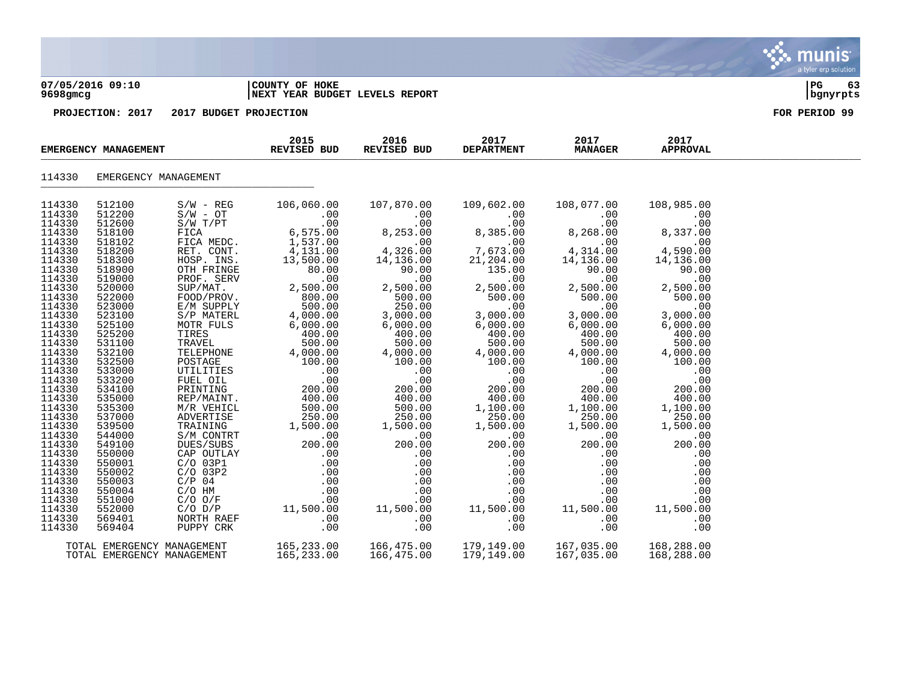#### **07/05/2016 09:10 |COUNTY OF HOKE |PG 63 9698gmcg |NEXT YEAR BUDGET LEVELS REPORT |bgnyrpts**

**PROJECTION: 2017 2017 BUDGET PROJECTION FOR PERIOD 99**

| EMERGENCY MANAGEMENT |                            | 2015<br>REVISED BUD | 2016<br>REVISED BUD                                                                                                              | 2017<br><b>DEPARTMENT</b> | 2017<br><b>MANAGER</b> | 2017<br><b>APPROVAL</b> |            |  |
|----------------------|----------------------------|---------------------|----------------------------------------------------------------------------------------------------------------------------------|---------------------------|------------------------|-------------------------|------------|--|
| 114330               | EMERGENCY MANAGEMENT       |                     |                                                                                                                                  |                           |                        |                         |            |  |
| 114330               | 512100                     | $S/W - REG$         | 106,060.00                                                                                                                       | 107,870.00                | 109,602.00             | 108,077.00              | 108,985.00 |  |
| 114330               | 512200                     |                     |                                                                                                                                  |                           |                        |                         |            |  |
| 114330               | 512600                     |                     |                                                                                                                                  |                           |                        |                         |            |  |
| 114330               | 518100                     |                     |                                                                                                                                  |                           |                        |                         |            |  |
| 114330               | 518102                     |                     |                                                                                                                                  |                           |                        |                         |            |  |
| 114330               | 518200                     |                     |                                                                                                                                  |                           |                        |                         |            |  |
| 114330               | 518300                     |                     |                                                                                                                                  |                           |                        |                         |            |  |
| 114330               | 518900                     |                     |                                                                                                                                  |                           |                        |                         |            |  |
| 114330               | 519000                     |                     |                                                                                                                                  |                           |                        |                         |            |  |
| 114330               | 520000                     |                     |                                                                                                                                  |                           |                        |                         |            |  |
| 114330               | 522000                     |                     |                                                                                                                                  |                           |                        |                         |            |  |
| 114330               | 523000                     |                     |                                                                                                                                  |                           |                        |                         |            |  |
| 114330               | 523100                     |                     |                                                                                                                                  |                           |                        |                         |            |  |
| 114330               | 525100                     |                     |                                                                                                                                  |                           |                        |                         |            |  |
| 114330               | 525200                     |                     |                                                                                                                                  |                           |                        |                         |            |  |
| 114330               | 531100                     |                     |                                                                                                                                  |                           |                        |                         |            |  |
| 114330               | 532100                     |                     |                                                                                                                                  |                           |                        |                         |            |  |
| 114330               | 532500                     |                     |                                                                                                                                  |                           |                        |                         |            |  |
| 114330               | 533000                     |                     |                                                                                                                                  |                           |                        |                         |            |  |
| 114330               | 533200                     |                     |                                                                                                                                  |                           |                        |                         |            |  |
| 114330               | 534100                     |                     |                                                                                                                                  |                           |                        |                         |            |  |
| 114330               | 535000                     |                     |                                                                                                                                  |                           |                        |                         |            |  |
| 114330               | 535300                     |                     |                                                                                                                                  |                           |                        |                         |            |  |
| 114330               | 537000                     |                     |                                                                                                                                  |                           |                        |                         |            |  |
| 114330               | 539500                     |                     |                                                                                                                                  |                           |                        |                         |            |  |
| 114330               | 544000                     |                     |                                                                                                                                  |                           |                        |                         |            |  |
| 114330               | 549100                     |                     |                                                                                                                                  |                           |                        |                         |            |  |
| 114330               | 550000                     |                     |                                                                                                                                  |                           |                        |                         |            |  |
| 114330               | 550001                     |                     |                                                                                                                                  |                           |                        |                         |            |  |
| 114330               | 550002                     |                     |                                                                                                                                  |                           |                        |                         |            |  |
| 114330               | 550003                     |                     |                                                                                                                                  |                           |                        |                         |            |  |
| 114330               | 550004                     |                     |                                                                                                                                  |                           |                        |                         |            |  |
| 114330               | 551000                     |                     |                                                                                                                                  |                           |                        |                         |            |  |
| 114330               | 552000                     |                     |                                                                                                                                  |                           |                        |                         |            |  |
| 114330               | 569401                     |                     |                                                                                                                                  |                           |                        |                         |            |  |
| 114330               | 569404                     |                     |                                                                                                                                  |                           |                        |                         |            |  |
|                      |                            |                     |                                                                                                                                  |                           |                        |                         |            |  |
|                      | TOTAL EMERGENCY MANAGEMENT |                     | 165,233.00   166,475.00   179,149.00   167,035.00   168,288.00<br>165,233.00   166,475.00   179,149.00   167,035.00   168,288.00 |                           |                        |                         |            |  |
|                      | TOTAL EMERGENCY MANAGEMENT |                     |                                                                                                                                  |                           |                        |                         |            |  |

munis a tyler erp solution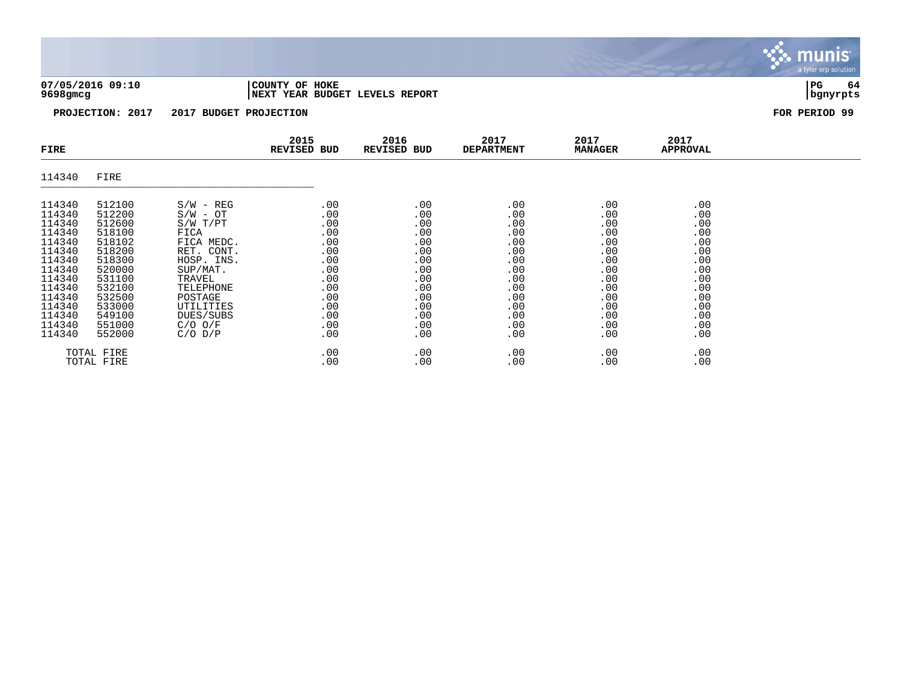**07/05/2016 09:10 |COUNTY OF HOKE |PG 64 9698gmcg |NEXT YEAR BUDGET LEVELS REPORT |bgnyrpts**

| FIRE                                                                                                                                               |                                                                                                                                                    |                                                                                                                                                                                               | 2015<br>REVISED BUD                                                                                   | 2016<br>REVISED BUD                                                                                   | 2017<br><b>DEPARTMENT</b>                                                                             | 2017<br><b>MANAGER</b>                                                                                | 2017<br><b>APPROVAL</b>                                                                               |  |
|----------------------------------------------------------------------------------------------------------------------------------------------------|----------------------------------------------------------------------------------------------------------------------------------------------------|-----------------------------------------------------------------------------------------------------------------------------------------------------------------------------------------------|-------------------------------------------------------------------------------------------------------|-------------------------------------------------------------------------------------------------------|-------------------------------------------------------------------------------------------------------|-------------------------------------------------------------------------------------------------------|-------------------------------------------------------------------------------------------------------|--|
| 114340                                                                                                                                             | FIRE                                                                                                                                               |                                                                                                                                                                                               |                                                                                                       |                                                                                                       |                                                                                                       |                                                                                                       |                                                                                                       |  |
| 114340<br>114340<br>114340<br>114340<br>114340<br>114340<br>114340<br>114340<br>114340<br>114340<br>114340<br>114340<br>114340<br>114340<br>114340 | 512100<br>512200<br>512600<br>518100<br>518102<br>518200<br>518300<br>520000<br>531100<br>532100<br>532500<br>533000<br>549100<br>551000<br>552000 | $S/W - REG$<br>$S/W - OT$<br>S/W T/PT<br>FICA<br>FICA MEDC.<br>RET. CONT.<br>HOSP. INS.<br>SUP/MAT.<br>TRAVEL<br>TELEPHONE<br>POSTAGE<br>UTILITIES<br>DUES/SUBS<br>$C/O$ $O/F$<br>$C/O$ $D/P$ | .00<br>.00<br>.00<br>.00<br>.00<br>.00<br>.00<br>.00<br>.00<br>.00<br>.00<br>.00<br>.00<br>.00<br>.00 | .00<br>.00<br>.00<br>.00<br>.00<br>.00<br>.00<br>.00<br>.00<br>.00<br>.00<br>.00<br>.00<br>.00<br>.00 | .00<br>.00<br>.00<br>.00<br>.00<br>.00<br>.00<br>.00<br>.00<br>.00<br>.00<br>.00<br>.00<br>.00<br>.00 | .00<br>.00<br>.00<br>.00<br>.00<br>.00<br>.00<br>.00<br>.00<br>.00<br>.00<br>.00<br>.00<br>.00<br>.00 | .00<br>.00<br>.00<br>.00<br>.00<br>.00<br>.00<br>.00<br>.00<br>.00<br>.00<br>.00<br>.00<br>.00<br>.00 |  |
|                                                                                                                                                    | TOTAL FIRE<br>TOTAL FIRE                                                                                                                           |                                                                                                                                                                                               | .00<br>.00                                                                                            | .00<br>.00                                                                                            | .00<br>.00                                                                                            | .00<br>.00                                                                                            | .00<br>.00                                                                                            |  |

munis a tyler erp solution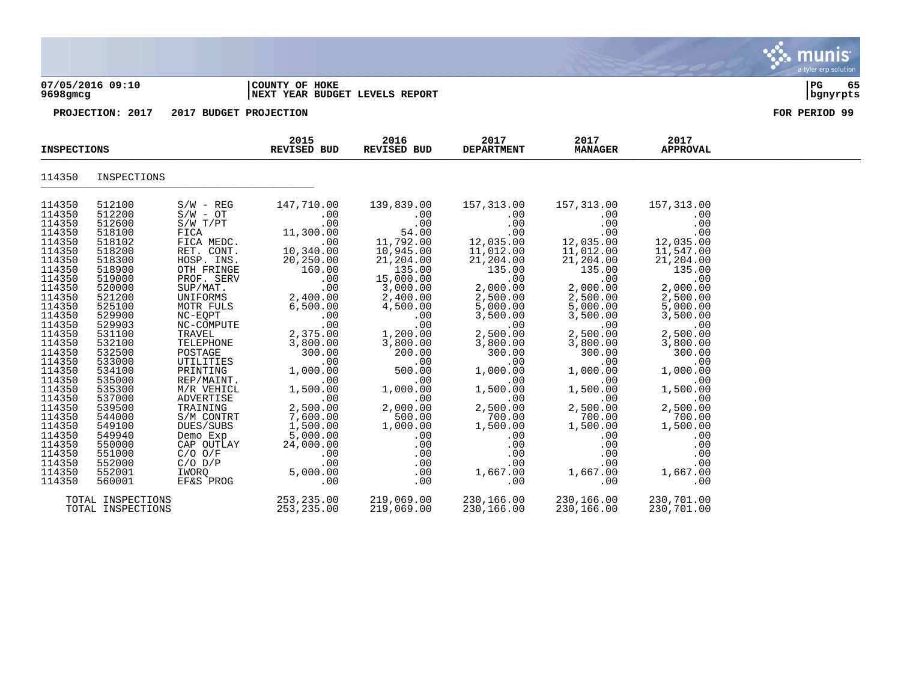#### **07/05/2016 09:10 |COUNTY OF HOKE |PG 65 9698gmcg |NEXT YEAR BUDGET LEVELS REPORT |bgnyrpts**

| <b>INSPECTIONS</b> |                                        | 2015<br>REVISED BUD | 2016<br>REVISED BUD        | 2017<br><b>DEPARTMENT</b> | 2017<br><b>MANAGER</b>   | 2017<br><b>APPROVAL</b>  |                          |  |
|--------------------|----------------------------------------|---------------------|----------------------------|---------------------------|--------------------------|--------------------------|--------------------------|--|
| 114350             | INSPECTIONS                            |                     |                            |                           |                          |                          |                          |  |
| 114350             | 512100                                 | $S/W - REG$         | 147,710.00                 | 139,839.00                | 157,313.00               | 157,313.00               | 157,313.00               |  |
| 114350             | 512200                                 | $S/W - OT$          | $.00 \,$                   | .00                       | .00                      | $.00 \,$                 | .00                      |  |
| 114350             | 512600                                 | S/W T/PT            | .00                        | .00                       | .00                      | .00                      | .00                      |  |
| 114350             | 518100                                 | FICA                | 11,300.00                  | 54.00                     | .00                      | .00                      | .00                      |  |
| 114350             | 518102                                 | FICA MEDC.          | .00                        | 11,792.00                 | 12,035.00                | 12,035.00                | 12,035.00                |  |
| 114350             | 518200                                 | RET. CONT.          | 10,340.00                  | 10,945.00                 | 11,012.00                | 11,012.00                | 11,547.00                |  |
| 114350             | 518300                                 | HOSP. INS.          | 20,250.00                  | 21,204.00                 | 21,204.00                | 21,204.00                | 21,204.00                |  |
| 114350             | 518900                                 | OTH FRINGE          | 160.00                     | 135.00                    | 135.00                   | 135.00                   | 135.00                   |  |
| 114350             | 519000                                 | PROF. SERV          | .00                        | 15,000.00                 | .00                      | .00                      | .00                      |  |
| 114350             | 520000                                 | SUP/MAT.            | .00                        | 3,000.00                  | 2,000.00                 | 2,000.00                 | 2,000.00                 |  |
| 114350             | 521200                                 | UNIFORMS            | 2,400.00                   | 2,400.00                  | 2,500.00                 | 2,500.00                 | 2,500.00                 |  |
| 114350             | 525100                                 | MOTR FULS           | 6,500.00                   | 4,500.00                  | 5,000.00                 | 5,000.00                 | 5,000.00                 |  |
| 114350             | 529900                                 | NC-EQPT             | .00                        | .00                       | 3,500.00                 | 3,500.00                 | 3,500.00                 |  |
| 114350             | 529903                                 | NC-COMPUTE          | .00                        | .00                       | .00                      | .00                      | .00                      |  |
| 114350             | 531100                                 | TRAVEL              | 2,375.00                   | 1,200.00                  | 2,500.00                 | 2,500.00                 | 2,500.00                 |  |
| 114350             | 532100                                 | TELEPHONE           | 3,800.00                   | 3,800.00                  | 3,800.00                 | 3,800.00                 | 3,800.00                 |  |
| 114350             | 532500                                 | POSTAGE             | 300.00                     | 200.00                    | 300.00                   | 300.00                   | 300.00                   |  |
| 114350             | 533000                                 | UTILITIES           | .00                        | .00                       | .00                      | .00                      | .00                      |  |
| 114350             | 534100                                 | PRINTING            | 1,000.00                   | 500.00                    | 1,000.00                 | 1,000.00                 | 1,000.00                 |  |
| 114350             | 535000                                 | REP/MAINT.          | .00                        | .00                       | .00                      | .00                      | .00                      |  |
| 114350             | 535300                                 | M/R VEHICL          | 1,500.00                   | 1,000.00                  | 1,500.00                 | 1,500.00                 | 1,500.00                 |  |
| 114350             | 537000                                 | ADVERTISE           | .00                        | .00                       | .00                      | .00                      | .00                      |  |
| 114350             | 539500                                 | TRAINING            | 2,500.00                   | 2,000.00                  | 2,500.00                 | 2,500.00                 | 2,500.00                 |  |
| 114350             | 544000                                 | S/M CONTRT          | 7,600.00                   | 500.00                    | 700.00                   | 700.00                   | 700.00                   |  |
| 114350             | 549100                                 | DUES/SUBS           | 1,500.00                   | 1,000.00                  | 1,500.00                 | 1,500.00                 | 1,500.00                 |  |
| 114350             | 549940                                 | Demo Exp            | 5,000.00                   | .00                       | .00                      | .00                      | .00                      |  |
| 114350             | 550000                                 | CAP OUTLAY          | 24,000.00                  | .00                       | .00                      | .00                      | .00                      |  |
| 114350             | 551000                                 | $C/O$ $O/F$         | $.00 \,$                   | .00                       | .00                      | .00                      | .00                      |  |
| 114350             | 552000                                 | $C/O$ $D/P$         | .00                        | .00                       | .00                      | .00                      | .00                      |  |
| 114350             | 552001                                 | IWORO               | 5,000.00                   | $.00 \,$                  | 1,667.00                 | 1,667.00                 | 1,667.00                 |  |
| 114350             | 560001                                 | EF&S PROG           | .00                        | .00                       | .00                      | .00                      | .00                      |  |
|                    | TOTAL INSPECTIONS<br>TOTAL INSPECTIONS |                     | 253, 235.00<br>253, 235.00 | 219,069.00<br>219,069.00  | 230,166.00<br>230,166.00 | 230,166.00<br>230,166.00 | 230,701.00<br>230,701.00 |  |

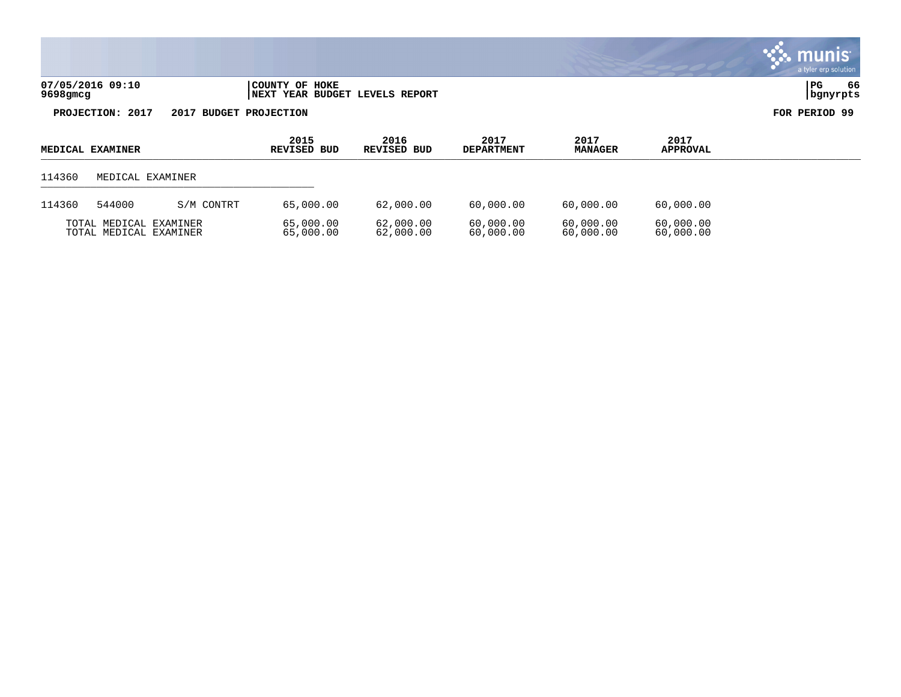| 07/05/2016 09:10<br>9698gmcg | HOKE<br>OF<br>COUNTY<br>REPORT<br>BUDGET<br>LEVELS<br><b>NEXT</b><br>YEAR . | PC | - -<br>66 |
|------------------------------|-----------------------------------------------------------------------------|----|-----------|
|                              |                                                                             |    |           |

| <b>MEDICAL EXAMINER</b> |                                                  |            | 2015<br>REVISED BUD    | 2016<br>REVISED BUD    | 2017<br><b>DEPARTMENT</b> | 2017<br><b>MANAGER</b> | 2017<br><b>APPROVAL</b> |  |
|-------------------------|--------------------------------------------------|------------|------------------------|------------------------|---------------------------|------------------------|-------------------------|--|
| 114360                  | MEDICAL EXAMINER                                 |            |                        |                        |                           |                        |                         |  |
| 114360                  | 544000                                           | S/M CONTRT | 65,000.00              | 62,000.00              | 60,000.00                 | 60,000.00              | 60,000.00               |  |
|                         | TOTAL MEDICAL EXAMINER<br>TOTAL MEDICAL EXAMINER |            | 65,000.00<br>65,000.00 | 62,000.00<br>62,000.00 | 60,000.00<br>60,000.00    | 60,000.00<br>60,000.00 | 60,000.00<br>60,000.00  |  |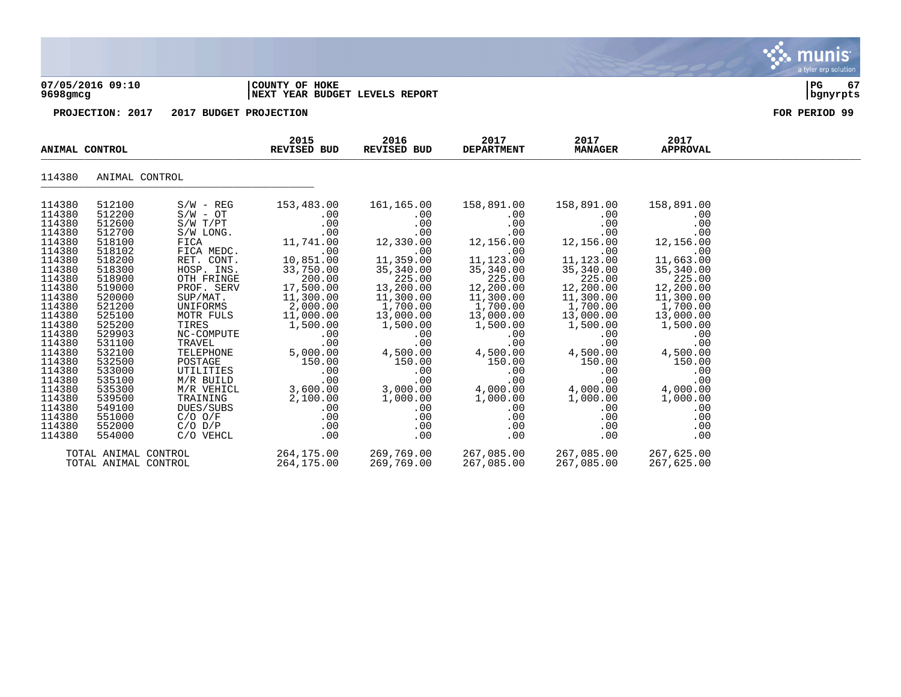

### **07/05/2016 09:10 |COUNTY OF HOKE |PG 67 9698gmcg |NEXT YEAR BUDGET LEVELS REPORT |bgnyrpts**

| ANIMAL CONTROL   |                      | 2015<br>REVISED BUD        | 2016<br>REVISED BUD   | 2017<br><b>DEPARTMENT</b> | 2017<br><b>MANAGER</b> | 2017<br><b>APPROVAL</b> |                       |  |
|------------------|----------------------|----------------------------|-----------------------|---------------------------|------------------------|-------------------------|-----------------------|--|
| 114380           | ANIMAL CONTROL       |                            |                       |                           |                        |                         |                       |  |
| 114380           | 512100               | $S/W - REG$                | 153,483.00            | 161,165.00                | 158,891.00             | 158,891.00              | 158,891.00            |  |
| 114380<br>114380 | 512200<br>512600     | $S/W - OT$<br>$S/W$ $T/PT$ | $.00 \,$<br>.00       | $.00 \,$<br>.00           | $.00 \,$<br>.00        | $.00 \,$<br>.00         | .00<br>.00            |  |
| 114380           | 512700               | S/W LONG.                  | .00                   | .00                       | .00                    | .00                     | .00                   |  |
| 114380           | 518100               | FICA                       | 11,741.00             | 12,330.00                 | 12,156.00              | 12,156.00               | 12,156.00             |  |
| 114380           | 518102               | FICA MEDC.                 | .00                   | .00                       | .00                    | .00                     | .00                   |  |
| 114380           | 518200               | RET. CONT.                 | 10,851.00             | 11,359.00                 | 11,123.00              | 11,123.00               | 11,663.00             |  |
| 114380           | 518300               | HOSP. INS.                 | 33,750.00             | 35,340.00                 | 35,340.00              | 35,340.00               | 35,340.00             |  |
| 114380           | 518900               | OTH FRINGE                 | 200.00                | 225.00                    | 225.00                 | 225.00                  | 225.00                |  |
| 114380           | 519000               | PROF. SERV                 | 17,500.00             | 13,200.00                 | 12,200.00              | 12,200.00               | 12,200.00             |  |
| 114380           | 520000               | SUP/MAT.                   | 11,300.00             | 11,300.00                 | 11,300.00              | 11,300.00               | 11,300.00             |  |
| 114380           | 521200               | UNIFORMS                   | 2,000.00              | 1,700.00                  | 1,700.00               | 1,700.00                | 1,700.00              |  |
| 114380<br>114380 | 525100<br>525200     | MOTR FULS<br>TIRES         | 11,000.00<br>1,500.00 | 13,000.00<br>1,500.00     | 13,000.00              | 13,000.00<br>1,500.00   | 13,000.00<br>1,500.00 |  |
| 114380           | 529903               | NC-COMPUTE                 | .00                   | .00                       | 1,500.00<br>.00        | .00                     | .00                   |  |
| 114380           | 531100               | TRAVEL                     | .00                   | .00                       | .00                    | .00                     | .00                   |  |
| 114380           | 532100               | TELEPHONE                  | 5,000.00              | 4,500.00                  | 4,500.00               | 4,500.00                | 4,500.00              |  |
| 114380           | 532500               | POSTAGE                    | 150.00                | 150.00                    | 150.00                 | 150.00                  | 150.00                |  |
| 114380           | 533000               | UTILITIES                  | .00                   | .00                       | .00                    | .00                     | .00                   |  |
| 114380           | 535100               | M/R BUILD                  | .00                   | .00                       | .00                    | .00                     | .00                   |  |
| 114380           | 535300               | M/R VEHICL                 | 3,600.00              | 3,000.00                  | 4,000.00               | 4,000.00                | 4,000.00              |  |
| 114380           | 539500               | TRAINING                   | 2,100.00              | 1,000.00                  | 1,000.00               | 1,000.00                | 1,000.00              |  |
| 114380           | 549100               | DUES/SUBS                  | .00                   | $.00 \,$                  | $.00 \,$               | .00                     | .00                   |  |
| 114380           | 551000               | $C/O$ $O/F$                | .00                   | .00                       | .00                    | .00                     | .00                   |  |
| 114380           | 552000               | $C/O$ $D/P$                | $.00 \,$              | .00                       | .00                    | .00                     | .00                   |  |
| 114380           | 554000               | C/O VEHCL                  | .00                   | .00                       | .00                    | .00                     | .00                   |  |
|                  | TOTAL ANIMAL CONTROL |                            | 264,175.00            | 269,769.00                | 267,085.00             | 267,085.00              | 267,625.00            |  |
|                  | TOTAL ANIMAL CONTROL |                            | 264,175.00            | 269,769.00                | 267,085.00             | 267,085.00              | 267,625.00            |  |

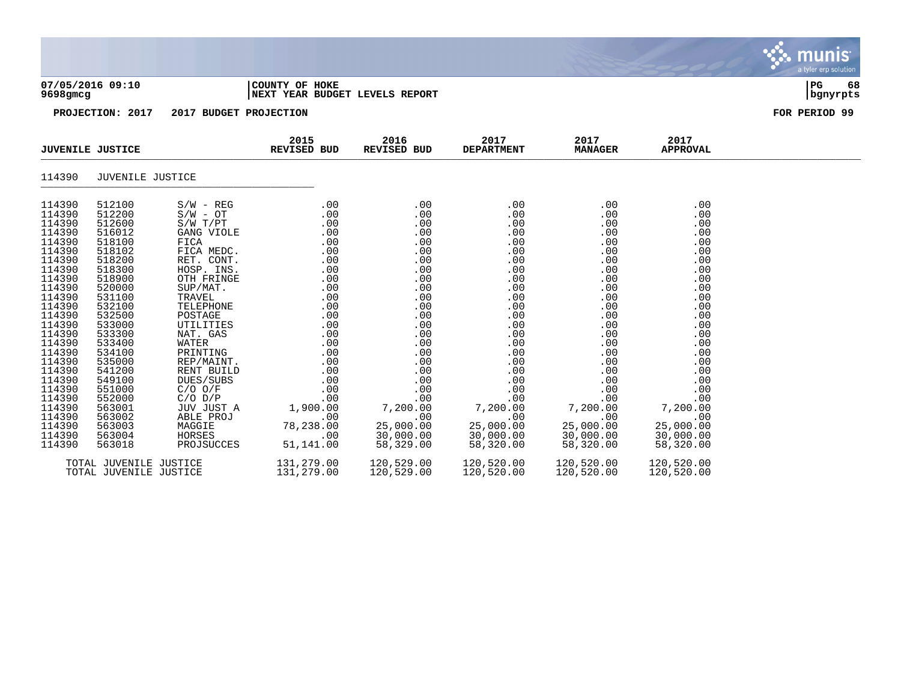| 07/05/2016 09:10<br>9698gmcg                                                                                                                                                                                                                                               |                                                                                                                                                                                                                                                                            |                                                                                                                                                                                                                                                 | COUNTY OF HOKE<br>NEXT YEAR BUDGET LEVELS REPORT                                                                                                       | PG<br>68<br>  bgnyrpts                                                                                                                                               |                                                                                                                                                                                                                  |                                                                                                                                                                                                                               |                                                                                                                                                                                                                  |                                                                                                                                                                                                                  |               |
|----------------------------------------------------------------------------------------------------------------------------------------------------------------------------------------------------------------------------------------------------------------------------|----------------------------------------------------------------------------------------------------------------------------------------------------------------------------------------------------------------------------------------------------------------------------|-------------------------------------------------------------------------------------------------------------------------------------------------------------------------------------------------------------------------------------------------|--------------------------------------------------------------------------------------------------------------------------------------------------------|----------------------------------------------------------------------------------------------------------------------------------------------------------------------|------------------------------------------------------------------------------------------------------------------------------------------------------------------------------------------------------------------|-------------------------------------------------------------------------------------------------------------------------------------------------------------------------------------------------------------------------------|------------------------------------------------------------------------------------------------------------------------------------------------------------------------------------------------------------------|------------------------------------------------------------------------------------------------------------------------------------------------------------------------------------------------------------------|---------------|
|                                                                                                                                                                                                                                                                            | PROJECTION: 2017                                                                                                                                                                                                                                                           | 2017 BUDGET PROJECTION                                                                                                                                                                                                                          |                                                                                                                                                        |                                                                                                                                                                      |                                                                                                                                                                                                                  |                                                                                                                                                                                                                               |                                                                                                                                                                                                                  |                                                                                                                                                                                                                  | FOR PERIOD 99 |
| <b>JUVENILE JUSTICE</b>                                                                                                                                                                                                                                                    |                                                                                                                                                                                                                                                                            |                                                                                                                                                                                                                                                 | 2015<br><b>REVISED BUD</b>                                                                                                                             |                                                                                                                                                                      | 2016<br>REVISED BUD                                                                                                                                                                                              | 2017<br><b>DEPARTMENT</b>                                                                                                                                                                                                     | 2017<br><b>MANAGER</b>                                                                                                                                                                                           | 2017<br><b>APPROVAL</b>                                                                                                                                                                                          |               |
| 114390                                                                                                                                                                                                                                                                     | JUVENILE JUSTICE                                                                                                                                                                                                                                                           |                                                                                                                                                                                                                                                 |                                                                                                                                                        |                                                                                                                                                                      |                                                                                                                                                                                                                  |                                                                                                                                                                                                                               |                                                                                                                                                                                                                  |                                                                                                                                                                                                                  |               |
| 114390<br>114390<br>114390<br>114390<br>114390<br>114390<br>114390<br>114390<br>114390<br>114390<br>114390<br>114390<br>114390<br>114390<br>114390<br>114390<br>114390<br>114390<br>114390<br>114390<br>114390<br>114390<br>114390<br>114390<br>114390<br>114390<br>114390 | 512100<br>512200<br>512600<br>516012<br>518100<br>518102<br>518200<br>518300<br>518900<br>520000<br>531100<br>532100<br>532500<br>533000<br>533300<br>533400<br>534100<br>535000<br>541200<br>549100<br>551000<br>552000<br>563001<br>563002<br>563003<br>563004<br>563018 | $S/W - REG$<br>$S/W - OT$<br>S/W T/PT<br>TELEPHONE<br>POSTAGE<br>UTILITIES<br>NAT. GAS<br>WATER<br>PRINTING<br>REP/MAINT.<br>RENT BUILD<br>DUES/SUBS<br>$C/O$ $O/F$<br>$C/O$ $D/P$<br>JUV JUST A<br>ABLE PROJ<br>MAGGIE<br>HORSES<br>PROJSUCCES | S/W T/PT<br>GANG VIOLE<br>FICA MEDC.<br>RET. CONT.<br>HOSP. INS.<br>OTH FRINGE<br>SUP/MAT.<br>TRAVEL.<br>TRAVEL.<br>1,900.00<br>78,238.00<br>51,141.00 | .00<br>.00<br>.00<br>.00<br>.00<br>.00<br>.00<br>.00<br>.00<br>.00<br>.00<br>.00<br>.00<br>.00<br>.00<br>.00<br>.00<br>.00<br>.00<br>.00<br>.00<br>.00<br>.00<br>.00 | .00<br>.00<br>.00<br>.00<br>.00<br>.00<br>.00<br>.00<br>.00<br>.00<br>.00<br>.00<br>.00<br>.00<br>.00<br>.00<br>.00<br>.00<br>.00<br>.00<br>.00<br>.00<br>7,200.00<br>.00<br>25,000.00<br>30,000.00<br>58,329.00 | .00<br>.00<br>.00<br>.00<br>.00<br>.00<br>.00<br>.00<br>.00<br>.00<br>.00<br>.00<br>.00<br>.00<br>.00<br>.00<br>.00<br>.00<br>.00<br>.00<br>.00<br>.00<br>7,200.00<br>.00<br>25,000.00<br>30,000.00<br>58,320.00<br>58,320.00 | .00<br>.00<br>.00<br>.00<br>.00<br>.00<br>.00<br>.00<br>.00<br>.00<br>.00<br>.00<br>.00<br>.00<br>.00<br>.00<br>.00<br>.00<br>.00<br>.00<br>.00<br>.00<br>7,200.00<br>.00<br>25,000.00<br>30,000.00<br>58,320.00 | .00<br>.00<br>.00<br>.00<br>.00<br>.00<br>.00<br>.00<br>.00<br>.00<br>.00<br>.00<br>.00<br>.00<br>.00<br>.00<br>.00<br>.00<br>.00<br>.00<br>.00<br>.00<br>7,200.00<br>.00<br>25,000.00<br>30,000.00<br>58,320.00 |               |

TOTAL JUVENILE JUSTICE 131,279.00 120,529.00 120,520.00 120,520.00 120,520.00 TOTAL JUVENILE JUSTICE 131,279.00 120,529.00 120,520.00 120,520.00 120,520.00



# S munis a tyler erp solution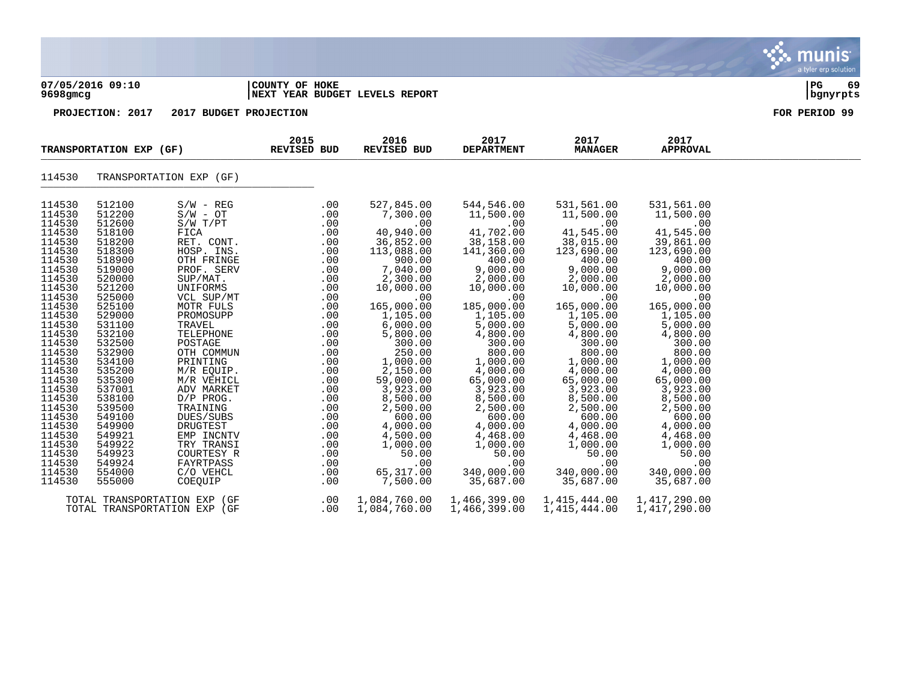| 07/05/2016 09:10           |                            |                                |                            | COUNTY OF HOKE                 |                                |                                |                                |  |  |
|----------------------------|----------------------------|--------------------------------|----------------------------|--------------------------------|--------------------------------|--------------------------------|--------------------------------|--|--|
| $9698$ gmcg                |                            |                                |                            | NEXT YEAR BUDGET LEVELS REPORT |                                |                                |                                |  |  |
|                            | PROJECTION: 2017           | 2017 BUDGET PROJECTION         |                            | FOR PERIOD 99                  |                                |                                |                                |  |  |
|                            | TRANSPORTATION EXP (GF)    |                                | 2015<br><b>REVISED BUD</b> | 2016<br>REVISED BUD            | 2017<br><b>DEPARTMENT</b>      | 2017<br><b>MANAGER</b>         | 2017<br><b>APPROVAL</b>        |  |  |
| 114530                     |                            | TRANSPORTATION EXP (GF)        |                            |                                |                                |                                |                                |  |  |
| 114530                     | 512100                     | $S/W - REG$                    | .00                        | 527,845.00                     | 544,546.00                     | 531,561.00                     | 531,561.00                     |  |  |
| 114530                     | 512200                     | $S/W - OT$                     | .00                        | 7,300.00                       | 11,500.00                      | 11,500.00                      | 11,500.00                      |  |  |
| 114530                     | 512600                     | S/W T/PT                       | .00                        | .00                            | .00                            | .00                            | .00                            |  |  |
| 114530                     | 518100                     | FICA                           | .00                        | 40,940.00                      | 41,702.00                      | 41,545.00                      | 41,545.00                      |  |  |
| 114530                     | 518200                     | RET. CONT.                     | .00                        | 36,852.00                      | 38,158.00                      | 38,015.00                      | 39,861.00                      |  |  |
| 114530                     | 518300                     | HOSP. INS.                     | .00                        | 113,088.00                     | 141,360.00                     | 123,690.00                     | 123,690.00                     |  |  |
| 114530                     | 518900                     | OTH FRINGE                     | .00                        | 900.00                         | 400.00                         | 400.00                         | 400.00                         |  |  |
| 114530                     | 519000                     | PROF. SERV                     | .00                        | 7,040.00                       | 9,000.00                       | 9,000.00                       | 9,000.00                       |  |  |
| 114530                     | 520000                     | SUP/MAT.                       | .00                        | 2,300.00                       | 2,000.00                       | 2,000.00                       | 2,000.00                       |  |  |
| 114530                     | 521200                     | UNIFORMS                       | .00                        | 10,000.00                      | 10,000.00                      | 10,000.00                      | 10,000.00                      |  |  |
| 114530                     | 525000                     | VCL SUP/MT                     | .00                        | .00                            | .00                            | .00                            | .00                            |  |  |
| 114530                     | 525100                     | MOTR FULS                      | .00                        | 165,000.00                     | 185,000.00                     | 165,000.00                     | 165,000.00                     |  |  |
| 114530                     | 529000                     | PROMOSUPP                      | $.00 \,$                   | 1,105.00                       | 1,105.00                       | 1,105.00                       | 1,105.00                       |  |  |
| 114530<br>114530<br>114530 | 531100<br>532100<br>532500 | TRAVEL<br>TELEPHONE<br>POSTAGE | .00<br>.00<br>.00          | 6,000.00<br>5,800.00<br>300.00 | 5,000.00<br>4,800.00<br>300.00 | 5,000.00<br>4,800.00<br>300.00 | 5,000.00<br>4,800.00<br>300.00 |  |  |
| 114530                     | 532900                     | OTH COMMUN                     | .00                        | 250.00                         | 800.00                         | 800.00                         | 800.00                         |  |  |
| 114530                     | 534100                     | PRINTING                       | .00                        | 1,000.00                       | 1,000.00                       | 1,000.00                       | 1,000.00                       |  |  |
| 114530                     | 535200                     | M/R EQUIP.                     | .00                        | 2,150.00                       | 4,000.00                       | 4,000.00                       | 4,000.00                       |  |  |
| 114530                     | 535300                     | M/R VEHICL                     | .00                        | 59,000.00                      | 65,000.00                      | 65,000.00                      | 65,000.00                      |  |  |
| 114530                     | 537001                     | ADV MARKET                     | .00                        | 3,923.00                       | 3,923.00                       | 3,923.00                       | 3,923.00                       |  |  |
| 114530                     | 538100                     | D/P PROG.                      | .00                        | 8,500.00                       | 8,500.00                       | 8,500.00                       | 8,500.00                       |  |  |
| 114530                     | 539500                     | TRAINING                       | .00                        | 2,500.00                       | 2,500.00                       | 2,500.00                       | 2,500.00                       |  |  |
| 114530                     | 549100                     | DUES/SUBS                      | .00                        | 600.00                         | 600.00                         | 600.00                         | 600.00                         |  |  |
| 114530                     | 549900                     | DRUGTEST                       | .00                        | 4,000.00                       | 4,000.00                       | 4,000.00                       | 4,000.00                       |  |  |
| 114530                     | 549921                     | EMP INCNTV                     | .00                        | 4,500.00                       | 4,468.00                       | 4,468.00                       | 4,468.00                       |  |  |
| 114530                     | 549922                     | TRY TRANSI                     | .00                        | 1,000.00                       | 1,000.00                       | 1,000.00                       | 1,000.00                       |  |  |
| 114530                     | 549923                     | COURTESY R                     | .00                        | 50.00                          | 50.00                          | 50.00                          | 50.00                          |  |  |
| 114530                     | 549924                     | FAYRTPASS                      | .00                        | .00                            | .00                            | .00                            | .00                            |  |  |
| 114530                     | 554000                     | C/O VEHCL                      | .00                        | 65,317.00                      | 340,000.00                     | 340,000.00                     | 340,000.00                     |  |  |

 $\mathbf{\ddot{}}$  munis

a tyler erp solution

114530 555000 COEQUIP .00 7,500.00 35,687.00 35,687.00 35,687.00 TOTAL TRANSPORTATION EXP (GF .00 1,084,760.00 1,466,399.00 1,415,444.00 1,417,290.00 TOTAL TRANSPORTATION EXP (GF .00 1,084,760.00 1,466,399.00 1,415,444.00 1,417,290.00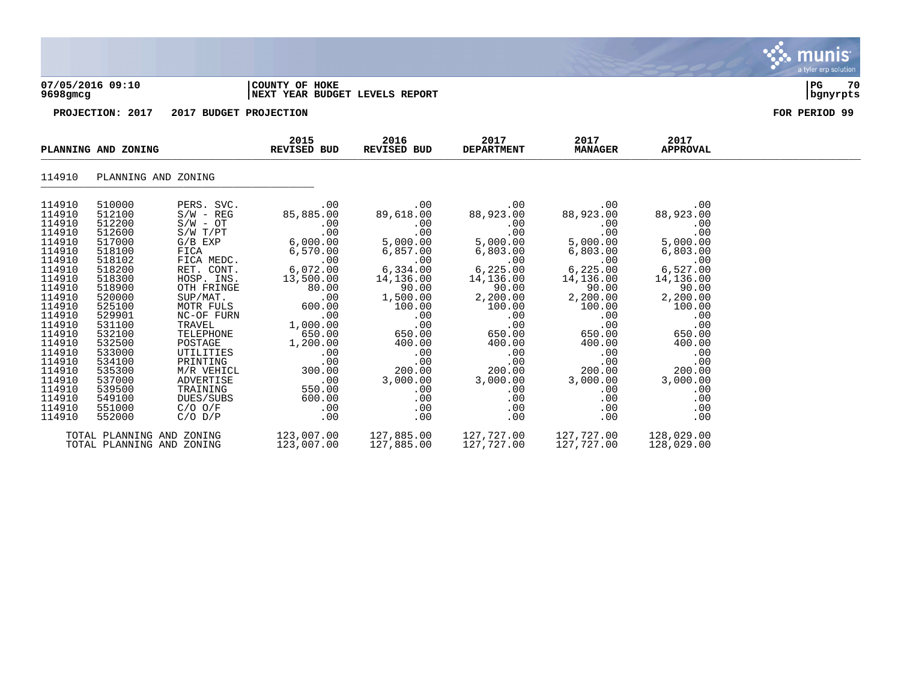

### **07/05/2016 09:10 |COUNTY OF HOKE |PG 70 9698gmcg |NEXT YEAR BUDGET LEVELS REPORT |bgnyrpts**

| PLANNING AND ZONING                                                                                                                                                                                                                |                                                                                                                                                                                                                                    | 2015<br>REVISED BUD                                                                                                                                                                                                                                                                                                                                                     | 2016<br>REVISED BUD                                                                                                                                                                                           | 2017<br><b>DEPARTMENT</b>                                                                                                                                                                                                                                                                                                                                                                                                                                                                          | 2017<br><b>MANAGER</b>                                                                                                                                                                                                                            | 2017<br><b>APPROVAL</b>                                                                                                                                                                                               |                                                                                                                                                                                                                  |  |
|------------------------------------------------------------------------------------------------------------------------------------------------------------------------------------------------------------------------------------|------------------------------------------------------------------------------------------------------------------------------------------------------------------------------------------------------------------------------------|-------------------------------------------------------------------------------------------------------------------------------------------------------------------------------------------------------------------------------------------------------------------------------------------------------------------------------------------------------------------------|---------------------------------------------------------------------------------------------------------------------------------------------------------------------------------------------------------------|----------------------------------------------------------------------------------------------------------------------------------------------------------------------------------------------------------------------------------------------------------------------------------------------------------------------------------------------------------------------------------------------------------------------------------------------------------------------------------------------------|---------------------------------------------------------------------------------------------------------------------------------------------------------------------------------------------------------------------------------------------------|-----------------------------------------------------------------------------------------------------------------------------------------------------------------------------------------------------------------------|------------------------------------------------------------------------------------------------------------------------------------------------------------------------------------------------------------------|--|
| 114910                                                                                                                                                                                                                             | PLANNING AND ZONING                                                                                                                                                                                                                |                                                                                                                                                                                                                                                                                                                                                                         |                                                                                                                                                                                                               |                                                                                                                                                                                                                                                                                                                                                                                                                                                                                                    |                                                                                                                                                                                                                                                   |                                                                                                                                                                                                                       |                                                                                                                                                                                                                  |  |
| 114910<br>114910<br>114910<br>114910<br>114910<br>114910<br>114910<br>114910<br>114910<br>114910<br>114910<br>114910<br>114910<br>114910<br>114910<br>114910<br>114910<br>114910<br>114910<br>114910<br>114910<br>114910<br>114910 | 510000<br>512100<br>512200<br>512600<br>517000<br>518100<br>518102<br>518200<br>518300<br>518900<br>520000<br>525100<br>529901<br>531100<br>532100<br>532500<br>533000<br>534100<br>535300<br>537000<br>539500<br>549100<br>551000 | PERS. SVC.<br>$S/W - REG$<br>$\texttt{S/W}$ - $\texttt{OT}$<br>S/W T/PT<br>$G/B$ $EXP$<br>FICA<br>FICA<br>FICA MEDC.<br>RET. CONT.<br>HOSP. INS.<br>OTH FRINGE<br>$\texttt{SUP} / \texttt{MAT}$ .<br>MOTR FULS<br>NC-OF FURN<br>TRAVEL<br>TELEPHONE<br>POSTAGE<br>UTILITIES<br>UTILITIES<br>PRINTING<br>M/R VEHICL<br>ADVERTISE<br>TRAINING<br>DUES/SUBS<br>$C/O$ $O/F$ | .00<br>85,885.00<br>.00<br>.00<br>6,072.00<br>13,500.00<br>80.00<br>.00<br>600.00<br>.00<br>1,000.00<br>650.00<br>1,200.00<br>.00<br>.00<br>300.00<br>.00<br>550.00<br>600.00<br>$\overline{\phantom{0}}$ .00 | .00<br>89,618.00<br>.00<br>.00<br>$\begin{array}{cccc} & . & 00 & . & 00 \ 6\, , 000\, .00 & 5\, , 000\, .00 & . & . & . \ 6\, , 570\, .00 & 6\, , 857\, .00 & . & . & . \ 00 & . & . & . & . & . \ 6\, , 072\, .00 & . & . & . & . & . \ 00 & . & . & . & . & . & . \ 6\, , 072\, .00 & . & . & . & . & . \end{array}$<br>14,136.00<br>90.00<br>1,500.00<br>100.00<br>.00<br>.00<br>650.00<br>$\begin{array}{c} 0.00 \\ -0.00 \end{array}$<br>.00<br>200.00<br>3,000.00<br>$.00 \,$<br>.00<br>.00 | .00<br>88,923.00<br>.00<br>.00<br>5,000.00<br>6,803.00<br>.00<br>6,225.00<br>14,136.00<br>90.00<br>$2,200.00$<br>$100.00$<br>$\sim$ 00<br>$\sim$ 00<br>650.00<br>400.00 400.00<br>.00<br>.00<br>200.00<br>3,000.00<br>.00<br>$.00 \,$<br>$.00 \,$ | .00<br>88,923.00<br>.00<br>.00<br>5,000.00<br>6,803.00<br>.00<br>6,225.00<br>14,136.00<br>90.00<br>2,200.00<br>100.00<br>.00<br>.00<br>650.00<br>400.00<br>.00<br>.00<br>200.00<br>3,000.00<br>.00<br>.00<br>$.00 \,$ | .00<br>88,923.00<br>.00<br>.00<br>5,000.00<br>6,803.00<br>.00<br>6,527.00<br>14,136.00<br>90.00<br>2,200.00<br>100.00<br>.00<br>.00<br>650.00<br>400.00<br>.00<br>.00<br>200.00<br>3,000.00<br>.00<br>.00<br>.00 |  |
| 114910                                                                                                                                                                                                                             | 552000<br>TOTAL PLANNING AND ZONING<br>TOTAL PLANNING AND ZONING                                                                                                                                                                   | $C/O$ $D/P$                                                                                                                                                                                                                                                                                                                                                             | $.00 \,$<br>$123,007.00$ $127,885.00$ $127,727.00$ $127,727.00$<br>123,007.00                                                                                                                                 | .00<br>127,885.00                                                                                                                                                                                                                                                                                                                                                                                                                                                                                  | .00<br>127,727.00                                                                                                                                                                                                                                 | .00<br>127,727.00                                                                                                                                                                                                     | .00<br>128,029.00<br>128,029.00                                                                                                                                                                                  |  |

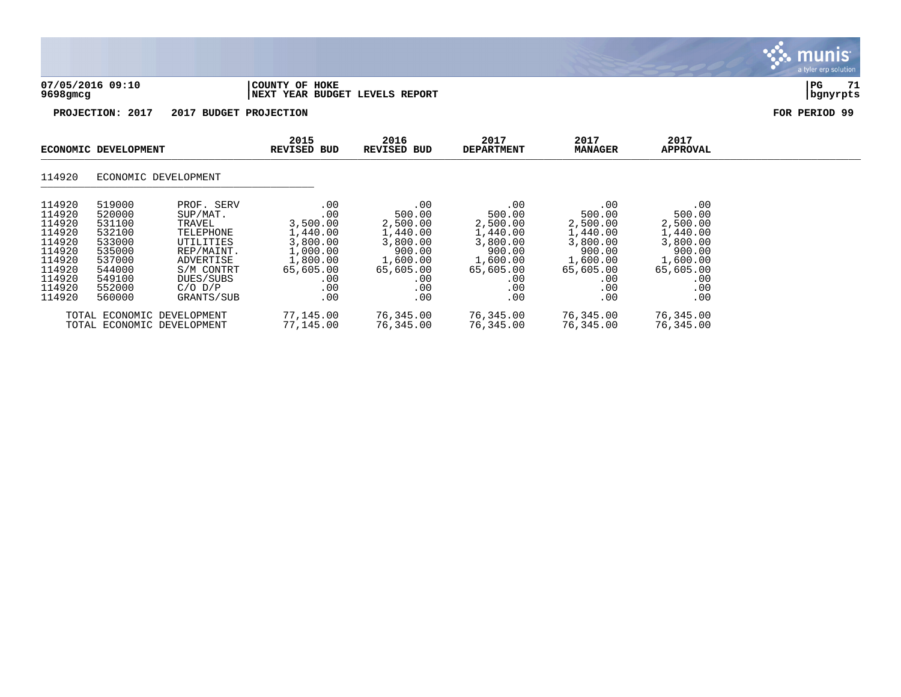|                                                                                                            |                                                                                                            |                                                                                                                                               |                                                                                                          |                                                                                                           |                                                                                                           |                                                                                                           |                                                                                                           | nıs<br>mu<br>a tyler erp solution |
|------------------------------------------------------------------------------------------------------------|------------------------------------------------------------------------------------------------------------|-----------------------------------------------------------------------------------------------------------------------------------------------|----------------------------------------------------------------------------------------------------------|-----------------------------------------------------------------------------------------------------------|-----------------------------------------------------------------------------------------------------------|-----------------------------------------------------------------------------------------------------------|-----------------------------------------------------------------------------------------------------------|-----------------------------------|
| $9698$ gmcg                                                                                                | 07/05/2016 09:10                                                                                           |                                                                                                                                               | COUNTY OF HOKE<br>NEXT YEAR BUDGET LEVELS REPORT                                                         |                                                                                                           |                                                                                                           |                                                                                                           |                                                                                                           | PG<br>71<br>bgnyrpts              |
|                                                                                                            | PROJECTION: 2017                                                                                           | 2017 BUDGET PROJECTION                                                                                                                        |                                                                                                          |                                                                                                           |                                                                                                           |                                                                                                           |                                                                                                           | FOR PERIOD 99                     |
|                                                                                                            | ECONOMIC DEVELOPMENT                                                                                       |                                                                                                                                               | 2015<br><b>REVISED BUD</b>                                                                               | 2016<br><b>REVISED BUD</b>                                                                                | 2017<br><b>DEPARTMENT</b>                                                                                 | 2017<br><b>MANAGER</b>                                                                                    | 2017<br><b>APPROVAL</b>                                                                                   |                                   |
| 114920                                                                                                     | ECONOMIC DEVELOPMENT                                                                                       |                                                                                                                                               |                                                                                                          |                                                                                                           |                                                                                                           |                                                                                                           |                                                                                                           |                                   |
| 114920<br>114920<br>114920<br>114920<br>114920<br>114920<br>114920<br>114920<br>114920<br>114920<br>114920 | 519000<br>520000<br>531100<br>532100<br>533000<br>535000<br>537000<br>544000<br>549100<br>552000<br>560000 | PROF. SERV<br>SUP/MAT.<br>TRAVEL<br>TELEPHONE<br>UTILITIES<br>REP/MAINT.<br>ADVERTISE<br>S/M CONTRT<br>DUES/SUBS<br>$C/O$ $D/P$<br>GRANTS/SUB | .00<br>.00<br>3,500.00<br>1,440.00<br>3,800.00<br>1,000.00<br>1,800.00<br>65,605.00<br>.00<br>.00<br>.00 | .00<br>500.00<br>2,500.00<br>1,440.00<br>3,800.00<br>900.00<br>1,600.00<br>65,605.00<br>.00<br>.00<br>.00 | .00<br>500.00<br>2,500.00<br>1,440.00<br>3,800.00<br>900.00<br>1,600.00<br>65,605.00<br>.00<br>.00<br>.00 | .00<br>500.00<br>2,500.00<br>1,440.00<br>3,800.00<br>900.00<br>1,600.00<br>65,605.00<br>.00<br>.00<br>.00 | .00<br>500.00<br>2,500.00<br>1,440.00<br>3,800.00<br>900.00<br>1,600.00<br>65,605.00<br>.00<br>.00<br>.00 |                                   |

TOTAL ECONOMIC DEVELOPMENT 77,145.00 76,345.00 76,345.00 76,345.00 76,345.00 TOTAL ECONOMIC DEVELOPMENT 77,145.00 76,345.00 76,345.00 76,345.00 76,345.00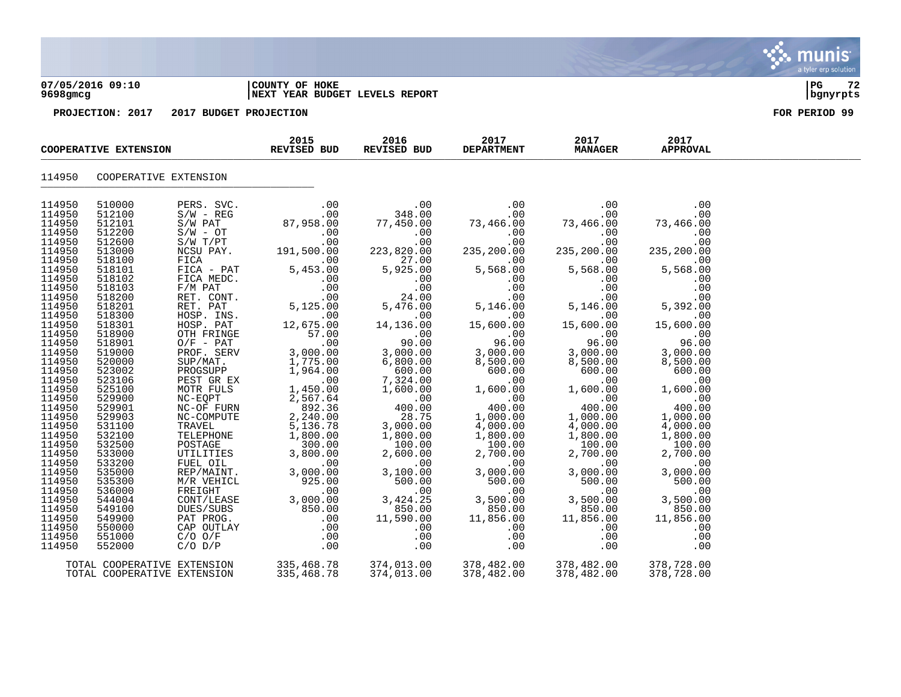| 07/05/2016 09:10  | COUNTY OF<br>HOKE | l PC | $\mathbf{a}$ |
|-------------------|-------------------|------|--------------|
| $0.000 \pm 0.000$ |                   |      |              |

## **9698gmcg |NEXT YEAR BUDGET LEVELS REPORT |bgnyrpts**

**PROJECTION: 2017 2017 BUDGET PROJECTION FOR PERIOD 99**

| COOPERATIVE EXTENSION |                             |                                                                                                                                                                                                                                                                                                                | 2015<br><b>REVISED BUD</b>                                                                                                                                                                 | 2016<br>REVISED BUD                                                     | 2017<br><b>DEPARTMENT</b>                                                                                  | 2017<br><b>MANAGER</b> | 2017<br><b>APPROVAL</b>                                                             |  |
|-----------------------|-----------------------------|----------------------------------------------------------------------------------------------------------------------------------------------------------------------------------------------------------------------------------------------------------------------------------------------------------------|--------------------------------------------------------------------------------------------------------------------------------------------------------------------------------------------|-------------------------------------------------------------------------|------------------------------------------------------------------------------------------------------------|------------------------|-------------------------------------------------------------------------------------|--|
| 114950                | COOPERATIVE EXTENSION       |                                                                                                                                                                                                                                                                                                                |                                                                                                                                                                                            |                                                                         |                                                                                                            |                        |                                                                                     |  |
| 114950                | 510000                      | PERS. SVC.<br>PERS. SVC.<br>S/W - REG<br>S/W PAT<br>S/W T/PT<br>S/W T/PT<br>NCSU PAY.<br>FICA<br>FICA - PAT<br>FICA MEDC.<br>F/M PAT<br>FICA MEDC.<br>F/M PAT<br>RET. CONT.<br>RET. PAT<br>HOSP. INS.<br>HOSP. INS.<br>HOSP. PAT<br>O/F - PAT<br>OTH FRINGE<br>O/F - PAT<br>OUR - PAT<br>DOSP. BERV<br>SUP/MAT | $\begin{array}{c}\n -\n \begin{array}{cc}\n 0 & 0 \\  0 & 0 \\  \hline\n 0 & 0 \\  0 & 0\n \end{array} \\  \begin{array}{ccc}\n \downarrow \\  \sqrt{1} & 191\n \end{array}\n \end{array}$ | .00                                                                     | .00                                                                                                        | .00                    | .00                                                                                 |  |
| 114950                | 512100                      |                                                                                                                                                                                                                                                                                                                |                                                                                                                                                                                            | 348.00                                                                  | $73,466.\overline{00}\ 00.00$<br>.00.0                                                                     | .00                    | .00                                                                                 |  |
| 114950                | 512101                      |                                                                                                                                                                                                                                                                                                                |                                                                                                                                                                                            | 77,450.00                                                               |                                                                                                            | 73,466.00              | $73,466.\overline{00}$<br>00.                                                       |  |
| 114950                | 512200                      |                                                                                                                                                                                                                                                                                                                |                                                                                                                                                                                            | .00                                                                     |                                                                                                            | .00                    |                                                                                     |  |
| 114950                | 512600                      |                                                                                                                                                                                                                                                                                                                |                                                                                                                                                                                            | .00                                                                     |                                                                                                            | .00                    | .00                                                                                 |  |
| 114950                | 513000                      |                                                                                                                                                                                                                                                                                                                |                                                                                                                                                                                            | 223,820.00                                                              | 235,200.00                                                                                                 | 235,200.00             | 235,200.00                                                                          |  |
| 114950                | 518100                      |                                                                                                                                                                                                                                                                                                                |                                                                                                                                                                                            | 27.00                                                                   | .00                                                                                                        | .00                    | .00                                                                                 |  |
| 114950                | 518101                      |                                                                                                                                                                                                                                                                                                                |                                                                                                                                                                                            | 5,925.00                                                                | 5,568.00                                                                                                   | 5,568.00               | 5,568.00                                                                            |  |
| 114950                | 518102                      |                                                                                                                                                                                                                                                                                                                | $5,453.00$<br>5,453.00<br>5,453.00<br>.00<br>.00<br>5,125.00<br>12,675.00<br>57.00                                                                                                         | .00                                                                     | .00                                                                                                        |                        | $\begin{array}{cc}\n 0.00 & 5,392.00 \\  0.0 & 5,392.00 \\  0 & 15.55\n\end{array}$ |  |
| 114950<br>114950      | 518103                      |                                                                                                                                                                                                                                                                                                                |                                                                                                                                                                                            | .00                                                                     | .00                                                                                                        |                        |                                                                                     |  |
| 114950                | 518200                      |                                                                                                                                                                                                                                                                                                                |                                                                                                                                                                                            | 24<br>5,476<br>14,136<br>24.00<br>5,476.00                              | .00                                                                                                        |                        |                                                                                     |  |
| 114950                | 518201<br>518300            |                                                                                                                                                                                                                                                                                                                |                                                                                                                                                                                            | .00                                                                     | 5,146.00<br>.00                                                                                            | 5,146.00<br>.00        |                                                                                     |  |
| 114950                | 518301                      |                                                                                                                                                                                                                                                                                                                |                                                                                                                                                                                            | 14,136.00                                                               | 15,600.00                                                                                                  | 15,600.00              |                                                                                     |  |
| 114950                | 518900                      |                                                                                                                                                                                                                                                                                                                | 57.00                                                                                                                                                                                      |                                                                         | $\overline{00}$                                                                                            | .00                    |                                                                                     |  |
| 114950                | 518901                      |                                                                                                                                                                                                                                                                                                                |                                                                                                                                                                                            | $\begin{array}{r} 0.00 \\ -0.00 \\ 3,000.00 \\ 6,800.00 \end{array}$    |                                                                                                            | 96.00                  | $96.00$<br>96.00<br>3,000.00                                                        |  |
| 114950                | 519000                      |                                                                                                                                                                                                                                                                                                                | $\begin{array}{c} \begin{array}{c} 0.00 \\ -0.00 \end{array} \end{array}$                                                                                                                  |                                                                         | $96.00$<br>3,000.00                                                                                        | 3,000.00               |                                                                                     |  |
| 114950                | 520000                      |                                                                                                                                                                                                                                                                                                                |                                                                                                                                                                                            |                                                                         | 8,500.00                                                                                                   | 8,500.00               | 8,500.00                                                                            |  |
| 114950                | 523002                      |                                                                                                                                                                                                                                                                                                                | 1,775.00<br>1,964.00                                                                                                                                                                       | 600.00                                                                  | 600.00                                                                                                     | 600.00                 | 600.00                                                                              |  |
| 114950                | 523106                      |                                                                                                                                                                                                                                                                                                                | $\sim$ 00                                                                                                                                                                                  | $\begin{array}{r} 7,32 \\ 1,600.06 \\ 400.07 \\ 28. \end{array}$        | $\begin{array}{r} 600.00\ 600.00\ 1,600.00\ 1,000.00\ 1,000.00\ 4,000.00\ 1,800.00\ 1,800.00\ \end{array}$ | .00                    | .00                                                                                 |  |
| 114950                | 525100                      | MOTR FULS                                                                                                                                                                                                                                                                                                      | 1,450.00                                                                                                                                                                                   |                                                                         |                                                                                                            | 1,600.00               | 1,600.00                                                                            |  |
| 114950                | 529900                      |                                                                                                                                                                                                                                                                                                                | 2,567.64<br>892.36                                                                                                                                                                         |                                                                         |                                                                                                            | $.00$<br>400.00        | .00                                                                                 |  |
| 114950                | 529901                      |                                                                                                                                                                                                                                                                                                                |                                                                                                                                                                                            |                                                                         |                                                                                                            |                        | 400.00                                                                              |  |
| 114950                | 529903                      |                                                                                                                                                                                                                                                                                                                | 2,240.00                                                                                                                                                                                   |                                                                         |                                                                                                            | 1,000.00               | 1,000.00                                                                            |  |
| 114950                | 531100                      |                                                                                                                                                                                                                                                                                                                | TRAVEL 5,136.78<br>TELEPHONE 1,800.00                                                                                                                                                      | 3,000.00                                                                |                                                                                                            | 4,000.00               | 4,000.00                                                                            |  |
| 114950                | 532100                      |                                                                                                                                                                                                                                                                                                                |                                                                                                                                                                                            | 1,800.00                                                                |                                                                                                            | 1,800.00               |                                                                                     |  |
| 114950                | 532500                      |                                                                                                                                                                                                                                                                                                                | $300.00$<br>3.800.00                                                                                                                                                                       |                                                                         |                                                                                                            | 100.00                 |                                                                                     |  |
| 114950                | 533000                      | TELEPHONE<br>POSTAGE<br>UTILITIES<br>FUEL OIL                                                                                                                                                                                                                                                                  |                                                                                                                                                                                            |                                                                         |                                                                                                            | 2,700.00               |                                                                                     |  |
| 114950<br>114950      | 533200<br>535000            |                                                                                                                                                                                                                                                                                                                | o,ovv.00,<br>REP/MAINT. 3 nnn no<br>M/R VEUTO                                                                                                                                              | $\begin{array}{r} 100.00 \\ 2,600.00 \\ 3,100.00 \\ 500.00 \end{array}$ | $\begin{array}{r} 100.00 \ 2,700.00 \ 3,000.00 \ 500.00 \end{array}$                                       | .00<br>3,000.00        | $1,800.0$<br>$1,800.0$<br>$100.00$<br>$2,700.00$<br>3                               |  |
| 114950                | 535300                      |                                                                                                                                                                                                                                                                                                                | 925.00                                                                                                                                                                                     |                                                                         |                                                                                                            | 500.00                 | 500.00                                                                              |  |
| 114950                | 536000                      |                                                                                                                                                                                                                                                                                                                | $00.04$<br>00.<br>00.000.8                                                                                                                                                                 |                                                                         | .00                                                                                                        | .00                    | .00                                                                                 |  |
| 114950                | 544004                      |                                                                                                                                                                                                                                                                                                                |                                                                                                                                                                                            | 3,424.25                                                                | 3,500.00                                                                                                   | 3,500.00               | 3,500.00                                                                            |  |
| 114950                | 549100                      |                                                                                                                                                                                                                                                                                                                |                                                                                                                                                                                            | 850.00                                                                  | 850.00                                                                                                     | 850.00                 | 850.00                                                                              |  |
| 114950                | 549900                      |                                                                                                                                                                                                                                                                                                                |                                                                                                                                                                                            | 11,590.00                                                               | 11,856.00                                                                                                  | 11,856.00              | 11,856.00                                                                           |  |
| 114950                | 550000                      |                                                                                                                                                                                                                                                                                                                |                                                                                                                                                                                            | .00                                                                     | .00                                                                                                        | .00                    | .00                                                                                 |  |
| 114950                | 551000                      |                                                                                                                                                                                                                                                                                                                |                                                                                                                                                                                            | .00                                                                     | .00                                                                                                        | .00                    | .00                                                                                 |  |
| 114950                | 552000                      | MOTR FULS<br>NC-EQPT<br>NC-COMPUTE<br>TRAVEL<br>TELEPHONE<br>TELEPHONE<br>POSTAGE<br>UTLITIES<br>FUEL OIL<br>FREIGHT<br>N/R VEHICL<br>FREIGHT<br>CONT/LEASE<br>DUES/SUBS<br>PAT PROG.<br>CAP OUTLAY<br>CAP OUTLAY<br>CONT/LEASE<br>DUES/SUBS<br>PAT PROG.<br>CAP OUTLAY<br>C/O OVT/LEASE<br>PAT                | $\begin{matrix} 55 & 576 & 0.00 & 0.00 \\ 0.00 & 0.00 & 0.00 \\ 0.00 & 0.00 & 0.00 \\ 0.00 & 0.00 & 0.00 \\ \end{matrix}$                                                                  | .00                                                                     | .00                                                                                                        | .00                    | .00                                                                                 |  |
|                       |                             |                                                                                                                                                                                                                                                                                                                |                                                                                                                                                                                            |                                                                         |                                                                                                            |                        |                                                                                     |  |
|                       | TOTAL COOPERATIVE EXTENSION |                                                                                                                                                                                                                                                                                                                | 335,468.78                                                                                                                                                                                 | 374,013.00                                                              | 378,482.00                                                                                                 | 378,482.00             | 378,728.00                                                                          |  |
|                       | TOTAL COOPERATIVE EXTENSION |                                                                                                                                                                                                                                                                                                                | 335,468.78                                                                                                                                                                                 | 374,013.00                                                              | 378,482.00                                                                                                 | 378,482.00             | 378,728.00                                                                          |  |

munis a tyler erp solution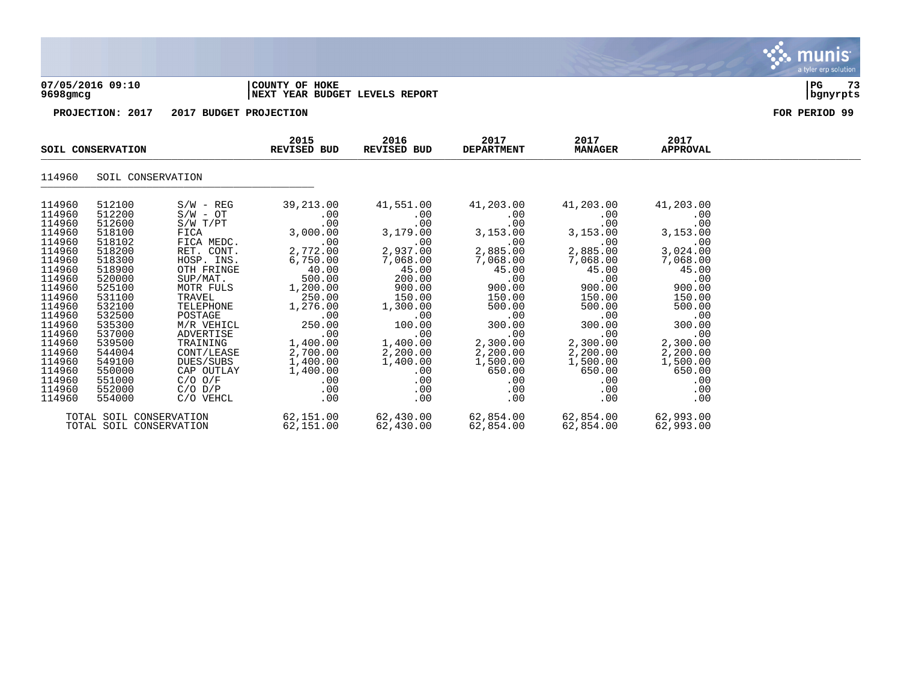

## **07/05/2016 09:10 |COUNTY OF HOKE |PG 73 9698gmcg |NEXT YEAR BUDGET LEVELS REPORT |bgnyrpts**

**PROJECTION: 2017 2017 BUDGET PROJECTION FOR PERIOD 99**

| SOIL CONSERVATION                                                                                                                                            |                                                                                                                                                              |                                                                                                                                                                                                             | 2015<br>2016<br>2017<br>2017<br>REVISED BUD<br>REVISED BUD<br><b>DEPARTMENT</b><br><b>MANAGER</b>                                                                 |                                                                                                                                                                 | 2017<br><b>APPROVAL</b>                                                                                                                              |                                                                                                                                                                  |                                                                                                                                                                               |  |
|--------------------------------------------------------------------------------------------------------------------------------------------------------------|--------------------------------------------------------------------------------------------------------------------------------------------------------------|-------------------------------------------------------------------------------------------------------------------------------------------------------------------------------------------------------------|-------------------------------------------------------------------------------------------------------------------------------------------------------------------|-----------------------------------------------------------------------------------------------------------------------------------------------------------------|------------------------------------------------------------------------------------------------------------------------------------------------------|------------------------------------------------------------------------------------------------------------------------------------------------------------------|-------------------------------------------------------------------------------------------------------------------------------------------------------------------------------|--|
| 114960                                                                                                                                                       | SOIL CONSERVATION                                                                                                                                            |                                                                                                                                                                                                             |                                                                                                                                                                   |                                                                                                                                                                 |                                                                                                                                                      |                                                                                                                                                                  |                                                                                                                                                                               |  |
| 114960<br>114960<br>114960<br>114960<br>114960<br>114960<br>114960<br>114960<br>114960<br>114960<br>114960<br>114960<br>114960<br>114960<br>114960<br>114960 | 512100<br>512200<br>512600<br>518100<br>518102<br>518200<br>518300<br>518900<br>520000<br>525100<br>531100<br>532100<br>532500<br>535300<br>537000<br>539500 | $S/W - REG$<br>$S/W - OT$<br>$S/W$ $T/PT$<br>FICA<br>FICA MEDC.<br>RET. CONT.<br>HOSP. INS.<br>OTH FRINGE<br>SUP/MAT.<br>MOTR FULS<br>TRAVEL<br>TELEPHONE<br>POSTAGE<br>M/R VEHICL<br>ADVERTISE<br>TRAINING | 39,213.00<br>.00<br>.00<br>3,000.00<br>.00<br>2,772.00<br>6,750.00<br>40.00<br>500.00<br>1,200.00<br>250.00<br>1,276.00<br>.00<br>250.00<br>$\sim 00$<br>1,400.00 | 41,551.00<br>.00<br>.00<br>3,179.00<br>.00<br>2,937.00<br>7,068.00<br>45.00<br>200.00<br>900.00<br>150.00<br>1,300.00<br>$\sim$ 00<br>100.00<br>.00<br>1,400.00 | 41,203.00<br>.00<br>.00<br>3,153.00<br>.00<br>2,885.00<br>7,068.00<br>45.00<br>.00<br>900.00<br>150.00<br>500.00<br>.00<br>300.00<br>.00<br>2,300.00 | 41,203.00<br>.00<br>.00<br>3,153.00<br>.00<br>2,885.00<br>7,068.00<br>45.00<br>.00<br>900.00<br>150.00<br>500.00<br>$\overline{00}$<br>300.00<br>.00<br>2,300.00 | 41,203.00<br>.00<br>.00<br>3,153.00<br>.00<br>3,024.00<br>7,068.00<br>45.00<br>$\overline{\phantom{0}}$ .00<br>900.00<br>150.00<br>500.00<br>.00<br>300.00<br>.00<br>2,300.00 |  |
| 114960<br>114960<br>114960<br>114960<br>114960<br>114960                                                                                                     | 544004<br>549100<br>550000<br>551000<br>552000<br>554000<br>TOTAL SOIL CONSERVATION<br>TOTAL SOIL CONSERVATION                                               | CONT/LEASE<br>DUES/SUBS<br>C/O O/F<br>$C/O$ $D/P$<br>C/O VEHCL                                                                                                                                              | 2,700.00<br>1,400.00<br>CAP OUTLAY 1,400.00<br>$.00 \,$<br>.00<br>.00<br>62,151.00<br>62,151.00                                                                   | 2,200.00<br>1,400.00<br>.00<br>.00<br>$.00 \,$<br>.00<br>62,430.00                                                                                              | 2,200.00<br>1,500.00<br>650.00<br>.00<br>.00<br>.00<br>62,430.00 62,854.00<br>62,854.00                                                              | 2,200.00<br>1,500.00<br>650.00<br>$.00 \,$<br>.00<br>.00<br>62,854.00<br>62,854.00                                                                               | 2,200.00<br>1,500.00<br>650.00<br>.00<br>.00<br>.00<br>62,993.00<br>62,993.00                                                                                                 |  |

munis a tyler erp solution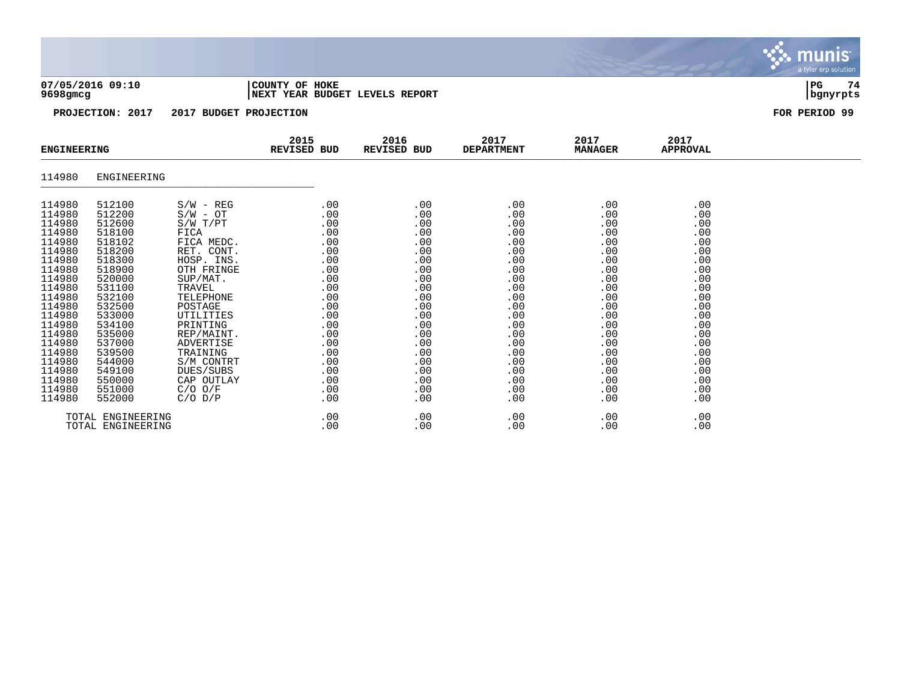|  |                      | 07/05/2016 09:10 |
|--|----------------------|------------------|
|  | 0 c 0 0 <del>.</del> |                  |

### **07/05/2016 09:10 |COUNTY OF HOKE |PG 74 9698gmcg |NEXT YEAR BUDGET LEVELS REPORT |bgnyrpts**

**PROJECTION: 2017 2017 BUDGET PROJECTION FOR PERIOD 99**

| <b>ENGINEERING</b> |             |             | 2015<br><b>REVISED BUD</b> | 2016<br>REVISED BUD | 2017<br><b>DEPARTMENT</b> | 2017<br><b>MANAGER</b> | 2017<br><b>APPROVAL</b> |  |
|--------------------|-------------|-------------|----------------------------|---------------------|---------------------------|------------------------|-------------------------|--|
| 114980             | ENGINEERING |             |                            |                     |                           |                        |                         |  |
| 114980             | 512100      | $S/W - REG$ | .00                        | .00                 | .00                       | .00                    | .00                     |  |
| 114980             | 512200      | $S/W - OT$  | .00                        | .00                 | .00                       | .00                    | .00                     |  |
| 114980             | 512600      | S/W T/PT    | .00                        | .00                 | .00                       | .00                    | .00                     |  |
| 114980             | 518100      | FICA        | .00                        | .00                 | .00                       | .00                    | .00                     |  |
| 114980             | 518102      | FICA MEDC.  | .00                        | .00                 | .00                       | .00                    | .00                     |  |
| 114980             | 518200      | RET. CONT.  | .00                        | .00                 | .00                       | .00                    | .00                     |  |
| 114980             | 518300      | HOSP. INS.  | .00                        | .00                 | .00                       | .00                    | .00                     |  |
| 114980             | 518900      | OTH FRINGE  | .00                        | .00                 | .00                       | .00                    | .00                     |  |
| 114980             | 520000      | SUP/MAT.    | .00                        | .00                 | .00                       | .00                    | .00                     |  |
| 114980             | 531100      | TRAVEL      | .00                        | .00                 | .00                       | .00                    | .00                     |  |
| 114980             | 532100      | TELEPHONE   | .00                        | .00                 | .00                       | .00                    | .00                     |  |
| 114980             | 532500      | POSTAGE     | .00                        | .00                 | .00                       | .00                    | .00                     |  |
| 114980             | 533000      | UTILITIES   | .00                        | .00                 | .00                       | .00                    | .00                     |  |
| 114980             | 534100      | PRINTING    | .00                        | .00                 | .00                       | .00                    | .00                     |  |
| 114980             | 535000      | REP/MAINT.  | .00                        | .00                 | .00                       | .00                    | .00                     |  |
| 114980             | 537000      | ADVERTISE   | .00                        | .00                 | .00                       | .00                    | .00                     |  |
| 114980             | 539500      | TRAINING    | .00                        | .00                 | .00                       | .00                    | .00                     |  |
| 114980             | 544000      | S/M CONTRT  | .00                        | .00                 | .00                       | .00                    | .00                     |  |
| 114980             | 549100      | DUES/SUBS   | .00                        | .00                 | .00                       | .00                    | .00                     |  |
| 114980             | 550000      | CAP OUTLAY  | .00                        | .00                 | .00                       | .00                    | .00                     |  |
| 114980             | 551000      | $C/O$ $O/F$ | .00                        | .00                 | .00                       | .00                    | .00                     |  |
| 114980             | 552000      | $C/O$ $D/P$ | .00                        | .00                 | .00                       | .00                    | .00                     |  |
| TOTAL ENGINEERING  |             |             | .00                        | .00                 | .00                       | .00                    | .00                     |  |
| TOTAL ENGINEERING  |             |             | .00                        | .00                 | .00                       | .00                    | .00                     |  |

munis a tyler erp solution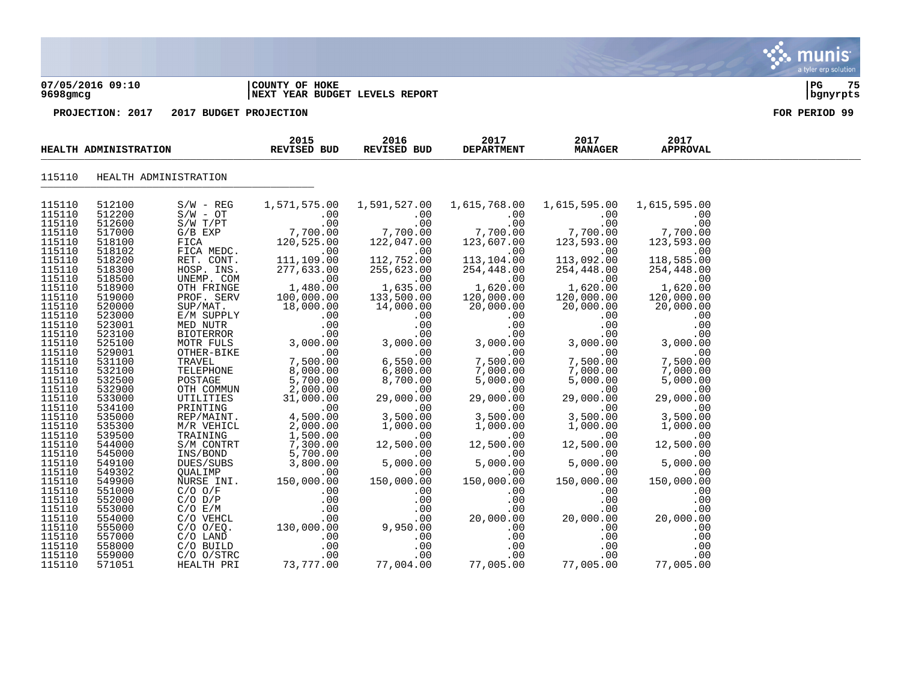### **07/05/2016 09:10 |COUNTY OF HOKE |PG 75 9698gmcg |NEXT YEAR BUDGET LEVELS REPORT |bgnyrpts**

| HEALTH ADMINISTRATION |                  | 2015<br>REVISED BUD                                                                                      | 2016<br>REVISED BUD                                                                                                                                                                                                                                              | 2017<br><b>DEPARTMENT</b>                                                         | 2017<br><b>MANAGER</b>                                                                                                                     | 2017<br><b>APPROVAL</b>                                                                                                                                                                                                                                                               |                                                                                                      |  |
|-----------------------|------------------|----------------------------------------------------------------------------------------------------------|------------------------------------------------------------------------------------------------------------------------------------------------------------------------------------------------------------------------------------------------------------------|-----------------------------------------------------------------------------------|--------------------------------------------------------------------------------------------------------------------------------------------|---------------------------------------------------------------------------------------------------------------------------------------------------------------------------------------------------------------------------------------------------------------------------------------|------------------------------------------------------------------------------------------------------|--|
| 115110                |                  | HEALTH ADMINISTRATION                                                                                    |                                                                                                                                                                                                                                                                  |                                                                                   |                                                                                                                                            |                                                                                                                                                                                                                                                                                       |                                                                                                      |  |
| 115110                | 512100           | $S/W - REG$                                                                                              |                                                                                                                                                                                                                                                                  | 1,571,575.00    1,591,527.00    1,615,768.00                                      |                                                                                                                                            | 1,615,595.00                                                                                                                                                                                                                                                                          | 1,615,595.00                                                                                         |  |
| 115110                | 512200           | S/W - REG<br>S/W - OT<br>S/W T/PT<br>G/B EXP<br>FICA<br>FICA MEDC<br>RET. CONT<br>HOSP. INS<br>UNEMP. CO | $\begin{array}{c} .00 \\ .00 \\ .00 \end{array}$                                                                                                                                                                                                                 |                                                                                   | $00.00$<br>00.00.<br>123,607.00                                                                                                            |                                                                                                                                                                                                                                                                                       |                                                                                                      |  |
| 115110                | 512600           |                                                                                                          |                                                                                                                                                                                                                                                                  |                                                                                   |                                                                                                                                            |                                                                                                                                                                                                                                                                                       |                                                                                                      |  |
| 115110                | 517000           |                                                                                                          |                                                                                                                                                                                                                                                                  |                                                                                   |                                                                                                                                            |                                                                                                                                                                                                                                                                                       |                                                                                                      |  |
| 115110                | 518100           |                                                                                                          | FICA 120,525.00<br>FICA MEDC. 120,525.00                                                                                                                                                                                                                         |                                                                                   |                                                                                                                                            |                                                                                                                                                                                                                                                                                       |                                                                                                      |  |
| 115110<br>115110      | 518102<br>518200 |                                                                                                          |                                                                                                                                                                                                                                                                  |                                                                                   | 113, 104.00                                                                                                                                |                                                                                                                                                                                                                                                                                       |                                                                                                      |  |
| 115110                | 518300           |                                                                                                          |                                                                                                                                                                                                                                                                  |                                                                                   |                                                                                                                                            |                                                                                                                                                                                                                                                                                       |                                                                                                      |  |
| 115110                | 518500           |                                                                                                          |                                                                                                                                                                                                                                                                  | $122,047.00$<br>$112,752.00$<br>$255,623.00$<br>$0$<br>$1,635.00$<br>$133,500.00$ | $254,448.00$<br>.00<br>.00<br>1,620.00<br>120,000.00                                                                                       | $254,448.00$<br>.00<br>.00<br>1,620.00<br>120,000.00                                                                                                                                                                                                                                  | $123,595.00$<br>$118,585.00$<br>$254,448.00$<br>$0$<br>$1,620.00$<br>$120,000.00$                    |  |
| 115110                | 518900           |                                                                                                          |                                                                                                                                                                                                                                                                  |                                                                                   |                                                                                                                                            |                                                                                                                                                                                                                                                                                       |                                                                                                      |  |
| 115110                | 519000           |                                                                                                          |                                                                                                                                                                                                                                                                  |                                                                                   |                                                                                                                                            |                                                                                                                                                                                                                                                                                       |                                                                                                      |  |
| 115110                | 520000           |                                                                                                          |                                                                                                                                                                                                                                                                  |                                                                                   | 20,000.00                                                                                                                                  | 20,000.00                                                                                                                                                                                                                                                                             | 20,000.00                                                                                            |  |
| 115110                | 523000           |                                                                                                          |                                                                                                                                                                                                                                                                  |                                                                                   |                                                                                                                                            |                                                                                                                                                                                                                                                                                       |                                                                                                      |  |
| 115110                | 523001           |                                                                                                          |                                                                                                                                                                                                                                                                  |                                                                                   |                                                                                                                                            |                                                                                                                                                                                                                                                                                       |                                                                                                      |  |
| 115110                | 523100           |                                                                                                          |                                                                                                                                                                                                                                                                  |                                                                                   |                                                                                                                                            |                                                                                                                                                                                                                                                                                       |                                                                                                      |  |
| 115110                | 525100           |                                                                                                          |                                                                                                                                                                                                                                                                  |                                                                                   |                                                                                                                                            |                                                                                                                                                                                                                                                                                       |                                                                                                      |  |
| 115110                | 529001           |                                                                                                          | FICA MEDC.<br>RET. CONT. 11,109.00<br>RET. CONT. 11,109.00<br>RET. CONT.<br>TECA MEDC.<br>122,53.00<br>UNEMP. COM<br>UNEMP. COM<br>OTE FRINGE<br>1480.00<br>TRAFFINGE<br>1480.00<br>113,55.00<br>16,000.00<br>E/M SUPPLY<br>18,000.00<br>14,000.00<br>E/M SUPPLY |                                                                                   |                                                                                                                                            | ${\footnotesize \begin{array}{cccc} 20,000.00 & 20,000.00 & 20,000.00 & 0.00 & 0.00 & 0.00 & 0.00 & 0.00 & 0.00 & 0.00 & 0.00 & 0.00 & 0.00 & 0.00 & 0.00 & 0.00 & 0.00 & 0.00 & 0.00 & 0.00 & 0.00 & 0.00 & 0.00 & 0.00 & 0.00 & 0.00 & 0.00 & 0.00 & 0.00 & 0.00 & 0.00 & 0.00 & 0$ |                                                                                                      |  |
| 115110                | 531100           |                                                                                                          |                                                                                                                                                                                                                                                                  |                                                                                   |                                                                                                                                            |                                                                                                                                                                                                                                                                                       |                                                                                                      |  |
| 115110                | 532100           |                                                                                                          |                                                                                                                                                                                                                                                                  |                                                                                   |                                                                                                                                            |                                                                                                                                                                                                                                                                                       |                                                                                                      |  |
| 115110<br>115110      | 532500<br>532900 |                                                                                                          |                                                                                                                                                                                                                                                                  |                                                                                   |                                                                                                                                            |                                                                                                                                                                                                                                                                                       |                                                                                                      |  |
| 115110                | 533000           |                                                                                                          |                                                                                                                                                                                                                                                                  |                                                                                   |                                                                                                                                            |                                                                                                                                                                                                                                                                                       |                                                                                                      |  |
| 115110                | 534100           |                                                                                                          |                                                                                                                                                                                                                                                                  |                                                                                   |                                                                                                                                            |                                                                                                                                                                                                                                                                                       |                                                                                                      |  |
| 115110                | 535000           |                                                                                                          |                                                                                                                                                                                                                                                                  |                                                                                   | $\begin{array}{r} 3,500.00 \\ 1,000.00 \\ 1,000.00 \\ 12,500.00 \\ 0 & .00 \\ 5,000.00 \\ 150,000.00 \\ 0 & .00 \\ 0 & .00 \\ \end{array}$ |                                                                                                                                                                                                                                                                                       | $\begin{array}{r} .000\ 3,500.00\ 1,000.00\ 12,500.00\ 12,500.00\ 5,000.00\ 150,000.00\ \end{array}$ |  |
| 115110                | 535300           |                                                                                                          |                                                                                                                                                                                                                                                                  |                                                                                   |                                                                                                                                            |                                                                                                                                                                                                                                                                                       |                                                                                                      |  |
| 115110                | 539500           |                                                                                                          |                                                                                                                                                                                                                                                                  |                                                                                   |                                                                                                                                            |                                                                                                                                                                                                                                                                                       |                                                                                                      |  |
| 115110                | 544000           |                                                                                                          |                                                                                                                                                                                                                                                                  |                                                                                   |                                                                                                                                            |                                                                                                                                                                                                                                                                                       |                                                                                                      |  |
| 115110                | 545000           |                                                                                                          |                                                                                                                                                                                                                                                                  |                                                                                   |                                                                                                                                            |                                                                                                                                                                                                                                                                                       |                                                                                                      |  |
| 115110                | 549100           |                                                                                                          |                                                                                                                                                                                                                                                                  |                                                                                   |                                                                                                                                            |                                                                                                                                                                                                                                                                                       |                                                                                                      |  |
| 115110                | 549302           |                                                                                                          |                                                                                                                                                                                                                                                                  |                                                                                   |                                                                                                                                            | $\overline{00}$                                                                                                                                                                                                                                                                       |                                                                                                      |  |
| 115110                | 549900           |                                                                                                          |                                                                                                                                                                                                                                                                  |                                                                                   | 150,000.00                                                                                                                                 | 150,000.00                                                                                                                                                                                                                                                                            |                                                                                                      |  |
| 115110<br>115110      | 551000<br>552000 |                                                                                                          |                                                                                                                                                                                                                                                                  |                                                                                   |                                                                                                                                            |                                                                                                                                                                                                                                                                                       |                                                                                                      |  |
| 115110                | 553000           |                                                                                                          |                                                                                                                                                                                                                                                                  |                                                                                   |                                                                                                                                            |                                                                                                                                                                                                                                                                                       |                                                                                                      |  |
| 115110                | 554000           |                                                                                                          |                                                                                                                                                                                                                                                                  |                                                                                   |                                                                                                                                            |                                                                                                                                                                                                                                                                                       |                                                                                                      |  |
| 115110                | 555000           |                                                                                                          |                                                                                                                                                                                                                                                                  |                                                                                   |                                                                                                                                            |                                                                                                                                                                                                                                                                                       |                                                                                                      |  |
| 115110                | 557000           |                                                                                                          |                                                                                                                                                                                                                                                                  |                                                                                   |                                                                                                                                            |                                                                                                                                                                                                                                                                                       |                                                                                                      |  |
| 115110                | 558000           |                                                                                                          |                                                                                                                                                                                                                                                                  |                                                                                   |                                                                                                                                            |                                                                                                                                                                                                                                                                                       |                                                                                                      |  |
| 115110                | 559000           |                                                                                                          |                                                                                                                                                                                                                                                                  |                                                                                   |                                                                                                                                            |                                                                                                                                                                                                                                                                                       |                                                                                                      |  |
| 115110                | 571051           |                                                                                                          |                                                                                                                                                                                                                                                                  |                                                                                   |                                                                                                                                            |                                                                                                                                                                                                                                                                                       |                                                                                                      |  |

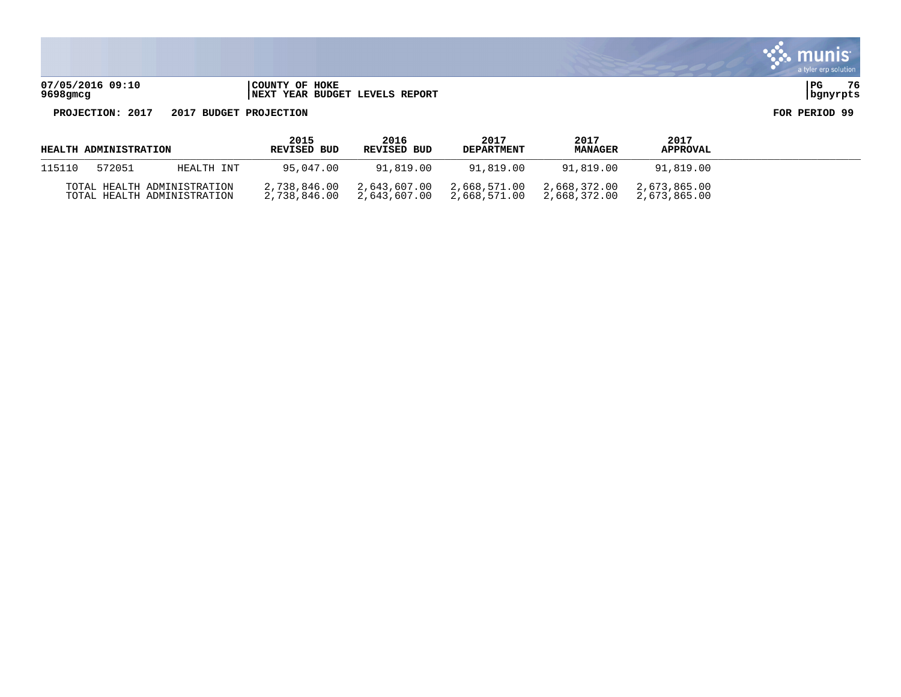**07/05/2016 09:10 |COUNTY OF HOKE |PG 76 9698gmcg |NEXT YEAR BUDGET LEVELS REPORT |bgnyrpts**

| HEALTH ADMINISTRATION |        |                                                            | 2015<br><b>REVISED BUD</b> | 2016<br><b>REVISED BUD</b>                | 2017<br><b>DEPARTMENT</b>                              | 2017<br><b>MANAGER</b> | 2017<br><b>APPROVAL</b>      |  |
|-----------------------|--------|------------------------------------------------------------|----------------------------|-------------------------------------------|--------------------------------------------------------|------------------------|------------------------------|--|
| 115110                | 572051 | HEALTH INT                                                 | 95,047.00                  | 91,819.00                                 | 91,819.00                                              | 91,819.00              | 91,819.00                    |  |
|                       |        | TOTAL HEALTH ADMINISTRATION<br>TOTAL HEALTH ADMINISTRATION | 2,738,846.00               | 2,643,607.00<br>2,738,846.00 2,643,607.00 | 2,668,571.00 2,668,372.00<br>2,668,571.00 2,668,372.00 |                        | 2,673,865.00<br>2,673,865.00 |  |

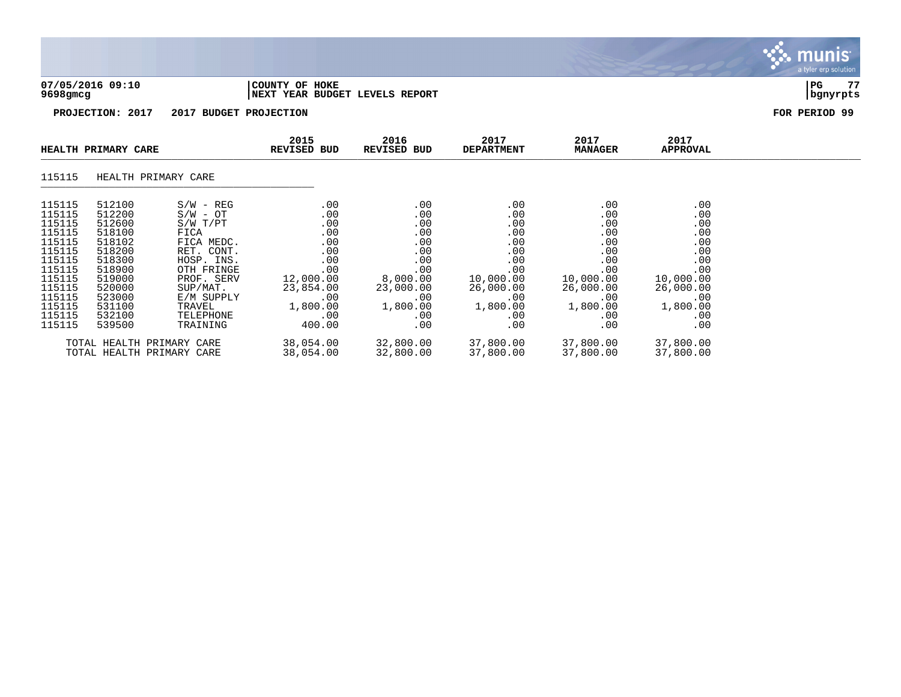| 07/05/2016 09:10<br>$9698$ gmcg                                                                                      |                                                                                                                      |                                                                                                                                                         | COUNTY OF HOKE                     |                                                             | NEXT YEAR BUDGET LEVELS REPORT                                                                   |                                                                                                   |                                                                                                   |                                                                                                   | 77<br>PG<br>bgnyrpts |
|----------------------------------------------------------------------------------------------------------------------|----------------------------------------------------------------------------------------------------------------------|---------------------------------------------------------------------------------------------------------------------------------------------------------|------------------------------------|-------------------------------------------------------------|--------------------------------------------------------------------------------------------------|---------------------------------------------------------------------------------------------------|---------------------------------------------------------------------------------------------------|---------------------------------------------------------------------------------------------------|----------------------|
|                                                                                                                      | PROJECTION: 2017                                                                                                     | 2017 BUDGET PROJECTION                                                                                                                                  |                                    |                                                             |                                                                                                  |                                                                                                   |                                                                                                   |                                                                                                   | FOR PERIOD 99        |
|                                                                                                                      | HEALTH PRIMARY CARE                                                                                                  |                                                                                                                                                         | 2015<br><b>REVISED BUD</b>         |                                                             | 2016<br><b>REVISED BUD</b>                                                                       | 2017<br><b>DEPARTMENT</b>                                                                         | 2017<br><b>MANAGER</b>                                                                            | 2017<br>APPROVAL                                                                                  |                      |
| 115115                                                                                                               | HEALTH PRIMARY CARE                                                                                                  |                                                                                                                                                         |                                    |                                                             |                                                                                                  |                                                                                                   |                                                                                                   |                                                                                                   |                      |
| 115115<br>115115<br>115115<br>115115<br>115115<br>115115<br>115115<br>115115<br>115115<br>115115<br>115115<br>115115 | 512100<br>512200<br>512600<br>518100<br>518102<br>518200<br>518300<br>518900<br>519000<br>520000<br>523000<br>531100 | $S/W - REG$<br>$S/W - OT$<br>S/W T/PT<br>FICA<br>FICA MEDC.<br>RET. CONT.<br>HOSP. INS.<br>OTH FRINGE<br>PROF. SERV<br>SUP/MAT.<br>E/M SUPPLY<br>TRAVEL | 12,000.00<br>23,854.00<br>1,800.00 | .00<br>.00<br>.00<br>.00<br>.00<br>.00<br>.00<br>.00<br>.00 | .00<br>.00<br>.00<br>.00<br>.00<br>.00<br>.00<br>.00<br>8,000.00<br>23,000.00<br>.00<br>1,800.00 | .00<br>.00<br>.00<br>.00<br>.00<br>.00<br>.00<br>.00<br>10,000.00<br>26,000.00<br>.00<br>1,800.00 | .00<br>.00<br>.00<br>.00<br>.00<br>.00<br>.00<br>.00<br>10,000.00<br>26,000.00<br>.00<br>1,800.00 | .00<br>.00<br>.00<br>.00<br>.00<br>.00<br>.00<br>.00<br>10,000.00<br>26,000.00<br>.00<br>1,800.00 |                      |

munis

| 115115<br>115115 | 532100<br>539500 | TELEPHONE<br>TRAINING                                  | ---------<br>400.00    | 00                     |                        |                        | - - - - - - - -<br>.00<br>.00 |
|------------------|------------------|--------------------------------------------------------|------------------------|------------------------|------------------------|------------------------|-------------------------------|
|                  |                  | TOTAL HEALTH PRIMARY CARE<br>TOTAL HEALTH PRIMARY CARE | 38,054.00<br>38,054.00 | 32,800.00<br>32,800.00 | 37,800.00<br>37,800.00 | 37,800.00<br>37,800.00 | 37,800.00<br>37,800.00        |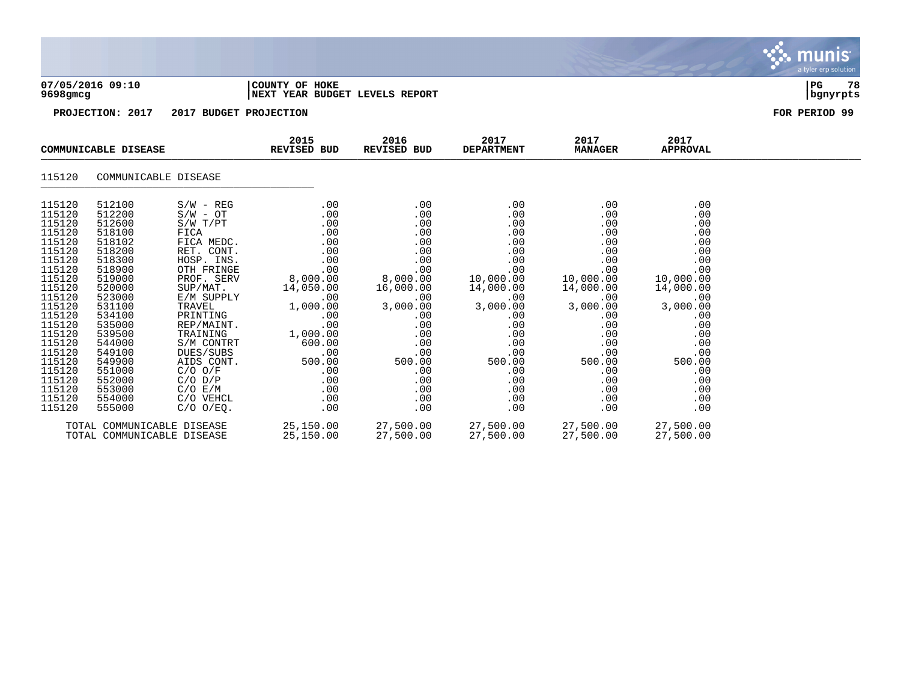|                                                                                                                                                                                                                                    |                                                                                                                                                                                                                                    |                                                                                                                                                                                                                                                                                                                    |                                                                                                                                                                                          |                                                                                                                                                                                  |                                                                                                                                                                                   |                                                                                                                                                                                   |                                                                                                                                                                                   | <b>munis</b><br>a tyler erp solution |  |  |
|------------------------------------------------------------------------------------------------------------------------------------------------------------------------------------------------------------------------------------|------------------------------------------------------------------------------------------------------------------------------------------------------------------------------------------------------------------------------------|--------------------------------------------------------------------------------------------------------------------------------------------------------------------------------------------------------------------------------------------------------------------------------------------------------------------|------------------------------------------------------------------------------------------------------------------------------------------------------------------------------------------|----------------------------------------------------------------------------------------------------------------------------------------------------------------------------------|-----------------------------------------------------------------------------------------------------------------------------------------------------------------------------------|-----------------------------------------------------------------------------------------------------------------------------------------------------------------------------------|-----------------------------------------------------------------------------------------------------------------------------------------------------------------------------------|--------------------------------------|--|--|
|                                                                                                                                                                                                                                    | 07/05/2016 09:10<br>COUNTY OF HOKE<br>NEXT YEAR BUDGET LEVELS REPORT<br>9698gmcg                                                                                                                                                   |                                                                                                                                                                                                                                                                                                                    |                                                                                                                                                                                          |                                                                                                                                                                                  |                                                                                                                                                                                   |                                                                                                                                                                                   |                                                                                                                                                                                   |                                      |  |  |
|                                                                                                                                                                                                                                    | PROJECTION: 2017                                                                                                                                                                                                                   | 2017 BUDGET PROJECTION                                                                                                                                                                                                                                                                                             |                                                                                                                                                                                          |                                                                                                                                                                                  |                                                                                                                                                                                   |                                                                                                                                                                                   |                                                                                                                                                                                   | FOR PERIOD 99                        |  |  |
|                                                                                                                                                                                                                                    | COMMUNICABLE DISEASE                                                                                                                                                                                                               |                                                                                                                                                                                                                                                                                                                    | 2015<br><b>REVISED BUD</b>                                                                                                                                                               | 2016<br><b>REVISED BUD</b>                                                                                                                                                       | 2017<br><b>DEPARTMENT</b>                                                                                                                                                         | 2017<br><b>MANAGER</b>                                                                                                                                                            | 2017<br><b>APPROVAL</b>                                                                                                                                                           |                                      |  |  |
| 115120                                                                                                                                                                                                                             |                                                                                                                                                                                                                                    | COMMUNICABLE DISEASE                                                                                                                                                                                                                                                                                               |                                                                                                                                                                                          |                                                                                                                                                                                  |                                                                                                                                                                                   |                                                                                                                                                                                   |                                                                                                                                                                                   |                                      |  |  |
| 115120<br>115120<br>115120<br>115120<br>115120<br>115120<br>115120<br>115120<br>115120<br>115120<br>115120<br>115120<br>115120<br>115120<br>115120<br>115120<br>115120<br>115120<br>115120<br>115120<br>115120<br>115120<br>115120 | 512100<br>512200<br>512600<br>518100<br>518102<br>518200<br>518300<br>518900<br>519000<br>520000<br>523000<br>531100<br>534100<br>535000<br>539500<br>544000<br>549100<br>549900<br>551000<br>552000<br>553000<br>554000<br>555000 | $S/W - REG$<br>$S/W - OT$<br>$S/W$ $T/PT$<br>FICA<br>FICA MEDC.<br>RET. CONT.<br>HOSP. INS.<br>OTH FRINGE<br>PROF. SERV<br>SUP/MAT.<br>E/M SUPPLY<br>TRAVEL<br>PRINTING<br>REP/MAINT.<br>TRAINING<br>S/M CONTRT<br>DUES/SUBS<br>AIDS CONT.<br>$C/O$ $O/F$<br>$C/O$ $D/P$<br>C/O E/M<br>C/O VEHCL<br>$C/O$ $O/EQ$ . | .00<br>.00<br>.00<br>.00<br>.00<br>.00<br>.00<br>.00<br>8,000.00<br>14,050.00<br>.00<br>1,000.00<br>.00<br>.00<br>1,000.00<br>600.00<br>.00<br>500.00<br>.00<br>.00<br>.00<br>.00<br>.00 | .00<br>.00<br>.00<br>.00<br>.00<br>.00<br>.00<br>.00<br>8,000.00<br>16,000.00<br>.00<br>3,000.00<br>.00<br>.00<br>.00<br>.00<br>.00<br>500.00<br>.00<br>.00<br>.00<br>.00<br>.00 | .00<br>.00<br>.00<br>.00<br>.00<br>.00<br>.00<br>.00<br>10,000.00<br>14,000.00<br>.00<br>3,000.00<br>.00<br>.00<br>.00<br>.00<br>.00<br>500.00<br>.00<br>.00<br>.00<br>.00<br>.00 | .00<br>.00<br>.00<br>.00<br>.00<br>.00<br>.00<br>.00<br>10,000.00<br>14,000.00<br>.00<br>3,000.00<br>.00<br>.00<br>.00<br>.00<br>.00<br>500.00<br>.00<br>.00<br>.00<br>.00<br>.00 | .00<br>.00<br>.00<br>.00<br>.00<br>.00<br>.00<br>.00<br>10,000.00<br>14,000.00<br>.00<br>3,000.00<br>.00<br>.00<br>.00<br>.00<br>.00<br>500.00<br>.00<br>.00<br>.00<br>.00<br>.00 |                                      |  |  |
|                                                                                                                                                                                                                                    |                                                                                                                                                                                                                                    | TOTAL COMMUNICABLE DISEASE                                                                                                                                                                                                                                                                                         | 25,150.00                                                                                                                                                                                | 27,500.00                                                                                                                                                                        | 27,500.00                                                                                                                                                                         | 27,500.00                                                                                                                                                                         | 27,500.00                                                                                                                                                                         |                                      |  |  |

TOTAL COMMUNICABLE DISEASE 25,150.00 27,500.00 27,500.00 27,500.00 27,500.00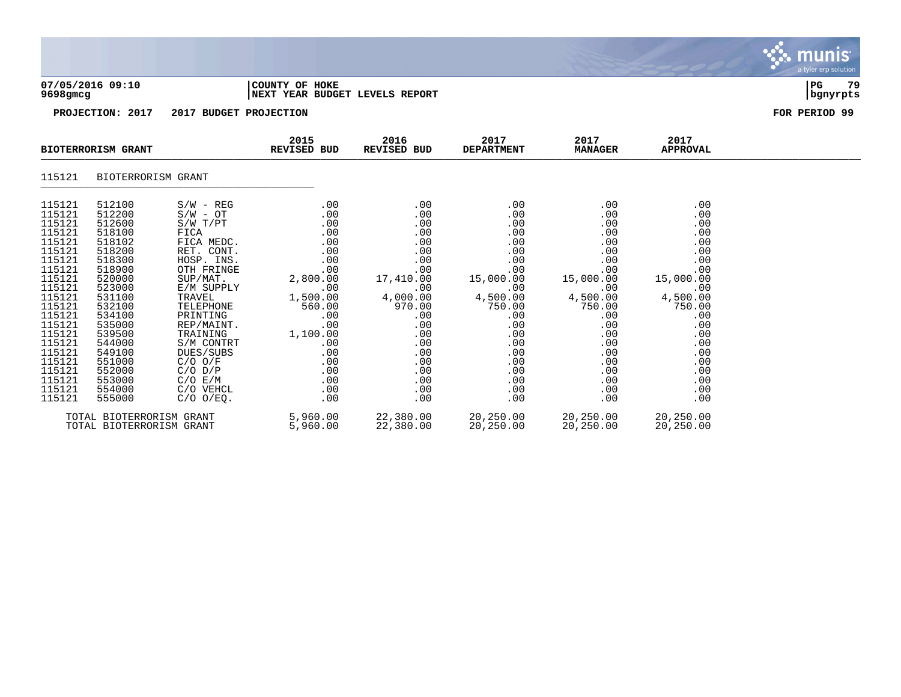|                                                                                                                                                                                                                          |                                                                                                                                                                                                                          |                                                                                                                                                                                                                                                                                                 |                                                                                                                                                                          |                                                                                                                                                                      |                                                                                                                                                                      |                                                                                                                                                                      |                                                                                                                                                                      | munis <sup>.</sup><br>a tyler erp solution |
|--------------------------------------------------------------------------------------------------------------------------------------------------------------------------------------------------------------------------|--------------------------------------------------------------------------------------------------------------------------------------------------------------------------------------------------------------------------|-------------------------------------------------------------------------------------------------------------------------------------------------------------------------------------------------------------------------------------------------------------------------------------------------|--------------------------------------------------------------------------------------------------------------------------------------------------------------------------|----------------------------------------------------------------------------------------------------------------------------------------------------------------------|----------------------------------------------------------------------------------------------------------------------------------------------------------------------|----------------------------------------------------------------------------------------------------------------------------------------------------------------------|----------------------------------------------------------------------------------------------------------------------------------------------------------------------|--------------------------------------------|
| 07/05/2016 09:10<br>COUNTY OF HOKE<br>NEXT YEAR BUDGET LEVELS REPORT<br>9698gmcg                                                                                                                                         |                                                                                                                                                                                                                          |                                                                                                                                                                                                                                                                                                 |                                                                                                                                                                          |                                                                                                                                                                      |                                                                                                                                                                      |                                                                                                                                                                      |                                                                                                                                                                      |                                            |
|                                                                                                                                                                                                                          | PROJECTION: 2017                                                                                                                                                                                                         | 2017 BUDGET PROJECTION                                                                                                                                                                                                                                                                          |                                                                                                                                                                          |                                                                                                                                                                      |                                                                                                                                                                      |                                                                                                                                                                      |                                                                                                                                                                      | FOR PERIOD 99                              |
|                                                                                                                                                                                                                          | <b>BIOTERRORISM GRANT</b>                                                                                                                                                                                                |                                                                                                                                                                                                                                                                                                 | 2015<br>REVISED BUD                                                                                                                                                      | 2016<br>REVISED BUD                                                                                                                                                  | 2017<br><b>DEPARTMENT</b>                                                                                                                                            | 2017<br><b>MANAGER</b>                                                                                                                                               | 2017<br><b>APPROVAL</b>                                                                                                                                              |                                            |
| 115121                                                                                                                                                                                                                   | BIOTERRORISM GRANT                                                                                                                                                                                                       |                                                                                                                                                                                                                                                                                                 |                                                                                                                                                                          |                                                                                                                                                                      |                                                                                                                                                                      |                                                                                                                                                                      |                                                                                                                                                                      |                                            |
| 115121<br>115121<br>115121<br>115121<br>115121<br>115121<br>115121<br>115121<br>115121<br>115121<br>115121<br>115121<br>115121<br>115121<br>115121<br>115121<br>115121<br>115121<br>115121<br>115121<br>115121<br>115121 | 512100<br>512200<br>512600<br>518100<br>518102<br>518200<br>518300<br>518900<br>520000<br>523000<br>531100<br>532100<br>534100<br>535000<br>539500<br>544000<br>549100<br>551000<br>552000<br>553000<br>554000<br>555000 | $S/W - REG$<br>$S/W - OT$<br>S/W T/PT<br>FICA<br>FICA MEDC.<br>RET. CONT.<br>HOSP. INS.<br>OTH FRINGE<br>SUP/MAT.<br>E/M SUPPLY<br>TRAVEL<br>TELEPHONE<br>PRINTING<br>REP/MAINT.<br>TRAINING<br>S/M CONTRT<br>DUES/SUBS<br>$C/O$ $O/F$<br>$C/O$ $D/P$<br>C/O E/M<br>C/O VEHCL<br>$C/O$ $O/EO$ . | .00<br>.00<br>.00<br>.00<br>.00<br>.00<br>.00<br>.00<br>2,800.00<br>.00<br>1,500.00<br>560.00<br>.00<br>.00<br>1,100.00<br>.00<br>.00<br>.00<br>.00<br>.00<br>.00<br>.00 | .00<br>.00<br>.00<br>.00<br>.00<br>.00<br>.00<br>.00<br>17,410.00<br>.00<br>4,000.00<br>970.00<br>.00<br>.00<br>.00<br>.00<br>.00<br>.00<br>.00<br>.00<br>.00<br>.00 | .00<br>.00<br>.00<br>.00<br>.00<br>.00<br>.00<br>.00<br>15,000.00<br>.00<br>4,500.00<br>750.00<br>.00<br>.00<br>.00<br>.00<br>.00<br>.00<br>.00<br>.00<br>.00<br>.00 | .00<br>.00<br>.00<br>.00<br>.00<br>.00<br>.00<br>.00<br>15,000.00<br>.00<br>4,500.00<br>750.00<br>.00<br>.00<br>.00<br>.00<br>.00<br>.00<br>.00<br>.00<br>.00<br>.00 | .00<br>.00<br>.00<br>.00<br>.00<br>.00<br>.00<br>.00<br>15,000.00<br>.00<br>4,500.00<br>750.00<br>.00<br>.00<br>.00<br>.00<br>.00<br>.00<br>.00<br>.00<br>.00<br>.00 |                                            |
|                                                                                                                                                                                                                          | TOTAL BIOTERRORISM GRANT<br>TOTAL BIOTERRORISM GRANT                                                                                                                                                                     |                                                                                                                                                                                                                                                                                                 | 5,960.00<br>5,960.00                                                                                                                                                     | 22,380.00<br>22,380.00                                                                                                                                               | 20,250.00<br>20,250.00                                                                                                                                               | 20,250.00<br>20,250.00                                                                                                                                               | 20,250.00<br>20,250.00                                                                                                                                               |                                            |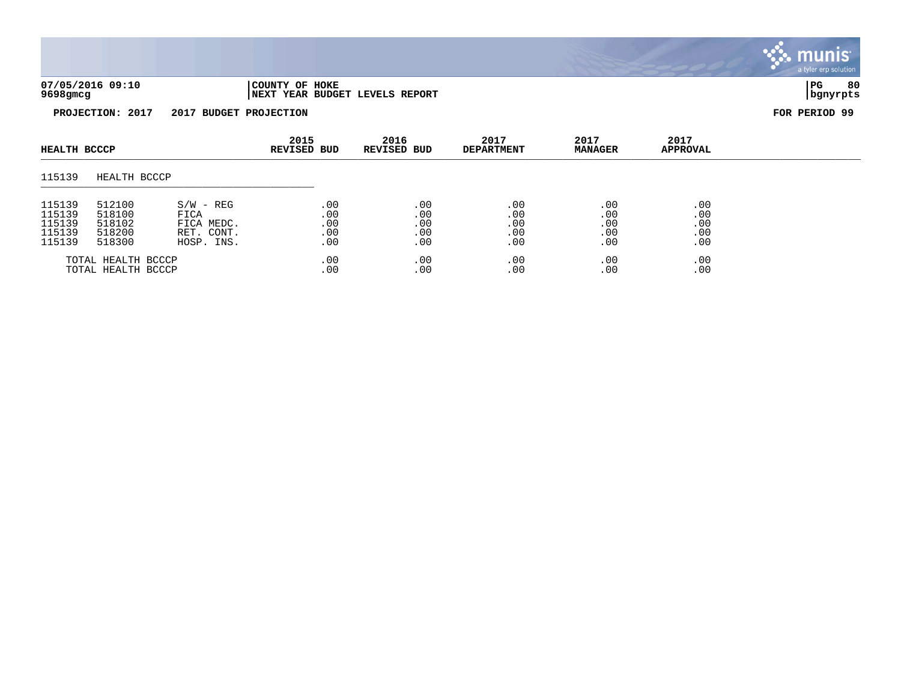

**PROJECTION: 2017 2017 BUDGET PROJECTION FOR PERIOD 99**

| HEALTH BCCCP                                   |                                                |                                                               | 2015<br><b>REVISED BUD</b>      | 2016<br>REVISED BUD             | 2017<br><b>DEPARTMENT</b>       | 2017<br><b>MANAGER</b>          | 2017<br><b>APPROVAL</b>         |  |
|------------------------------------------------|------------------------------------------------|---------------------------------------------------------------|---------------------------------|---------------------------------|---------------------------------|---------------------------------|---------------------------------|--|
| 115139                                         | HEALTH BCCCP                                   |                                                               |                                 |                                 |                                 |                                 |                                 |  |
| 115139<br>115139<br>115139<br>115139<br>115139 | 512100<br>518100<br>518102<br>518200<br>518300 | $S/W - REG$<br>FICA<br>FICA MEDC.<br>RET. CONT.<br>HOSP. INS. | .00<br>.00<br>.00<br>.00<br>.00 | .00<br>.00<br>.00<br>.00<br>.00 | .00<br>.00<br>.00<br>.00<br>.00 | .00<br>.00<br>.00<br>.00<br>.00 | .00<br>.00<br>.00<br>.00<br>.00 |  |
|                                                | TOTAL HEALTH BCCCP<br>TOTAL HEALTH BCCCP       |                                                               | .00<br>.00                      | .00<br>.00                      | .00<br>.00                      | .00<br>.00                      | .00<br>.00                      |  |

munis a tyler erp solution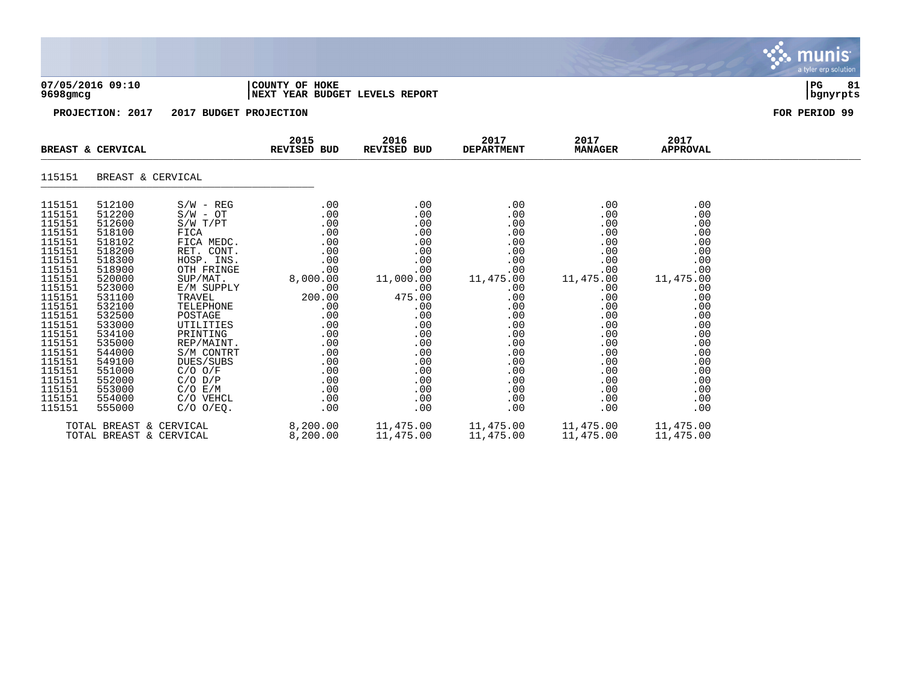|                                                                                                                                                                                                                                    |                                                                                                                                                                                                                                    |                                                                                                                                                                                                                                                                                                                            |                                                                                                                                                                       |                                                                                                                                                                        |                                                                                                                                                                     |                                                                                                                                                                     |                                                                                                                                                                     | <b>munis</b><br>a tyler erp solution |
|------------------------------------------------------------------------------------------------------------------------------------------------------------------------------------------------------------------------------------|------------------------------------------------------------------------------------------------------------------------------------------------------------------------------------------------------------------------------------|----------------------------------------------------------------------------------------------------------------------------------------------------------------------------------------------------------------------------------------------------------------------------------------------------------------------------|-----------------------------------------------------------------------------------------------------------------------------------------------------------------------|------------------------------------------------------------------------------------------------------------------------------------------------------------------------|---------------------------------------------------------------------------------------------------------------------------------------------------------------------|---------------------------------------------------------------------------------------------------------------------------------------------------------------------|---------------------------------------------------------------------------------------------------------------------------------------------------------------------|--------------------------------------|
| 9698gmcg                                                                                                                                                                                                                           | 07/05/2016 09:10                                                                                                                                                                                                                   |                                                                                                                                                                                                                                                                                                                            | COUNTY OF HOKE<br>NEXT YEAR BUDGET LEVELS REPORT                                                                                                                      |                                                                                                                                                                        |                                                                                                                                                                     |                                                                                                                                                                     |                                                                                                                                                                     | PG<br>81<br>  bgnyrpts               |
|                                                                                                                                                                                                                                    | PROJECTION: 2017                                                                                                                                                                                                                   | 2017 BUDGET PROJECTION                                                                                                                                                                                                                                                                                                     |                                                                                                                                                                       |                                                                                                                                                                        |                                                                                                                                                                     |                                                                                                                                                                     |                                                                                                                                                                     | FOR PERIOD 99                        |
|                                                                                                                                                                                                                                    | BREAST & CERVICAL                                                                                                                                                                                                                  |                                                                                                                                                                                                                                                                                                                            | 2015<br>REVISED BUD                                                                                                                                                   | 2016<br>REVISED BUD                                                                                                                                                    | 2017<br><b>DEPARTMENT</b>                                                                                                                                           | 2017<br><b>MANAGER</b>                                                                                                                                              | 2017<br><b>APPROVAL</b>                                                                                                                                             |                                      |
| 115151                                                                                                                                                                                                                             | BREAST & CERVICAL                                                                                                                                                                                                                  |                                                                                                                                                                                                                                                                                                                            |                                                                                                                                                                       |                                                                                                                                                                        |                                                                                                                                                                     |                                                                                                                                                                     |                                                                                                                                                                     |                                      |
| 115151<br>115151<br>115151<br>115151<br>115151<br>115151<br>115151<br>115151<br>115151<br>115151<br>115151<br>115151<br>115151<br>115151<br>115151<br>115151<br>115151<br>115151<br>115151<br>115151<br>115151<br>115151<br>115151 | 512100<br>512200<br>512600<br>518100<br>518102<br>518200<br>518300<br>518900<br>520000<br>523000<br>531100<br>532100<br>532500<br>533000<br>534100<br>535000<br>544000<br>549100<br>551000<br>552000<br>553000<br>554000<br>555000 | $S/W - REG$<br>$S/W - OT$<br>$S/W$ $T/PT$<br>FICA<br>FICA MEDC.<br>RET. CONT.<br>HOSP. INS.<br>OTH FRINGE<br>SUP/MAT.<br>E/M SUPPLY<br>TRAVEL<br>TELEPHONE<br>POSTAGE<br><b>UTILITIES</b><br>PRINTING<br>REP/MAINT.<br>S/M CONTRT<br>DUES/SUBS<br>$C/O$ $O/F$<br>$C/O$ $D/P$<br>$C/O$ $E/M$<br>C/O VEHCL<br>$C/O$ $O/EO$ . | .00<br>.00<br>.00<br>.00<br>.00<br>.00<br>.00<br>.00<br>8,000.00<br>.00<br>200.00<br>.00<br>.00<br>.00<br>.00<br>.00<br>.00<br>.00<br>.00<br>.00<br>.00<br>.00<br>.00 | .00<br>.00<br>.00<br>.00<br>.00<br>.00<br>.00<br>.00<br>11,000.00<br>.00<br>475.00<br>.00<br>.00<br>.00<br>.00<br>.00<br>.00<br>.00<br>.00<br>.00<br>.00<br>.00<br>.00 | .00<br>.00<br>.00<br>.00<br>.00<br>.00<br>.00<br>.00<br>11,475.00<br>.00<br>.00<br>.00<br>.00<br>.00<br>.00<br>.00<br>.00<br>.00<br>.00<br>.00<br>.00<br>.00<br>.00 | .00<br>.00<br>.00<br>.00<br>.00<br>.00<br>.00<br>.00<br>11,475.00<br>.00<br>.00<br>.00<br>.00<br>.00<br>.00<br>.00<br>.00<br>.00<br>.00<br>.00<br>.00<br>.00<br>.00 | .00<br>.00<br>.00<br>.00<br>.00<br>.00<br>.00<br>.00<br>11,475.00<br>.00<br>.00<br>.00<br>.00<br>.00<br>.00<br>.00<br>.00<br>.00<br>.00<br>.00<br>.00<br>.00<br>.00 |                                      |
|                                                                                                                                                                                                                                    | TOTAL BREAST & CERVICAL<br>TOTAL BREAST & CERVICAL                                                                                                                                                                                 |                                                                                                                                                                                                                                                                                                                            | 8,200.00<br>8,200.00                                                                                                                                                  | 11,475.00<br>11,475.00                                                                                                                                                 | 11,475.00<br>11,475.00                                                                                                                                              | 11,475.00<br>11,475.00                                                                                                                                              | 11,475.00<br>11,475.00                                                                                                                                              |                                      |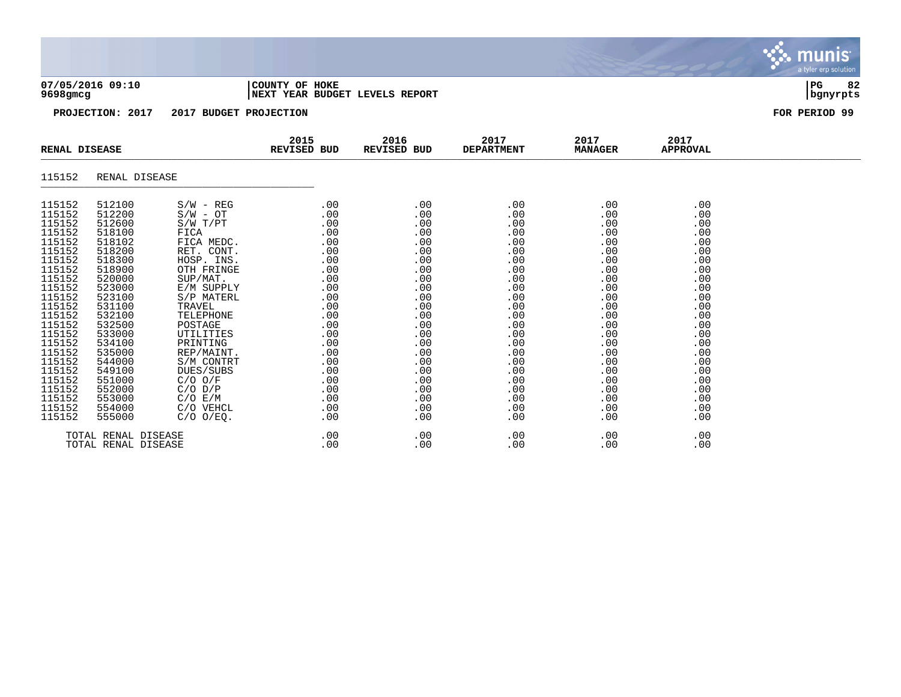| 7/05/2016 09:10 |  |
|-----------------|--|
| $500$ $\sigma$  |  |

### **07/05/2016 09:10 |COUNTY OF HOKE |PG 82 9698gmcg |NEXT YEAR BUDGET LEVELS REPORT |bgnyrpts**

**PROJECTION: 2017 2017 BUDGET PROJECTION FOR PERIOD 99**

|                                                                                                                                                                                                                                    | <b>RENAL DISEASE</b>                                                                                                                                                                                                               |                                                                                                                                                                                                                                                                                                                 |                                                                                                                                                                    |                                                                                                                                                               | 2015<br>REVISED BUD                                                                                                                                           | 2016<br><b>REVISED BUD</b>                                                                                                                                    | 2017<br><b>DEPARTMENT</b>                                                                                                                                     | 2017<br><b>MANAGER</b> | 2017<br><b>APPROVAL</b> |  |
|------------------------------------------------------------------------------------------------------------------------------------------------------------------------------------------------------------------------------------|------------------------------------------------------------------------------------------------------------------------------------------------------------------------------------------------------------------------------------|-----------------------------------------------------------------------------------------------------------------------------------------------------------------------------------------------------------------------------------------------------------------------------------------------------------------|--------------------------------------------------------------------------------------------------------------------------------------------------------------------|---------------------------------------------------------------------------------------------------------------------------------------------------------------|---------------------------------------------------------------------------------------------------------------------------------------------------------------|---------------------------------------------------------------------------------------------------------------------------------------------------------------|---------------------------------------------------------------------------------------------------------------------------------------------------------------|------------------------|-------------------------|--|
| 115152                                                                                                                                                                                                                             | RENAL DISEASE                                                                                                                                                                                                                      |                                                                                                                                                                                                                                                                                                                 |                                                                                                                                                                    |                                                                                                                                                               |                                                                                                                                                               |                                                                                                                                                               |                                                                                                                                                               |                        |                         |  |
| 115152<br>115152<br>115152<br>115152<br>115152<br>115152<br>115152<br>115152<br>115152<br>115152<br>115152<br>115152<br>115152<br>115152<br>115152<br>115152<br>115152<br>115152<br>115152<br>115152<br>115152<br>115152<br>115152 | 512100<br>512200<br>512600<br>518100<br>518102<br>518200<br>518300<br>518900<br>520000<br>523000<br>523100<br>531100<br>532100<br>532500<br>533000<br>534100<br>535000<br>544000<br>549100<br>551000<br>552000<br>553000<br>554000 | $S/W - REG$<br>$S/W - OT$<br>$S/W$ $T/PT$<br>FICA<br>FICA MEDC.<br>RET. CONT.<br>HOSP. INS.<br>OTH FRINGE<br>SUP/MAT.<br>E/M SUPPLY<br>S/P MATERL<br>TRAVEL<br>TELEPHONE<br>POSTAGE<br>UTILITIES<br>PRINTING<br>REP/MAINT.<br>S/M CONTRT<br>DUES/SUBS<br>$C/O$ $O/F$<br>$C/O$ $D/P$<br>$C/O$ $E/M$<br>C/O VEHCL | .00<br>.00<br>.00<br>.00<br>.00<br>.00<br>.00<br>.00<br>.00<br>.00<br>.00<br>.00<br>.00<br>.00<br>.00<br>.00<br>.00<br>.00<br>.00<br>.00<br>.00<br>.00<br>$.00 \,$ | .00<br>.00<br>.00<br>.00<br>.00<br>.00<br>.00<br>.00<br>.00<br>.00<br>.00<br>.00<br>.00<br>.00<br>.00<br>.00<br>.00<br>.00<br>.00<br>.00<br>.00<br>.00<br>.00 | .00<br>.00<br>.00<br>.00<br>.00<br>.00<br>.00<br>.00<br>.00<br>.00<br>.00<br>.00<br>.00<br>.00<br>.00<br>.00<br>.00<br>.00<br>.00<br>.00<br>.00<br>.00<br>.00 | .00<br>.00<br>.00<br>.00<br>.00<br>.00<br>.00<br>.00<br>.00<br>.00<br>.00<br>.00<br>.00<br>.00<br>.00<br>.00<br>.00<br>.00<br>.00<br>.00<br>.00<br>.00<br>.00 | .00<br>.00<br>.00<br>.00<br>.00<br>.00<br>.00<br>.00<br>.00<br>.00<br>.00<br>.00<br>.00<br>.00<br>.00<br>.00<br>.00<br>.00<br>.00<br>.00<br>.00<br>.00<br>.00 |                        |                         |  |
| 115152                                                                                                                                                                                                                             | 555000<br>TOTAL RENAL DISEASE<br>TOTAL RENAL DISEASE                                                                                                                                                                               | $C/O$ $O/EQ$ .                                                                                                                                                                                                                                                                                                  | .00<br>.00<br>.00                                                                                                                                                  | .00<br>.00<br>.00                                                                                                                                             | .00<br>.00<br>.00                                                                                                                                             | .00<br>.00<br>.00                                                                                                                                             | .00<br>.00<br>.00                                                                                                                                             |                        |                         |  |

, munis<sup>.</sup> a tyler erp solution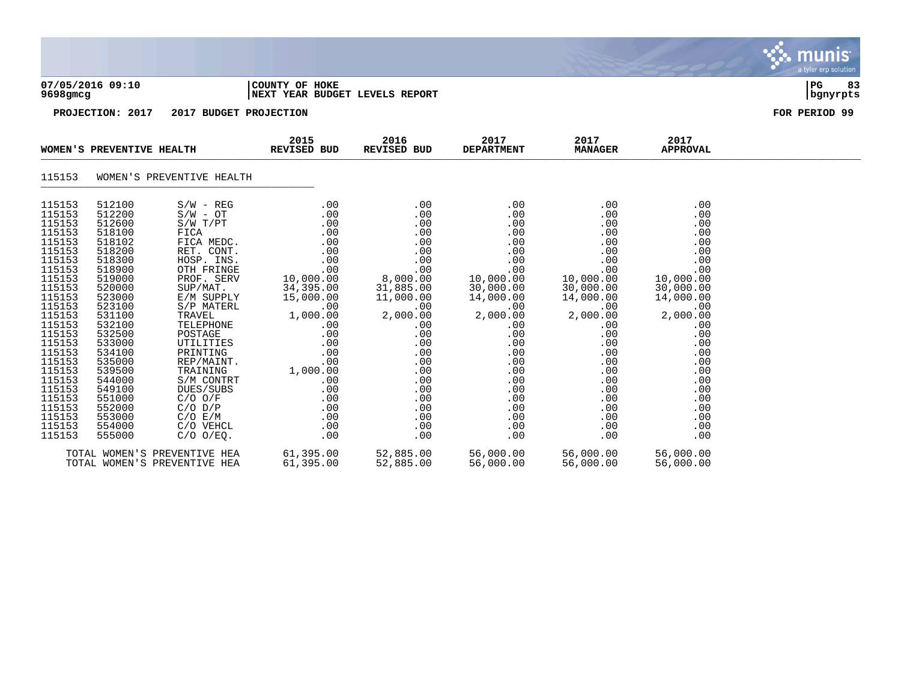|                                                                                                                                                                                                                                                                  |                                                                                                                                                                                                                                                                  |                                                                                                                                                                                                                                                                                                                                                         |                                                                                                                                                                                                                |                                                                                                                                                                                                          |                                                                                                                                                                                                                |                                                                                                                                                                                                           |                                                                                                                                                                                                           | munis<br>a tyler erp solution |  |  |
|------------------------------------------------------------------------------------------------------------------------------------------------------------------------------------------------------------------------------------------------------------------|------------------------------------------------------------------------------------------------------------------------------------------------------------------------------------------------------------------------------------------------------------------|---------------------------------------------------------------------------------------------------------------------------------------------------------------------------------------------------------------------------------------------------------------------------------------------------------------------------------------------------------|----------------------------------------------------------------------------------------------------------------------------------------------------------------------------------------------------------------|----------------------------------------------------------------------------------------------------------------------------------------------------------------------------------------------------------|----------------------------------------------------------------------------------------------------------------------------------------------------------------------------------------------------------------|-----------------------------------------------------------------------------------------------------------------------------------------------------------------------------------------------------------|-----------------------------------------------------------------------------------------------------------------------------------------------------------------------------------------------------------|-------------------------------|--|--|
|                                                                                                                                                                                                                                                                  | 07/05/2016 09:10<br>COUNTY OF HOKE<br>9698gmcg<br>NEXT YEAR BUDGET LEVELS REPORT                                                                                                                                                                                 |                                                                                                                                                                                                                                                                                                                                                         |                                                                                                                                                                                                                |                                                                                                                                                                                                          |                                                                                                                                                                                                                |                                                                                                                                                                                                           |                                                                                                                                                                                                           |                               |  |  |
|                                                                                                                                                                                                                                                                  | PROJECTION: 2017                                                                                                                                                                                                                                                 | 2017 BUDGET PROJECTION                                                                                                                                                                                                                                                                                                                                  |                                                                                                                                                                                                                |                                                                                                                                                                                                          |                                                                                                                                                                                                                |                                                                                                                                                                                                           |                                                                                                                                                                                                           | FOR PERIOD 99                 |  |  |
|                                                                                                                                                                                                                                                                  | WOMEN'S PREVENTIVE HEALTH                                                                                                                                                                                                                                        |                                                                                                                                                                                                                                                                                                                                                         | 2015<br><b>REVISED BUD</b>                                                                                                                                                                                     | 2016<br>REVISED BUD                                                                                                                                                                                      | 2017<br><b>DEPARTMENT</b>                                                                                                                                                                                      | 2017<br><b>MANAGER</b>                                                                                                                                                                                    | 2017<br><b>APPROVAL</b>                                                                                                                                                                                   |                               |  |  |
| 115153                                                                                                                                                                                                                                                           |                                                                                                                                                                                                                                                                  | WOMEN'S PREVENTIVE HEALTH                                                                                                                                                                                                                                                                                                                               |                                                                                                                                                                                                                |                                                                                                                                                                                                          |                                                                                                                                                                                                                |                                                                                                                                                                                                           |                                                                                                                                                                                                           |                               |  |  |
| 115153<br>115153<br>115153<br>115153<br>115153<br>115153<br>115153<br>115153<br>115153<br>115153<br>115153<br>115153<br>115153<br>115153<br>115153<br>115153<br>115153<br>115153<br>115153<br>115153<br>115153<br>115153<br>115153<br>115153<br>115153<br>115153 | 512100<br>512200<br>512600<br>518100<br>518102<br>518200<br>518300<br>518900<br>519000<br>520000<br>523000<br>523100<br>531100<br>532100<br>532500<br>533000<br>534100<br>535000<br>539500<br>544000<br>549100<br>551000<br>552000<br>553000<br>554000<br>555000 | $S/W - REG$<br>$S/W - OT$<br>$S/W$ $T/PT$<br>FICA<br>FICA MEDC.<br>RET. CONT.<br>HOSP. INS.<br>OTH FRINGE<br>PROF. SERV<br>SUP/MAT.<br>E/M SUPPLY<br>S/P MATERL<br>TRAVEL<br>TELEPHONE<br>POSTAGE<br>UTILITIES<br>PRINTING<br>REP/MAINT.<br>TRAINING<br>S/M CONTRT<br>DUES/SUBS<br>$C/O$ $O/F$<br>$C/O$ $D/P$<br>C/O E/M<br>C/O VEHCL<br>$C/O$ $O/EQ$ . | .00<br>.00<br>.00<br>.00<br>.00<br>.00<br>.00<br>.00<br>10,000.00<br>34,395.00<br>15,000.00<br>.00<br>1,000.00<br>.00<br>.00<br>.00<br>.00<br>.00<br>1,000.00<br>.00<br>.00<br>.00<br>.00<br>.00<br>.00<br>.00 | .00<br>.00<br>.00<br>.00<br>.00<br>.00<br>.00<br>.00<br>8,000.00<br>31,885.00<br>11,000.00<br>.00<br>2,000.00<br>.00<br>.00<br>.00<br>.00<br>.00<br>.00<br>.00<br>.00<br>.00<br>.00<br>.00<br>.00<br>.00 | .00<br>.00<br>.00<br>.00<br>.00<br>.00<br>.00<br>.00<br>10,000.00<br>30,000.00<br>14,000.00<br>.00<br>2,000.00<br>$.00 \,$<br>.00<br>.00<br>.00<br>.00<br>.00<br>.00<br>.00<br>.00<br>.00<br>.00<br>.00<br>.00 | .00<br>.00<br>.00<br>.00<br>.00<br>.00<br>.00<br>.00<br>10,000.00<br>30,000.00<br>14,000.00<br>.00<br>2,000.00<br>.00<br>.00<br>.00<br>.00<br>.00<br>.00<br>.00<br>.00<br>.00<br>.00<br>.00<br>.00<br>.00 | .00<br>.00<br>.00<br>.00<br>.00<br>.00<br>.00<br>.00<br>10,000.00<br>30,000.00<br>14,000.00<br>.00<br>2,000.00<br>.00<br>.00<br>.00<br>.00<br>.00<br>.00<br>.00<br>.00<br>.00<br>.00<br>.00<br>.00<br>.00 |                               |  |  |
|                                                                                                                                                                                                                                                                  |                                                                                                                                                                                                                                                                  | TOTAL WOMEN'S PREVENTIVE HEA<br>TOTAL WOMEN'S PREVENTIVE HEA                                                                                                                                                                                                                                                                                            | 61,395.00<br>61,395.00                                                                                                                                                                                         | 52,885.00<br>52,885.00                                                                                                                                                                                   | 56,000.00<br>56,000.00                                                                                                                                                                                         | 56,000.00<br>56,000.00                                                                                                                                                                                    | 56,000.00<br>56,000.00                                                                                                                                                                                    |                               |  |  |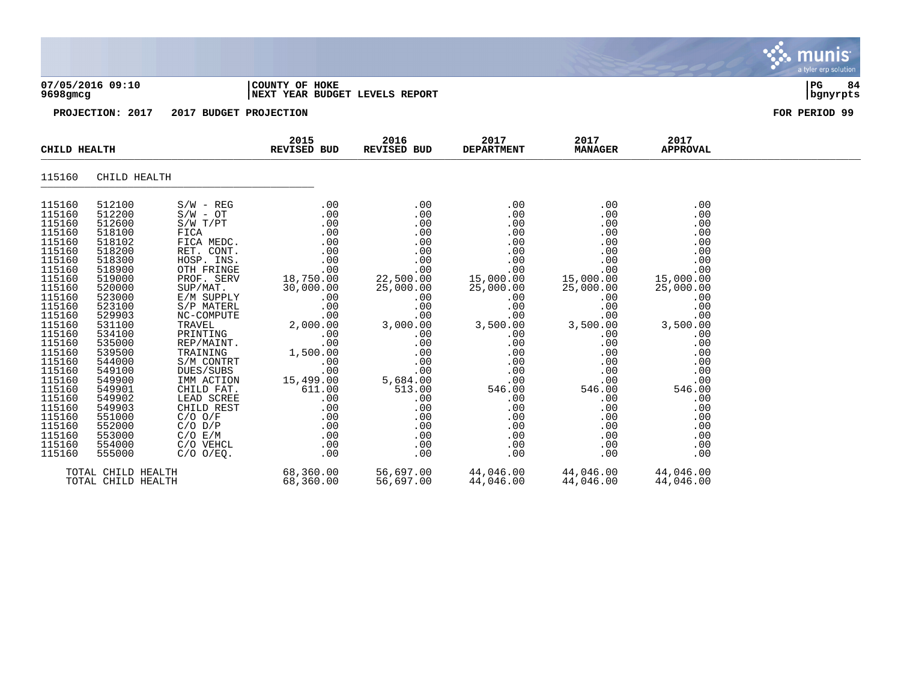|                                                                                                                                                                                                                                                                                      |                                                                                                                                                                                                                                                                                      |                                                                                                                                                                                                                                                                                                                                                                                              |                                                                                                                                                                                                                                      |                                                                                                                                                                                                                           |                                                                                                                                                                                                                      |                                                                                                                                                                                                                      |                                                                                                                                                                                                                      | munis <sup>®</sup><br>a tyler erp solution |
|--------------------------------------------------------------------------------------------------------------------------------------------------------------------------------------------------------------------------------------------------------------------------------------|--------------------------------------------------------------------------------------------------------------------------------------------------------------------------------------------------------------------------------------------------------------------------------------|----------------------------------------------------------------------------------------------------------------------------------------------------------------------------------------------------------------------------------------------------------------------------------------------------------------------------------------------------------------------------------------------|--------------------------------------------------------------------------------------------------------------------------------------------------------------------------------------------------------------------------------------|---------------------------------------------------------------------------------------------------------------------------------------------------------------------------------------------------------------------------|----------------------------------------------------------------------------------------------------------------------------------------------------------------------------------------------------------------------|----------------------------------------------------------------------------------------------------------------------------------------------------------------------------------------------------------------------|----------------------------------------------------------------------------------------------------------------------------------------------------------------------------------------------------------------------|--------------------------------------------|
| 9698gmcg                                                                                                                                                                                                                                                                             | 07/05/2016 09:10                                                                                                                                                                                                                                                                     |                                                                                                                                                                                                                                                                                                                                                                                              | COUNTY OF HOKE<br>NEXT YEAR BUDGET LEVELS REPORT                                                                                                                                                                                     |                                                                                                                                                                                                                           |                                                                                                                                                                                                                      |                                                                                                                                                                                                                      |                                                                                                                                                                                                                      | l PG.<br>84<br>bgnyrpts                    |
|                                                                                                                                                                                                                                                                                      | PROJECTION: 2017                                                                                                                                                                                                                                                                     | 2017 BUDGET PROJECTION                                                                                                                                                                                                                                                                                                                                                                       |                                                                                                                                                                                                                                      |                                                                                                                                                                                                                           |                                                                                                                                                                                                                      |                                                                                                                                                                                                                      |                                                                                                                                                                                                                      | FOR PERIOD 99                              |
| CHILD HEALTH                                                                                                                                                                                                                                                                         |                                                                                                                                                                                                                                                                                      |                                                                                                                                                                                                                                                                                                                                                                                              | 2015<br>REVISED BUD                                                                                                                                                                                                                  | 2016<br>REVISED BUD                                                                                                                                                                                                       | 2017<br><b>DEPARTMENT</b>                                                                                                                                                                                            | 2017<br><b>MANAGER</b>                                                                                                                                                                                               | 2017<br><b>APPROVAL</b>                                                                                                                                                                                              |                                            |
| 115160                                                                                                                                                                                                                                                                               | CHILD HEALTH                                                                                                                                                                                                                                                                         |                                                                                                                                                                                                                                                                                                                                                                                              |                                                                                                                                                                                                                                      |                                                                                                                                                                                                                           |                                                                                                                                                                                                                      |                                                                                                                                                                                                                      |                                                                                                                                                                                                                      |                                            |
| 115160<br>115160<br>115160<br>115160<br>115160<br>115160<br>115160<br>115160<br>115160<br>115160<br>115160<br>115160<br>115160<br>115160<br>115160<br>115160<br>115160<br>115160<br>115160<br>115160<br>115160<br>115160<br>115160<br>115160<br>115160<br>115160<br>115160<br>115160 | 512100<br>512200<br>512600<br>518100<br>518102<br>518200<br>518300<br>518900<br>519000<br>520000<br>523000<br>523100<br>529903<br>531100<br>534100<br>535000<br>539500<br>544000<br>549100<br>549900<br>549901<br>549902<br>549903<br>551000<br>552000<br>553000<br>554000<br>555000 | $S/W - REG$<br>$S/W - OT$<br>$S/W$ $T/PT$<br>FICA<br>FICA MEDC.<br>RET. CONT.<br>HOSP. INS.<br>OTH FRINGE<br>PROF. SERV<br>SUP/MAT.<br>E/M SUPPLY<br>S/P MATERL<br>NC-COMPUTE<br>TRAVEL<br>PRINTING<br>REP/MAINT.<br>TRAINING<br>S/M CONTRT<br>DUES/SUBS<br>IMM ACTION<br>CHILD FAT.<br>LEAD SCREE<br>CHILD REST<br>$C/O$ $O/F$<br>$C/O$ $D/P$<br>$C/O$ $E/M$<br>C/O VEHCL<br>$C/O$ $O/EQ$ . | .00<br>.00<br>.00<br>.00<br>.00<br>.00<br>.00<br>.00<br>18,750.00<br>30,000.00<br>.00<br>.00<br>1,500.00<br>$\begin{array}{c} .00 \\ .00 \end{array}$<br>.00<br>15,499.00<br>611.00<br>.00<br>.00<br>.00<br>.00<br>.00<br>.00<br>.00 | .00<br>.00<br>.00<br>.00<br>.00<br>.00<br>.00<br>.00<br>22,500.00<br>25,000.00<br>.00<br>.00<br>$.00 \,$<br>3,000.00<br>.00<br>.00<br>.00<br>.00<br>$5,684.00$<br>513.00<br>.00<br>.00<br>.00<br>.00<br>.00<br>.00<br>.00 | .00<br>.00<br>.00<br>.00<br>.00<br>.00<br>.00<br>.00<br>15,000.00<br>25,000.00<br>.00<br>.00<br>.00<br>3,500.00<br>.00<br>.00<br>.00<br>.00<br>.00<br>.00<br>546.00<br>.00<br>.00<br>.00<br>.00<br>.00<br>.00<br>.00 | .00<br>.00<br>.00<br>.00<br>.00<br>.00<br>.00<br>.00<br>15,000.00<br>25,000.00<br>.00<br>.00<br>.00<br>3,500.00<br>.00<br>.00<br>.00<br>.00<br>.00<br>.00<br>546.00<br>.00<br>.00<br>.00<br>.00<br>.00<br>.00<br>.00 | .00<br>.00<br>.00<br>.00<br>.00<br>.00<br>.00<br>.00<br>15,000.00<br>25,000.00<br>.00<br>.00<br>.00<br>3,500.00<br>.00<br>.00<br>.00<br>.00<br>.00<br>.00<br>546.00<br>.00<br>.00<br>.00<br>.00<br>.00<br>.00<br>.00 |                                            |
|                                                                                                                                                                                                                                                                                      | TOTAL CHILD HEALTH<br>TOTAL CHILD HEALTH                                                                                                                                                                                                                                             |                                                                                                                                                                                                                                                                                                                                                                                              | 68,360.00<br>68,360.00                                                                                                                                                                                                               | 56,697.00<br>56,697.00                                                                                                                                                                                                    | 44,046.00<br>44,046.00                                                                                                                                                                                               | 44,046.00<br>44,046.00                                                                                                                                                                                               | 44,046.00<br>44,046.00                                                                                                                                                                                               |                                            |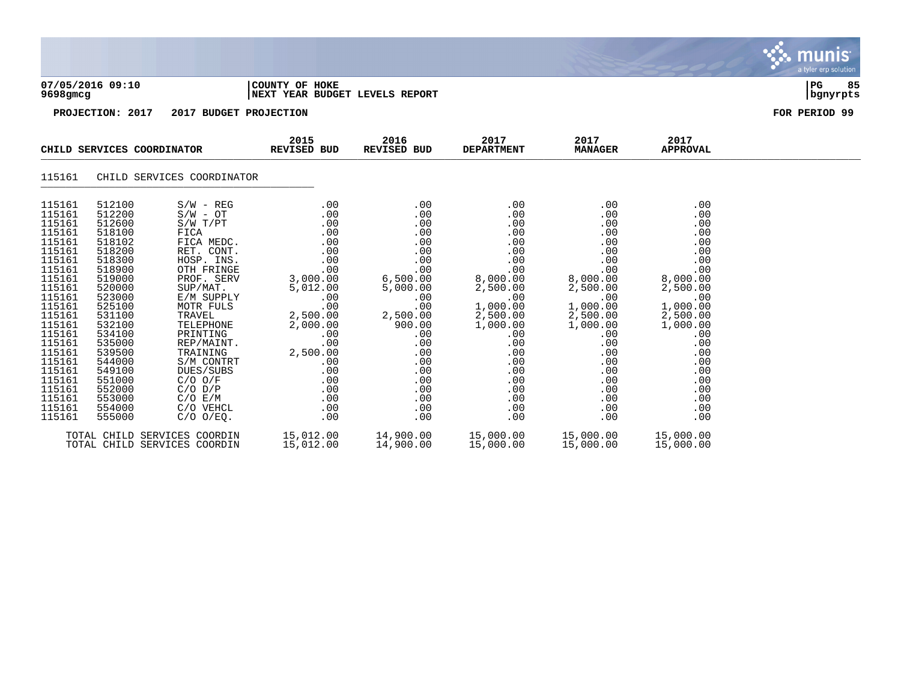|                                                                                                                                                                                                                                              |                                                                                                                                                                                                                                              |                                                                                                                                                                                                                                                                                                                            |                                                                                                                                                                                               |                                                                                                                                                                                        |                                                                                                                                                                                               |                                                                                                                                                                                               |                                                                                                                                                                                               | munis<br>a tyler erp solution |  |
|----------------------------------------------------------------------------------------------------------------------------------------------------------------------------------------------------------------------------------------------|----------------------------------------------------------------------------------------------------------------------------------------------------------------------------------------------------------------------------------------------|----------------------------------------------------------------------------------------------------------------------------------------------------------------------------------------------------------------------------------------------------------------------------------------------------------------------------|-----------------------------------------------------------------------------------------------------------------------------------------------------------------------------------------------|----------------------------------------------------------------------------------------------------------------------------------------------------------------------------------------|-----------------------------------------------------------------------------------------------------------------------------------------------------------------------------------------------|-----------------------------------------------------------------------------------------------------------------------------------------------------------------------------------------------|-----------------------------------------------------------------------------------------------------------------------------------------------------------------------------------------------|-------------------------------|--|
| 07/05/2016 09:10<br>COUNTY OF HOKE<br>NEXT YEAR BUDGET LEVELS REPORT<br>9698gmcg                                                                                                                                                             |                                                                                                                                                                                                                                              |                                                                                                                                                                                                                                                                                                                            |                                                                                                                                                                                               |                                                                                                                                                                                        |                                                                                                                                                                                               |                                                                                                                                                                                               |                                                                                                                                                                                               |                               |  |
|                                                                                                                                                                                                                                              | PROJECTION: 2017                                                                                                                                                                                                                             | 2017 BUDGET PROJECTION                                                                                                                                                                                                                                                                                                     |                                                                                                                                                                                               |                                                                                                                                                                                        |                                                                                                                                                                                               |                                                                                                                                                                                               |                                                                                                                                                                                               | FOR PERIOD 99                 |  |
|                                                                                                                                                                                                                                              |                                                                                                                                                                                                                                              | CHILD SERVICES COORDINATOR                                                                                                                                                                                                                                                                                                 | 2015<br><b>REVISED BUD</b>                                                                                                                                                                    | 2016<br>REVISED BUD                                                                                                                                                                    | 2017<br><b>DEPARTMENT</b>                                                                                                                                                                     | 2017<br><b>MANAGER</b>                                                                                                                                                                        | 2017<br><b>APPROVAL</b>                                                                                                                                                                       |                               |  |
| 115161                                                                                                                                                                                                                                       |                                                                                                                                                                                                                                              | CHILD SERVICES COORDINATOR                                                                                                                                                                                                                                                                                                 |                                                                                                                                                                                               |                                                                                                                                                                                        |                                                                                                                                                                                               |                                                                                                                                                                                               |                                                                                                                                                                                               |                               |  |
| 115161<br>115161<br>115161<br>115161<br>115161<br>115161<br>115161<br>115161<br>115161<br>115161<br>115161<br>115161<br>115161<br>115161<br>115161<br>115161<br>115161<br>115161<br>115161<br>115161<br>115161<br>115161<br>115161<br>115161 | 512100<br>512200<br>512600<br>518100<br>518102<br>518200<br>518300<br>518900<br>519000<br>520000<br>523000<br>525100<br>531100<br>532100<br>534100<br>535000<br>539500<br>544000<br>549100<br>551000<br>552000<br>553000<br>554000<br>555000 | $S/W - REG$<br>$S/W - OT$<br>S/W T/PT<br>FICA<br>FICA MEDC.<br>RET. CONT.<br>HOSP. INS.<br>OTH FRINGE<br>PROF. SERV<br>SUP/MAT.<br>E/M SUPPLY<br>MOTR FULS<br>TRAVEL<br>TELEPHONE<br>PRINTING<br>REP/MAINT.<br>TRAINING<br>S/M CONTRT<br>DUES/SUBS<br>$C/O$ $O/F$<br>$C/O$ $D/P$<br>C/O E/M<br>C/O VEHCL<br>$C/O$ $O/EQ$ . | .00<br>.00<br>.00<br>.00<br>.00<br>.00<br>.00<br>.00<br>3,000.00<br>5,012.00<br>.00<br>.00<br>2,500.00<br>2,000.00<br>.00<br>.00<br>2,500.00<br>.00<br>.00<br>.00<br>.00<br>.00<br>.00<br>.00 | .00<br>.00<br>.00<br>.00<br>.00<br>.00<br>.00<br>.00<br>6,500.00<br>5,000.00<br>.00<br>.00<br>2,500.00<br>900.00<br>.00<br>.00<br>.00<br>.00<br>.00<br>.00<br>.00<br>.00<br>.00<br>.00 | .00<br>.00<br>.00<br>.00<br>.00<br>.00<br>.00<br>.00<br>8,000.00<br>2,500.00<br>.00<br>1,000.00<br>2,500.00<br>1,000.00<br>.00<br>.00<br>.00<br>.00<br>.00<br>.00<br>.00<br>.00<br>.00<br>.00 | .00<br>.00<br>.00<br>.00<br>.00<br>.00<br>.00<br>.00<br>8,000.00<br>2,500.00<br>.00<br>1,000.00<br>2,500.00<br>1,000.00<br>.00<br>.00<br>.00<br>.00<br>.00<br>.00<br>.00<br>.00<br>.00<br>.00 | .00<br>.00<br>.00<br>.00<br>.00<br>.00<br>.00<br>.00<br>8,000.00<br>2,500.00<br>.00<br>1,000.00<br>2,500.00<br>1,000.00<br>.00<br>.00<br>.00<br>.00<br>.00<br>.00<br>.00<br>.00<br>.00<br>.00 |                               |  |
|                                                                                                                                                                                                                                              |                                                                                                                                                                                                                                              | TOTAL CHILD SERVICES COORDIN<br>TOTAL CHILD SERVICES COORDIN                                                                                                                                                                                                                                                               | 15,012.00<br>15,012.00                                                                                                                                                                        | 14,900.00<br>14,900.00                                                                                                                                                                 | 15,000.00<br>15,000.00                                                                                                                                                                        | 15,000.00<br>15,000.00                                                                                                                                                                        | 15,000.00<br>15,000.00                                                                                                                                                                        |                               |  |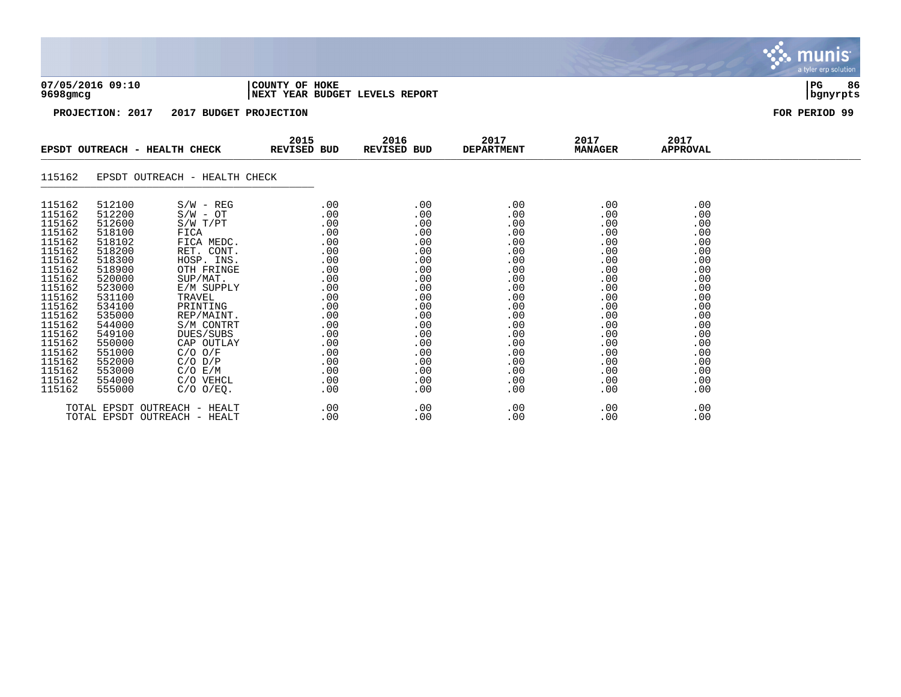| $9698$ gmcg                                                                                      | 07/05/2016 09:10                                                                                 |                                                                                                                                   | COUNTY OF HOKE<br><b>NEXT YEAR BUDGET LEVELS REPORT</b>            |                                                                    |                                                                    |                                                                    |                                                                    | 86<br>l PG.<br>  bgnyrpts |
|--------------------------------------------------------------------------------------------------|--------------------------------------------------------------------------------------------------|-----------------------------------------------------------------------------------------------------------------------------------|--------------------------------------------------------------------|--------------------------------------------------------------------|--------------------------------------------------------------------|--------------------------------------------------------------------|--------------------------------------------------------------------|---------------------------|
|                                                                                                  | PROJECTION: 2017                                                                                 | 2017 BUDGET PROJECTION                                                                                                            |                                                                    |                                                                    |                                                                    |                                                                    |                                                                    | FOR PERIOD 99             |
|                                                                                                  |                                                                                                  | EPSDT OUTREACH - HEALTH CHECK                                                                                                     | 2015<br>REVISED BUD                                                | 2016<br>REVISED BUD                                                | 2017<br><b>DEPARTMENT</b>                                          | 2017<br><b>MANAGER</b>                                             | 2017<br><b>APPROVAL</b>                                            |                           |
| 115162                                                                                           |                                                                                                  | EPSDT OUTREACH - HEALTH CHECK                                                                                                     |                                                                    |                                                                    |                                                                    |                                                                    |                                                                    |                           |
| 115162<br>115162<br>115162<br>115162<br>115162<br>115162<br>115162<br>115162                     | 512100<br>512200<br>512600<br>518100<br>518102<br>518200<br>518300<br>518900                     | $S/W - REG$<br>$S/W - OT$<br>$S/W$ $T/PT$<br>FICA<br>FICA MEDC.<br>RET. CONT.<br>HOSP. INS.<br>OTH FRINGE                         | .00<br>.00<br>.00<br>.00<br>.00<br>.00<br>.00<br>.00               | .00<br>.00<br>.00<br>.00<br>.00<br>.00<br>.00<br>.00               | .00<br>.00<br>.00<br>.00<br>.00<br>.00<br>.00<br>.00               | .00<br>.00<br>.00<br>.00<br>.00<br>.00<br>.00<br>.00               | .00<br>.00<br>.00<br>.00<br>.00<br>.00<br>.00<br>.00               |                           |
| 115162<br>115162<br>115162<br>115162<br>115162<br>115162<br>115162<br>115162<br>115162<br>115162 | 520000<br>523000<br>531100<br>534100<br>535000<br>544000<br>549100<br>550000<br>551000<br>552000 | SUP/MAT.<br>E/M SUPPLY<br>TRAVEL<br>PRINTING<br>REP/MAINT.<br>S/M CONTRT<br>DUES/SUBS<br>CAP OUTLAY<br>$C/O$ $O/F$<br>$C/O$ $D/P$ | .00<br>.00<br>.00<br>.00<br>.00<br>.00<br>.00<br>.00<br>.00<br>.00 | .00<br>.00<br>.00<br>.00<br>.00<br>.00<br>.00<br>.00<br>.00<br>.00 | .00<br>.00<br>.00<br>.00<br>.00<br>.00<br>.00<br>.00<br>.00<br>.00 | .00<br>.00<br>.00<br>.00<br>.00<br>.00<br>.00<br>.00<br>.00<br>.00 | .00<br>.00<br>.00<br>.00<br>.00<br>.00<br>.00<br>.00<br>.00<br>.00 |                           |
| 115162<br>115162                                                                                 | 553000<br>554000                                                                                 | C/O E/M<br>C/O VEHCL                                                                                                              | .00<br>.00                                                         | .00<br>.00                                                         | .00<br>.00                                                         | .00<br>.00                                                         | .00<br>.00                                                         |                           |

.  $m$ uni $s$ 

115162 555000 C/O O/EQ. .00 .00 .00 .00 .00 TOTAL EPSDT OUTREACH - HEALT .00 .00 .00 .00 .00 TOTAL EPSDT OUTREACH - HEALT .00 .00 .00 .00 .00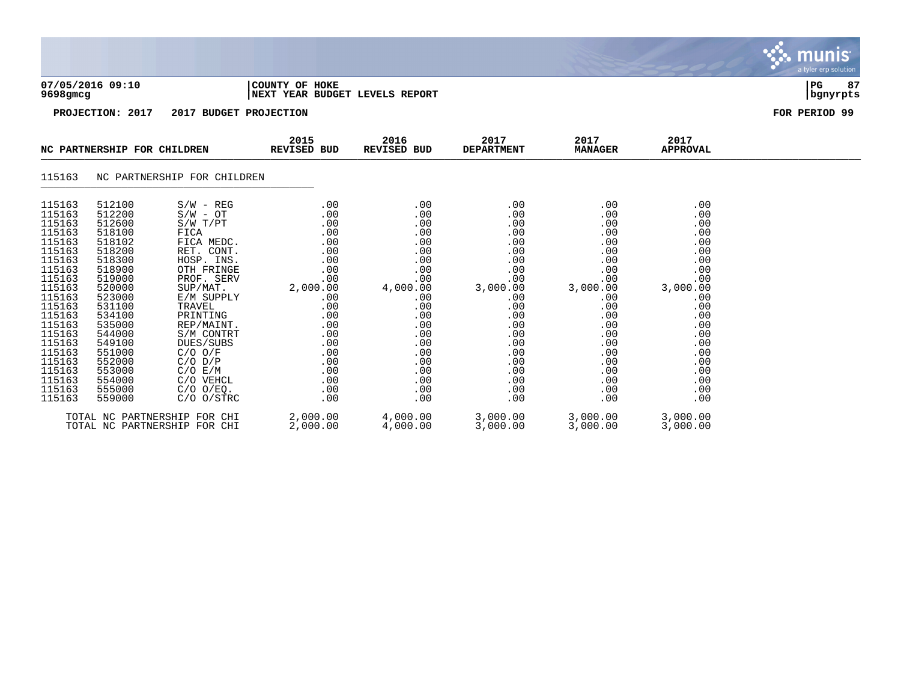|                                                                                                                                                                                                                          |                                                                                                                                                                                                                          |                                                                                                                                                                                                                                                                                                            |                                                                                                                                                             |                                                                                                                                                             |                                                                                                                                                             |                                                                                                                                                             |                                                                                                                                                             | munis <sup>.</sup><br>a tyler erp solution |
|--------------------------------------------------------------------------------------------------------------------------------------------------------------------------------------------------------------------------|--------------------------------------------------------------------------------------------------------------------------------------------------------------------------------------------------------------------------|------------------------------------------------------------------------------------------------------------------------------------------------------------------------------------------------------------------------------------------------------------------------------------------------------------|-------------------------------------------------------------------------------------------------------------------------------------------------------------|-------------------------------------------------------------------------------------------------------------------------------------------------------------|-------------------------------------------------------------------------------------------------------------------------------------------------------------|-------------------------------------------------------------------------------------------------------------------------------------------------------------|-------------------------------------------------------------------------------------------------------------------------------------------------------------|--------------------------------------------|
| 9698 <sub>qmcq</sub>                                                                                                                                                                                                     | 07/05/2016 09:10                                                                                                                                                                                                         |                                                                                                                                                                                                                                                                                                            | COUNTY OF HOKE<br>NEXT YEAR BUDGET LEVELS REPORT                                                                                                            |                                                                                                                                                             |                                                                                                                                                             |                                                                                                                                                             |                                                                                                                                                             | l PG.<br>87<br>  bgnyrpts                  |
|                                                                                                                                                                                                                          | PROJECTION: 2017                                                                                                                                                                                                         | 2017 BUDGET PROJECTION                                                                                                                                                                                                                                                                                     |                                                                                                                                                             |                                                                                                                                                             |                                                                                                                                                             |                                                                                                                                                             |                                                                                                                                                             | FOR PERIOD 99                              |
|                                                                                                                                                                                                                          | NC PARTNERSHIP FOR CHILDREN                                                                                                                                                                                              |                                                                                                                                                                                                                                                                                                            | 2015<br>REVISED BUD                                                                                                                                         | 2016<br>REVISED BUD                                                                                                                                         | 2017<br><b>DEPARTMENT</b>                                                                                                                                   | 2017<br><b>MANAGER</b>                                                                                                                                      | 2017<br><b>APPROVAL</b>                                                                                                                                     |                                            |
| 115163                                                                                                                                                                                                                   |                                                                                                                                                                                                                          | NC PARTNERSHIP FOR CHILDREN                                                                                                                                                                                                                                                                                |                                                                                                                                                             |                                                                                                                                                             |                                                                                                                                                             |                                                                                                                                                             |                                                                                                                                                             |                                            |
| 115163<br>115163<br>115163<br>115163<br>115163<br>115163<br>115163<br>115163<br>115163<br>115163<br>115163<br>115163<br>115163<br>115163<br>115163<br>115163<br>115163<br>115163<br>115163<br>115163<br>115163<br>115163 | 512100<br>512200<br>512600<br>518100<br>518102<br>518200<br>518300<br>518900<br>519000<br>520000<br>523000<br>531100<br>534100<br>535000<br>544000<br>549100<br>551000<br>552000<br>553000<br>554000<br>555000<br>559000 | $S/W - REG$<br>$S/W - OT$<br>$S/W$ $T/PT$<br>FICA<br>FICA MEDC.<br>RET. CONT.<br>HOSP. INS.<br>OTH FRINGE<br>PROF. SERV<br>SUP/MAT.<br>E/M SUPPLY<br>TRAVEL<br>PRINTING<br>REP/MAINT.<br>S/M CONTRT<br>DUES/SUBS<br>$C/O$ $O/F$<br>$C/O$ $D/P$<br>C/O E/M<br>C/O VEHCL<br>$C/O$ $O/EQ$ .<br>$C/O$ $O/STRC$ | .00<br>.00<br>.00<br>.00<br>.00<br>.00<br>.00<br>.00<br>.00<br>2,000.00<br>.00<br>.00<br>.00<br>.00<br>.00<br>.00<br>.00<br>.00<br>.00<br>.00<br>.00<br>.00 | .00<br>.00<br>.00<br>.00<br>.00<br>.00<br>.00<br>.00<br>.00<br>4,000.00<br>.00<br>.00<br>.00<br>.00<br>.00<br>.00<br>.00<br>.00<br>.00<br>.00<br>.00<br>.00 | .00<br>.00<br>.00<br>.00<br>.00<br>.00<br>.00<br>.00<br>.00<br>3,000.00<br>.00<br>.00<br>.00<br>.00<br>.00<br>.00<br>.00<br>.00<br>.00<br>.00<br>.00<br>.00 | .00<br>.00<br>.00<br>.00<br>.00<br>.00<br>.00<br>.00<br>.00<br>3,000.00<br>.00<br>.00<br>.00<br>.00<br>.00<br>.00<br>.00<br>.00<br>.00<br>.00<br>.00<br>.00 | .00<br>.00<br>.00<br>.00<br>.00<br>.00<br>.00<br>.00<br>.00<br>3,000.00<br>.00<br>.00<br>.00<br>.00<br>.00<br>.00<br>.00<br>.00<br>.00<br>.00<br>.00<br>.00 |                                            |
|                                                                                                                                                                                                                          |                                                                                                                                                                                                                          | TOTAL NC PARTNERSHIP FOR CHI                                                                                                                                                                                                                                                                               | 2,000.00                                                                                                                                                    | 4,000.00                                                                                                                                                    | 3,000.00                                                                                                                                                    | 3,000.00                                                                                                                                                    | 3,000.00                                                                                                                                                    |                                            |

TOTAL NC PARTNERSHIP FOR CHI 2,000.00 4,000.00 3,000.00 3,000.00 3,000.00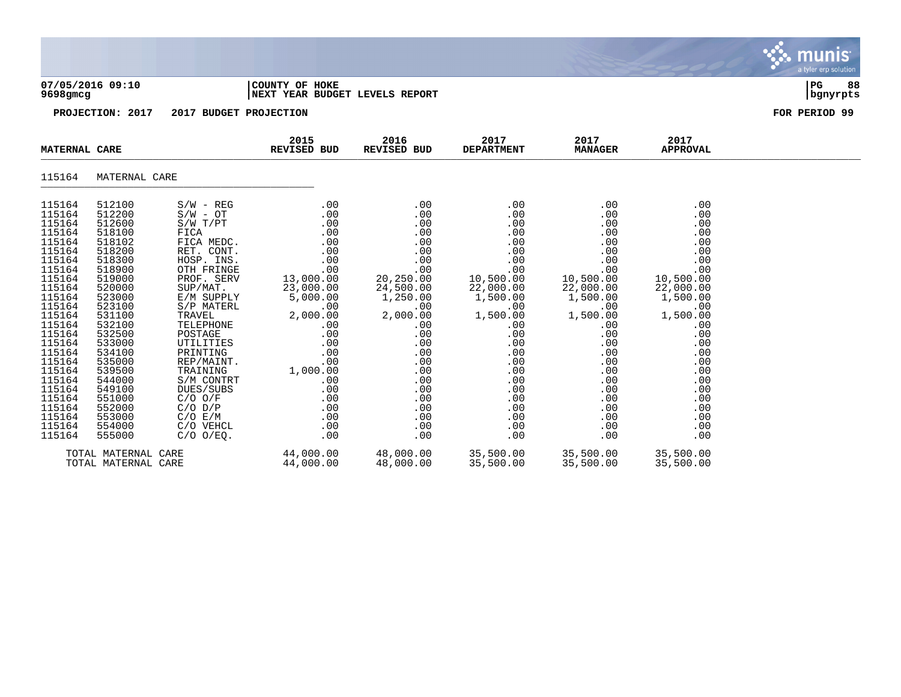|                                                                                                                                                                                                                                                                  |                                                                                                                                                                                                                                                                  |                                                                                                                                                                                                                                                                                                                                                     |                                                                                                                                                                                                               |                                                                                                                                                                                                          |                                                                                                                                                                                                          |                                                                                                                                                                                                          |                                                                                                                                                                                                          | munis<br>a tyler erp solution    |
|------------------------------------------------------------------------------------------------------------------------------------------------------------------------------------------------------------------------------------------------------------------|------------------------------------------------------------------------------------------------------------------------------------------------------------------------------------------------------------------------------------------------------------------|-----------------------------------------------------------------------------------------------------------------------------------------------------------------------------------------------------------------------------------------------------------------------------------------------------------------------------------------------------|---------------------------------------------------------------------------------------------------------------------------------------------------------------------------------------------------------------|----------------------------------------------------------------------------------------------------------------------------------------------------------------------------------------------------------|----------------------------------------------------------------------------------------------------------------------------------------------------------------------------------------------------------|----------------------------------------------------------------------------------------------------------------------------------------------------------------------------------------------------------|----------------------------------------------------------------------------------------------------------------------------------------------------------------------------------------------------------|----------------------------------|
| 07/05/2016 09:10<br>9698gmcg                                                                                                                                                                                                                                     |                                                                                                                                                                                                                                                                  |                                                                                                                                                                                                                                                                                                                                                     | COUNTY OF HOKE<br>NEXT YEAR BUDGET LEVELS REPORT                                                                                                                                                              |                                                                                                                                                                                                          |                                                                                                                                                                                                          |                                                                                                                                                                                                          |                                                                                                                                                                                                          | 88<br>P <sub>G</sub><br>bgnyrpts |
|                                                                                                                                                                                                                                                                  | PROJECTION: 2017                                                                                                                                                                                                                                                 | 2017 BUDGET PROJECTION                                                                                                                                                                                                                                                                                                                              |                                                                                                                                                                                                               |                                                                                                                                                                                                          |                                                                                                                                                                                                          |                                                                                                                                                                                                          |                                                                                                                                                                                                          | FOR PERIOD 99                    |
| <b>MATERNAL CARE</b>                                                                                                                                                                                                                                             |                                                                                                                                                                                                                                                                  |                                                                                                                                                                                                                                                                                                                                                     | 2015<br><b>REVISED BUD</b>                                                                                                                                                                                    | 2016<br>REVISED BUD                                                                                                                                                                                      | 2017<br><b>DEPARTMENT</b>                                                                                                                                                                                | 2017<br><b>MANAGER</b>                                                                                                                                                                                   | 2017<br><b>APPROVAL</b>                                                                                                                                                                                  |                                  |
| 115164                                                                                                                                                                                                                                                           | MATERNAL CARE                                                                                                                                                                                                                                                    |                                                                                                                                                                                                                                                                                                                                                     |                                                                                                                                                                                                               |                                                                                                                                                                                                          |                                                                                                                                                                                                          |                                                                                                                                                                                                          |                                                                                                                                                                                                          |                                  |
| 115164<br>115164<br>115164<br>115164<br>115164<br>115164<br>115164<br>115164<br>115164<br>115164<br>115164<br>115164<br>115164<br>115164<br>115164<br>115164<br>115164<br>115164<br>115164<br>115164<br>115164<br>115164<br>115164<br>115164<br>115164<br>115164 | 512100<br>512200<br>512600<br>518100<br>518102<br>518200<br>518300<br>518900<br>519000<br>520000<br>523000<br>523100<br>531100<br>532100<br>532500<br>533000<br>534100<br>535000<br>539500<br>544000<br>549100<br>551000<br>552000<br>553000<br>554000<br>555000 | $S/W - REG$<br>$S/W - OT$<br>S/W T/PT<br>FICA<br>FICA MEDC.<br>RET. CONT.<br>HOSP. INS.<br>OTH FRINGE<br>PROF. SERV<br>SUP/MAT.<br>E/M SUPPLY<br>S/P MATERL<br>TRAVEL<br>TELEPHONE<br>POSTAGE<br>UTILITIES<br>PRINTING<br>REP/MAINT.<br>TRAINING<br>S/M CONTRT<br>DUES/SUBS<br>$C/O$ $O/F$<br>$C/O$ $D/P$<br>C/O E/M<br>C/O VEHCL<br>$C/O$ $O/EO$ . | .00<br>.00<br>.00<br>.00<br>.00<br>.00<br>.00<br>.00<br>13,000.00<br>23,000.00<br>5,000.00<br>.00<br>2,000.00<br>.00<br>.00<br>.00<br>.00<br>.00<br>1,000.00<br>.00<br>.00<br>.00<br>.00<br>.00<br>.00<br>.00 | .00<br>.00<br>.00<br>.00<br>.00<br>.00<br>.00<br>.00<br>20,250.00<br>24,500.00<br>1,250.00<br>.00<br>2,000.00<br>.00<br>.00<br>.00<br>.00<br>.00<br>.00<br>.00<br>.00<br>.00<br>.00<br>.00<br>.00<br>.00 | .00<br>.00<br>.00<br>.00<br>.00<br>.00<br>.00<br>.00<br>10,500.00<br>22,000.00<br>1,500.00<br>.00<br>1,500.00<br>.00<br>.00<br>.00<br>.00<br>.00<br>.00<br>.00<br>.00<br>.00<br>.00<br>.00<br>.00<br>.00 | .00<br>.00<br>.00<br>.00<br>.00<br>.00<br>.00<br>.00<br>10,500.00<br>22,000.00<br>1,500.00<br>.00<br>1,500.00<br>.00<br>.00<br>.00<br>.00<br>.00<br>.00<br>.00<br>.00<br>.00<br>.00<br>.00<br>.00<br>.00 | .00<br>.00<br>.00<br>.00<br>.00<br>.00<br>.00<br>.00<br>10,500.00<br>22,000.00<br>1,500.00<br>.00<br>1,500.00<br>.00<br>.00<br>.00<br>.00<br>.00<br>.00<br>.00<br>.00<br>.00<br>.00<br>.00<br>.00<br>.00 |                                  |
|                                                                                                                                                                                                                                                                  | TOTAL MATERNAL CARE<br>TOTAL MATERNAL CARE                                                                                                                                                                                                                       |                                                                                                                                                                                                                                                                                                                                                     | 44,000.00<br>44,000.00                                                                                                                                                                                        | 48,000.00<br>48,000.00                                                                                                                                                                                   | 35,500.00<br>35,500.00                                                                                                                                                                                   | 35,500.00<br>35,500.00                                                                                                                                                                                   | 35,500.00<br>35,500.00                                                                                                                                                                                   |                                  |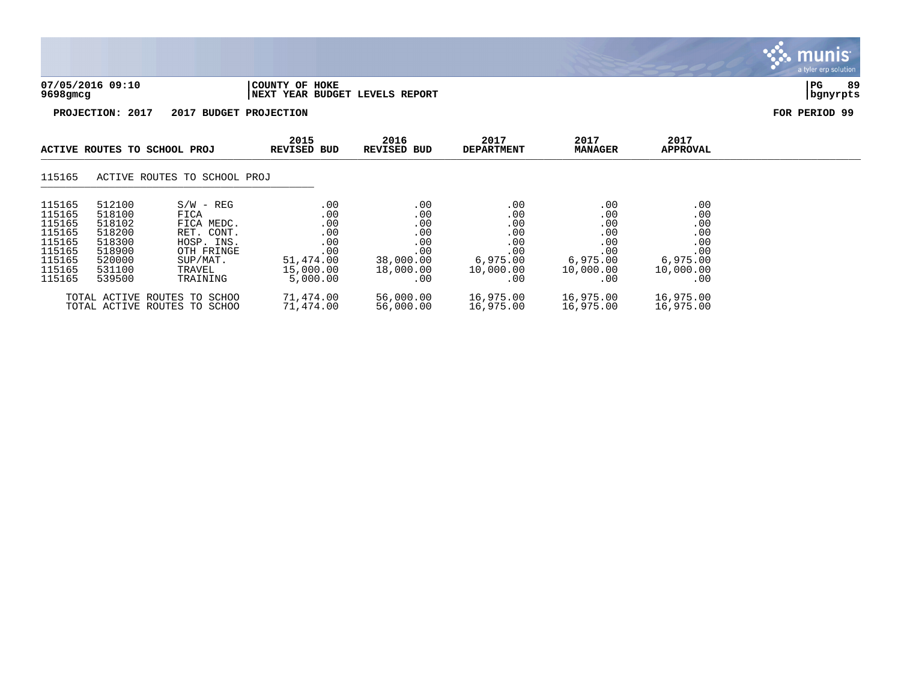

TOTAL ACTIVE ROUTES TO SCHOO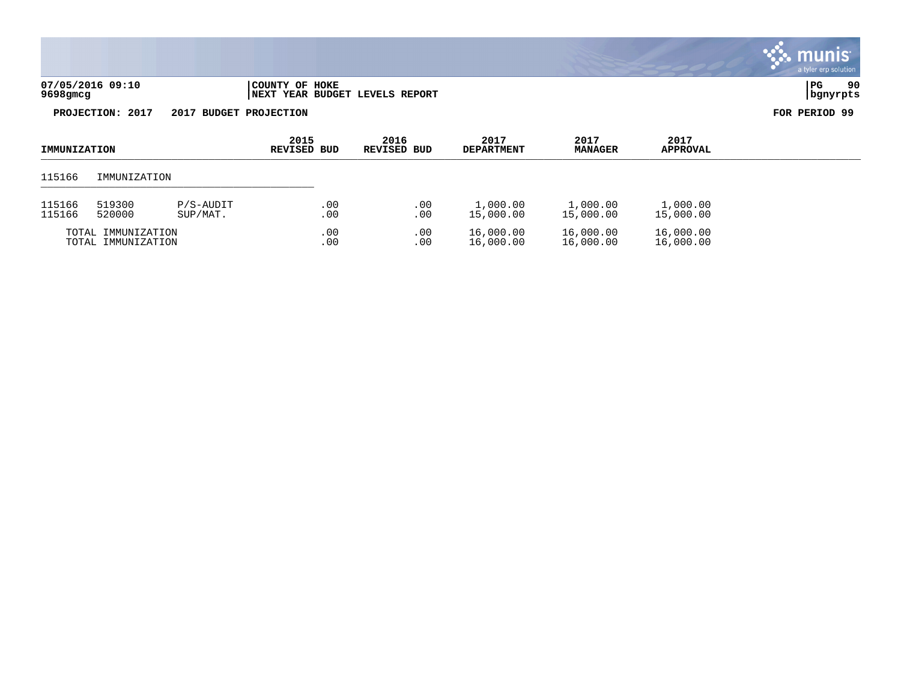| 07/05/2016 09:10 | 'COUNTY OF HOKE                        | l PG     | 90 |
|------------------|----------------------------------------|----------|----|
| 9698gmcg         | <b>INEXT YEAR BUDGET LEVELS REPORT</b> | banvrpts |    |

**PROJECTION: 2017 2017 BUDGET PROJECTION FOR PERIOD 99**

| IMMUNIZATION       |              | 2015<br>REVISED BUD | 2016<br>REVISED BUD | 2017<br><b>DEPARTMENT</b> | 2017<br><b>MANAGER</b> | 2017<br><b>APPROVAL</b> |           |  |
|--------------------|--------------|---------------------|---------------------|---------------------------|------------------------|-------------------------|-----------|--|
| 115166             | IMMUNIZATION |                     |                     |                           |                        |                         |           |  |
| 115166             | 519300       | $P/S-AUDIT$         | .00                 | .00                       | 1,000.00               | 1,000.00                | 1,000.00  |  |
| 115166             | 520000       | SUP/MAT.            | .00                 | .00                       | 15,000.00              | 15,000.00               | 15,000.00 |  |
| TOTAL IMMUNIZATION |              | .00                 | .00                 | 16,000.00                 | 16,000.00              | 16,000.00               |           |  |
| TOTAL IMMUNIZATION |              | .00                 | .00                 | 16,000.00                 | 16,000.00              | 16,000.00               |           |  |

# munis a tyler erp solution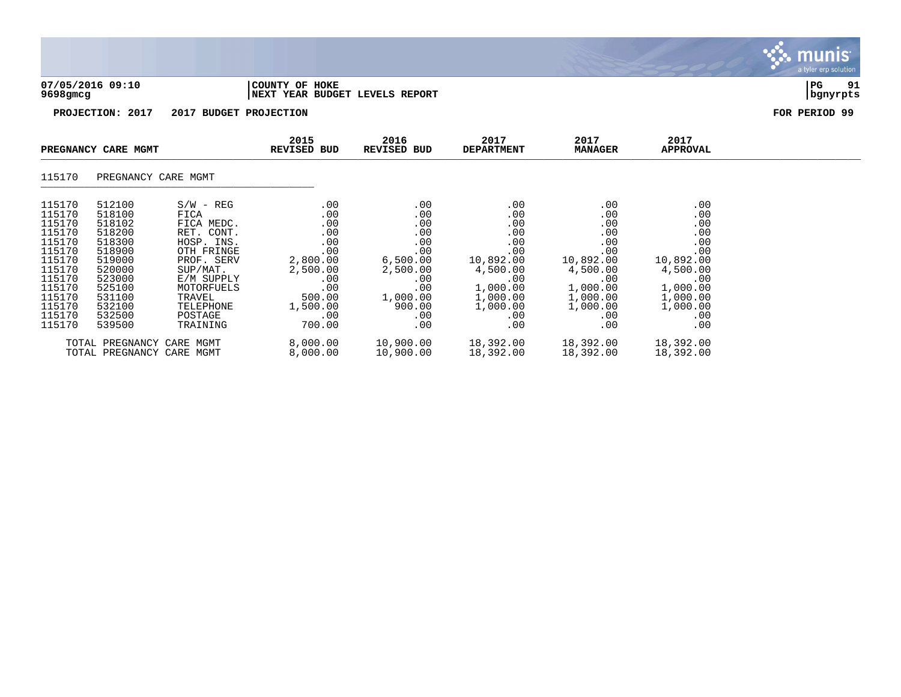

munis a tyler erp solution

| $\sim$ | 115170 | PREGNANCY CARE MGMT |  |  |
|--------|--------|---------------------|--|--|
|--------|--------|---------------------|--|--|

|        |        | THORS CULTUS TANGULAR     |          |           |           |           |           |
|--------|--------|---------------------------|----------|-----------|-----------|-----------|-----------|
| 115170 | 512100 | $S/W - REG$               | .00      | .00       | .00       | .00       | .00       |
| 115170 | 518100 | FICA                      | .00      | .00       | .00       | .00       | .00       |
| 115170 | 518102 | MEDC.<br>FICA             | .00      | .00       | .00       | .00       | .00       |
| 115170 | 518200 | RET.<br>CONT.             | .00      | .00       | .00       | .00       | .00       |
| 115170 | 518300 | HOSP. INS.                | .00      | .00       | .00       | .00       | .00       |
| 115170 | 518900 | OTH FRINGE                | .00      | .00       | .00       | .00       | .00       |
| 115170 | 519000 | PROF. SERV                | 2,800.00 | 6,500.00  | 10,892.00 | 10,892.00 | 10,892.00 |
| 115170 | 520000 | SUP/MAT.                  | 2,500.00 | 2,500.00  | 4,500.00  | 4,500.00  | 4,500.00  |
| 115170 | 523000 | E/M SUPPLY                | .00      | .00       | .00       | .00       | .00       |
| 115170 | 525100 | MOTORFUELS                | .00      | .00       | 1,000.00  | 1,000.00  | 1,000.00  |
| 115170 | 531100 | TRAVEL                    | 500.00   | 1,000.00  | 1,000.00  | 1,000.00  | 1,000.00  |
| 115170 | 532100 | TELEPHONE                 | 1,500.00 | 900.00    | 1,000.00  | 1,000.00  | 1,000.00  |
| 115170 | 532500 | POSTAGE                   | .00      | .00       | .00       | .00       | .00       |
| 115170 | 539500 | TRAINING                  | 700.00   | .00       | .00       | .00       | .00       |
|        |        | TOTAL PREGNANCY CARE MGMT | 8,000.00 | 10,900.00 | 18,392.00 | 18,392.00 | 18,392.00 |
|        |        | TOTAL PREGNANCY CARE MGMT | 8,000.00 | 10,900.00 | 18,392.00 | 18,392.00 | 18,392.00 |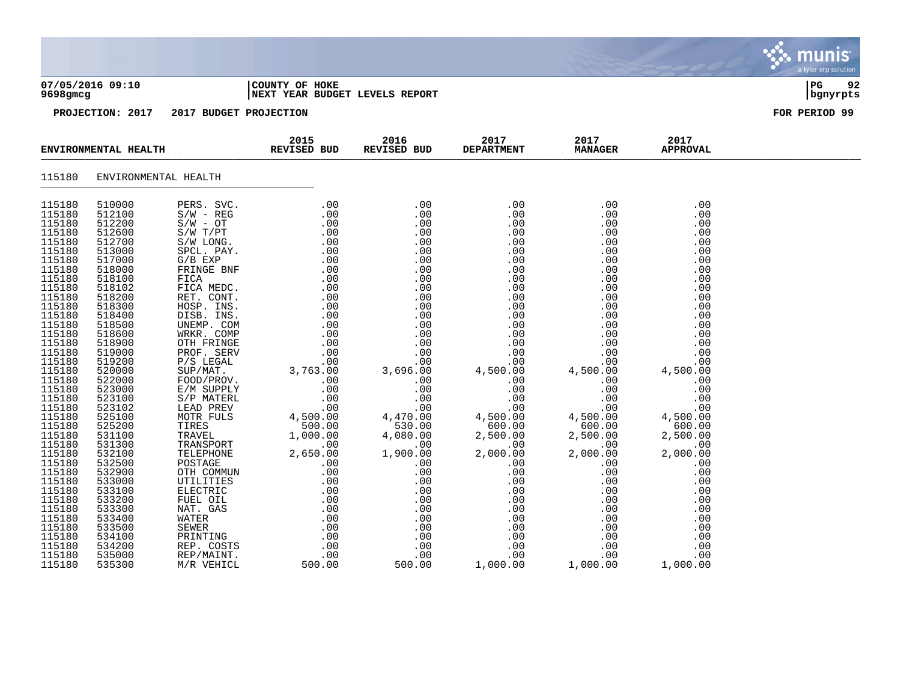|                                                                                                                                                                                                                                                                                                                                                                                |                                                                                                                                                                                                                                                                                                                                                                                |                                                                                                                                                                                                                                                                                                                                                                                                                                                                                       |                                                                                                         |                                                                                                                                                                                                                                                                                        |                                                                                                                                                                                                                                                                                                  |                                                                                                                                                                                                                                                                                        |                                                                                                                                                                                                                                                                                        | a tyler erp solution |
|--------------------------------------------------------------------------------------------------------------------------------------------------------------------------------------------------------------------------------------------------------------------------------------------------------------------------------------------------------------------------------|--------------------------------------------------------------------------------------------------------------------------------------------------------------------------------------------------------------------------------------------------------------------------------------------------------------------------------------------------------------------------------|---------------------------------------------------------------------------------------------------------------------------------------------------------------------------------------------------------------------------------------------------------------------------------------------------------------------------------------------------------------------------------------------------------------------------------------------------------------------------------------|---------------------------------------------------------------------------------------------------------|----------------------------------------------------------------------------------------------------------------------------------------------------------------------------------------------------------------------------------------------------------------------------------------|--------------------------------------------------------------------------------------------------------------------------------------------------------------------------------------------------------------------------------------------------------------------------------------------------|----------------------------------------------------------------------------------------------------------------------------------------------------------------------------------------------------------------------------------------------------------------------------------------|----------------------------------------------------------------------------------------------------------------------------------------------------------------------------------------------------------------------------------------------------------------------------------------|----------------------|
| 9698gmcg                                                                                                                                                                                                                                                                                                                                                                       | 07/05/2016 09:10                                                                                                                                                                                                                                                                                                                                                               |                                                                                                                                                                                                                                                                                                                                                                                                                                                                                       | COUNTY OF HOKE<br>NEXT YEAR BUDGET LEVELS REPORT                                                        |                                                                                                                                                                                                                                                                                        |                                                                                                                                                                                                                                                                                                  |                                                                                                                                                                                                                                                                                        |                                                                                                                                                                                                                                                                                        | PG<br>92<br>bgnyrpts |
|                                                                                                                                                                                                                                                                                                                                                                                | PROJECTION: 2017                                                                                                                                                                                                                                                                                                                                                               | 2017 BUDGET PROJECTION                                                                                                                                                                                                                                                                                                                                                                                                                                                                |                                                                                                         |                                                                                                                                                                                                                                                                                        |                                                                                                                                                                                                                                                                                                  |                                                                                                                                                                                                                                                                                        |                                                                                                                                                                                                                                                                                        | FOR PERIOD 99        |
|                                                                                                                                                                                                                                                                                                                                                                                | ENVIRONMENTAL HEALTH                                                                                                                                                                                                                                                                                                                                                           |                                                                                                                                                                                                                                                                                                                                                                                                                                                                                       | 2015<br>REVISED BUD                                                                                     | 2016<br>REVISED BUD                                                                                                                                                                                                                                                                    | 2017<br><b>DEPARTMENT</b>                                                                                                                                                                                                                                                                        | 2017<br><b>MANAGER</b>                                                                                                                                                                                                                                                                 | 2017<br><b>APPROVAL</b>                                                                                                                                                                                                                                                                |                      |
| 115180                                                                                                                                                                                                                                                                                                                                                                         |                                                                                                                                                                                                                                                                                                                                                                                | ENVIRONMENTAL HEALTH                                                                                                                                                                                                                                                                                                                                                                                                                                                                  |                                                                                                         |                                                                                                                                                                                                                                                                                        |                                                                                                                                                                                                                                                                                                  |                                                                                                                                                                                                                                                                                        |                                                                                                                                                                                                                                                                                        |                      |
| 115180<br>115180<br>115180<br>115180<br>115180<br>115180<br>115180<br>115180<br>115180<br>115180<br>115180<br>115180<br>115180<br>115180<br>115180<br>115180<br>115180<br>115180<br>115180<br>115180<br>115180<br>115180<br>115180<br>115180<br>115180<br>115180<br>115180<br>115180<br>115180<br>115180<br>115180<br>115180<br>115180<br>115180<br>115180<br>115180<br>115180 | 510000<br>512100<br>512200<br>512600<br>512700<br>513000<br>517000<br>518000<br>518100<br>518102<br>518200<br>518300<br>518400<br>518500<br>518600<br>518900<br>519000<br>519200<br>520000<br>522000<br>523000<br>523100<br>523102<br>525100<br>525200<br>531100<br>531300<br>532100<br>532500<br>532900<br>533000<br>533100<br>533200<br>533300<br>533400<br>533500<br>534100 | PERS. SVC.<br>$S/W - REG$<br>$S/W - OT$<br>S/W T/PT<br>S/W LONG.<br>SPCL. PAY.<br>$G/B$ EXP<br>FRINGE BNF<br>FICA<br>FICA MEDC.<br>RET. CONT.<br>HOSP. INS.<br>DISB. INS.<br>UNEMP. COM<br>WRKR. COMP<br>OTH FRINGE<br>PROF. SERV<br>$P/S$ LEGAL<br>SUP/MAT.<br>FOOD/PROV.<br>E/M SUPPLY<br>S/P MATERL<br>LEAD PREV<br>MOTR FULS<br>TIRES<br>TRAVEL<br>TRANSPORT<br>TELEPHONE<br>POSTAGE<br>OTH COMMUN<br>UTILITIES<br>ELECTRIC<br>FUEL OIL<br>NAT. GAS<br>WATER<br>SEWER<br>PRINTING | $.00\,$<br>.00<br>.00<br>.00<br>.00<br>$00$ .<br>4,500.00<br>500.00<br>1,000.00<br>$.00 \,$<br>2,650.00 | .00<br>.00<br>.00<br>.00<br>.00<br>.00<br>.00<br>.00<br>.00<br>.00<br>.00<br>.00<br>.00<br>.00<br>.00<br>.00<br>.00<br>.00<br>3,696.00<br>.00<br>.00<br>.00<br>.00<br>4,470.00<br>530.00<br>4,080.00<br>.00<br>1,900.00<br>.00<br>.00<br>.00<br>.00<br>.00<br>.00<br>.00<br>.00<br>.00 | $.00 \,$<br>.00<br>.00<br>.00<br>.00<br>.00<br>.00<br>.00<br>.00<br>.00<br>.00<br>.00<br>.00<br>.00<br>.00<br>.00<br>.00<br>.00<br>4,500.00<br>.00<br>.00<br>.00<br>.00<br>4,500.00<br>600.00<br>2,500.00<br>$.00 \,$<br>2,000.00<br>.00<br>.00<br>.00<br>.00<br>.00<br>.00<br>.00<br>.00<br>.00 | .00<br>.00<br>.00<br>.00<br>.00<br>.00<br>.00<br>.00<br>.00<br>.00<br>.00<br>.00<br>.00<br>.00<br>.00<br>.00<br>.00<br>.00<br>4,500.00<br>.00<br>.00<br>.00<br>.00<br>4,500.00<br>600.00<br>2,500.00<br>.00<br>2,000.00<br>.00<br>.00<br>.00<br>.00<br>.00<br>.00<br>.00<br>.00<br>.00 | .00<br>.00<br>.00<br>.00<br>.00<br>.00<br>.00<br>.00<br>.00<br>.00<br>.00<br>.00<br>.00<br>.00<br>.00<br>.00<br>.00<br>.00<br>4,500.00<br>.00<br>.00<br>.00<br>.00<br>4,500.00<br>600.00<br>2,500.00<br>.00<br>2,000.00<br>.00<br>.00<br>.00<br>.00<br>.00<br>.00<br>.00<br>.00<br>.00 |                      |

115180 534200 REP. COSTS .00 .00 .00 .00 .00 115180 535000 REP/MAINT. .00 .00 .00 .00 .00 115180 535300 M/R VEHICL 500.00 500.00 1,000.00 1,000.00 1,000.00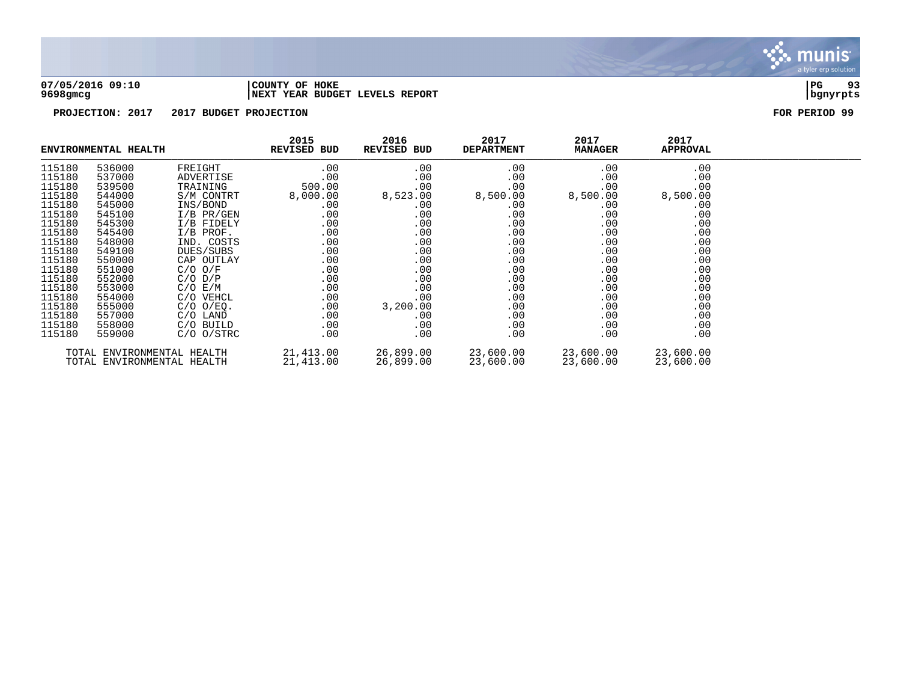

### **07/05/2016 09:10 |COUNTY OF HOKE |PG 93 9698gmcg |NEXT YEAR BUDGET LEVELS REPORT |bgnyrpts**

|                            | ENVIRONMENTAL HEALTH |                | 2015<br>REVISED BUD | 2016<br>REVISED BUD | 2017<br><b>DEPARTMENT</b> | 2017<br><b>MANAGER</b> | 2017<br><b>APPROVAL</b> |  |
|----------------------------|----------------------|----------------|---------------------|---------------------|---------------------------|------------------------|-------------------------|--|
| 115180                     | 536000               | FREIGHT        | .00                 | .00                 | .00                       | .00                    | .00                     |  |
| 115180                     | 537000               | ADVERTISE      | .00                 | .00                 | .00                       | .00                    | .00                     |  |
| 115180                     | 539500               | TRAINING       | 500.00              | .00                 | .00                       | .00                    | .00                     |  |
| 115180                     | 544000               | S/M CONTRT     | 8,000.00            | 8,523.00            | 8,500.00                  | 8,500.00               | 8,500.00                |  |
| 115180                     | 545000               | INS/BOND       | $.00 \,$            | .00                 | $.00 \,$                  | .00                    | .00                     |  |
| 115180                     | 545100               | I/B PR/GEN     | .00                 | .00                 | .00                       | .00                    | .00                     |  |
| 115180                     | 545300               | I/B FIDELY     | .00                 | .00                 | .00                       | .00                    | .00                     |  |
| 115180                     | 545400               | $I/B$ PROF.    | .00                 | .00                 | .00                       | .00                    | .00                     |  |
| 115180                     | 548000               | IND. COSTS     | $.00 \,$            | .00                 | .00                       | .00                    | .00                     |  |
| 115180                     | 549100               | DUES/SUBS      | .00                 | $.00 \,$            | .00                       | .00                    | .00                     |  |
| 115180                     | 550000               | CAP OUTLAY     | .00                 | .00                 | .00                       | .00                    | .00                     |  |
| 115180                     | 551000               | $C/O$ $O/F$    | .00                 | .00                 | .00                       | .00                    | .00                     |  |
| 115180                     | 552000               | $C/O$ $D/P$    | .00                 | .00                 | .00                       | .00                    | .00                     |  |
| 115180                     | 553000               | $C/O$ $E/M$    | .00                 | .00                 | .00                       | .00                    | .00                     |  |
| 115180                     | 554000               | C/O VEHCL      | .00                 | .00                 | .00                       | .00                    | .00                     |  |
| 115180                     | 555000               | $C/O$ $O/EQ$ . | .00                 | 3,200.00            | .00                       | .00                    | .00                     |  |
| 115180                     | 557000               | C/O LAND       | .00                 | .00                 | .00                       | .00                    | .00                     |  |
| 115180                     | 558000               | C/O BUILD      | .00                 | .00                 | .00                       | .00                    | .00                     |  |
| 115180                     | 559000               | $C/O$ $O/STRC$ | .00                 | .00                 | .00                       | .00                    | .00                     |  |
| TOTAL ENVIRONMENTAL HEALTH |                      |                | 21,413.00           | 26,899.00           | 23,600.00                 | 23,600.00              | 23,600.00               |  |
| TOTAL ENVIRONMENTAL HEALTH |                      | 21,413.00      | 26,899.00           | 23,600.00           | 23,600.00                 | 23,600.00              |                         |  |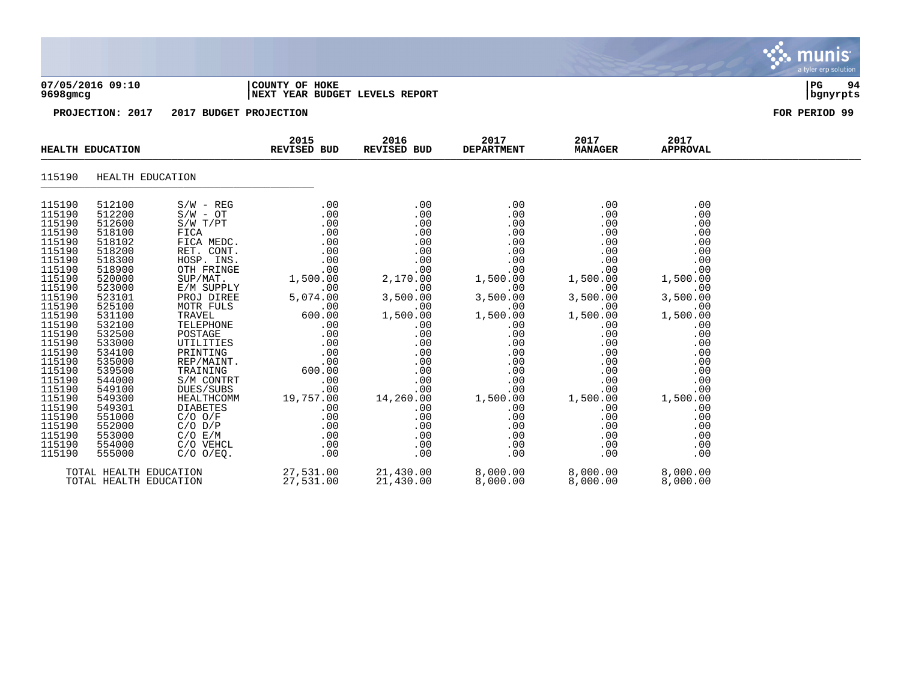|                                                                                                                                                                                                                                                                                      |                                                                                                                                                                                                                                                                                      |                                                                                                                                                                                                                                                                                                                                                                                                                |                                                                                                                                                                                                                              |                                                                                                                                                                                                                       |                                                                                                                                                                                                                      |                                                                                                                                                                                                                      |                                                                                                                                                                                                                      | <u>munis</u><br>a tyler erp solution |
|--------------------------------------------------------------------------------------------------------------------------------------------------------------------------------------------------------------------------------------------------------------------------------------|--------------------------------------------------------------------------------------------------------------------------------------------------------------------------------------------------------------------------------------------------------------------------------------|----------------------------------------------------------------------------------------------------------------------------------------------------------------------------------------------------------------------------------------------------------------------------------------------------------------------------------------------------------------------------------------------------------------|------------------------------------------------------------------------------------------------------------------------------------------------------------------------------------------------------------------------------|-----------------------------------------------------------------------------------------------------------------------------------------------------------------------------------------------------------------------|----------------------------------------------------------------------------------------------------------------------------------------------------------------------------------------------------------------------|----------------------------------------------------------------------------------------------------------------------------------------------------------------------------------------------------------------------|----------------------------------------------------------------------------------------------------------------------------------------------------------------------------------------------------------------------|--------------------------------------|
| 9698gmcg                                                                                                                                                                                                                                                                             | 07/05/2016 09:10                                                                                                                                                                                                                                                                     |                                                                                                                                                                                                                                                                                                                                                                                                                | COUNTY OF HOKE<br>NEXT YEAR BUDGET LEVELS REPORT                                                                                                                                                                             |                                                                                                                                                                                                                       |                                                                                                                                                                                                                      |                                                                                                                                                                                                                      |                                                                                                                                                                                                                      | $ _{\rm PG}$<br>94<br>bgnyrpts       |
|                                                                                                                                                                                                                                                                                      | PROJECTION: 2017                                                                                                                                                                                                                                                                     | 2017 BUDGET PROJECTION                                                                                                                                                                                                                                                                                                                                                                                         |                                                                                                                                                                                                                              |                                                                                                                                                                                                                       |                                                                                                                                                                                                                      |                                                                                                                                                                                                                      |                                                                                                                                                                                                                      | FOR PERIOD 99                        |
|                                                                                                                                                                                                                                                                                      | <b>HEALTH EDUCATION</b>                                                                                                                                                                                                                                                              |                                                                                                                                                                                                                                                                                                                                                                                                                | 2015<br><b>REVISED BUD</b>                                                                                                                                                                                                   | 2016<br>REVISED BUD                                                                                                                                                                                                   | 2017<br><b>DEPARTMENT</b>                                                                                                                                                                                            | 2017<br><b>MANAGER</b>                                                                                                                                                                                               | 2017<br><b>APPROVAL</b>                                                                                                                                                                                              |                                      |
| 115190                                                                                                                                                                                                                                                                               | HEALTH EDUCATION                                                                                                                                                                                                                                                                     |                                                                                                                                                                                                                                                                                                                                                                                                                |                                                                                                                                                                                                                              |                                                                                                                                                                                                                       |                                                                                                                                                                                                                      |                                                                                                                                                                                                                      |                                                                                                                                                                                                                      |                                      |
| 115190<br>115190<br>115190<br>115190<br>115190<br>115190<br>115190<br>115190<br>115190<br>115190<br>115190<br>115190<br>115190<br>115190<br>115190<br>115190<br>115190<br>115190<br>115190<br>115190<br>115190<br>115190<br>115190<br>115190<br>115190<br>115190<br>115190<br>115190 | 512100<br>512200<br>512600<br>518100<br>518102<br>518200<br>518300<br>518900<br>520000<br>523000<br>523101<br>525100<br>531100<br>532100<br>532500<br>533000<br>534100<br>535000<br>539500<br>544000<br>549100<br>549300<br>549301<br>551000<br>552000<br>553000<br>554000<br>555000 | $S/W - REG$<br>$S/W - OT$<br>S/W T/PT<br>FICA<br>FICA MEDC.<br>RET. CONT.<br>HOSP. INS.<br>OTH FRINGE<br>$\texttt{SUP} / \texttt{MAT}$ .<br>E/M SUPPLY<br>PROJ DIREE<br>MOTR FULS<br>TRAVEL<br>TELEPHONE<br>POSTAGE<br>UTILITIES<br>PRINTING<br>REP/MAINT.<br>TRAINING<br>S/M CONTRT<br>DUES/SUBS<br>HEALTHCOMM<br><b>DIABETES</b><br>$C/O$ $O/F$<br>$C/O$ $D/P$<br>$C/O$ $E/M$<br>C/O VEHCL<br>$C/O$ $O/EQ$ . | .00<br>.00<br>.00<br>.00<br>.00<br>.00<br>.00<br>.00<br>1,500.00<br>.00<br>5,074.00<br>$\ddotsc$<br>600.00<br>.00<br>.00<br>.00<br>.00<br>.00<br>600.00<br>.00<br>.00<br>19,757.00<br>.00<br>.00<br>.00<br>.00<br>.00<br>.00 | .00<br>.00<br>.00<br>.00<br>.00<br>.00<br>.00<br>.00<br>2,170.00<br>.00<br>3,500.00<br>.00<br>1,500.00<br>.00<br>.00<br>.00<br>.00<br>.00<br>.00<br>.00<br>.00<br>14,260.00<br>.00<br>.00<br>.00<br>.00<br>.00<br>.00 | .00<br>.00<br>.00<br>.00<br>.00<br>.00<br>.00<br>.00<br>1,500.00<br>.00<br>3,500.00<br>.00<br>1,500.00<br>.00<br>.00<br>.00<br>.00<br>.00<br>.00<br>.00<br>.00<br>1,500.00<br>.00<br>.00<br>.00<br>.00<br>.00<br>.00 | .00<br>.00<br>.00<br>.00<br>.00<br>.00<br>.00<br>.00<br>1,500.00<br>.00<br>3,500.00<br>.00<br>1,500.00<br>.00<br>.00<br>.00<br>.00<br>.00<br>.00<br>.00<br>.00<br>1,500.00<br>.00<br>.00<br>.00<br>.00<br>.00<br>.00 | .00<br>.00<br>.00<br>.00<br>.00<br>.00<br>.00<br>.00<br>1,500.00<br>.00<br>3,500.00<br>.00<br>1,500.00<br>.00<br>.00<br>.00<br>.00<br>.00<br>.00<br>.00<br>.00<br>1,500.00<br>.00<br>.00<br>.00<br>.00<br>.00<br>.00 |                                      |
|                                                                                                                                                                                                                                                                                      | TOTAL HEALTH EDUCATION<br>TOTAL HEALTH EDUCATION                                                                                                                                                                                                                                     |                                                                                                                                                                                                                                                                                                                                                                                                                | 27,531.00<br>27,531.00                                                                                                                                                                                                       | 21,430.00<br>21,430.00                                                                                                                                                                                                | 8,000.00<br>8,000.00                                                                                                                                                                                                 | 8,000.00<br>8,000.00                                                                                                                                                                                                 | 8,000.00<br>8,000.00                                                                                                                                                                                                 |                                      |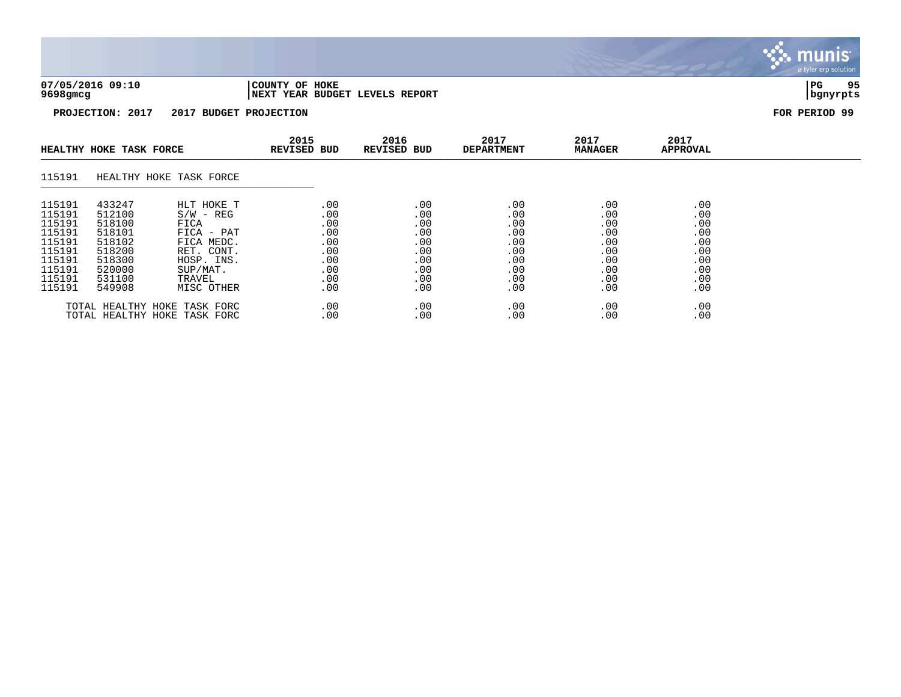| 07/05/2016 09:10 | 'COUNTY OF HOKE                | l PC     | QE |
|------------------|--------------------------------|----------|----|
| 9698gmcg         | NEXT YEAR BUDGET LEVELS REPORT | bgnyrpts |    |

|                                                                                                  | HEALTHY HOKE TASK FORCE                                                                          |                                                                                                                               | 2015<br><b>REVISED BUD</b>                                         | 2016<br><b>REVISED BUD</b>                                         | 2017<br><b>DEPARTMENT</b>                                          | 2017<br><b>MANAGER</b>                                             | 2017<br>APPROVAL                                                   |  |
|--------------------------------------------------------------------------------------------------|--------------------------------------------------------------------------------------------------|-------------------------------------------------------------------------------------------------------------------------------|--------------------------------------------------------------------|--------------------------------------------------------------------|--------------------------------------------------------------------|--------------------------------------------------------------------|--------------------------------------------------------------------|--|
| 115191                                                                                           | HEALTHY HOKE TASK FORCE                                                                          |                                                                                                                               |                                                                    |                                                                    |                                                                    |                                                                    |                                                                    |  |
| 115191<br>115191<br>115191<br>115191<br>115191<br>115191<br>115191<br>115191<br>115191<br>115191 | 433247<br>512100<br>518100<br>518101<br>518102<br>518200<br>518300<br>520000<br>531100<br>549908 | HLT HOKE T<br>$S/W - REG$<br>FICA<br>FICA - PAT<br>FICA MEDC.<br>RET. CONT.<br>HOSP. INS.<br>SUP/MAT.<br>TRAVEL<br>MISC OTHER | .00<br>.00<br>.00<br>.00<br>.00<br>.00<br>.00<br>.00<br>.00<br>.00 | .00<br>.00<br>.00<br>.00<br>.00<br>.00<br>.00<br>.00<br>.00<br>.00 | .00<br>.00<br>.00<br>.00<br>.00<br>.00<br>.00<br>.00<br>.00<br>.00 | .00<br>.00<br>.00<br>.00<br>.00<br>.00<br>.00<br>.00<br>.00<br>.00 | .00<br>.00<br>.00<br>.00<br>.00<br>.00<br>.00<br>.00<br>.00<br>.00 |  |
|                                                                                                  | TOTAL HEALTHY HOKE TASK FORC<br>TOTAL HEALTHY HOKE TASK FORC                                     |                                                                                                                               | .00<br>.00                                                         | .00<br>.00                                                         | .00<br>.00                                                         | .00<br>.00                                                         | .00<br>.00                                                         |  |

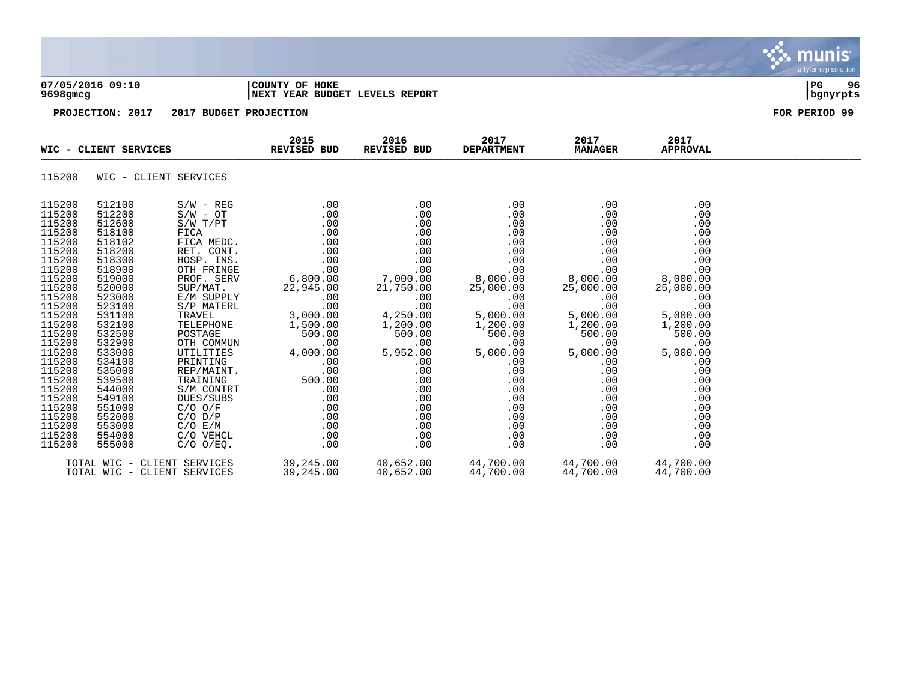| $9698$ gmcg                                                                                                                                                                                                                                                                | 07/05/2016 09:10                                                                                                                                                                                                                                                           |                             | COUNTY OF HOKE<br>NEXT YEAR BUDGET LEVELS REPORT            |                                |      |                        |                         | 96<br>l PG-<br>  bgnyrpts |
|----------------------------------------------------------------------------------------------------------------------------------------------------------------------------------------------------------------------------------------------------------------------------|----------------------------------------------------------------------------------------------------------------------------------------------------------------------------------------------------------------------------------------------------------------------------|-----------------------------|-------------------------------------------------------------|--------------------------------|------|------------------------|-------------------------|---------------------------|
|                                                                                                                                                                                                                                                                            | PROJECTION: 2017                                                                                                                                                                                                                                                           | 2017 BUDGET PROJECTION      |                                                             |                                |      |                        |                         | FOR PERIOD 99             |
|                                                                                                                                                                                                                                                                            |                                                                                                                                                                                                                                                                            |                             | 2015<br>WIC - CLIENT SERVICES REVISED BUD                   | 2016<br>REVISED BUD DEPARTMENT | 2017 | 2017<br><b>MANAGER</b> | 2017<br><b>APPROVAL</b> |                           |
| 115200                                                                                                                                                                                                                                                                     |                                                                                                                                                                                                                                                                            | WIC - CLIENT SERVICES       |                                                             |                                |      |                        |                         |                           |
| 115200<br>115200<br>115200<br>115200<br>115200<br>115200<br>115200<br>115200<br>115200<br>115200<br>115200<br>115200<br>115200<br>115200<br>115200<br>115200<br>115200<br>115200<br>115200<br>115200<br>115200<br>115200<br>115200<br>115200<br>115200<br>115200<br>115200 | 512100<br>512200<br>512600<br>518100<br>518102<br>518200<br>518300<br>518900<br>519000<br>520000<br>523000<br>523100<br>531100<br>532100<br>532500<br>532900<br>533000<br>534100<br>535000<br>539500<br>544000<br>549100<br>551000<br>552000<br>553000<br>554000<br>555000 | $S/W - REG$<br>C/O VEHCL    | .00                                                         | .00                            | .00  | .00                    | .00                     |                           |
|                                                                                                                                                                                                                                                                            |                                                                                                                                                                                                                                                                            | TOTAL WIC - CLIENT SERVICES | $39,245.00$ $40,652.00$ $44,700.00$ $44,700.00$ $44,700.00$ |                                |      |                        |                         |                           |

**∵∴** munis

TOTAL WIC - CLIENT SERVICES 39,245.00 40,652.00 44,700.00 44,700.00 44,700.00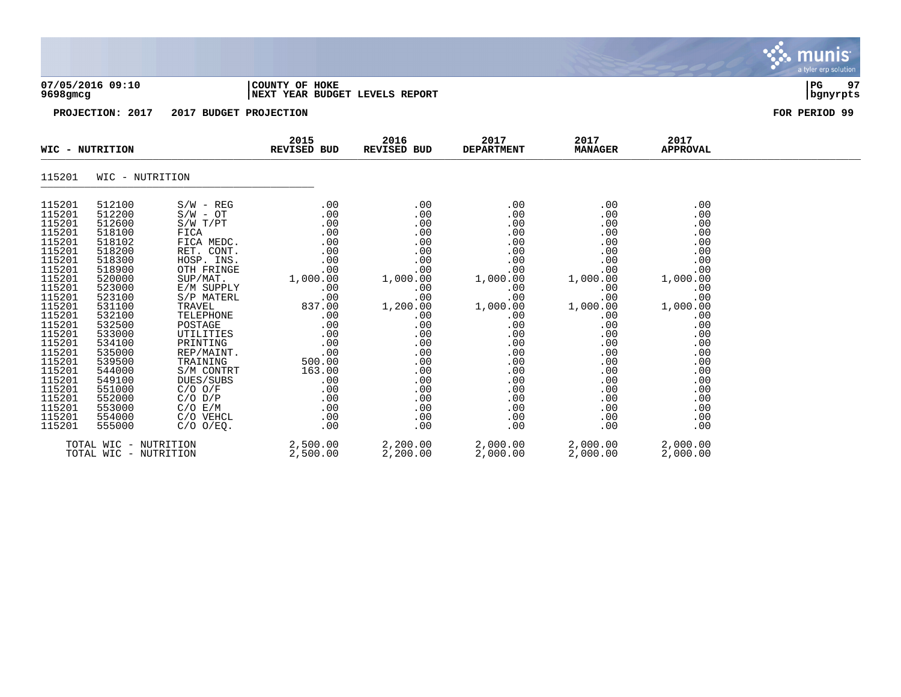|                                                                                                                                                                                                                                                        |                                                                                                                                                                                                                                                        |                                                       |                                                         |                     |                           |                        |                         | a tyler erp solution. |
|--------------------------------------------------------------------------------------------------------------------------------------------------------------------------------------------------------------------------------------------------------|--------------------------------------------------------------------------------------------------------------------------------------------------------------------------------------------------------------------------------------------------------|-------------------------------------------------------|---------------------------------------------------------|---------------------|---------------------------|------------------------|-------------------------|-----------------------|
| 9698gmcg                                                                                                                                                                                                                                               | 07/05/2016 09:10                                                                                                                                                                                                                                       |                                                       | COUNTY OF HOKE<br><b>NEXT YEAR BUDGET LEVELS REPORT</b> |                     |                           |                        |                         | PG 97<br>  bgnyrpts   |
|                                                                                                                                                                                                                                                        | PROJECTION: 2017                                                                                                                                                                                                                                       | 2017 BUDGET PROJECTION                                |                                                         |                     |                           |                        |                         | FOR PERIOD 99         |
|                                                                                                                                                                                                                                                        | WIC - NUTRITION                                                                                                                                                                                                                                        |                                                       | 2015<br>REVISED BUD                                     | 2016<br>REVISED BUD | 2017<br><b>DEPARTMENT</b> | 2017<br><b>MANAGER</b> | 2017<br><b>APPROVAL</b> |                       |
| 115201                                                                                                                                                                                                                                                 | WIC - NUTRITION                                                                                                                                                                                                                                        |                                                       |                                                         |                     |                           |                        |                         |                       |
| 115201<br>115201<br>115201<br>115201<br>115201<br>115201<br>115201<br>115201<br>115201<br>115201<br>115201<br>115201<br>115201<br>115201<br>115201<br>115201<br>115201<br>115201<br>115201<br>115201<br>115201<br>115201<br>115201<br>115201<br>115201 | 512100<br>512200<br>512600<br>518100<br>518102<br>518200<br>518300<br>518900<br>520000<br>523000<br>523100<br>531100<br>532100<br>532500<br>533000<br>534100<br>535000<br>539500<br>544000<br>549100<br>551000<br>552000<br>553000<br>554000<br>555000 | $S/W - REG$<br>C/O E/M<br>C/O VEHCL<br>$C/O$ $O/EQ$ . | .00<br>.00                                              | $\sim$ 00<br>.00    | .00<br>.00                | .00<br>.00             | .00<br>.00              |                       |
|                                                                                                                                                                                                                                                        | TOTAL WIC - NUTRITION                                                                                                                                                                                                                                  |                                                       | $2,500.00$ $2,200.00$                                   |                     | 2,000.00                  | 2,000.00               | 2,000.00                |                       |

 $\ddot{\ddot{\mathbf{u}}}$  munis

TOTAL WIC - NUTRITION 2,500.00 2,200.00 2,000.00 2,000.00 2,000.00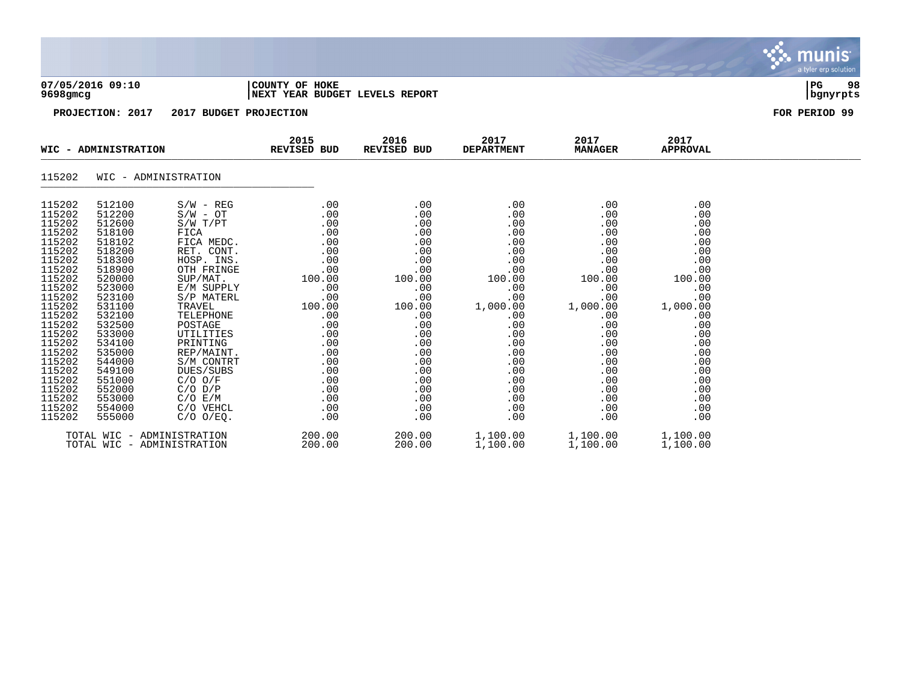| $9698$ gmcg      | 07/05/2016 09:10     |                           | COUNTY OF HOKE<br>NEXT YEAR BUDGET LEVELS REPORT |                     |                           |                        |                         | 98<br>$ _{\rm PG}$<br>  bgnyrpts |
|------------------|----------------------|---------------------------|--------------------------------------------------|---------------------|---------------------------|------------------------|-------------------------|----------------------------------|
|                  | PROJECTION: 2017     | 2017 BUDGET PROJECTION    |                                                  |                     |                           |                        |                         | FOR PERIOD 99                    |
|                  | WIC - ADMINISTRATION |                           | 2015<br><b>REVISED BUD</b>                       | 2016<br>REVISED BUD | 2017<br><b>DEPARTMENT</b> | 2017<br><b>MANAGER</b> | 2017<br><b>APPROVAL</b> |                                  |
| 115202           | WIC - ADMINISTRATION |                           |                                                  |                     |                           |                        |                         |                                  |
| 115202<br>115202 | 512100<br>512200     | $S/W - REG$<br>$S/W - OT$ | .00<br>.00                                       | .00<br>.00          | .00<br>.00                | .00<br>.00             | .00<br>.00              |                                  |
| 115202           | 512600               | S/W T/PT                  | .00                                              | .00                 | .00                       | .00                    | .00                     |                                  |
| 115202           | 518100               | FICA                      | .00                                              | .00                 | .00                       | .00                    | .00                     |                                  |
| 115202<br>115202 | 518102<br>518200     | FICA MEDC.<br>RET. CONT.  | .00<br>.00                                       | .00<br>.00          | .00<br>.00                | .00<br>.00             | .00<br>.00              |                                  |
| 115202           | 518300               | HOSP. INS.                | .00                                              | .00                 | .00                       | .00                    | .00                     |                                  |
| 115202           | 518900               | OTH FRINGE                | .00                                              | .00                 | .00                       | .00                    | .00                     |                                  |
| 115202           | 520000               | SUP/MAT.                  | 100.00                                           | 100.00              | 100.00                    | 100.00                 | 100.00                  |                                  |
| 115202           | 523000               | E/M SUPPLY                | .00                                              | .00                 | .00                       | .00                    | .00                     |                                  |
| 115202           | 523100               | S/P MATERL                | .00                                              | .00                 | .00                       | .00                    | .00                     |                                  |
| 115202<br>115202 | 531100<br>532100     | TRAVEL<br>TELEPHONE       | 100.00<br>.00                                    | 100.00<br>.00       | 1,000.00<br>.00           | 1,000.00<br>.00        | 1,000.00<br>.00         |                                  |
| 115202           | 532500               | POSTAGE                   | .00                                              | .00                 | .00                       | .00                    | .00                     |                                  |
|                  |                      |                           |                                                  |                     |                           |                        |                         |                                  |

 $\ddot{\ddot{\Sigma}}$  munis

115202 533000 UTILITIES .00 .00 .00 .00 .00 115202 534100 PRINTING .00 .00 .00 .00 .00 115202 535000 REP/MAINT. .00 .00 .00 .00 .00 115202 544000 S/M CONTRT .00 .00 .00 .00 .00 115202 549100 DUES/SUBS .00 .00 .00 .00 .00 115202 551000 C/O O/F .00 .00 .00 .00 .00 115202 552000 C/O D/P .00 .00 .00 .00 .00 115202 553000 C/O E/M .00 .00 .00 .00 .00 115202 554000 C/O VEHCL .00 .00 .00 .00 .00 115202 555000 C/O O/EQ. .00 .00 .00 .00 .00

TOTAL WIC - ADMINISTRATION 200.00 200.00 1,100.00 1,100.00 1,100.00

TOTAL WIC - ADMINISTRATION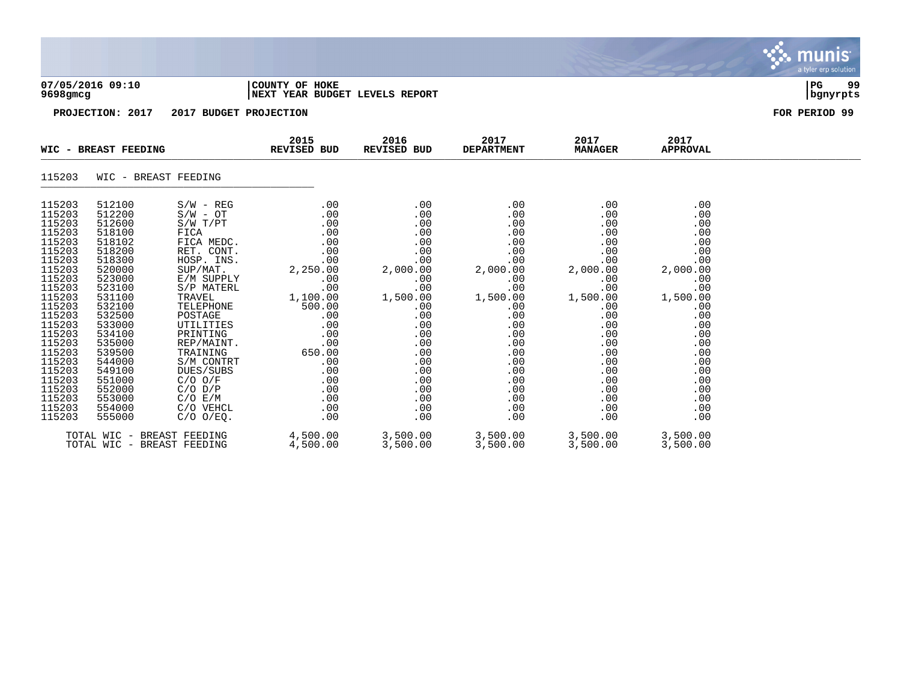| WIC - BREAST FEEDING          |                        | 2015<br>REVISED BUD | 2016<br>REVISED BUD                    | 2017<br><b>DEPARTMENT</b> | 2017<br><b>MANAGER</b> | 2017<br><b>APPROVAL</b> |                          |
|-------------------------------|------------------------|---------------------|----------------------------------------|---------------------------|------------------------|-------------------------|--------------------------|
| PROJECTION: 2017              | 2017 BUDGET PROJECTION |                     |                                        |                           |                        |                         | FOR PERIOD 99            |
| 07/05/2016 09:10<br>9698gm.cg |                        | COUNTY OF HOKE      | <b>INEXT YEAR BUDGET LEVELS REPORT</b> |                           |                        |                         | 99<br>  PG<br>  bgnyrpts |

 $\bullet$  munis

# 115203 WIC - BREAST FEEDING \_\_\_\_\_\_\_\_\_\_\_\_\_\_\_\_\_\_\_\_\_\_\_\_\_\_\_\_\_\_\_\_\_\_\_\_\_\_\_\_\_\_\_\_

| 115203 | 512100 | $S/W - REG$                | .00      | .00      | .00      | .00      | .00      |
|--------|--------|----------------------------|----------|----------|----------|----------|----------|
| 115203 | 512200 | $S/W - OT$                 | .00      | .00      | .00      | .00      | .00      |
| 115203 | 512600 | S/W T/PT                   | .00      | .00      | .00      | .00      | .00      |
| 115203 | 518100 | FICA                       | .00      | .00      | .00      | .00      | .00      |
| 115203 | 518102 | FICA MEDC.                 | .00      | .00      | .00      | .00      | .00      |
| 115203 | 518200 | RET. CONT.                 | .00      | .00      | .00      | .00      | .00      |
| 115203 | 518300 | HOSP. INS.                 | .00      | .00      | .00      | .00      | .00      |
| 115203 | 520000 | SUP/MAT.                   | 2,250.00 | 2,000.00 | 2,000.00 | 2,000.00 | 2,000.00 |
| 115203 | 523000 | E/M SUPPLY                 | .00      | .00      | .00      | .00      | .00      |
| 115203 | 523100 | S/P MATERL                 | .00      | .00      | .00      | .00      | .00      |
| 115203 | 531100 | TRAVEL                     | 1,100.00 | 1,500.00 | 1,500.00 | 1,500.00 | 1,500.00 |
| 115203 | 532100 | TELEPHONE                  | 500.00   | .00      | .00      | .00      | .00      |
| 115203 | 532500 | POSTAGE                    | .00      | .00      | .00      | .00      | .00      |
| 115203 | 533000 | UTILITIES                  | .00      | .00      | .00      | .00      | .00      |
| 115203 | 534100 | PRINTING                   | .00      | .00      | .00      | .00      | .00      |
| 115203 | 535000 | REP/MAINT.                 | .00      | .00      | .00      | .00      | .00      |
| 115203 | 539500 | TRAINING                   | 650.00   | .00      | .00      | .00      | .00      |
| 115203 | 544000 | S/M CONTRT                 | .00      | .00      | .00      | .00      | .00      |
| 115203 | 549100 | DUES/SUBS                  | .00      | .00      | .00      | .00      | .00      |
| 115203 | 551000 | $C/O$ $O/F$                | .00      | .00      | .00      | .00      | .00      |
| 115203 | 552000 | $C/O$ $D/P$                | .00      | .00      | .00      | .00      | .00      |
| 115203 | 553000 | C/O E/M                    | .00      | .00      | .00      | .00      | .00      |
| 115203 | 554000 | C/O VEHCL                  | .00      | .00      | .00      | .00      | .00      |
| 115203 | 555000 | $C/O$ $O/EO$ .             |          | .00      | .00      | .00      |          |
|        |        |                            | .00      |          |          |          | .00      |
|        |        | TOTAL WIC - BREAST FEEDING | 4,500.00 | 3,500.00 | 3,500.00 | 3,500.00 | 3,500.00 |
|        |        | TOTAL WIC - BREAST FEEDING | 4,500.00 | 3,500.00 | 3,500.00 | 3,500.00 | 3,500.00 |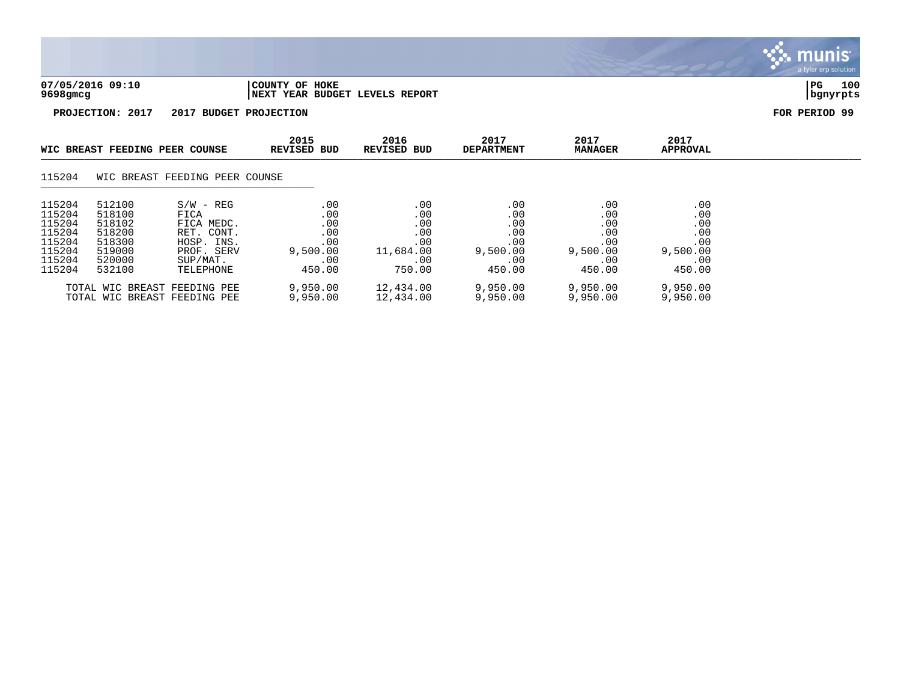

munis

115204 519000 PROF. SERV 9,500.00 11,684.00 9,500.00 9,500.00 9,500.00 115204 520000 SUP/MAT. .00 .00 .00 .00 .00 115204 532100 TELEPHONE 450.00 750.00 450.00 450.00 450.00 TOTAL WIC BREAST FEEDING PEE 9,950.00 12,434.00 9,950.00 9,950.00 9,950.00<br>TOTAL WIC BREAST FEEDING PEE 9,950.00 12,434.00 9,950.00 9,950.00 9,950.00 TOTAL WIC BREAST FEEDING PEE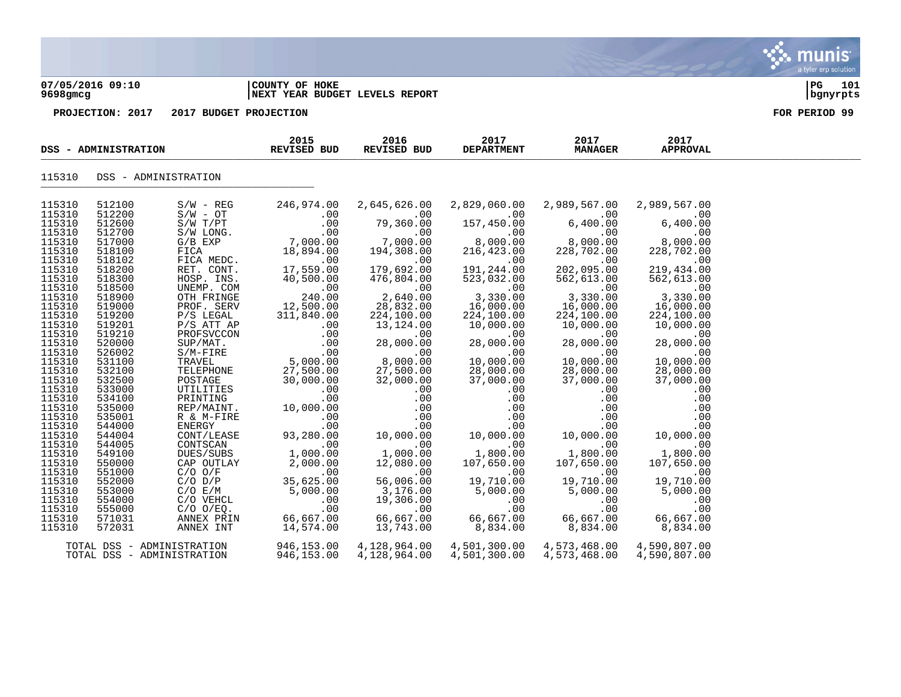### **07/05/2016 09:10 |COUNTY OF HOKE |PG 101 9698gmcg |NEXT YEAR BUDGET LEVELS REPORT |bgnyrpts**

| DSS - ADMINISTRATION<br>115310<br>512100<br>2,829,060.00<br>2,989,567.00<br>$S/W - REG$<br>246,974.00<br>2,645,626.00<br>2,989,567.00<br>115310<br>512200<br>$S/W - OT$<br>.00<br>.00<br>00 .<br>6,400 .00<br>00 .<br>157,450.00<br>$79,360.00$<br>$79,360.00$<br>$7,000.00$<br>$194,308.00$<br>$00$<br>$6,400.00$<br>$8,000.00$<br>$228,702.00$<br>S/W - OT<br>S/W T/PT<br>S/W LONG.<br>G/B EXP<br>FICA MEDC.<br>FICA MEDC.<br>115310<br>512600<br>.00<br>6,400.00<br>115310<br>512700<br>00 .<br>7,000 .00<br>18,894 .00<br>$(0,400.00)$<br>00.00.00<br>02.228.702<br>00.<br>8,000.00<br>216,423.00<br>115310<br>517000<br>115310<br>518100<br>$\begin{array}{c} 219,434 \end{array}$<br>115310<br>115310<br>518102<br>.00<br>.00 .179 .692<br>$\sim$ 00<br>00.<br>202 , 095 . 00<br>18,894.00<br>RET. CONT. 17,559.00<br>HOSP. INS. 40,500.00<br>UNEMP. COM<br>THERINGE 240.00<br>ROF CENT<br>.00<br>191,244.00<br>179,692.00<br>202,095.00<br>219,434.00<br>518200<br>115310<br>518300<br>476,804.00<br>523,032.00<br>562,613.00<br>562,613.00<br>115310<br>3,330.00<br>$00$<br>2,640.00<br>$00$<br>3,330.00<br>518500<br>$00$ .<br>3,330.00<br>115310<br>518900<br>16,000.00<br>12,500.00<br>311,840.00<br>00.<br>16,000.00<br>16,000.00<br>115310<br>28,832.00<br>519000<br>PROF. SERV<br>115310<br>519200<br>224,100.00<br>224,100.00<br>224,100.00<br>P/S LEGAL<br>224,100.00<br>115310<br>$P/S$ ATT AP<br>519201<br>13,124.00<br>10,000.00<br>10,000.00<br>10,000.00<br>115310<br>519210<br>$00$<br>00.000<br>28,000.00<br>00.000.00<br>.00<br>PROFSVCCON .00<br>SUP/MAT. .00<br>SUP/MAT. .00<br>S/M-FIRE .00<br>TRAVEL .00<br>TELEPHONE .000.00<br>TELEPHONE .27,500.00<br>.00<br>$\begin{array}{cc} 0.00 & 0.00 \ 0.00 & 0.00 \ 0.00 & 0.00 \ 0.00 & 0.00 \end{array}$<br>$10,000$<br>$10,000$<br>$28,000$<br>$28,000.00$<br>$28,000.00$<br>$10,000.00$<br>$28,000.00$<br>115310<br>520000<br>28,000.00<br>115310<br>526002<br>.00<br>115310<br>10,000.00<br>531100<br>27,500.00<br>115310<br>532100<br>28,000.00<br>28,000.00<br>POSTAGE 27,500.00<br>POSTAGE 30,000.00<br>UTILITIES .00<br>PRINTING .00<br>REP/MAINT. 10,000.00<br>R & M-FIRE .00<br>ENERGY .00<br>CONT/LEASE 93,280.00<br>115310<br>37,000.00<br>532500<br>$\begin{bmatrix} .000.00 & 28 \\ .00 & 37 \\ .00 & .00 \\ .00 & .00 \\ .00 & .00 \\ .00 & 10,000.0 \\ .0 & 1,800.00 \\ .00 & 1,800.00 \\ 107,650.00 \end{bmatrix}$<br>$\begin{bmatrix} 27,500\ 32,000\ 10 & 32\ 0 & 0\ 0 & 0\ 0 & 0\ 0 & 0 & 0\ 10,000\ 0 & 0 & 0\ 12,080\ 0 & 0 & 0\ \end{bmatrix}$<br>37,000.00<br>115310<br>533000<br>.00<br>.00<br>115310<br>534100<br>$\begin{array}{ccc} .\,00\,00 & .\,0\,00\,00 & .\,0\,00\,00 & 0\,0\,0 & 0\,0 & 0\,0 & 0\,0 & 0\,0 & 0\,0 & 0\,0 & 0\,0 & 0\,0 & 0 & 0\,0 & 0 & 0\,0 & 0 & 0\,0 & 0 & 0\,0 & 0 & 0\,0 & 0 & 0\,0 & 0 & 0\,0 & 0 & 0\,0 & 0 & 0\,0 & 0 & 0\,0 & 0 & 0\,0 & 0 & 0\,0 & 0 & 0\,0 & 0 &$<br>115310<br>535000<br>$\begin{array}{r} .00 \\ .00 \\ .00 \\ .00 \\ .00 \\ .00 \\ .00 \\ 1,800.00 \\ 107.650.00 \\ .00 \\ 107.650.00 \\ \end{array}$<br>115310<br>535001<br>115310<br>R & M-FIRE<br>NERGY<br>CONTSLEASE<br>CONTSCAN<br>DUES/SUBS<br>CAP OUTLAY<br>C/O O/F<br>C/O E/M<br>C/O E/M<br>C/O VEHCL<br>C/O VEHCL<br>C/O VEHCL<br>C/O O/EQ.<br>ANNEX PRIN<br>ANNEX INT<br>544000<br>115310<br>544004<br>115310<br>544005<br>115310<br>549100<br>115310<br>107,650.00<br>12,080.00<br>550000<br>115310<br>115310<br>551000<br>.00<br>.00<br>$56,006$<br>00.<br>19,710.00<br>5,000.00<br>00.<br>19,710.00<br>5,000.00<br>00<br>19,710.00<br>5,000.00<br>35,625.00<br>5,000.00<br>552000<br>56,006.00<br>3,176.00<br>115310<br>553000<br>115310<br>19,306.00<br>.00<br>554000<br>.00<br>$57553780$<br>00<br>66, 667.00<br>8, 834.00<br>$\begin{array}{c} 66 \\ 1 \end{array}$<br>.00<br>$rac{1}{\sqrt{1-\frac{1}{c^{2}}}}$<br>.00<br>.00<br>115310<br>00 .<br>66, 667 . 00<br>555000<br>.00<br>115310<br>66,667.00<br>571031<br>66,667.00<br>66,667.00<br>8,834.00<br>115310<br>14,574.00<br>13,743.00<br>572031<br>8,834.00<br>4,573,468.00<br>TOTAL DSS - ADMINISTRATION<br>946,153.00<br>4,128,964.00<br>4,501,300.00<br>4,590,807.00<br>TOTAL DSS - ADMINISTRATION |        | DSS - ADMINISTRATION |  | 2015<br>REVISED BUD | 2016<br>REVISED BUD | 2017<br><b>DEPARTMENT</b> | 2017<br><b>MANAGER</b> | 2017<br><b>APPROVAL</b> |  |
|--------------------------------------------------------------------------------------------------------------------------------------------------------------------------------------------------------------------------------------------------------------------------------------------------------------------------------------------------------------------------------------------------------------------------------------------------------------------------------------------------------------------------------------------------------------------------------------------------------------------------------------------------------------------------------------------------------------------------------------------------------------------------------------------------------------------------------------------------------------------------------------------------------------------------------------------------------------------------------------------------------------------------------------------------------------------------------------------------------------------------------------------------------------------------------------------------------------------------------------------------------------------------------------------------------------------------------------------------------------------------------------------------------------------------------------------------------------------------------------------------------------------------------------------------------------------------------------------------------------------------------------------------------------------------------------------------------------------------------------------------------------------------------------------------------------------------------------------------------------------------------------------------------------------------------------------------------------------------------------------------------------------------------------------------------------------------------------------------------------------------------------------------------------------------------------------------------------------------------------------------------------------------------------------------------------------------------------------------------------------------------------------------------------------------------------------------------------------------------------------------------------------------------------------------------------------------------------------------------------------------------------------------------------------------------------------------------------------------------------------------------------------------------------------------------------------------------------------------------------------------------------------------------------------------------------------------------------------------------------------------------------------------------------------------------------------------------------------------------------------------------------------------------------------------------------------------------------------------------------------------------------------------------------------------------------------------------------------------------------------------------------------------------------------------------------------------------------------------------------------------------------------------------------------------------------------------------------------------------------------------------------------------------------------------------------------------------------------------------------------------------------------------------------------------------------------------------------------------------------------------------------------------------------------------------------------------------------------------------------------------------------------------------------------------------------------------------------------------------------------------------------------------------------------------------------|--------|----------------------|--|---------------------|---------------------|---------------------------|------------------------|-------------------------|--|
|                                                                                                                                                                                                                                                                                                                                                                                                                                                                                                                                                                                                                                                                                                                                                                                                                                                                                                                                                                                                                                                                                                                                                                                                                                                                                                                                                                                                                                                                                                                                                                                                                                                                                                                                                                                                                                                                                                                                                                                                                                                                                                                                                                                                                                                                                                                                                                                                                                                                                                                                                                                                                                                                                                                                                                                                                                                                                                                                                                                                                                                                                                                                                                                                                                                                                                                                                                                                                                                                                                                                                                                                                                                                                                                                                                                                                                                                                                                                                                                                                                                                                                                                                                                      | 115310 |                      |  |                     |                     |                           |                        |                         |  |
|                                                                                                                                                                                                                                                                                                                                                                                                                                                                                                                                                                                                                                                                                                                                                                                                                                                                                                                                                                                                                                                                                                                                                                                                                                                                                                                                                                                                                                                                                                                                                                                                                                                                                                                                                                                                                                                                                                                                                                                                                                                                                                                                                                                                                                                                                                                                                                                                                                                                                                                                                                                                                                                                                                                                                                                                                                                                                                                                                                                                                                                                                                                                                                                                                                                                                                                                                                                                                                                                                                                                                                                                                                                                                                                                                                                                                                                                                                                                                                                                                                                                                                                                                                                      |        |                      |  |                     |                     |                           |                        |                         |  |
|                                                                                                                                                                                                                                                                                                                                                                                                                                                                                                                                                                                                                                                                                                                                                                                                                                                                                                                                                                                                                                                                                                                                                                                                                                                                                                                                                                                                                                                                                                                                                                                                                                                                                                                                                                                                                                                                                                                                                                                                                                                                                                                                                                                                                                                                                                                                                                                                                                                                                                                                                                                                                                                                                                                                                                                                                                                                                                                                                                                                                                                                                                                                                                                                                                                                                                                                                                                                                                                                                                                                                                                                                                                                                                                                                                                                                                                                                                                                                                                                                                                                                                                                                                                      |        |                      |  |                     |                     |                           |                        |                         |  |
|                                                                                                                                                                                                                                                                                                                                                                                                                                                                                                                                                                                                                                                                                                                                                                                                                                                                                                                                                                                                                                                                                                                                                                                                                                                                                                                                                                                                                                                                                                                                                                                                                                                                                                                                                                                                                                                                                                                                                                                                                                                                                                                                                                                                                                                                                                                                                                                                                                                                                                                                                                                                                                                                                                                                                                                                                                                                                                                                                                                                                                                                                                                                                                                                                                                                                                                                                                                                                                                                                                                                                                                                                                                                                                                                                                                                                                                                                                                                                                                                                                                                                                                                                                                      |        |                      |  |                     |                     |                           |                        |                         |  |
|                                                                                                                                                                                                                                                                                                                                                                                                                                                                                                                                                                                                                                                                                                                                                                                                                                                                                                                                                                                                                                                                                                                                                                                                                                                                                                                                                                                                                                                                                                                                                                                                                                                                                                                                                                                                                                                                                                                                                                                                                                                                                                                                                                                                                                                                                                                                                                                                                                                                                                                                                                                                                                                                                                                                                                                                                                                                                                                                                                                                                                                                                                                                                                                                                                                                                                                                                                                                                                                                                                                                                                                                                                                                                                                                                                                                                                                                                                                                                                                                                                                                                                                                                                                      |        |                      |  |                     |                     |                           |                        |                         |  |
|                                                                                                                                                                                                                                                                                                                                                                                                                                                                                                                                                                                                                                                                                                                                                                                                                                                                                                                                                                                                                                                                                                                                                                                                                                                                                                                                                                                                                                                                                                                                                                                                                                                                                                                                                                                                                                                                                                                                                                                                                                                                                                                                                                                                                                                                                                                                                                                                                                                                                                                                                                                                                                                                                                                                                                                                                                                                                                                                                                                                                                                                                                                                                                                                                                                                                                                                                                                                                                                                                                                                                                                                                                                                                                                                                                                                                                                                                                                                                                                                                                                                                                                                                                                      |        |                      |  |                     |                     |                           |                        |                         |  |
|                                                                                                                                                                                                                                                                                                                                                                                                                                                                                                                                                                                                                                                                                                                                                                                                                                                                                                                                                                                                                                                                                                                                                                                                                                                                                                                                                                                                                                                                                                                                                                                                                                                                                                                                                                                                                                                                                                                                                                                                                                                                                                                                                                                                                                                                                                                                                                                                                                                                                                                                                                                                                                                                                                                                                                                                                                                                                                                                                                                                                                                                                                                                                                                                                                                                                                                                                                                                                                                                                                                                                                                                                                                                                                                                                                                                                                                                                                                                                                                                                                                                                                                                                                                      |        |                      |  |                     |                     |                           |                        |                         |  |
|                                                                                                                                                                                                                                                                                                                                                                                                                                                                                                                                                                                                                                                                                                                                                                                                                                                                                                                                                                                                                                                                                                                                                                                                                                                                                                                                                                                                                                                                                                                                                                                                                                                                                                                                                                                                                                                                                                                                                                                                                                                                                                                                                                                                                                                                                                                                                                                                                                                                                                                                                                                                                                                                                                                                                                                                                                                                                                                                                                                                                                                                                                                                                                                                                                                                                                                                                                                                                                                                                                                                                                                                                                                                                                                                                                                                                                                                                                                                                                                                                                                                                                                                                                                      |        |                      |  |                     |                     |                           |                        |                         |  |
|                                                                                                                                                                                                                                                                                                                                                                                                                                                                                                                                                                                                                                                                                                                                                                                                                                                                                                                                                                                                                                                                                                                                                                                                                                                                                                                                                                                                                                                                                                                                                                                                                                                                                                                                                                                                                                                                                                                                                                                                                                                                                                                                                                                                                                                                                                                                                                                                                                                                                                                                                                                                                                                                                                                                                                                                                                                                                                                                                                                                                                                                                                                                                                                                                                                                                                                                                                                                                                                                                                                                                                                                                                                                                                                                                                                                                                                                                                                                                                                                                                                                                                                                                                                      |        |                      |  |                     |                     |                           |                        |                         |  |
|                                                                                                                                                                                                                                                                                                                                                                                                                                                                                                                                                                                                                                                                                                                                                                                                                                                                                                                                                                                                                                                                                                                                                                                                                                                                                                                                                                                                                                                                                                                                                                                                                                                                                                                                                                                                                                                                                                                                                                                                                                                                                                                                                                                                                                                                                                                                                                                                                                                                                                                                                                                                                                                                                                                                                                                                                                                                                                                                                                                                                                                                                                                                                                                                                                                                                                                                                                                                                                                                                                                                                                                                                                                                                                                                                                                                                                                                                                                                                                                                                                                                                                                                                                                      |        |                      |  |                     |                     |                           |                        |                         |  |
|                                                                                                                                                                                                                                                                                                                                                                                                                                                                                                                                                                                                                                                                                                                                                                                                                                                                                                                                                                                                                                                                                                                                                                                                                                                                                                                                                                                                                                                                                                                                                                                                                                                                                                                                                                                                                                                                                                                                                                                                                                                                                                                                                                                                                                                                                                                                                                                                                                                                                                                                                                                                                                                                                                                                                                                                                                                                                                                                                                                                                                                                                                                                                                                                                                                                                                                                                                                                                                                                                                                                                                                                                                                                                                                                                                                                                                                                                                                                                                                                                                                                                                                                                                                      |        |                      |  |                     |                     |                           |                        |                         |  |
|                                                                                                                                                                                                                                                                                                                                                                                                                                                                                                                                                                                                                                                                                                                                                                                                                                                                                                                                                                                                                                                                                                                                                                                                                                                                                                                                                                                                                                                                                                                                                                                                                                                                                                                                                                                                                                                                                                                                                                                                                                                                                                                                                                                                                                                                                                                                                                                                                                                                                                                                                                                                                                                                                                                                                                                                                                                                                                                                                                                                                                                                                                                                                                                                                                                                                                                                                                                                                                                                                                                                                                                                                                                                                                                                                                                                                                                                                                                                                                                                                                                                                                                                                                                      |        |                      |  |                     |                     |                           |                        |                         |  |
|                                                                                                                                                                                                                                                                                                                                                                                                                                                                                                                                                                                                                                                                                                                                                                                                                                                                                                                                                                                                                                                                                                                                                                                                                                                                                                                                                                                                                                                                                                                                                                                                                                                                                                                                                                                                                                                                                                                                                                                                                                                                                                                                                                                                                                                                                                                                                                                                                                                                                                                                                                                                                                                                                                                                                                                                                                                                                                                                                                                                                                                                                                                                                                                                                                                                                                                                                                                                                                                                                                                                                                                                                                                                                                                                                                                                                                                                                                                                                                                                                                                                                                                                                                                      |        |                      |  |                     |                     |                           |                        |                         |  |
|                                                                                                                                                                                                                                                                                                                                                                                                                                                                                                                                                                                                                                                                                                                                                                                                                                                                                                                                                                                                                                                                                                                                                                                                                                                                                                                                                                                                                                                                                                                                                                                                                                                                                                                                                                                                                                                                                                                                                                                                                                                                                                                                                                                                                                                                                                                                                                                                                                                                                                                                                                                                                                                                                                                                                                                                                                                                                                                                                                                                                                                                                                                                                                                                                                                                                                                                                                                                                                                                                                                                                                                                                                                                                                                                                                                                                                                                                                                                                                                                                                                                                                                                                                                      |        |                      |  |                     |                     |                           |                        |                         |  |
|                                                                                                                                                                                                                                                                                                                                                                                                                                                                                                                                                                                                                                                                                                                                                                                                                                                                                                                                                                                                                                                                                                                                                                                                                                                                                                                                                                                                                                                                                                                                                                                                                                                                                                                                                                                                                                                                                                                                                                                                                                                                                                                                                                                                                                                                                                                                                                                                                                                                                                                                                                                                                                                                                                                                                                                                                                                                                                                                                                                                                                                                                                                                                                                                                                                                                                                                                                                                                                                                                                                                                                                                                                                                                                                                                                                                                                                                                                                                                                                                                                                                                                                                                                                      |        |                      |  |                     |                     |                           |                        |                         |  |
|                                                                                                                                                                                                                                                                                                                                                                                                                                                                                                                                                                                                                                                                                                                                                                                                                                                                                                                                                                                                                                                                                                                                                                                                                                                                                                                                                                                                                                                                                                                                                                                                                                                                                                                                                                                                                                                                                                                                                                                                                                                                                                                                                                                                                                                                                                                                                                                                                                                                                                                                                                                                                                                                                                                                                                                                                                                                                                                                                                                                                                                                                                                                                                                                                                                                                                                                                                                                                                                                                                                                                                                                                                                                                                                                                                                                                                                                                                                                                                                                                                                                                                                                                                                      |        |                      |  |                     |                     |                           |                        |                         |  |
|                                                                                                                                                                                                                                                                                                                                                                                                                                                                                                                                                                                                                                                                                                                                                                                                                                                                                                                                                                                                                                                                                                                                                                                                                                                                                                                                                                                                                                                                                                                                                                                                                                                                                                                                                                                                                                                                                                                                                                                                                                                                                                                                                                                                                                                                                                                                                                                                                                                                                                                                                                                                                                                                                                                                                                                                                                                                                                                                                                                                                                                                                                                                                                                                                                                                                                                                                                                                                                                                                                                                                                                                                                                                                                                                                                                                                                                                                                                                                                                                                                                                                                                                                                                      |        |                      |  |                     |                     |                           |                        |                         |  |
|                                                                                                                                                                                                                                                                                                                                                                                                                                                                                                                                                                                                                                                                                                                                                                                                                                                                                                                                                                                                                                                                                                                                                                                                                                                                                                                                                                                                                                                                                                                                                                                                                                                                                                                                                                                                                                                                                                                                                                                                                                                                                                                                                                                                                                                                                                                                                                                                                                                                                                                                                                                                                                                                                                                                                                                                                                                                                                                                                                                                                                                                                                                                                                                                                                                                                                                                                                                                                                                                                                                                                                                                                                                                                                                                                                                                                                                                                                                                                                                                                                                                                                                                                                                      |        |                      |  |                     |                     |                           |                        |                         |  |
|                                                                                                                                                                                                                                                                                                                                                                                                                                                                                                                                                                                                                                                                                                                                                                                                                                                                                                                                                                                                                                                                                                                                                                                                                                                                                                                                                                                                                                                                                                                                                                                                                                                                                                                                                                                                                                                                                                                                                                                                                                                                                                                                                                                                                                                                                                                                                                                                                                                                                                                                                                                                                                                                                                                                                                                                                                                                                                                                                                                                                                                                                                                                                                                                                                                                                                                                                                                                                                                                                                                                                                                                                                                                                                                                                                                                                                                                                                                                                                                                                                                                                                                                                                                      |        |                      |  |                     |                     |                           |                        |                         |  |
|                                                                                                                                                                                                                                                                                                                                                                                                                                                                                                                                                                                                                                                                                                                                                                                                                                                                                                                                                                                                                                                                                                                                                                                                                                                                                                                                                                                                                                                                                                                                                                                                                                                                                                                                                                                                                                                                                                                                                                                                                                                                                                                                                                                                                                                                                                                                                                                                                                                                                                                                                                                                                                                                                                                                                                                                                                                                                                                                                                                                                                                                                                                                                                                                                                                                                                                                                                                                                                                                                                                                                                                                                                                                                                                                                                                                                                                                                                                                                                                                                                                                                                                                                                                      |        |                      |  |                     |                     |                           |                        |                         |  |
|                                                                                                                                                                                                                                                                                                                                                                                                                                                                                                                                                                                                                                                                                                                                                                                                                                                                                                                                                                                                                                                                                                                                                                                                                                                                                                                                                                                                                                                                                                                                                                                                                                                                                                                                                                                                                                                                                                                                                                                                                                                                                                                                                                                                                                                                                                                                                                                                                                                                                                                                                                                                                                                                                                                                                                                                                                                                                                                                                                                                                                                                                                                                                                                                                                                                                                                                                                                                                                                                                                                                                                                                                                                                                                                                                                                                                                                                                                                                                                                                                                                                                                                                                                                      |        |                      |  |                     |                     |                           |                        |                         |  |
|                                                                                                                                                                                                                                                                                                                                                                                                                                                                                                                                                                                                                                                                                                                                                                                                                                                                                                                                                                                                                                                                                                                                                                                                                                                                                                                                                                                                                                                                                                                                                                                                                                                                                                                                                                                                                                                                                                                                                                                                                                                                                                                                                                                                                                                                                                                                                                                                                                                                                                                                                                                                                                                                                                                                                                                                                                                                                                                                                                                                                                                                                                                                                                                                                                                                                                                                                                                                                                                                                                                                                                                                                                                                                                                                                                                                                                                                                                                                                                                                                                                                                                                                                                                      |        |                      |  |                     |                     |                           |                        |                         |  |
|                                                                                                                                                                                                                                                                                                                                                                                                                                                                                                                                                                                                                                                                                                                                                                                                                                                                                                                                                                                                                                                                                                                                                                                                                                                                                                                                                                                                                                                                                                                                                                                                                                                                                                                                                                                                                                                                                                                                                                                                                                                                                                                                                                                                                                                                                                                                                                                                                                                                                                                                                                                                                                                                                                                                                                                                                                                                                                                                                                                                                                                                                                                                                                                                                                                                                                                                                                                                                                                                                                                                                                                                                                                                                                                                                                                                                                                                                                                                                                                                                                                                                                                                                                                      |        |                      |  |                     |                     |                           |                        |                         |  |
|                                                                                                                                                                                                                                                                                                                                                                                                                                                                                                                                                                                                                                                                                                                                                                                                                                                                                                                                                                                                                                                                                                                                                                                                                                                                                                                                                                                                                                                                                                                                                                                                                                                                                                                                                                                                                                                                                                                                                                                                                                                                                                                                                                                                                                                                                                                                                                                                                                                                                                                                                                                                                                                                                                                                                                                                                                                                                                                                                                                                                                                                                                                                                                                                                                                                                                                                                                                                                                                                                                                                                                                                                                                                                                                                                                                                                                                                                                                                                                                                                                                                                                                                                                                      |        |                      |  |                     |                     |                           |                        |                         |  |
|                                                                                                                                                                                                                                                                                                                                                                                                                                                                                                                                                                                                                                                                                                                                                                                                                                                                                                                                                                                                                                                                                                                                                                                                                                                                                                                                                                                                                                                                                                                                                                                                                                                                                                                                                                                                                                                                                                                                                                                                                                                                                                                                                                                                                                                                                                                                                                                                                                                                                                                                                                                                                                                                                                                                                                                                                                                                                                                                                                                                                                                                                                                                                                                                                                                                                                                                                                                                                                                                                                                                                                                                                                                                                                                                                                                                                                                                                                                                                                                                                                                                                                                                                                                      |        |                      |  |                     |                     |                           |                        |                         |  |
|                                                                                                                                                                                                                                                                                                                                                                                                                                                                                                                                                                                                                                                                                                                                                                                                                                                                                                                                                                                                                                                                                                                                                                                                                                                                                                                                                                                                                                                                                                                                                                                                                                                                                                                                                                                                                                                                                                                                                                                                                                                                                                                                                                                                                                                                                                                                                                                                                                                                                                                                                                                                                                                                                                                                                                                                                                                                                                                                                                                                                                                                                                                                                                                                                                                                                                                                                                                                                                                                                                                                                                                                                                                                                                                                                                                                                                                                                                                                                                                                                                                                                                                                                                                      |        |                      |  |                     |                     |                           |                        |                         |  |
|                                                                                                                                                                                                                                                                                                                                                                                                                                                                                                                                                                                                                                                                                                                                                                                                                                                                                                                                                                                                                                                                                                                                                                                                                                                                                                                                                                                                                                                                                                                                                                                                                                                                                                                                                                                                                                                                                                                                                                                                                                                                                                                                                                                                                                                                                                                                                                                                                                                                                                                                                                                                                                                                                                                                                                                                                                                                                                                                                                                                                                                                                                                                                                                                                                                                                                                                                                                                                                                                                                                                                                                                                                                                                                                                                                                                                                                                                                                                                                                                                                                                                                                                                                                      |        |                      |  |                     |                     |                           |                        |                         |  |
|                                                                                                                                                                                                                                                                                                                                                                                                                                                                                                                                                                                                                                                                                                                                                                                                                                                                                                                                                                                                                                                                                                                                                                                                                                                                                                                                                                                                                                                                                                                                                                                                                                                                                                                                                                                                                                                                                                                                                                                                                                                                                                                                                                                                                                                                                                                                                                                                                                                                                                                                                                                                                                                                                                                                                                                                                                                                                                                                                                                                                                                                                                                                                                                                                                                                                                                                                                                                                                                                                                                                                                                                                                                                                                                                                                                                                                                                                                                                                                                                                                                                                                                                                                                      |        |                      |  |                     |                     |                           |                        |                         |  |
|                                                                                                                                                                                                                                                                                                                                                                                                                                                                                                                                                                                                                                                                                                                                                                                                                                                                                                                                                                                                                                                                                                                                                                                                                                                                                                                                                                                                                                                                                                                                                                                                                                                                                                                                                                                                                                                                                                                                                                                                                                                                                                                                                                                                                                                                                                                                                                                                                                                                                                                                                                                                                                                                                                                                                                                                                                                                                                                                                                                                                                                                                                                                                                                                                                                                                                                                                                                                                                                                                                                                                                                                                                                                                                                                                                                                                                                                                                                                                                                                                                                                                                                                                                                      |        |                      |  |                     |                     |                           |                        |                         |  |
|                                                                                                                                                                                                                                                                                                                                                                                                                                                                                                                                                                                                                                                                                                                                                                                                                                                                                                                                                                                                                                                                                                                                                                                                                                                                                                                                                                                                                                                                                                                                                                                                                                                                                                                                                                                                                                                                                                                                                                                                                                                                                                                                                                                                                                                                                                                                                                                                                                                                                                                                                                                                                                                                                                                                                                                                                                                                                                                                                                                                                                                                                                                                                                                                                                                                                                                                                                                                                                                                                                                                                                                                                                                                                                                                                                                                                                                                                                                                                                                                                                                                                                                                                                                      |        |                      |  |                     |                     |                           |                        |                         |  |
|                                                                                                                                                                                                                                                                                                                                                                                                                                                                                                                                                                                                                                                                                                                                                                                                                                                                                                                                                                                                                                                                                                                                                                                                                                                                                                                                                                                                                                                                                                                                                                                                                                                                                                                                                                                                                                                                                                                                                                                                                                                                                                                                                                                                                                                                                                                                                                                                                                                                                                                                                                                                                                                                                                                                                                                                                                                                                                                                                                                                                                                                                                                                                                                                                                                                                                                                                                                                                                                                                                                                                                                                                                                                                                                                                                                                                                                                                                                                                                                                                                                                                                                                                                                      |        |                      |  |                     |                     |                           |                        |                         |  |
|                                                                                                                                                                                                                                                                                                                                                                                                                                                                                                                                                                                                                                                                                                                                                                                                                                                                                                                                                                                                                                                                                                                                                                                                                                                                                                                                                                                                                                                                                                                                                                                                                                                                                                                                                                                                                                                                                                                                                                                                                                                                                                                                                                                                                                                                                                                                                                                                                                                                                                                                                                                                                                                                                                                                                                                                                                                                                                                                                                                                                                                                                                                                                                                                                                                                                                                                                                                                                                                                                                                                                                                                                                                                                                                                                                                                                                                                                                                                                                                                                                                                                                                                                                                      |        |                      |  |                     |                     |                           |                        |                         |  |
|                                                                                                                                                                                                                                                                                                                                                                                                                                                                                                                                                                                                                                                                                                                                                                                                                                                                                                                                                                                                                                                                                                                                                                                                                                                                                                                                                                                                                                                                                                                                                                                                                                                                                                                                                                                                                                                                                                                                                                                                                                                                                                                                                                                                                                                                                                                                                                                                                                                                                                                                                                                                                                                                                                                                                                                                                                                                                                                                                                                                                                                                                                                                                                                                                                                                                                                                                                                                                                                                                                                                                                                                                                                                                                                                                                                                                                                                                                                                                                                                                                                                                                                                                                                      |        |                      |  |                     |                     |                           |                        |                         |  |
|                                                                                                                                                                                                                                                                                                                                                                                                                                                                                                                                                                                                                                                                                                                                                                                                                                                                                                                                                                                                                                                                                                                                                                                                                                                                                                                                                                                                                                                                                                                                                                                                                                                                                                                                                                                                                                                                                                                                                                                                                                                                                                                                                                                                                                                                                                                                                                                                                                                                                                                                                                                                                                                                                                                                                                                                                                                                                                                                                                                                                                                                                                                                                                                                                                                                                                                                                                                                                                                                                                                                                                                                                                                                                                                                                                                                                                                                                                                                                                                                                                                                                                                                                                                      |        |                      |  |                     |                     |                           |                        |                         |  |
|                                                                                                                                                                                                                                                                                                                                                                                                                                                                                                                                                                                                                                                                                                                                                                                                                                                                                                                                                                                                                                                                                                                                                                                                                                                                                                                                                                                                                                                                                                                                                                                                                                                                                                                                                                                                                                                                                                                                                                                                                                                                                                                                                                                                                                                                                                                                                                                                                                                                                                                                                                                                                                                                                                                                                                                                                                                                                                                                                                                                                                                                                                                                                                                                                                                                                                                                                                                                                                                                                                                                                                                                                                                                                                                                                                                                                                                                                                                                                                                                                                                                                                                                                                                      |        |                      |  |                     |                     |                           |                        |                         |  |
|                                                                                                                                                                                                                                                                                                                                                                                                                                                                                                                                                                                                                                                                                                                                                                                                                                                                                                                                                                                                                                                                                                                                                                                                                                                                                                                                                                                                                                                                                                                                                                                                                                                                                                                                                                                                                                                                                                                                                                                                                                                                                                                                                                                                                                                                                                                                                                                                                                                                                                                                                                                                                                                                                                                                                                                                                                                                                                                                                                                                                                                                                                                                                                                                                                                                                                                                                                                                                                                                                                                                                                                                                                                                                                                                                                                                                                                                                                                                                                                                                                                                                                                                                                                      |        |                      |  |                     |                     |                           |                        |                         |  |
|                                                                                                                                                                                                                                                                                                                                                                                                                                                                                                                                                                                                                                                                                                                                                                                                                                                                                                                                                                                                                                                                                                                                                                                                                                                                                                                                                                                                                                                                                                                                                                                                                                                                                                                                                                                                                                                                                                                                                                                                                                                                                                                                                                                                                                                                                                                                                                                                                                                                                                                                                                                                                                                                                                                                                                                                                                                                                                                                                                                                                                                                                                                                                                                                                                                                                                                                                                                                                                                                                                                                                                                                                                                                                                                                                                                                                                                                                                                                                                                                                                                                                                                                                                                      |        |                      |  |                     |                     |                           |                        |                         |  |
|                                                                                                                                                                                                                                                                                                                                                                                                                                                                                                                                                                                                                                                                                                                                                                                                                                                                                                                                                                                                                                                                                                                                                                                                                                                                                                                                                                                                                                                                                                                                                                                                                                                                                                                                                                                                                                                                                                                                                                                                                                                                                                                                                                                                                                                                                                                                                                                                                                                                                                                                                                                                                                                                                                                                                                                                                                                                                                                                                                                                                                                                                                                                                                                                                                                                                                                                                                                                                                                                                                                                                                                                                                                                                                                                                                                                                                                                                                                                                                                                                                                                                                                                                                                      |        |                      |  |                     |                     |                           |                        |                         |  |
|                                                                                                                                                                                                                                                                                                                                                                                                                                                                                                                                                                                                                                                                                                                                                                                                                                                                                                                                                                                                                                                                                                                                                                                                                                                                                                                                                                                                                                                                                                                                                                                                                                                                                                                                                                                                                                                                                                                                                                                                                                                                                                                                                                                                                                                                                                                                                                                                                                                                                                                                                                                                                                                                                                                                                                                                                                                                                                                                                                                                                                                                                                                                                                                                                                                                                                                                                                                                                                                                                                                                                                                                                                                                                                                                                                                                                                                                                                                                                                                                                                                                                                                                                                                      |        |                      |  |                     |                     |                           |                        |                         |  |
|                                                                                                                                                                                                                                                                                                                                                                                                                                                                                                                                                                                                                                                                                                                                                                                                                                                                                                                                                                                                                                                                                                                                                                                                                                                                                                                                                                                                                                                                                                                                                                                                                                                                                                                                                                                                                                                                                                                                                                                                                                                                                                                                                                                                                                                                                                                                                                                                                                                                                                                                                                                                                                                                                                                                                                                                                                                                                                                                                                                                                                                                                                                                                                                                                                                                                                                                                                                                                                                                                                                                                                                                                                                                                                                                                                                                                                                                                                                                                                                                                                                                                                                                                                                      |        |                      |  | 946,153.00          | 4,128,964.00        | 4,501,300.00              | 4,573,468.00           | 4,590,807.00            |  |

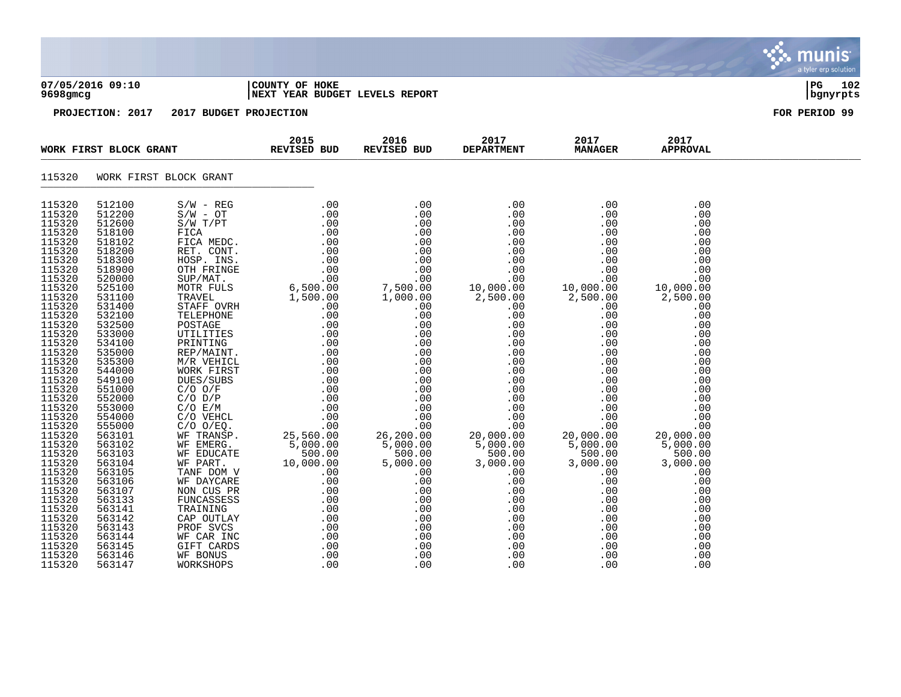|                                                                                                                                                                                                                                                                                                                                                                                                              |                                                                                                                                                                                                                                                                                                                                                                                                    |                        |                                                  |                     |                           |                                                                                                                                                                                                                                                                                                                                                                                                                                 |                                                             | <b>munis</b><br>a tyler erp solution |
|--------------------------------------------------------------------------------------------------------------------------------------------------------------------------------------------------------------------------------------------------------------------------------------------------------------------------------------------------------------------------------------------------------------|----------------------------------------------------------------------------------------------------------------------------------------------------------------------------------------------------------------------------------------------------------------------------------------------------------------------------------------------------------------------------------------------------|------------------------|--------------------------------------------------|---------------------|---------------------------|---------------------------------------------------------------------------------------------------------------------------------------------------------------------------------------------------------------------------------------------------------------------------------------------------------------------------------------------------------------------------------------------------------------------------------|-------------------------------------------------------------|--------------------------------------|
| 9698gmcg                                                                                                                                                                                                                                                                                                                                                                                                     | 07/05/2016 09:10                                                                                                                                                                                                                                                                                                                                                                                   |                        | COUNTY OF HOKE<br>NEXT YEAR BUDGET LEVELS REPORT |                     |                           |                                                                                                                                                                                                                                                                                                                                                                                                                                 |                                                             | $_{\rm PG}$<br>102<br>bgnyrpts       |
|                                                                                                                                                                                                                                                                                                                                                                                                              | PROJECTION: 2017                                                                                                                                                                                                                                                                                                                                                                                   | 2017 BUDGET PROJECTION |                                                  |                     |                           |                                                                                                                                                                                                                                                                                                                                                                                                                                 |                                                             | FOR PERIOD 99                        |
|                                                                                                                                                                                                                                                                                                                                                                                                              | WORK FIRST BLOCK GRANT                                                                                                                                                                                                                                                                                                                                                                             |                        | 2015<br><b>REVISED BUD</b>                       | 2016<br>REVISED BUD | 2017<br><b>DEPARTMENT</b> | 2017<br><b>MANAGER</b>                                                                                                                                                                                                                                                                                                                                                                                                          | 2017<br><b>APPROVAL</b>                                     |                                      |
| 115320                                                                                                                                                                                                                                                                                                                                                                                                       |                                                                                                                                                                                                                                                                                                                                                                                                    | WORK FIRST BLOCK GRANT |                                                  |                     |                           |                                                                                                                                                                                                                                                                                                                                                                                                                                 |                                                             |                                      |
| 115320<br>115320<br>115320<br>115320<br>115320<br>115320<br>115320<br>115320<br>115320<br>115320<br>115320<br>115320<br>115320<br>115320<br>115320<br>115320<br>115320<br>115320<br>115320<br>115320<br>115320<br>115320<br>115320<br>115320<br>115320<br>115320<br>115320<br>115320<br>115320<br>115320<br>115320<br>115320<br>115320<br>115320<br>115320<br>115320<br>115320<br>115320<br>115320<br>115320 | 512100<br>512200<br>512600<br>518100<br>518102<br>518200<br>518300<br>518900<br>520000<br>525100<br>531100<br>531400<br>532100<br>532500<br>533000<br>534100<br>535000<br>535300<br>544000<br>549100<br>551000<br>552000<br>553000<br>554000<br>555000<br>563101<br>563102<br>563103<br>563104<br>563105<br>563106<br>563107<br>563133<br>563141<br>563142<br>563143<br>563144<br>563145<br>563146 |                        | .00                                              |                     |                           | $\begin{array}{cccc} 0.00 & 0.00 & 0.00 & 0.00 & 0.00 & 0.00 & 0.00 & 0.00 & 0.00 & 0.00 & 0.00 & 0.00 & 0.00 & 0.00 & 0.00 & 0.00 & 0.00 & 0.00 & 0.00 & 0.00 & 0.00 & 0.00 & 0.00 & 0.00 & 0.00 & 0.00 & 0.00 & 0.00 & 0.00 & 0.00 & 0.00 & 0.00 & 0.00 & 0.00 & 0.00 & 0.$<br>.00<br>$\begin{array}{r} .00\ 0.00\ 0.00\ 0.00\ 0.00\ 0.00\ 0.00\ 0.00\ 0.00\ 0.00\ 0.00\ 0.00\ 0.00\ 0.00\ 0.00\ 0.00\ 0.00\ 0.00\end{array}$ | .00<br>.00<br>.00<br>.00<br>.00<br>.00<br>.00<br>.00<br>.00 |                                      |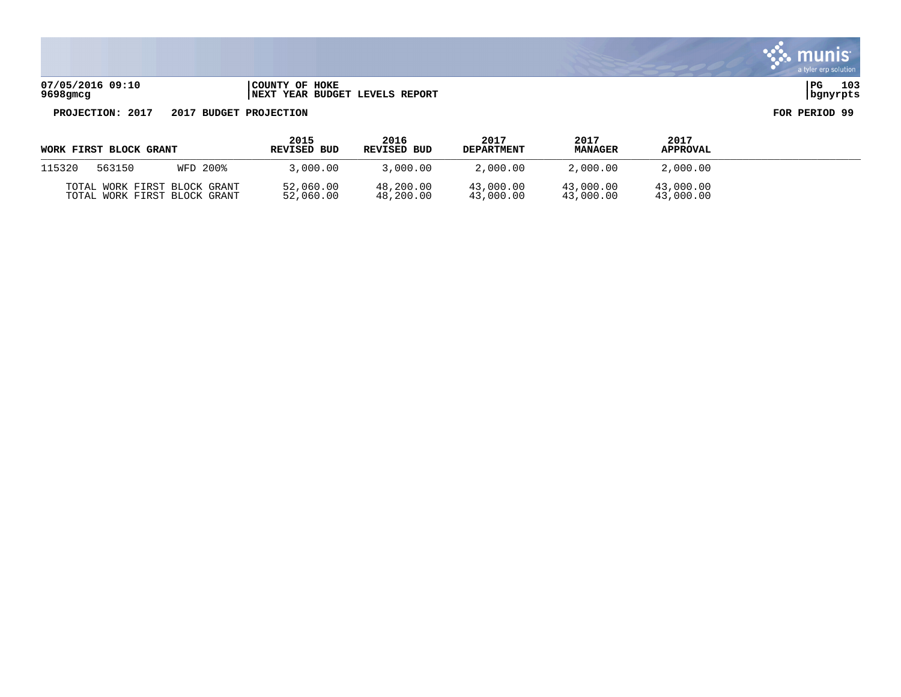**07/05/2016 09:10 |COUNTY OF HOKE |PG 103 9698gmcg |NEXT YEAR BUDGET LEVELS REPORT |bgnyrpts**

|        | WORK FIRST BLOCK GRANT                                       |          | 2015<br>REVISED BUD    | 2016<br>REVISED BUD    | 2017<br><b>DEPARTMENT</b> | 2017<br><b>MANAGER</b> | 2017<br><b>APPROVAL</b> |  |
|--------|--------------------------------------------------------------|----------|------------------------|------------------------|---------------------------|------------------------|-------------------------|--|
| 115320 | 563150                                                       | WFD 200% | 3,000.00               | 3,000.00               | 2,000.00                  | 2,000.00               | 2,000.00                |  |
|        | TOTAL WORK FIRST BLOCK GRANT<br>TOTAL WORK FIRST BLOCK GRANT |          | 52,060.00<br>52,060.00 | 48,200.00<br>48,200.00 | 43,000.00<br>43,000.00    | 43,000.00<br>43,000.00 | 43,000.00<br>43,000.00  |  |

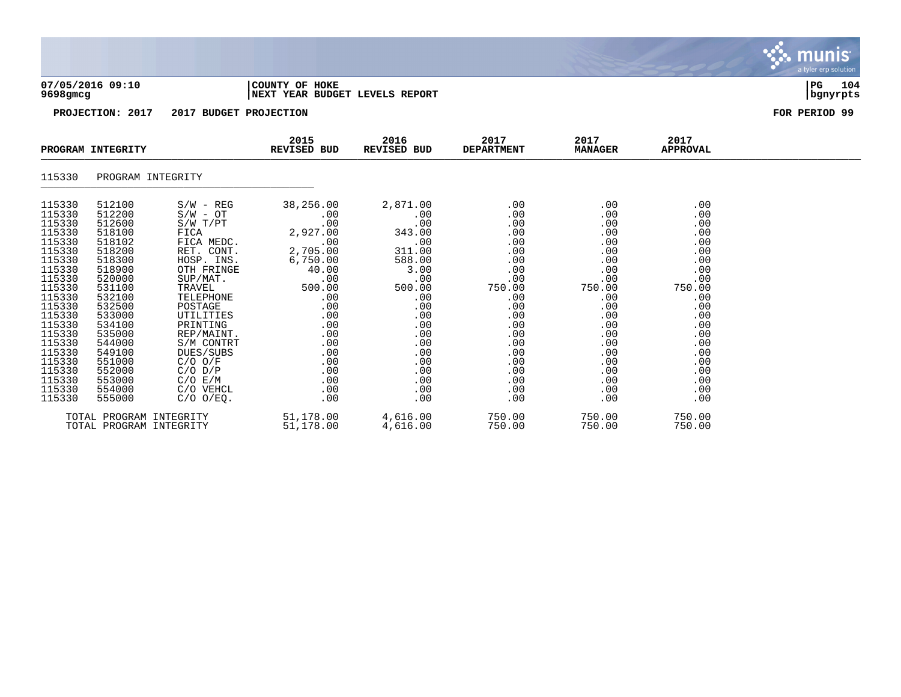| 07/05/2016 09:10<br>9698gmcg<br>PROJECTION: 2017<br>2017 BUDGET PROJECTION                                                                                                                           |                                                                                                                                                                                                      |                                                                                                                                                                                                                                                                    | COUNTY OF HOKE<br><b>NEXT YEAR BUDGET LEVELS REPORT</b>                                                                                                            | 104<br>PG<br>bgnyrpts                                                                                                                                      |                                                                                                                                             |                                                                                                                                             |                                                                                                                                             |  |
|------------------------------------------------------------------------------------------------------------------------------------------------------------------------------------------------------|------------------------------------------------------------------------------------------------------------------------------------------------------------------------------------------------------|--------------------------------------------------------------------------------------------------------------------------------------------------------------------------------------------------------------------------------------------------------------------|--------------------------------------------------------------------------------------------------------------------------------------------------------------------|------------------------------------------------------------------------------------------------------------------------------------------------------------|---------------------------------------------------------------------------------------------------------------------------------------------|---------------------------------------------------------------------------------------------------------------------------------------------|---------------------------------------------------------------------------------------------------------------------------------------------|--|
|                                                                                                                                                                                                      |                                                                                                                                                                                                      |                                                                                                                                                                                                                                                                    |                                                                                                                                                                    | FOR PERIOD 99                                                                                                                                              |                                                                                                                                             |                                                                                                                                             |                                                                                                                                             |  |
|                                                                                                                                                                                                      | PROGRAM INTEGRITY                                                                                                                                                                                    |                                                                                                                                                                                                                                                                    | 2015<br>REVISED BUD                                                                                                                                                | 2016<br>REVISED BUD                                                                                                                                        | 2017<br><b>DEPARTMENT</b>                                                                                                                   | 2017<br><b>MANAGER</b>                                                                                                                      | 2017<br><b>APPROVAL</b>                                                                                                                     |  |
| 115330                                                                                                                                                                                               | PROGRAM INTEGRITY                                                                                                                                                                                    |                                                                                                                                                                                                                                                                    |                                                                                                                                                                    |                                                                                                                                                            |                                                                                                                                             |                                                                                                                                             |                                                                                                                                             |  |
| 115330<br>115330<br>115330<br>115330<br>115330<br>115330<br>115330<br>115330<br>115330<br>115330<br>115330<br>115330<br>115330<br>115330<br>115330<br>115330<br>115330<br>115330<br>115330<br>115330 | 512100<br>512200<br>512600<br>518100<br>518102<br>518200<br>518300<br>518900<br>520000<br>531100<br>532100<br>532500<br>533000<br>534100<br>535000<br>544000<br>549100<br>551000<br>552000<br>553000 | $S/W - REG$<br>$S/W - OT$<br>$S/W$ $T/PT$<br>FICA<br>FICA MEDC.<br>RET. CONT.<br>HOSP. INS.<br>OTH FRINGE<br>SUP/MAT.<br>TRAVEL<br>TELEPHONE<br>POSTAGE<br>UTILITIES<br>PRINTING<br>REP/MAINT.<br>S/M CONTRT<br>DUES/SUBS<br>$C/O$ $O/F$<br>$C/O$ $D/P$<br>C/O E/M | 38,256.00<br>.00<br>.00<br>2,927.00<br>.00<br>2,705.00<br>6,750.00<br>40.00<br>.00<br>500.00<br>.00<br>.00<br>.00<br>.00<br>.00<br>.00<br>.00<br>.00<br>.00<br>.00 | 2,871.00<br>.00<br>.00<br>343.00<br>.00<br>311.00<br>588.00<br>3.00<br>.00<br>500.00<br>.00<br>.00<br>.00<br>.00<br>.00<br>.00<br>.00<br>.00<br>.00<br>.00 | .00<br>.00<br>.00<br>.00<br>.00<br>.00<br>.00<br>.00<br>.00<br>750.00<br>.00<br>.00<br>.00<br>.00<br>.00<br>.00<br>.00<br>.00<br>.00<br>.00 | .00<br>.00<br>.00<br>.00<br>.00<br>.00<br>.00<br>.00<br>.00<br>750.00<br>.00<br>.00<br>.00<br>.00<br>.00<br>.00<br>.00<br>.00<br>.00<br>.00 | .00<br>.00<br>.00<br>.00<br>.00<br>.00<br>.00<br>.00<br>.00<br>750.00<br>.00<br>.00<br>.00<br>.00<br>.00<br>.00<br>.00<br>.00<br>.00<br>.00 |  |
| 115330<br>115330                                                                                                                                                                                     | 554000<br>555000                                                                                                                                                                                     | C/O VEHCL<br>$C/O$ $O/EO$ .                                                                                                                                                                                                                                        | .00<br>.00                                                                                                                                                         | .00<br>.00                                                                                                                                                 | .00<br>.00                                                                                                                                  | .00<br>.00                                                                                                                                  | .00<br>.00                                                                                                                                  |  |

S. munis

a tyler erp solution

TOTAL PROGRAM INTEGRITY 51,178.00 4,616.00 750.00 750.00 750.00 TOTAL PROGRAM INTEGRITY 51,178.00 4,616.00 750.00 750.00 750.00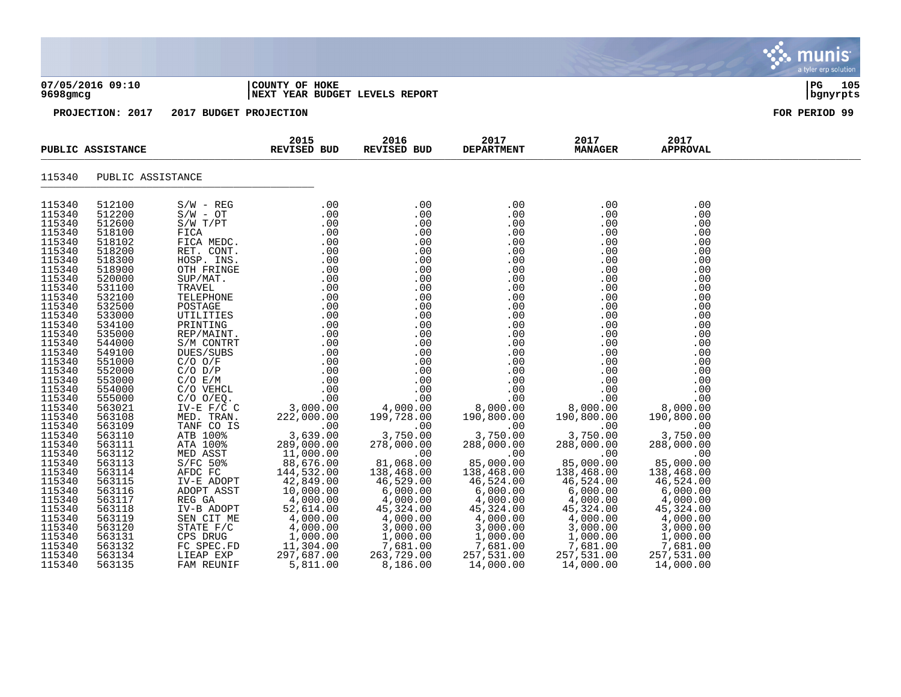| 07/05/2016 09:10<br>$9698$ gmcg                                                                                                                                                                                                                                                                                    |                                                                                                                                                                                                                                                                                                                    | COUNTY OF HOKE<br>NEXT YEAR BUDGET LEVELS REPORT |                            |                                                      |  | PG 105<br>  bgnyrpts    |               |
|--------------------------------------------------------------------------------------------------------------------------------------------------------------------------------------------------------------------------------------------------------------------------------------------------------------------|--------------------------------------------------------------------------------------------------------------------------------------------------------------------------------------------------------------------------------------------------------------------------------------------------------------------|--------------------------------------------------|----------------------------|------------------------------------------------------|--|-------------------------|---------------|
|                                                                                                                                                                                                                                                                                                                    | PROJECTION: 2017                                                                                                                                                                                                                                                                                                   | 2017 BUDGET PROJECTION                           |                            |                                                      |  |                         | FOR PERIOD 99 |
| PUBLIC ASSISTANCE                                                                                                                                                                                                                                                                                                  |                                                                                                                                                                                                                                                                                                                    |                                                  | 2015<br><b>REVISED BUD</b> | 2016 1017 2017<br>BUD REVISED BUD DEPARTMENT MANAGER |  | 2017<br><b>APPROVAL</b> |               |
|                                                                                                                                                                                                                                                                                                                    | 115340 PUBLIC ASSISTANCE                                                                                                                                                                                                                                                                                           |                                                  |                            |                                                      |  |                         |               |
| 115340<br>115340<br>115340<br>115340<br>115340<br>115340<br>115340<br>115340<br>115340<br>115340<br>115340<br>115340<br>115340<br>115340<br>115340<br>115340<br>115340<br>115340<br>115340<br>115340<br>115340<br>115340<br>115340<br>115340<br>115340<br>115340<br>115340<br>115340<br>115340<br>115340<br>115340 | 512100<br>512200<br>512600<br>518100<br>518102<br>518200<br>518300<br>518900<br>520000<br>531100<br>532100<br>532500<br>533000<br>534100<br>535000<br>544000<br>549100<br>551000<br>552000<br>553000<br>554000<br>555000<br>563021<br>563108<br>563109<br>563110<br>563111<br>563112<br>563113<br>563114<br>563115 |                                                  |                            |                                                      |  |                         |               |
| 115340<br>115340<br>115340<br>115340<br>115340<br>115340<br>115340<br>115340<br>115340                                                                                                                                                                                                                             | 563116<br>563117<br>563118<br>563119<br>563120<br>563131<br>563132<br>563134<br>563135                                                                                                                                                                                                                             |                                                  |                            |                                                      |  |                         |               |

 $\ddot{\mathbf{w}}$  munis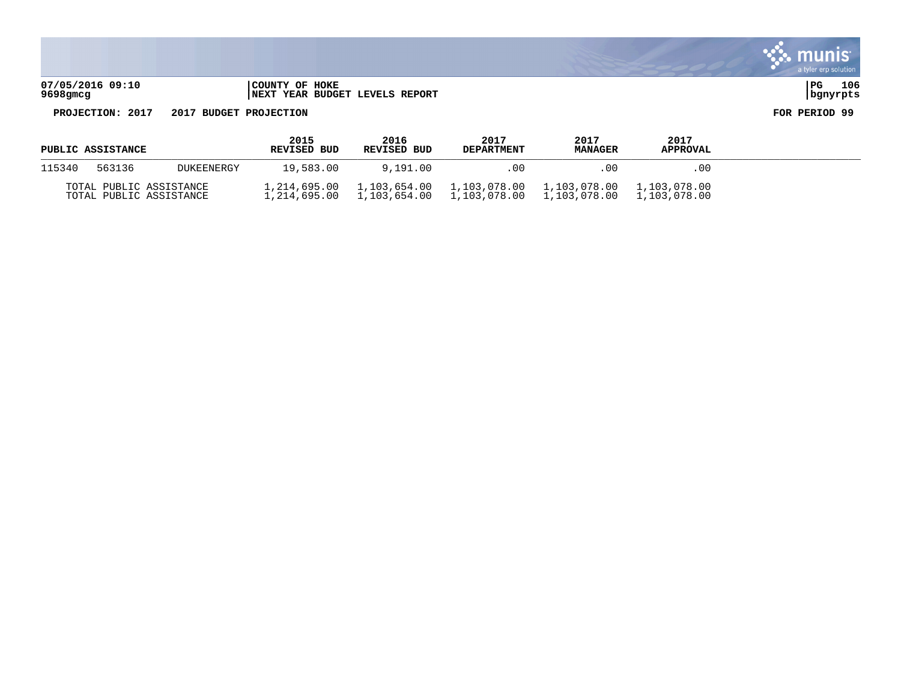

**9698gmcg |NEXT YEAR BUDGET LEVELS REPORT |bgnyrpts**

| PUBLIC ASSISTANCE                                  |        |                              | 2015<br>REVISED BUD          | 2016<br>REVISED BUD | 2017<br><b>DEPARTMENT</b> | 2017<br><b>MANAGER</b>       | 2017<br><b>APPROVAL</b> |  |
|----------------------------------------------------|--------|------------------------------|------------------------------|---------------------|---------------------------|------------------------------|-------------------------|--|
| 115340                                             | 563136 | <b>DUKEENERGY</b>            | 19.583.00                    | 9,191.00            | .00                       | -00                          | .00.                    |  |
| TOTAL PUBLIC ASSISTANCE<br>TOTAL PUBLIC ASSISTANCE |        | 1,214,695.00<br>1,214,695.00 | 1,103,654.00<br>1,103,654.00 | 1,103,078.00        | 1,103,078.00              | 1,103,078.00<br>1,103,078.00 |                         |  |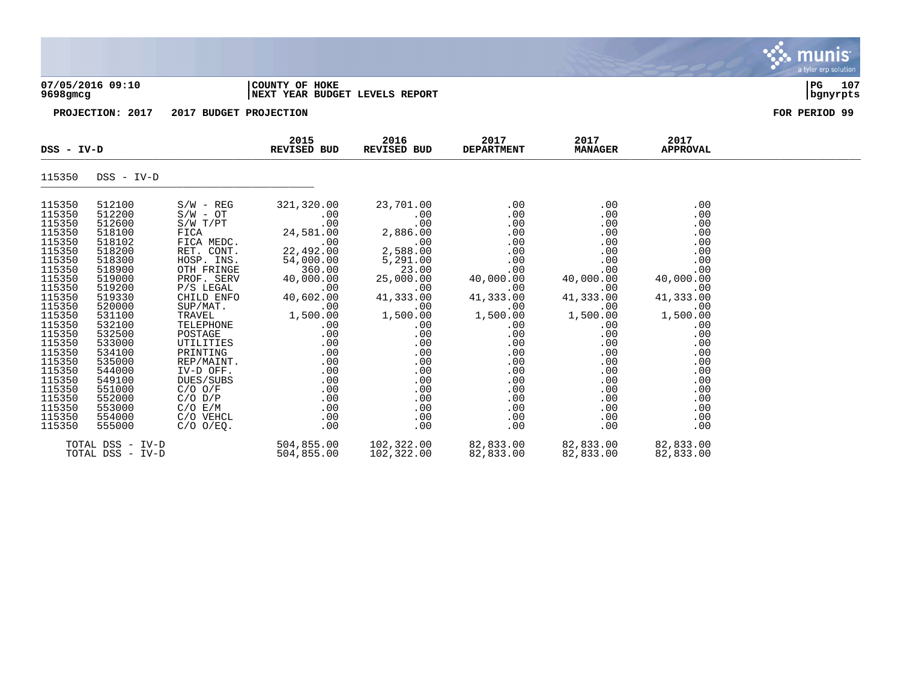| 07/05/2016 09:10<br>9698gmcg<br>PROJECTION: 2017<br>2017 |                                                |                                                                 | COUNTY OF HOKE<br>NEXT YEAR BUDGET LEVELS REPORT | 107<br>l PG.<br>  bgnyrpts                 |                                 |                                 |                                 |  |
|----------------------------------------------------------|------------------------------------------------|-----------------------------------------------------------------|--------------------------------------------------|--------------------------------------------|---------------------------------|---------------------------------|---------------------------------|--|
|                                                          |                                                |                                                                 | <b>BUDGET PROJECTION</b>                         | FOR PERIOD 99                              |                                 |                                 |                                 |  |
| DSS - IV-D                                               |                                                |                                                                 | 2015<br><b>REVISED BUD</b>                       | 2016<br><b>REVISED BUD</b>                 | 2017<br><b>DEPARTMENT</b>       | 2017<br><b>MANAGER</b>          | 2017<br><b>APPROVAL</b>         |  |
| 115350                                                   | DSS - IV-D                                     |                                                                 |                                                  |                                            |                                 |                                 |                                 |  |
| 115350<br>115350<br>115350<br>115350<br>115350           | 512100<br>512200<br>512600<br>518100<br>518102 | $S/W - REG$<br>$S/W - OT$<br>$S/W$ $T/PT$<br>FICA<br>FICA MEDC. | 321,320.00<br>.00<br>.00<br>24,581.00<br>.00     | 23,701.00<br>.00<br>.00<br>2,886.00<br>.00 | .00<br>.00<br>.00<br>.00<br>.00 | .00<br>.00<br>.00<br>.00<br>.00 | .00<br>.00<br>.00<br>.00<br>.00 |  |

| TTP350 | 218100           | F TCA          | 24,581.00  | 2,886.00   | . 00      | . UU      | .00       |
|--------|------------------|----------------|------------|------------|-----------|-----------|-----------|
| 115350 | 518102           | FICA MEDC.     | .00        | .00        | .00       | .00       | .00       |
| 115350 | 518200           | RET. CONT.     | 22,492.00  | 2,588.00   | .00       | .00       | .00       |
| 115350 | 518300           | HOSP. INS.     | 54,000.00  | 5,291.00   | .00       | .00       | .00       |
| 115350 | 518900           | OTH FRINGE     | 360.00     | 23.00      | .00       | .00       | .00       |
| 115350 | 519000           | PROF. SERV     | 40,000.00  | 25,000.00  | 40,000.00 | 40,000.00 | 40,000.00 |
| 115350 | 519200           | P/S LEGAL      | .00.       | .00        | .00.      | .00.      | $.00 \,$  |
| 115350 | 519330           | CHILD ENFO     | 40,602.00  | 41,333.00  | 41,333.00 | 41,333.00 | 41,333.00 |
| 115350 | 520000           | SUP/MAT.       | .00        | .00        | .00.      | .00.      | $.00 \,$  |
| 115350 | 531100           | TRAVEL         | 1,500.00   | 1,500.00   | 1,500.00  | 1,500.00  | 1,500.00  |
| 115350 | 532100           | TELEPHONE      | .00        | .00        | .00       | .00       | $.00 \,$  |
| 115350 | 532500           | POSTAGE        | .00        | .00        | .00       | .00       | .00       |
| 115350 | 533000           | UTILITIES      | .00        | .00        | .00       | .00       | .00       |
| 115350 | 534100           | PRINTING       | .00        | .00        | .00       | .00       | .00       |
| 115350 | 535000           | REP/MAINT.     | .00        | .00        | .00       | .00       | .00       |
| 115350 | 544000           | IV-D OFF.      | .00        | .00        | .00       | .00       | .00       |
| 115350 | 549100           | DUES/SUBS      | .00        | .00        | .00       | .00       | .00       |
| 115350 | 551000           | $C/O$ $O/F$    | .00        | .00        | .00       | .00       | .00       |
| 115350 | 552000           | $C/O$ $D/P$    | .00        | .00        | .00       | .00       | .00       |
| 115350 | 553000           | C/O E/M        | .00        | .00        | .00       | .00       | .00       |
| 115350 | 554000           | C/O VEHCL      | .00        | .00        | .00       | .00       | .00       |
| 115350 | 555000           | $C/O$ $O/EQ$ . | .00        | .00        | .00       | .00       | $.00 \,$  |
|        | TOTAL DSS - IV-D |                | 504,855.00 | 102,322.00 | 82,833.00 | 82,833.00 | 82,833.00 |
|        | TOTAL DSS - IV-D |                | 504,855.00 | 102,322.00 | 82,833.00 | 82,833.00 | 82,833.00 |
|        |                  |                |            |            |           |           |           |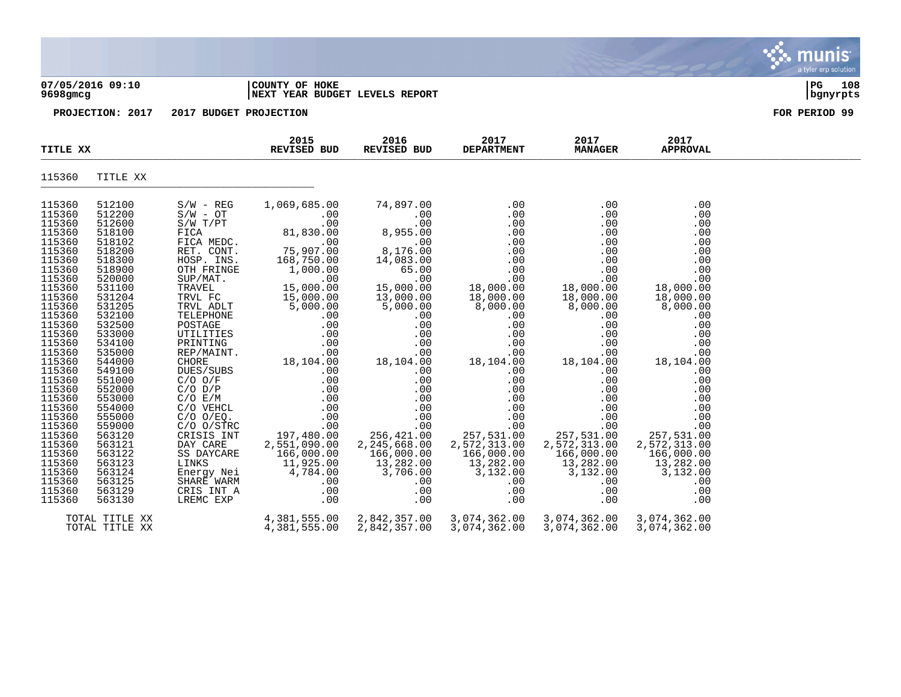| 07/05/2016 09:10<br>9698gmcg |                  | COUNTY OF HOKE<br>NEXT YEAR BUDGET LEVELS REPORT | 108<br>l PG.<br>  bgnyrpts                 |                       |                           |                        |                         |  |  |  |
|------------------------------|------------------|--------------------------------------------------|--------------------------------------------|-----------------------|---------------------------|------------------------|-------------------------|--|--|--|
|                              | PROJECTION: 2017 |                                                  | 2017 BUDGET PROJECTION                     |                       |                           |                        |                         |  |  |  |
| TITLE XX                     |                  |                                                  | 2015<br>2016<br>REVISED BUD<br>REVISED BUD |                       | 2017<br><b>DEPARTMENT</b> | 2017<br><b>MANAGER</b> | 2017<br><b>APPROVAL</b> |  |  |  |
| 115360                       | TITLE XX         |                                                  |                                            |                       |                           |                        |                         |  |  |  |
| 115360                       | 512100           | $S/W - REG$                                      | 1,069,685.00                               | 74,897.00             | .00                       | .00                    | .00                     |  |  |  |
| 115360                       | 512200           | $S/W - OT$                                       | $.00 \,$                                   | .00                   | .00                       | .00                    | .00                     |  |  |  |
| 115360                       | 512600           | $S/W$ $T/PT$                                     | .00                                        | .00                   | .00                       | .00                    | .00                     |  |  |  |
| 115360                       | 518100           | FICA                                             | 81,830.00                                  | 8,955.00              | .00                       | .00                    | .00                     |  |  |  |
| 115360<br>115360             | 518102<br>518200 | FICA MEDC.                                       | .00                                        | .00                   | .00                       | .00                    | .00                     |  |  |  |
| 115360                       | 518300           | RET. CONT.<br>HOSP. INS.                         | 75,907.00<br>168,750.00                    | 8,176.00<br>14,083.00 | .00<br>.00                | .00<br>.00             | .00<br>.00              |  |  |  |
| 115360                       | 518900           | OTH FRINGE                                       | 1,000.00                                   | 65.00                 | .00                       | .00                    | .00                     |  |  |  |
| 115360                       | 520000           | SUP/MAT.                                         | .00                                        | .00                   | .00                       | .00                    | .00                     |  |  |  |
| 115360                       | 531100           | TRAVEL                                           | 15,000.00                                  | 15,000.00             | 18,000.00                 | 18,000.00              | 18,000.00               |  |  |  |
| 115360                       | 531204           | TRVL FC                                          | 15,000.00                                  | 13,000.00             | 18,000.00                 | 18,000.00              | 18,000.00               |  |  |  |
| 115360                       | 531205           | TRVL ADLT                                        | 5,000.00                                   | 5,000.00              | 8,000.00                  | 8,000.00               | 8,000.00                |  |  |  |
| 115360                       | 532100           | TELEPHONE                                        | .00                                        | .00                   | .00                       | .00                    | .00                     |  |  |  |
| 115360                       | 532500           | POSTAGE                                          | .00                                        | .00                   | .00                       | .00                    | .00                     |  |  |  |
| 115360                       | 533000           | UTILITIES                                        | .00                                        | .00                   | .00                       | .00                    | .00                     |  |  |  |
| 115360                       | 534100           | PRINTING                                         | .00                                        | .00                   | .00                       | .00                    | .00                     |  |  |  |
| 115360                       | 535000           | REP/MAINT                                        | .00                                        | .00                   | .00                       | .00                    | .00                     |  |  |  |

 $\ddot{\mathbf{w}}$  munis

a tyler erp solution

| ⊥⊥⊃⊃∪∪ | <i>JJ4J</i> VV | r vu inun      | $\cdot$ $\circ$ $\circ$ | $\cdot$ $\circ$ $\circ$   | $\cdot$ $\circ$ $\circ$ | $\cdot$ $\circ$ $\circ$ | $\cdot$ $\circ$ $\circ$ |
|--------|----------------|----------------|-------------------------|---------------------------|-------------------------|-------------------------|-------------------------|
| 115360 | 533000         | UTILITIES      | .00                     | .00                       | .00                     | .00                     | .00                     |
| 115360 | 534100         | PRINTING       | .00                     | .00                       | .00                     | .00                     | .00                     |
| 115360 | 535000         | REP/MAINT.     | .00                     | .00                       | .00                     | .00                     | .00                     |
| 115360 | 544000         | CHORE          | 18,104.00               | 18,104.00                 | 18,104.00               | 18,104.00               | 18,104.00               |
| 115360 | 549100         | DUES/SUBS      | .00                     | .00                       | .00                     | .00                     | $.00 \,$                |
| 115360 | 551000         | $C/O$ $O/F$    | .00                     | .00                       | .00                     | .00                     | .00                     |
| 115360 | 552000         | $C/O$ $D/P$    | .00                     | .00                       | .00                     | .00                     | .00                     |
| 115360 | 553000         | $C/O$ $E/M$    | .00                     | .00                       | .00                     | .00                     | .00                     |
| 115360 | 554000         | C/O VEHCL      | .00                     | .00                       | .00                     | .00                     | .00                     |
| 115360 | 555000         | $C/O$ $O/EO$ . | .00                     | .00                       | .00                     | .00                     | .00                     |
| 115360 | 559000         | $C/O$ $O/STRC$ | .00                     | .00                       | .00                     | .00                     | .00.                    |
| 115360 | 563120         | CRISIS INT     | 197,480.00              | 256,421.00                | 257,531.00              | 257,531.00              | 257,531.00              |
| 115360 | 563121         | DAY CARE       | 2,551,090.00            | 2,245,668.00              | 2,572,313.00            | 2,572,313.00            | 2,572,313.00            |
| 115360 | 563122         | SS DAYCARE     | 166,000.00              | 166,000.00                | 166,000.00              | 166,000.00              | 166,000.00              |
| 115360 | 563123         | LINKS          | 11,925.00               | 13,282.00                 | 13,282.00               | 13,282.00               | 13,282.00               |
| 115360 | 563124         | Energy Nei     | 4,784.00                | 3,706.00                  | 3,132.00                | 3,132.00                | 3,132.00                |
| 115360 | 563125         | SHARE WARM     | .00                     | .00                       | .00.                    | .00                     | $.00 \,$                |
| 115360 | 563129         | CRIS INT A     | .00                     | .00                       | .00                     | .00                     | .00                     |
| 115360 | 563130         | LREMC EXP      | .00                     | .00                       | .00                     | .00                     | $.00 \,$                |
|        | TOTAL TITLE XX |                | 4,381,555.00            | 2,842,357.00 3,074,362.00 |                         | 3,074,362.00            | 3,074,362.00            |
|        |                |                |                         |                           |                         |                         |                         |

TOTAL TITLE XX 4,381,555.00 2,842,357.00 3,074,362.00 3,074,362.00 3,074,362.00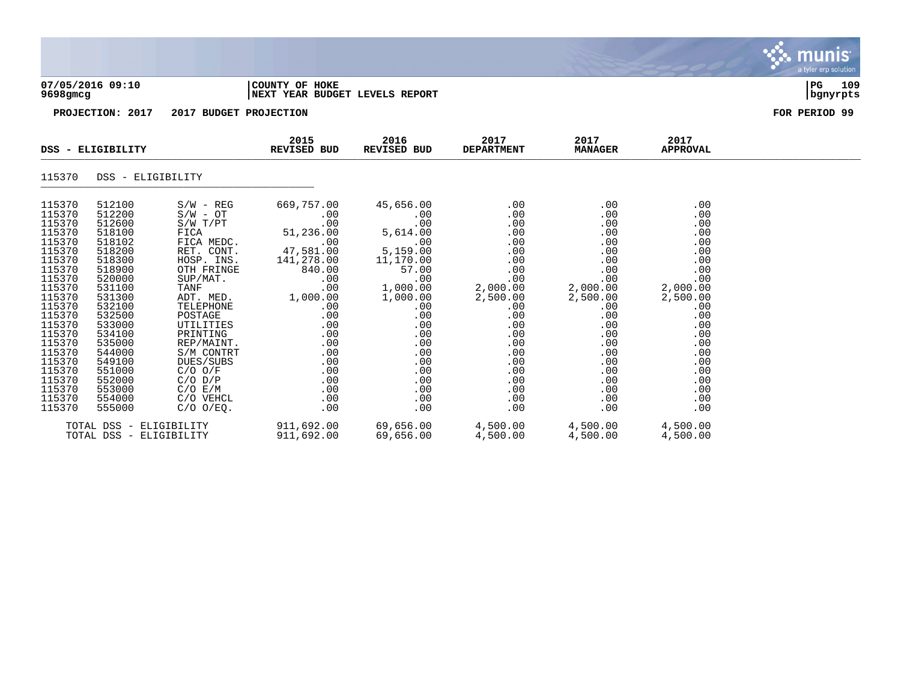|                                                                                                                                                                                                                                    | 07/05/2016 09:10<br>9698gmcg                                                                                                                                                                                                       |                                                                                                                                                                                                                                                                                                                 | COUNTY OF HOKE<br><b>INEXT YEAR BUDGET LEVELS REPORT</b>                                                                                                                                        |                                                                                                                                                                                                 |                                                                                                                                                                         |                                                                                                                                                                         |                                                                                                                                                                         |  |  |  |
|------------------------------------------------------------------------------------------------------------------------------------------------------------------------------------------------------------------------------------|------------------------------------------------------------------------------------------------------------------------------------------------------------------------------------------------------------------------------------|-----------------------------------------------------------------------------------------------------------------------------------------------------------------------------------------------------------------------------------------------------------------------------------------------------------------|-------------------------------------------------------------------------------------------------------------------------------------------------------------------------------------------------|-------------------------------------------------------------------------------------------------------------------------------------------------------------------------------------------------|-------------------------------------------------------------------------------------------------------------------------------------------------------------------------|-------------------------------------------------------------------------------------------------------------------------------------------------------------------------|-------------------------------------------------------------------------------------------------------------------------------------------------------------------------|--|--|--|
|                                                                                                                                                                                                                                    | PROJECTION: 2017                                                                                                                                                                                                                   | 2017 BUDGET PROJECTION                                                                                                                                                                                                                                                                                          |                                                                                                                                                                                                 | FOR PERIOD 99                                                                                                                                                                                   |                                                                                                                                                                         |                                                                                                                                                                         |                                                                                                                                                                         |  |  |  |
|                                                                                                                                                                                                                                    | DSS - ELIGIBILITY                                                                                                                                                                                                                  |                                                                                                                                                                                                                                                                                                                 | 2015<br><b>REVISED BUD</b>                                                                                                                                                                      | 2016<br>REVISED BUD                                                                                                                                                                             | 2017<br><b>DEPARTMENT</b>                                                                                                                                               | 2017<br><b>MANAGER</b>                                                                                                                                                  | 2017<br><b>APPROVAL</b>                                                                                                                                                 |  |  |  |
| 115370                                                                                                                                                                                                                             | DSS - ELIGIBILITY                                                                                                                                                                                                                  |                                                                                                                                                                                                                                                                                                                 |                                                                                                                                                                                                 |                                                                                                                                                                                                 |                                                                                                                                                                         |                                                                                                                                                                         |                                                                                                                                                                         |  |  |  |
| 115370<br>115370<br>115370<br>115370<br>115370<br>115370<br>115370<br>115370<br>115370<br>115370<br>115370<br>115370<br>115370<br>115370<br>115370<br>115370<br>115370<br>115370<br>115370<br>115370<br>115370<br>115370<br>115370 | 512100<br>512200<br>512600<br>518100<br>518102<br>518200<br>518300<br>518900<br>520000<br>531100<br>531300<br>532100<br>532500<br>533000<br>534100<br>535000<br>544000<br>549100<br>551000<br>552000<br>553000<br>554000<br>555000 | $S/W - REG$<br>$S/W - OT$<br>S/W T/PT<br>FICA<br>FICA MEDC.<br>RET. CONT.<br>HOSP. INS.<br>OTH FRINGE<br>SUP/MAT.<br><b>TANF</b><br>ADT. MED.<br>TELEPHONE<br>POSTAGE<br>UTILITIES<br>PRINTING<br>REP/MAINT.<br>S/M CONTRT<br>DUES/SUBS<br>$C/O$ $O/F$<br>$C/O$ $D/P$<br>C/O E/M<br>C/O VEHCL<br>$C/O$ $O/EO$ . | 669,757.00<br>.00<br>.00<br>51,236.00<br>.00<br>47,581.00<br>141,278.00<br>840.00<br>.00<br>.00<br>1,000.00<br>.00<br>.00<br>.00<br>.00<br>.00<br>.00<br>.00<br>.00<br>.00<br>.00<br>.00<br>.00 | 45,656.00<br>.00<br>.00<br>5,614.00<br>.00<br>5,159.00<br>11,170.00<br>57.00<br>.00<br>1,000.00<br>1,000.00<br>.00<br>.00<br>.00<br>.00<br>.00<br>.00<br>.00<br>.00<br>.00<br>.00<br>.00<br>.00 | .00<br>.00<br>.00<br>.00<br>.00<br>.00<br>.00<br>.00<br>.00<br>2,000.00<br>2,500.00<br>.00<br>.00<br>.00<br>.00<br>.00<br>.00<br>.00<br>.00<br>.00<br>.00<br>.00<br>.00 | .00<br>.00<br>.00<br>.00<br>.00<br>.00<br>.00<br>.00<br>.00<br>2,000.00<br>2,500.00<br>.00<br>.00<br>.00<br>.00<br>.00<br>.00<br>.00<br>.00<br>.00<br>.00<br>.00<br>.00 | .00<br>.00<br>.00<br>.00<br>.00<br>.00<br>.00<br>.00<br>.00<br>2,000.00<br>2,500.00<br>.00<br>.00<br>.00<br>.00<br>.00<br>.00<br>.00<br>.00<br>.00<br>.00<br>.00<br>.00 |  |  |  |

, munis

TOTAL DSS - ELIGIBILITY 911,692.00 69,656.00 4,500.00 4,500.00 4,500.00 TOTAL DSS - ELIGIBILITY 911,692.00 69,656.00 4,500.00 4,500.00 4,500.00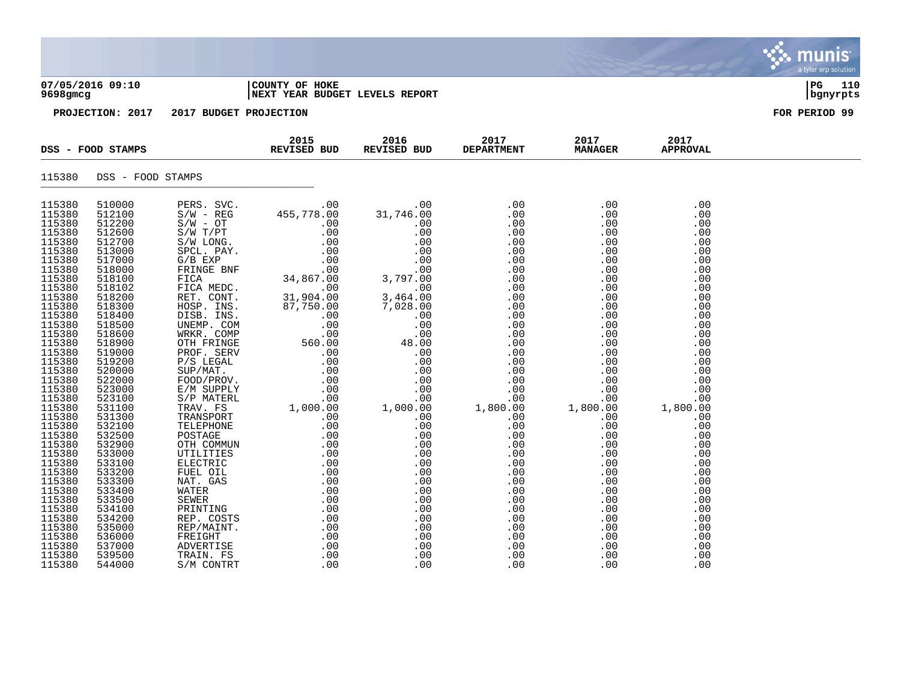| 07/05/2016 09:10  | COUNTY OF<br>HOKE | l PC | 110 |
|-------------------|-------------------|------|-----|
| $0.000 \pm 0.000$ |                   |      |     |

# **9698gmcg |NEXT YEAR BUDGET LEVELS REPORT |bgnyrpts**

|                  | REVISED BUD<br>DSS - FOOD STAMPS |  | 2015 | 2016 | 2017<br>REVISED BUD DEPARTMENT MANAGER | 2017 | 2017<br><b>APPROVAL</b> |  |
|------------------|----------------------------------|--|------|------|----------------------------------------|------|-------------------------|--|
|                  | 115380 DSS - FOOD STAMPS         |  |      |      |                                        |      |                         |  |
| 115380           | 510000                           |  |      |      |                                        |      |                         |  |
| 115380           | 512100                           |  |      |      |                                        |      |                         |  |
| 115380           | 512200                           |  |      |      |                                        |      |                         |  |
| 115380           | 512600                           |  |      |      |                                        |      |                         |  |
| 115380           | 512700                           |  |      |      |                                        |      |                         |  |
| 115380           | 513000                           |  |      |      |                                        |      |                         |  |
| 115380           | 517000                           |  |      |      |                                        |      |                         |  |
| 115380           | 518000                           |  |      |      |                                        |      |                         |  |
| 115380           | 518100                           |  |      |      |                                        |      |                         |  |
|                  |                                  |  |      |      |                                        |      |                         |  |
| 115380<br>115380 | 518102<br>518200                 |  |      |      |                                        |      |                         |  |
| 115380           |                                  |  |      |      |                                        |      |                         |  |
|                  | 518300                           |  |      |      |                                        |      |                         |  |
| 115380           | 518400                           |  |      |      |                                        |      |                         |  |
| 115380           | 518500                           |  |      |      |                                        |      |                         |  |
| 115380           | 518600                           |  |      |      |                                        |      |                         |  |
| 115380           | 518900                           |  |      |      |                                        |      |                         |  |
| 115380           | 519000                           |  |      |      |                                        |      |                         |  |
| 115380           | 519200                           |  |      |      |                                        |      |                         |  |
| 115380           | 520000                           |  |      |      |                                        |      |                         |  |
| 115380           | 522000                           |  |      |      |                                        |      |                         |  |
| 115380           | 523000                           |  |      |      |                                        |      |                         |  |
| 115380           | 523100                           |  |      |      |                                        |      |                         |  |
| 115380           | 531100                           |  |      |      |                                        |      |                         |  |
| 115380           | 531300                           |  |      |      |                                        |      |                         |  |
| 115380           | 532100                           |  |      |      |                                        |      |                         |  |
| 115380           | 532500                           |  |      |      |                                        |      |                         |  |
| 115380           | 532900                           |  |      |      |                                        |      |                         |  |
| 115380           | 533000                           |  |      |      |                                        |      |                         |  |
| 115380           | 533100                           |  |      |      |                                        |      |                         |  |
| 115380           | 533200                           |  |      |      |                                        |      |                         |  |
| 115380           | 533300                           |  |      |      |                                        |      |                         |  |
| 115380           | 533400                           |  |      |      |                                        |      |                         |  |
| 115380           | 533500                           |  |      |      |                                        |      |                         |  |
| 115380           | 534100                           |  |      |      |                                        |      |                         |  |
| 115380           | 534200                           |  |      |      |                                        |      |                         |  |
| 115380           | 535000                           |  |      |      |                                        |      |                         |  |
|                  | 536000                           |  |      |      |                                        |      |                         |  |
| 115380<br>115380 | 537000                           |  |      |      |                                        |      |                         |  |
| 115380           | 539500                           |  |      |      |                                        |      |                         |  |
| 115380           | 544000                           |  |      |      |                                        |      |                         |  |

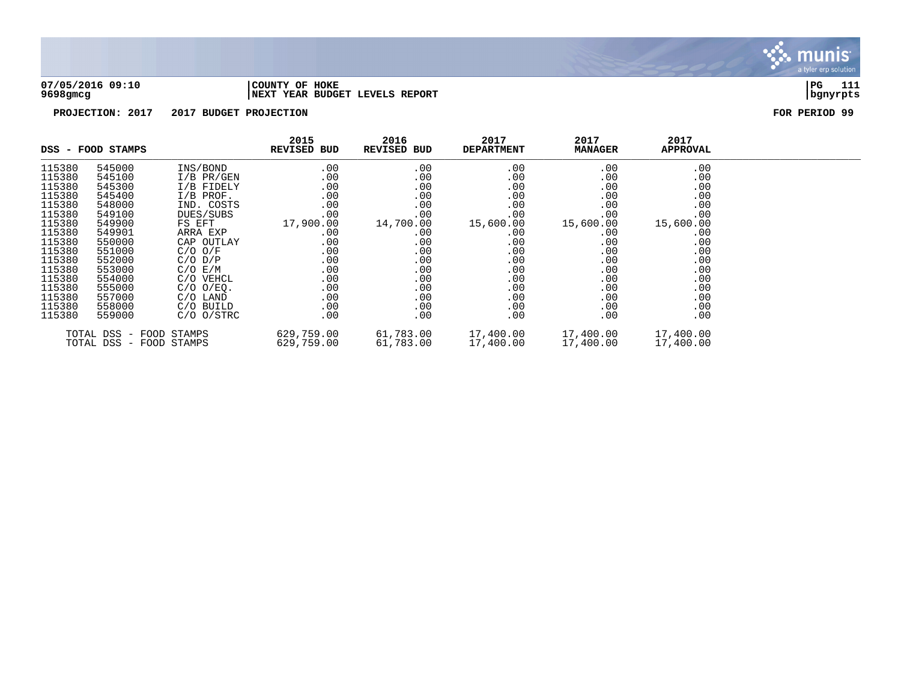

## **07/05/2016 09:10 |COUNTY OF HOKE |PG 111 9698gmcg |NEXT YEAR BUDGET LEVELS REPORT |bgnyrpts**

| DSS - FOOD STAMPS |                                                    | 2015<br><b>REVISED BUD</b> | 2016<br>REVISED BUD      | 2017<br><b>DEPARTMENT</b> | 2017<br><b>MANAGER</b> | 2017<br><b>APPROVAL</b> |                        |  |
|-------------------|----------------------------------------------------|----------------------------|--------------------------|---------------------------|------------------------|-------------------------|------------------------|--|
| 115380            | 545000                                             | INS/BOND                   | .00                      | .00                       | .00                    | .00                     | .00                    |  |
| 115380            | 545100                                             | $I/B$ PR/GEN               | .00                      | .00                       | .00                    | .00                     | .00                    |  |
| 115380            | 545300                                             | I/B FIDELY                 | .00                      | .00                       | .00                    | .00                     | .00                    |  |
| 115380            | 545400                                             | $I/B$ PROF.                | .00                      | .00                       | .00                    | .00                     | .00                    |  |
| 115380            | 548000                                             | IND. COSTS                 | $.00 \ \rm$              | .00                       | .00                    | .00                     | .00                    |  |
| 115380            | 549100                                             | DUES/SUBS                  | .00                      | .00                       | .00                    | .00                     | .00                    |  |
| 115380            | 549900                                             | FS EFT                     | 17,900.00                | 14,700.00                 | 15,600.00              | 15,600.00               | 15,600.00              |  |
| 115380            | 549901                                             | ARRA EXP                   | .00                      | .00                       | $.00 \,$               | $.00 \,$                | .00                    |  |
| 115380            | 550000                                             | CAP OUTLAY                 | .00                      | .00                       | $.00 \,$               | .00                     | .00                    |  |
| 115380            | 551000                                             | $C/O$ $O/F$                | .00                      | .00                       | $.00 \,$               | .00                     | .00                    |  |
| 115380            | 552000                                             | $C/O$ $D/P$                | .00                      | .00                       | .00                    | .00                     | .00                    |  |
| 115380            | 553000                                             | $C/O$ $E/M$                | .00                      | .00                       | .00                    | .00                     | .00                    |  |
| 115380            | 554000                                             | C/O VEHCL                  | .00                      | .00                       | $.00 \,$               | .00                     | .00                    |  |
| 115380            | 555000                                             | $C/O$ $O/EQ$ .             | .00                      | .00                       | .00                    | .00                     | .00                    |  |
| 115380            | 557000                                             | C/O LAND                   | $.00 \ \rm$              | .00                       | $.00 \,$               | .00                     | .00                    |  |
| 115380            | 558000                                             | C/O BUILD                  | $.00 \ \rm$              | .00                       | $.00 \,$               | .00                     | .00                    |  |
| 115380            | 559000                                             | $C/O$ $O/STRC$             | $.00 \,$                 | .00                       | .00                    | .00                     | .00                    |  |
|                   | TOTAL DSS - FOOD STAMPS<br>TOTAL DSS - FOOD STAMPS |                            | 629,759.00<br>629,759.00 | 61,783.00<br>61,783.00    | 17,400.00<br>17,400.00 | 17,400.00<br>17,400.00  | 17,400.00<br>17,400.00 |  |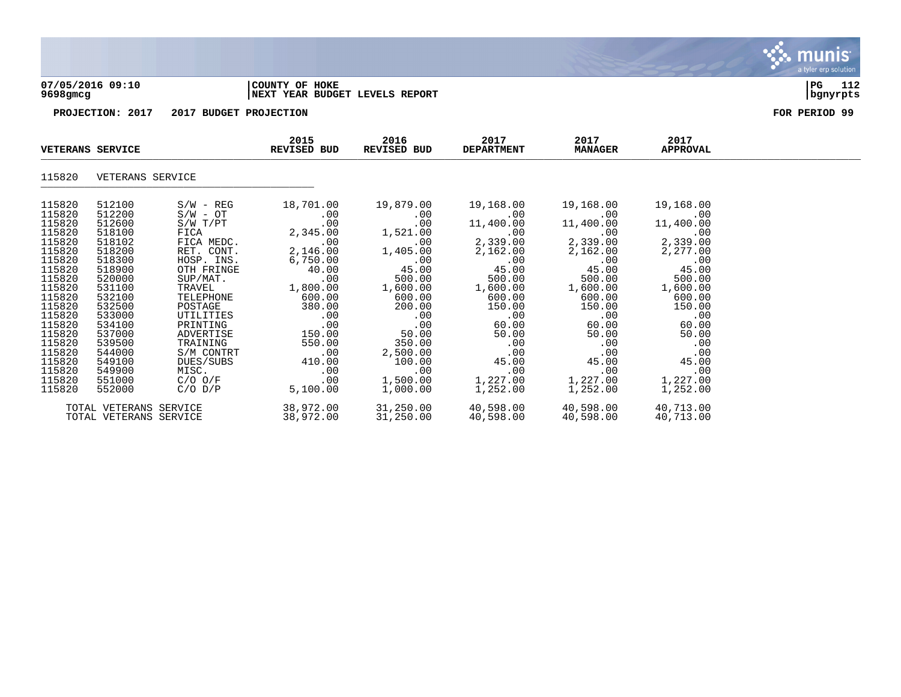

## **07/05/2016 09:10 |COUNTY OF HOKE |PG 112 9698gmcg |NEXT YEAR BUDGET LEVELS REPORT |bgnyrpts**

| <b>VETERANS SERVICE</b>                                                                                                                                                                    |                                                                                                                                                                                            |                                                                                                                                                                                                                                           | 2015<br><b>REVISED BUD</b>                                                                                                                                                   | 2016<br>REVISED BUD                                                                                                                                                                 | 2017<br><b>DEPARTMENT</b>                                                                                                                                                          | 2017<br><b>MANAGER</b>                                                                                                                                                        | 2017<br><b>APPROVAL</b>                                                                                                                                                       |  |
|--------------------------------------------------------------------------------------------------------------------------------------------------------------------------------------------|--------------------------------------------------------------------------------------------------------------------------------------------------------------------------------------------|-------------------------------------------------------------------------------------------------------------------------------------------------------------------------------------------------------------------------------------------|------------------------------------------------------------------------------------------------------------------------------------------------------------------------------|-------------------------------------------------------------------------------------------------------------------------------------------------------------------------------------|------------------------------------------------------------------------------------------------------------------------------------------------------------------------------------|-------------------------------------------------------------------------------------------------------------------------------------------------------------------------------|-------------------------------------------------------------------------------------------------------------------------------------------------------------------------------|--|
| 115820                                                                                                                                                                                     | VETERANS SERVICE                                                                                                                                                                           |                                                                                                                                                                                                                                           |                                                                                                                                                                              |                                                                                                                                                                                     |                                                                                                                                                                                    |                                                                                                                                                                               |                                                                                                                                                                               |  |
| 115820<br>115820<br>115820<br>115820<br>115820<br>115820<br>115820<br>115820<br>115820<br>115820<br>115820<br>115820<br>115820<br>115820<br>115820<br>115820<br>115820<br>115820<br>115820 | 512100<br>512200<br>512600<br>518100<br>518102<br>518200<br>518300<br>518900<br>520000<br>531100<br>532100<br>532500<br>533000<br>534100<br>537000<br>539500<br>544000<br>549100<br>549900 | $S/W - REG$<br>$S/W - OT$<br>S/W T/PT<br>FICA<br>FICA MEDC.<br>RET. CONT.<br>HOSP. INS.<br>OTH FRINGE<br>SUP/MAT.<br>TRAVEL<br>TELEPHONE<br>POSTAGE<br>UTILITIES<br>PRINTING<br>ADVERTISE<br>TRAINING<br>S/M CONTRT<br>DUES/SUBS<br>MISC. | 18,701.00<br>.00<br>.00<br>2,345.00<br>.00<br>2,146.00<br>6,750.00<br>40.00<br>.00<br>1,800.00<br>600.00<br>380.00<br>.00<br>.00<br>150.00<br>550.00<br>.00<br>410.00<br>.00 | 19,879.00<br>.00<br>.00<br>1,521.00<br>$.00 \,$<br>1,405.00<br>.00<br>45.00<br>500.00<br>1,600.00<br>600.00<br>200.00<br>.00<br>.00<br>50.00<br>350.00<br>2,500.00<br>100.00<br>.00 | 19,168.00<br>$.00 \,$<br>11,400.00<br>.00<br>2,339.00<br>2,162.00<br>.00<br>45.00<br>500.00<br>1,600.00<br>600.00<br>150.00<br>.00<br>60.00<br>50.00<br>.00<br>.00<br>45.00<br>.00 | 19,168.00<br>.00<br>11,400.00<br>.00<br>2,339.00<br>2,162.00<br>.00<br>45.00<br>500.00<br>1,600.00<br>600.00<br>150.00<br>.00<br>60.00<br>50.00<br>.00<br>.00<br>45.00<br>.00 | 19,168.00<br>.00<br>11,400.00<br>.00<br>2,339.00<br>2,277.00<br>.00<br>45.00<br>500.00<br>1,600.00<br>600.00<br>150.00<br>.00<br>60.00<br>50.00<br>.00<br>.00<br>45.00<br>.00 |  |
| 115820<br>115820                                                                                                                                                                           | 551000<br>552000                                                                                                                                                                           | $C/O$ $O/F$<br>$C/O$ $D/P$                                                                                                                                                                                                                | $.00 \,$<br>5,100.00                                                                                                                                                         | 1,500.00<br>1,000.00                                                                                                                                                                | 1,227.00<br>1,252.00                                                                                                                                                               | 1,227.00<br>1,252.00                                                                                                                                                          | 1,227.00<br>1,252.00                                                                                                                                                          |  |
|                                                                                                                                                                                            | TOTAL VETERANS SERVICE<br>TOTAL VETERANS SERVICE                                                                                                                                           |                                                                                                                                                                                                                                           | 38,972.00<br>38,972.00                                                                                                                                                       | 31,250.00<br>31,250.00                                                                                                                                                              | 40,598.00<br>40,598.00                                                                                                                                                             | 40,598.00<br>40,598.00                                                                                                                                                        | 40,713.00<br>40,713.00                                                                                                                                                        |  |

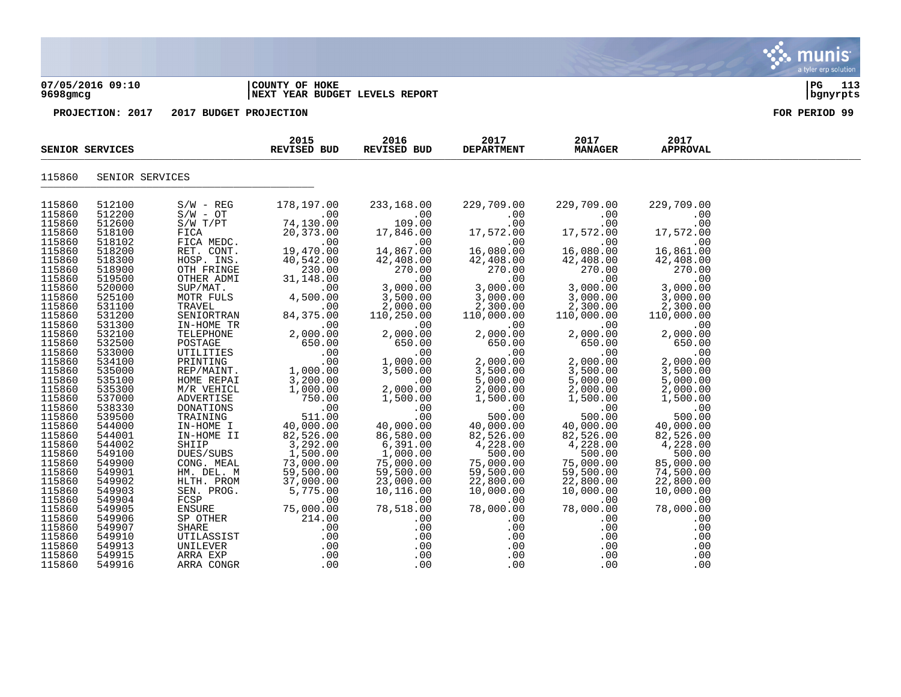## **07/05/2016 09:10 |COUNTY OF HOKE |PG 113 9698gmcg |NEXT YEAR BUDGET LEVELS REPORT |bgnyrpts**

|                  | SENIOR SERVICES  |                                                                                                                                              | 2015<br>REVISED BUD                                                                                                                                | 2016<br>REVISED BUD                                                                                                                                                                                                                                                                                                        | 2017<br><b>DEPARTMENT</b>                                                           | 2017<br><b>MANAGER</b>                                                                                                                                          | 2017<br><b>APPROVAL</b>                                                         |  |
|------------------|------------------|----------------------------------------------------------------------------------------------------------------------------------------------|----------------------------------------------------------------------------------------------------------------------------------------------------|----------------------------------------------------------------------------------------------------------------------------------------------------------------------------------------------------------------------------------------------------------------------------------------------------------------------------|-------------------------------------------------------------------------------------|-----------------------------------------------------------------------------------------------------------------------------------------------------------------|---------------------------------------------------------------------------------|--|
| 115860           | SENIOR SERVICES  |                                                                                                                                              |                                                                                                                                                    |                                                                                                                                                                                                                                                                                                                            |                                                                                     |                                                                                                                                                                 |                                                                                 |  |
| 115860           | 512100           | $S/W - REG$                                                                                                                                  | 178,197.00                                                                                                                                         | 233,168.00                                                                                                                                                                                                                                                                                                                 | 229,709.00                                                                          | 229,709.00                                                                                                                                                      | 229,709.00                                                                      |  |
| 115860           | 512200           | $S/W - OT$                                                                                                                                   | $\sim 00$                                                                                                                                          | $00$<br>109.00<br>17,846.00                                                                                                                                                                                                                                                                                                | $17,572.00$<br>$16,080.00$<br>$42,408.00$                                           | $\begin{array}{r} 229,709.00\ 0.00\ 0.00\ 17,572.00\ 0.00\ 16,080.00\ 42,408.00\ 270.00\ 3,000.00\ 2,300.00\ 110,000.00\ 2,000.00\ 650.00\ 650.00\ \end{array}$ | .00                                                                             |  |
| 115860           | 512600           | $S/W$ $T/PT$                                                                                                                                 | 74, 130.00                                                                                                                                         |                                                                                                                                                                                                                                                                                                                            |                                                                                     |                                                                                                                                                                 | .00                                                                             |  |
| 115860           | 518100           | FICA<br>FICA MEDC.<br>RET. CONT.<br>HOSP. INS.<br>OTH FRINGE<br>OTHER ADMI                                                                   | 20,373.00                                                                                                                                          |                                                                                                                                                                                                                                                                                                                            |                                                                                     | $17,572.00$ 17                                                                                                                                                  | 17,572.00                                                                       |  |
| 115860           | 518102           |                                                                                                                                              | $\sim$ 00                                                                                                                                          | $00$ .<br>14,867.00                                                                                                                                                                                                                                                                                                        |                                                                                     |                                                                                                                                                                 | $16,861$<br>$42,408$<br>.00                                                     |  |
| 115860           | 518200           |                                                                                                                                              | 19,470.00                                                                                                                                          |                                                                                                                                                                                                                                                                                                                            |                                                                                     |                                                                                                                                                                 | 16,861.00                                                                       |  |
| 115860           | 518300           |                                                                                                                                              | 40,542.00                                                                                                                                          | 42,408.00<br>270.00                                                                                                                                                                                                                                                                                                        |                                                                                     |                                                                                                                                                                 | 42,408.00                                                                       |  |
| 115860           | 518900           |                                                                                                                                              | 230.00                                                                                                                                             |                                                                                                                                                                                                                                                                                                                            |                                                                                     |                                                                                                                                                                 | $270.00$<br>.00                                                                 |  |
| 115860           | 519500           |                                                                                                                                              | 31,148.00                                                                                                                                          |                                                                                                                                                                                                                                                                                                                            | 270.00                                                                              |                                                                                                                                                                 |                                                                                 |  |
| 115860           | 520000           | THER ALL<br>SUP/MAT<br>MOTR FULS<br>TRAVEL 100<br>TRAVEL 200<br>SENIORTRAN 84,375.00<br>TN-HOME TR 2,000.00<br>TN-HOME TR 2,000.00<br>650.00 |                                                                                                                                                    | $\begin{array}{r} 270.00\ 0.00\ 3,000.00\ 3,500.00 \end{array}$                                                                                                                                                                                                                                                            | $\frac{3}{3},\frac{000}{00}.00\ 3,000.00\ 2,300.00$                                 |                                                                                                                                                                 | $3,000.00$<br>3,000.00                                                          |  |
| 115860           | 525100           |                                                                                                                                              |                                                                                                                                                    | 3,500.00                                                                                                                                                                                                                                                                                                                   |                                                                                     |                                                                                                                                                                 | 3,000.00                                                                        |  |
| 115860           | 531100           |                                                                                                                                              |                                                                                                                                                    | 2,000.00                                                                                                                                                                                                                                                                                                                   | 2,300.00                                                                            |                                                                                                                                                                 | 2,300.00                                                                        |  |
| 115860           | 531200           |                                                                                                                                              |                                                                                                                                                    | 110,250.00                                                                                                                                                                                                                                                                                                                 |                                                                                     |                                                                                                                                                                 |                                                                                 |  |
| 115860           | 531300           |                                                                                                                                              |                                                                                                                                                    | .00<br>2,00                                                                                                                                                                                                                                                                                                                | $110,000.00\ 00\ 00\ 2,000.00\ 650.00$                                              |                                                                                                                                                                 |                                                                                 |  |
| 115860           | 532100           |                                                                                                                                              |                                                                                                                                                    | 2,000.00                                                                                                                                                                                                                                                                                                                   |                                                                                     |                                                                                                                                                                 |                                                                                 |  |
| 115860           | 532500           |                                                                                                                                              |                                                                                                                                                    | 650.00                                                                                                                                                                                                                                                                                                                     | 650.00                                                                              | 650.00                                                                                                                                                          |                                                                                 |  |
| 115860           | 533000           |                                                                                                                                              | POSTAGE $\begin{array}{c} 7650.00 \\ \text{UTILITIES} \\ \text{PRINTING} \\ \text{REPMANTI} \\ \text{REPMANTI} \\ \text{REP/MANTI} \\ \end{array}$ | $\begin{array}{r} .00\ 1,000.00\ 3,500.00\ 2,000.00 \end{array}$                                                                                                                                                                                                                                                           | $\begin{smallmatrix} &0&0&0\0&0&0&0\0&0&0&0\0&3&5&0&0&0\0&2&0&0&0\end{smallmatrix}$ | .00                                                                                                                                                             | $110,000.00$<br>0.00.00<br>2,000.00<br>650.00<br>650.00<br>2,000.00<br>3,500.00 |  |
| 115860<br>115860 | 534100<br>535000 |                                                                                                                                              |                                                                                                                                                    |                                                                                                                                                                                                                                                                                                                            |                                                                                     | 2,000.00                                                                                                                                                        |                                                                                 |  |
| 115860           | 535100           |                                                                                                                                              |                                                                                                                                                    |                                                                                                                                                                                                                                                                                                                            |                                                                                     | 3,500.00                                                                                                                                                        | 5,000.00                                                                        |  |
| 115860           | 535300           | HOME REPAI<br>M/R VEHICL                                                                                                                     | 3,200.00<br>1,000.00                                                                                                                               | 2,000.00                                                                                                                                                                                                                                                                                                                   |                                                                                     | 5,000.00<br>2,000.00                                                                                                                                            | 2,000.00                                                                        |  |
| 115860           | 537000           |                                                                                                                                              | ADVERTISE 750.00                                                                                                                                   |                                                                                                                                                                                                                                                                                                                            |                                                                                     | 1,500.00                                                                                                                                                        | 1,500.00                                                                        |  |
| 115860           | 538330           |                                                                                                                                              |                                                                                                                                                    | $1,500.00\ 0.00\ 0.00\ 0.00\ 40,000.00\ 86,580.00$                                                                                                                                                                                                                                                                         | $1,500.00$<br>$1,500.00$<br>$500.00$<br>$40,000.00$<br>$82,526.00$                  |                                                                                                                                                                 |                                                                                 |  |
| 115860           | 539500           | DONATIONS<br>TRAINING                                                                                                                        | $\begin{array}{c} .00 \\ 511.00 \end{array}$<br>511.00                                                                                             |                                                                                                                                                                                                                                                                                                                            |                                                                                     | $-7555360$<br>00.00<br>500.00<br>40,000.00<br>82,526.00                                                                                                         | $.00$<br>00.00<br>40,000.00<br>82,526.00                                        |  |
| 115860           | 544000           | IN-HOME I                                                                                                                                    |                                                                                                                                                    |                                                                                                                                                                                                                                                                                                                            |                                                                                     |                                                                                                                                                                 |                                                                                 |  |
| 115860           | 544001           | IN-HOME II                                                                                                                                   | 40,000.00<br>82,526.00                                                                                                                             | 86,580.00                                                                                                                                                                                                                                                                                                                  |                                                                                     | 82,526.00                                                                                                                                                       |                                                                                 |  |
| 115860           | 544002           | SHIIP                                                                                                                                        |                                                                                                                                                    |                                                                                                                                                                                                                                                                                                                            | 4,228.00                                                                            |                                                                                                                                                                 | 4,228.00                                                                        |  |
| 115860           | 549100           | DUES/SUBS                                                                                                                                    | 3,292.00<br>1,500.00                                                                                                                               | 6,391.00<br>1,000.00                                                                                                                                                                                                                                                                                                       | 500.00                                                                              | 4,228.00<br>500.00                                                                                                                                              | 500.00                                                                          |  |
| 115860           | 549900           | CONG. MEAL                                                                                                                                   | 73,000.00<br>59,500.00<br>37,000.00                                                                                                                | 75,000.00                                                                                                                                                                                                                                                                                                                  | 75,000.00                                                                           | $75,000.00$<br>$59,500.00$<br>$22,800.00$<br>$10,000.00$<br>$-2,000.00$                                                                                         | 85,000.00                                                                       |  |
| 115860           | 549901           | HM. DEL. M                                                                                                                                   |                                                                                                                                                    | 59,500.00                                                                                                                                                                                                                                                                                                                  | 59,500.00                                                                           |                                                                                                                                                                 | 74,500.00                                                                       |  |
| 115860           | 549902           | HLTH. PROM                                                                                                                                   |                                                                                                                                                    | 23,000.00                                                                                                                                                                                                                                                                                                                  | 22,800.00                                                                           |                                                                                                                                                                 | 22,800.00                                                                       |  |
| 115860           | 549903           | SEN. PROG.                                                                                                                                   | $5,775.00$<br>.00                                                                                                                                  | 10,116.00                                                                                                                                                                                                                                                                                                                  | 10,000.00                                                                           |                                                                                                                                                                 | 10,000.00                                                                       |  |
| 115860           | 549904           | FCSP                                                                                                                                         |                                                                                                                                                    | $\frac{1}{2}$ $\frac{1}{2}$ $\frac{1}{2}$ $\frac{1}{2}$ $\frac{1}{2}$ $\frac{1}{2}$ $\frac{1}{2}$ $\frac{1}{2}$ $\frac{1}{2}$ $\frac{1}{2}$ $\frac{1}{2}$ $\frac{1}{2}$ $\frac{1}{2}$ $\frac{1}{2}$ $\frac{1}{2}$ $\frac{1}{2}$ $\frac{1}{2}$ $\frac{1}{2}$ $\frac{1}{2}$ $\frac{1}{2}$ $\frac{1}{2}$ $\frac{1}{2}$<br>.00 | .00                                                                                 |                                                                                                                                                                 | .00                                                                             |  |
| 115860           | 549905           | ENSURE                                                                                                                                       | 75,000.00                                                                                                                                          | 78,518.00                                                                                                                                                                                                                                                                                                                  | 78,000.00                                                                           | 78,000.00                                                                                                                                                       | 78,000.00                                                                       |  |
| 115860           | 549906           | SP OTHER<br>SHARE                                                                                                                            | 214.00                                                                                                                                             | .00                                                                                                                                                                                                                                                                                                                        | .00                                                                                 | .00                                                                                                                                                             | .00                                                                             |  |
| 115860           | 549907           |                                                                                                                                              |                                                                                                                                                    | .00                                                                                                                                                                                                                                                                                                                        | .00                                                                                 |                                                                                                                                                                 | .00                                                                             |  |
| 115860           | 549910           | UTILASSIST                                                                                                                                   |                                                                                                                                                    | .00                                                                                                                                                                                                                                                                                                                        | .00                                                                                 |                                                                                                                                                                 | .00                                                                             |  |
| 115860           | 549913           | UNILEVER                                                                                                                                     |                                                                                                                                                    | .00                                                                                                                                                                                                                                                                                                                        | .00                                                                                 |                                                                                                                                                                 | .00                                                                             |  |
| 115860           | 549915           | ARRA EXP                                                                                                                                     | $\begin{array}{cccc}\n & & 214.00 \\  & & 00 \\  & & & 00 \\  & & 00 \\  & & 00 \\  & & & 00 \\  \text{R} & & & 00\n \end{array}$                  | .00                                                                                                                                                                                                                                                                                                                        | .00                                                                                 | $\begin{array}{c} .00\ 00\ 00\ 00\ 00\ \end{array}$                                                                                                             | .00                                                                             |  |
| 115860           | 549916           | ARRA CONGR                                                                                                                                   |                                                                                                                                                    | .00                                                                                                                                                                                                                                                                                                                        | .00                                                                                 | .00                                                                                                                                                             | .00                                                                             |  |

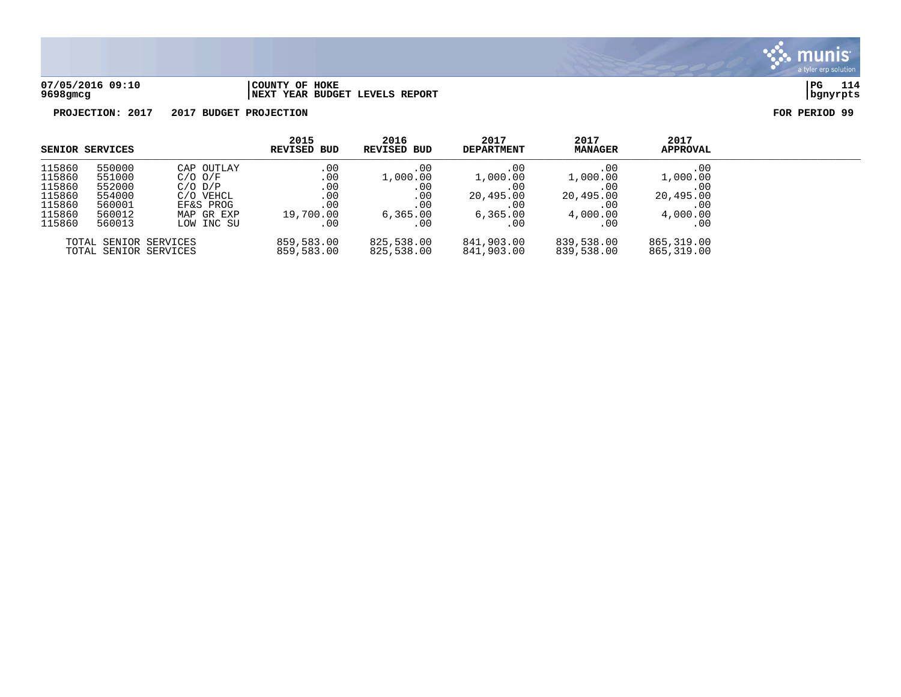

## **07/05/2016 09:10 |COUNTY OF HOKE |PG 114 9698gmcg |NEXT YEAR BUDGET LEVELS REPORT |bgnyrpts**

|                                                                    | SENIOR SERVICES                                                    |                                                                                                | 2015<br>REVISED BUD                                 | 2016<br>REVISED BUD                                            | 2017<br><b>DEPARTMENT</b>                                             | 2017<br><b>MANAGER</b>                                        | 2017<br><b>APPROVAL</b>                                       |  |
|--------------------------------------------------------------------|--------------------------------------------------------------------|------------------------------------------------------------------------------------------------|-----------------------------------------------------|----------------------------------------------------------------|-----------------------------------------------------------------------|---------------------------------------------------------------|---------------------------------------------------------------|--|
| 115860<br>115860<br>115860<br>115860<br>115860<br>115860<br>115860 | 550000<br>551000<br>552000<br>554000<br>560001<br>560012<br>560013 | CAP OUTLAY<br>$C/O$ $O/F$<br>$C/O$ $D/P$<br>C/O VEHCL<br>EF&S PROG<br>MAP GR EXP<br>LOW INC SU | .00<br>.00<br>.00<br>.00<br>.00<br>19,700.00<br>.00 | .00.<br>1,000.00<br>$.00\,$<br>.00<br>.00<br>6, 365.00<br>. 00 | .00<br>1,000.00<br>.00.<br>20,495.00<br>.00<br>6, 365, 00<br>$.00 \,$ | .00<br>1,000.00<br>.00<br>20,495.00<br>.00<br>4,000.00<br>.00 | .00<br>1,000.00<br>.00<br>20,495.00<br>.00<br>4,000.00<br>.00 |  |
|                                                                    |                                                                    | TOTAL SENIOR SERVICES<br>TOTAL SENIOR SERVICES                                                 | 859,583.00<br>859,583.00                            | 825,538.00<br>825,538.00                                       | 841,903.00<br>841,903.00                                              | 839,538.00<br>839,538.00                                      | 865,319.00<br>865,319.00                                      |  |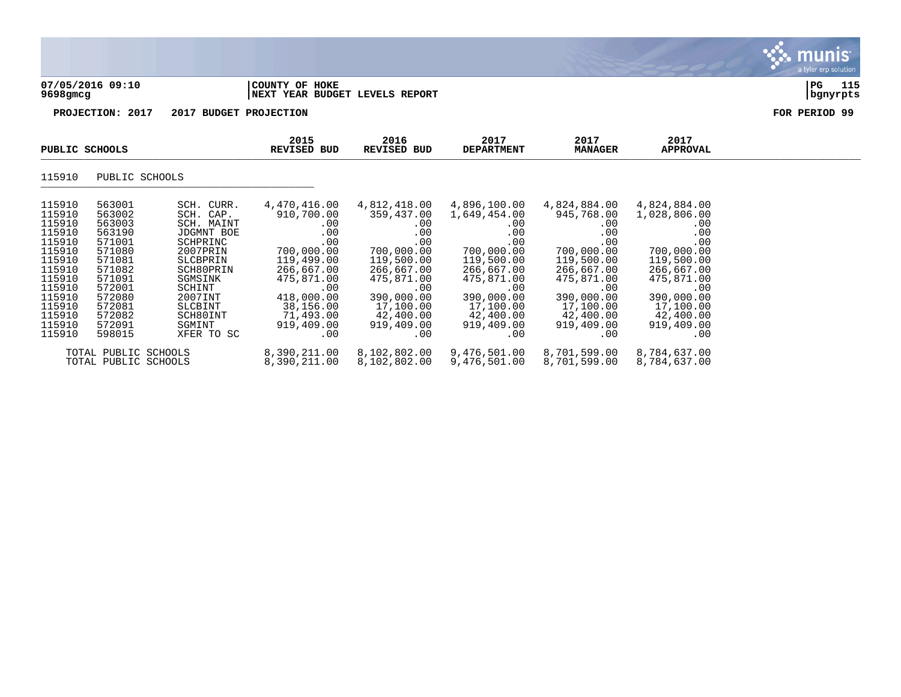| 07/05/2016 09:10 | COUNTY OF<br>HOKE                            | PG       | 115<br>--- |
|------------------|----------------------------------------------|----------|------------|
| 9698gmcg         | BUDGET LEVELS<br>REPORT<br><b>INEXT YEAR</b> | banvrpts |            |

# **9698gmcg |NEXT YEAR BUDGET LEVELS REPORT |bgnyrpts**

, munis<sup>.</sup> a tyler erp solution

| PUBLIC SCHOOLS                                                                                                                                     |                                                                                                                                                    | 2015<br>REVISED BUD                                                                                                                                                                 | 2016<br>REVISED BUD                                                                                                                                                                 | 2017<br><b>DEPARTMENT</b>                                                                                                                                                   | 2017<br><b>MANAGER</b>                                                                                                                                                             | 2017<br>APPROVAL                                                                                                                                                                 |                                                                                                                                                                                       |  |
|----------------------------------------------------------------------------------------------------------------------------------------------------|----------------------------------------------------------------------------------------------------------------------------------------------------|-------------------------------------------------------------------------------------------------------------------------------------------------------------------------------------|-------------------------------------------------------------------------------------------------------------------------------------------------------------------------------------|-----------------------------------------------------------------------------------------------------------------------------------------------------------------------------|------------------------------------------------------------------------------------------------------------------------------------------------------------------------------------|----------------------------------------------------------------------------------------------------------------------------------------------------------------------------------|---------------------------------------------------------------------------------------------------------------------------------------------------------------------------------------|--|
| 115910                                                                                                                                             | PUBLIC SCHOOLS                                                                                                                                     |                                                                                                                                                                                     |                                                                                                                                                                                     |                                                                                                                                                                             |                                                                                                                                                                                    |                                                                                                                                                                                  |                                                                                                                                                                                       |  |
| 115910<br>115910<br>115910<br>115910<br>115910<br>115910<br>115910<br>115910<br>115910<br>115910<br>115910<br>115910<br>115910<br>115910<br>115910 | 563001<br>563002<br>563003<br>563190<br>571001<br>571080<br>571081<br>571082<br>571091<br>572001<br>572080<br>572081<br>572082<br>572091<br>598015 | SCH. CURR.<br>SCH. CAP.<br>SCH. MAINT<br>JDGMNT BOE<br>SCHPRINC<br>2007PRIN<br>SLCBPRIN<br>SCH80PRIN<br>SGMSINK<br>SCHINT<br>2007INT<br>SLCBINT<br>SCH80INT<br>SGMINT<br>XFER TO SC | 4,470,416.00<br>910,700.00<br>$.00 \ \rm$<br>.00<br>.00<br>700,000.00<br>119,499.00<br>266,667.00<br>475,871.00<br>.00<br>418,000.00<br>38,156.00<br>71,493.00<br>919,409.00<br>.00 | 4,812,418.00<br>359,437.00<br>.00<br>.00<br>.00<br>700,000.00<br>119,500.00<br>266,667.00<br>475,871.00<br>.00<br>390,000.00<br>17,100.00<br>42,400.00<br>919,409.00<br>.00 | 4,896,100.00<br>1,649,454.00<br>$.00 \,$<br>.00<br>.00<br>700,000.00<br>119,500.00<br>266,667.00<br>475,871.00<br>.00<br>390,000.00<br>17,100.00<br>42,400.00<br>919,409.00<br>.00 | 4,824,884.00<br>945,768.00<br>.00<br>$.00 \,$<br>.00<br>700,000.00<br>119,500.00<br>266,667.00<br>475,871.00<br>.00<br>390,000.00<br>17,100.00<br>42,400.00<br>919,409.00<br>.00 | 4,824,884.00<br>1,028,806.00<br>.00<br>.00<br>.00<br>700,000.00<br>119,500.00<br>266,667.00<br>475,871.00<br>$.00 \ \rm$<br>390,000.00<br>17,100.00<br>42,400.00<br>919,409.00<br>.00 |  |
|                                                                                                                                                    | TOTAL PUBLIC SCHOOLS<br>TOTAL PUBLIC SCHOOLS                                                                                                       |                                                                                                                                                                                     | 8,390,211.00<br>8,390,211.00                                                                                                                                                        | 8,102,802.00<br>8,102,802.00                                                                                                                                                | 9,476,501.00<br>9,476,501.00                                                                                                                                                       | 8,701,599.00<br>8,701,599.00                                                                                                                                                     | 8,784,637.00<br>8,784,637.00                                                                                                                                                          |  |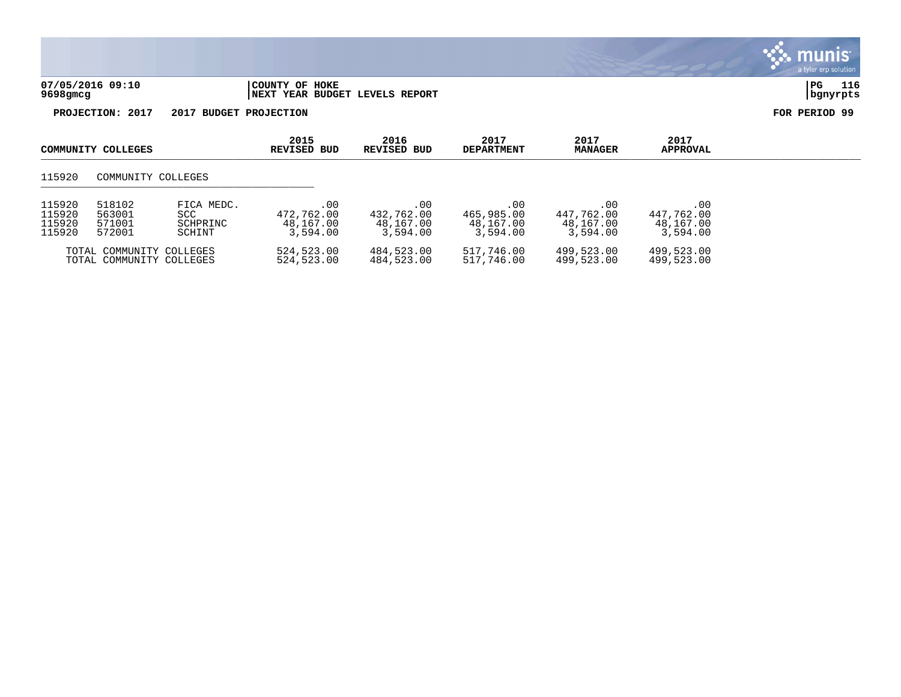

| 115920 | 518102                                               | FICA MEDC. | .00                      | .00                      | . 00                     | .00                      | .00                      |
|--------|------------------------------------------------------|------------|--------------------------|--------------------------|--------------------------|--------------------------|--------------------------|
| 115920 | 563001                                               | SCC        | 472,762.00               | 432,762.00               | 465,985.00               | 447.762.00               | 447.762.00               |
| 115920 | 571001                                               | SCHPRINC   | 48,167.00                | 48,167.00                | 48,167.00                | 48,167.00                | 48,167.00                |
| 115920 | 572001                                               | SCHINT     | 3,594.00                 | 3,594.00                 | 3,594.00                 | 3,594.00                 | 3,594.00                 |
|        | TOTAL COMMUNITY COLLEGES<br>TOTAL COMMUNITY COLLEGES |            | 524,523.00<br>524,523.00 | 484,523.00<br>484,523.00 | 517,746.00<br>517,746.00 | 499,523.00<br>499,523.00 | 499,523.00<br>499,523.00 |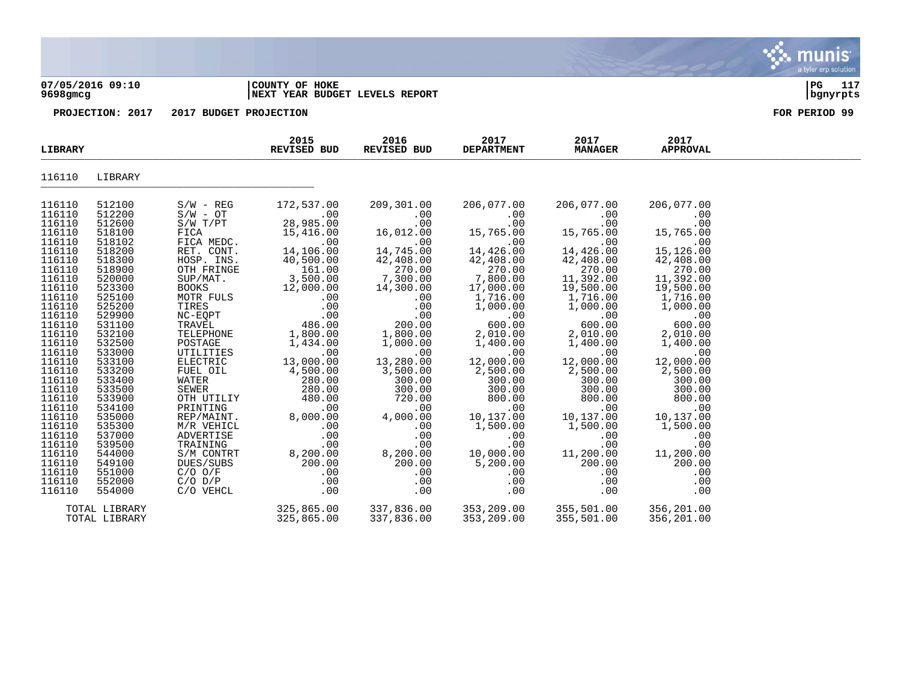## **07/05/2016 09:10 |COUNTY OF HOKE |PG 117 9698gmcg |NEXT YEAR BUDGET LEVELS REPORT |bgnyrpts**

**PROJECTION: 2017 2017 BUDGET PROJECTION FOR PERIOD 99**

| LIBRARY                                                                                                                                                                                                                                                                                                                      |                                                                                                                                                                                                                                                                                                                              |                                                                                                                                                                                                                                                                                                                                                                                                           | 2015<br>REVISED BUD                                                                                                                                                                                                                                                                                                          | 2016<br>REVISED BUD                                                                                                                                                                                                                                                                                                       | 2017<br><b>DEPARTMENT</b>                                                                                                                                                                                                                                                                                                                   | 2017<br><b>MANAGER</b>                                                                                                                                                                                                                                                                                                              | 2017<br><b>APPROVAL</b>                                                                                                                                                                                                                                                                                                             |  |
|------------------------------------------------------------------------------------------------------------------------------------------------------------------------------------------------------------------------------------------------------------------------------------------------------------------------------|------------------------------------------------------------------------------------------------------------------------------------------------------------------------------------------------------------------------------------------------------------------------------------------------------------------------------|-----------------------------------------------------------------------------------------------------------------------------------------------------------------------------------------------------------------------------------------------------------------------------------------------------------------------------------------------------------------------------------------------------------|------------------------------------------------------------------------------------------------------------------------------------------------------------------------------------------------------------------------------------------------------------------------------------------------------------------------------|---------------------------------------------------------------------------------------------------------------------------------------------------------------------------------------------------------------------------------------------------------------------------------------------------------------------------|---------------------------------------------------------------------------------------------------------------------------------------------------------------------------------------------------------------------------------------------------------------------------------------------------------------------------------------------|-------------------------------------------------------------------------------------------------------------------------------------------------------------------------------------------------------------------------------------------------------------------------------------------------------------------------------------|-------------------------------------------------------------------------------------------------------------------------------------------------------------------------------------------------------------------------------------------------------------------------------------------------------------------------------------|--|
| 116110                                                                                                                                                                                                                                                                                                                       | LIBRARY                                                                                                                                                                                                                                                                                                                      |                                                                                                                                                                                                                                                                                                                                                                                                           |                                                                                                                                                                                                                                                                                                                              |                                                                                                                                                                                                                                                                                                                           |                                                                                                                                                                                                                                                                                                                                             |                                                                                                                                                                                                                                                                                                                                     |                                                                                                                                                                                                                                                                                                                                     |  |
| 116110<br>116110<br>116110<br>116110<br>116110<br>116110<br>116110<br>116110<br>116110<br>116110<br>116110<br>116110<br>116110<br>116110<br>116110<br>116110<br>116110<br>116110<br>116110<br>116110<br>116110<br>116110<br>116110<br>116110<br>116110<br>116110<br>116110<br>116110<br>116110<br>116110<br>116110<br>116110 | 512100<br>512200<br>512600<br>518100<br>518102<br>518200<br>518300<br>518900<br>520000<br>523300<br>525100<br>525200<br>529900<br>531100<br>532100<br>532500<br>533000<br>533100<br>533200<br>533400<br>533500<br>533900<br>534100<br>535000<br>535300<br>537000<br>539500<br>544000<br>549100<br>551000<br>552000<br>554000 | $S/W - REG$<br>$S/W - OT$<br>S/W T/PT<br>FICA<br>FICA MEDC.<br>RET. CONT.<br>HOSP. INS.<br>OTH FRINGE<br>SUP/MAT.<br>BOOKS<br>MOTR FULS<br>TIRES<br>NC-EQPT<br>TRAVEL<br>TELEPHONE<br>POSTAGE<br>UTILITIES<br>ELECTRIC<br>FUEL OIL<br>WATER<br>SEWER<br>OTH UTILIY<br>PRINTING<br>REP/MAINT.<br>M/R VEHICL<br>ADVERTISE<br>TRAINING<br>S/M CONTRT<br>DUES/SUBS<br>$C/O$ $O/F$<br>$C/O$ $D/P$<br>C/O VEHCL | 172,537.00<br>.00<br>28,985.00<br>15,416.00<br>.00<br>14,106.00<br>40,500.00<br>161.00<br>3,500.00<br>12,000.00<br>.00<br>.00<br>.00<br>486.00<br>1,800.00<br>1,434.00<br>.00<br>13,000.00<br>4,500.00<br>280.00<br>280.00<br>480.00<br>.00<br>8,000.00<br>.00<br>.00<br>.00<br>8,200.00<br>200.00<br>.00<br>.00<br>$.00 \,$ | 209,301.00<br>.00<br>.00<br>16,012.00<br>.00<br>14,745.00<br>$42,408.00$<br>$270.00$<br>$7,300.00$<br>$14,300.00$<br>.00<br>.00<br>.00<br>200.00<br>1,800.00<br>1,000.00<br>.00<br>13,280.00<br>3,500.00<br>300.00<br>300.00<br>720.00<br>.00<br>4,000.00<br>.00<br>.00<br>.00<br>8,200.00<br>200.00<br>.00<br>.00<br>.00 | 206,077.00<br>.00<br>.00<br>15,765.00<br>.00<br>14,426.00<br>42,408.00<br>270.00<br>7,800.00<br>17,000.00<br>1,716.00<br>1,000.00<br>.00<br>600.00<br>2,010.00<br>1,400.00<br>.00<br>12,000.00<br>2,500.00<br>300.00<br>300.00<br>800.00<br>.00<br>10,137.00<br>1,500.00<br>.00<br>.00<br>10,000.00<br>5,200.00<br>.00<br>.00<br>$.00 \ \,$ | 206,077.00<br>.00<br>.00<br>15,765.00<br>.00<br>14,426.00<br>42,408.00<br>270.00<br>11,392.00<br>19,500.00<br>1,716.00<br>1,000.00<br>.00<br>600.00<br>2,010.00<br>1,400.00<br>.00<br>12,000.00<br>2,500.00<br>300.00<br>300.00<br>800.00<br>.00<br>10,137.00<br>1,500.00<br>.00<br>.00<br>11,200.00<br>200.00<br>.00<br>.00<br>.00 | 206,077.00<br>.00<br>.00<br>15,765.00<br>.00<br>15,126.00<br>42,408.00<br>270.00<br>11,392.00<br>19,500.00<br>1,716.00<br>1,000.00<br>.00<br>600.00<br>2,010.00<br>1,400.00<br>.00<br>12,000.00<br>2,500.00<br>300.00<br>300.00<br>800.00<br>.00<br>10,137.00<br>1,500.00<br>.00<br>.00<br>11,200.00<br>200.00<br>.00<br>.00<br>.00 |  |
|                                                                                                                                                                                                                                                                                                                              | TOTAL LIBRARY<br>TOTAL LIBRARY                                                                                                                                                                                                                                                                                               |                                                                                                                                                                                                                                                                                                                                                                                                           | 325,865.00<br>325,865.00                                                                                                                                                                                                                                                                                                     | 337,836.00<br>337,836.00                                                                                                                                                                                                                                                                                                  | 353,209.00<br>353,209.00                                                                                                                                                                                                                                                                                                                    | 355,501.00<br>355,501.00                                                                                                                                                                                                                                                                                                            | 356,201.00<br>356,201.00                                                                                                                                                                                                                                                                                                            |  |

munis a tyler erp solution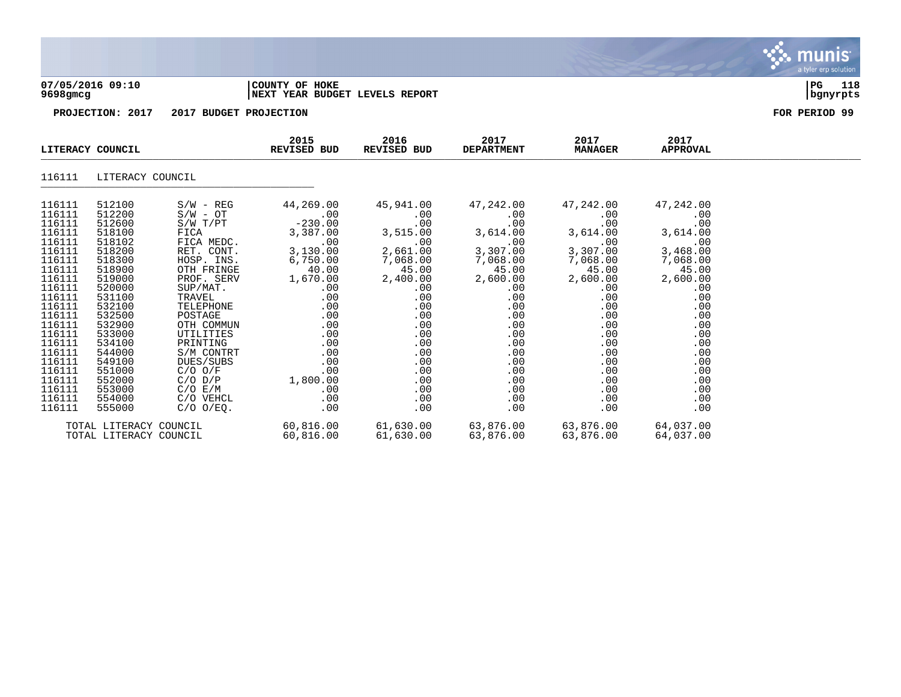

## **07/05/2016 09:10 |COUNTY OF HOKE |PG 118 9698gmcg |NEXT YEAR BUDGET LEVELS REPORT |bgnyrpts**

| LITERACY COUNCIL                                                                                                                                                                                     |                                                                                                                                                                                                      |                                                                                                                                                                                 | 2015<br>REVISED BUD                                                                                                                                                                                                                                               | 2016<br>REVISED BUD                                                                                                                                                                                       | 2017<br><b>DEPARTMENT</b>                                                                                                                                                  | 2017<br><b>MANAGER</b>                                                                                                                                                              | 2017<br><b>APPROVAL</b>                                                                                                                                                |  |
|------------------------------------------------------------------------------------------------------------------------------------------------------------------------------------------------------|------------------------------------------------------------------------------------------------------------------------------------------------------------------------------------------------------|---------------------------------------------------------------------------------------------------------------------------------------------------------------------------------|-------------------------------------------------------------------------------------------------------------------------------------------------------------------------------------------------------------------------------------------------------------------|-----------------------------------------------------------------------------------------------------------------------------------------------------------------------------------------------------------|----------------------------------------------------------------------------------------------------------------------------------------------------------------------------|-------------------------------------------------------------------------------------------------------------------------------------------------------------------------------------|------------------------------------------------------------------------------------------------------------------------------------------------------------------------|--|
| 116111                                                                                                                                                                                               | LITERACY COUNCIL                                                                                                                                                                                     |                                                                                                                                                                                 |                                                                                                                                                                                                                                                                   |                                                                                                                                                                                                           |                                                                                                                                                                            |                                                                                                                                                                                     |                                                                                                                                                                        |  |
| 116111<br>116111<br>116111<br>116111<br>116111<br>116111<br>116111<br>116111<br>116111<br>116111<br>116111<br>116111<br>116111<br>116111<br>116111<br>116111<br>116111<br>116111<br>116111<br>116111 | 512100<br>512200<br>512600<br>518100<br>518102<br>518200<br>518300<br>518900<br>519000<br>520000<br>531100<br>532100<br>532500<br>532900<br>533000<br>534100<br>544000<br>549100<br>551000<br>552000 | $S/W - REG$<br>S/W - OT<br>S/W T/PT<br>FICA MEDC.<br>RET. CONT.<br>SUP/MAT.<br>TRAVEL<br>TELEPHONE<br>POSTAGE<br>OTH COMMUN<br>UTILITIES<br>PRINTING<br>S/M CONTRT<br>DUES/SUBS | 44,269.00<br>$44, 20$<br>$-0.00$<br>$-230.00$<br>$2.87.00$<br>3,5<br>FICA 3,387.00<br>.00<br>3,130.00<br>HOSP. INS. 6,750.00<br>OTH FRINGE 40.00<br>PROF. SERV 1,670.00<br>.00<br>.00<br>.00<br>.00<br>.00<br>.00<br>$C/O O/F$ .00<br>$C/O D/P$ .00<br>$1,800.00$ | 45,941.00<br>$.00 \,$<br>.00<br>$3,515.00$ 3<br>.00<br>2,661.00<br>7,068.00<br>45.00<br>$2,400.00$<br>.00<br>$.00 \,$<br>.00<br>.00<br>.00<br>.00<br>.00<br>.00<br>.00<br>.00<br>.00<br>.00<br>.00<br>.00 | 47,242.00<br>$.00\,$<br>.00<br>3,614.00<br>.00<br>3,307.00<br>$7,068.00$<br>45.00<br>2,600.00<br>.00<br>.00<br>.00<br>.00<br>.00<br>.00<br>.00<br>.00<br>.00<br>.00<br>.00 | 47,242.00<br>$.00\,$<br>.00<br>$3,614.00$ 3<br>.00<br>3,307.00<br>$7,068.00$<br>45.00<br>2,600.00<br>$.00 \,$<br>.00<br>.00<br>.00<br>.00<br>.00<br>.00<br>.00<br>.00<br>.00<br>.00 | 47,242.00<br>.00<br>.00<br>3,614.00<br>.00<br>3,468.00<br>$7,068.00$<br>45.00<br>2,600.00<br>.00<br>.00<br>.00<br>.00<br>.00<br>.00<br>.00<br>.00<br>.00<br>.00<br>.00 |  |
| 116111<br>116111<br>116111                                                                                                                                                                           | 553000<br>554000<br>555000                                                                                                                                                                           | $C/O$ $E/M$<br>C/O VEHCL<br>C/O O/EQ.                                                                                                                                           | .00<br>.00<br>.00                                                                                                                                                                                                                                                 | .00<br>.00<br>.00                                                                                                                                                                                         | .00<br>.00<br>.00                                                                                                                                                          | .00<br>.00<br>.00                                                                                                                                                                   | .00<br>.00<br>.00                                                                                                                                                      |  |
|                                                                                                                                                                                                      | TOTAL LITERACY COUNCIL<br>TOTAL LITERACY COUNCIL                                                                                                                                                     |                                                                                                                                                                                 | 60,816.00                                                                                                                                                                                                                                                         | 61,630.00                                                                                                                                                                                                 | $60,816.00$ $61,630.00$ $63,876.00$ $63,876.00$<br>63,876.00                                                                                                               | 63,876.00                                                                                                                                                                           | 64,037.00<br>64,037.00                                                                                                                                                 |  |

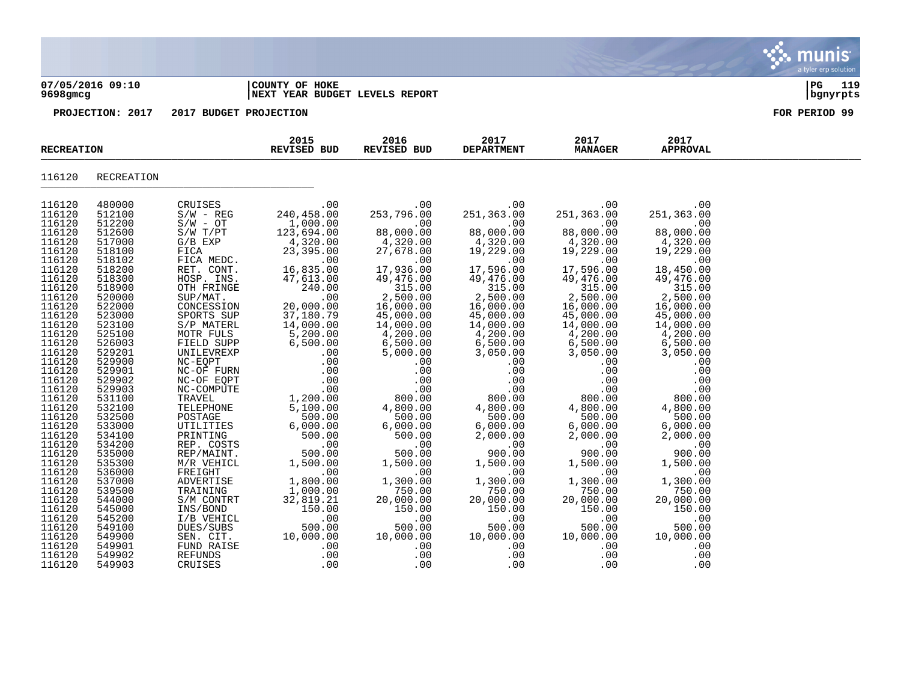|                  |                                 | ___________ |     |
|------------------|---------------------------------|-------------|-----|
| 07/05/2016 09:10 | COUNTY OF HOKE                  | PG          | 119 |
| 9698gmcg         | INEXT YEAR BUDGET LEVELS REPORT | .bqnvrpts   | --- |

| <b>RECREATION</b> |                  |                          | 2015<br>REVISED BUD    | 2016<br>REVISED BUD    | 2017<br><b>DEPARTMENT</b> | 2017<br><b>MANAGER</b> | 2017<br><b>APPROVAL</b> |  |
|-------------------|------------------|--------------------------|------------------------|------------------------|---------------------------|------------------------|-------------------------|--|
| 116120            | RECREATION       |                          |                        |                        |                           |                        |                         |  |
| 116120            | 480000           | CRUISES                  | $\sim$ 00              | .00                    | .00                       | .00                    | .00                     |  |
| 116120            | 512100           | $S/W - REG$              | 240,458.00             | 253,796.00             | 251,363.00                | 251,363.00             | 251,363.00              |  |
| 116120            | 512200           | $S/W - OT$               | 1,000.00               | .00                    | .00                       | .00                    | .00                     |  |
| 116120            | 512600           | S/W T/PT                 | 123,694.00             | 88,000.00              | 88,000.00                 | 88,000.00              | 88,000.00               |  |
| 116120            | 517000           | $G/B$ $EXP$              | 4,320.00               | 4,320.00               | 4,320.00                  | 4,320.00               | 4,320.00                |  |
| 116120            | 518100           | FICA                     | 23,395.00              | 27,678.00              | 19,229.00                 | 19,229.00              | 19,229.00               |  |
| 116120            | 518102           | FICA MEDC.               | .00                    | .00                    | .00                       | .00                    | .00                     |  |
| 116120            | 518200           | RET. CONT.               | 16,835.00              | 17,936.00              | 17,596.00                 | 17,596.00              | 18,450.00               |  |
| 116120            | 518300           | HOSP. INS.               | 47,613.00              | 49,476.00              | 49,476.00                 | 49,476.00              | 49,476.00               |  |
| 116120            | 518900           | OTH FRINGE               | 240.00                 | 315.00                 | $315.00$<br>2,500.00      | $315.00$<br>2,500.00   | 315.00                  |  |
| 116120            | 520000           | SUP/MAT.                 | .00                    | 2,500.00               |                           |                        | 2,500.00                |  |
| 116120<br>116120  | 522000<br>523000 | CONCESSION               | 20,000.00              | 16,000.00<br>45,000.00 | 16,000.00                 | 16,000.00              | 16,000.00               |  |
| 116120            | 523100           | SPORTS SUP<br>S/P MATERL | 37,180.79<br>14,000.00 | 14,000.00              | 45,000.00<br>14,000.00    | 45,000.00<br>14,000.00 | 45,000.00<br>14,000.00  |  |
| 116120            | 525100           | MOTR FULS                | 5,200.00               | 4,200.00               | 4,200.00                  | 4,200.00               | 4,200.00                |  |
| 116120            | 526003           | FIELD SUPP               | 6,500.00               | 6,500.00               | 6,500.00                  | 6,500.00               | 6,500.00                |  |
| 116120            | 529201           | UNILEVREXP               | .00                    | 5,000.00               | 3,050.00                  | 3,050.00               | 3,050.00                |  |
| 116120            | 529900           | NC-EQPT                  | .00                    | .00                    | .00                       | .00                    | .00                     |  |
| 116120            | 529901           | NC-OF FURN               | .00                    | .00                    | .00                       | .00                    | .00                     |  |
| 116120            | 529902           | NC-OF EQPT               | .00                    | .00                    | .00                       | .00                    | .00                     |  |
| 116120            | 529903           | NC-COMPUTE               | .00                    | .00                    | .00                       | .00                    | .00                     |  |
| 116120            | 531100           | TRAVEL                   | 1,200.00               | 800.00                 | 800.00                    | 800.00                 | 800.00                  |  |
| 116120            | 532100           | TELEPHONE                | 5,100.00               | 4,800.00               | 4,800.00                  | 4,800.00               | 4,800.00                |  |
| 116120            | 532500           | POSTAGE                  | 500.00                 | 500.00                 | 500.00                    | 500.00                 | 500.00                  |  |
| 116120            | 533000           | UTILITIES                | 6,000.00               | 6,000.00               | 6,000.00                  | 6,000.00               | 6,000.00                |  |
| 116120            | 534100           | PRINTING                 | 500.00                 | 500.00                 | 2,000.00                  | 2,000.00               | 2,000.00                |  |
| 116120            | 534200           | REP. COSTS               | .00<br>500.00          | .00                    | .00<br>900.00             | .00                    | .00                     |  |
| 116120<br>116120  | 535000<br>535300 | REP/MAINT.<br>M/R VEHICL | 1,500.00               | 500.00<br>1,500.00     | 1,500.00                  | 900.00<br>1,500.00     | 900.00<br>1,500.00      |  |
| 116120            | 536000           | FREIGHT                  | .00                    | .00                    | $\overline{1}$ . 00       | .00                    | .00                     |  |
| 116120            | 537000           | ADVERTISE                | 1,800.00               | 1,300.00               | 1,300.00                  | 1,300.00               | 1,300.00                |  |
| 116120            | 539500           | TRAINING                 | 1,000.00               | 750.00                 | 750.00                    | 750.00                 | 750.00                  |  |
| 116120            | 544000           | S/M CONTRT               | 32,819.21              | 20,000.00              | 20,000.00                 | 20,000.00              | 20,000.00               |  |
| 116120            | 545000           | INS/BOND                 | 150.00                 | 150.00                 | 150.00                    | 150.00                 | 150.00                  |  |
| 116120            | 545200           | I/B VEHICL               | .00                    | .00                    | .00                       | .00                    | .00                     |  |
| 116120            | 549100           | DUES/SUBS                | 500.00                 | 500.00                 | 500.00                    | 500.00                 | 500.00                  |  |
| 116120            | 549900           | SEN. CIT.                | 10,000.00              | 10,000.00              | 10,000.00                 | 10,000.00              | 10,000.00               |  |
| 116120            | 549901           | FUND RAISE               | .00                    | $.00 \,$               | .00                       | $.00 \,$               | .00                     |  |
| 116120            | 549902           | REFUNDS                  | .00                    | .00                    | .00                       | .00                    | .00                     |  |
| 116120            | 549903           | CRUISES                  | .00                    | .00                    | .00                       | .00                    | .00                     |  |

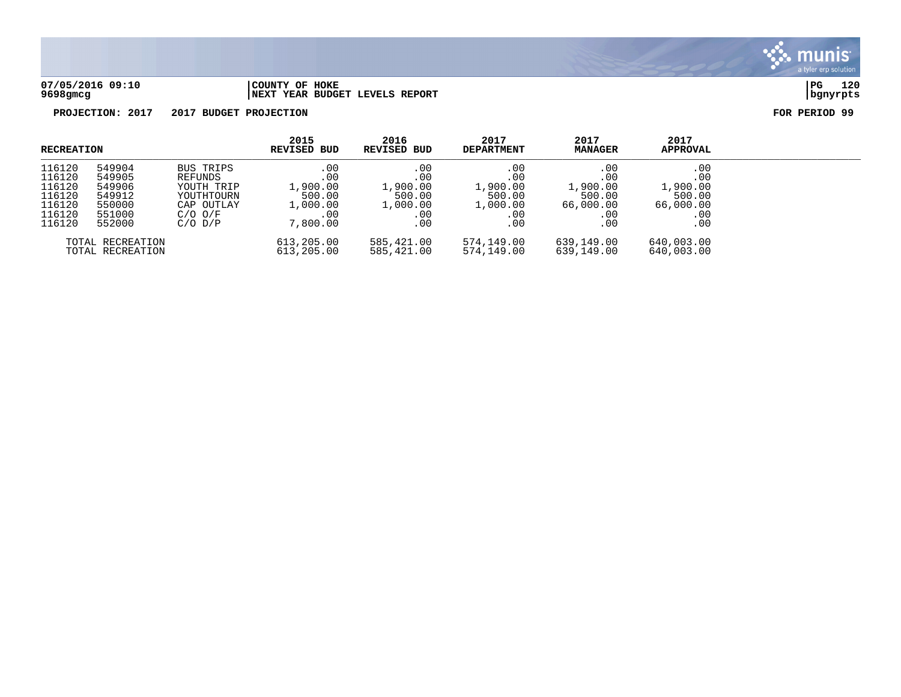

## **07/05/2016 09:10 |COUNTY OF HOKE |PG 120 9698gmcg |NEXT YEAR BUDGET LEVELS REPORT |bgnyrpts**

| <b>RECREATION</b>                                                  |                                                                    |                                                                                              | 2015<br>REVISED BUD                                             | 2016<br>REVISED BUD                                        | 2017<br><b>DEPARTMENT</b>                                  | 2017<br><b>MANAGER</b>                                      | 2017<br><b>APPROVAL</b>                                          |  |
|--------------------------------------------------------------------|--------------------------------------------------------------------|----------------------------------------------------------------------------------------------|-----------------------------------------------------------------|------------------------------------------------------------|------------------------------------------------------------|-------------------------------------------------------------|------------------------------------------------------------------|--|
| 116120<br>116120<br>116120<br>116120<br>116120<br>116120<br>116120 | 549904<br>549905<br>549906<br>549912<br>550000<br>551000<br>552000 | BUS TRIPS<br>REFUNDS<br>YOUTH TRIP<br>YOUTHTOURN<br>CAP OUTLAY<br>$C/O$ $O/F$<br>$C/O$ $D/P$ | .00<br>.00<br>1,900.00<br>500.00<br>1,000.00<br>.00<br>7,800.00 | .00<br>.00<br>1,900.00<br>500.00<br>1,000.00<br>.00<br>.00 | .00<br>.00<br>1,900.00<br>500.00<br>1,000.00<br>.00<br>.00 | .00<br>.00<br>1,900.00<br>500.00<br>66,000.00<br>.00<br>.00 | .00<br>.00<br>1,900.00<br>500.00<br>66,000.00<br>$.00 \,$<br>.00 |  |
|                                                                    | TOTAL RECREATION<br>TOTAL RECREATION                               |                                                                                              | 613,205.00<br>613,205.00                                        | 585,421.00<br>585,421.00                                   | 574,149.00<br>574,149.00                                   | 639,149.00<br>639,149.00                                    | 640,003.00<br>640,003.00                                         |  |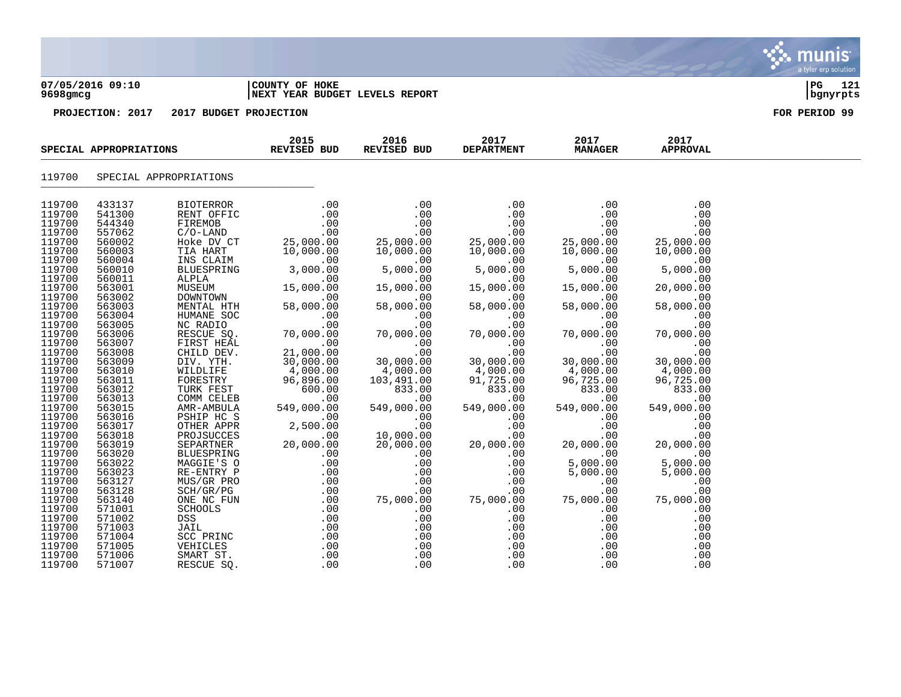| 07/05/2016 09:10<br>9698gmcg | COUNTY OF HOKE<br><b>INEXT YEAR BUDGET LEVELS REPORT</b> | 121<br>  PG<br>  bgnyrpts |
|------------------------------|----------------------------------------------------------|---------------------------|
| PROJECTION: 2017             | 2017 BUDGET PROJECTION                                   | FOR PERIOD 99             |
|                              |                                                          |                           |

| SPECIAL APPROPRIATIONS |                  | 2015<br><b>REVISED BUD</b>                                                                                                                                                                                                                                                                | 2016<br>REVISED BUD                                                 | 2017<br><b>DEPARTMENT</b>                     | 2017<br><b>MANAGER</b> | 2017<br><b>APPROVAL</b>                               |                               |  |
|------------------------|------------------|-------------------------------------------------------------------------------------------------------------------------------------------------------------------------------------------------------------------------------------------------------------------------------------------|---------------------------------------------------------------------|-----------------------------------------------|------------------------|-------------------------------------------------------|-------------------------------|--|
| 119700                 |                  | SPECIAL APPROPRIATIONS                                                                                                                                                                                                                                                                    |                                                                     |                                               |                        |                                                       |                               |  |
| 119700                 | 433137           | BIOTERROR                                                                                                                                                                                                                                                                                 | .00                                                                 | .00                                           | .00                    | .00                                                   | .00                           |  |
| 119700                 | 541300           | RENT OFFIC                                                                                                                                                                                                                                                                                | .00                                                                 | .00                                           | .00                    | .00                                                   | .00                           |  |
| 119700                 | 544340           | FIREMOB                                                                                                                                                                                                                                                                                   |                                                                     | .00                                           | .00                    | .00                                                   | .00                           |  |
| 119700                 | 557062           | $C/O-LAND$                                                                                                                                                                                                                                                                                | $\begin{array}{cc} 0.00 & 0.00 \ \text{CT} & 25,000.00 \end{array}$ | .00                                           | .00                    | .00                                                   | .00                           |  |
| 119700                 | 560002           | Hoke DV CT                                                                                                                                                                                                                                                                                |                                                                     | $25,000.00$<br>10,000.00<br>00.00<br>5,000.00 | 25,000.00              | 25,000.00                                             | 25,000.00                     |  |
| 119700                 | 560003           | TIA HART                                                                                                                                                                                                                                                                                  | 10,000.00                                                           |                                               | 10,000.00              | 10,000.00                                             | 10,000.00                     |  |
| 119700                 | 560004           |                                                                                                                                                                                                                                                                                           | $\sim 00$                                                           |                                               | $\sim$ 00              | .00                                                   | .00                           |  |
| 119700                 | 560010           |                                                                                                                                                                                                                                                                                           | 3,000.00                                                            |                                               | 5,000.00               | 5,000.00                                              | 5,000.00                      |  |
| 119700                 | 560011           | $\begin{tabular}{lllllllllll} & A & In. \\ \hline MS CLALPLA & & & & \\ ALPLA & & & & \\ \hline MUSEUM & & & & 15,000. \\ \hline DOWNTOWN & & & & .0^r \\ \hline MENTAAL HTH & & & & 58,000. \\ \hline MUMANE SOC & & & & \\ \hline & RADIO & & & \\ & & ^ & SQ. & & 70 \\ \end{tabular}$ | .00                                                                 | .00                                           | .00                    | .00                                                   | .00                           |  |
| 119700                 | 563001           |                                                                                                                                                                                                                                                                                           | 15,000.00                                                           | 15,000.00<br>15,00                            | 15,000.00              | 15,000.00                                             | 20,000.00                     |  |
| 119700                 | 563002           |                                                                                                                                                                                                                                                                                           | .00                                                                 | .00                                           | .00                    | .00                                                   | .00                           |  |
| 119700                 | 563003           |                                                                                                                                                                                                                                                                                           | 58,000.00                                                           | 58,000.00                                     | 58,000.00              | 58,000.00                                             | 58,000.00                     |  |
| 119700                 | 563004           |                                                                                                                                                                                                                                                                                           | .00                                                                 | .00                                           | .00                    | .00                                                   | .00                           |  |
| 119700                 | 563005           |                                                                                                                                                                                                                                                                                           | .00                                                                 | .00                                           | .00                    | .00                                                   | .00                           |  |
| 119700                 | 563006           |                                                                                                                                                                                                                                                                                           | 70,000.00                                                           | 70,000.00                                     | 70,000.00              | 70,000.00                                             | 70,000.00                     |  |
| 119700<br>119700       | 563007<br>563008 |                                                                                                                                                                                                                                                                                           | .00                                                                 |                                               |                        | $\begin{array}{c} . & 0 & 0 \\ 0 & 0 & 0 \end{array}$ | .00                           |  |
| 119700                 | 563009           | CHILD DEV.<br>DIV. YTH.                                                                                                                                                                                                                                                                   | 21,000.00                                                           |                                               |                        | 00.<br>30,000.00<br>4,000.00                          | $00$<br>30,000.00<br>4,000.00 |  |
| 119700                 | 563010           |                                                                                                                                                                                                                                                                                           |                                                                     |                                               |                        |                                                       |                               |  |
| 119700                 | 563011           |                                                                                                                                                                                                                                                                                           |                                                                     |                                               |                        | 96,725.00                                             | 96,725.00                     |  |
| 119700                 | 563012           |                                                                                                                                                                                                                                                                                           |                                                                     |                                               | 833.00                 | 833.00                                                | 833.00                        |  |
| 119700                 | 563013           |                                                                                                                                                                                                                                                                                           |                                                                     |                                               | .00                    | .00                                                   | .00                           |  |
| 119700                 | 563015           |                                                                                                                                                                                                                                                                                           |                                                                     |                                               | 549,000.00             | 549,000.00                                            | 549,000.00                    |  |
| 119700                 | 563016           |                                                                                                                                                                                                                                                                                           |                                                                     |                                               | .00                    | .00                                                   | .00                           |  |
| 119700                 | 563017           |                                                                                                                                                                                                                                                                                           |                                                                     |                                               | .00                    | .00                                                   | .00                           |  |
| 119700                 | 563018           |                                                                                                                                                                                                                                                                                           |                                                                     |                                               | .00                    | .00                                                   | .00                           |  |
| 119700                 | 563019           |                                                                                                                                                                                                                                                                                           |                                                                     |                                               | 20,000.00              | 20,000.00                                             | 20,000.00                     |  |
| 119700                 | 563020           |                                                                                                                                                                                                                                                                                           |                                                                     |                                               | .00                    | .00                                                   | .00                           |  |
| 119700                 | 563022           |                                                                                                                                                                                                                                                                                           |                                                                     |                                               | .00                    | 5,000.00                                              | 5,000.00                      |  |
| 119700                 | 563023           |                                                                                                                                                                                                                                                                                           |                                                                     |                                               | .00                    | 5,000.00                                              | 5,000.00                      |  |
| 119700                 | 563127           |                                                                                                                                                                                                                                                                                           |                                                                     |                                               | .00                    | .00                                                   | .00                           |  |
| 119700                 | 563128           |                                                                                                                                                                                                                                                                                           |                                                                     |                                               | .00                    | .00                                                   | .00                           |  |
| 119700                 | 563140           |                                                                                                                                                                                                                                                                                           |                                                                     |                                               | 75,000.00              | 75,000.00                                             | 75,000.00                     |  |
| 119700                 | 571001           |                                                                                                                                                                                                                                                                                           |                                                                     |                                               | .00                    | .00                                                   | .00                           |  |
| 119700                 | 571002           |                                                                                                                                                                                                                                                                                           |                                                                     |                                               | .00                    | .00                                                   | .00                           |  |
| 119700                 | 571003           |                                                                                                                                                                                                                                                                                           |                                                                     |                                               | .00                    | .00                                                   | .00                           |  |
| 119700                 | 571004           |                                                                                                                                                                                                                                                                                           |                                                                     |                                               | .00                    | .00                                                   | .00                           |  |
| 119700                 | 571005           |                                                                                                                                                                                                                                                                                           |                                                                     |                                               | .00                    | .00                                                   | .00                           |  |
| 119700                 | 571006           |                                                                                                                                                                                                                                                                                           |                                                                     |                                               | .00                    | .00                                                   | .00                           |  |
| 119700                 | 571007           |                                                                                                                                                                                                                                                                                           |                                                                     |                                               | .00                    | .00                                                   | .00                           |  |

munis tyler erp solution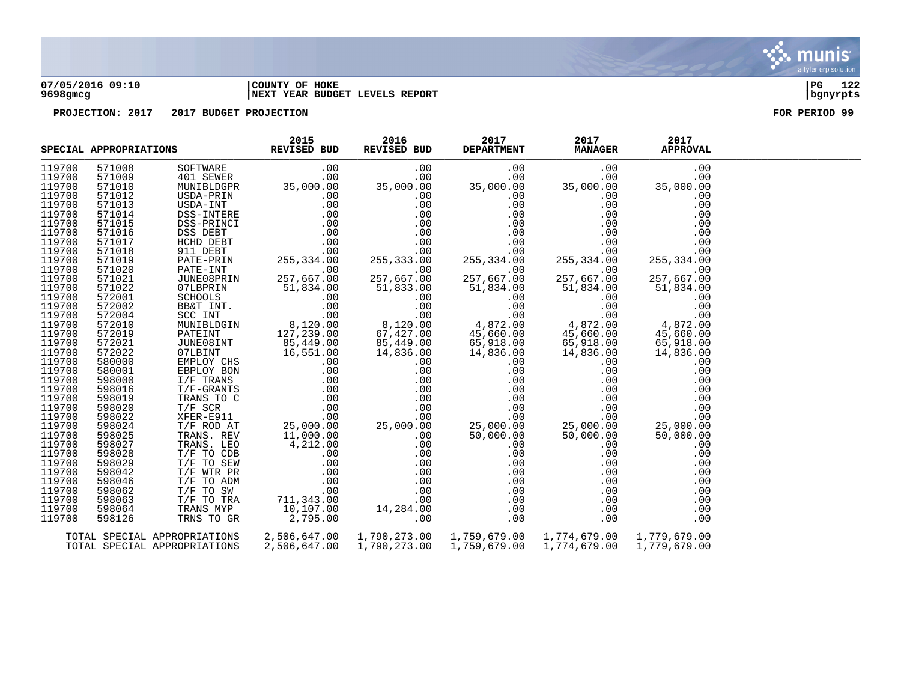

## **07/05/2016 09:10 |COUNTY OF HOKE |PG 122 9698gmcg |NEXT YEAR BUDGET LEVELS REPORT |bgnyrpts**

| 119700<br>571008<br>.00<br>.00<br>30FTWARE .00 .00<br>401 SEWER .00 .00<br>MUNIBLDGPR 35,000.00 35,000.00<br>USDA-INT .00 .00<br>USDA-INT .00 .00<br>DSS-INTERE .00 .0<br>DSS-PRINCI .00 .0<br>DSS-PRINCI .00 .0<br>DSS-DEBT .00 .0<br>HCHD DEBT .00 .0<br>911 DEBT .00 .0<br>PATE-PRI<br>.00<br>119700<br>571009<br>.00<br>.00<br>.00<br>119700<br>571010<br>35,000.00<br>35,000.00<br>35,000.00                                                                 |  |
|-------------------------------------------------------------------------------------------------------------------------------------------------------------------------------------------------------------------------------------------------------------------------------------------------------------------------------------------------------------------------------------------------------------------------------------------------------------------|--|
|                                                                                                                                                                                                                                                                                                                                                                                                                                                                   |  |
|                                                                                                                                                                                                                                                                                                                                                                                                                                                                   |  |
|                                                                                                                                                                                                                                                                                                                                                                                                                                                                   |  |
| 119700<br>571012<br>.00<br>.00<br>.00                                                                                                                                                                                                                                                                                                                                                                                                                             |  |
| 119700<br>571013<br>.00<br>.00<br>.00                                                                                                                                                                                                                                                                                                                                                                                                                             |  |
| 119700<br>571014<br>.00<br>.00<br>.00                                                                                                                                                                                                                                                                                                                                                                                                                             |  |
| 119700<br>571015<br>.00<br>.00<br>.00                                                                                                                                                                                                                                                                                                                                                                                                                             |  |
| 119700<br>.00<br>.00<br>571016<br>.00                                                                                                                                                                                                                                                                                                                                                                                                                             |  |
| $\frac{1}{255}$<br>119700<br>.00<br>571017<br>.00<br>.00                                                                                                                                                                                                                                                                                                                                                                                                          |  |
| 119700<br>571018<br>.00<br>.00<br>.00                                                                                                                                                                                                                                                                                                                                                                                                                             |  |
| 119700<br>255, 334.00<br>255, 334.00<br>571019<br>255,334.00                                                                                                                                                                                                                                                                                                                                                                                                      |  |
| 119700<br>571020<br>.00<br>.00<br>.00                                                                                                                                                                                                                                                                                                                                                                                                                             |  |
| 119700<br>571021<br>257,667.00<br>257,667.00<br>257,667.00                                                                                                                                                                                                                                                                                                                                                                                                        |  |
| 119700<br>571022<br>07LBPRIN<br>51,833.00<br>51,834.00<br>51,834.00<br>51,834.00<br>51,834.00                                                                                                                                                                                                                                                                                                                                                                     |  |
| 119700<br>572001<br>.00<br>.00<br>.00<br>.00<br>51,834.0<br>BE&T INT<br>BE&T INT .00<br>SCC INT .00<br>MUNIBLDGIN 8,120.00<br>PATEINT 127 230.00<br>TUNEOSTY                                                                                                                                                                                                                                                                                                      |  |
| 119700<br>.00<br>.00<br>.00<br>.00                                                                                                                                                                                                                                                                                                                                                                                                                                |  |
| 119700<br>.00<br>.00<br>.00<br>$00 \ 4,872.00$                                                                                                                                                                                                                                                                                                                                                                                                                    |  |
| 8,120.00<br>4,872.00<br>4,872.00<br>119700                                                                                                                                                                                                                                                                                                                                                                                                                        |  |
| 45,660.00<br>67,427.00<br>45,660.00<br>119700<br>45,660.00                                                                                                                                                                                                                                                                                                                                                                                                        |  |
| 119700<br>65,918.00<br>85,449.00<br>65,918.00                                                                                                                                                                                                                                                                                                                                                                                                                     |  |
| 304 BB&T<br>2010 MUNIBLOGIN<br>572019 PATEINT<br>572021 JUNE081NT<br>572022 JUNE081NT<br>572022 OTLBINT 165, 3<br>29700 580000 EMPLOY CHS<br>29700 580001 EBPLOY BON<br>700 598016 T/F-GRANTS<br>76 - 2000 T/P-GRANTS<br>29019 TRANS TO C .00<br>290<br>$65,910$<br>14,836.00<br>.00.<br>.0<br>119700<br>14,836.00<br>14,836.00<br>14,836.00                                                                                                                      |  |
| 119700<br>.00<br>.00                                                                                                                                                                                                                                                                                                                                                                                                                                              |  |
| 119700<br>.00<br>.00                                                                                                                                                                                                                                                                                                                                                                                                                                              |  |
| 119700<br>.00<br>.00<br>.00                                                                                                                                                                                                                                                                                                                                                                                                                                       |  |
| 119700<br>.00<br>.00<br>.00                                                                                                                                                                                                                                                                                                                                                                                                                                       |  |
| 119700<br>.00<br>.00                                                                                                                                                                                                                                                                                                                                                                                                                                              |  |
| 119700<br>.00<br>.00                                                                                                                                                                                                                                                                                                                                                                                                                                              |  |
| .00<br>119700<br>.00                                                                                                                                                                                                                                                                                                                                                                                                                                              |  |
| $\begin{array}{c} .00\ 0.00\ 0.00\ 0.00\ 0.00\ 50\, , 000\, .00\ 0.00\ 0.00\ \end{array}$<br>119700<br>25,000.00<br>25,000.00<br>119700                                                                                                                                                                                                                                                                                                                           |  |
| 50,000.00<br>50,000.00<br>119700                                                                                                                                                                                                                                                                                                                                                                                                                                  |  |
| .00<br>.00<br>119700<br>.00<br>.00<br>.00                                                                                                                                                                                                                                                                                                                                                                                                                         |  |
| 119700<br>598029<br>T/F TO SEW<br>.00<br>.00<br>.00<br>.00                                                                                                                                                                                                                                                                                                                                                                                                        |  |
| $\begin{array}{l} .00\ 00\ 00\ 00\ 00\ 00\ 00\ 00\ \end{array}$<br>119700<br>598042<br>.00<br>.00<br>.00                                                                                                                                                                                                                                                                                                                                                          |  |
| 119700<br>598046<br>.00<br>.00<br>.00                                                                                                                                                                                                                                                                                                                                                                                                                             |  |
| 119700<br>598062<br>.00<br>.00<br>.00                                                                                                                                                                                                                                                                                                                                                                                                                             |  |
| 119700<br>598063<br>.00<br>.00                                                                                                                                                                                                                                                                                                                                                                                                                                    |  |
| 119700<br>598064<br>.00<br>.00<br>.00                                                                                                                                                                                                                                                                                                                                                                                                                             |  |
| $14,836.00$<br>$0.00$<br>$0.00$<br>$0.00$<br>$0.00$<br>$0.00$<br>$0.00$<br>$0.00$<br>$0.00$<br>$0.00$<br>$0.00$<br>$0.00$<br>$0.00$<br>$0.00$<br>$0.00$<br>$0.00$<br>$0.00$<br>$0.00$<br>$0.00$<br>$0.00$<br>$0.00$<br>$0.00$<br>$0.00$<br>$0.00$<br>$0.00$<br>T/F WTR PR<br>T/F TO ADM<br>T/F TO SW<br>T/F TO TRA<br>TRANS MYP<br>TRNS TO GR<br>$711, 343$<br>$10, 107.00$<br>$295.00$<br>2,795.00<br>119700<br>TRNS TO GR<br>.00<br>598126<br>.00<br>.00<br>.00 |  |
|                                                                                                                                                                                                                                                                                                                                                                                                                                                                   |  |
| 2,506,647.00<br>TOTAL SPECIAL APPROPRIATIONS<br>1,779,679.00                                                                                                                                                                                                                                                                                                                                                                                                      |  |
| 2,506,647.00<br>1,790,273.00<br>1,759,679.00<br>TOTAL SPECIAL APPROPRIATIONS<br>1,774,679.00<br>1,779,679.00                                                                                                                                                                                                                                                                                                                                                      |  |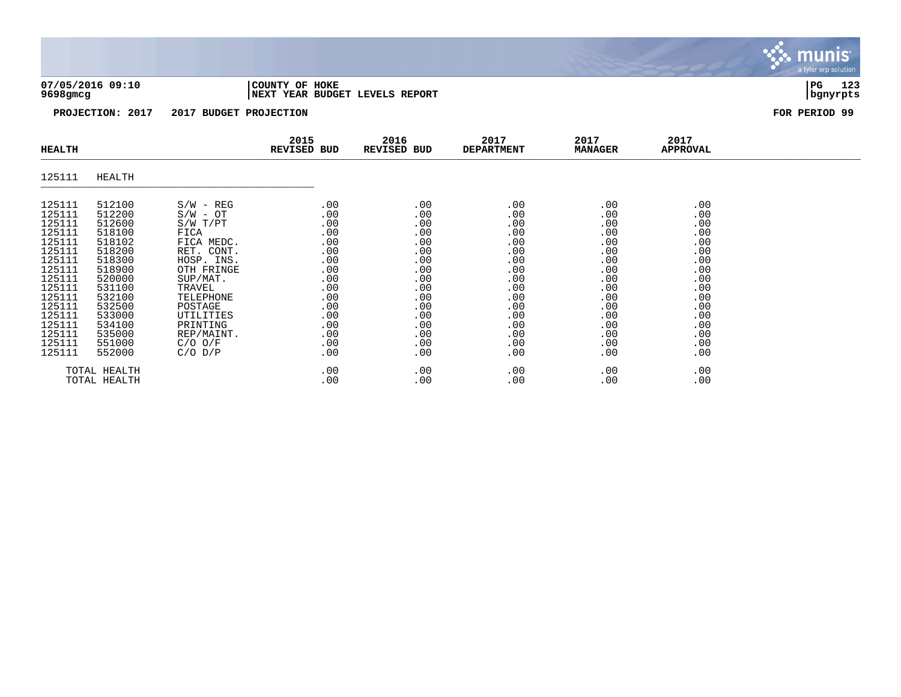## **07/05/2016 09:10 |COUNTY OF HOKE |PG 123 9698gmcg |NEXT YEAR BUDGET LEVELS REPORT |bgnyrpts**

| <b>HEALTH</b>                                                                                                                                                          |                                                                                                                                                                        |                                                                                                                                                                                                                          | 2015<br>REVISED BUD                                                                                                 | 2016<br>REVISED BUD                                                                                                 | 2017<br><b>DEPARTMENT</b>                                                                                           | 2017<br><b>MANAGER</b>                                                                                              | 2017<br><b>APPROVAL</b>                                                                                             |  |
|------------------------------------------------------------------------------------------------------------------------------------------------------------------------|------------------------------------------------------------------------------------------------------------------------------------------------------------------------|--------------------------------------------------------------------------------------------------------------------------------------------------------------------------------------------------------------------------|---------------------------------------------------------------------------------------------------------------------|---------------------------------------------------------------------------------------------------------------------|---------------------------------------------------------------------------------------------------------------------|---------------------------------------------------------------------------------------------------------------------|---------------------------------------------------------------------------------------------------------------------|--|
| 125111                                                                                                                                                                 | HEALTH                                                                                                                                                                 |                                                                                                                                                                                                                          |                                                                                                                     |                                                                                                                     |                                                                                                                     |                                                                                                                     |                                                                                                                     |  |
| 125111<br>125111<br>125111<br>125111<br>125111<br>125111<br>125111<br>125111<br>125111<br>125111<br>125111<br>125111<br>125111<br>125111<br>125111<br>125111<br>125111 | 512100<br>512200<br>512600<br>518100<br>518102<br>518200<br>518300<br>518900<br>520000<br>531100<br>532100<br>532500<br>533000<br>534100<br>535000<br>551000<br>552000 | $S/W - REG$<br>$S/W - OT$<br>S/W T/PT<br>FICA<br>FICA MEDC.<br>RET. CONT.<br>HOSP. INS.<br>OTH FRINGE<br>SUP/MAT.<br>TRAVEL<br>TELEPHONE<br>POSTAGE<br>UTILITIES<br>PRINTING<br>REP/MAINT.<br>$C/O$ $O/F$<br>$C/O$ $D/P$ | .00<br>.00<br>.00<br>.00<br>.00<br>.00<br>.00<br>.00<br>.00<br>.00<br>.00<br>.00<br>.00<br>.00<br>.00<br>.00<br>.00 | .00<br>.00<br>.00<br>.00<br>.00<br>.00<br>.00<br>.00<br>.00<br>.00<br>.00<br>.00<br>.00<br>.00<br>.00<br>.00<br>.00 | .00<br>.00<br>.00<br>.00<br>.00<br>.00<br>.00<br>.00<br>.00<br>.00<br>.00<br>.00<br>.00<br>.00<br>.00<br>.00<br>.00 | .00<br>.00<br>.00<br>.00<br>.00<br>.00<br>.00<br>.00<br>.00<br>.00<br>.00<br>.00<br>.00<br>.00<br>.00<br>.00<br>.00 | .00<br>.00<br>.00<br>.00<br>.00<br>.00<br>.00<br>.00<br>.00<br>.00<br>.00<br>.00<br>.00<br>.00<br>.00<br>.00<br>.00 |  |
|                                                                                                                                                                        | TOTAL HEALTH<br>TOTAL HEALTH                                                                                                                                           |                                                                                                                                                                                                                          | .00<br>.00                                                                                                          | $.00 \,$<br>.00                                                                                                     | .00<br>.00                                                                                                          | .00<br>.00                                                                                                          | .00<br>.00                                                                                                          |  |

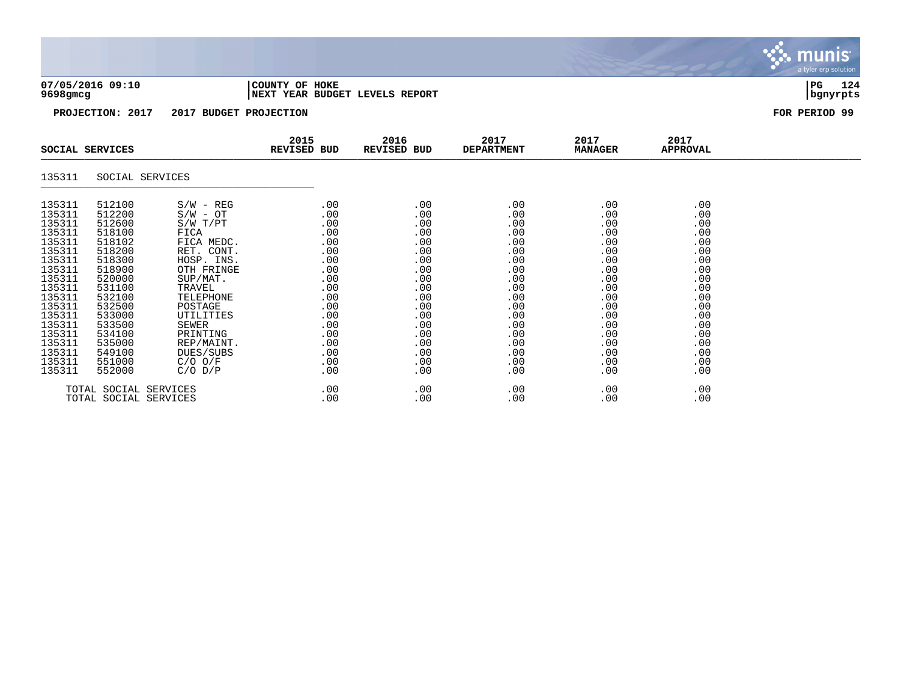|  |          | 07/05/2016 09:10 |  |
|--|----------|------------------|--|
|  | 0600mmna |                  |  |

## **07/05/2016 09:10 |COUNTY OF HOKE |PG 124 9698gmcg |NEXT YEAR BUDGET LEVELS REPORT |bgnyrpts**

**PROJECTION: 2017 2017 BUDGET PROJECTION FOR PERIOD 99**

| SOCIAL SERVICES                                                                                                                                                                            |                                                                                                                                                                                            | 2015<br>REVISED BUD                                                                                                                                                                                                                        | 2016<br>REVISED BUD                                                                                                                                        | 2017<br><b>DEPARTMENT</b>                                                                                                         | 2017<br><b>MANAGER</b>                                                                                                            | 2017<br><b>APPROVAL</b>                                                                                                           |                                                                                                                                   |  |
|--------------------------------------------------------------------------------------------------------------------------------------------------------------------------------------------|--------------------------------------------------------------------------------------------------------------------------------------------------------------------------------------------|--------------------------------------------------------------------------------------------------------------------------------------------------------------------------------------------------------------------------------------------|------------------------------------------------------------------------------------------------------------------------------------------------------------|-----------------------------------------------------------------------------------------------------------------------------------|-----------------------------------------------------------------------------------------------------------------------------------|-----------------------------------------------------------------------------------------------------------------------------------|-----------------------------------------------------------------------------------------------------------------------------------|--|
| 135311                                                                                                                                                                                     | SOCIAL SERVICES                                                                                                                                                                            |                                                                                                                                                                                                                                            |                                                                                                                                                            |                                                                                                                                   |                                                                                                                                   |                                                                                                                                   |                                                                                                                                   |  |
| 135311<br>135311<br>135311<br>135311<br>135311<br>135311<br>135311<br>135311<br>135311<br>135311<br>135311<br>135311<br>135311<br>135311<br>135311<br>135311<br>135311<br>135311<br>135311 | 512100<br>512200<br>512600<br>518100<br>518102<br>518200<br>518300<br>518900<br>520000<br>531100<br>532100<br>532500<br>533000<br>533500<br>534100<br>535000<br>549100<br>551000<br>552000 | $S/W - REG$<br>$S/W - OT$<br>S/W T/PT<br>FICA<br>FICA MEDC.<br>RET. CONT.<br>HOSP. INS.<br>OTH FRINGE<br>SUP/MAT.<br>TRAVEL<br>TELEPHONE<br>POSTAGE<br>UTILITIES<br>SEWER<br>PRINTING<br>REP/MAINT.<br>DUES/SUBS<br>C/O O/F<br>$C/O$ $D/P$ | .00<br>$.00 \,$<br>.00<br>.00<br>.00<br>$.00 \,$<br>.00<br>$.00 \,$<br>.00<br>.00<br>.00<br>.00<br>.00<br>$.00 \,$<br>.00<br>.00<br>.00<br>$.00 \,$<br>.00 | .00<br>.00<br>.00<br>.00<br>.00<br>.00<br>.00<br>.00<br>.00<br>.00<br>.00<br>.00<br>.00<br>.00<br>.00<br>.00<br>.00<br>.00<br>.00 | .00<br>.00<br>.00<br>.00<br>.00<br>.00<br>.00<br>.00<br>.00<br>.00<br>.00<br>.00<br>.00<br>.00<br>.00<br>.00<br>.00<br>.00<br>.00 | .00<br>.00<br>.00<br>.00<br>.00<br>.00<br>.00<br>.00<br>.00<br>.00<br>.00<br>.00<br>.00<br>.00<br>.00<br>.00<br>.00<br>.00<br>.00 | .00<br>.00<br>.00<br>.00<br>.00<br>.00<br>.00<br>.00<br>.00<br>.00<br>.00<br>.00<br>.00<br>.00<br>.00<br>.00<br>.00<br>.00<br>.00 |  |
|                                                                                                                                                                                            | TOTAL SOCIAL SERVICES<br>TOTAL SOCIAL SERVICES                                                                                                                                             |                                                                                                                                                                                                                                            | .00<br>$.00 \,$                                                                                                                                            | .00<br>.00                                                                                                                        | .00<br>$.00 \,$                                                                                                                   | .00<br>.00                                                                                                                        | .00<br>.00                                                                                                                        |  |

munis<sup>.</sup> a tyler erp solution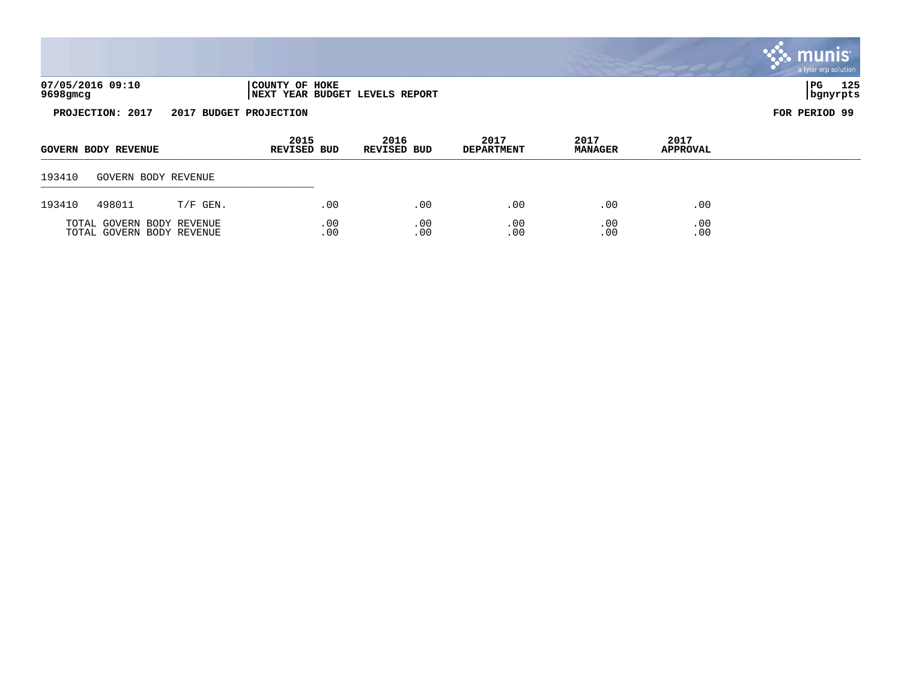|                  |                            |            |                            |     |                                |                           |                        |                         | $\sim$ inums<br>a tyler erp solution |  |
|------------------|----------------------------|------------|----------------------------|-----|--------------------------------|---------------------------|------------------------|-------------------------|--------------------------------------|--|
| 9698gmcg         | 07/05/2016 09:10           |            | COUNTY OF HOKE             |     | NEXT YEAR BUDGET LEVELS REPORT |                           |                        |                         | 125<br>$_{\rm PG}$<br>  bgnyrpts     |  |
| PROJECTION: 2017 |                            |            | 2017 BUDGET PROJECTION     |     |                                |                           |                        |                         |                                      |  |
|                  | <b>GOVERN BODY REVENUE</b> |            | 2015<br><b>REVISED BUD</b> |     | 2016<br><b>REVISED BUD</b>     | 2017<br><b>DEPARTMENT</b> | 2017<br><b>MANAGER</b> | 2017<br><b>APPROVAL</b> |                                      |  |
| 193410           | GOVERN BODY REVENUE        |            |                            |     |                                |                           |                        |                         |                                      |  |
| 193410           | 498011                     | $T/F$ GEN. |                            | .00 | .00                            | .00                       | .00                    | .00                     |                                      |  |
|                  | TOTAL GOVERN BODY REVENUE  |            |                            | .00 | .00                            | .00                       | .00                    | .00                     |                                      |  |

 $\mathbf{r}$ 

TOTAL GOVERN BODY REVENUE .00 .00 .00 .00 .00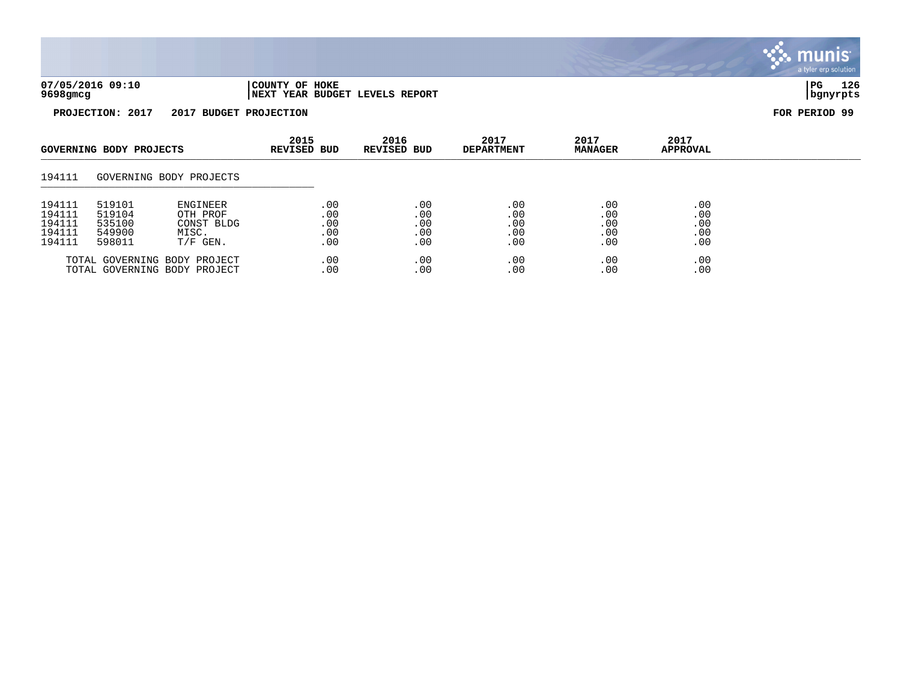

| 07/05/2016 09:10 | 'COUNTY OF HOKE                 | l PG     | 126 |
|------------------|---------------------------------|----------|-----|
| 9698gmcg         | INEXT YEAR BUDGET LEVELS REPORT | bqnyrpts |     |

| GOVERNING BODY PROJECTS                        |                                                | 2015<br><b>REVISED BUD</b>                                       | 2016<br>REVISED BUD             | 2017<br><b>DEPARTMENT</b>       | 2017<br><b>MANAGER</b>          | 2017<br><b>APPROVAL</b>         |                                 |  |
|------------------------------------------------|------------------------------------------------|------------------------------------------------------------------|---------------------------------|---------------------------------|---------------------------------|---------------------------------|---------------------------------|--|
| 194111                                         |                                                | GOVERNING BODY PROJECTS                                          |                                 |                                 |                                 |                                 |                                 |  |
| 194111<br>194111<br>194111<br>194111<br>194111 | 519101<br>519104<br>535100<br>549900<br>598011 | <b>ENGINEER</b><br>OTH PROF<br>CONST BLDG<br>MISC.<br>$T/F$ GEN. | .00<br>.00<br>.00<br>.00<br>.00 | .00<br>.00<br>.00<br>.00<br>.00 | .00<br>.00<br>.00<br>.00<br>.00 | .00<br>.00<br>.00<br>.00<br>.00 | .00<br>.00<br>.00<br>.00<br>.00 |  |
|                                                |                                                | TOTAL GOVERNING BODY PROJECT<br>TOTAL GOVERNING BODY PROJECT     | .00<br>.00                      | .00<br>.00                      | .00<br>.00                      | .00<br>.00                      | .00<br>.00                      |  |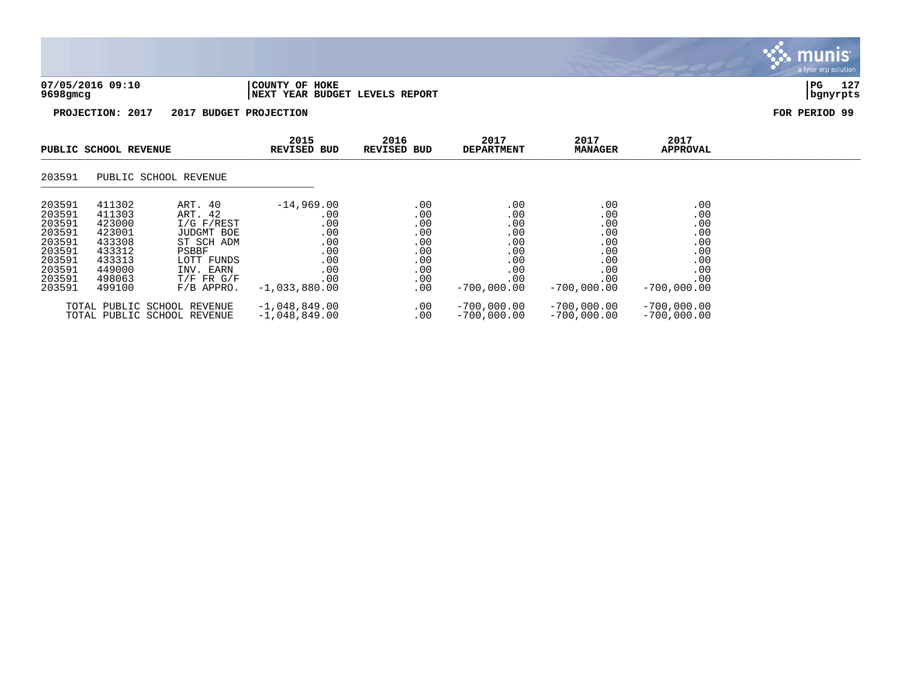| 07/05/2016 09:10 | 'COUNTY OF HOKE                 | PG       | 105<br>14 C |
|------------------|---------------------------------|----------|-------------|
| 9698gmcg         | INEXT YEAR BUDGET LEVELS REPORT | banvrpts |             |

| PUBLIC SCHOOL REVENUE                                                                            |                                                                                                  | 2015<br><b>REVISED BUD</b>                                                                                                                    | 2016<br><b>REVISED BUD</b>                                                              | 2017<br><b>DEPARTMENT</b>                                          | 2017<br><b>MANAGER</b>                                                       | 2017<br><b>APPROVAL</b>                                                      |                                                                              |  |
|--------------------------------------------------------------------------------------------------|--------------------------------------------------------------------------------------------------|-----------------------------------------------------------------------------------------------------------------------------------------------|-----------------------------------------------------------------------------------------|--------------------------------------------------------------------|------------------------------------------------------------------------------|------------------------------------------------------------------------------|------------------------------------------------------------------------------|--|
| 203591                                                                                           |                                                                                                  | PUBLIC SCHOOL REVENUE                                                                                                                         |                                                                                         |                                                                    |                                                                              |                                                                              |                                                                              |  |
| 203591<br>203591<br>203591<br>203591<br>203591<br>203591<br>203591<br>203591<br>203591<br>203591 | 411302<br>411303<br>423000<br>423001<br>433308<br>433312<br>433313<br>449000<br>498063<br>499100 | ART. 40<br>ART. 42<br>$I/G$ $F/REST$<br><b>JUDGMT BOE</b><br>ST SCH ADM<br>PSBBF<br>LOTT FUNDS<br>INV. EARN<br>$T/F$ FR $G/F$<br>$F/B$ APPRO. | $-14,969.00$<br>.00<br>.00<br>.00<br>.00<br>.00<br>.00<br>.00<br>.00<br>$-1,033,880.00$ | .00<br>.00<br>.00<br>.00<br>.00<br>.00<br>.00<br>.00<br>.00<br>.00 | .00<br>.00<br>.00<br>.00<br>.00<br>.00<br>.00<br>.00<br>.00<br>$-700.000.00$ | .00<br>.00<br>.00<br>.00<br>.00<br>.00<br>.00<br>.00<br>.00<br>$-700,000.00$ | .00<br>.00<br>.00<br>.00<br>.00<br>.00<br>.00<br>.00<br>.00<br>$-700,000.00$ |  |
|                                                                                                  |                                                                                                  | TOTAL PUBLIC SCHOOL REVENUE<br>TOTAL PUBLIC SCHOOL REVENUE                                                                                    | $-1,048,849.00$<br>$-1,048,849.00$                                                      | .00<br>.00                                                         | $-700,000.00$<br>$-700,000.00$                                               | $-700,000.00$<br>$-700,000.00$                                               | $-700,000.00$<br>$-700,000.00$                                               |  |

## **munis** a tyler erp solution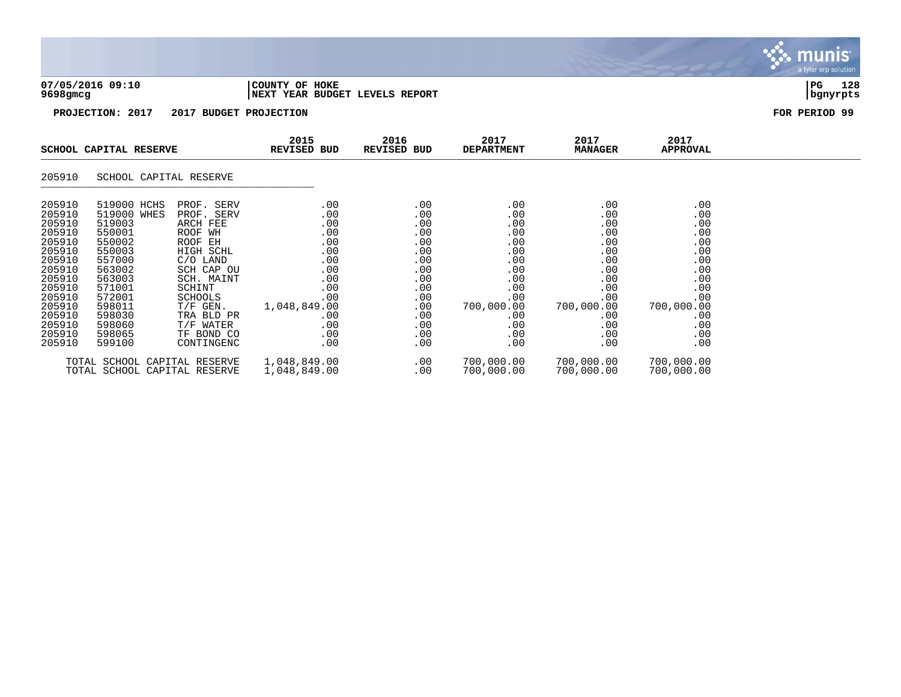| 07/05/2016 09:10 | 'COUNTY OF HOKE                        | l PG     | 128 |
|------------------|----------------------------------------|----------|-----|
| 9698gmcg         | <b>INEXT YEAR BUDGET LEVELS REPORT</b> | banvrpts |     |

| SCHOOL CAPITAL RESERVE                                                                                                                                       |                                                                                                                                                                        | 2015<br>REVISED BUD                                                                                                                                                                                         | 2016<br>REVISED BUD                                                                                                                  |  | 2017<br><b>DEPARTMENT</b>                                                                                    | 2017<br><b>MANAGER</b>                                                                                                                                                                      | 2017<br>APPROVAL                                                                                                    |                                                                                                                     |  |
|--------------------------------------------------------------------------------------------------------------------------------------------------------------|------------------------------------------------------------------------------------------------------------------------------------------------------------------------|-------------------------------------------------------------------------------------------------------------------------------------------------------------------------------------------------------------|--------------------------------------------------------------------------------------------------------------------------------------|--|--------------------------------------------------------------------------------------------------------------|---------------------------------------------------------------------------------------------------------------------------------------------------------------------------------------------|---------------------------------------------------------------------------------------------------------------------|---------------------------------------------------------------------------------------------------------------------|--|
| 205910                                                                                                                                                       | SCHOOL CAPITAL RESERVE                                                                                                                                                 |                                                                                                                                                                                                             |                                                                                                                                      |  |                                                                                                              |                                                                                                                                                                                             |                                                                                                                     |                                                                                                                     |  |
| 205910<br>205910<br>205910<br>205910<br>205910<br>205910<br>205910<br>205910<br>205910<br>205910<br>205910<br>205910<br>205910<br>205910<br>205910<br>205910 | 519000 HCHS<br>519000 WHES<br>519003<br>550001<br>550002<br>550003<br>557000<br>563002<br>563003<br>571001<br>572001<br>598011<br>598030<br>598060<br>598065<br>599100 | PROF. SERV<br>PROF. SERV<br>ARCH FEE<br>ROOF WH<br>ROOF EH<br>HIGH SCHL<br>$C/O$ LAND<br>SCH CAP OU<br>SCH. MAINT<br>SCHINT<br>SCHOOLS<br>$T/F$ GEN.<br>TRA BLD PR<br>T/F WATER<br>TF BOND CO<br>CONTINGENC | .00<br>.00<br>.00<br>.00<br>.00<br>.00<br>$.00 \,$<br>$.00 \,$<br>.00<br>.00<br>.00<br>1,048,849.00<br>.00<br>.00<br>$.00 \,$<br>.00 |  | .00<br>.00<br>.00<br>.00<br>.00<br>.00<br>.00<br>.00<br>.00<br>.00<br>.00<br>.00<br>.00<br>.00<br>.00<br>.00 | $.00 \,$<br>$.00 \,$<br>$.00 \,$<br>$.00 \,$<br>.00<br>.00<br>$.00 \ \,$<br>$.00 \ \,$<br>$.00 \ \,$<br>$.00 \ \,$<br>.00<br>700,000.00<br>$.00 \,$<br>$.00 \,$<br>$.00 \ \,$<br>$.00 \ \,$ | .00<br>.00<br>.00<br>.00<br>.00<br>.00<br>.00<br>.00<br>.00<br>.00<br>.00<br>700,000.00<br>.00<br>.00<br>.00<br>.00 | .00<br>.00<br>.00<br>.00<br>.00<br>.00<br>.00<br>.00<br>.00<br>.00<br>.00<br>700,000.00<br>.00<br>.00<br>.00<br>.00 |  |
|                                                                                                                                                              | TOTAL SCHOOL CAPITAL RESERVE<br>TOTAL SCHOOL CAPITAL RESERVE                                                                                                           |                                                                                                                                                                                                             | 1,048,849.00<br>1,048,849.00                                                                                                         |  | .00<br>.00                                                                                                   | 700,000.00<br>700,000.00                                                                                                                                                                    | 700,000.00<br>700,000.00                                                                                            | 700,000.00<br>700,000.00                                                                                            |  |

. munis<sup>.</sup> a tyler erp solution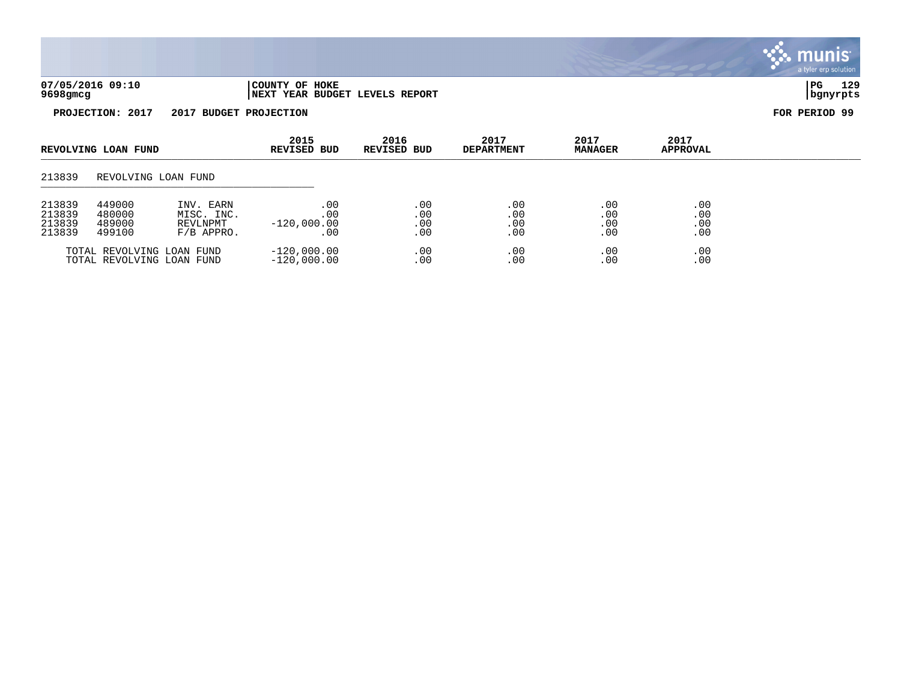

|                                                                              | REVOLVING LOAN FUND<br>REVOLVING LOAN FUND |                                                        |                                     |                          | REVISED BUD              | REVISED BUD              | <b>DEPARTMENT</b>        | <b>MANAGER</b> | <b>APPROVAL</b> |  |
|------------------------------------------------------------------------------|--------------------------------------------|--------------------------------------------------------|-------------------------------------|--------------------------|--------------------------|--------------------------|--------------------------|----------------|-----------------|--|
| 213839                                                                       |                                            |                                                        |                                     |                          |                          |                          |                          |                |                 |  |
| 449000<br>213839<br>213839<br>480000<br>213839<br>489000<br>213839<br>499100 |                                            | INV. EARN<br>MISC. INC.<br>REVLNPMT<br>$F/B$ APPRO.    | . 00<br>.00<br>$-120,000.00$<br>.00 | .00<br>.00<br>.00<br>.00 | .00<br>.00<br>.00<br>.00 | .00<br>.00<br>.00<br>.00 | .00<br>.00<br>.00<br>.00 |                |                 |  |
|                                                                              |                                            | TOTAL REVOLVING LOAN FUND<br>TOTAL REVOLVING LOAN FUND | $-120.000.00$<br>$-120,000.00$      | .00<br>.00               | .00<br>.00.              | .00<br>.00               | .00<br>.00               |                |                 |  |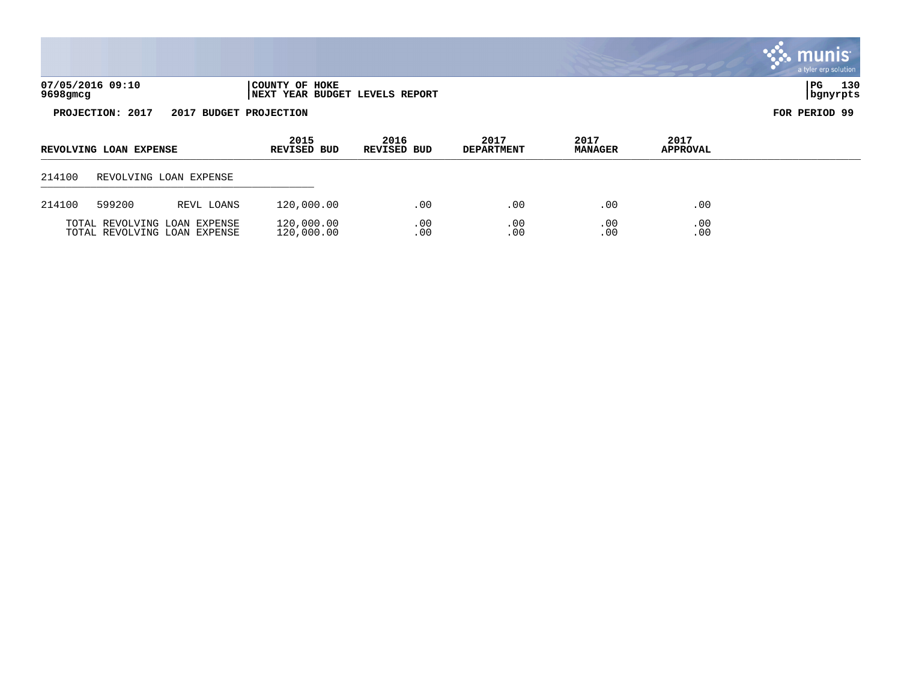|          |                        |                              |                                                  |                            |                           |                        |                         | munis <sup>®</sup><br>a tyler erp solution |
|----------|------------------------|------------------------------|--------------------------------------------------|----------------------------|---------------------------|------------------------|-------------------------|--------------------------------------------|
| 9698gmcg | 07/05/2016 09:10       |                              | COUNTY OF HOKE<br>NEXT YEAR BUDGET LEVELS REPORT |                            |                           |                        |                         | 130<br>PG<br>  bgnyrpts                    |
|          | PROJECTION: 2017       | 2017 BUDGET PROJECTION       |                                                  |                            |                           |                        |                         | FOR PERIOD 99                              |
|          | REVOLVING LOAN EXPENSE |                              | 2015<br><b>REVISED BUD</b>                       | 2016<br><b>REVISED BUD</b> | 2017<br><b>DEPARTMENT</b> | 2017<br><b>MANAGER</b> | 2017<br><b>APPROVAL</b> |                                            |
| 214100   |                        | REVOLVING LOAN EXPENSE       |                                                  |                            |                           |                        |                         |                                            |
| 214100   | 599200                 | REVL LOANS                   | 120,000.00                                       | $.00 \,$                   | .00                       | .00                    | .00                     |                                            |
|          |                        | TOTAL REVOLVING LOAN EXPENSE | 120,000.00                                       | .00                        | .00                       | .00                    | .00                     |                                            |

TOTAL REVOLVING LOAN EXPENSE 120,000.00 .00 .00 .00 .00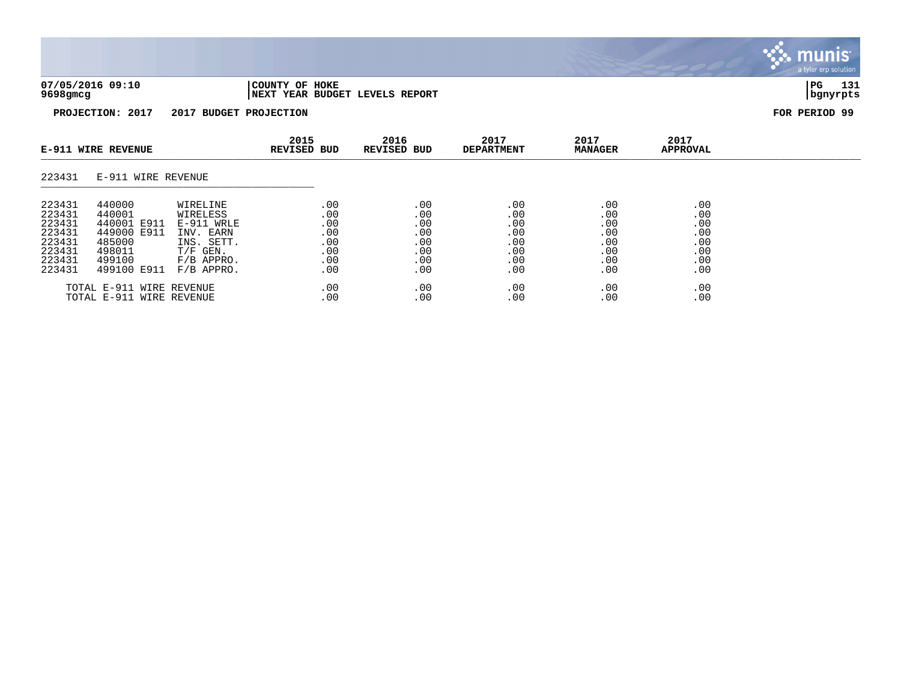

| 07/05/2016 09:10 | COUNTY OF HOKE                  | l PG     | 131 |
|------------------|---------------------------------|----------|-----|
| 9698gmcg         | INEXT YEAR BUDGET LEVELS REPORT | bgnyrpts |     |

| <b>E-911 WIRE REVENUE</b>                                                    |                                                                                             | 2015<br><b>REVISED BUD</b>                                                                                | 2016<br><b>REVISED BUD</b>                           | 2017<br><b>DEPARTMENT</b>                            | 2017<br><b>MANAGER</b>                               | 2017<br>APPROVAL                                     |                                                      |  |
|------------------------------------------------------------------------------|---------------------------------------------------------------------------------------------|-----------------------------------------------------------------------------------------------------------|------------------------------------------------------|------------------------------------------------------|------------------------------------------------------|------------------------------------------------------|------------------------------------------------------|--|
| 223431                                                                       | E-911 WIRE REVENUE                                                                          |                                                                                                           |                                                      |                                                      |                                                      |                                                      |                                                      |  |
| 223431<br>223431<br>223431<br>223431<br>223431<br>223431<br>223431<br>223431 | 440000<br>440001<br>440001 E911<br>449000 E911<br>485000<br>498011<br>499100<br>499100 E911 | WIRELINE<br>WIRELESS<br>E-911 WRLE<br>INV. EARN<br>INS. SETT.<br>$T/F$ GEN.<br>$F/B$ APPRO.<br>F/B APPRO. | .00<br>.00<br>.00<br>.00<br>.00<br>.00<br>.00<br>.00 | .00<br>.00<br>.00<br>.00<br>.00<br>.00<br>.00<br>.00 | .00<br>.00<br>.00<br>.00<br>.00<br>.00<br>.00<br>.00 | .00<br>.00<br>.00<br>.00<br>.00<br>.00<br>.00<br>.00 | .00<br>.00<br>.00<br>.00<br>.00<br>.00<br>.00<br>.00 |  |
|                                                                              | TOTAL E-911 WIRE REVENUE<br>TOTAL E-911 WIRE REVENUE                                        |                                                                                                           | .00<br>.00                                           | .00<br>.00                                           | .00<br>.00                                           | .00<br>.00                                           | .00<br>.00                                           |  |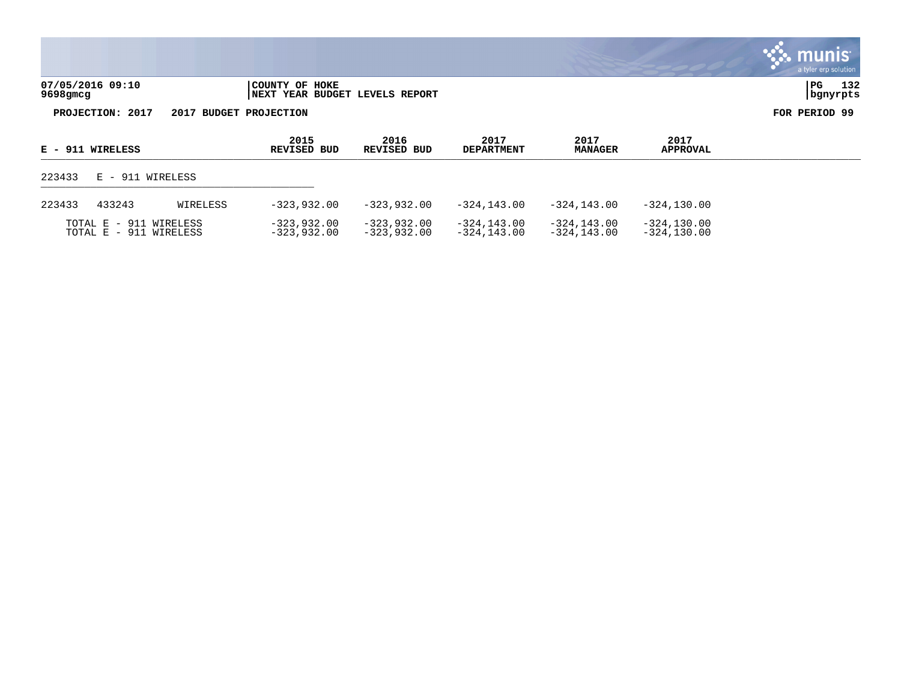|                              |                                                          | a tyler erp solution    |
|------------------------------|----------------------------------------------------------|-------------------------|
| 07/05/2016 09:10<br>9698gmcg | COUNTY OF HOKE<br><b>INEXT YEAR BUDGET LEVELS REPORT</b> | 132<br>PG<br>  bgnyrpts |
| PROJECTION: 2017             | 2017 BUDGET PROJECTION                                   | FOR PERIOD 99           |

 $\sim$ 

| E - 911 WIRELESS |                                                  |          | 2015<br>REVISED BUD          | 2016<br><b>REVISED BUD</b>     | 2017<br><b>DEPARTMENT</b>  | 2017<br><b>MANAGER</b>          | 2017<br><b>APPROVAL</b>         |  |
|------------------|--------------------------------------------------|----------|------------------------------|--------------------------------|----------------------------|---------------------------------|---------------------------------|--|
| 223433           | E - 911 WIRELESS                                 |          |                              |                                |                            |                                 |                                 |  |
| 223433           | 433243                                           | WIRELESS | $-323.932.00$                | $-323.932.00$                  | $-324.143.00$              | -324.143.00                     | $-324.130.00$                   |  |
|                  | TOTAL E - 911 WIRELESS<br>TOTAL E - 911 WIRELESS |          | -323,932.00<br>$-323,932.00$ | $-323,932.00$<br>$-323.932.00$ | -324,143.00<br>-324,143.00 | $-324, 143.00$<br>$-324.143.00$ | $-324, 130.00$<br>$-324.130.00$ |  |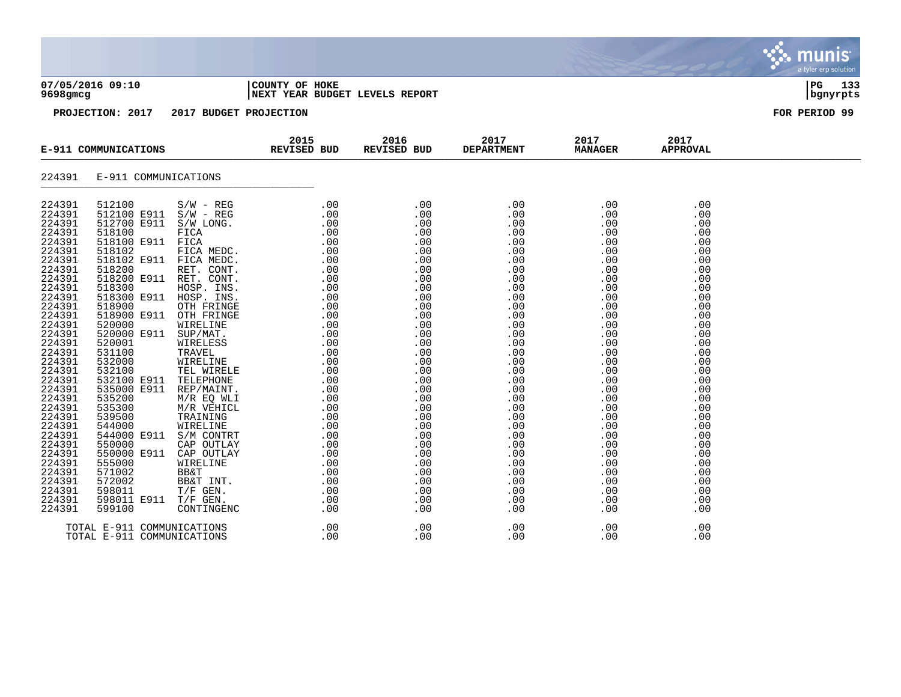| 07/05/2016 09:10                     | COUNTY OF<br>HOKE                                      | l PG        | $-1$<br>. . |
|--------------------------------------|--------------------------------------------------------|-------------|-------------|
| $0.608$ $\sigma$ m $\sigma$ $\sigma$ | $\blacksquare$ - אדום מספר המספר המספר המור<br>חסמס סם | l hanwent a |             |

## **9698gmcg |NEXT YEAR BUDGET LEVELS REPORT |bgnyrpts**

|                                                                                                                                          |                                                          | E-911 COMMUNICATIONS REVISED BUD | 2015 | 2016<br>REVISED BUD | 2017<br><b>DEPARTMENT</b> | 2017<br><b>MANAGER</b> | 2017<br><b>APPROVAL</b> |  |
|------------------------------------------------------------------------------------------------------------------------------------------|----------------------------------------------------------|----------------------------------|------|---------------------|---------------------------|------------------------|-------------------------|--|
| 224391                                                                                                                                   | E-911 COMMUNICATIONS                                     |                                  |      |                     |                           |                        |                         |  |
| 224391<br>224391<br>224391<br>224391<br>224391<br>224391<br>224391<br>224391<br>224391<br>224391<br>224391<br>224391<br>224391<br>224391 |                                                          |                                  |      |                     |                           |                        |                         |  |
| 224391<br>224391<br>224391<br>224391<br>224391<br>224391<br>224391                                                                       |                                                          |                                  |      |                     |                           |                        |                         |  |
| 224391<br>224391<br>224391<br>224391<br>224391<br>224391<br>224391<br>224391<br>224391<br>224391<br>224391<br>224391                     |                                                          |                                  |      |                     |                           |                        |                         |  |
| 224391                                                                                                                                   | TOTAL E-911 COMMUNICATIONS<br>TOTAL E-911 COMMUNICATIONS |                                  |      |                     |                           |                        |                         |  |

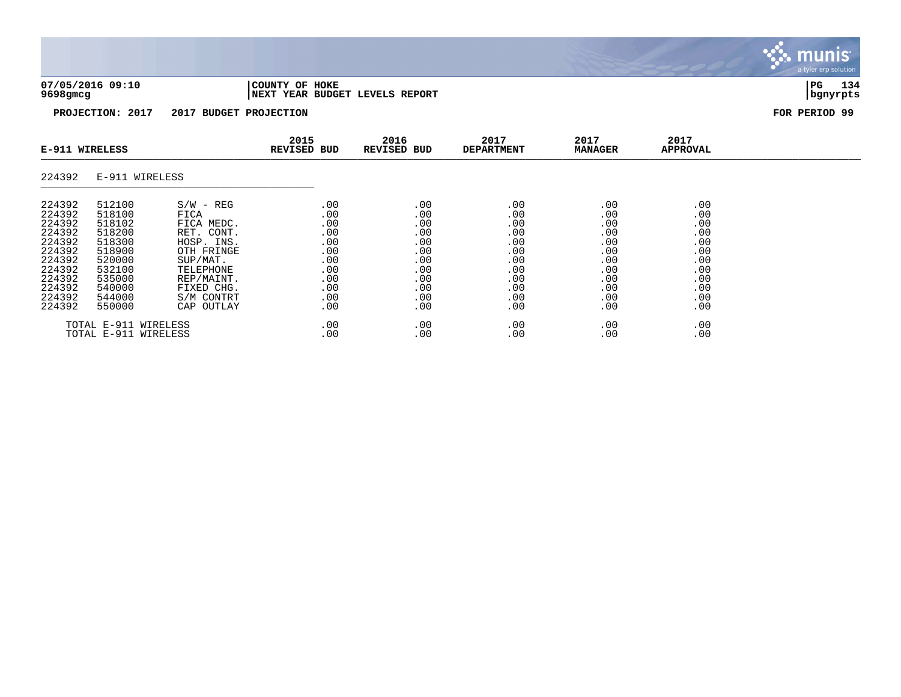

**9698gmcg |NEXT YEAR BUDGET LEVELS REPORT |bgnyrpts**

**PROJECTION: 2017 2017 BUDGET PROJECTION FOR PERIOD 99**

| E-911 WIRELESS |        | 2016<br>2015<br><b>REVISED BUD</b><br>REVISED BUD |     | 2017<br><b>DEPARTMENT</b> | 2017<br><b>MANAGER</b> | 2017<br><b>APPROVAL</b> |     |  |
|----------------|--------|---------------------------------------------------|-----|---------------------------|------------------------|-------------------------|-----|--|
| 224392         |        | E-911 WIRELESS                                    |     |                           |                        |                         |     |  |
| 224392         | 512100 | $S/W - REG$                                       | .00 | .00                       | .00                    | .00                     | .00 |  |
| 224392         | 518100 | FICA                                              | .00 | .00                       | .00                    | .00                     | .00 |  |
| 224392         | 518102 | FICA MEDC.                                        | .00 | .00                       | .00                    | .00                     | .00 |  |
| 224392         | 518200 | RET. CONT.                                        | .00 | .00                       | .00                    | .00                     | .00 |  |
| 224392         | 518300 | HOSP. INS.                                        | .00 | .00                       | .00                    | .00                     | .00 |  |
| 224392         | 518900 | OTH FRINGE                                        | .00 | .00                       | .00                    | .00                     | .00 |  |
| 224392         | 520000 | SUP/MAT.                                          | .00 | .00                       | .00                    | .00                     | .00 |  |
| 224392         | 532100 | TELEPHONE                                         | .00 | .00                       | .00                    | .00                     | .00 |  |
| 224392         | 535000 | REP/MAINT.                                        | .00 | .00                       | .00                    | .00                     | .00 |  |
| 224392         | 540000 | FIXED CHG.                                        | .00 | .00                       | .00                    | .00                     | .00 |  |
| 224392         | 544000 | S/M CONTRT                                        | .00 | .00                       | .00                    | .00                     | .00 |  |
| 224392         | 550000 | CAP OUTLAY                                        | .00 | .00                       | .00                    | .00                     | .00 |  |
|                |        | TOTAL E-911 WIRELESS                              | .00 | .00                       | .00                    | .00                     | .00 |  |
|                |        | TOTAL E-911 WIRELESS                              | .00 | .00                       | .00                    | .00                     | .00 |  |

munis a tyler erp solution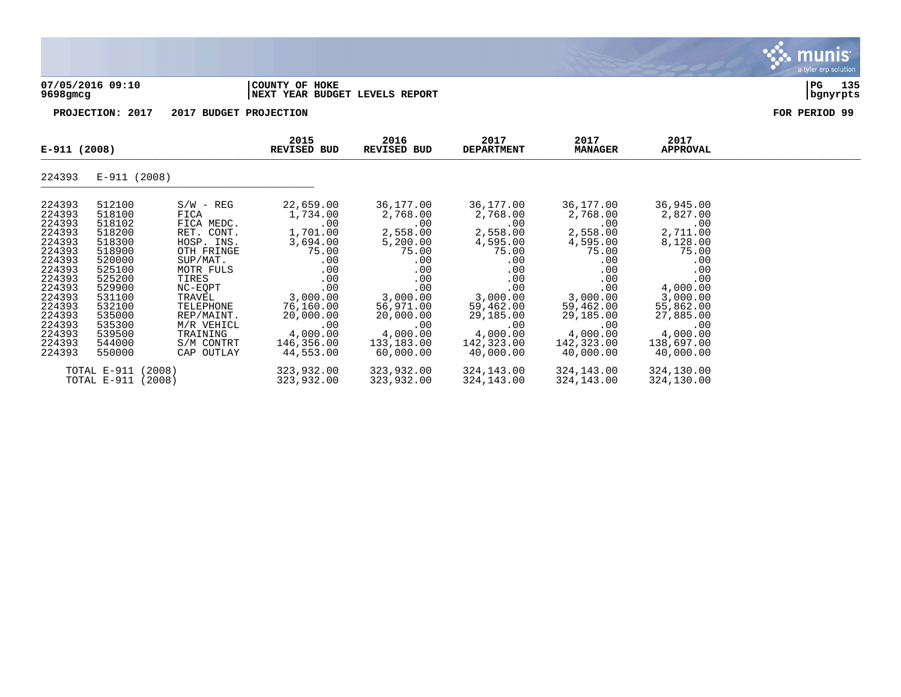

## **07/05/2016 09:10 |COUNTY OF HOKE |PG 135 9698gmcg |NEXT YEAR BUDGET LEVELS REPORT |bgnyrpts**

| E-911 (2008)                                                                                                                                       |                                                                                                                                                    | 2015<br>REVISED BUD                                                                                                                                                                     | 2016<br>REVISED BUD                                                                                                                                     | 2017<br><b>DEPARTMENT</b>                                                                                                                          | 2017<br><b>MANAGER</b>                                                                                                                             | 2017<br>APPROVAL                                                                                                                                   |                                                                                                                                                         |  |
|----------------------------------------------------------------------------------------------------------------------------------------------------|----------------------------------------------------------------------------------------------------------------------------------------------------|-----------------------------------------------------------------------------------------------------------------------------------------------------------------------------------------|---------------------------------------------------------------------------------------------------------------------------------------------------------|----------------------------------------------------------------------------------------------------------------------------------------------------|----------------------------------------------------------------------------------------------------------------------------------------------------|----------------------------------------------------------------------------------------------------------------------------------------------------|---------------------------------------------------------------------------------------------------------------------------------------------------------|--|
| 224393                                                                                                                                             | E-911 (2008)                                                                                                                                       |                                                                                                                                                                                         |                                                                                                                                                         |                                                                                                                                                    |                                                                                                                                                    |                                                                                                                                                    |                                                                                                                                                         |  |
| 224393<br>224393<br>224393<br>224393<br>224393<br>224393<br>224393<br>224393<br>224393<br>224393<br>224393<br>224393<br>224393<br>224393<br>224393 | 512100<br>518100<br>518102<br>518200<br>518300<br>518900<br>520000<br>525100<br>525200<br>529900<br>531100<br>532100<br>535000<br>535300<br>539500 | $S/W - REG$<br>FICA<br>FICA MEDC.<br>RET. CONT.<br>HOSP. INS.<br>OTH FRINGE<br>SUP/MAT.<br>MOTR FULS<br>TIRES<br>NC-EOPT<br>TRAVEL<br>TELEPHONE<br>REP/MAINT.<br>M/R VEHICL<br>TRAINING | 22,659.00<br>1,734.00<br>.00<br>1,701.00<br>3,694.00<br>75.00<br>$.00 \,$<br>.00<br>.00<br>.00<br>3,000.00<br>76,160.00<br>20,000.00<br>.00<br>4,000.00 | 36,177.00<br>2,768.00<br>.00<br>2,558.00<br>5,200.00<br>75.00<br>.00<br>.00<br>.00<br>.00<br>3,000.00<br>56,971.00<br>20,000.00<br>.00<br>4,000.00 | 36,177.00<br>2,768.00<br>.00<br>2,558.00<br>4,595.00<br>75.00<br>.00<br>.00<br>.00<br>.00<br>3,000.00<br>59,462.00<br>29,185.00<br>.00<br>4,000.00 | 36,177.00<br>2,768.00<br>.00<br>2,558.00<br>4,595.00<br>75.00<br>.00<br>.00<br>.00<br>.00<br>3,000.00<br>59,462.00<br>29,185.00<br>.00<br>4,000.00 | 36,945.00<br>2,827.00<br>.00<br>2,711.00<br>8,128.00<br>75.00<br>.00<br>.00<br>.00<br>4,000.00<br>3,000.00<br>55,862.00<br>27,885.00<br>.00<br>4,000.00 |  |
| 224393<br>224393                                                                                                                                   | 544000<br>550000                                                                                                                                   | S/M CONTRT<br>CAP OUTLAY                                                                                                                                                                | 146,356.00<br>44,553.00                                                                                                                                 | 133,183.00<br>60,000.00                                                                                                                            | 142,323.00<br>40,000.00                                                                                                                            | 142,323.00<br>40,000.00                                                                                                                            | 138,697.00<br>40,000.00                                                                                                                                 |  |
|                                                                                                                                                    | TOTAL E-911 (2008)<br>TOTAL E-911 (2008)                                                                                                           |                                                                                                                                                                                         | 323,932.00<br>323,932.00                                                                                                                                | 323,932.00<br>323,932.00                                                                                                                           | 324,143.00<br>324,143.00                                                                                                                           | 324,143.00<br>324,143.00                                                                                                                           | 324,130.00<br>324,130.00                                                                                                                                |  |

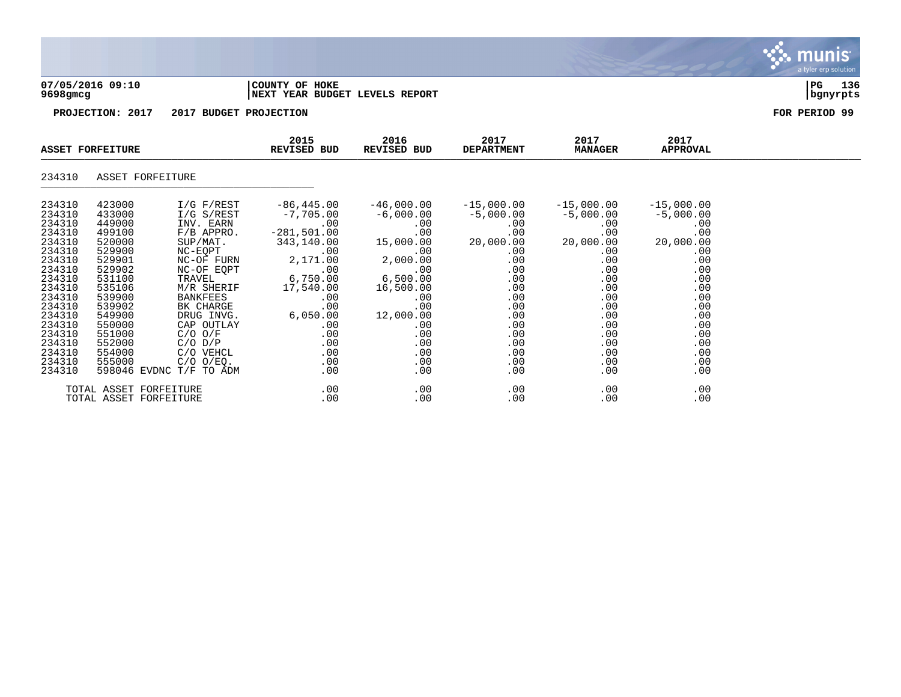| 07/05/2016 09:10 |  |
|------------------|--|
| 9698amca         |  |

## **07/05/2016 09:10 |COUNTY OF HOKE |PG 136 9698gmcg |NEXT YEAR BUDGET LEVELS REPORT |bgnyrpts**

**PROJECTION: 2017 2017 BUDGET PROJECTION FOR PERIOD 99**

| <b>ASSET FORFEITURE</b>                                                                                                                                      |                                                                                                                                                              | 2015<br><b>REVISED BUD</b>                                                                                                                                                                                        | 2016<br>REVISED BUD                                                                                                                                                  | 2017<br><b>DEPARTMENT</b>                                                                                                                                  | 2017<br><b>MANAGER</b>                                                                                                                              | 2017<br>APPROVAL                                                                                                                             |                                                                                                                                     |  |
|--------------------------------------------------------------------------------------------------------------------------------------------------------------|--------------------------------------------------------------------------------------------------------------------------------------------------------------|-------------------------------------------------------------------------------------------------------------------------------------------------------------------------------------------------------------------|----------------------------------------------------------------------------------------------------------------------------------------------------------------------|------------------------------------------------------------------------------------------------------------------------------------------------------------|-----------------------------------------------------------------------------------------------------------------------------------------------------|----------------------------------------------------------------------------------------------------------------------------------------------|-------------------------------------------------------------------------------------------------------------------------------------|--|
| 234310                                                                                                                                                       | ASSET FORFEITURE                                                                                                                                             |                                                                                                                                                                                                                   |                                                                                                                                                                      |                                                                                                                                                            |                                                                                                                                                     |                                                                                                                                              |                                                                                                                                     |  |
| 234310<br>234310<br>234310<br>234310<br>234310<br>234310<br>234310<br>234310<br>234310<br>234310<br>234310<br>234310<br>234310<br>234310<br>234310<br>234310 | 423000<br>433000<br>449000<br>499100<br>520000<br>529900<br>529901<br>529902<br>531100<br>535106<br>539900<br>539902<br>549900<br>550000<br>551000<br>552000 | I/G F/REST<br>$I/G$ $S/REST$<br>INV. EARN<br>F/B APPRO.<br>SUP/MAT.<br>NC-EQPT<br>NC-OF FURN<br>NC-OF EQPT<br>TRAVEL<br>M/R SHERIF<br>BANKFEES<br>BK CHARGE<br>DRUG INVG.<br>CAP OUTLAY<br>C/O O/F<br>$C/O$ $D/P$ | $-86, 445.00$<br>$-7,705.00$<br>.00<br>$-281,501.00$<br>343,140.00<br>.00<br>2,171.00<br>.00<br>6,750.00<br>17,540.00<br>.00<br>.00<br>6,050.00<br>.00<br>.00<br>.00 | $-46,000.00$<br>$-6,000.00$<br>$.00 \,$<br>15,000.00<br>.00<br>2,000.00<br>6,500.00<br>16,500.00<br>.00<br>.00<br>12,000.00<br>$.00 \,$<br>.00<br>$.00 \,$ | $-15$ ,000.00<br>$-5,000.00$<br>$.00 \,$<br>.00<br>20,000.00<br>.00<br>.00<br>.00<br>.00<br>.00<br>.00<br>.00<br>.00<br>$.00 \,$<br>.00<br>$.00 \,$ | $-15,000.00$<br>$-5,000.00$<br>$.00\,$<br>.00<br>20,000.00<br>.00<br>.00<br>.00<br>.00<br>.00<br>$.00 \,$<br>.00<br>.00<br>.00<br>.00<br>.00 | $-15,000.00$<br>$-5,000.00$<br>.00<br>.00<br>20,000.00<br>.00<br>.00<br>.00<br>.00<br>.00<br>.00<br>.00<br>.00<br>.00<br>.00<br>.00 |  |
| 234310<br>234310<br>234310                                                                                                                                   | 554000<br>555000                                                                                                                                             | C/O VEHCL<br>$C/O$ $O/EQ$ .<br>598046 EVDNC T/F TO ADM                                                                                                                                                            | .00<br>.00<br>.00                                                                                                                                                    | $.00 \,$<br>$.00 \,$<br>$.00 \,$                                                                                                                           | .00<br>$.00 \ \,$<br>$.00 \ \,$                                                                                                                     | .00<br>.00<br>$.00 \,$                                                                                                                       | .00<br>.00<br>.00                                                                                                                   |  |
|                                                                                                                                                              | TOTAL ASSET FORFEITURE<br>TOTAL ASSET FORFEITURE                                                                                                             |                                                                                                                                                                                                                   | $.00 \,$<br>.00                                                                                                                                                      | .00<br>$.00 \,$                                                                                                                                            | .00<br>.00                                                                                                                                          | .00<br>.00                                                                                                                                   | .00<br>.00                                                                                                                          |  |

munis<sup>.</sup> a tyler erp solution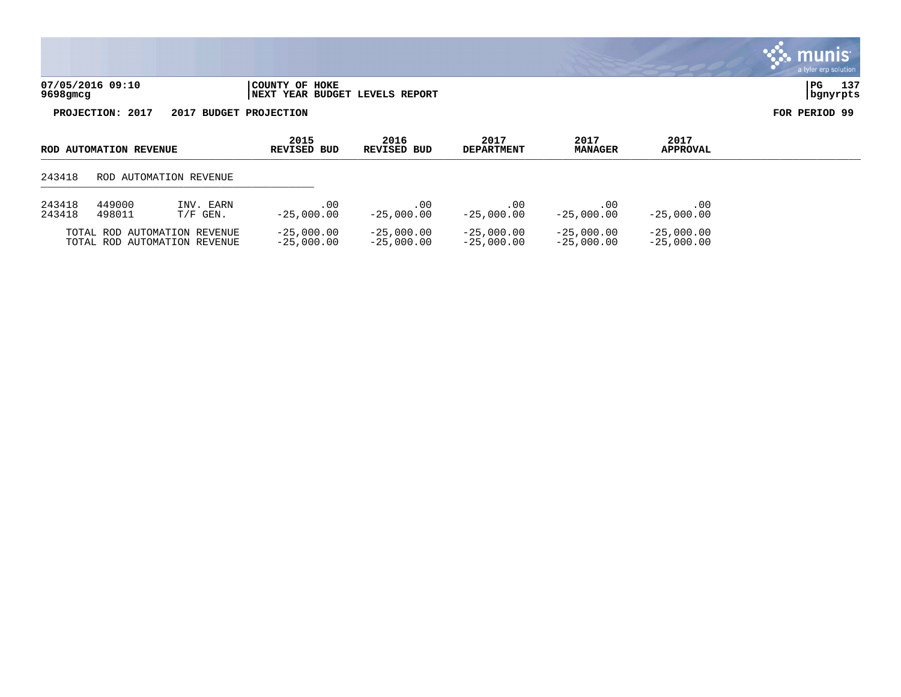| 07/05/2016 09:10 | 'COUNTY OF HOKE                 | PG       | 135 |
|------------------|---------------------------------|----------|-----|
|                  |                                 |          |     |
| 9698gmcg         | INEXT YEAR BUDGET LEVELS REPORT | bqnyrpts |     |

| ROD AUTOMATION REVENUE |                        | 2015<br>REVISED BUD                                          | 2016<br>REVISED BUD          | 2017<br><b>DEPARTMENT</b>    | 2017<br><b>MANAGER</b>       | 2017<br><b>APPROVAL</b>      |                              |  |
|------------------------|------------------------|--------------------------------------------------------------|------------------------------|------------------------------|------------------------------|------------------------------|------------------------------|--|
| 243418                 | ROD AUTOMATION REVENUE |                                                              |                              |                              |                              |                              |                              |  |
| 243418<br>243418       | 449000<br>498011       | INV. EARN<br>$T/F$ GEN.                                      | . 00<br>$-25.000.00$         | .00<br>$-25.000.00$          | .00<br>$-25.000.00$          | .00<br>$-25,000,00$          | .00<br>$-25.000.00$          |  |
|                        |                        | TOTAL ROD AUTOMATION REVENUE<br>TOTAL ROD AUTOMATION REVENUE | $-25,000.00$<br>$-25.000.00$ | $-25,000.00$<br>$-25.000.00$ | $-25,000.00$<br>$-25,000.00$ | $-25,000.00$<br>$-25,000.00$ | $-25,000.00$<br>$-25,000.00$ |  |

 $\mathbf{\ddot{\cdot}}$  munis a tyler erp solution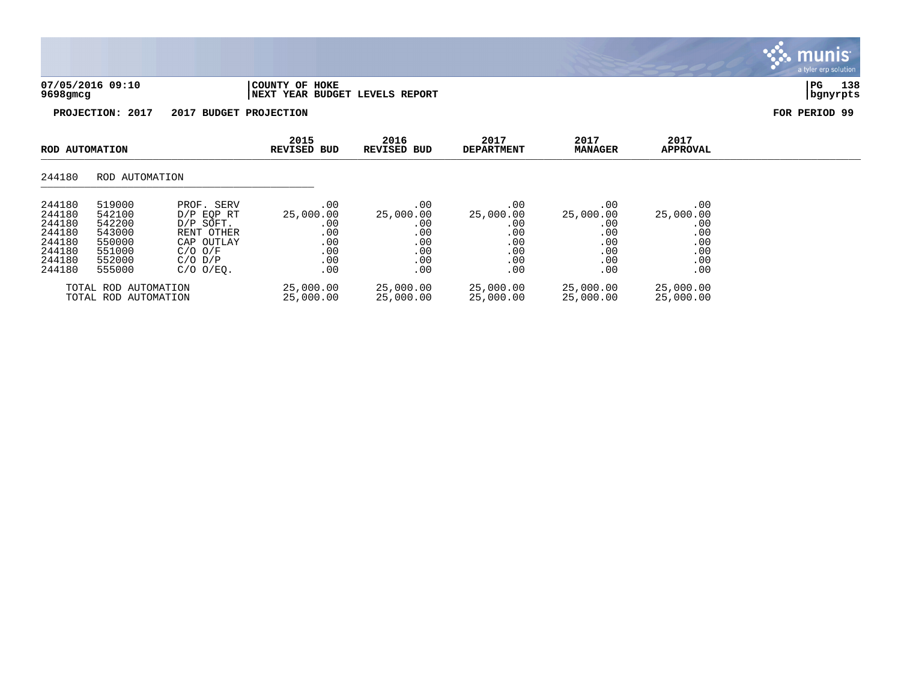| 07/05/2016 09:10<br>$9698$ gmcg                             |                                                          | COUNTY OF HOKE<br><b>NEXT YEAR BUDGET LEVELS REPORT</b>                                                      |                                                 |                                                 |                                                 |                                                 | 138<br>PG<br>  bgnyrpts                         |               |
|-------------------------------------------------------------|----------------------------------------------------------|--------------------------------------------------------------------------------------------------------------|-------------------------------------------------|-------------------------------------------------|-------------------------------------------------|-------------------------------------------------|-------------------------------------------------|---------------|
|                                                             | PROJECTION: 2017                                         | 2017                                                                                                         | <b>BUDGET PROJECTION</b>                        |                                                 |                                                 |                                                 |                                                 | FOR PERIOD 99 |
| ROD AUTOMATION                                              |                                                          |                                                                                                              | 2015<br><b>REVISED BUD</b>                      | 2016<br><b>REVISED BUD</b>                      | 2017<br><b>DEPARTMENT</b>                       | 2017<br><b>MANAGER</b>                          | 2017<br><b>APPROVAL</b>                         |               |
| 244180                                                      | ROD AUTOMATION                                           |                                                                                                              |                                                 |                                                 |                                                 |                                                 |                                                 |               |
| 244180<br>244180<br>244180<br>244180<br>244180<br>$0.11100$ | 519000<br>542100<br>542200<br>543000<br>550000<br>EE1000 | PROF. SERV<br>D/P EOP RT<br>D/P SOFT.<br>RENT OTHER<br>CAP OUTLAY<br>$\bigcap$ $\bigcap$ $\bigcap$ $\bigcap$ | .00<br>25,000.00<br>.00<br>.00<br>.00<br>$\cap$ | .00<br>25,000.00<br>.00<br>.00<br>.00<br>$\cap$ | .00<br>25,000.00<br>.00<br>.00<br>.00<br>$\cap$ | .00<br>25,000.00<br>.00<br>.00<br>.00<br>$\cap$ | .00<br>25,000.00<br>.00<br>.00<br>.00<br>$\cap$ |               |

munis a tyler erp solution

| 244180           | 551000               | $C/O$ $O/F$                   | 00         | .00        | .00       | .00       | .00        |
|------------------|----------------------|-------------------------------|------------|------------|-----------|-----------|------------|
| 244180<br>244180 | 552000<br>555000     | $C/O$ $D/P$<br>$C/O$ $O/EO$ . | . 00<br>00 | . 00<br>00 | .00       | .00<br>00 | .00<br>.00 |
|                  |                      |                               |            |            |           |           |            |
|                  | TOTAL ROD AUTOMATION |                               | 25,000.00  | 25,000.00  | 25,000.00 | 25,000.00 | 25,000.00  |
|                  | TOTAL ROD AUTOMATION |                               | 25,000.00  | 25,000.00  | 25,000.00 | 25,000.00 | 25,000.00  |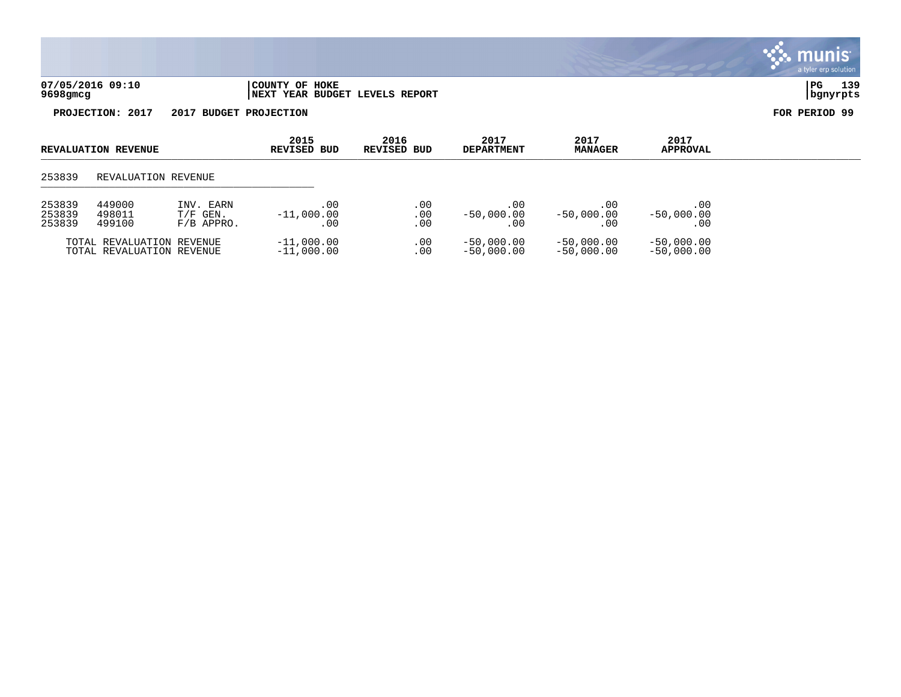| 07/05/2016 09:10 | COUNTY OF HOKE                  | PG       | 3۵ 1 |
|------------------|---------------------------------|----------|------|
| 9698gmcg         | INEXT YEAR BUDGET LEVELS REPORT | banvrpts |      |

| <b>REVALUATION REVENUE</b>                               |                                                        | 2015<br><b>REVISED BUD</b>              | 2016<br>REVISED BUD          | 2017<br><b>DEPARTMENT</b> | 2017<br><b>MANAGER</b>       | 2017<br><b>APPROVAL</b>      |                              |  |
|----------------------------------------------------------|--------------------------------------------------------|-----------------------------------------|------------------------------|---------------------------|------------------------------|------------------------------|------------------------------|--|
| 253839                                                   | REVALUATION REVENUE                                    |                                         |                              |                           |                              |                              |                              |  |
| 449000<br>253839<br>253839<br>498011<br>253839<br>499100 |                                                        | INV. EARN<br>$T/F$ GEN.<br>$F/B$ APPRO. | .00<br>$-11,000.00$<br>. 00  | .00<br>.00<br>.00         | .00<br>$-50,000.00$<br>. 00  | .00.<br>$-50,000.00$<br>. 00 | .00<br>$-50.000.00$<br>. 00  |  |
|                                                          | TOTAL REVALUATION REVENUE<br>TOTAL REVALUATION REVENUE |                                         | $-11,000.00$<br>$-11,000.00$ | .00<br>.00                | $-50,000.00$<br>$-50.000.00$ | $-50,000.00$<br>$-50,000.00$ | $-50,000.00$<br>$-50,000.00$ |  |

## . munis<sup>®</sup> a tyler erp solution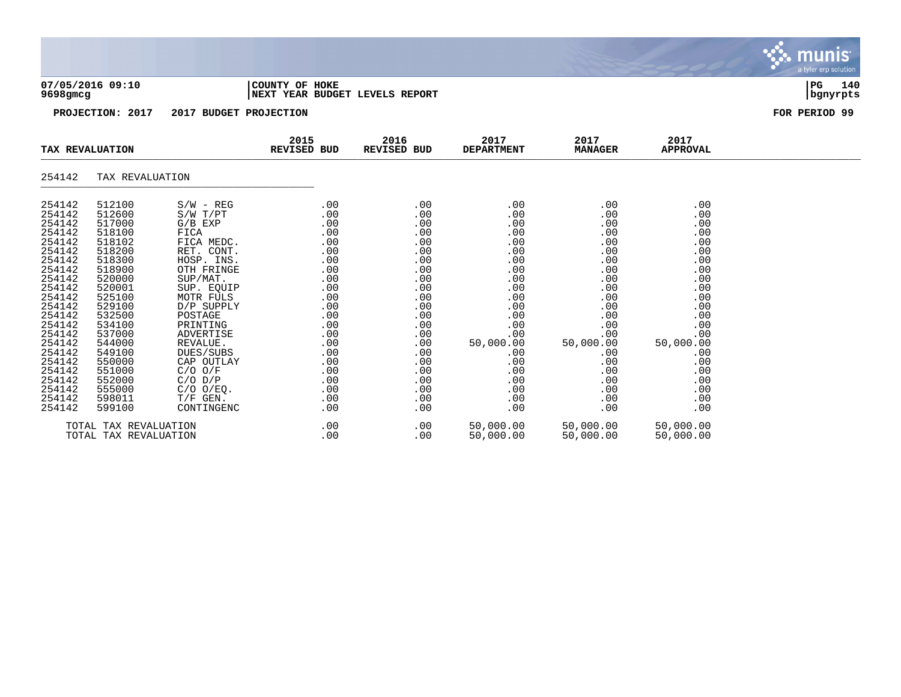| 07/05/2016 09:10<br>9698gmcg                                                                                                             |                                                                                                                                          |                                                                                                                                                                                        | COUNTY OF HOKE<br>NEXT YEAR BUDGET LEVELS REPORT                                               | 140<br>PG<br>  bgnyrpts                                                                        |                                                                                                |                                                                                                |                                                                                                |               |
|------------------------------------------------------------------------------------------------------------------------------------------|------------------------------------------------------------------------------------------------------------------------------------------|----------------------------------------------------------------------------------------------------------------------------------------------------------------------------------------|------------------------------------------------------------------------------------------------|------------------------------------------------------------------------------------------------|------------------------------------------------------------------------------------------------|------------------------------------------------------------------------------------------------|------------------------------------------------------------------------------------------------|---------------|
|                                                                                                                                          | PROJECTION: 2017                                                                                                                         | 2017 BUDGET PROJECTION                                                                                                                                                                 |                                                                                                |                                                                                                |                                                                                                |                                                                                                |                                                                                                | FOR PERIOD 99 |
|                                                                                                                                          | TAX REVALUATION                                                                                                                          |                                                                                                                                                                                        | 2015<br>REVISED BUD                                                                            | 2016<br>REVISED BUD                                                                            | 2017<br><b>DEPARTMENT</b>                                                                      | 2017<br><b>MANAGER</b>                                                                         | 2017<br><b>APPROVAL</b>                                                                        |               |
| 254142                                                                                                                                   | TAX REVALUATION                                                                                                                          |                                                                                                                                                                                        |                                                                                                |                                                                                                |                                                                                                |                                                                                                |                                                                                                |               |
| 254142<br>254142<br>254142<br>254142<br>254142<br>254142<br>254142<br>254142<br>254142<br>254142<br>254142<br>254142<br>254142<br>254142 | 512100<br>512600<br>517000<br>518100<br>518102<br>518200<br>518300<br>518900<br>520000<br>520001<br>525100<br>529100<br>532500<br>534100 | $S/W - REG$<br>$S/W$ $T/PT$<br>$G/B$ $EXP$<br>FICA<br>FICA MEDC.<br>RET. CONT.<br>HOSP. INS.<br>OTH FRINGE<br>SUP/MAT.<br>SUP. EQUIP<br>MOTR FULS<br>D/P SUPPLY<br>POSTAGE<br>PRINTING | .00<br>.00<br>.00<br>.00<br>.00<br>.00<br>.00<br>.00<br>.00<br>.00<br>.00<br>.00<br>.00<br>.00 | .00<br>.00<br>.00<br>.00<br>.00<br>.00<br>.00<br>.00<br>.00<br>.00<br>.00<br>.00<br>.00<br>.00 | .00<br>.00<br>.00<br>.00<br>.00<br>.00<br>.00<br>.00<br>.00<br>.00<br>.00<br>.00<br>.00<br>.00 | .00<br>.00<br>.00<br>.00<br>.00<br>.00<br>.00<br>.00<br>.00<br>.00<br>.00<br>.00<br>.00<br>.00 | .00<br>.00<br>.00<br>.00<br>.00<br>.00<br>.00<br>.00<br>.00<br>.00<br>.00<br>.00<br>.00<br>.00 |               |
| 254142<br>254142<br>254142<br>254142<br>254142<br>254142<br>254142                                                                       | 537000<br>544000<br>549100<br>550000<br>551000<br>552000<br>555000                                                                       | ADVERTISE<br>REVALUE.<br>DUES/SUBS<br>CAP OUTLAY<br>$C/O$ $O/F$<br>$C/O$ $D/P$<br>$C/O$ $O/EO$ .                                                                                       | .00<br>.00<br>.00<br>$.00 \,$<br>.00<br>.00<br>.00                                             | .00<br>.00<br>.00<br>.00<br>.00<br>.00<br>.00                                                  | .00<br>50,000.00<br>.00<br>.00<br>.00<br>.00<br>.00                                            | .00<br>50,000.00<br>.00<br>.00<br>.00<br>.00<br>.00                                            | .00<br>50,000.00<br>.00<br>.00<br>.00<br>.00<br>.00                                            |               |

254142 598011 T/F GEN. .00 .00 .00 .00 .00 .00 .00 .00 254142 599100 CONTINGENC .00 .00 .00 .00 .00 TOTAL TAX REVALUATION .00 .00 50,000.00 50,000.00 50,000.00 TOTAL TAX REVALUATION

Six munis a tyler erp solution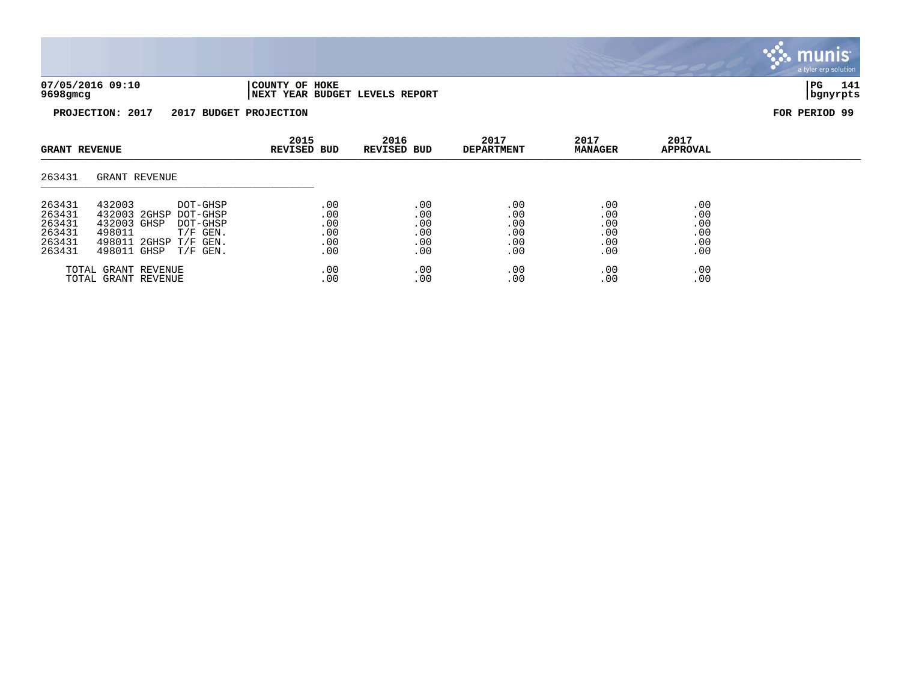

| <b>GRANT REVENUE</b>                                     |                                                                                                                                                         | 2015<br><b>REVISED BUD</b>             | 2016<br><b>REVISED BUD</b>             | 2017<br><b>DEPARTMENT</b>              | 2017<br><b>MANAGER</b>                 | 2017<br><b>APPROVAL</b>                |  |
|----------------------------------------------------------|---------------------------------------------------------------------------------------------------------------------------------------------------------|----------------------------------------|----------------------------------------|----------------------------------------|----------------------------------------|----------------------------------------|--|
| 263431                                                   | GRANT REVENUE                                                                                                                                           |                                        |                                        |                                        |                                        |                                        |  |
| 263431<br>263431<br>263431<br>263431<br>263431<br>263431 | 432003<br>DOT-GHSP<br>432003 2GHSP<br>DOT-GHSP<br>432003 GHSP<br>DOT-GHSP<br>498011<br>$T/F$ GEN.<br>498011 2GHSP T/F GEN.<br>498011 GHSP<br>$T/F$ GEN. | .00<br>.00<br>.00<br>.00<br>.00<br>.00 | .00<br>.00<br>.00<br>.00<br>.00<br>.00 | .00<br>.00<br>.00<br>.00<br>.00<br>.00 | .00<br>.00<br>.00<br>.00<br>.00<br>.00 | .00<br>.00<br>.00<br>.00<br>.00<br>.00 |  |
|                                                          | TOTAL GRANT REVENUE<br>TOTAL GRANT REVENUE                                                                                                              | .00<br>.00                             | .00<br>.00                             | .00<br>.00                             | .00<br>.00                             | .00<br>.00                             |  |

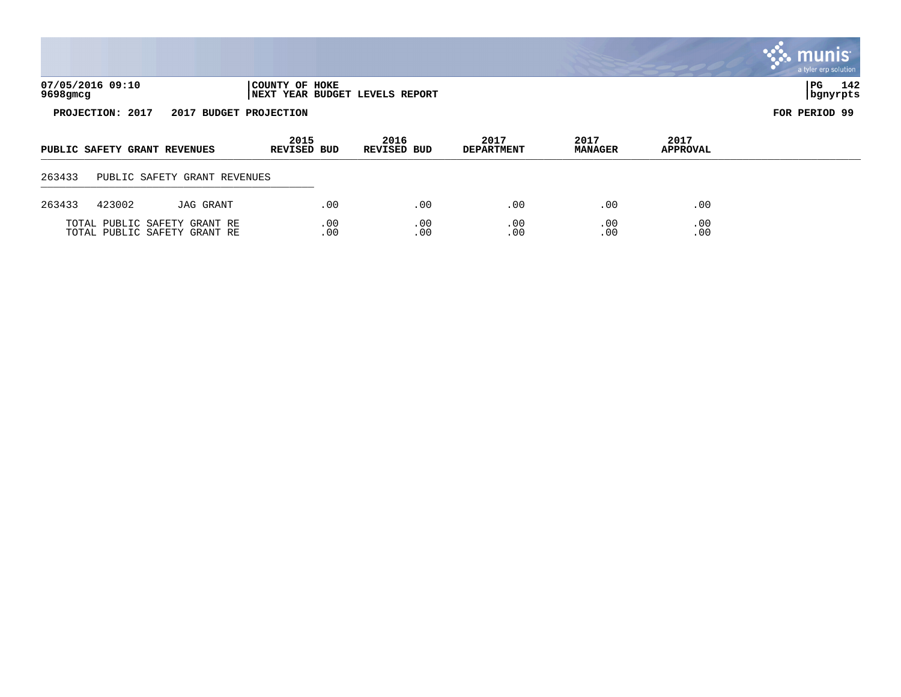|                                                                                  |                              |                                                              |                     |            |                            |            |                           |                        |                  | <b>W. HIUHIS</b><br>a tyler erp solution |
|----------------------------------------------------------------------------------|------------------------------|--------------------------------------------------------------|---------------------|------------|----------------------------|------------|---------------------------|------------------------|------------------|------------------------------------------|
| 07/05/2016 09:10<br>COUNTY OF HOKE<br>9698gmcg<br>NEXT YEAR BUDGET LEVELS REPORT |                              |                                                              |                     |            |                            |            |                           |                        |                  | 142<br>PG<br>  bgnyrpts                  |
|                                                                                  | PROJECTION: 2017             | 2017 BUDGET PROJECTION                                       |                     |            |                            |            |                           |                        |                  | FOR PERIOD 99                            |
|                                                                                  | PUBLIC SAFETY GRANT REVENUES |                                                              | 2015<br>REVISED BUD |            | 2016<br><b>REVISED BUD</b> |            | 2017<br><b>DEPARTMENT</b> | 2017<br><b>MANAGER</b> | 2017<br>APPROVAL |                                          |
| 263433                                                                           |                              | PUBLIC SAFETY GRANT REVENUES                                 |                     |            |                            |            |                           |                        |                  |                                          |
| 263433                                                                           | 423002                       | JAG GRANT                                                    |                     | .00        |                            | .00        | .00                       | .00                    | .00              |                                          |
|                                                                                  |                              | TOTAL PUBLIC SAFETY GRANT RE<br>TOTAL PUBLIC SAFETY GRANT RE |                     | .00<br>.00 |                            | .00<br>.00 | .00<br>.00                | .00<br>.00             | .00<br>.00       |                                          |

 $\mathcal{L}$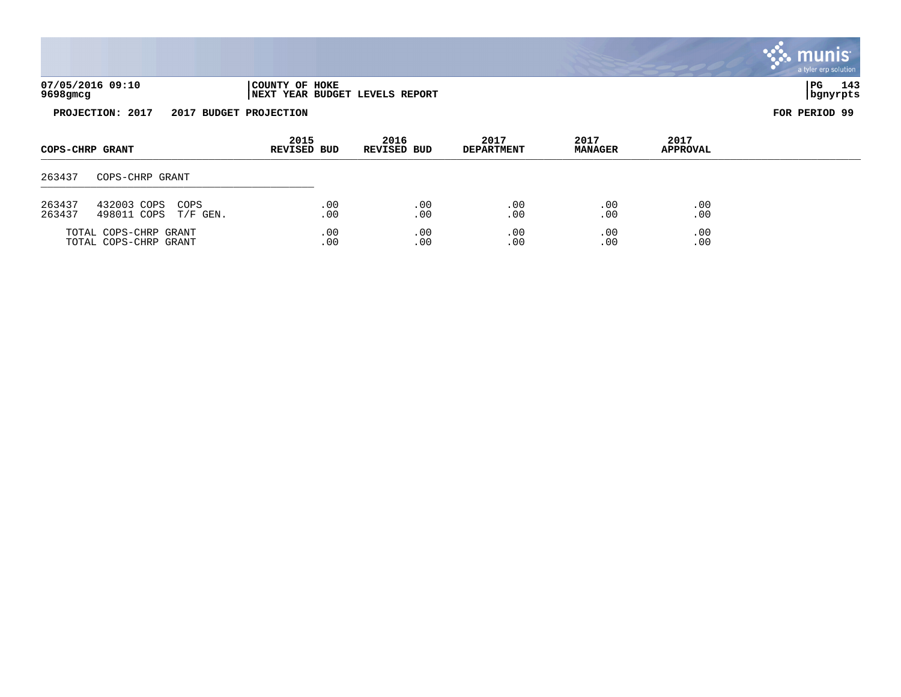|                  |                            |                          |                            |                                |                           |                        |                  | munis <sup>®</sup><br>a tyler erp solution |
|------------------|----------------------------|--------------------------|----------------------------|--------------------------------|---------------------------|------------------------|------------------|--------------------------------------------|
| 9698gmcg         | 07/05/2016 09:10           |                          | COUNTY OF HOKE             | NEXT YEAR BUDGET LEVELS REPORT |                           |                        |                  | $ _{\rm PG}$<br>143<br>bgnyrpts            |
|                  | PROJECTION: 2017<br>2017   | <b>BUDGET PROJECTION</b> |                            |                                |                           |                        |                  | FOR PERIOD 99                              |
|                  | COPS-CHRP GRANT            |                          | 2015<br><b>REVISED BUD</b> | 2016<br><b>REVISED BUD</b>     | 2017<br><b>DEPARTMENT</b> | 2017<br><b>MANAGER</b> | 2017<br>APPROVAL |                                            |
| 263437           | COPS-CHRP GRANT            |                          |                            |                                |                           |                        |                  |                                            |
| 263437<br>263437 | 432003 COPS<br>498011 COPS | COPS<br>$T/F$ GEN.       | .00<br>.00                 | .00<br>.00                     | .00<br>.00                | .00<br>.00             | .00<br>.00       |                                            |

TOTAL COPS-CHRP GRANT .00 .00 .00 .00 .00 TOTAL COPS-CHRP GRANT .00 .00 .00 .00 .00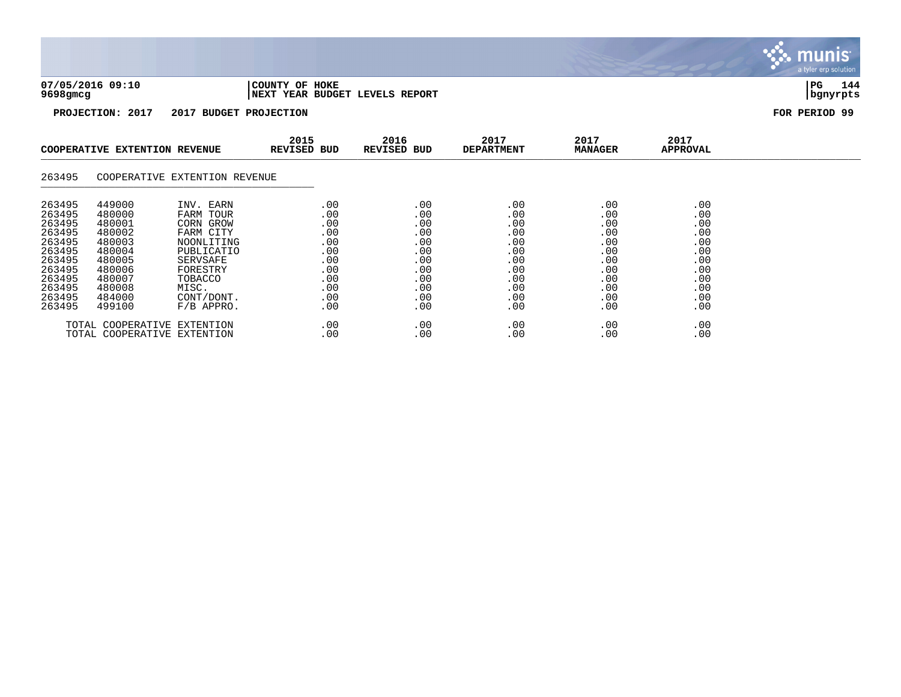

TOTAL COOPERATIVE EXTENTION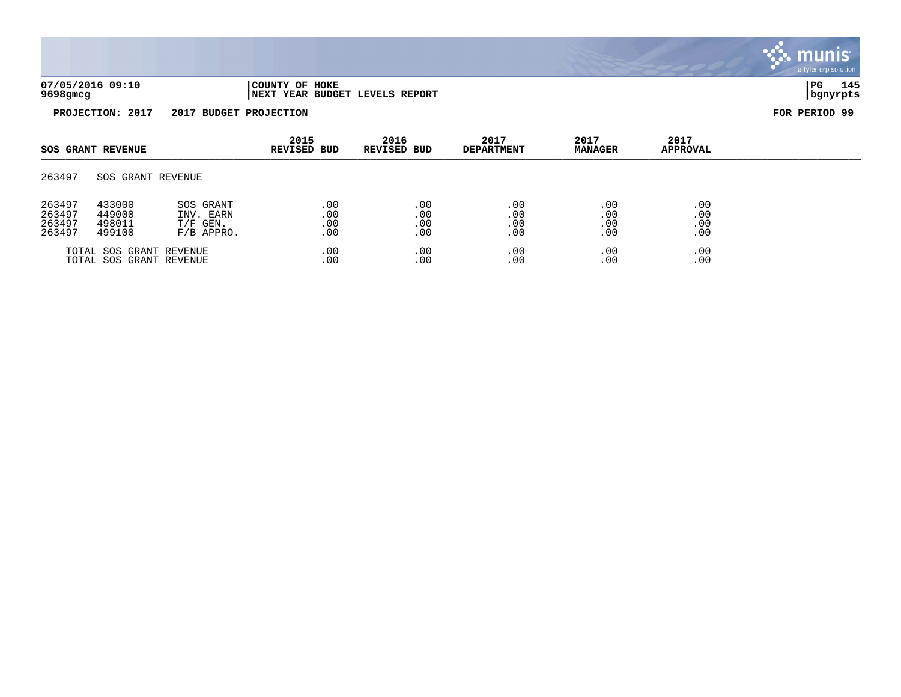|                              |                                                  |                            |                           |                        |                         | munis<br>a tyler erp solution |
|------------------------------|--------------------------------------------------|----------------------------|---------------------------|------------------------|-------------------------|-------------------------------|
| 07/05/2016 09:10<br>9698gmcg | COUNTY OF HOKE<br>NEXT YEAR BUDGET LEVELS REPORT |                            |                           |                        |                         | 145<br>  PG<br>  bgnyrpts     |
| PROJECTION: 2017             | 2017 BUDGET PROJECTION                           |                            |                           |                        |                         | FOR PERIOD 99                 |
| <b>SOS GRANT REVENUE</b>     | 2015<br><b>REVISED BUD</b>                       | 2016<br><b>REVISED BUD</b> | 2017<br><b>DEPARTMENT</b> | 2017<br><b>MANAGER</b> | 2017<br><b>APPROVAL</b> |                               |
| 263497<br>SOS GRANT REVENUE  |                                                  |                            |                           |                        |                         |                               |

| 263497 | 433000                                             | SOS GRANT    | .00          | . 00        | . O C          | $.00 \,$     | .00        |
|--------|----------------------------------------------------|--------------|--------------|-------------|----------------|--------------|------------|
| 263497 | 449000                                             | INV. EARN    | .00          | . 00        | . O C          | .00          | .00        |
| 263497 | 498011                                             | $T/F$ GEN.   | .00          | .00         | .00            | .00          | .00        |
| 263497 | 499100                                             | $F/B$ APPRO. | .00          | .00         | .00            | .00          | .00        |
|        | TOTAL SOS GRANT REVENUE<br>TOTAL SOS GRANT REVENUE |              | . 00<br>. 00 | . 00<br>.00 | . O C<br>. O C | . 00<br>. 00 | .00<br>.00 |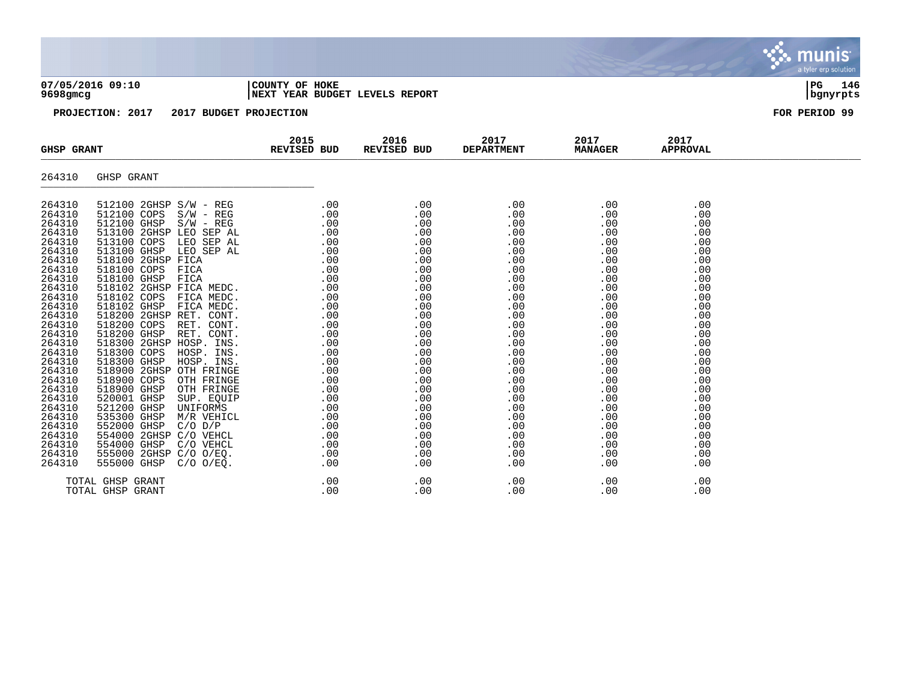| 07/05/2016 09:10<br>9698gmcg | COUNTY OF HOKE<br>NEXT YEAR BUDGET LEVELS REPORT | PG<br>  bgnyrpts | 146 |
|------------------------------|--------------------------------------------------|------------------|-----|
|                              |                                                  |                  |     |



| <b>GHSP GRANT</b> | <b>EXECUTED BUD</b>                                                                                                                                                                                                                                                                                                                                                                                                                         | 2015 | 2016<br>REVISED BUD |     | 2017<br><b>DEPARTMENT</b> | 2017<br><b>MANAGER</b>                                                                                                                                                                                                                                                                                                                                | 2017<br><b>APPROVAL</b> |  |
|-------------------|---------------------------------------------------------------------------------------------------------------------------------------------------------------------------------------------------------------------------------------------------------------------------------------------------------------------------------------------------------------------------------------------------------------------------------------------|------|---------------------|-----|---------------------------|-------------------------------------------------------------------------------------------------------------------------------------------------------------------------------------------------------------------------------------------------------------------------------------------------------------------------------------------------------|-------------------------|--|
| 264310            | GHSP GRANT                                                                                                                                                                                                                                                                                                                                                                                                                                  |      |                     |     |                           |                                                                                                                                                                                                                                                                                                                                                       |                         |  |
| 264310            | $[12100 2\text{CHSP} \text{ S/W} - \text{REG} \text{S/W} - \text{REG} \text{S/W} - \text{REG} \text{S/W} - \text{REG} \text{S/W} - \text{REG} \text{S/W} - \text{REG} \text{S/W} - \text{REG} \text{S/W} - \text{REG} \text{S/W} - \text{REG} \text{S/W} - \text{REG} \text{S/W} - \text{REG} \text{S/W} \text{S/W} - \text{REG} \text{S/W} \text{S/W} - \text{GVD} \text{SFR} \text{AL} \text{S/W} \text{S/W} \text{S/W} \text{S/W} \text$ |      |                     |     |                           | $\begin{array}{cccc} . & 00 & . & 00 & . & 00 & . & 00 & . & 00 & . & 00 & . & 00 & . & 00 & . & 00 & . & 00 & . & 00 & . & 00 & . & 00 & . & 00 & . & 00 & . & 00 & . & 00 & . & 00 & . & 00 & . & 00 & . & 00 & . & 00 & . & 00 & . & 00 & . & 00 & . & 00 & . & 00 & . & 00 & . & 00 & . & 00 & . & 00 & . & 00 & . & 00 & . & 00 & . & 00 & . & $ | .00                     |  |
| 264310<br>264310  |                                                                                                                                                                                                                                                                                                                                                                                                                                             |      |                     |     |                           |                                                                                                                                                                                                                                                                                                                                                       | .00<br>.00              |  |
| 264310            |                                                                                                                                                                                                                                                                                                                                                                                                                                             |      |                     |     |                           |                                                                                                                                                                                                                                                                                                                                                       | .00                     |  |
| 264310            |                                                                                                                                                                                                                                                                                                                                                                                                                                             |      |                     |     |                           |                                                                                                                                                                                                                                                                                                                                                       | .00                     |  |
| 264310            |                                                                                                                                                                                                                                                                                                                                                                                                                                             |      |                     |     |                           |                                                                                                                                                                                                                                                                                                                                                       | .00                     |  |
| 264310<br>264310  |                                                                                                                                                                                                                                                                                                                                                                                                                                             |      |                     |     |                           |                                                                                                                                                                                                                                                                                                                                                       | .00<br>.00              |  |
| 264310            |                                                                                                                                                                                                                                                                                                                                                                                                                                             |      |                     |     |                           |                                                                                                                                                                                                                                                                                                                                                       | .00                     |  |
| 264310            |                                                                                                                                                                                                                                                                                                                                                                                                                                             |      |                     |     |                           |                                                                                                                                                                                                                                                                                                                                                       | .00                     |  |
| 264310            |                                                                                                                                                                                                                                                                                                                                                                                                                                             |      |                     |     |                           |                                                                                                                                                                                                                                                                                                                                                       | .00                     |  |
| 264310<br>264310  |                                                                                                                                                                                                                                                                                                                                                                                                                                             |      |                     |     |                           |                                                                                                                                                                                                                                                                                                                                                       | .00                     |  |
| 264310            |                                                                                                                                                                                                                                                                                                                                                                                                                                             |      |                     |     |                           |                                                                                                                                                                                                                                                                                                                                                       | .00<br>.00              |  |
| 264310            |                                                                                                                                                                                                                                                                                                                                                                                                                                             |      |                     |     |                           |                                                                                                                                                                                                                                                                                                                                                       | .00                     |  |
| 264310            |                                                                                                                                                                                                                                                                                                                                                                                                                                             |      |                     |     |                           |                                                                                                                                                                                                                                                                                                                                                       | .00                     |  |
| 264310            |                                                                                                                                                                                                                                                                                                                                                                                                                                             |      |                     |     |                           |                                                                                                                                                                                                                                                                                                                                                       | .00                     |  |
| 264310            |                                                                                                                                                                                                                                                                                                                                                                                                                                             |      |                     |     |                           |                                                                                                                                                                                                                                                                                                                                                       | .00                     |  |
| 264310<br>264310  |                                                                                                                                                                                                                                                                                                                                                                                                                                             |      |                     |     |                           |                                                                                                                                                                                                                                                                                                                                                       | .00<br>.00              |  |
| 264310            |                                                                                                                                                                                                                                                                                                                                                                                                                                             |      |                     |     |                           |                                                                                                                                                                                                                                                                                                                                                       | .00                     |  |
| 264310            |                                                                                                                                                                                                                                                                                                                                                                                                                                             |      |                     |     |                           |                                                                                                                                                                                                                                                                                                                                                       | .00                     |  |
| 264310            |                                                                                                                                                                                                                                                                                                                                                                                                                                             |      |                     |     |                           |                                                                                                                                                                                                                                                                                                                                                       | .00                     |  |
| 264310            |                                                                                                                                                                                                                                                                                                                                                                                                                                             |      |                     |     |                           |                                                                                                                                                                                                                                                                                                                                                       | .00                     |  |
| 264310<br>264310  |                                                                                                                                                                                                                                                                                                                                                                                                                                             |      |                     |     |                           |                                                                                                                                                                                                                                                                                                                                                       | .00                     |  |
| 264310            |                                                                                                                                                                                                                                                                                                                                                                                                                                             |      |                     |     |                           |                                                                                                                                                                                                                                                                                                                                                       | .00<br>.00              |  |
| 264310            |                                                                                                                                                                                                                                                                                                                                                                                                                                             |      |                     |     |                           |                                                                                                                                                                                                                                                                                                                                                       | .00                     |  |
| 264310            |                                                                                                                                                                                                                                                                                                                                                                                                                                             |      |                     |     |                           |                                                                                                                                                                                                                                                                                                                                                       | .00                     |  |
|                   | TOTAL GHSP GRANT                                                                                                                                                                                                                                                                                                                                                                                                                            | .00  | .00                 |     | .00                       | .00                                                                                                                                                                                                                                                                                                                                                   | .00                     |  |
|                   | TOTAL GHSP GRANT                                                                                                                                                                                                                                                                                                                                                                                                                            | .00  |                     | .00 | .00                       | .00                                                                                                                                                                                                                                                                                                                                                   | .00                     |  |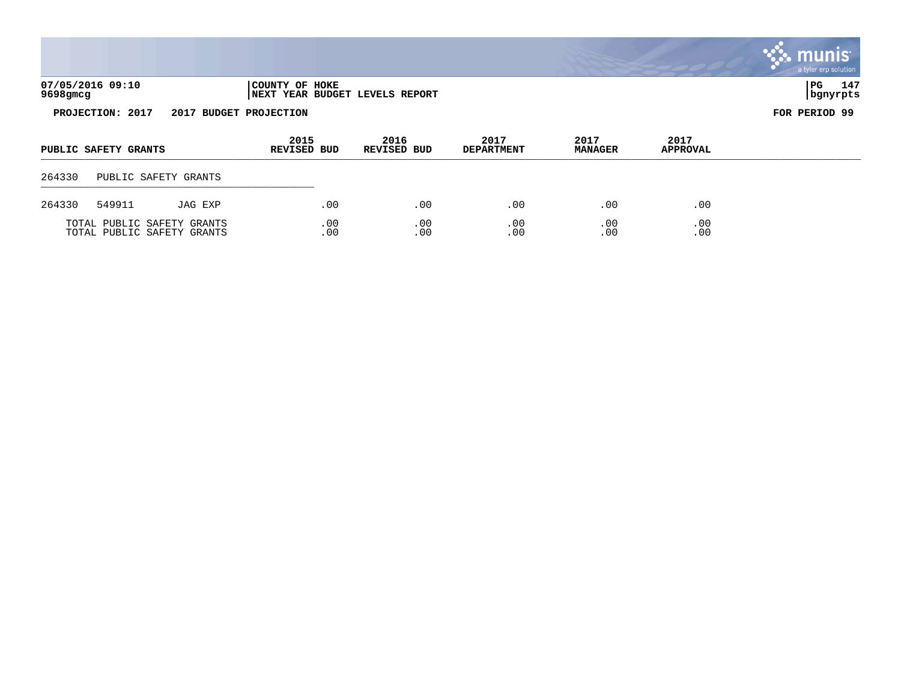|          |                      |                            |                            |                                |                           |                        |                         | munis<br>a tyler erp solution |
|----------|----------------------|----------------------------|----------------------------|--------------------------------|---------------------------|------------------------|-------------------------|-------------------------------|
| 9698gmcg | 07/05/2016 09:10     |                            | COUNTY OF HOKE             | NEXT YEAR BUDGET LEVELS REPORT |                           |                        |                         | PG<br>147<br>  bgnyrpts       |
|          | PROJECTION: 2017     |                            | 2017 BUDGET PROJECTION     |                                |                           |                        |                         | FOR PERIOD 99                 |
|          | PUBLIC SAFETY GRANTS |                            | 2015<br><b>REVISED BUD</b> | 2016<br><b>REVISED BUD</b>     | 2017<br><b>DEPARTMENT</b> | 2017<br><b>MANAGER</b> | 2017<br><b>APPROVAL</b> |                               |
| 264330   |                      | PUBLIC SAFETY GRANTS       |                            |                                |                           |                        |                         |                               |
| 264330   | 549911               | JAG EXP                    | .00                        | .00                            | .00                       | .00                    | .00                     |                               |
|          |                      | TOTAL PUBLIC SAFETY GRANTS | .00                        | .00                            | .00                       | .00                    | .00                     |                               |

TOTAL PUBLIC SAFETY GRANTS .00 .00 .00 .00 .00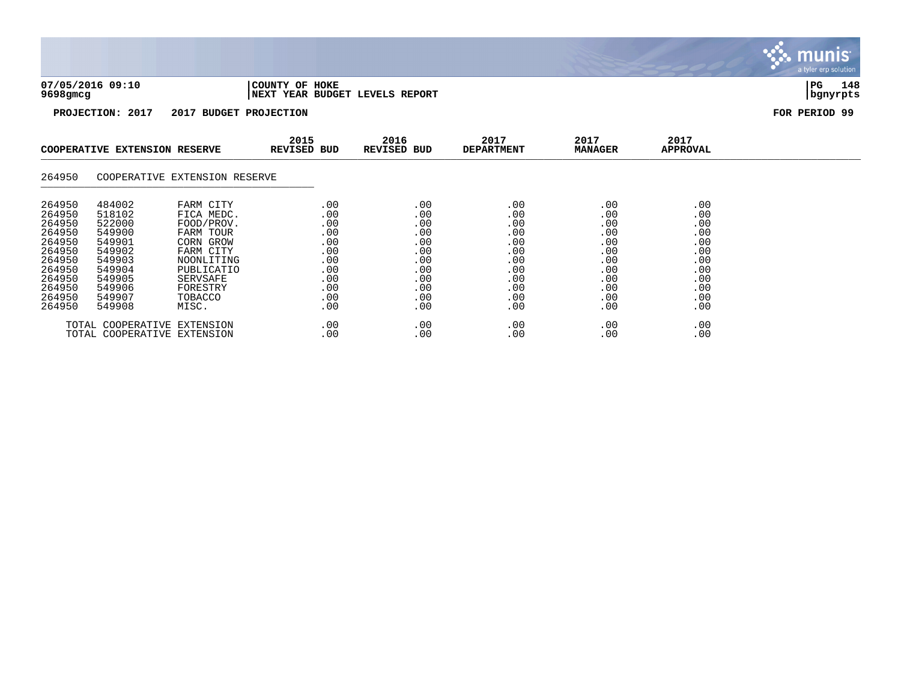

TOTAL COOPERATIVE EXTENSION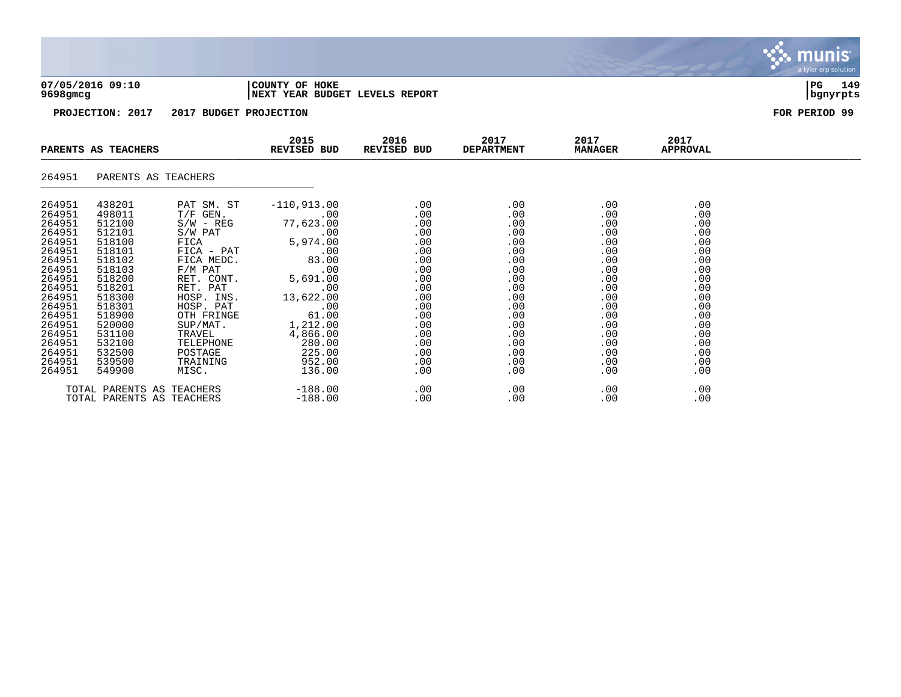

| PARENTS AS TEACHERS                                                                                                                                                                        |                                                                                                                                                                                            |                                                                                                         | 2015<br><b>REVISED BUD</b>                                                                                                                                                                                                                                                                           |                                                                                                                                        | 2016<br>2017<br>REVISED BUD<br><b>DEPARTMENT</b>                                                                                                      | 2017<br><b>MANAGER</b>                                                                                                            | 2017<br>APPROVAL                                                                                                                  |  |
|--------------------------------------------------------------------------------------------------------------------------------------------------------------------------------------------|--------------------------------------------------------------------------------------------------------------------------------------------------------------------------------------------|---------------------------------------------------------------------------------------------------------|------------------------------------------------------------------------------------------------------------------------------------------------------------------------------------------------------------------------------------------------------------------------------------------------------|----------------------------------------------------------------------------------------------------------------------------------------|-------------------------------------------------------------------------------------------------------------------------------------------------------|-----------------------------------------------------------------------------------------------------------------------------------|-----------------------------------------------------------------------------------------------------------------------------------|--|
| 264951                                                                                                                                                                                     |                                                                                                                                                                                            | PARENTS AS TEACHERS                                                                                     |                                                                                                                                                                                                                                                                                                      |                                                                                                                                        |                                                                                                                                                       |                                                                                                                                   |                                                                                                                                   |  |
| 264951<br>264951<br>264951<br>264951<br>264951<br>264951<br>264951<br>264951<br>264951<br>264951<br>264951<br>264951<br>264951<br>264951<br>264951<br>264951<br>264951<br>264951<br>264951 | 438201<br>498011<br>512100<br>512101<br>518100<br>518101<br>518102<br>518103<br>518200<br>518201<br>518300<br>518301<br>518900<br>520000<br>531100<br>532100<br>532500<br>539500<br>549900 | PAT SM. ST<br>$S/W - REG$<br>RET. PAT<br>HOSP. INS.<br>HOSP. PAT<br>OTH FRINGE<br>TELEPHONE<br>TRAINING | $-110,913.00$<br>$T/F$ GEN. $.00$<br>77,623.00<br>S/W PAT .00<br>FICA 5,974.00<br>FICA - PAT .00<br>FICA MEDC. 83.00<br>F/M PAT .00<br>RET. CONT. 5,691.00<br>$\sim 00$<br>13,622.00<br>61.00<br>61.00<br>SUP/MAT. 1,212.00<br>TRAVEL 4,866.00<br>280.00<br>POSTAGE 225.00<br>952.00<br>MISC. 136.00 | .00<br>.00<br>.00<br>.00<br>.00<br>.00<br>.00<br>.00<br>.00<br>.00<br>.00<br>.00<br>.00<br>.00<br>.00<br>.00<br>.00<br>.00<br>$.00 \,$ | .00<br>$.00 \,$<br>$.00 \,$<br>.00<br>.00<br>.00<br>.00<br>$.00 \,$<br>.00<br>.00<br>.00<br>.00<br>.00<br>.00<br>$.00 \,$<br>.00<br>.00<br>.00<br>.00 | .00<br>.00<br>.00<br>.00<br>.00<br>.00<br>.00<br>.00<br>.00<br>.00<br>.00<br>.00<br>.00<br>.00<br>.00<br>.00<br>.00<br>.00<br>.00 | .00<br>.00<br>.00<br>.00<br>.00<br>.00<br>.00<br>.00<br>.00<br>.00<br>.00<br>.00<br>.00<br>.00<br>.00<br>.00<br>.00<br>.00<br>.00 |  |
|                                                                                                                                                                                            |                                                                                                                                                                                            | TOTAL PARENTS AS TEACHERS<br>TOTAL PARENTS AS TEACHERS                                                  | $-188.00$<br>$-188.00$                                                                                                                                                                                                                                                                               | .00<br>.00                                                                                                                             | .00<br>.00                                                                                                                                            | .00<br>.00                                                                                                                        | .00<br>.00                                                                                                                        |  |

munis a tyler erp solution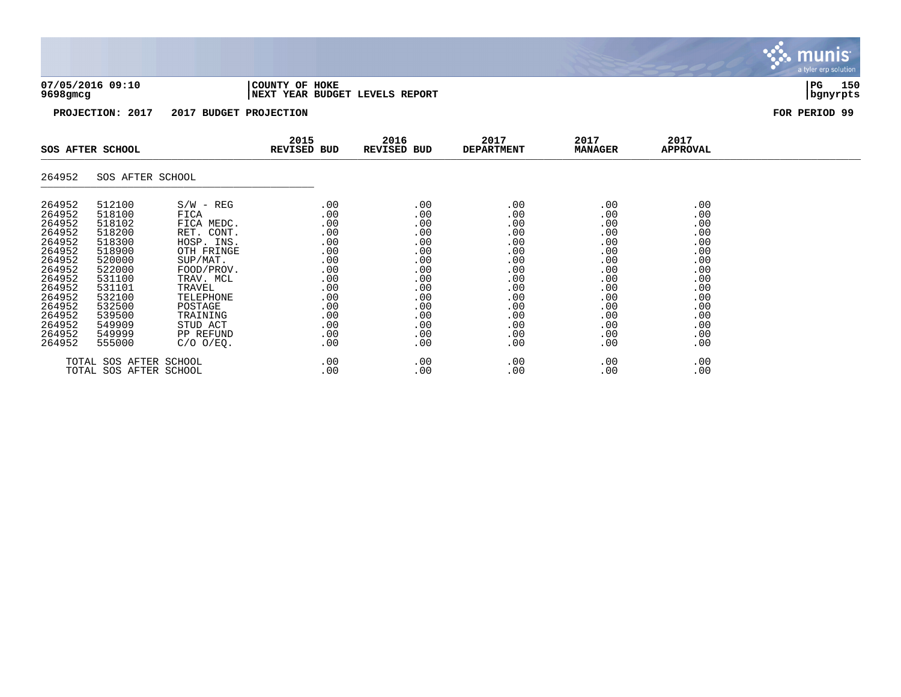| 07/05/2016 09:10 |  |  |
|------------------|--|--|
| 9698amca         |  |  |

### **07/05/2016 09:10 |COUNTY OF HOKE |PG 150 9698gmcg |NEXT YEAR BUDGET LEVELS REPORT |bgnyrpts**

**PROJECTION: 2017 2017 BUDGET PROJECTION FOR PERIOD 99**

|                                                                                                                                                              | SOS AFTER SCHOOL                                                                                                                                             |                                                                                                                                                                                                             | 2015<br><b>REVISED BUD</b>                                                                                   | 2016<br>REVISED BUD                                                                                          | 2017<br><b>DEPARTMENT</b>                                                                                         | 2017<br><b>MANAGER</b>                                                                                       | 2017<br>APPROVAL                                                                                             |  |
|--------------------------------------------------------------------------------------------------------------------------------------------------------------|--------------------------------------------------------------------------------------------------------------------------------------------------------------|-------------------------------------------------------------------------------------------------------------------------------------------------------------------------------------------------------------|--------------------------------------------------------------------------------------------------------------|--------------------------------------------------------------------------------------------------------------|-------------------------------------------------------------------------------------------------------------------|--------------------------------------------------------------------------------------------------------------|--------------------------------------------------------------------------------------------------------------|--|
| 264952                                                                                                                                                       | SOS AFTER SCHOOL                                                                                                                                             |                                                                                                                                                                                                             |                                                                                                              |                                                                                                              |                                                                                                                   |                                                                                                              |                                                                                                              |  |
| 264952<br>264952<br>264952<br>264952<br>264952<br>264952<br>264952<br>264952<br>264952<br>264952<br>264952<br>264952<br>264952<br>264952<br>264952<br>264952 | 512100<br>518100<br>518102<br>518200<br>518300<br>518900<br>520000<br>522000<br>531100<br>531101<br>532100<br>532500<br>539500<br>549909<br>549999<br>555000 | $S/W - REG$<br>FICA<br>FICA MEDC.<br>RET. CONT.<br>HOSP. INS.<br>OTH FRINGE<br>SUP/MAT.<br>FOOD/PROV.<br>TRAV. MCL<br>TRAVEL<br>TELEPHONE<br>POSTAGE<br>TRAINING<br>STUD ACT<br>PP REFUND<br>$C/O$ $O/EQ$ . | .00<br>.00<br>.00<br>.00<br>.00<br>.00<br>.00<br>.00<br>.00<br>.00<br>.00<br>.00<br>.00<br>.00<br>.00<br>.00 | .00<br>.00<br>.00<br>.00<br>.00<br>.00<br>.00<br>.00<br>.00<br>.00<br>.00<br>.00<br>.00<br>.00<br>.00<br>.00 | .00<br>.00<br>.00<br>.00<br>.00<br>.00<br>.00<br>.00<br>.00<br>.00<br>.00<br>.00<br>.00<br>.00<br>.00<br>$.00 \,$ | .00<br>.00<br>.00<br>.00<br>.00<br>.00<br>.00<br>.00<br>.00<br>.00<br>.00<br>.00<br>.00<br>.00<br>.00<br>.00 | .00<br>.00<br>.00<br>.00<br>.00<br>.00<br>.00<br>.00<br>.00<br>.00<br>.00<br>.00<br>.00<br>.00<br>.00<br>.00 |  |
|                                                                                                                                                              | TOTAL SOS AFTER SCHOOL<br>TOTAL SOS AFTER SCHOOL                                                                                                             |                                                                                                                                                                                                             | .00<br>.00                                                                                                   | .00<br>.00                                                                                                   | .00<br>.00                                                                                                        | .00<br>.00                                                                                                   | .00<br>.00                                                                                                   |  |

munis<sup>.</sup> a tyler erp solution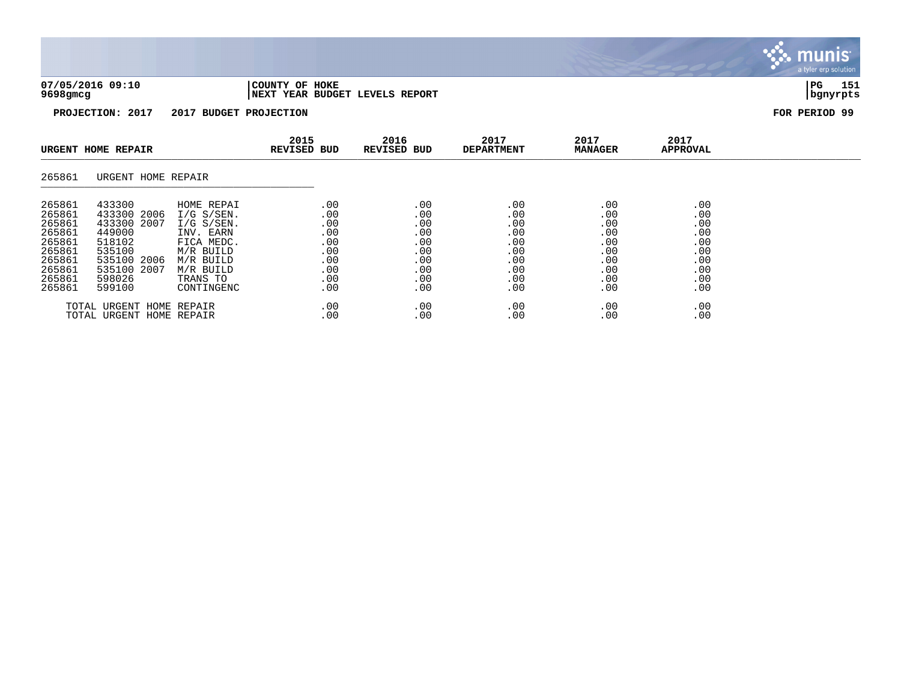| 07/05/2016 09:10 | COUNTY OF HOKE                           | PG          | 151 |
|------------------|------------------------------------------|-------------|-----|
| 9698gmcg         | REPORT<br><b>NEXT YEAR BUDGET LEVELS</b> | i hanvrnt s |     |

| URGENT HOME REPAIR                                                                               |                                                                                                                            |                                                                                                                                        |                                                                    | 2016<br><b>REVISED BUD</b>                                         | 2017<br><b>DEPARTMENT</b>                                          | 2017<br><b>MANAGER</b>                                             | 2017<br><b>APPROVAL</b>                                            |  |
|--------------------------------------------------------------------------------------------------|----------------------------------------------------------------------------------------------------------------------------|----------------------------------------------------------------------------------------------------------------------------------------|--------------------------------------------------------------------|--------------------------------------------------------------------|--------------------------------------------------------------------|--------------------------------------------------------------------|--------------------------------------------------------------------|--|
| 265861                                                                                           | URGENT HOME REPAIR                                                                                                         |                                                                                                                                        |                                                                    |                                                                    |                                                                    |                                                                    |                                                                    |  |
| 265861<br>265861<br>265861<br>265861<br>265861<br>265861<br>265861<br>265861<br>265861<br>265861 | 433300<br>433300 2006<br>433300<br>2007<br>449000<br>518102<br>535100<br>535100 2006<br>535100<br>2007<br>598026<br>599100 | HOME REPAI<br>$I/G$ S/SEN.<br>$I/G$ S/SEN.<br>INV. EARN<br>FICA MEDC.<br>M/R BUILD<br>M/R BUILD<br>M/R BUILD<br>TRANS TO<br>CONTINGENC | .00<br>.00<br>.00<br>.00<br>.00<br>.00<br>.00<br>.00<br>.00<br>.00 | .00<br>.00<br>.00<br>.00<br>.00<br>.00<br>.00<br>.00<br>.00<br>.00 | .00<br>.00<br>.00<br>.00<br>.00<br>.00<br>.00<br>.00<br>.00<br>.00 | .00<br>.00<br>.00<br>.00<br>.00<br>.00<br>.00<br>.00<br>.00<br>.00 | .00<br>.00<br>.00<br>.00<br>.00<br>.00<br>.00<br>.00<br>.00<br>.00 |  |
|                                                                                                  | TOTAL URGENT HOME REPAIR<br>TOTAL URGENT HOME REPAIR                                                                       |                                                                                                                                        | .00<br>.00                                                         | .00<br>.00                                                         | .00<br>.00                                                         | .00<br>.00                                                         | .00<br>.00                                                         |  |

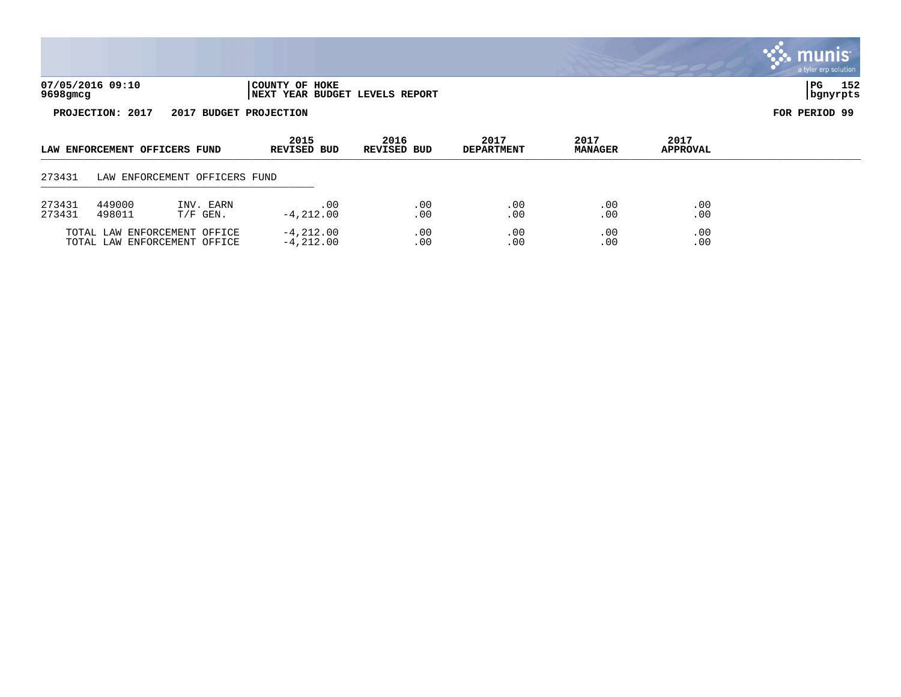|                  |                               |                                                              |                                                  |                     |                           |                        |                  | <u>munis</u><br>a tyler erp solution |
|------------------|-------------------------------|--------------------------------------------------------------|--------------------------------------------------|---------------------|---------------------------|------------------------|------------------|--------------------------------------|
| 9698gmcg         | 07/05/2016 09:10              |                                                              | COUNTY OF HOKE<br>NEXT YEAR BUDGET LEVELS REPORT |                     |                           |                        |                  | 152<br>$_{\rm PG}$<br>bgnyrpts       |
|                  | PROJECTION: 2017              | 2017 BUDGET PROJECTION                                       |                                                  |                     |                           |                        |                  | FOR PERIOD 99                        |
|                  | LAW ENFORCEMENT OFFICERS FUND |                                                              | 2015<br><b>REVISED BUD</b>                       | 2016<br>REVISED BUD | 2017<br><b>DEPARTMENT</b> | 2017<br><b>MANAGER</b> | 2017<br>APPROVAL |                                      |
| 273431           |                               | LAW ENFORCEMENT OFFICERS FUND                                |                                                  |                     |                           |                        |                  |                                      |
| 273431<br>273431 | 449000<br>498011              | INV. EARN<br>$T/F$ GEN.                                      | .00<br>$-4, 212.00$                              | .00<br>.00          | .00<br>.00                | .00<br>.00             | .00<br>.00       |                                      |
|                  |                               | TOTAL LAW ENFORCEMENT OFFICE<br>TOTAL LAW ENFORCEMENT OFFICE | $-4, 212.00$<br>$-4, 212.00$                     | .00<br>.00          | .00<br>.00                | .00<br>.00             | .00<br>.00       |                                      |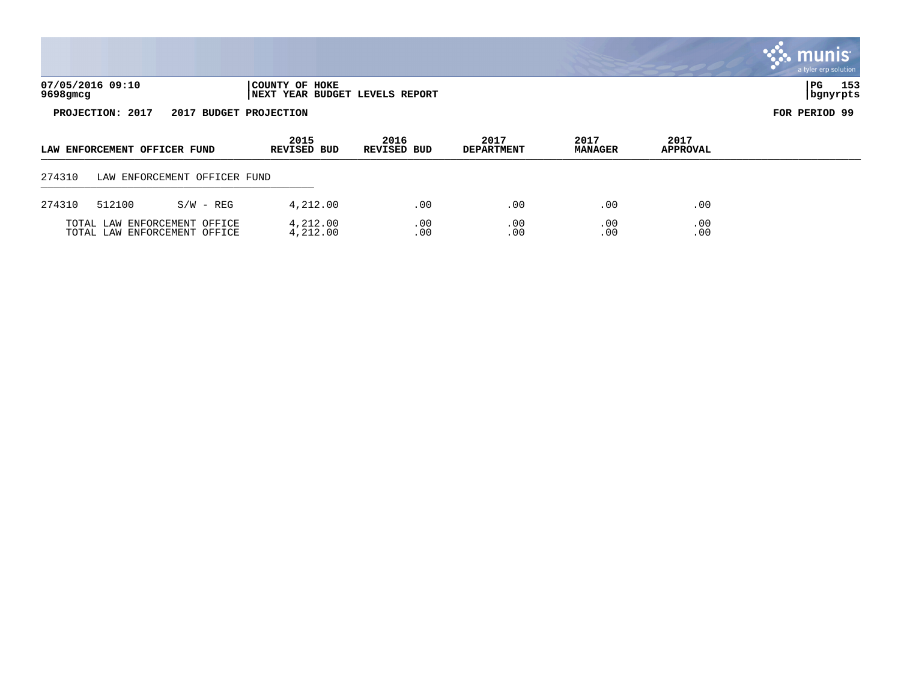|        |                                                                                  |                                                              |                            |                     |                           |                        |                         | <b>W. MUNIS</b><br>a tyler erp solution |
|--------|----------------------------------------------------------------------------------|--------------------------------------------------------------|----------------------------|---------------------|---------------------------|------------------------|-------------------------|-----------------------------------------|
|        | 07/05/2016 09:10<br>COUNTY OF HOKE<br>9698gmcg<br>NEXT YEAR BUDGET LEVELS REPORT |                                                              |                            |                     |                           |                        |                         |                                         |
|        | PROJECTION: 2017                                                                 | 2017                                                         | <b>BUDGET PROJECTION</b>   |                     |                           |                        |                         | FOR PERIOD 99                           |
|        | LAW ENFORCEMENT OFFICER FUND                                                     |                                                              | 2015<br><b>REVISED BUD</b> | 2016<br>REVISED BUD | 2017<br><b>DEPARTMENT</b> | 2017<br><b>MANAGER</b> | 2017<br><b>APPROVAL</b> |                                         |
| 274310 |                                                                                  | LAW ENFORCEMENT OFFICER FUND                                 |                            |                     |                           |                        |                         |                                         |
| 274310 | 512100                                                                           | $S/W - REG$                                                  | 4,212.00                   | .00                 | .00                       | .00                    | .00                     |                                         |
|        |                                                                                  | TOTAL LAW ENFORCEMENT OFFICE<br>TOTAL LAW ENFORCEMENT OFFICE | 4,212.00<br>4,212.00       | .00<br>.00          | .00<br>.00                | .00<br>.00             | .00<br>.00              |                                         |

 $\mathcal{L}$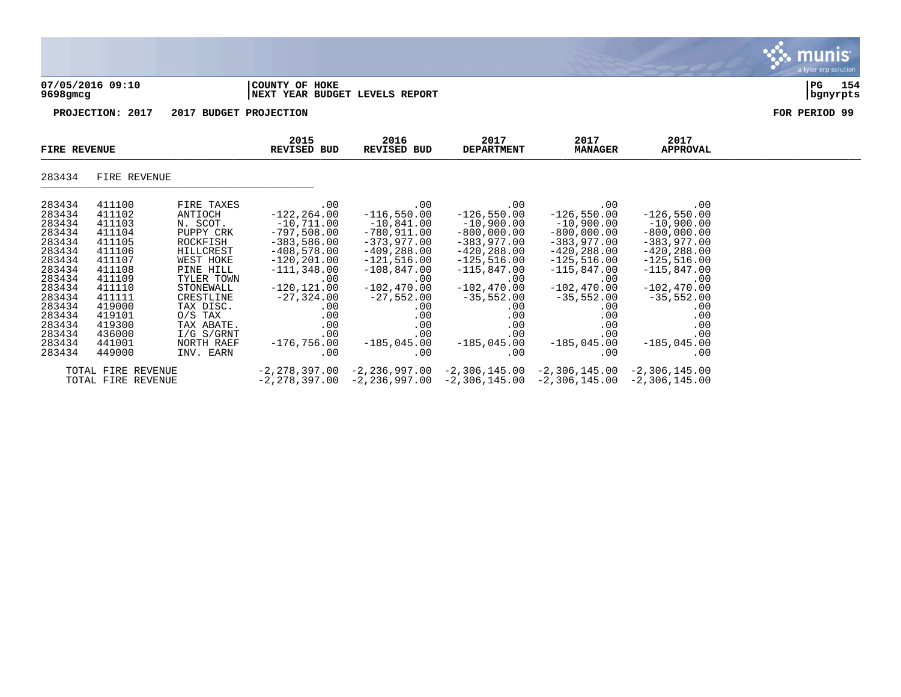|                                                                                                                                                                        |                                                                                                                                                                        |                                                                                                                                                                                                                            |                                                                                                                                                                                                                           |                                                                                                                                                                                                                         |                                                                                                                                                                                                                          |                                                                                                                                                                                                                         |                                                                                                                                                                                                                         | <b>munis</b><br>a tyler erp solution |
|------------------------------------------------------------------------------------------------------------------------------------------------------------------------|------------------------------------------------------------------------------------------------------------------------------------------------------------------------|----------------------------------------------------------------------------------------------------------------------------------------------------------------------------------------------------------------------------|---------------------------------------------------------------------------------------------------------------------------------------------------------------------------------------------------------------------------|-------------------------------------------------------------------------------------------------------------------------------------------------------------------------------------------------------------------------|--------------------------------------------------------------------------------------------------------------------------------------------------------------------------------------------------------------------------|-------------------------------------------------------------------------------------------------------------------------------------------------------------------------------------------------------------------------|-------------------------------------------------------------------------------------------------------------------------------------------------------------------------------------------------------------------------|--------------------------------------|
| 9698gmcg                                                                                                                                                               | 07/05/2016 09:10                                                                                                                                                       |                                                                                                                                                                                                                            | COUNTY OF HOKE<br><b>NEXT YEAR BUDGET LEVELS REPORT</b>                                                                                                                                                                   |                                                                                                                                                                                                                         |                                                                                                                                                                                                                          |                                                                                                                                                                                                                         |                                                                                                                                                                                                                         | 154<br>PG<br>bgnyrpts                |
|                                                                                                                                                                        | PROJECTION: 2017                                                                                                                                                       | 2017 BUDGET PROJECTION                                                                                                                                                                                                     |                                                                                                                                                                                                                           |                                                                                                                                                                                                                         |                                                                                                                                                                                                                          |                                                                                                                                                                                                                         |                                                                                                                                                                                                                         | FOR PERIOD 99                        |
| <b>FIRE REVENUE</b>                                                                                                                                                    |                                                                                                                                                                        |                                                                                                                                                                                                                            | 2015<br>REVISED BUD                                                                                                                                                                                                       | 2016<br>REVISED BUD                                                                                                                                                                                                     | 2017<br><b>DEPARTMENT</b>                                                                                                                                                                                                | 2017<br><b>MANAGER</b>                                                                                                                                                                                                  | 2017<br><b>APPROVAL</b>                                                                                                                                                                                                 |                                      |
| 283434                                                                                                                                                                 | FIRE REVENUE                                                                                                                                                           |                                                                                                                                                                                                                            |                                                                                                                                                                                                                           |                                                                                                                                                                                                                         |                                                                                                                                                                                                                          |                                                                                                                                                                                                                         |                                                                                                                                                                                                                         |                                      |
| 283434<br>283434<br>283434<br>283434<br>283434<br>283434<br>283434<br>283434<br>283434<br>283434<br>283434<br>283434<br>283434<br>283434<br>283434<br>283434<br>283434 | 411100<br>411102<br>411103<br>411104<br>411105<br>411106<br>411107<br>411108<br>411109<br>411110<br>411111<br>419000<br>419101<br>419300<br>436000<br>441001<br>449000 | FIRE TAXES<br>ANTIOCH<br>N. SCOT.<br>PUPPY CRK<br>ROCKFISH<br>HILLCREST<br>WEST HOKE<br>PINE HILL<br>TYLER TOWN<br>STONEWALL<br>CRESTLINE<br>TAX DISC.<br>$O/S$ TAX<br>TAX ABATE.<br>I/G S/GRNT<br>NORTH RAEF<br>INV. EARN | .00<br>$-122, 264.00$<br>$-10,711.00$<br>$-797,508.00$<br>$-383,586.00$<br>$-408,578.00$<br>$-120, 201.00$<br>$-111, 348.00$<br>.00<br>$-120, 121.00$<br>$-27,324.00$<br>.00<br>.00<br>.00<br>.00<br>$-176,756.00$<br>.00 | .00<br>$-116,550.00$<br>$-10,841.00$<br>$-780,911.00$<br>$-373,977.00$<br>$-409, 288.00$<br>$-121,516.00$<br>$-108,847.00$<br>.00<br>$-102, 470.00$<br>$-27,552.00$<br>.00<br>.00<br>.00<br>.00<br>$-185,045.00$<br>.00 | .00<br>$-126, 550.00$<br>$-10,900.00$<br>$-800,000.00$<br>$-383,977.00$<br>$-420, 288.00$<br>$-125,516.00$<br>$-115,847.00$<br>.00<br>$-102, 470.00$<br>$-35,552.00$<br>.00<br>.00<br>.00<br>.00<br>$-185,045.00$<br>.00 | .00<br>$-126,550.00$<br>$-10,900.00$<br>$-800,000.00$<br>$-383,977.00$<br>$-420, 288.00$<br>$-125,516.00$<br>$-115,847.00$<br>.00<br>$-102, 470.00$<br>$-35,552.00$<br>.00<br>.00<br>.00<br>.00<br>$-185,045.00$<br>.00 | .00<br>$-126,550.00$<br>$-10,900.00$<br>$-800,000.00$<br>$-383,977.00$<br>$-420, 288.00$<br>$-125,516.00$<br>$-115,847.00$<br>.00<br>$-102, 470.00$<br>$-35,552.00$<br>.00<br>.00<br>.00<br>.00<br>$-185,045.00$<br>.00 |                                      |
|                                                                                                                                                                        | TOTAL FIRE REVENUE                                                                                                                                                     |                                                                                                                                                                                                                            |                                                                                                                                                                                                                           |                                                                                                                                                                                                                         | $-2, 278, 397.00 -2, 236, 997.00 -2, 306, 145.00 -2, 306, 145.00$                                                                                                                                                        |                                                                                                                                                                                                                         | -2,306,145.00                                                                                                                                                                                                           |                                      |

TOTAL FIRE REVENUE -2,278,397.00 -2,236,997.00 -2,306,145.00 -2,306,145.00 -2,306,145.00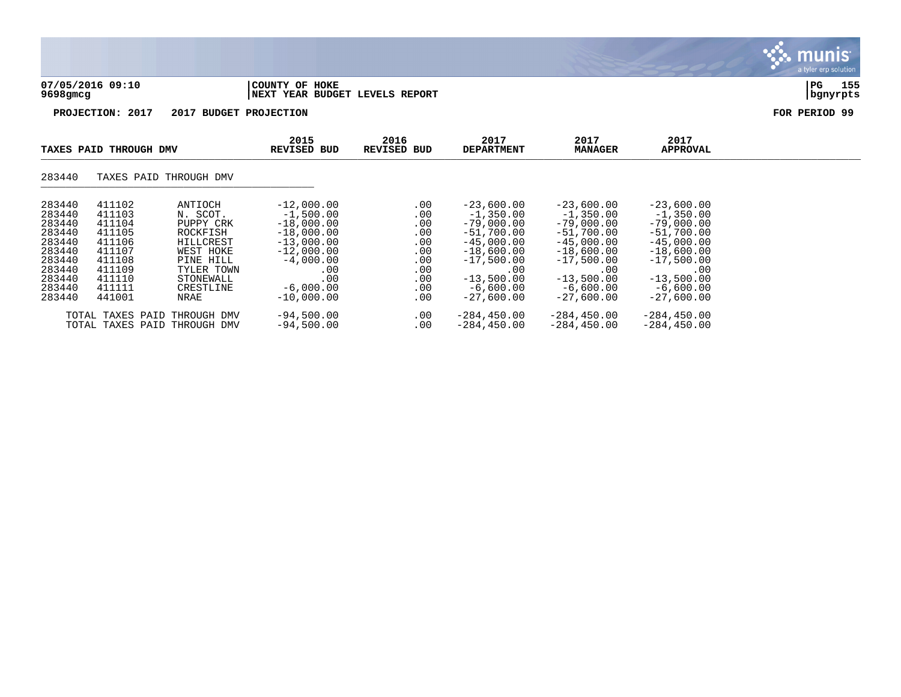| 07/05/2016 09:10 | 'COUNTY OF HOKE                | l PG     | 155 |
|------------------|--------------------------------|----------|-----|
| 9698gmcg         | NEXT YEAR BUDGET LEVELS REPORT | bgnyrpts |     |

|                                                                                                            | TAXES PAID THROUGH DMV                                                                                     |                                                                                                                                     | 2015<br><b>REVISED BUD</b>                                                                                                                              | 2016<br><b>REVISED BUD</b>                                                | 2017<br><b>DEPARTMENT</b>                                                                                                                                         | 2017<br><b>MANAGER</b>                                                                                                                                            | 2017<br><b>APPROVAL</b>                                                                                                                                           |  |
|------------------------------------------------------------------------------------------------------------|------------------------------------------------------------------------------------------------------------|-------------------------------------------------------------------------------------------------------------------------------------|---------------------------------------------------------------------------------------------------------------------------------------------------------|---------------------------------------------------------------------------|-------------------------------------------------------------------------------------------------------------------------------------------------------------------|-------------------------------------------------------------------------------------------------------------------------------------------------------------------|-------------------------------------------------------------------------------------------------------------------------------------------------------------------|--|
| 283440                                                                                                     |                                                                                                            | TAXES PAID THROUGH DMV                                                                                                              |                                                                                                                                                         |                                                                           |                                                                                                                                                                   |                                                                                                                                                                   |                                                                                                                                                                   |  |
| 283440<br>283440<br>283440<br>283440<br>283440<br>283440<br>283440<br>283440<br>283440<br>283440<br>283440 | 411102<br>411103<br>411104<br>411105<br>411106<br>411107<br>411108<br>411109<br>411110<br>411111<br>441001 | ANTIOCH<br>N. SCOT.<br>PUPPY CRK<br>ROCKFISH<br>HILLCREST<br>WEST HOKE<br>PINE HILL<br>TYLER TOWN<br>STONEWALL<br>CRESTLINE<br>NRAE | $-12,000.00$<br>$-1,500.00$<br>$-18,000.00$<br>$-18,000.00$<br>$-13,000.00$<br>$-12,000.00$<br>$-4,000.00$<br>.00<br>.00<br>$-6,000.00$<br>$-10,000,00$ | .00<br>.00<br>.00<br>.00<br>.00<br>.00<br>.00<br>.00<br>.00<br>.00<br>.00 | $-23,600.00$<br>$-1,350.00$<br>$-79,000.00$<br>$-51,700.00$<br>$-45,000.00$<br>$-18,600.00$<br>$-17.500.00$<br>.00<br>$-13,500.00$<br>$-6,600.00$<br>$-27.600.00$ | $-23,600.00$<br>$-1,350.00$<br>$-79,000.00$<br>$-51,700.00$<br>$-45,000.00$<br>$-18,600.00$<br>$-17,500.00$<br>.00<br>$-13,500.00$<br>$-6,600.00$<br>$-27,600.00$ | $-23,600.00$<br>$-1,350.00$<br>$-79,000.00$<br>$-51,700.00$<br>$-45,000.00$<br>$-18,600.00$<br>$-17,500.00$<br>.00<br>$-13,500.00$<br>$-6,600.00$<br>$-27,600.00$ |  |
|                                                                                                            | TOTAL TAXES PAID                                                                                           | THROUGH DMV<br>TOTAL TAXES PAID THROUGH DMV                                                                                         | $-94,500.00$<br>$-94,500.00$                                                                                                                            | .00<br>.00                                                                | $-284, 450.00$<br>$-284, 450.00$                                                                                                                                  | $-284, 450.00$<br>$-284, 450.00$                                                                                                                                  | $-284, 450.00$<br>$-284, 450.00$                                                                                                                                  |  |

## **BASE** munis a tyler erp solution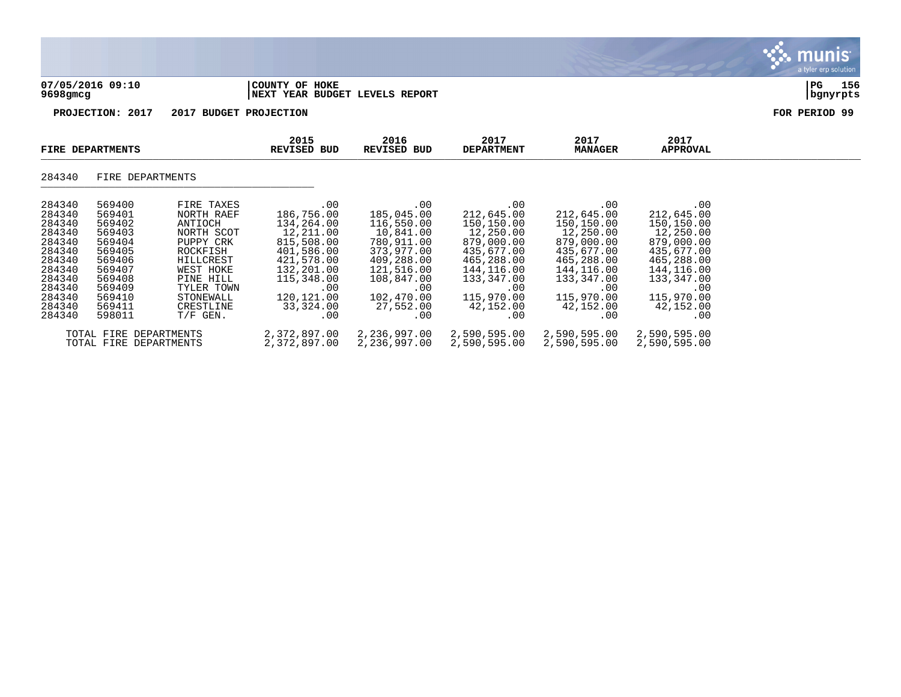|                                                                                                                                |                                                                                                                                |                                                                                                                                                                         |                                                                                                                                                             |                                                                                                                                                             |                                                                                                                                                             |                                                                                                                                                             |                                                                                                                                                             | nıs<br>a tyler erp solution |
|--------------------------------------------------------------------------------------------------------------------------------|--------------------------------------------------------------------------------------------------------------------------------|-------------------------------------------------------------------------------------------------------------------------------------------------------------------------|-------------------------------------------------------------------------------------------------------------------------------------------------------------|-------------------------------------------------------------------------------------------------------------------------------------------------------------|-------------------------------------------------------------------------------------------------------------------------------------------------------------|-------------------------------------------------------------------------------------------------------------------------------------------------------------|-------------------------------------------------------------------------------------------------------------------------------------------------------------|-----------------------------|
| $9698$ gmcg                                                                                                                    | 07/05/2016 09:10                                                                                                               |                                                                                                                                                                         | COUNTY OF HOKE<br>NEXT YEAR BUDGET LEVELS REPORT                                                                                                            |                                                                                                                                                             |                                                                                                                                                             |                                                                                                                                                             |                                                                                                                                                             | 156<br>PG<br>  bgnyrpts     |
|                                                                                                                                | PROJECTION: 2017                                                                                                               |                                                                                                                                                                         | 2017 BUDGET PROJECTION                                                                                                                                      |                                                                                                                                                             |                                                                                                                                                             |                                                                                                                                                             |                                                                                                                                                             | FOR PERIOD 99               |
|                                                                                                                                | FIRE DEPARTMENTS                                                                                                               |                                                                                                                                                                         | 2015<br><b>REVISED BUD</b>                                                                                                                                  | 2016<br><b>REVISED BUD</b>                                                                                                                                  | 2017<br><b>DEPARTMENT</b>                                                                                                                                   | 2017<br><b>MANAGER</b>                                                                                                                                      | 2017<br><b>APPROVAL</b>                                                                                                                                     |                             |
| 284340                                                                                                                         | FIRE DEPARTMENTS                                                                                                               |                                                                                                                                                                         |                                                                                                                                                             |                                                                                                                                                             |                                                                                                                                                             |                                                                                                                                                             |                                                                                                                                                             |                             |
| 284340<br>284340<br>284340<br>284340<br>284340<br>284340<br>284340<br>284340<br>284340<br>284340<br>284340<br>284340<br>284340 | 569400<br>569401<br>569402<br>569403<br>569404<br>569405<br>569406<br>569407<br>569408<br>569409<br>569410<br>569411<br>598011 | FIRE TAXES<br>NORTH RAEF<br>ANTIOCH<br>NORTH SCOT<br>PUPPY CRK<br>ROCKFISH<br>HILLCREST<br>WEST HOKE<br>PINE HILL<br>TYLER TOWN<br>STONEWALL<br>CRESTLINE<br>$T/F$ GEN. | .00<br>186,756.00<br>134,264.00<br>12,211.00<br>815,508.00<br>401,586.00<br>421,578.00<br>132,201.00<br>115,348.00<br>.00<br>120,121.00<br>33,324.00<br>.00 | .00<br>185,045.00<br>116,550.00<br>10,841.00<br>780,911.00<br>373,977.00<br>409,288.00<br>121,516.00<br>108,847.00<br>.00<br>102,470.00<br>27,552.00<br>.00 | .00<br>212,645.00<br>150,150.00<br>12,250.00<br>879,000.00<br>435,677.00<br>465,288.00<br>144,116.00<br>133,347.00<br>.00<br>115,970.00<br>42,152.00<br>.00 | .00<br>212,645.00<br>150,150.00<br>12,250.00<br>879,000.00<br>435,677.00<br>465,288.00<br>144,116.00<br>133,347.00<br>.00<br>115,970.00<br>42,152.00<br>.00 | .00<br>212,645.00<br>150,150.00<br>12,250.00<br>879,000.00<br>435,677.00<br>465,288.00<br>144,116.00<br>133,347.00<br>.00<br>115,970.00<br>42,152.00<br>.00 |                             |
|                                                                                                                                | TOTAL FIRE DEPARTMENTS                                                                                                         |                                                                                                                                                                         | 2,372,897.00                                                                                                                                                | 2,236,997.00                                                                                                                                                | 2,590,595.00                                                                                                                                                | 2,590,595.00                                                                                                                                                | 2,590,595.00                                                                                                                                                |                             |

TOTAL FIRE DEPARTMENTS 2,372,897.00 2,236,997.00 2,590,595.00 2,590,595.00 2,590,595.00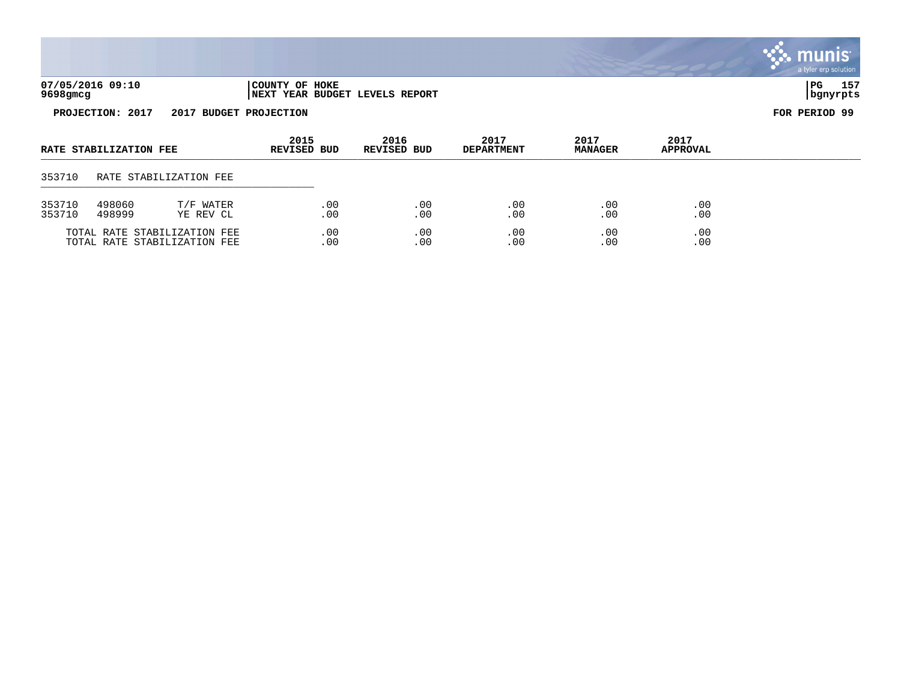|                  |                        |                        |                            |                                |                           |                        |                  | munis <sup>®</sup><br>a tyler erp solution |
|------------------|------------------------|------------------------|----------------------------|--------------------------------|---------------------------|------------------------|------------------|--------------------------------------------|
| 9698gmcg         | 07/05/2016 09:10       |                        | COUNTY OF HOKE             | NEXT YEAR BUDGET LEVELS REPORT |                           |                        |                  | 157<br>PG<br>  bgnyrpts                    |
|                  | PROJECTION: 2017       | 2017                   | <b>BUDGET PROJECTION</b>   |                                |                           |                        |                  | FOR PERIOD 99                              |
|                  | RATE STABILIZATION FEE |                        | 2015<br><b>REVISED BUD</b> | 2016<br><b>REVISED BUD</b>     | 2017<br><b>DEPARTMENT</b> | 2017<br><b>MANAGER</b> | 2017<br>APPROVAL |                                            |
| 353710           |                        | RATE STABILIZATION FEE |                            |                                |                           |                        |                  |                                            |
| 353710<br>353710 | 498060<br>498999       | T/F WATER<br>YE REV CL | .00<br>.00                 | .00<br>.00                     | .00<br>.00                | .00<br>.00             | .00<br>.00       |                                            |

TOTAL RATE STABILIZATION FEE .00 .00 .00 .00 .00 TOTAL RATE STABILIZATION FEE .00 .00 .00 .00 .00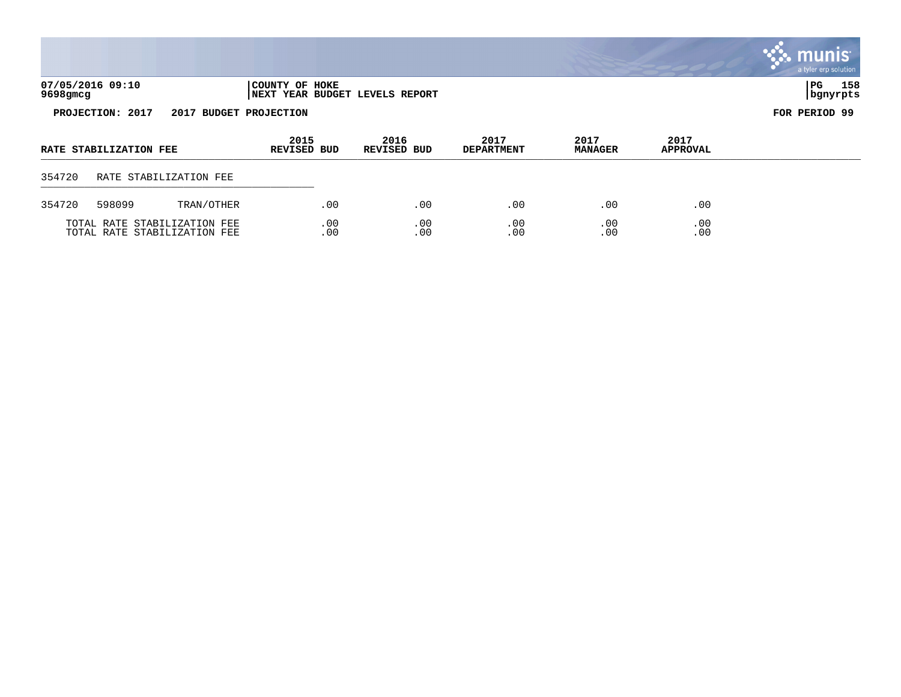|          |                        |                              |                            |     |                                |                           |                        |                         | munis <sup>®</sup><br>a tyler erp solution |
|----------|------------------------|------------------------------|----------------------------|-----|--------------------------------|---------------------------|------------------------|-------------------------|--------------------------------------------|
| 9698gmcg | 07/05/2016 09:10       |                              | COUNTY OF HOKE             |     | NEXT YEAR BUDGET LEVELS REPORT |                           |                        |                         | 158<br>l PG.<br>  bgnyrpts                 |
|          | PROJECTION: 2017       | 2017 BUDGET PROJECTION       |                            |     |                                |                           |                        | FOR PERIOD 99           |                                            |
|          | RATE STABILIZATION FEE |                              | 2015<br><b>REVISED BUD</b> |     | 2016<br><b>REVISED BUD</b>     | 2017<br><b>DEPARTMENT</b> | 2017<br><b>MANAGER</b> | 2017<br><b>APPROVAL</b> |                                            |
| 354720   |                        | RATE STABILIZATION FEE       |                            |     |                                |                           |                        |                         |                                            |
| 354720   | 598099                 | TRAN/OTHER                   |                            | .00 | .00                            | .00                       | .00                    | .00                     |                                            |
|          |                        | TOTAL RATE STABILIZATION FEE |                            | .00 | .00                            | .00                       | .00                    | .00                     |                                            |

TOTAL RATE STABILIZATION FEE .00 .00 .00 .00 .00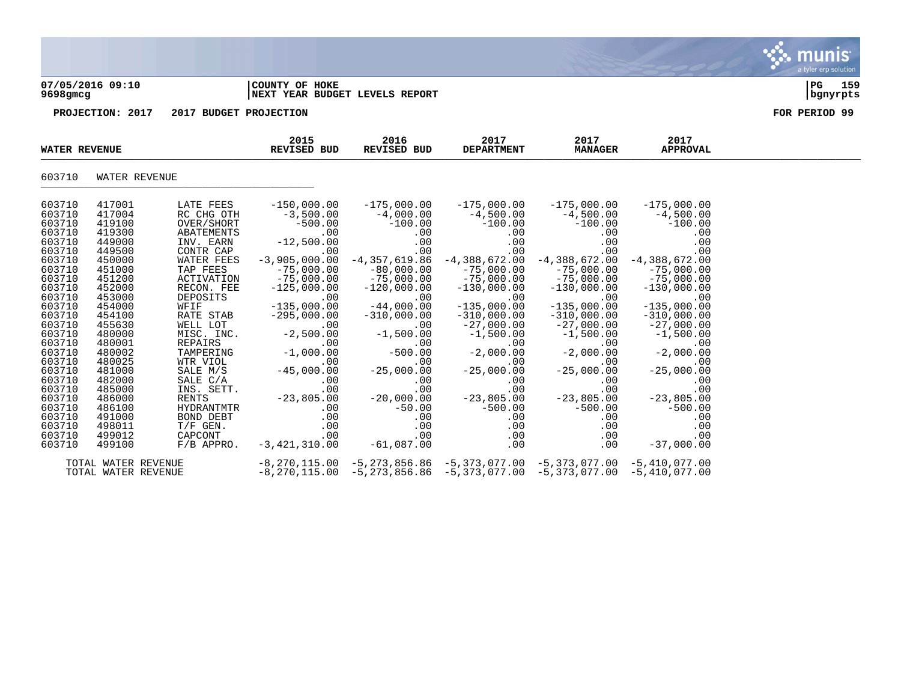### **07/05/2016 09:10 |COUNTY OF HOKE |PG 159 9698gmcg |NEXT YEAR BUDGET LEVELS REPORT |bgnyrpts**

**PROJECTION: 2017 2017 BUDGET PROJECTION FOR PERIOD 99**

| <b>WATER REVENUE</b> |                     |                      | 2015<br>REVISED BUD | 2016<br>REVISED BUD                                   | 2017<br><b>DEPARTMENT</b>       | 2017<br><b>MANAGER</b> | 2017<br><b>APPROVAL</b> |  |
|----------------------|---------------------|----------------------|---------------------|-------------------------------------------------------|---------------------------------|------------------------|-------------------------|--|
| 603710               |                     | WATER REVENUE        |                     |                                                       |                                 |                        |                         |  |
| 603710               | 417001              | LATE FEES            | $-150,000.00$       | $-175,000.00$                                         | $-175,000.00$                   | $-175,000.00$          | $-175,000.00$           |  |
| 603710               | 417004              | RC CHG OTH           | $-3,500.00$         | $-4,000.00$                                           | $-4,500.00$                     | $-4,500.00$            | $-4,500.00$             |  |
| 603710               | 419100              | OVER/SHORT           | $-500.00$           | $-100.00$                                             | $-100.00$                       | $-100.00$              | $-100.00$               |  |
| 603710               | 419300              | ABATEMENTS           | .00                 | .00                                                   | .00                             | .00                    | .00                     |  |
| 603710               | 449000              | INV. EARN            | $-12,500.00$        | .00                                                   | .00                             | .00                    | .00                     |  |
| 603710               | 449500              | CONTR CAP            | .00                 | .00                                                   | .00                             | .00                    | .00                     |  |
| 603710               | 450000              | WATER FEES           | $-3,905,000.00$     | $-4,357,619.86$                                       | $-4,388,672.00$                 | $-4,388,672.00$        | $-4,388,672.00$         |  |
| 603710               | 451000              | TAP FEES             | $-75,000.00$        | $-80,000.00$                                          | $-75,000.00$                    | $-75,000.00$           | $-75,000.00$            |  |
| 603710               | 451200              | <b>ACTIVATION</b>    | $-75,000.00$        | $-75,000.00$                                          | $-75,000.00$                    | $-75,000.00$           | $-75,000.00$            |  |
| 603710               | 452000              | RECON. FEE           | $-125,000.00$       | $-120,000.00$                                         | $-130,000.00$                   | $-130,000.00$          | $-130,000.00$           |  |
| 603710               | 453000              | DEPOSITS             | .00                 | .00                                                   | .00                             | .00                    | .00                     |  |
| 603710               | 454000              | WFIF                 | $-135,000.00$       | $-44,000.00$                                          | $-135,000.00$                   | $-135,000.00$          | $-135,000.00$           |  |
| 603710               | 454100              | RATE STAB            | $-295,000.00$       | $-310,000.00$                                         | $-310,000.00$                   | $-310,000.00$          | $-310,000.00$           |  |
| 603710               | 455630              | WELL LOT             | .00                 | .00                                                   | $-27,000.00$                    | $-27,000.00$           | $-27,000.00$            |  |
| 603710               | 480000              | MISC. INC.           | $-2,500.00$         | $-1,500.00$                                           | $-1,500.00$                     | $-1,500.00$            | $-1,500.00$             |  |
| 603710               | 480001              | REPAIRS              | .00                 | .00                                                   | .00                             | .00                    | .00                     |  |
| 603710<br>603710     | 480002<br>480025    | TAMPERING            | $-1,000.00$<br>.00  | $-500.00$<br>.00                                      | $-2,000.00$<br>.00              | $-2,000.00$<br>.00     | $-2,000.00$<br>.00      |  |
| 603710               | 481000              | WTR VIOL             | $-45,000.00$        | $-25,000.00$                                          |                                 |                        |                         |  |
| 603710               | 482000              | SALE M/S<br>SALE C/A | .00                 | .00                                                   | $-25,000.00$<br>.00             | $-25,000.00$<br>.00    | $-25,000.00$<br>.00     |  |
| 603710               | 485000              | INS. SETT.           | .00                 | .00                                                   | .00                             | .00                    | .00                     |  |
| 603710               | 486000              | RENTS                | $-23,805.00$        | $-20,000.00$                                          | $-23,805.00$                    | $-23,805.00$           | $-23,805.00$            |  |
| 603710               | 486100              | HYDRANTMTR           | .00                 | $-50.00$                                              | $-500.00$                       | $-500.00$              | $-500.00$               |  |
| 603710               | 491000              | BOND DEBT            | .00                 | .00                                                   | .00                             | .00                    | .00                     |  |
| 603710               | 498011              | $T/F$ GEN.           | .00                 | .00                                                   | .00                             | .00                    | .00                     |  |
| 603710               | 499012              | CAPCONT              | .00                 | .00                                                   | .00                             | .00                    | .00                     |  |
| 603710               | 499100              | $F/B$ APPRO.         | $-3,421,310.00$     | $-61,087.00$                                          | .00                             | .00                    | $-37,000.00$            |  |
|                      | TOTAL WATER REVENUE |                      | $-8,270,115.00$     | $-5, 273, 856.86$ $-5, 373, 077.00$ $-5, 373, 077.00$ |                                 |                        | $-5,410,077.00$         |  |
|                      | TOTAL WATER REVENUE |                      | $-8, 270, 115.00$   | -5,273,856.86                                         | $-5,373,077.00$ $-5,373,077.00$ |                        | $-5,410,077.00$         |  |

munis a tyler erp solution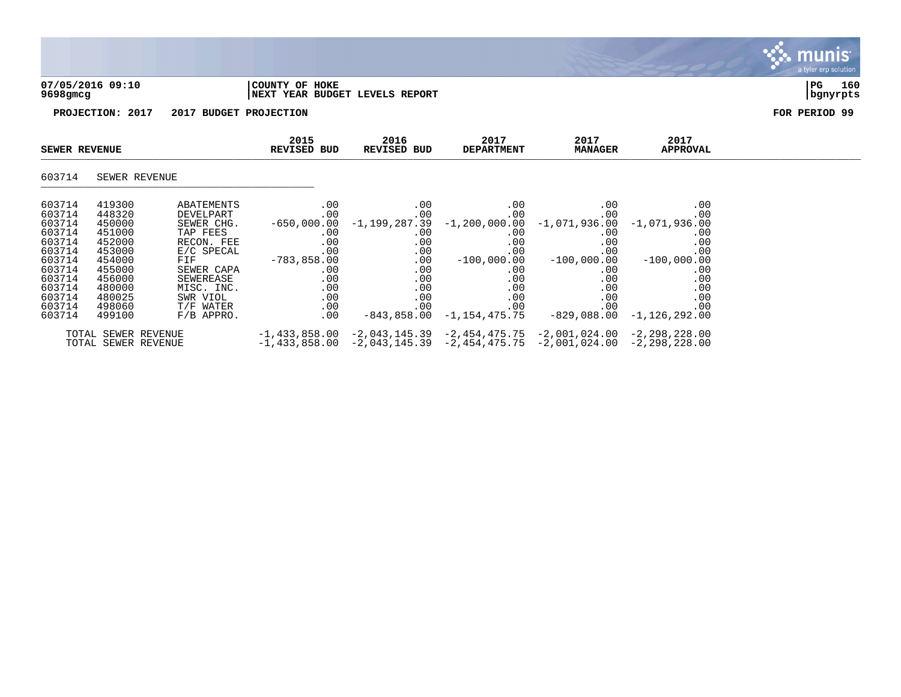

### **07/05/2016 09:10 |COUNTY OF HOKE |PG 160 9698gmcg |NEXT YEAR BUDGET LEVELS REPORT |bgnyrpts**



|                  | <b>SEWER REVENUE</b> |                        | 2015<br>REVISED BUD              | 2016<br>REVISED BUD | 2017<br><b>DEPARTMENT</b> | 2017<br><b>MANAGER</b>                                                          | 2017<br>APPROVAL       |  |
|------------------|----------------------|------------------------|----------------------------------|---------------------|---------------------------|---------------------------------------------------------------------------------|------------------------|--|
| 603714           |                      | SEWER REVENUE          |                                  |                     |                           |                                                                                 |                        |  |
| 603714           | 419300               | ABATEMENTS             | .00                              | .00                 | $.00 \,$                  | .00                                                                             | .00                    |  |
| 603714<br>603714 | 448320<br>450000     | DEVELPART              | .00<br>-650,000.00 -1,199,287.39 | .00                 | $.00 \,$                  | .00<br>$-1, 200, 000.00 -1, 071, 936.00$                                        | .00<br>$-1,071,936.00$ |  |
| 603714           | 451000               | SEWER CHG.<br>TAP FEES | $.00 \,$                         | .00                 | $.00 \,$                  | .00                                                                             | .00                    |  |
| 603714           | 452000               | RECON. FEE             | .00                              | $.00 \,$            | $.00 \,$                  | .00                                                                             | .00                    |  |
| 603714           | 453000               | E/C SPECAL             | $.00 \,$                         | .00                 | $.00 \ \,$                | .00                                                                             | .00                    |  |
| 603714           | 454000               | FIF                    | $-783,858.00$                    | $.00\,$             | $-100$ ,000.00            | $-100,000.00$                                                                   | $-100,000.00$          |  |
| 603714           | 455000               | SEWER CAPA             | $.00 \,$                         | .00                 | $.00 \,$                  | $.00\,$                                                                         | .00                    |  |
| 603714           | 456000               | SEWEREASE              | $.00 \,$                         | .00                 | $.00 \ \,$                | .00                                                                             | .00                    |  |
| 603714           | 480000               | MISC. INC.             | .00                              | .00                 | $.00 \,$                  | .00                                                                             | .00                    |  |
| 603714           | 480025               | SWR VIOL               | .00                              | $.00 \,$            | .00                       | .00                                                                             | .00                    |  |
| 603714           | 498060               | T/F WATER              | $.00 \,$                         | .00                 | $.00 \ \,$                | .00                                                                             | .00                    |  |
| 603714           | 499100               | $F/B$ APPRO.           | $.00 \,$                         |                     |                           | $-843,858.00 -1,154,475.75 -829,088.00 -1,126,292.00$                           |                        |  |
|                  |                      | TOTAL SEWER REVENUE    |                                  |                     |                           | $-1,433,858.00$ $-2,043,145.39$ $-2,454,475.75$ $-2,001,024.00$ $-2,298,228.00$ |                        |  |
|                  |                      | TOTAL SEWER REVENUE    |                                  |                     |                           | $-1,433,858.00$ $-2,043,145.39$ $-2,454,475.75$ $-2,001,024.00$ $-2,298,228.00$ |                        |  |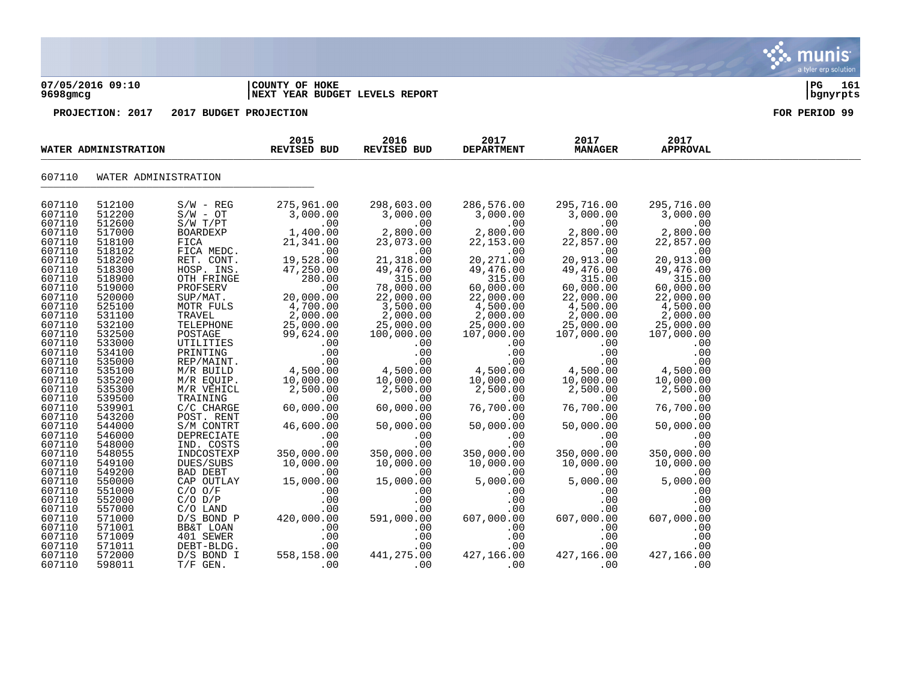| 9698gmcg                                                                                                                                                                                                                                                                   | 07/05/2016 09:10                                                                                                                                                                                                                                                           |                                                                                                                                                                                                                                                                                                                                                                     | COUNTY OF HOKE<br><b>NEXT YEAR BUDGET LEVELS REPORT</b>                                                                                                                                                                                                                                         | l PG-<br>161<br>  bgnyrpts                                                                                                                                                                                                                                                                     |                                                                                                                                                                                                                                                                                                 |                                                                                                                                                                                                                                                                                                |                                                                                                                                                                                                                                                                                                |  |
|----------------------------------------------------------------------------------------------------------------------------------------------------------------------------------------------------------------------------------------------------------------------------|----------------------------------------------------------------------------------------------------------------------------------------------------------------------------------------------------------------------------------------------------------------------------|---------------------------------------------------------------------------------------------------------------------------------------------------------------------------------------------------------------------------------------------------------------------------------------------------------------------------------------------------------------------|-------------------------------------------------------------------------------------------------------------------------------------------------------------------------------------------------------------------------------------------------------------------------------------------------|------------------------------------------------------------------------------------------------------------------------------------------------------------------------------------------------------------------------------------------------------------------------------------------------|-------------------------------------------------------------------------------------------------------------------------------------------------------------------------------------------------------------------------------------------------------------------------------------------------|------------------------------------------------------------------------------------------------------------------------------------------------------------------------------------------------------------------------------------------------------------------------------------------------|------------------------------------------------------------------------------------------------------------------------------------------------------------------------------------------------------------------------------------------------------------------------------------------------|--|
|                                                                                                                                                                                                                                                                            | PROJECTION: 2017                                                                                                                                                                                                                                                           | 2017 BUDGET PROJECTION                                                                                                                                                                                                                                                                                                                                              |                                                                                                                                                                                                                                                                                                 |                                                                                                                                                                                                                                                                                                | FOR PERIOD 99                                                                                                                                                                                                                                                                                   |                                                                                                                                                                                                                                                                                                |                                                                                                                                                                                                                                                                                                |  |
|                                                                                                                                                                                                                                                                            | WATER ADMINISTRATION                                                                                                                                                                                                                                                       |                                                                                                                                                                                                                                                                                                                                                                     | 2015<br>REVISED BUD                                                                                                                                                                                                                                                                             | 2016<br>REVISED BUD                                                                                                                                                                                                                                                                            | 2017<br><b>DEPARTMENT</b>                                                                                                                                                                                                                                                                       | 2017<br><b>MANAGER</b>                                                                                                                                                                                                                                                                         | 2017<br><b>APPROVAL</b>                                                                                                                                                                                                                                                                        |  |
| 607110                                                                                                                                                                                                                                                                     |                                                                                                                                                                                                                                                                            | WATER ADMINISTRATION                                                                                                                                                                                                                                                                                                                                                |                                                                                                                                                                                                                                                                                                 |                                                                                                                                                                                                                                                                                                |                                                                                                                                                                                                                                                                                                 |                                                                                                                                                                                                                                                                                                |                                                                                                                                                                                                                                                                                                |  |
| 607110<br>607110<br>607110<br>607110<br>607110<br>607110<br>607110<br>607110<br>607110<br>607110<br>607110<br>607110<br>607110<br>607110<br>607110<br>607110<br>607110<br>607110<br>607110<br>607110<br>607110<br>607110<br>607110<br>607110<br>607110<br>607110<br>607110 | 512100<br>512200<br>512600<br>517000<br>518100<br>518102<br>518200<br>518300<br>518900<br>519000<br>520000<br>525100<br>531100<br>532100<br>532500<br>533000<br>534100<br>535000<br>535100<br>535200<br>535300<br>539500<br>539901<br>543200<br>544000<br>546000<br>548000 | $S/W - REG$<br>$S/W - OT$<br>S/W T/PT<br><b>BOARDEXP</b><br>FICA<br>FICA MEDC.<br>RET. CONT.<br>HOSP. INS.<br>OTH FRINGE<br>PROFSERV<br>SUP/MAT.<br>MOTR FULS<br>TRAVEL<br>TELEPHONE<br>POSTAGE<br>UTILITIES<br>PRINTING<br>REP/MAINT.<br>M/R BUILD<br>M/R EOUIP.<br>M/R VEHICL<br>TRAINING<br>$C/C$ CHARGE<br>POST. RENT<br>S/M CONTRT<br>DEPRECIATE<br>IND. COSTS | 275,961.00<br>3,000.00<br>.00<br>1,400.00<br>21,341.00<br>.00<br>19,528.00<br>47,250.00<br>280.00<br>.00<br>20,000.00<br>4,700.00<br>2,000.00<br>25,000.00<br>99,624.00<br>$.00 \ \rm$<br>.00<br>.00<br>4,500.00<br>10,000.00<br>2,500.00<br>.00<br>60,000.00<br>.00<br>46,600.00<br>.00<br>.00 | 298,603.00<br>3,000.00<br>.00<br>2,800.00<br>23,073.00<br>.00<br>21,318.00<br>49,476.00<br>315.00<br>78,000.00<br>22,000.00<br>3,500.00<br>2,000.00<br>25,000.00<br>100,000.00<br>.00<br>.00<br>.00<br>4,500.00<br>10,000.00<br>2,500.00<br>.00<br>60,000.00<br>.00<br>50,000.00<br>.00<br>.00 | 286,576.00<br>3,000.00<br>.00<br>2,800.00<br>22,153.00<br>.00<br>20, 271.00<br>49,476.00<br>315.00<br>60,000.00<br>22,000.00<br>4,500.00<br>2,000.00<br>25,000.00<br>107,000.00<br>.00<br>.00<br>.00<br>4,500.00<br>10,000.00<br>2,500.00<br>.00<br>76,700.00<br>.00<br>50,000.00<br>.00<br>.00 | 295,716.00<br>3,000.00<br>.00<br>2,800.00<br>22,857.00<br>.00<br>20,913.00<br>49,476.00<br>315.00<br>60,000.00<br>22,000.00<br>4,500.00<br>2,000.00<br>25,000.00<br>107,000.00<br>.00<br>.00<br>.00<br>4,500.00<br>10,000.00<br>2,500.00<br>.00<br>76,700.00<br>.00<br>50,000.00<br>.00<br>.00 | 295,716.00<br>3,000.00<br>.00<br>2,800.00<br>22,857.00<br>.00<br>20,913.00<br>49,476.00<br>315.00<br>60,000.00<br>22,000.00<br>4,500.00<br>2,000.00<br>25,000.00<br>107,000.00<br>.00<br>.00<br>.00<br>4,500.00<br>10,000.00<br>2,500.00<br>.00<br>76,700.00<br>.00<br>50,000.00<br>.00<br>.00 |  |
| 607110<br>607110                                                                                                                                                                                                                                                           | 548055<br>549100                                                                                                                                                                                                                                                           | INDCOSTEXP<br>DUES/SUBS                                                                                                                                                                                                                                                                                                                                             | 350,000.00<br>10,000.00                                                                                                                                                                                                                                                                         | 350,000.00<br>10,000.00                                                                                                                                                                                                                                                                        | 350,000.00<br>10,000.00                                                                                                                                                                                                                                                                         | 350,000.00<br>10,000.00                                                                                                                                                                                                                                                                        | 350,000.00<br>10,000.00                                                                                                                                                                                                                                                                        |  |

607110 549200 BAD DEBT .00 .00 .00 .00 .00 607110 550000 CAP OUTLAY 15,000.00 15,000.00 5,000.00 5,000.00 5,000.00 607110 551000 C/O O/F .00 .00 .00 .00 .00 607110 552000 C/O D/P .00 .00 .00 .00 .00 607110 557000 C/O LAND .00 .00 .00 .00 .00 607110 571000 D/S BOND P 420,000.00 591,000.00 607,000.00 607,000.00 607,000.00 607110 571001 BB&T LOAN .00 .00 .00 .00 .00 607110 571009 401 SEWER .00 .00 .00 .00 .00 607110 571011 DEBT-BLDG. . .00 .00 .00 .00 .00 .00 .00 .00 607110 572000 D/S BOND I 558,158.00 441,275.00 427,166.00 427,166.00 427,166.00  $607110$  598011  $T/F$  GEN.  $00$  .00 .00 .00 .00 .00 .00 .00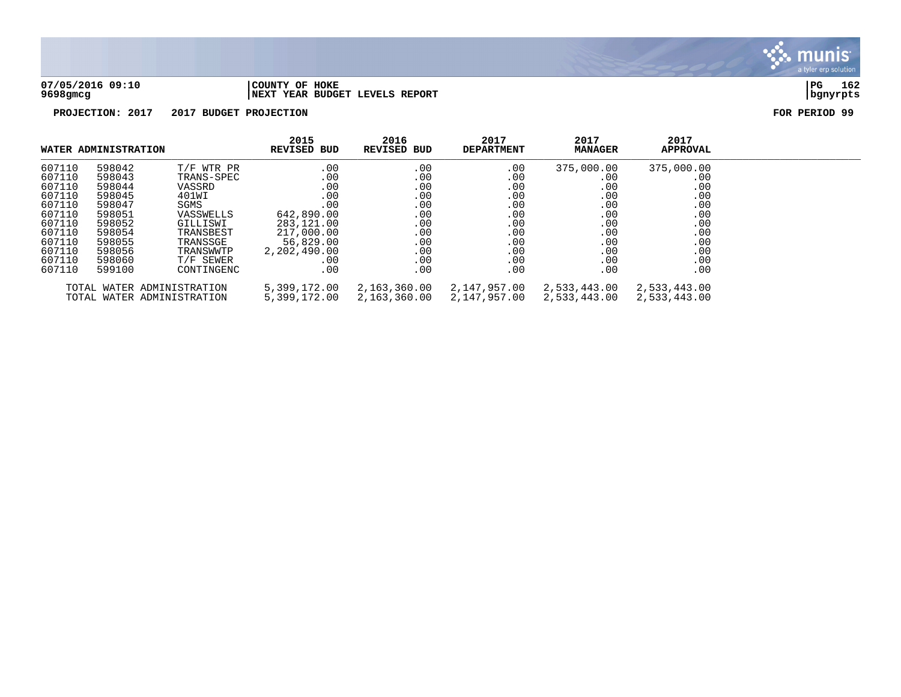

**07/05/2016 09:10 |COUNTY OF HOKE |PG 162 9698gmcg |NEXT YEAR BUDGET LEVELS REPORT |bgnyrpts**

|        | WATER ADMINISTRATION |                            | 2015<br>REVISED BUD | 2016<br><b>REVISED BUD</b> | 2017<br><b>DEPARTMENT</b> | 2017<br><b>MANAGER</b> | 2017<br><b>APPROVAL</b> |  |
|--------|----------------------|----------------------------|---------------------|----------------------------|---------------------------|------------------------|-------------------------|--|
| 607110 | 598042               | T/F WTR PR                 | .00                 | .00                        | .00                       | 375,000.00             | 375,000.00              |  |
| 607110 | 598043               | TRANS-SPEC                 | .00                 | .00                        | .00                       | .00                    | .00                     |  |
| 607110 | 598044               | VASSRD                     | .00                 | .00                        | .00                       | .00                    | .00                     |  |
| 607110 | 598045               | 401WI                      | .00                 | .00                        | .00                       | .00                    | .00                     |  |
| 607110 | 598047               | SGMS                       | .00                 | .00                        | .00                       | .00                    | .00                     |  |
| 607110 | 598051               | VASSWELLS                  | 642,890.00          | .00                        | .00                       | .00                    | .00                     |  |
| 607110 | 598052               | GILLISWI                   | 283,121.00          | .00                        | .00                       | .00                    | .00                     |  |
| 607110 | 598054               | TRANSBEST                  | 217,000.00          | .00                        | .00                       | .00                    | .00                     |  |
| 607110 | 598055               | TRANSSGE                   | 56,829.00           | .00                        | .00                       | .00                    | .00                     |  |
| 607110 | 598056               | TRANSWWTP                  | 2,202,490.00        | .00                        | .00                       | .00                    | .00                     |  |
| 607110 | 598060               | T/F SEWER                  | .00                 | .00                        | .00                       | .00                    | .00                     |  |
| 607110 | 599100               | CONTINGENC                 | .00                 | .00                        | .00                       | .00                    | .00                     |  |
|        |                      | TOTAL WATER ADMINISTRATION | 5,399,172.00        | 2,163,360.00               | 2,147,957.00              | 2,533,443.00           | 2,533,443.00            |  |
|        |                      | TOTAL WATER ADMINISTRATION | 5,399,172.00        | 2,163,360.00               | 2,147,957.00              | 2,533,443.00           | 2,533,443.00            |  |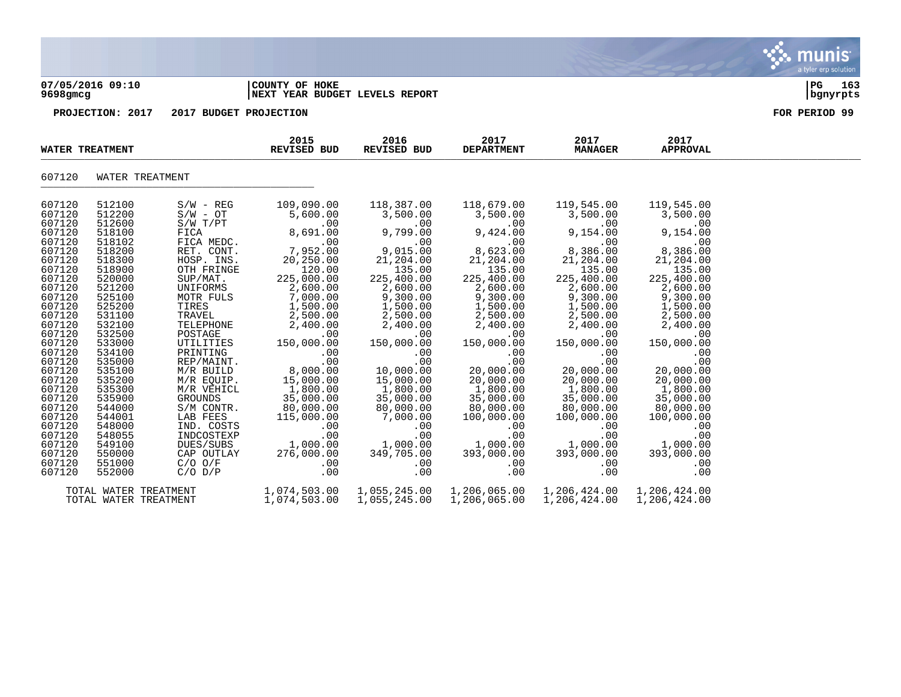### **07/05/2016 09:10 |COUNTY OF HOKE |PG 163 9698gmcg |NEXT YEAR BUDGET LEVELS REPORT |bgnyrpts**

**PROJECTION: 2017 2017 BUDGET PROJECTION FOR PERIOD 99**

|                                                                                                                                                                                                                                                        | WATER TREATMENT                                                                                                                                                                                                                                        |                                                                                                                                                                                                                                                                                                                          | 2015<br><b>REVISED BUD</b>                                                                                                                                                                                                                                                           | 2016<br><b>REVISED BUD</b>                                                                                                                                                                                                                                                          | 2017<br><b>DEPARTMENT</b>                                                                                                                                                                                                                                                                  | 2017<br><b>MANAGER</b>                                                                                                                                                                                                                                                                | 2017<br>APPROVAL                                                                                                                                                                                                                                                                      |  |
|--------------------------------------------------------------------------------------------------------------------------------------------------------------------------------------------------------------------------------------------------------|--------------------------------------------------------------------------------------------------------------------------------------------------------------------------------------------------------------------------------------------------------|--------------------------------------------------------------------------------------------------------------------------------------------------------------------------------------------------------------------------------------------------------------------------------------------------------------------------|--------------------------------------------------------------------------------------------------------------------------------------------------------------------------------------------------------------------------------------------------------------------------------------|-------------------------------------------------------------------------------------------------------------------------------------------------------------------------------------------------------------------------------------------------------------------------------------|--------------------------------------------------------------------------------------------------------------------------------------------------------------------------------------------------------------------------------------------------------------------------------------------|---------------------------------------------------------------------------------------------------------------------------------------------------------------------------------------------------------------------------------------------------------------------------------------|---------------------------------------------------------------------------------------------------------------------------------------------------------------------------------------------------------------------------------------------------------------------------------------|--|
| 607120                                                                                                                                                                                                                                                 | WATER TREATMENT                                                                                                                                                                                                                                        |                                                                                                                                                                                                                                                                                                                          |                                                                                                                                                                                                                                                                                      |                                                                                                                                                                                                                                                                                     |                                                                                                                                                                                                                                                                                            |                                                                                                                                                                                                                                                                                       |                                                                                                                                                                                                                                                                                       |  |
| 607120<br>607120<br>607120<br>607120<br>607120<br>607120<br>607120<br>607120<br>607120<br>607120<br>607120<br>607120<br>607120<br>607120<br>607120<br>607120<br>607120<br>607120<br>607120<br>607120<br>607120<br>607120<br>607120<br>607120<br>607120 | 512100<br>512200<br>512600<br>518100<br>518102<br>518200<br>518300<br>518900<br>520000<br>521200<br>525100<br>525200<br>531100<br>532100<br>532500<br>533000<br>534100<br>535000<br>535100<br>535200<br>535300<br>535900<br>544000<br>544001<br>548000 | $S/W - REG$<br>$S/W - OT$<br>S/W T/PT<br>FICA<br>FICA MEDC.<br>RET. CONT.<br>HOSP. INS.<br>OTH FRINGE<br>SUP/MAT.<br>UNIFORMS<br>MOTR FULS<br>TIRES<br>TRAVEL<br>TELEPHONE<br>POSTAGE<br>UTILITIES<br>PRINTING<br>REP/MAINT.<br>M/R BUILD<br>M/R EQUIP.<br>M/R VEHICL<br>GROUNDS<br>S/M CONTR.<br>LAB FEES<br>IND. COSTS | 109,090.00<br>5,600.00<br>.00<br>8,691.00<br>.00<br>7,952.00<br>20,250.00<br>120.00<br>225,000.00<br>2,600.00<br>7,000.00<br>1,500.00<br>2,500.00<br>2,400.00<br>.00<br>150,000.00<br>.00<br>.00<br>8,000.00<br>15,000.00<br>1,800.00<br>35,000.00<br>80,000.00<br>115,000.00<br>.00 | 118,387.00<br>3,500.00<br>.00<br>9,799.00<br>.00<br>9,015.00<br>21,204.00<br>135.00<br>225,400.00<br>2,600.00<br>9,300.00<br>1,500.00<br>2,500.00<br>2,400.00<br>.00<br>150,000.00<br>.00<br>.00<br>10,000.00<br>15,000.00<br>1,800.00<br>35,000.00<br>80,000.00<br>7,000.00<br>.00 | 118,679.00<br>3,500.00<br>$.00 \,$<br>9,424.00<br>.00<br>8,623.00<br>21,204.00<br>135.00<br>225,400.00<br>2,600.00<br>9,300.00<br>1,500.00<br>2,500.00<br>2,400.00<br>.00<br>150,000.00<br>.00<br>.00<br>20,000.00<br>20,000.00<br>1,800.00<br>35,000.00<br>80,000.00<br>100,000.00<br>.00 | 119,545.00<br>3,500.00<br>.00<br>9,154.00<br>.00<br>8,386.00<br>21,204.00<br>135.00<br>225,400.00<br>2,600.00<br>9,300.00<br>1,500.00<br>2,500.00<br>2,400.00<br>.00<br>150,000.00<br>.00<br>.00<br>20,000.00<br>20,000.00<br>1,800.00<br>35,000.00<br>80,000.00<br>100,000.00<br>.00 | 119,545.00<br>3,500.00<br>.00<br>9,154.00<br>.00<br>8,386.00<br>21,204.00<br>135.00<br>225,400.00<br>2,600.00<br>9,300.00<br>1,500.00<br>2,500.00<br>2,400.00<br>.00<br>150,000.00<br>.00<br>.00<br>20,000.00<br>20,000.00<br>1,800.00<br>35,000.00<br>80,000.00<br>100,000.00<br>.00 |  |
| 607120<br>607120<br>607120<br>607120<br>607120                                                                                                                                                                                                         | 548055<br>549100<br>550000<br>551000<br>552000                                                                                                                                                                                                         | INDCOSTEXP<br>DUES/SUBS<br>CAP OUTLAY<br>$C/O$ $O/F$<br>$C/O$ $D/P$                                                                                                                                                                                                                                                      | .00<br>1,000.00<br>276,000.00<br>.00<br>.00                                                                                                                                                                                                                                          | .00<br>1,000.00<br>349,705.00<br>.00<br>.00                                                                                                                                                                                                                                         | .00<br>1,000.00<br>393,000.00<br>$.00 \ \,$<br>.00                                                                                                                                                                                                                                         | .00<br>1,000.00<br>393,000.00<br>.00<br>.00                                                                                                                                                                                                                                           | .00<br>1,000.00<br>393,000.00<br>.00<br>.00                                                                                                                                                                                                                                           |  |
|                                                                                                                                                                                                                                                        | TOTAL WATER TREATMENT<br>TOTAL WATER TREATMENT                                                                                                                                                                                                         |                                                                                                                                                                                                                                                                                                                          | 1,074,503.00<br>1,074,503.00                                                                                                                                                                                                                                                         | 1,055,245.00<br>1,055,245.00                                                                                                                                                                                                                                                        | 1,206,065.00<br>1,206,065.00                                                                                                                                                                                                                                                               | 1,206,424.00<br>1,206,424.00                                                                                                                                                                                                                                                          | 1,206,424.00<br>1,206,424.00                                                                                                                                                                                                                                                          |  |

munis a tyler erp solution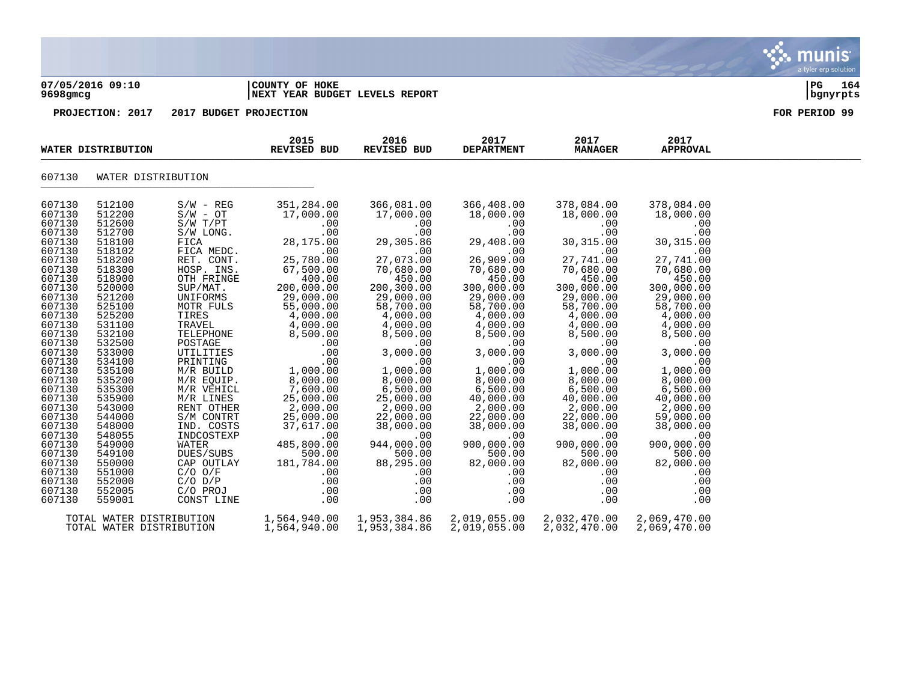|                                                                                                                                                                                                                                                                                                | 07/05/2016 09:10<br>9698gmcg                                                                                                                                                                                                                                                                   |                                                                                                                                                                                                                                                                                                                                                                               | COUNTY OF HOKE<br>NEXT YEAR BUDGET LEVELS REPORT                                                                                                                                                                                                                                                                                   |                                                                                                                                                                                                                                                                                                                                        | $_{\rm PG}$<br>164<br>  bgnyrpts                                                                                                                                                                                                                                                                                                       |                                                                                                                                                                                                                                                                                                                                        |                                                                                                                                                                                                                                                                                                                                         |               |
|------------------------------------------------------------------------------------------------------------------------------------------------------------------------------------------------------------------------------------------------------------------------------------------------|------------------------------------------------------------------------------------------------------------------------------------------------------------------------------------------------------------------------------------------------------------------------------------------------|-------------------------------------------------------------------------------------------------------------------------------------------------------------------------------------------------------------------------------------------------------------------------------------------------------------------------------------------------------------------------------|------------------------------------------------------------------------------------------------------------------------------------------------------------------------------------------------------------------------------------------------------------------------------------------------------------------------------------|----------------------------------------------------------------------------------------------------------------------------------------------------------------------------------------------------------------------------------------------------------------------------------------------------------------------------------------|----------------------------------------------------------------------------------------------------------------------------------------------------------------------------------------------------------------------------------------------------------------------------------------------------------------------------------------|----------------------------------------------------------------------------------------------------------------------------------------------------------------------------------------------------------------------------------------------------------------------------------------------------------------------------------------|-----------------------------------------------------------------------------------------------------------------------------------------------------------------------------------------------------------------------------------------------------------------------------------------------------------------------------------------|---------------|
|                                                                                                                                                                                                                                                                                                | PROJECTION: 2017                                                                                                                                                                                                                                                                               | 2017 BUDGET PROJECTION                                                                                                                                                                                                                                                                                                                                                        |                                                                                                                                                                                                                                                                                                                                    |                                                                                                                                                                                                                                                                                                                                        |                                                                                                                                                                                                                                                                                                                                        |                                                                                                                                                                                                                                                                                                                                        |                                                                                                                                                                                                                                                                                                                                         | FOR PERIOD 99 |
|                                                                                                                                                                                                                                                                                                | WATER DISTRIBUTION                                                                                                                                                                                                                                                                             |                                                                                                                                                                                                                                                                                                                                                                               | 2015<br><b>REVISED BUD</b>                                                                                                                                                                                                                                                                                                         | 2016<br><b>REVISED BUD</b>                                                                                                                                                                                                                                                                                                             | 2017<br><b>DEPARTMENT</b>                                                                                                                                                                                                                                                                                                              | 2017<br><b>MANAGER</b>                                                                                                                                                                                                                                                                                                                 | 2017<br><b>APPROVAL</b>                                                                                                                                                                                                                                                                                                                 |               |
| 607130                                                                                                                                                                                                                                                                                         | WATER DISTRIBUTION                                                                                                                                                                                                                                                                             |                                                                                                                                                                                                                                                                                                                                                                               |                                                                                                                                                                                                                                                                                                                                    |                                                                                                                                                                                                                                                                                                                                        |                                                                                                                                                                                                                                                                                                                                        |                                                                                                                                                                                                                                                                                                                                        |                                                                                                                                                                                                                                                                                                                                         |               |
| 607130<br>607130<br>607130<br>607130<br>607130<br>607130<br>607130<br>607130<br>607130<br>607130<br>607130<br>607130<br>607130<br>607130<br>607130<br>607130<br>607130<br>607130<br>607130<br>607130<br>607130<br>607130<br>607130<br>607130<br>607130<br>607130<br>607130<br>607130<br>607130 | 512100<br>512200<br>512600<br>512700<br>518100<br>518102<br>518200<br>518300<br>518900<br>520000<br>521200<br>525100<br>525200<br>531100<br>532100<br>532500<br>533000<br>534100<br>535100<br>535200<br>535300<br>535900<br>543000<br>544000<br>548000<br>548055<br>549000<br>549100<br>550000 | $S/W - REG$<br>$S/W - OT$<br>S/W T/PT<br>S/W LONG.<br>FICA<br>FICA MEDC.<br>RET. CONT.<br>HOSP. INS.<br>OTH FRINGE<br>SUP/MAT.<br>UNIFORMS<br>MOTR FULS<br>TIRES<br>TRAVEL<br>TELEPHONE<br>POSTAGE<br>UTILITIES<br>PRINTING<br>M/R BUILD<br>M/R EQUIP.<br>M/R VEHICL<br>M/R LINES<br>RENT OTHER<br>S/M CONTRT<br>IND. COSTS<br>INDCOSTEXP<br>WATER<br>DUES/SUBS<br>CAP OUTLAY | 351,284.00<br>17,000.00<br>.00<br>.00<br>28,175.00<br>.00<br>25,780.00<br>67,500.00<br>400.00<br>200,000.00<br>29,000.00<br>55,000.00<br>4,000.00<br>4,000.00<br>8,500.00<br>.00<br>.00<br>.00<br>1,000.00<br>8,000.00<br>7,600.00<br>25,000.00<br>2,000.00<br>25,000.00<br>37,617.00<br>.00<br>485,800.00<br>500.00<br>181,784.00 | 366,081.00<br>17,000.00<br>.00<br>.00<br>29,305.86<br>.00<br>27,073.00<br>70,680.00<br>450.00<br>200,300.00<br>29,000.00<br>58,700.00<br>4,000.00<br>4,000.00<br>8,500.00<br>.00<br>3,000.00<br>.00<br>1,000.00<br>8,000.00<br>6,500.00<br>25,000.00<br>2,000.00<br>22,000.00<br>38,000.00<br>.00<br>944,000.00<br>500.00<br>88,295.00 | 366,408.00<br>18,000.00<br>.00<br>.00<br>29,408.00<br>.00<br>26,909.00<br>70,680.00<br>450.00<br>300,000.00<br>29,000.00<br>58,700.00<br>4,000.00<br>4,000.00<br>8,500.00<br>.00<br>3,000.00<br>.00<br>1,000.00<br>8,000.00<br>6,500.00<br>40,000.00<br>2,000.00<br>22,000.00<br>38,000.00<br>.00<br>900,000.00<br>500.00<br>82,000.00 | 378,084.00<br>18,000.00<br>.00<br>.00<br>30,315.00<br>.00<br>27,741.00<br>70,680.00<br>450.00<br>300,000.00<br>29,000.00<br>58,700.00<br>4,000.00<br>4,000.00<br>8,500.00<br>.00<br>3,000.00<br>.00<br>1,000.00<br>8,000.00<br>6,500.00<br>40,000.00<br>2,000.00<br>22,000.00<br>38,000.00<br>.00<br>900,000.00<br>500.00<br>82,000.00 | 378,084.00<br>18,000.00<br>.00<br>.00<br>30, 315.00<br>.00<br>27,741.00<br>70,680.00<br>450.00<br>300,000.00<br>29,000.00<br>58,700.00<br>4,000.00<br>4,000.00<br>8,500.00<br>.00<br>3,000.00<br>.00<br>1,000.00<br>8,000.00<br>6,500.00<br>40,000.00<br>2,000.00<br>59,000.00<br>38,000.00<br>.00<br>900,000.00<br>500.00<br>82,000.00 |               |
| 607130<br>607130                                                                                                                                                                                                                                                                               | 551000<br>552000                                                                                                                                                                                                                                                                               | $C/O$ $O/F$<br>$C/O$ $D/P$                                                                                                                                                                                                                                                                                                                                                    | .00<br>.00                                                                                                                                                                                                                                                                                                                         | .00<br>.00                                                                                                                                                                                                                                                                                                                             | .00<br>.00                                                                                                                                                                                                                                                                                                                             | .00<br>.00                                                                                                                                                                                                                                                                                                                             | .00<br>.00                                                                                                                                                                                                                                                                                                                              |               |

607130 552005 C/O PROJ .00 .00 .00 .00 .00 607130 559001 TOTAL WATER DISTRIBUTION 1,564,940.00 1,953,384.86 2,019,055.00 2,032,470.00 2,069,470.00 TOTAL WATER DISTRIBUTION 1,564,940.00 1,953,384.86 2,019,055.00 2,032,470.00 2,069,470.00

munis a tyler erp solutior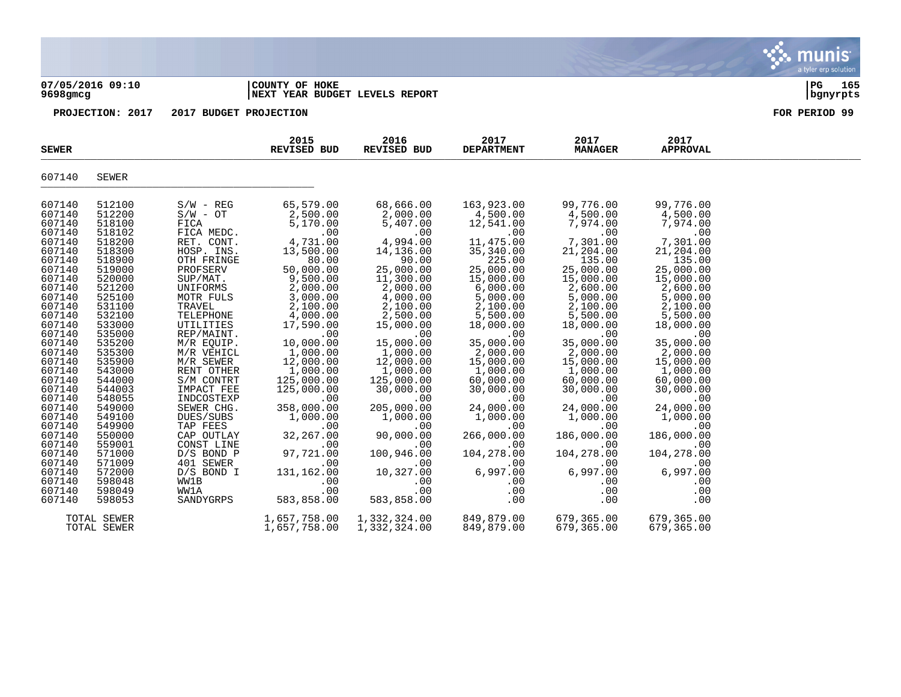### **07/05/2016 09:10 |COUNTY OF HOKE |PG 165 9698gmcg |NEXT YEAR BUDGET LEVELS REPORT |bgnyrpts**

| <b>SEWER</b>                                                                                                                                                                                                                       |                                                                                                                                                                                                                                    |                                                                                                                                                                                                                                                                                                             | 2015<br><b>REVISED BUD</b>                                                                                                                                                                                                                                                 | 2016<br>REVISED BUD                                                                                                                                                                                                                                                        | 2017<br><b>DEPARTMENT</b>                                                                                                                                                                                                                                                     | 2017<br><b>MANAGER</b>                                                                                                                                                                                                                                                    | 2017<br><b>APPROVAL</b>                                                                                                                                                                                                                                                   |  |
|------------------------------------------------------------------------------------------------------------------------------------------------------------------------------------------------------------------------------------|------------------------------------------------------------------------------------------------------------------------------------------------------------------------------------------------------------------------------------|-------------------------------------------------------------------------------------------------------------------------------------------------------------------------------------------------------------------------------------------------------------------------------------------------------------|----------------------------------------------------------------------------------------------------------------------------------------------------------------------------------------------------------------------------------------------------------------------------|----------------------------------------------------------------------------------------------------------------------------------------------------------------------------------------------------------------------------------------------------------------------------|-------------------------------------------------------------------------------------------------------------------------------------------------------------------------------------------------------------------------------------------------------------------------------|---------------------------------------------------------------------------------------------------------------------------------------------------------------------------------------------------------------------------------------------------------------------------|---------------------------------------------------------------------------------------------------------------------------------------------------------------------------------------------------------------------------------------------------------------------------|--|
| 607140                                                                                                                                                                                                                             | <b>SEWER</b>                                                                                                                                                                                                                       |                                                                                                                                                                                                                                                                                                             |                                                                                                                                                                                                                                                                            |                                                                                                                                                                                                                                                                            |                                                                                                                                                                                                                                                                               |                                                                                                                                                                                                                                                                           |                                                                                                                                                                                                                                                                           |  |
| 607140<br>607140<br>607140<br>607140<br>607140<br>607140<br>607140<br>607140<br>607140<br>607140<br>607140<br>607140<br>607140<br>607140<br>607140<br>607140<br>607140<br>607140<br>607140<br>607140<br>607140<br>607140<br>607140 | 512100<br>512200<br>518100<br>518102<br>518200<br>518300<br>518900<br>519000<br>520000<br>521200<br>525100<br>531100<br>532100<br>533000<br>535000<br>535200<br>535300<br>535900<br>543000<br>544000<br>544003<br>548055<br>549000 | $S/W - REG$<br>$S/W - OT$<br>FICA<br>FICA MEDC.<br>RET. CONT.<br>HOSP. INS.<br>OTH FRINGE<br>PROFSERV<br>SUP/MAT.<br>UNIFORMS<br>MOTR FULS<br>TRAVEL<br>TELEPHONE<br>UTILITIES<br>REP/MAINT.<br>M/R EQUIP.<br>M/R VEHICL<br>M/R SEWER<br>RENT OTHER<br>S/M CONTRT<br>IMPACT FEE<br>INDCOSTEXP<br>SEWER CHG. | 65,579.00<br>2,500.00<br>5,170.00<br>.00<br>4,731.00<br>13,500.00<br>80.00<br>50,000.00<br>9,500.00<br>2,000.00<br>3,000.00<br>2,100.00<br>4,000.00<br>17,590.00<br>.00<br>10,000.00<br>1,000.00<br>12,000.00<br>1,000.00<br>125,000.00<br>125,000.00<br>.00<br>358,000.00 | 68,666.00<br>2,000.00<br>5,407.00<br>.00<br>4,994.00<br>14,136.00<br>90.00<br>25,000.00<br>11,300.00<br>2,000.00<br>4,000.00<br>2,100.00<br>2,500.00<br>15,000.00<br>.00<br>15,000.00<br>1,000.00<br>12,000.00<br>1,000.00<br>125,000.00<br>30,000.00<br>.00<br>205,000.00 | 163,923.00<br>4,500.00<br>12,541.00<br>.00<br>11,475.00<br>35, 340.00<br>225.00<br>25,000.00<br>15,000.00<br>6,000.00<br>5,000.00<br>2,100.00<br>5,500.00<br>18,000.00<br>.00<br>35,000.00<br>2,000.00<br>15,000.00<br>1,000.00<br>60,000.00<br>30,000.00<br>.00<br>24,000.00 | 99,776.00<br>4,500.00<br>7,974.00<br>.00<br>7,301.00<br>21,204.00<br>135.00<br>25,000.00<br>15,000.00<br>2,600.00<br>5,000.00<br>2,100.00<br>5,500.00<br>18,000.00<br>.00<br>35,000.00<br>2,000.00<br>15,000.00<br>1,000.00<br>60,000.00<br>30,000.00<br>.00<br>24,000.00 | 99,776.00<br>4,500.00<br>7,974.00<br>.00<br>7,301.00<br>21,204.00<br>135.00<br>25,000.00<br>15,000.00<br>2,600.00<br>5,000.00<br>2,100.00<br>5,500.00<br>18,000.00<br>.00<br>35,000.00<br>2,000.00<br>15,000.00<br>1,000.00<br>60,000.00<br>30,000.00<br>.00<br>24,000.00 |  |
| 607140<br>607140<br>607140<br>607140<br>607140<br>607140<br>607140<br>607140<br>607140<br>607140                                                                                                                                   | 549100<br>549900<br>550000<br>559001<br>571000<br>571009<br>572000<br>598048<br>598049<br>598053                                                                                                                                   | DUES/SUBS<br>TAP FEES<br>CAP OUTLAY<br>CONST LINE<br>$D/S$ BOND P<br>401 SEWER<br>D/S BOND I<br>WW1B<br>WW1A<br>SANDYGRPS                                                                                                                                                                                   | 1,000.00<br>.00<br>32,267.00<br>.00<br>97,721.00<br>.00<br>131,162.00<br>.00<br>.00<br>583,858.00                                                                                                                                                                          | 1,000.00<br>.00<br>90,000.00<br>.00<br>100,946.00<br>.00<br>10,327.00<br>.00<br>.00<br>583,858.00                                                                                                                                                                          | 1,000.00<br>.00<br>266,000.00<br>.00<br>104,278.00<br>.00<br>6,997.00<br>.00<br>.00<br>.00                                                                                                                                                                                    | 1,000.00<br>.00<br>186,000.00<br>.00<br>104,278.00<br>.00<br>6,997.00<br>.00<br>.00<br>.00                                                                                                                                                                                | 1,000.00<br>.00<br>186,000.00<br>.00<br>104,278.00<br>.00<br>6,997.00<br>.00<br>.00<br>.00                                                                                                                                                                                |  |
|                                                                                                                                                                                                                                    | TOTAL SEWER<br>TOTAL SEWER                                                                                                                                                                                                         |                                                                                                                                                                                                                                                                                                             | 1,657,758.00<br>1,657,758.00                                                                                                                                                                                                                                               | 1,332,324.00<br>1,332,324.00                                                                                                                                                                                                                                               | 849,879.00<br>849,879.00                                                                                                                                                                                                                                                      | 679,365.00<br>679,365.00                                                                                                                                                                                                                                                  | 679,365.00<br>679,365.00                                                                                                                                                                                                                                                  |  |

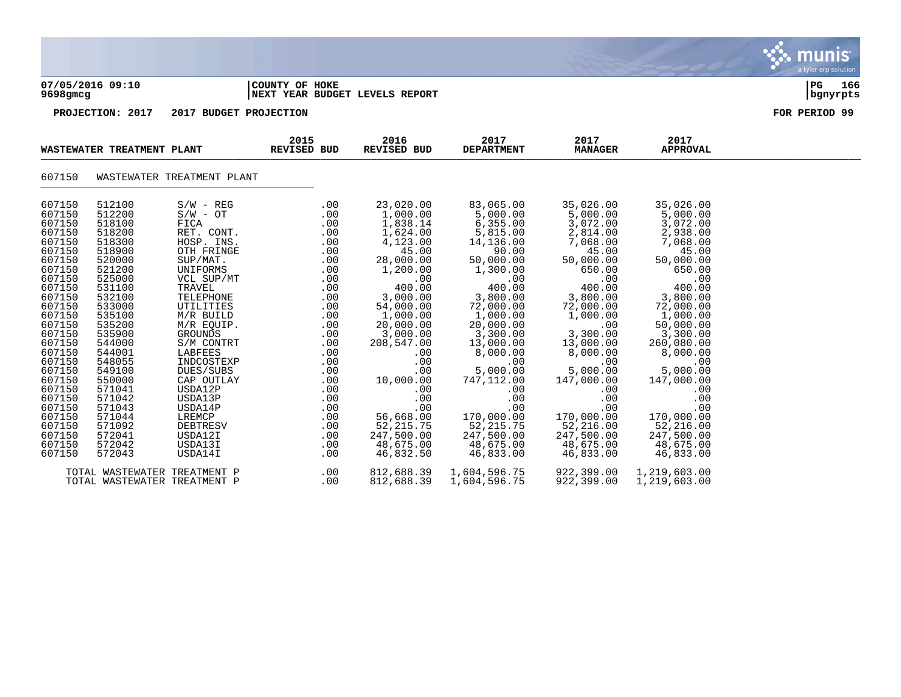| 07/05/2016 09:10<br>9698gmcg                                                                                                                                                                                                                                     |                                                                                                                                                                                                                                                                  |                                                                                                                                                                                                                                                                                                                                 | COUNTY OF HOKE<br>NEXT YEAR BUDGET LEVELS REPORT |                                                                                                                                                                                    |                                                                                                                                                                                                                                                                                          |                                                                                                                                                                                                                                                                                                      |                                                                                                                                                                                                                                                                                            |                                                                                                                                                                                                                                                                                                   | PG<br>166<br>bgnyrpts |  |  |
|------------------------------------------------------------------------------------------------------------------------------------------------------------------------------------------------------------------------------------------------------------------|------------------------------------------------------------------------------------------------------------------------------------------------------------------------------------------------------------------------------------------------------------------|---------------------------------------------------------------------------------------------------------------------------------------------------------------------------------------------------------------------------------------------------------------------------------------------------------------------------------|--------------------------------------------------|------------------------------------------------------------------------------------------------------------------------------------------------------------------------------------|------------------------------------------------------------------------------------------------------------------------------------------------------------------------------------------------------------------------------------------------------------------------------------------|------------------------------------------------------------------------------------------------------------------------------------------------------------------------------------------------------------------------------------------------------------------------------------------------------|--------------------------------------------------------------------------------------------------------------------------------------------------------------------------------------------------------------------------------------------------------------------------------------------|---------------------------------------------------------------------------------------------------------------------------------------------------------------------------------------------------------------------------------------------------------------------------------------------------|-----------------------|--|--|
|                                                                                                                                                                                                                                                                  | PROJECTION: 2017                                                                                                                                                                                                                                                 | 2017 BUDGET PROJECTION                                                                                                                                                                                                                                                                                                          |                                                  |                                                                                                                                                                                    |                                                                                                                                                                                                                                                                                          |                                                                                                                                                                                                                                                                                                      |                                                                                                                                                                                                                                                                                            |                                                                                                                                                                                                                                                                                                   | FOR PERIOD 99         |  |  |
|                                                                                                                                                                                                                                                                  | WASTEWATER TREATMENT PLANT                                                                                                                                                                                                                                       |                                                                                                                                                                                                                                                                                                                                 | 2015<br>REVISED BUD                              |                                                                                                                                                                                    | 2016<br><b>REVISED BUD</b>                                                                                                                                                                                                                                                               | 2017<br><b>DEPARTMENT</b>                                                                                                                                                                                                                                                                            | 2017<br><b>MANAGER</b>                                                                                                                                                                                                                                                                     | 2017<br><b>APPROVAL</b>                                                                                                                                                                                                                                                                           |                       |  |  |
| 607150                                                                                                                                                                                                                                                           |                                                                                                                                                                                                                                                                  | WASTEWATER TREATMENT PLANT                                                                                                                                                                                                                                                                                                      |                                                  |                                                                                                                                                                                    |                                                                                                                                                                                                                                                                                          |                                                                                                                                                                                                                                                                                                      |                                                                                                                                                                                                                                                                                            |                                                                                                                                                                                                                                                                                                   |                       |  |  |
| 607150<br>607150<br>607150<br>607150<br>607150<br>607150<br>607150<br>607150<br>607150<br>607150<br>607150<br>607150<br>607150<br>607150<br>607150<br>607150<br>607150<br>607150<br>607150<br>607150<br>607150<br>607150<br>607150<br>607150<br>607150<br>607150 | 512100<br>512200<br>518100<br>518200<br>518300<br>518900<br>520000<br>521200<br>525000<br>531100<br>532100<br>533000<br>535100<br>535200<br>535900<br>544000<br>544001<br>548055<br>549100<br>550000<br>571041<br>571042<br>571043<br>571044<br>571092<br>572041 | $S/W - REG$<br>$S/W - OT$<br>FICA<br>RET. CONT.<br>HOSP. INS.<br>OTH FRINGE<br>SUP/MAT.<br>UNIFORMS<br>VCL SUP/MT<br>TRAVEL<br>TELEPHONE<br>UTILITIES<br>M/R BUILD<br>M/R EQUIP.<br>GROUNDS<br>S/M CONTRT<br>LABFEES<br>INDCOSTEXP<br>DUES/SUBS<br>CAP OUTLAY<br>USDA12P<br>USDA13P<br>USDA14P<br>LREMCP<br>DEBTRESV<br>USDA12I |                                                  | .00<br>.00<br>.00<br>.00<br>.00<br>.00<br>.00<br>.00<br>.00<br>.00<br>.00<br>.00<br>.00<br>.00<br>.00<br>.00<br>.00<br>.00<br>.00<br>.00<br>.00<br>.00<br>.00<br>.00<br>.00<br>.00 | 23,020.00<br>1,000.00<br>1,838.14<br>1,624.00<br>4,123.00<br>45.00<br>28,000.00<br>1,200.00<br>.00<br>400.00<br>3,000.00<br>54,000.00<br>1,000.00<br>20,000.00<br>3,000.00<br>208,547.00<br>.00<br>.00<br>.00<br>10,000.00<br>.00<br>.00<br>.00<br>56,668.00<br>52, 215.75<br>247,500.00 | 83,065.00<br>5,000.00<br>6,355.00<br>5,815.00<br>14,136.00<br>90.00<br>50,000.00<br>1,300.00<br>.00<br>400.00<br>3,800.00<br>72,000.00<br>1,000.00<br>20,000.00<br>3,300.00<br>13,000.00<br>8,000.00<br>.00<br>5,000.00<br>747,112.00<br>.00<br>.00<br>.00<br>170,000.00<br>52, 215.75<br>247,500.00 | 35,026.00<br>5,000.00<br>3,072.00<br>2,814.00<br>7,068.00<br>45.00<br>50,000.00<br>650.00<br>.00<br>400.00<br>3,800.00<br>72,000.00<br>1,000.00<br>.00<br>3,300.00<br>13,000.00<br>8,000.00<br>.00<br>5,000.00<br>147,000.00<br>.00<br>.00<br>.00<br>170,000.00<br>52,216.00<br>247,500.00 | 35,026.00<br>5,000.00<br>3,072.00<br>2,938.00<br>7,068.00<br>45.00<br>50,000.00<br>650.00<br>.00<br>400.00<br>3,800.00<br>72,000.00<br>1,000.00<br>50,000.00<br>3,300.00<br>260,080.00<br>8,000.00<br>.00<br>5,000.00<br>147,000.00<br>.00<br>.00<br>.00<br>170,000.00<br>52,216.00<br>247,500.00 |                       |  |  |
| 607150<br>607150                                                                                                                                                                                                                                                 | 572042<br>572043                                                                                                                                                                                                                                                 | USDA13I<br>USDA14I<br>TOTAL WASTEWATER TREATMENT P<br>TOTAL WASTEWATER TREATMENT P                                                                                                                                                                                                                                              |                                                  | .00<br>.00<br>.00<br>.00                                                                                                                                                           | 48,675.00<br>46,832.50<br>812,688.39<br>812,688.39                                                                                                                                                                                                                                       | 48,675.00<br>46,833.00<br>1,604,596.75<br>1,604,596.75                                                                                                                                                                                                                                               | 48,675.00<br>46,833.00<br>922,399.00<br>922,399.00                                                                                                                                                                                                                                         | 48,675.00<br>46,833.00<br>1,219,603.00<br>1,219,603.00                                                                                                                                                                                                                                            |                       |  |  |

 $\mathbf{\ddot{\cdot}}$  munis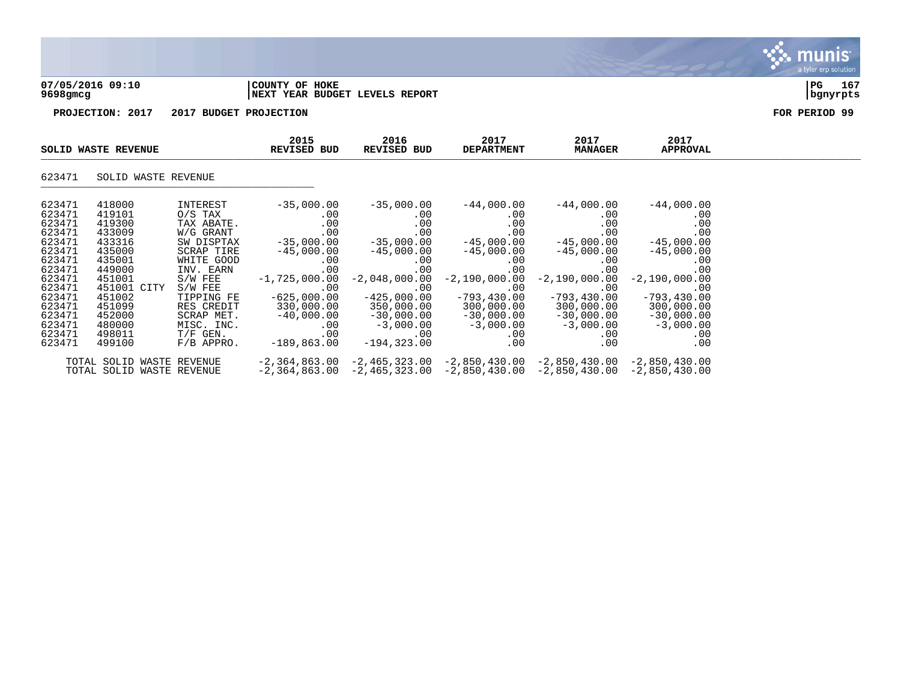### **07/05/2016 09:10 |COUNTY OF HOKE |PG 167 9698gmcg |NEXT YEAR BUDGET LEVELS REPORT |bgnyrpts**

**PROJECTION: 2017 2017 BUDGET PROJECTION FOR PERIOD 99**

| <b>SOLID WASTE REVENUE</b> |                           | 2015<br><b>REVISED BUD</b> | 2016<br>REVISED BUD      | 2017<br><b>DEPARTMENT</b>                                                       | 2017<br><b>MANAGER</b>              | 2017<br><b>APPROVAL</b>     |                             |  |
|----------------------------|---------------------------|----------------------------|--------------------------|---------------------------------------------------------------------------------|-------------------------------------|-----------------------------|-----------------------------|--|
| 623471                     | SOLID WASTE REVENUE       |                            |                          |                                                                                 |                                     |                             |                             |  |
| 623471<br>623471           | 418000<br>419101          | INTEREST<br>O/S TAX        | $-35,000.00$<br>$.00 \,$ | $-35,000.00$<br>.00                                                             | $-44,000.00$<br>$.00 \ \,$          | $-44,000.00$<br>.00         | $-44,000.00$<br>.00         |  |
| 623471<br>623471           | 419300<br>433009          | TAX ABATE.<br>W/G GRANT    | .00<br>$.00 \,$          | .00<br>.00                                                                      | .00<br>$.00 \ \,$                   | .00<br>.00                  | .00<br>.00                  |  |
| 623471                     | 433316                    | SW DISPTAX                 | $-35,000.00$             | $-35,000.00$                                                                    | $-45,000.00$                        | $-45,000.00$                | $-45,000.00$                |  |
| 623471<br>623471           | 435000<br>435001          | SCRAP TIRE<br>WHITE GOOD   | $-45,000.00$<br>$.00 \,$ | $-45,000.00$<br>$.00 \,$                                                        | $-45,000.00$<br>$.00 \,$            | $-45,000.00$<br>.00         | $-45,000.00$<br>.00         |  |
| 623471                     | 449000                    | INV. EARN                  | .00                      | .00                                                                             | .00                                 | .00                         | .00                         |  |
| 623471<br>623471           | 451001<br>451001 CITY     | S/W FEE<br>$S/W$ FEE       | $-1,725,000.00$          | $-2,048,000.00$                                                                 | $-2,190,000.00$                     | $-2,190,000.00$             | $-2,190,000.00$             |  |
| 623471                     | 451002                    | TIPPING FE                 | .00<br>$-625,000.00$     | .00<br>$-425,000.00$                                                            | $.00 \,$<br>$-793,430.00$           | .00<br>$-793, 430.00$       | .00<br>$-793, 430.00$       |  |
| 623471                     | 451099                    | RES CREDIT                 | 330,000.00               | 350,000.00                                                                      | 300,000.00                          | 300,000.00                  | 300,000.00                  |  |
| 623471<br>623471           | 452000<br>480000          | SCRAP MET.<br>MISC. INC.   | $-40,000.00$<br>$.00 \,$ | $-30,000.00$<br>$-3,000.00$                                                     | $-30$ , $000$ . $00$<br>$-3,000.00$ | $-30,000.00$<br>$-3,000.00$ | $-30,000.00$<br>$-3,000.00$ |  |
| 623471                     | 498011                    | $T/F$ GEN.                 | .00                      | $.00 \,$                                                                        | $.00 \,$                            | $.00 \,$                    | .00                         |  |
| 623471                     | 499100                    | $F/B$ APPRO.               | $-189,863.00$            | $-194, 323.00$                                                                  | .00                                 | .00                         | .00                         |  |
|                            | TOTAL SOLID WASTE REVENUE |                            |                          | $-2,364,863.00 -2,465,323.00 -2,850,430.00 -2,850,430.00$                       |                                     |                             | $-2,850,430.00$             |  |
|                            | TOTAL SOLID WASTE REVENUE |                            |                          | $-2,364,863.00$ $-2,465,323.00$ $-2,850,430.00$ $-2,850,430.00$ $-2,850,430.00$ |                                     |                             |                             |  |

munis a tyler erp solution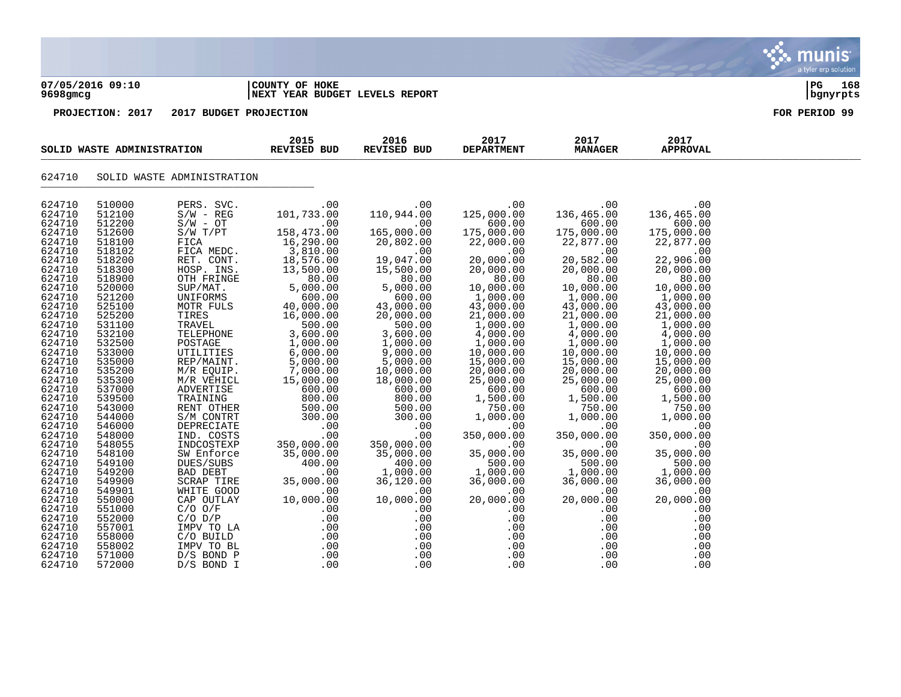

 $\frac{1}{2}$ 

# 624710 SOLID WASTE ADMINISTRATION

| 624710           | 510000           | PERS. SVC.               | .00        | .00               | .00               | .00               | .00               |
|------------------|------------------|--------------------------|------------|-------------------|-------------------|-------------------|-------------------|
| 624710           | 512100           | $S/W - REG$              | 101,733.00 | 110,944.00        | 125,000.00        | 136,465.00        | 136,465.00        |
| 624710           | 512200           | $S/W - OT$               | .00        | .00               | 600.00            | 600.00            | 600.00            |
| 624710           | 512600           | S/W T/PT                 | 158,473.00 | 165,000.00        | 175,000.00        | 175,000.00        | 175,000.00        |
| 624710           | 518100           | FICA                     | 16,290.00  | 20,802.00         | 22,000.00         | 22,877.00         | 22,877.00         |
| 624710           | 518102           | FICA MEDC.               | 3,810.00   | .00               | .00               | .00               | .00               |
| 624710           | 518200           | RET. CONT.               | 18,576.00  | 19,047.00         | 20,000.00         | 20,582.00         | 22,906.00         |
| 624710           | 518300           | HOSP. INS.               | 13,500.00  | 15,500.00         | 20,000.00         | 20,000.00         | 20,000.00         |
| 624710           | 518900           | OTH FRINGE               | 80.00      | 80.00             | 80.00             | 80.00             | 80.00             |
| 624710           | 520000           | SUP/MAT.                 | 5,000.00   | 5,000.00          | 10,000.00         | 10,000.00         | 10,000.00         |
| 624710           | 521200           | UNIFORMS                 | 600.00     | 600.00            | 1,000.00          | 1,000.00          | 1,000.00          |
| 624710           | 525100           | MOTR FULS                | 40,000.00  | 43,000.00         | 43,000.00         | 43,000.00         | 43,000.00         |
| 624710           | 525200           | TIRES                    | 16,000.00  | 20,000.00         | 21,000.00         | 21,000.00         | 21,000.00         |
| 624710           | 531100           | TRAVEL                   | 500.00     | 500.00            | 1,000.00          | 1,000.00          | 1,000.00          |
| 624710           | 532100           | TELEPHONE                | 3,600.00   | 3,600.00          | 4,000.00          | 4,000.00          | 4,000.00          |
| 624710           | 532500           | POSTAGE                  | 1,000.00   | 1,000.00          | 1,000.00          | 1,000.00          | 1,000.00          |
| 624710           | 533000           | UTILITIES                | 6,000.00   | 9,000.00          | 10,000.00         | 10,000.00         | 10,000.00         |
| 624710           | 535000           | REP/MAINT.               | 5,000.00   | 5,000.00          | 15,000.00         | 15,000.00         | 15,000.00         |
| 624710           | 535200           | M/R EOUIP.               | 7,000.00   | 10,000.00         | 20,000.00         | 20,000.00         | 20,000.00         |
| 624710           | 535300           | M/R VEHICL               | 15,000.00  | 18,000.00         | 25,000.00         | 25,000.00         | 25,000.00         |
| 624710           | 537000           | ADVERTISE                | 600.00     | 600.00            | 600.00            | 600.00            | 600.00            |
| 624710           | 539500           | TRAINING                 | 800.00     | 800.00            | 1,500.00          | 1,500.00          | 1,500.00          |
| 624710           | 543000           | RENT OTHER               | 500.00     | 500.00            | 750.00            | 750.00            | 750.00            |
| 624710           | 544000           | S/M CONTRT               | 300.00     | 300.00            | 1,000.00          | 1,000.00          | 1,000.00          |
| 624710<br>624710 | 546000<br>548000 | <b>DEPRECIATE</b>        | .00<br>.00 | .00               | .00<br>350,000.00 | .00<br>350,000.00 | .00<br>350,000.00 |
| 624710           | 548055           | IND. COSTS<br>INDCOSTEXP | 350,000.00 | .00<br>350,000.00 | .00               | .00               | .00               |
| 624710           | 548100           | SW Enforce               | 35,000.00  | 35,000.00         | 35,000.00         | 35,000.00         | 35,000.00         |
| 624710           | 549100           | DUES/SUBS                | 400.00     | 400.00            | 500.00            | 500.00            | 500.00            |
| 624710           | 549200           | <b>BAD DEBT</b>          | .00        | 1,000.00          | 1,000.00          | 1,000.00          | 1,000.00          |
| 624710           | 549900           | <b>SCRAP TIRE</b>        | 35,000.00  | 36,120.00         | 36,000.00         | 36,000.00         | 36,000.00         |
| 624710           | 549901           | WHITE GOOD               | .00        | .00               | .00               | .00               | .00               |
| 624710           | 550000           | CAP OUTLAY               | 10,000.00  | 10,000.00         | 20,000.00         | 20,000.00         | 20,000.00         |
| 624710           | 551000           | $C/O$ $O/F$              | .00        | .00               | .00               | .00               | .00               |
| 624710           | 552000           | $C/O$ $D/P$              | .00        | .00               | .00               | .00               | .00               |
| 624710           | 557001           | IMPV TO LA               | .00        | .00               | .00               | .00               | .00               |
| 624710           | 558000           | C/O BUILD                | .00        | .00               | .00               | .00               | .00               |
| 624710           | 558002           | IMPV TO BL               | .00        | .00               | .00               | .00               | .00               |
| 624710           | 571000           | $D/S$ BOND P             | .00        | .00               | .00               | .00               | .00               |
| 624710           | 572000           | D/S BOND I               | .00        | .00               | .00               | .00               | .00               |

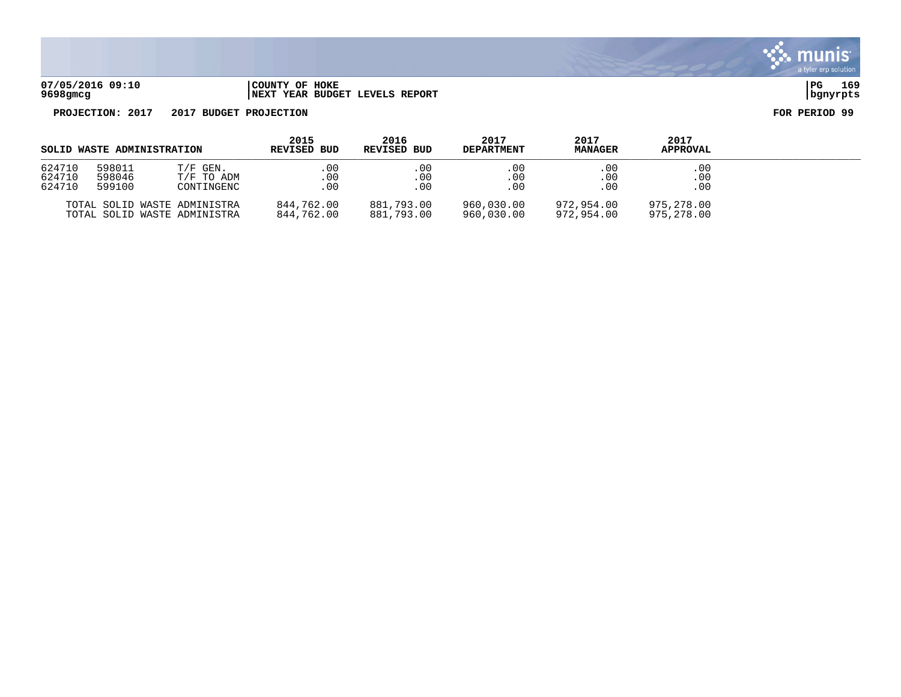

| 07/05/2016 09:10 | COUNTY OF HOKE                  | PG       | 169 |
|------------------|---------------------------------|----------|-----|
| 9698gmcg         | INEXT YEAR BUDGET LEVELS REPORT | banvrpts |     |

| SOLID WASTE ADMINISTRATION |                            | 2015<br><b>REVISED BUD</b>                                   | 2016<br><b>REVISED BUD</b> | 2017<br><b>DEPARTMENT</b> | 2017<br><b>MANAGER</b>   | 2017<br>APPROVAL         |                          |  |
|----------------------------|----------------------------|--------------------------------------------------------------|----------------------------|---------------------------|--------------------------|--------------------------|--------------------------|--|
| 624710<br>624710<br>624710 | 598011<br>598046<br>599100 | $T/F$ GEN.<br>T/F TO ADM<br>CONTINGENC                       | .00.<br>$.00 \,$<br>.00.   | .00<br>.00<br>.00         | .00<br>.00<br>.00        | .00<br>.00<br>.00        | .00<br>.00<br>.00        |  |
|                            |                            | TOTAL SOLID WASTE ADMINISTRA<br>TOTAL SOLID WASTE ADMINISTRA | 844,762.00<br>844,762.00   | 881,793.00<br>881,793.00  | 960,030.00<br>960,030.00 | 972.954.00<br>972,954.00 | 975,278.00<br>975,278.00 |  |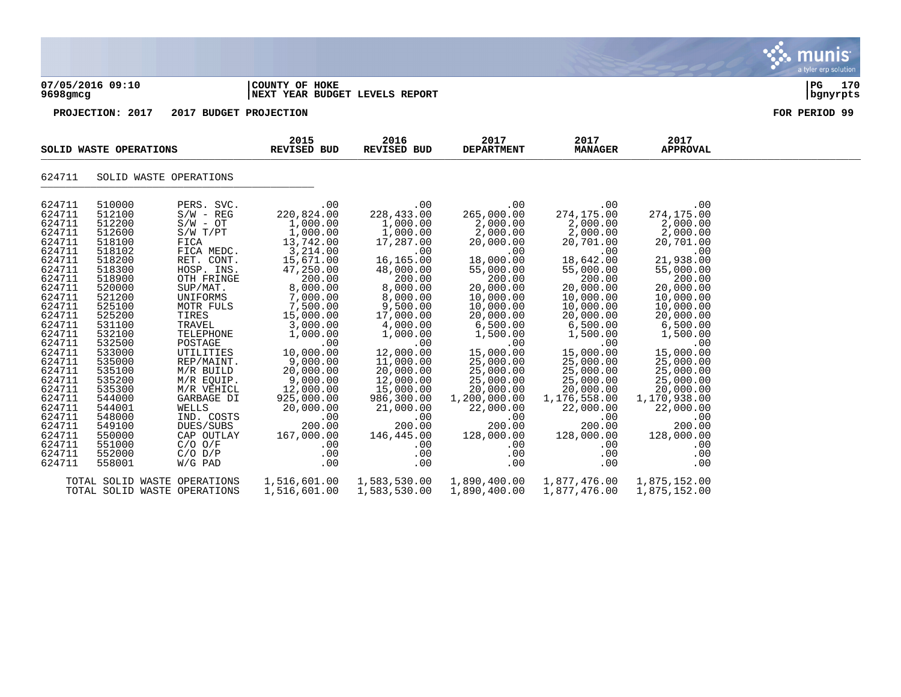|                                                                                                                                                                                                                                                                                                |                                                                                                                                                                                                                                                                                                |                                                                                                                                                                                                                                                                                                                                                                                    |                                                                                                                                                                                                                                                                                                                                      |                                                                                                                                                                                                                                                                                                                                    |                                                                                                                                                                                                                                                                                                                                        |                                                                                                                                                                                                                                                                                                                                        |                                                                                                                                                                                                                                                                                                                                        | nıs<br>a tyler erp solution |
|------------------------------------------------------------------------------------------------------------------------------------------------------------------------------------------------------------------------------------------------------------------------------------------------|------------------------------------------------------------------------------------------------------------------------------------------------------------------------------------------------------------------------------------------------------------------------------------------------|------------------------------------------------------------------------------------------------------------------------------------------------------------------------------------------------------------------------------------------------------------------------------------------------------------------------------------------------------------------------------------|--------------------------------------------------------------------------------------------------------------------------------------------------------------------------------------------------------------------------------------------------------------------------------------------------------------------------------------|------------------------------------------------------------------------------------------------------------------------------------------------------------------------------------------------------------------------------------------------------------------------------------------------------------------------------------|----------------------------------------------------------------------------------------------------------------------------------------------------------------------------------------------------------------------------------------------------------------------------------------------------------------------------------------|----------------------------------------------------------------------------------------------------------------------------------------------------------------------------------------------------------------------------------------------------------------------------------------------------------------------------------------|----------------------------------------------------------------------------------------------------------------------------------------------------------------------------------------------------------------------------------------------------------------------------------------------------------------------------------------|-----------------------------|
| 9698gmcg                                                                                                                                                                                                                                                                                       | 07/05/2016 09:10                                                                                                                                                                                                                                                                               |                                                                                                                                                                                                                                                                                                                                                                                    | COUNTY OF HOKE<br>NEXT YEAR BUDGET LEVELS REPORT                                                                                                                                                                                                                                                                                     |                                                                                                                                                                                                                                                                                                                                    |                                                                                                                                                                                                                                                                                                                                        |                                                                                                                                                                                                                                                                                                                                        |                                                                                                                                                                                                                                                                                                                                        | PG<br>170<br>bgnyrpts       |
|                                                                                                                                                                                                                                                                                                | PROJECTION: 2017                                                                                                                                                                                                                                                                               | 2017 BUDGET PROJECTION                                                                                                                                                                                                                                                                                                                                                             |                                                                                                                                                                                                                                                                                                                                      |                                                                                                                                                                                                                                                                                                                                    |                                                                                                                                                                                                                                                                                                                                        |                                                                                                                                                                                                                                                                                                                                        |                                                                                                                                                                                                                                                                                                                                        | FOR PERIOD 99               |
|                                                                                                                                                                                                                                                                                                | SOLID WASTE OPERATIONS                                                                                                                                                                                                                                                                         |                                                                                                                                                                                                                                                                                                                                                                                    | 2015<br>REVISED BUD                                                                                                                                                                                                                                                                                                                  | 2016<br><b>REVISED BUD</b>                                                                                                                                                                                                                                                                                                         | 2017<br><b>DEPARTMENT</b>                                                                                                                                                                                                                                                                                                              | 2017<br><b>MANAGER</b>                                                                                                                                                                                                                                                                                                                 | 2017<br><b>APPROVAL</b>                                                                                                                                                                                                                                                                                                                |                             |
| 624711                                                                                                                                                                                                                                                                                         | SOLID WASTE OPERATIONS                                                                                                                                                                                                                                                                         |                                                                                                                                                                                                                                                                                                                                                                                    |                                                                                                                                                                                                                                                                                                                                      |                                                                                                                                                                                                                                                                                                                                    |                                                                                                                                                                                                                                                                                                                                        |                                                                                                                                                                                                                                                                                                                                        |                                                                                                                                                                                                                                                                                                                                        |                             |
| 624711<br>624711<br>624711<br>624711<br>624711<br>624711<br>624711<br>624711<br>624711<br>624711<br>624711<br>624711<br>624711<br>624711<br>624711<br>624711<br>624711<br>624711<br>624711<br>624711<br>624711<br>624711<br>624711<br>624711<br>624711<br>624711<br>624711<br>624711<br>624711 | 510000<br>512100<br>512200<br>512600<br>518100<br>518102<br>518200<br>518300<br>518900<br>520000<br>521200<br>525100<br>525200<br>531100<br>532100<br>532500<br>533000<br>535000<br>535100<br>535200<br>535300<br>544000<br>544001<br>548000<br>549100<br>550000<br>551000<br>552000<br>558001 | PERS. SVC.<br>$S/W - REG$<br>$S/W - OT$<br>S/W T/PT<br>FICA<br>FICA MEDC.<br>RET. CONT.<br>HOSP. INS.<br>OTH FRINGE<br>SUP/MAT.<br>UNIFORMS<br>MOTR FULS<br>TIRES<br>TRAVEL<br>TELEPHONE<br>POSTAGE<br>UTILITIES<br>REP/MAINT.<br>M/R BUILD<br>M/R EQUIP.<br>M/R VEHICL<br>GARBAGE DI<br>WELLS<br>IND. COSTS<br>DUES/SUBS<br>CAP OUTLAY<br>$C/O$ $O/F$<br>$C/O$ $D/P$<br>$W/G$ PAD | .00<br>220,824.00<br>1,000.00<br>1,000.00<br>13,742.00<br>3,214.00<br>15,671.00<br>47,250.00<br>200.00<br>8,000.00<br>7,000.00<br>7,500.00<br>15,000.00<br>3,000.00<br>1,000.00<br>.00<br>10,000.00<br>9,000.00<br>20,000.00<br>9,000.00<br>12,000.00<br>925,000.00<br>20,000.00<br>.00<br>200.00<br>167,000.00<br>.00<br>.00<br>.00 | .00.<br>228,433.00<br>1,000.00<br>1,000.00<br>17,287.00<br>.00<br>16,165.00<br>48,000.00<br>200.00<br>8,000.00<br>8,000.00<br>9,500.00<br>17,000.00<br>4,000.00<br>1,000.00<br>.00<br>12,000.00<br>11,000.00<br>20,000.00<br>12,000.00<br>15,000.00<br>986,300.00<br>21,000.00<br>.00<br>200.00<br>146,445.00<br>.00<br>.00<br>.00 | .00<br>265,000.00<br>2,000.00<br>2,000.00<br>20,000.00<br>.00<br>18,000.00<br>55,000.00<br>200.00<br>20,000.00<br>10,000.00<br>10,000.00<br>20,000.00<br>6,500.00<br>1,500.00<br>.00<br>15,000.00<br>25,000.00<br>25,000.00<br>25,000.00<br>20,000.00<br>1,200,000.00<br>22,000.00<br>.00<br>200.00<br>128,000.00<br>.00<br>.00<br>.00 | .00<br>274,175.00<br>2,000.00<br>2,000.00<br>20,701.00<br>.00<br>18,642.00<br>55,000.00<br>200.00<br>20,000.00<br>10,000.00<br>10,000.00<br>20,000.00<br>6,500.00<br>1,500.00<br>.00<br>15,000.00<br>25,000.00<br>25,000.00<br>25,000.00<br>20,000.00<br>1,176,558.00<br>22,000.00<br>.00<br>200.00<br>128,000.00<br>.00<br>.00<br>.00 | .00<br>274,175.00<br>2,000.00<br>2,000.00<br>20,701.00<br>.00<br>21,938.00<br>55,000.00<br>200.00<br>20,000.00<br>10,000.00<br>10,000.00<br>20,000.00<br>6,500.00<br>1,500.00<br>.00<br>15,000.00<br>25,000.00<br>25,000.00<br>25,000.00<br>20,000.00<br>1,170,938.00<br>22,000.00<br>.00<br>200.00<br>128,000.00<br>.00<br>.00<br>.00 |                             |
|                                                                                                                                                                                                                                                                                                | TOTAL SOLID WASTE OPERATIONS<br>TOTAL SOLID WASTE OPERATIONS                                                                                                                                                                                                                                   |                                                                                                                                                                                                                                                                                                                                                                                    | 1,516,601.00<br>1,516,601.00                                                                                                                                                                                                                                                                                                         | 1,583,530.00<br>1,583,530.00                                                                                                                                                                                                                                                                                                       | 1,890,400.00<br>1,890,400.00                                                                                                                                                                                                                                                                                                           | 1,877,476.00<br>1,877,476.00                                                                                                                                                                                                                                                                                                           | 1,875,152.00<br>1,875,152.00                                                                                                                                                                                                                                                                                                           |                             |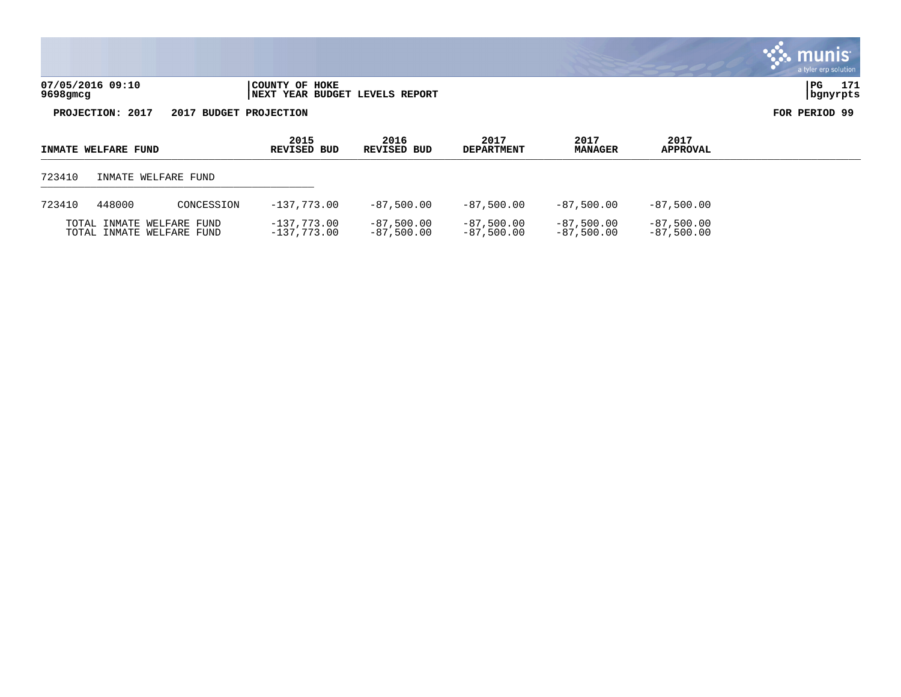|                              |                                                  | a tyler erp solution  |
|------------------------------|--------------------------------------------------|-----------------------|
| 07/05/2016 09:10<br>9698gmcg | COUNTY OF HOKE<br>NEXT YEAR BUDGET LEVELS REPORT | 171<br>PG<br>bgnyrpts |
| 2017<br>PROJECTION:          | 2017 BUDGET PROJECTION                           | FOR PERIOD 99         |

 $\mathcal{L}$ 

**2015 2016 2017 2017 2017 INMATE WELFARE FUND REVISED BUD REVISED BUD DEPARTMENT MANAGER APPROVAL**   $L_{\rm EMATE}$  repeats to the contract of the contract of the contract  $L_{\rm EMATE}$  and  $L_{\rm EMATE}$  and  $L_{\rm EMATE}$  and  $L_{\rm EMATE}$  and  $L_{\rm EMATE}$  and  $L_{\rm EMATE}$  and  $L_{\rm EMATE}$  and  $L_{\rm EMATE}$  and  $L_{\rm EMATE}$  and  $L_{\rm EMATE}$  and  $L_{\$ 723410 INMATE WELFARE FUND \_\_\_\_\_\_\_\_\_\_\_\_\_\_\_\_\_\_\_\_\_\_\_\_\_\_\_\_\_\_\_\_\_\_\_\_\_\_\_\_\_\_\_\_ 723410 448000 CONCESSION -137,773.00 -87,500.00 -87,500.00 -87,500.00 -87,500.00 TOTAL INMATE WELFARE FUND -137,773.00 -87,500.00 -87,500.00 -87,500.00 -87,500.00 TOTAL INMATE WELFARE FUND -137,773.00 -87,500.00 -87,500.00 -87,500.00 -87,500.00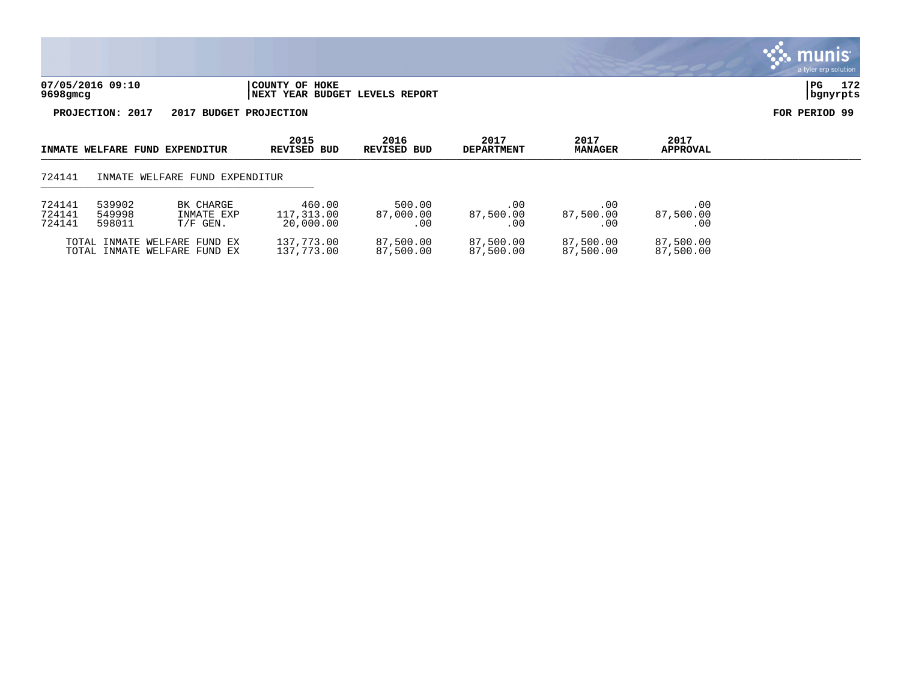

| INMATE WELFARE FUND EXPENDITUR |                            | 2015<br>REVISED BUD                                          | 2016<br>REVISED BUD               | 2017<br><b>DEPARTMENT</b>  | 2017<br><b>MANAGER</b>        | 2017<br><b>APPROVAL</b> |                         |  |
|--------------------------------|----------------------------|--------------------------------------------------------------|-----------------------------------|----------------------------|-------------------------------|-------------------------|-------------------------|--|
| 724141                         |                            | INMATE WELFARE FUND EXPENDITUR                               |                                   |                            |                               |                         |                         |  |
| 724141<br>724141<br>724141     | 539902<br>549998<br>598011 | BK CHARGE<br>INMATE EXP<br>$T/F$ GEN.                        | 460.00<br>117,313.00<br>20,000.00 | 500.00<br>87,000.00<br>.00 | $.00 \,$<br>87,500.00<br>. 00 | .00<br>87,500.00<br>.00 | .00<br>87,500.00<br>.00 |  |
|                                |                            | TOTAL INMATE WELFARE FUND EX<br>TOTAL INMATE WELFARE FUND EX | 137,773.00<br>137,773.00          | 87,500.00<br>87,500.00     | 87,500.00<br>87,500.00        | 87,500.00<br>87,500.00  | 87,500.00<br>87,500.00  |  |

# **Inis** mı a tyler erp solution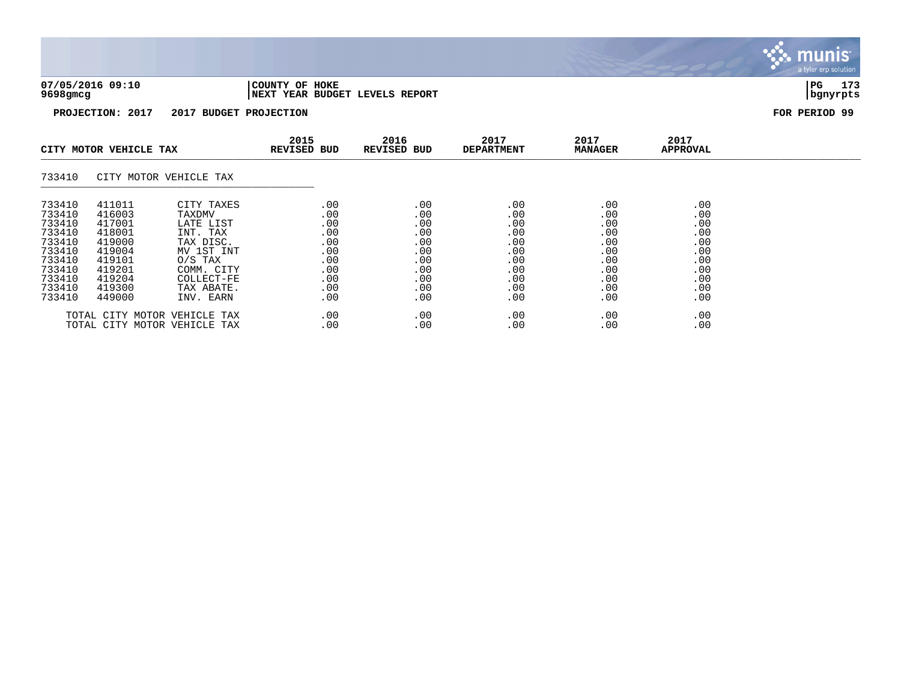| 07/05/2016 09:10 | COUNTY OF HOKE                 | l PG     | 173 |
|------------------|--------------------------------|----------|-----|
| 9698gmcg         | NEXT YEAR BUDGET LEVELS REPORT | bgnyrpts |     |

| CITY MOTOR VEHICLE TAX                                                                                     |                                                                                                            | 2015<br>REVISED BUD                                                                                                                          | 2016<br><b>REVISED BUD</b>                                                | 2017<br><b>DEPARTMENT</b>                                                 | 2017<br>MANAGER                                                                  | 2017<br>APPROVAL                                                          |                                                                           |  |
|------------------------------------------------------------------------------------------------------------|------------------------------------------------------------------------------------------------------------|----------------------------------------------------------------------------------------------------------------------------------------------|---------------------------------------------------------------------------|---------------------------------------------------------------------------|----------------------------------------------------------------------------------|---------------------------------------------------------------------------|---------------------------------------------------------------------------|--|
| 733410                                                                                                     |                                                                                                            | CITY MOTOR VEHICLE TAX                                                                                                                       |                                                                           |                                                                           |                                                                                  |                                                                           |                                                                           |  |
| 733410<br>733410<br>733410<br>733410<br>733410<br>733410<br>733410<br>733410<br>733410<br>733410<br>733410 | 411011<br>416003<br>417001<br>418001<br>419000<br>419004<br>419101<br>419201<br>419204<br>419300<br>449000 | CITY TAXES<br>TAXDMV<br>LATE LIST<br>INT. TAX<br>TAX DISC.<br>MV 1ST INT<br>$0/S$ TAX<br>COMM. CITY<br>COLLECT-FE<br>TAX ABATE.<br>INV. EARN | .00<br>.00<br>.00<br>.00<br>.00<br>.00<br>.00<br>.00<br>.00<br>.00<br>.00 | .00<br>.00<br>.00<br>.00<br>.00<br>.00<br>.00<br>.00<br>.00<br>.00<br>.00 | $.00 \ \,$<br>.00<br>.00<br>.00<br>.00<br>.00<br>.00<br>.00<br>.00<br>.00<br>.00 | .00<br>.00<br>.00<br>.00<br>.00<br>.00<br>.00<br>.00<br>.00<br>.00<br>.00 | .00<br>.00<br>.00<br>.00<br>.00<br>.00<br>.00<br>.00<br>.00<br>.00<br>.00 |  |
|                                                                                                            |                                                                                                            | TOTAL CITY MOTOR VEHICLE TAX<br>TOTAL CITY MOTOR VEHICLE TAX                                                                                 | .00<br>.00                                                                | .00<br>.00                                                                | .00<br>.00                                                                       | .00<br>.00                                                                | .00<br>.00                                                                |  |

**munis PART** a tyler erp solution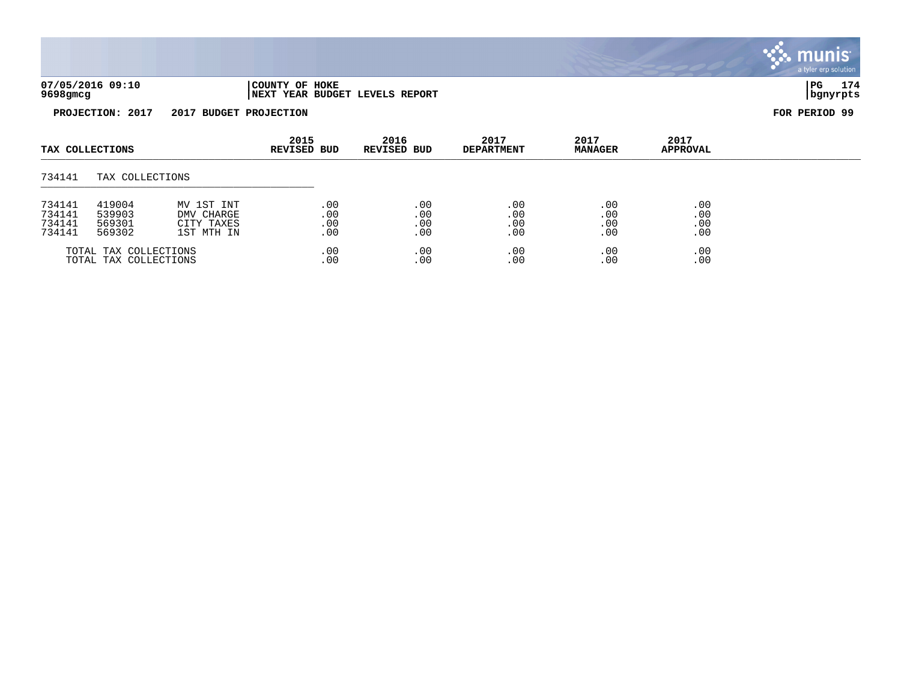

| TAX COLLECTIONS       |                 |            | 2015<br><b>REVISED BUD</b> | 2016<br><b>REVISED BUD</b> | 2017<br><b>DEPARTMENT</b> | 2017<br><b>MANAGER</b> | 2017<br><b>APPROVAL</b> |  |
|-----------------------|-----------------|------------|----------------------------|----------------------------|---------------------------|------------------------|-------------------------|--|
| 734141                | TAX COLLECTIONS |            |                            |                            |                           |                        |                         |  |
| 734141                | 419004          | MV 1ST INT | .00                        | .00                        | .00                       | .00                    | .00                     |  |
| 734141                | 539903          | DMV CHARGE | .00                        | .00                        | .00                       | .00                    | .00                     |  |
| 734141                | 569301          | CITY TAXES | .00                        | .00                        | .00                       | .00                    | .00                     |  |
| 734141                | 569302          | 1ST MTH IN | .00                        | .00                        | .00                       | .00                    | .00                     |  |
| TOTAL TAX COLLECTIONS |                 | .00        | .00                        | .00                        | .00                       | .00                    |                         |  |
| TOTAL TAX COLLECTIONS |                 | .00        | .00                        | .00                        | .00                       | .00                    |                         |  |

munis a tyler erp solution